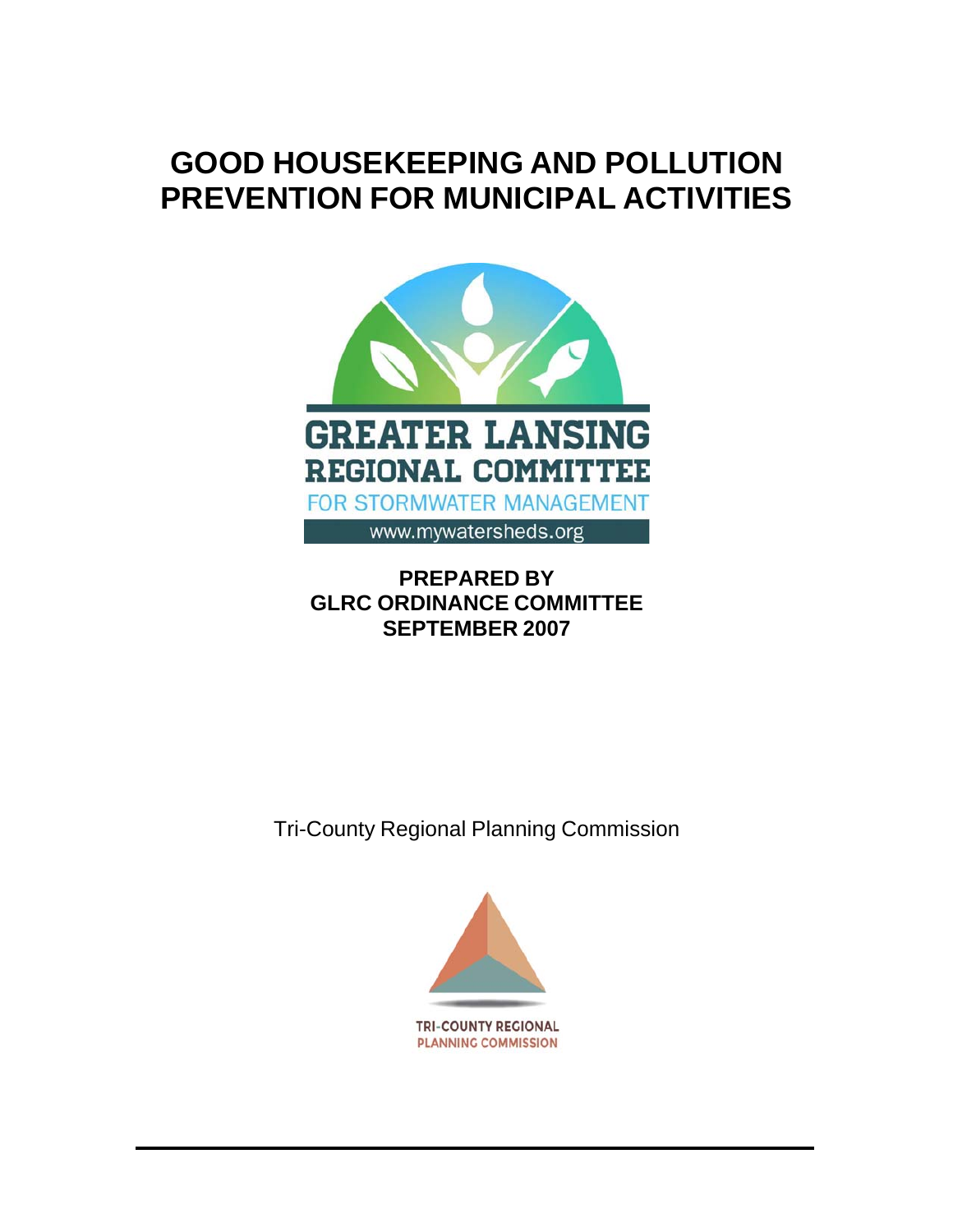# **GOOD HOUSEKEEPING AND POLLUTION PREVENTION FOR MUNICIPAL ACTIVITIES**



# **PREPARED BY GLRC ORDINANCE COMMITTEE SEPTEMBER 2007**

Tri-County Regional Planning Commission

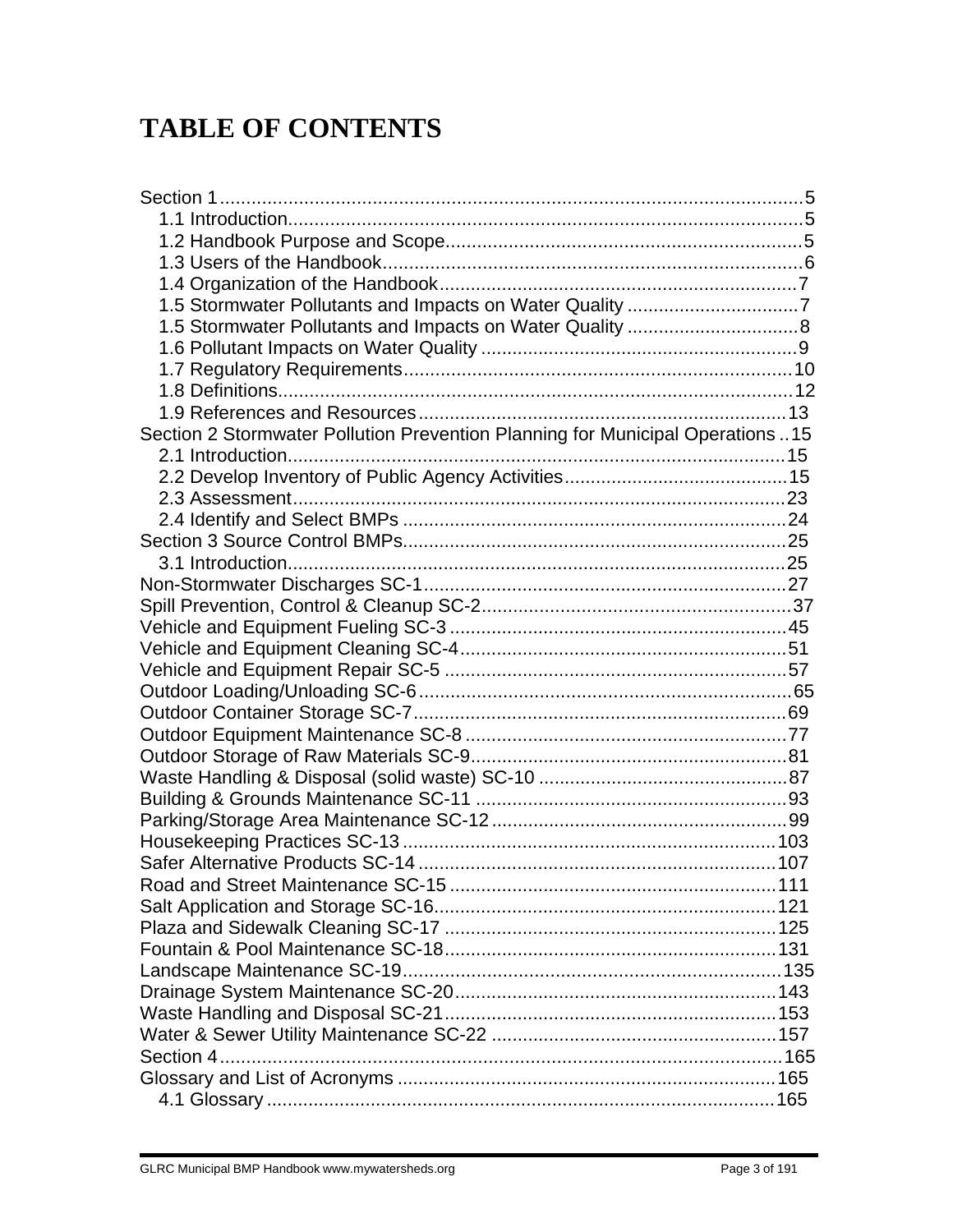# **TABLE OF CONTENTS**

| 1.5 Stormwater Pollutants and Impacts on Water Quality 7                      |  |
|-------------------------------------------------------------------------------|--|
|                                                                               |  |
|                                                                               |  |
|                                                                               |  |
|                                                                               |  |
|                                                                               |  |
| Section 2 Stormwater Pollution Prevention Planning for Municipal Operations15 |  |
|                                                                               |  |
|                                                                               |  |
|                                                                               |  |
|                                                                               |  |
|                                                                               |  |
|                                                                               |  |
|                                                                               |  |
|                                                                               |  |
|                                                                               |  |
|                                                                               |  |
|                                                                               |  |
|                                                                               |  |
|                                                                               |  |
|                                                                               |  |
|                                                                               |  |
|                                                                               |  |
|                                                                               |  |
|                                                                               |  |
|                                                                               |  |
|                                                                               |  |
|                                                                               |  |
|                                                                               |  |
|                                                                               |  |
|                                                                               |  |
|                                                                               |  |
|                                                                               |  |
|                                                                               |  |
|                                                                               |  |
|                                                                               |  |
|                                                                               |  |
|                                                                               |  |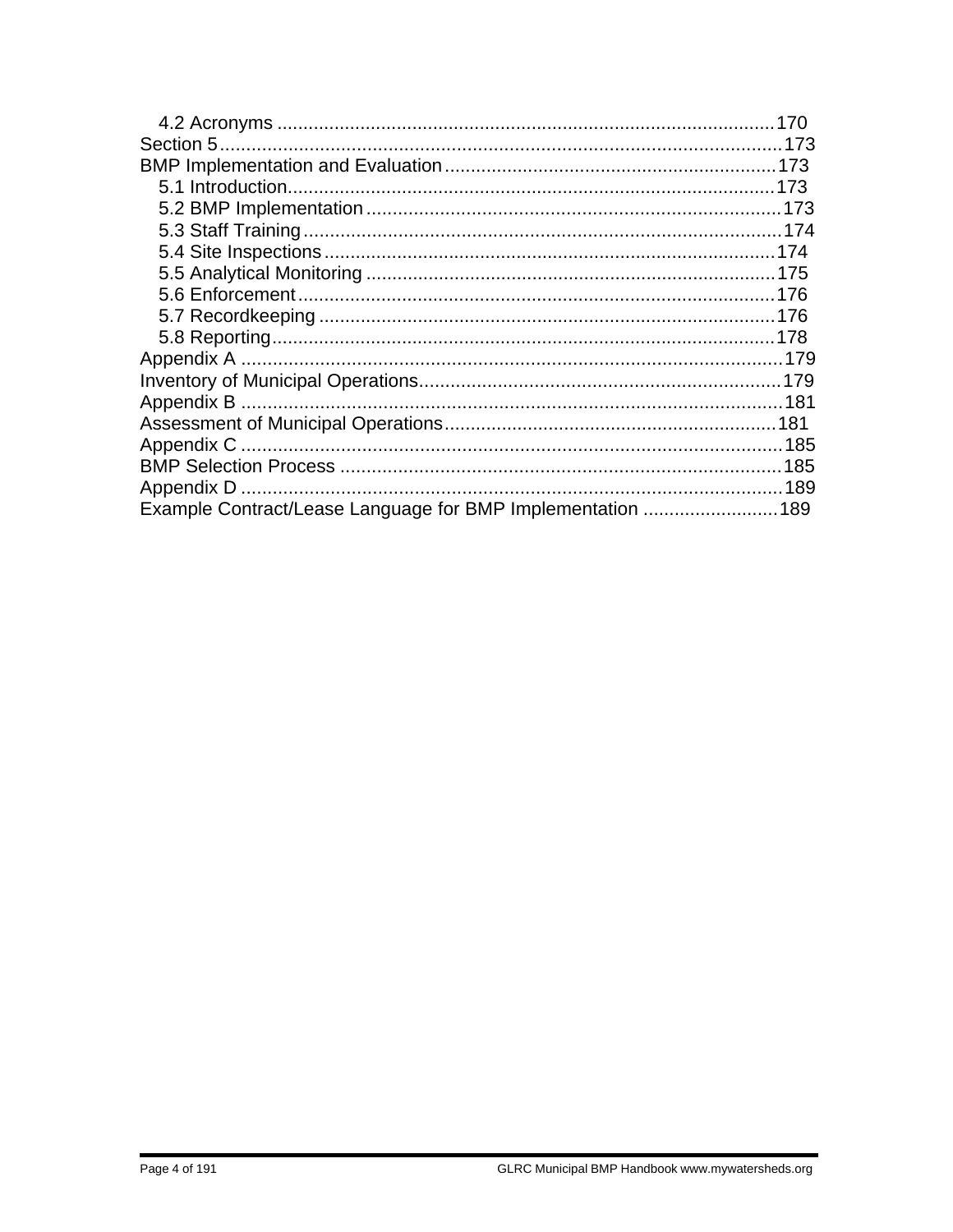| Example Contract/Lease Language for BMP Implementation  189 |  |
|-------------------------------------------------------------|--|
|                                                             |  |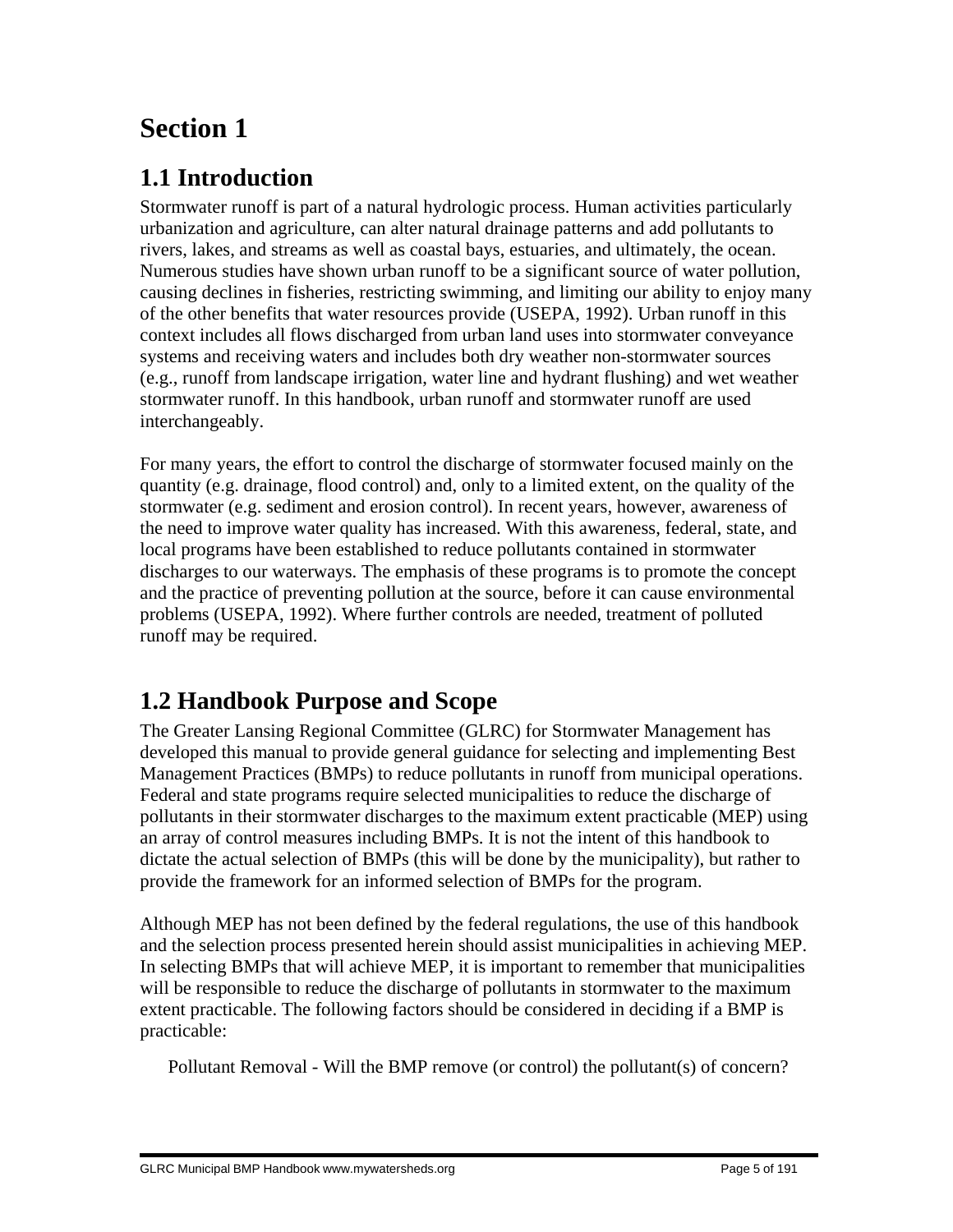# **Section 1**

# **1.1 Introduction**

Stormwater runoff is part of a natural hydrologic process. Human activities particularly urbanization and agriculture, can alter natural drainage patterns and add pollutants to rivers, lakes, and streams as well as coastal bays, estuaries, and ultimately, the ocean. Numerous studies have shown urban runoff to be a significant source of water pollution, causing declines in fisheries, restricting swimming, and limiting our ability to enjoy many of the other benefits that water resources provide (USEPA, 1992). Urban runoff in this context includes all flows discharged from urban land uses into stormwater conveyance systems and receiving waters and includes both dry weather non-stormwater sources (e.g., runoff from landscape irrigation, water line and hydrant flushing) and wet weather stormwater runoff. In this handbook, urban runoff and stormwater runoff are used interchangeably.

For many years, the effort to control the discharge of stormwater focused mainly on the quantity (e.g. drainage, flood control) and, only to a limited extent, on the quality of the stormwater (e.g. sediment and erosion control). In recent years, however, awareness of the need to improve water quality has increased. With this awareness, federal, state, and local programs have been established to reduce pollutants contained in stormwater discharges to our waterways. The emphasis of these programs is to promote the concept and the practice of preventing pollution at the source, before it can cause environmental problems (USEPA, 1992). Where further controls are needed, treatment of polluted runoff may be required.

# **1.2 Handbook Purpose and Scope**

The Greater Lansing Regional Committee (GLRC) for Stormwater Management has developed this manual to provide general guidance for selecting and implementing Best Management Practices (BMPs) to reduce pollutants in runoff from municipal operations. Federal and state programs require selected municipalities to reduce the discharge of pollutants in their stormwater discharges to the maximum extent practicable (MEP) using an array of control measures including BMPs. It is not the intent of this handbook to dictate the actual selection of BMPs (this will be done by the municipality), but rather to provide the framework for an informed selection of BMPs for the program.

Although MEP has not been defined by the federal regulations, the use of this handbook and the selection process presented herein should assist municipalities in achieving MEP. In selecting BMPs that will achieve MEP, it is important to remember that municipalities will be responsible to reduce the discharge of pollutants in stormwater to the maximum extent practicable. The following factors should be considered in deciding if a BMP is practicable:

Pollutant Removal - Will the BMP remove (or control) the pollutant(s) of concern?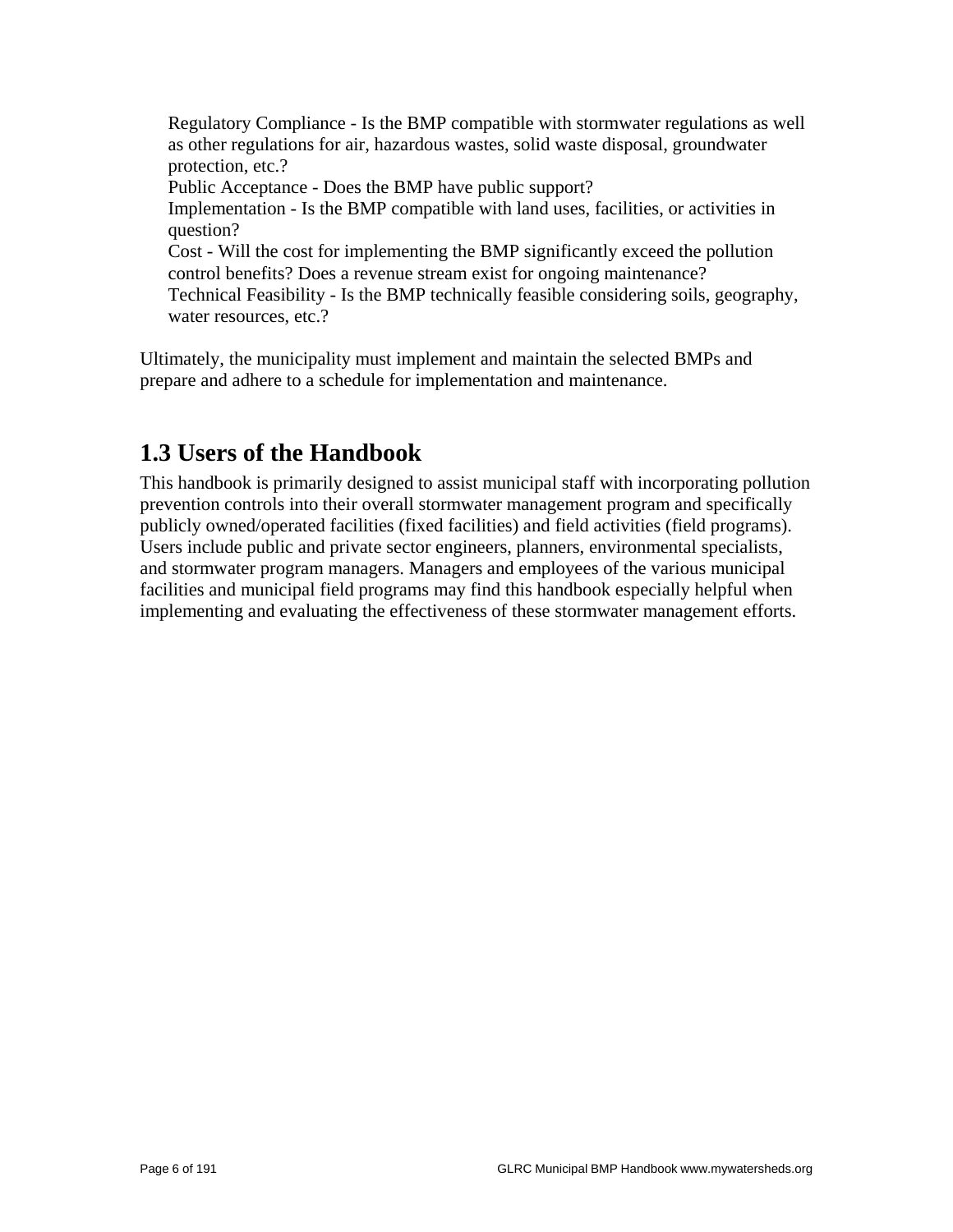Regulatory Compliance - Is the BMP compatible with stormwater regulations as well as other regulations for air, hazardous wastes, solid waste disposal, groundwater protection, etc.? Public Acceptance - Does the BMP have public support? Implementation - Is the BMP compatible with land uses, facilities, or activities in question? Cost - Will the cost for implementing the BMP significantly exceed the pollution control benefits? Does a revenue stream exist for ongoing maintenance? Technical Feasibility - Is the BMP technically feasible considering soils, geography, water resources, etc.?

Ultimately, the municipality must implement and maintain the selected BMPs and prepare and adhere to a schedule for implementation and maintenance.

# **1.3 Users of the Handbook**

This handbook is primarily designed to assist municipal staff with incorporating pollution prevention controls into their overall stormwater management program and specifically publicly owned/operated facilities (fixed facilities) and field activities (field programs). Users include public and private sector engineers, planners, environmental specialists, and stormwater program managers. Managers and employees of the various municipal facilities and municipal field programs may find this handbook especially helpful when implementing and evaluating the effectiveness of these stormwater management efforts.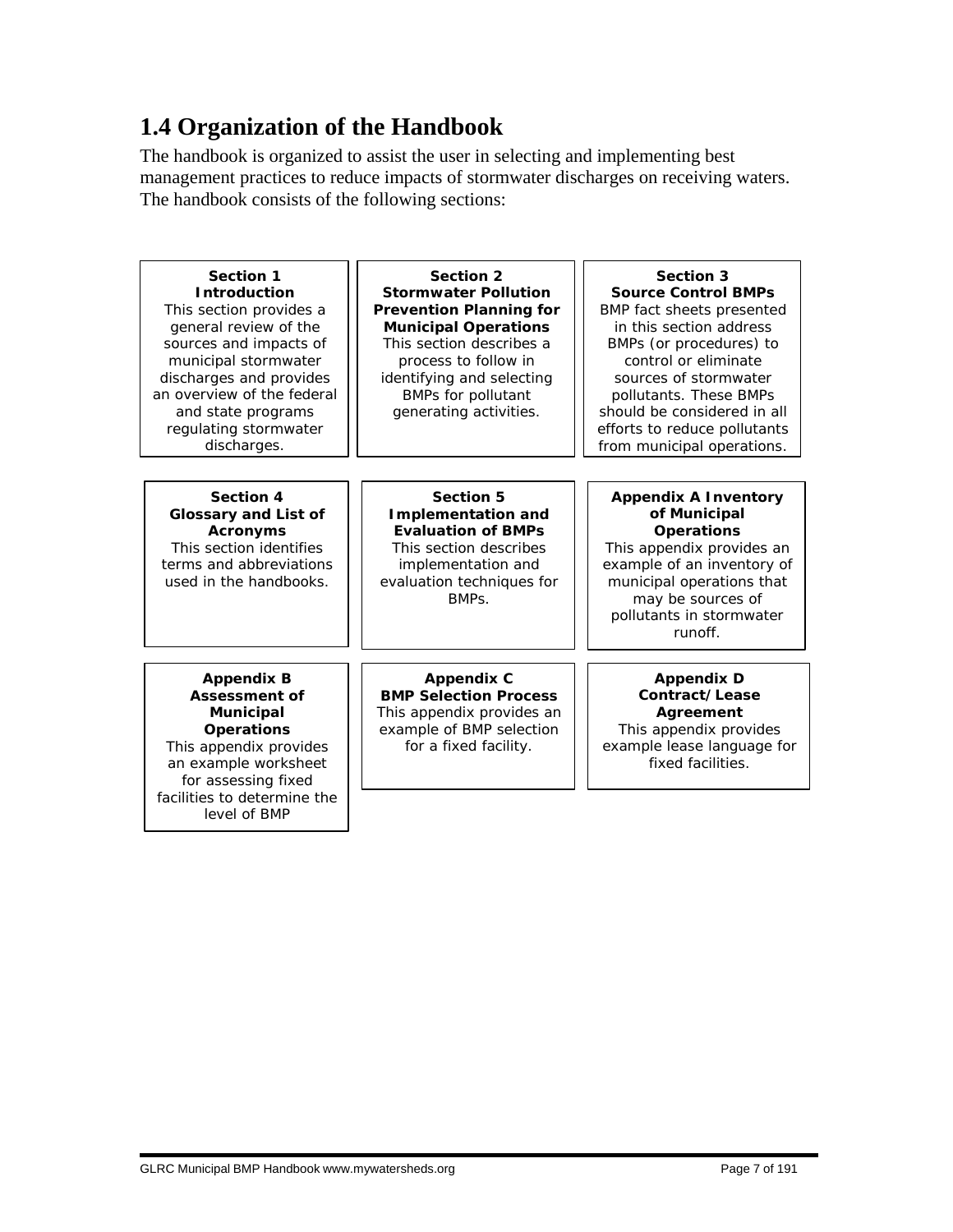# **1.4 Organization of the Handbook**

The handbook is organized to assist the user in selecting and implementing best management practices to reduce impacts of stormwater discharges on receiving waters. The handbook consists of the following sections:

| <b>Section 1</b><br><b>Introduction</b><br>This section provides a<br>general review of the<br>sources and impacts of<br>municipal stormwater<br>discharges and provides<br>an overview of the federal<br>and state programs<br>regulating stormwater<br>discharges. | Section 2<br><b>Stormwater Pollution</b><br><b>Prevention Planning for</b><br><b>Municipal Operations</b><br>This section describes a<br>process to follow in<br>identifying and selecting<br><b>BMPs for pollutant</b><br>generating activities. | Section 3<br><b>Source Control BMPs</b><br><b>BMP</b> fact sheets presented<br>in this section address<br>BMPs (or procedures) to<br>control or eliminate<br>sources of stormwater<br>pollutants. These BMPs<br>should be considered in all<br>efforts to reduce pollutants<br>from municipal operations. |  |  |  |
|----------------------------------------------------------------------------------------------------------------------------------------------------------------------------------------------------------------------------------------------------------------------|---------------------------------------------------------------------------------------------------------------------------------------------------------------------------------------------------------------------------------------------------|-----------------------------------------------------------------------------------------------------------------------------------------------------------------------------------------------------------------------------------------------------------------------------------------------------------|--|--|--|
| Section 4<br><b>Glossary and List of</b><br><b>Acronyms</b><br>This section identifies<br>terms and abbreviations<br>used in the handbooks.                                                                                                                          | <b>Section 5</b><br><b>Implementation and</b><br><b>Evaluation of BMPs</b><br>This section describes<br>implementation and<br>evaluation techniques for<br>BMPS                                                                                   | <b>Appendix A Inventory</b><br>of Municipal<br><b>Operations</b><br>This appendix provides an<br>example of an inventory of<br>municipal operations that<br>may be sources of<br>pollutants in stormwater<br>runoff.                                                                                      |  |  |  |
| <b>Appendix B</b><br><b>Assessment of</b>                                                                                                                                                                                                                            | <b>Appendix C</b><br><b>BMP Selection Process</b>                                                                                                                                                                                                 | <b>Appendix D</b><br>Contract/Lease                                                                                                                                                                                                                                                                       |  |  |  |
| <b>Municipal</b><br><b>Operations</b><br>This appendix provides<br>an example worksheet<br>for assessing fixed                                                                                                                                                       | This appendix provides an<br>example of BMP selection<br>for a fixed facility.                                                                                                                                                                    | Agreement<br>This appendix provides<br>example lease language for<br>fixed facilities.                                                                                                                                                                                                                    |  |  |  |
| facilities to determine the<br>level of BMP                                                                                                                                                                                                                          |                                                                                                                                                                                                                                                   |                                                                                                                                                                                                                                                                                                           |  |  |  |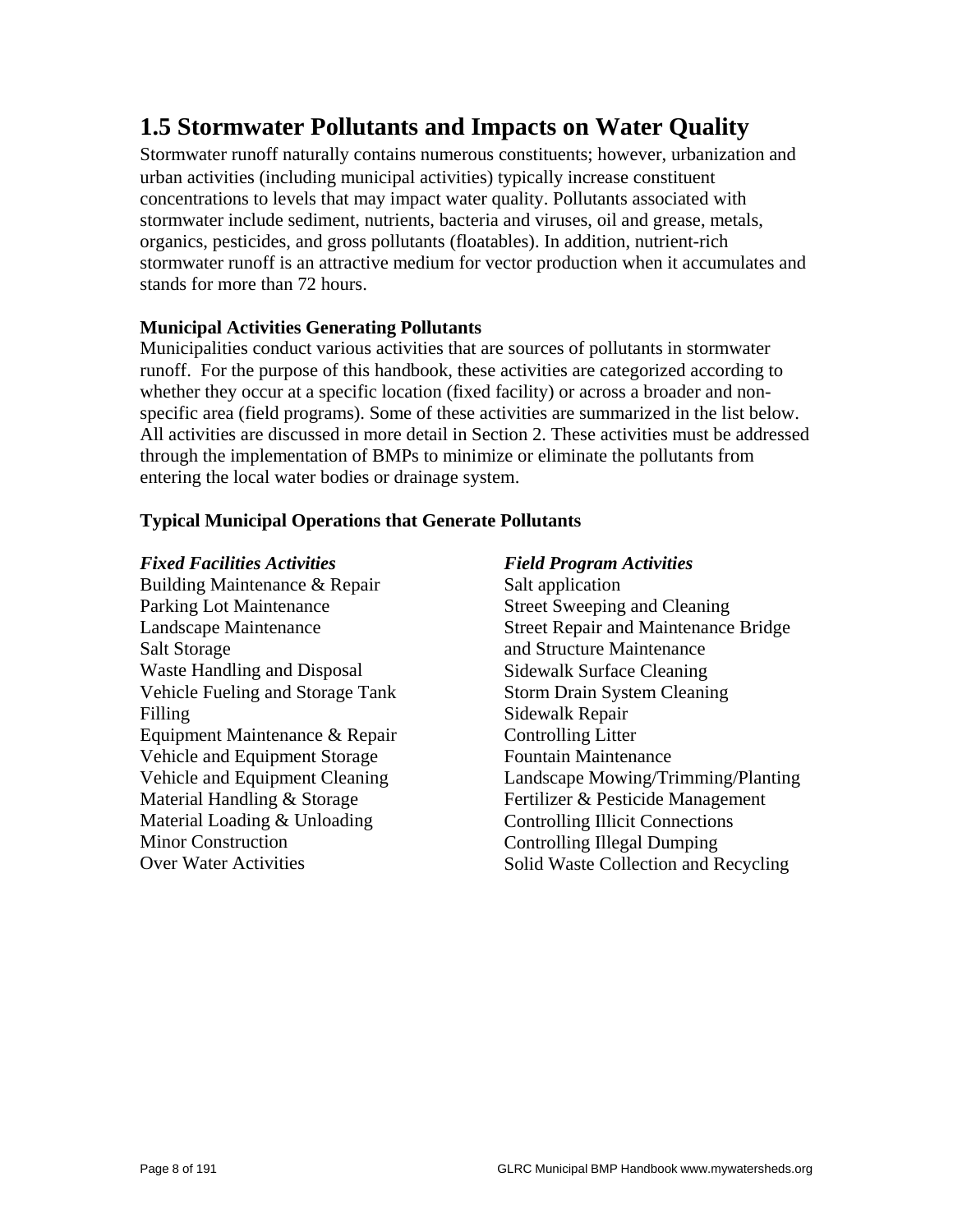# **1.5 Stormwater Pollutants and Impacts on Water Quality**

Stormwater runoff naturally contains numerous constituents; however, urbanization and urban activities (including municipal activities) typically increase constituent concentrations to levels that may impact water quality. Pollutants associated with stormwater include sediment, nutrients, bacteria and viruses, oil and grease, metals, organics, pesticides, and gross pollutants (floatables). In addition, nutrient-rich stormwater runoff is an attractive medium for vector production when it accumulates and stands for more than 72 hours.

## **Municipal Activities Generating Pollutants**

Municipalities conduct various activities that are sources of pollutants in stormwater runoff. For the purpose of this handbook, these activities are categorized according to whether they occur at a specific location (fixed facility) or across a broader and nonspecific area (field programs). Some of these activities are summarized in the list below. All activities are discussed in more detail in Section 2. These activities must be addressed through the implementation of BMPs to minimize or eliminate the pollutants from entering the local water bodies or drainage system.

### **Typical Municipal Operations that Generate Pollutants**

#### *Fixed Facilities Activities*

Building Maintenance & Repair Parking Lot Maintenance Landscape Maintenance Salt Storage Waste Handling and Disposal Vehicle Fueling and Storage Tank Filling Equipment Maintenance & Repair Vehicle and Equipment Storage Vehicle and Equipment Cleaning Material Handling & Storage Material Loading & Unloading Minor Construction Over Water Activities

#### *Field Program Activities*

Salt application Street Sweeping and Cleaning Street Repair and Maintenance Bridge and Structure Maintenance Sidewalk Surface Cleaning Storm Drain System Cleaning Sidewalk Repair Controlling Litter Fountain Maintenance Landscape Mowing/Trimming/Planting Fertilizer & Pesticide Management Controlling Illicit Connections Controlling Illegal Dumping Solid Waste Collection and Recycling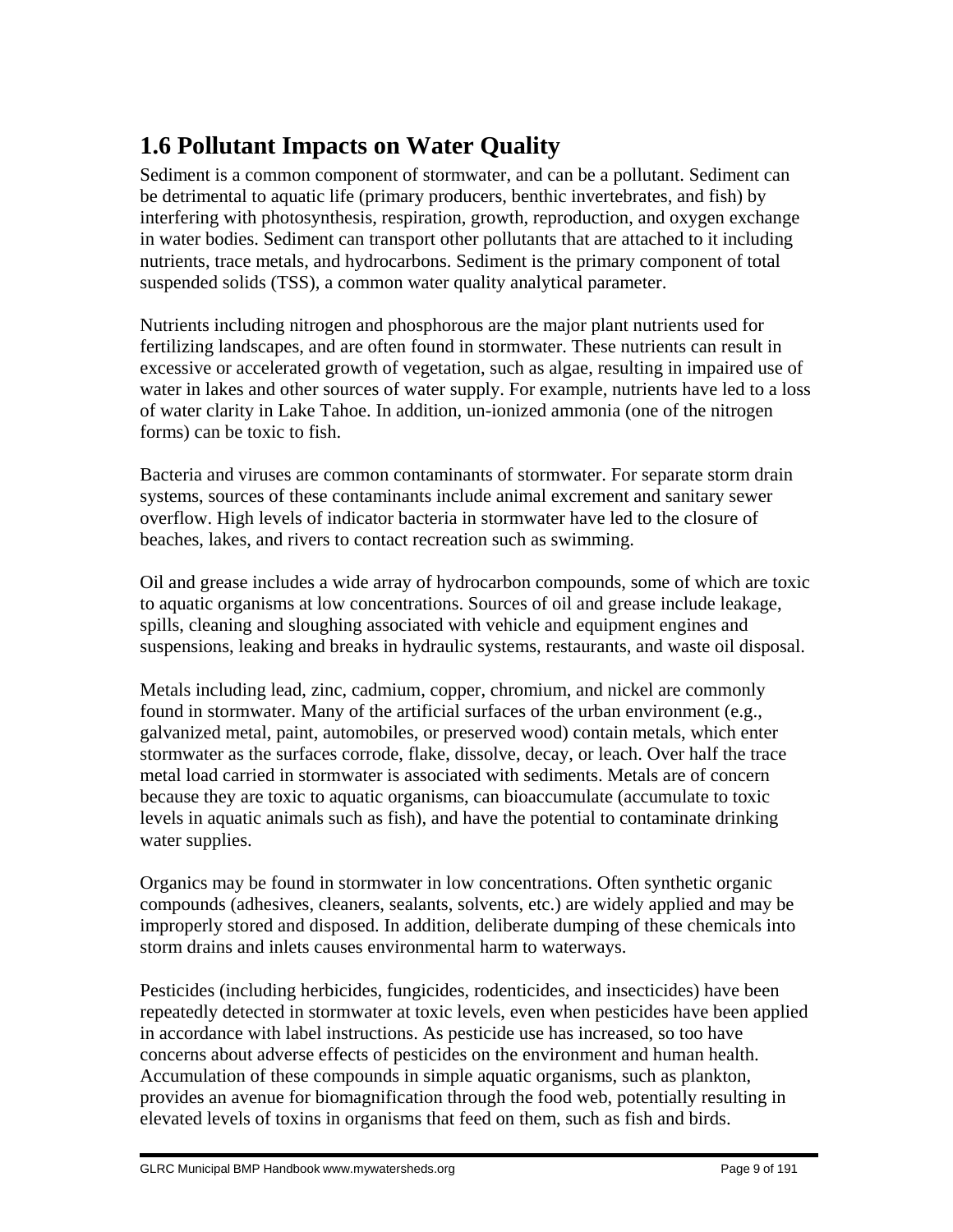# **1.6 Pollutant Impacts on Water Quality**

Sediment is a common component of stormwater, and can be a pollutant. Sediment can be detrimental to aquatic life (primary producers, benthic invertebrates, and fish) by interfering with photosynthesis, respiration, growth, reproduction, and oxygen exchange in water bodies. Sediment can transport other pollutants that are attached to it including nutrients, trace metals, and hydrocarbons. Sediment is the primary component of total suspended solids (TSS), a common water quality analytical parameter.

Nutrients including nitrogen and phosphorous are the major plant nutrients used for fertilizing landscapes, and are often found in stormwater. These nutrients can result in excessive or accelerated growth of vegetation, such as algae, resulting in impaired use of water in lakes and other sources of water supply. For example, nutrients have led to a loss of water clarity in Lake Tahoe. In addition, un-ionized ammonia (one of the nitrogen forms) can be toxic to fish.

Bacteria and viruses are common contaminants of stormwater. For separate storm drain systems, sources of these contaminants include animal excrement and sanitary sewer overflow. High levels of indicator bacteria in stormwater have led to the closure of beaches, lakes, and rivers to contact recreation such as swimming.

Oil and grease includes a wide array of hydrocarbon compounds, some of which are toxic to aquatic organisms at low concentrations. Sources of oil and grease include leakage, spills, cleaning and sloughing associated with vehicle and equipment engines and suspensions, leaking and breaks in hydraulic systems, restaurants, and waste oil disposal.

Metals including lead, zinc, cadmium, copper, chromium, and nickel are commonly found in stormwater. Many of the artificial surfaces of the urban environment (e.g., galvanized metal, paint, automobiles, or preserved wood) contain metals, which enter stormwater as the surfaces corrode, flake, dissolve, decay, or leach. Over half the trace metal load carried in stormwater is associated with sediments. Metals are of concern because they are toxic to aquatic organisms, can bioaccumulate (accumulate to toxic levels in aquatic animals such as fish), and have the potential to contaminate drinking water supplies.

Organics may be found in stormwater in low concentrations. Often synthetic organic compounds (adhesives, cleaners, sealants, solvents, etc.) are widely applied and may be improperly stored and disposed. In addition, deliberate dumping of these chemicals into storm drains and inlets causes environmental harm to waterways.

Pesticides (including herbicides, fungicides, rodenticides, and insecticides) have been repeatedly detected in stormwater at toxic levels, even when pesticides have been applied in accordance with label instructions. As pesticide use has increased, so too have concerns about adverse effects of pesticides on the environment and human health. Accumulation of these compounds in simple aquatic organisms, such as plankton, provides an avenue for biomagnification through the food web, potentially resulting in elevated levels of toxins in organisms that feed on them, such as fish and birds.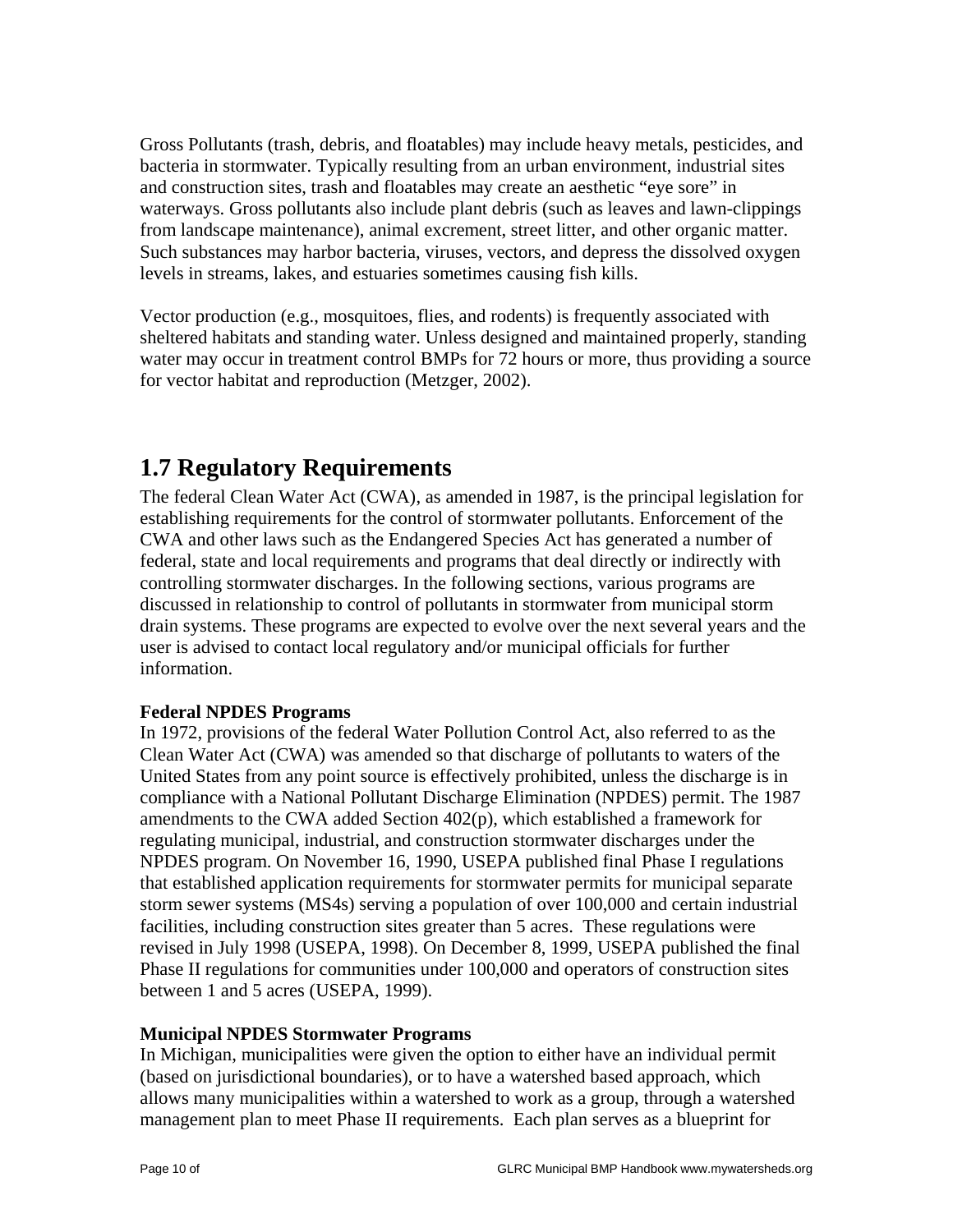Gross Pollutants (trash, debris, and floatables) may include heavy metals, pesticides, and bacteria in stormwater. Typically resulting from an urban environment, industrial sites and construction sites, trash and floatables may create an aesthetic "eye sore" in waterways. Gross pollutants also include plant debris (such as leaves and lawn-clippings from landscape maintenance), animal excrement, street litter, and other organic matter. Such substances may harbor bacteria, viruses, vectors, and depress the dissolved oxygen levels in streams, lakes, and estuaries sometimes causing fish kills.

Vector production (e.g., mosquitoes, flies, and rodents) is frequently associated with sheltered habitats and standing water. Unless designed and maintained properly, standing water may occur in treatment control BMPs for 72 hours or more, thus providing a source for vector habitat and reproduction (Metzger, 2002).

# **1.7 Regulatory Requirements**

The federal Clean Water Act (CWA), as amended in 1987, is the principal legislation for establishing requirements for the control of stormwater pollutants. Enforcement of the CWA and other laws such as the Endangered Species Act has generated a number of federal, state and local requirements and programs that deal directly or indirectly with controlling stormwater discharges. In the following sections, various programs are discussed in relationship to control of pollutants in stormwater from municipal storm drain systems. These programs are expected to evolve over the next several years and the user is advised to contact local regulatory and/or municipal officials for further information.

## **Federal NPDES Programs**

In 1972, provisions of the federal Water Pollution Control Act, also referred to as the Clean Water Act (CWA) was amended so that discharge of pollutants to waters of the United States from any point source is effectively prohibited, unless the discharge is in compliance with a National Pollutant Discharge Elimination (NPDES) permit. The 1987 amendments to the CWA added Section 402(p), which established a framework for regulating municipal, industrial, and construction stormwater discharges under the NPDES program. On November 16, 1990, USEPA published final Phase I regulations that established application requirements for stormwater permits for municipal separate storm sewer systems (MS4s) serving a population of over 100,000 and certain industrial facilities, including construction sites greater than 5 acres. These regulations were revised in July 1998 (USEPA, 1998). On December 8, 1999, USEPA published the final Phase II regulations for communities under 100,000 and operators of construction sites between 1 and 5 acres (USEPA, 1999).

## **Municipal NPDES Stormwater Programs**

In Michigan, municipalities were given the option to either have an individual permit (based on jurisdictional boundaries), or to have a watershed based approach, which allows many municipalities within a watershed to work as a group, through a watershed management plan to meet Phase II requirements. Each plan serves as a blueprint for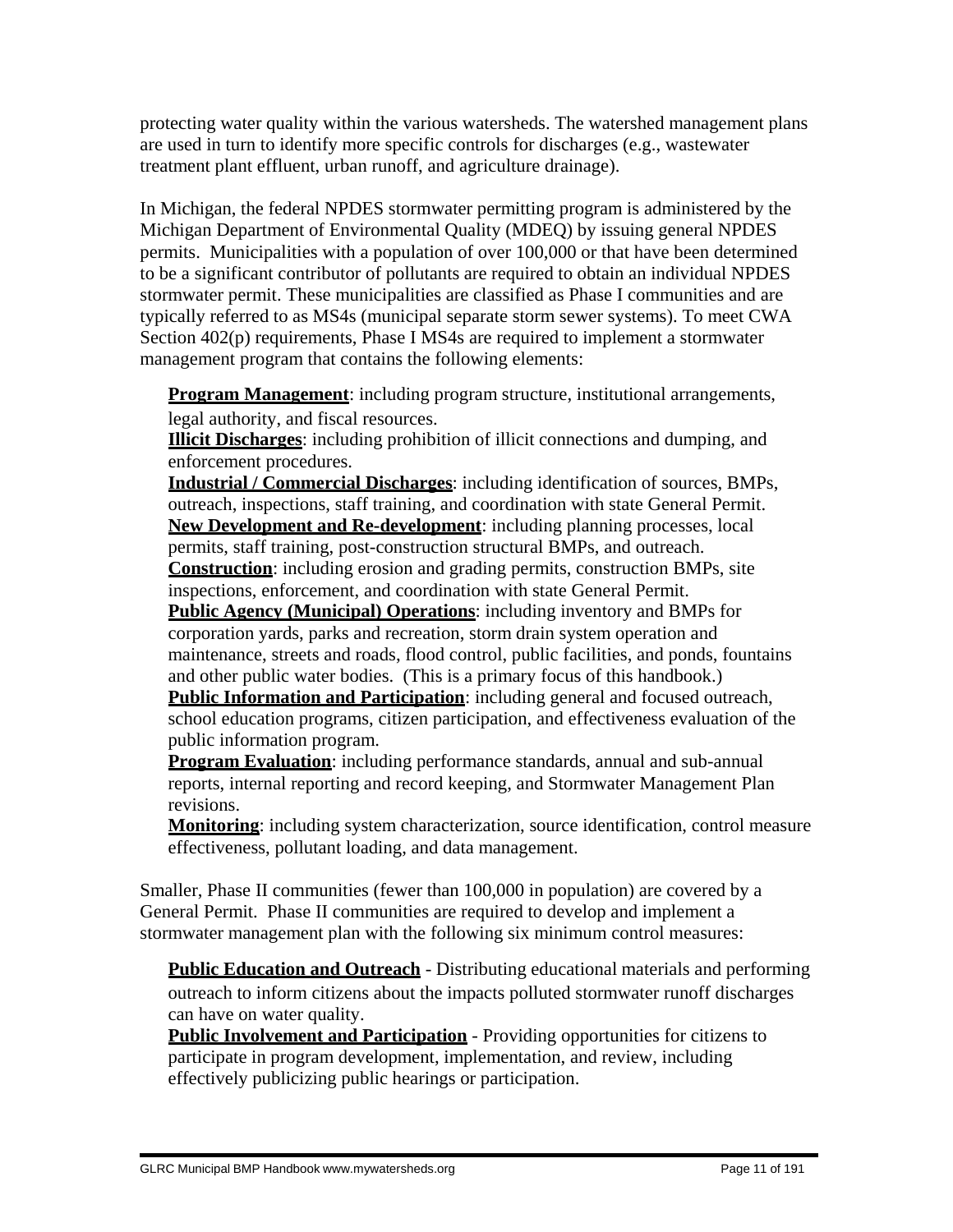protecting water quality within the various watersheds. The watershed management plans are used in turn to identify more specific controls for discharges (e.g., wastewater treatment plant effluent, urban runoff, and agriculture drainage).

In Michigan, the federal NPDES stormwater permitting program is administered by the Michigan Department of Environmental Quality (MDEQ) by issuing general NPDES permits. Municipalities with a population of over 100,000 or that have been determined to be a significant contributor of pollutants are required to obtain an individual NPDES stormwater permit. These municipalities are classified as Phase I communities and are typically referred to as MS4s (municipal separate storm sewer systems). To meet CWA Section 402(p) requirements, Phase I MS4s are required to implement a stormwater management program that contains the following elements:

**Program Management:** including program structure, institutional arrangements, legal authority, and fiscal resources.

 **Illicit Discharges**: including prohibition of illicit connections and dumping, and enforcement procedures.

 **Industrial / Commercial Discharges**: including identification of sources, BMPs, outreach, inspections, staff training, and coordination with state General Permit. **New Development and Re-development**: including planning processes, local permits, staff training, post-construction structural BMPs, and outreach. **Construction**: including erosion and grading permits, construction BMPs, site

inspections, enforcement, and coordination with state General Permit.

 **Public Agency (Municipal) Operations**: including inventory and BMPs for corporation yards, parks and recreation, storm drain system operation and maintenance, streets and roads, flood control, public facilities, and ponds, fountains and other public water bodies. (This is a primary focus of this handbook.)

**Public Information and Participation**: including general and focused outreach, school education programs, citizen participation, and effectiveness evaluation of the public information program.

 **Program Evaluation**: including performance standards, annual and sub-annual reports, internal reporting and record keeping, and Stormwater Management Plan revisions.

 **Monitoring**: including system characterization, source identification, control measure effectiveness, pollutant loading, and data management.

Smaller, Phase II communities (fewer than 100,000 in population) are covered by a General Permit. Phase II communities are required to develop and implement a stormwater management plan with the following six minimum control measures:

**Public Education and Outreach** - Distributing educational materials and performing outreach to inform citizens about the impacts polluted stormwater runoff discharges can have on water quality.

**Public Involvement and Participation** - Providing opportunities for citizens to participate in program development, implementation, and review, including effectively publicizing public hearings or participation.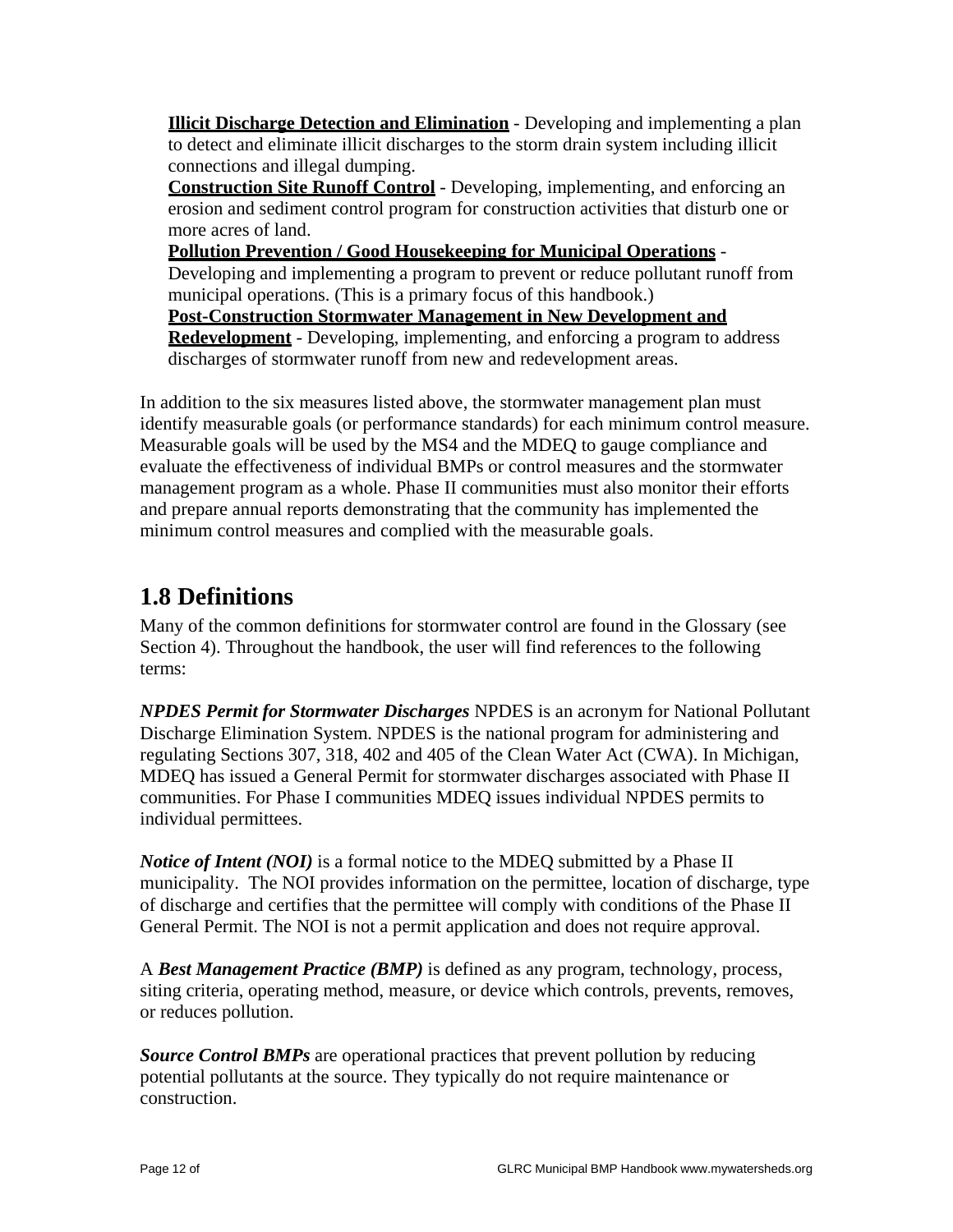**Illicit Discharge Detection and Elimination** - Developing and implementing a plan to detect and eliminate illicit discharges to the storm drain system including illicit connections and illegal dumping.

 **Construction Site Runoff Control** - Developing, implementing, and enforcing an erosion and sediment control program for construction activities that disturb one or more acres of land.

 **Pollution Prevention / Good Housekeeping for Municipal Operations** - Developing and implementing a program to prevent or reduce pollutant runoff from municipal operations. (This is a primary focus of this handbook.) **Post-Construction Stormwater Management in New Development and Redevelopment** - Developing, implementing, and enforcing a program to address discharges of stormwater runoff from new and redevelopment areas.

In addition to the six measures listed above, the stormwater management plan must identify measurable goals (or performance standards) for each minimum control measure. Measurable goals will be used by the MS4 and the MDEQ to gauge compliance and evaluate the effectiveness of individual BMPs or control measures and the stormwater management program as a whole. Phase II communities must also monitor their efforts and prepare annual reports demonstrating that the community has implemented the minimum control measures and complied with the measurable goals.

# **1.8 Definitions**

Many of the common definitions for stormwater control are found in the Glossary (see Section 4). Throughout the handbook, the user will find references to the following terms:

*NPDES Permit for Stormwater Discharges* NPDES is an acronym for National Pollutant Discharge Elimination System. NPDES is the national program for administering and regulating Sections 307, 318, 402 and 405 of the Clean Water Act (CWA). In Michigan, MDEQ has issued a General Permit for stormwater discharges associated with Phase II communities. For Phase I communities MDEQ issues individual NPDES permits to individual permittees.

*Notice of Intent (NOI)* is a formal notice to the MDEQ submitted by a Phase II municipality. The NOI provides information on the permittee, location of discharge, type of discharge and certifies that the permittee will comply with conditions of the Phase II General Permit. The NOI is not a permit application and does not require approval.

A *Best Management Practice (BMP)* is defined as any program, technology, process, siting criteria, operating method, measure, or device which controls, prevents, removes, or reduces pollution.

*Source Control BMPs* are operational practices that prevent pollution by reducing potential pollutants at the source. They typically do not require maintenance or construction.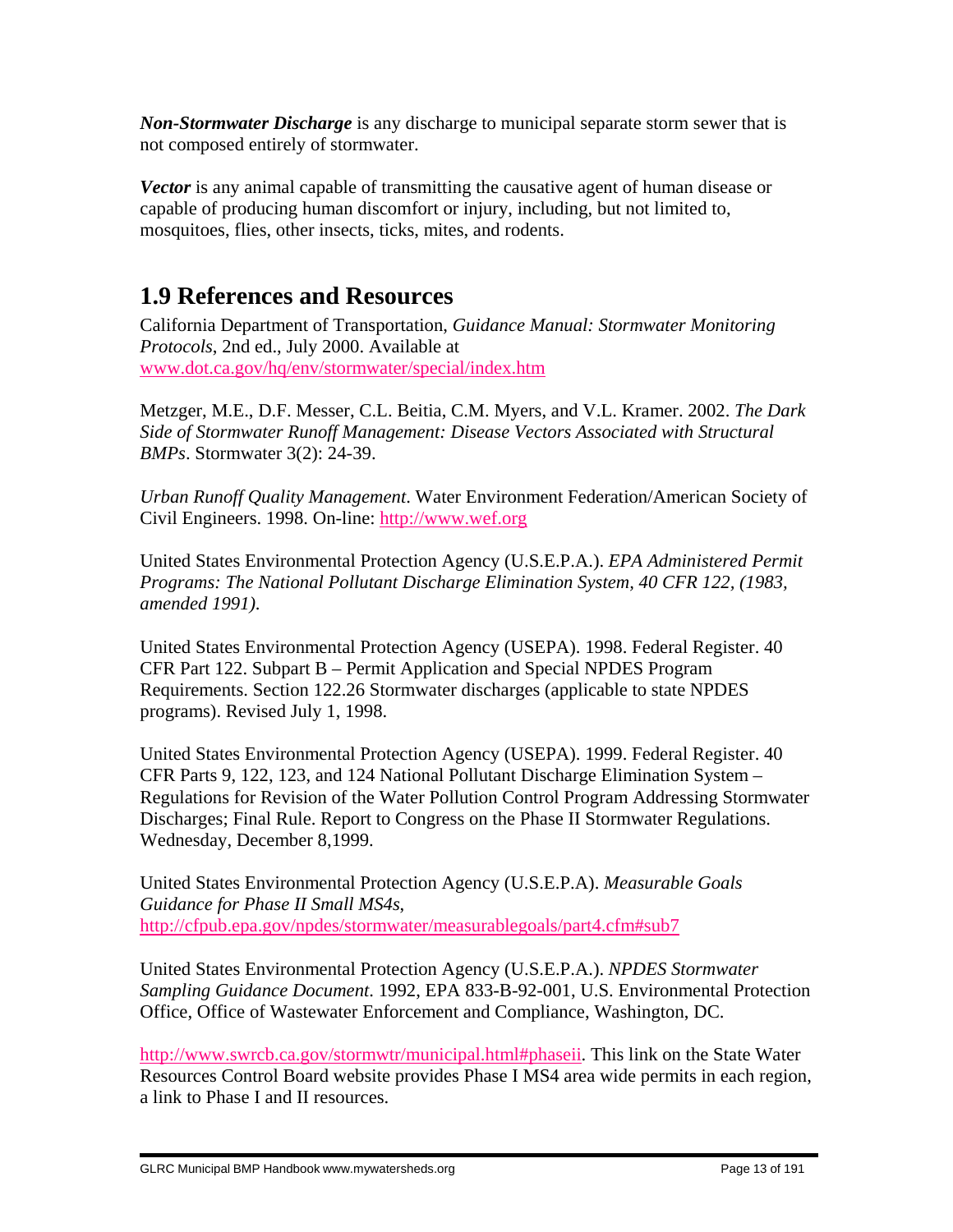*Non-Stormwater Discharge* is any discharge to municipal separate storm sewer that is not composed entirely of stormwater.

*Vector* is any animal capable of transmitting the causative agent of human disease or capable of producing human discomfort or injury, including, but not limited to, mosquitoes, flies, other insects, ticks, mites, and rodents.

# **1.9 References and Resources**

California Department of Transportation, *Guidance Manual: Stormwater Monitoring Protocols*, 2nd ed., July 2000. Available at www.dot.ca.gov/hq/env/stormwater/special/index.htm

Metzger, M.E., D.F. Messer, C.L. Beitia, C.M. Myers, and V.L. Kramer. 2002. *The Dark Side of Stormwater Runoff Management: Disease Vectors Associated with Structural BMPs*. Stormwater 3(2): 24-39.

*Urban Runoff Quality Management*. Water Environment Federation/American Society of Civil Engineers. 1998. On-line: http://www.wef.org

United States Environmental Protection Agency (U.S.E.P.A.). *EPA Administered Permit Programs: The National Pollutant Discharge Elimination System, 40 CFR 122, (1983, amended 1991)*.

United States Environmental Protection Agency (USEPA). 1998. Federal Register. 40 CFR Part 122. Subpart B – Permit Application and Special NPDES Program Requirements. Section 122.26 Stormwater discharges (applicable to state NPDES programs). Revised July 1, 1998.

United States Environmental Protection Agency (USEPA). 1999. Federal Register. 40 CFR Parts 9, 122, 123, and 124 National Pollutant Discharge Elimination System – Regulations for Revision of the Water Pollution Control Program Addressing Stormwater Discharges; Final Rule. Report to Congress on the Phase II Stormwater Regulations. Wednesday, December 8,1999.

United States Environmental Protection Agency (U.S.E.P.A). *Measurable Goals Guidance for Phase II Small MS4s*, http://cfpub.epa.gov/npdes/stormwater/measurablegoals/part4.cfm#sub7

United States Environmental Protection Agency (U.S.E.P.A.). *NPDES Stormwater Sampling Guidance Document*. 1992, EPA 833-B-92-001, U.S. Environmental Protection Office, Office of Wastewater Enforcement and Compliance, Washington, DC.

http://www.swrcb.ca.gov/stormwtr/municipal.html#phaseii. This link on the State Water Resources Control Board website provides Phase I MS4 area wide permits in each region, a link to Phase I and II resources.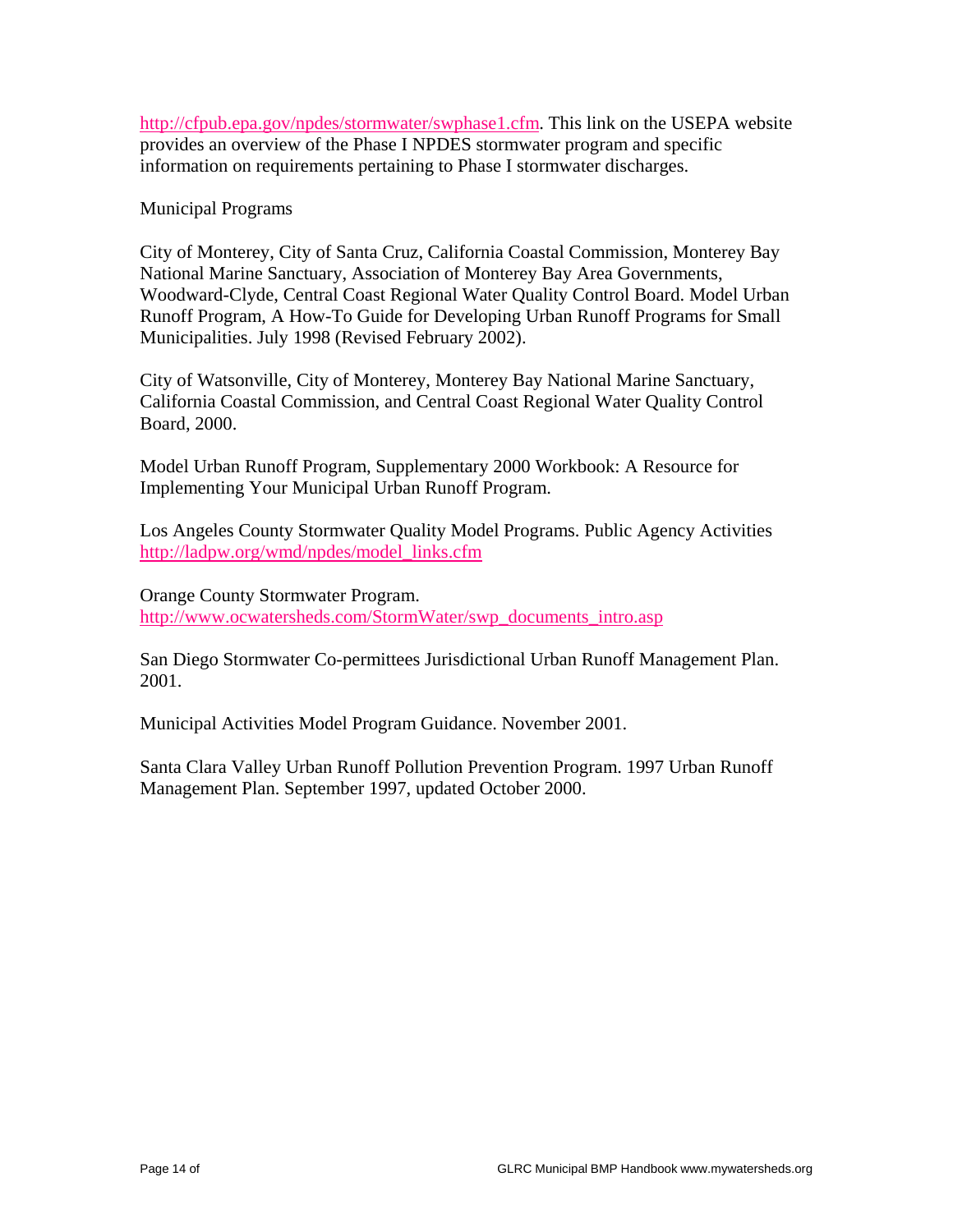http://cfpub.epa.gov/npdes/stormwater/swphase1.cfm. This link on the USEPA website provides an overview of the Phase I NPDES stormwater program and specific information on requirements pertaining to Phase I stormwater discharges.

Municipal Programs

City of Monterey, City of Santa Cruz, California Coastal Commission, Monterey Bay National Marine Sanctuary, Association of Monterey Bay Area Governments, Woodward-Clyde, Central Coast Regional Water Quality Control Board. Model Urban Runoff Program, A How-To Guide for Developing Urban Runoff Programs for Small Municipalities. July 1998 (Revised February 2002).

City of Watsonville, City of Monterey, Monterey Bay National Marine Sanctuary, California Coastal Commission, and Central Coast Regional Water Quality Control Board, 2000.

Model Urban Runoff Program, Supplementary 2000 Workbook: A Resource for Implementing Your Municipal Urban Runoff Program.

Los Angeles County Stormwater Quality Model Programs. Public Agency Activities http://ladpw.org/wmd/npdes/model\_links.cfm

Orange County Stormwater Program. http://www.ocwatersheds.com/StormWater/swp\_documents\_intro.asp

San Diego Stormwater Co-permittees Jurisdictional Urban Runoff Management Plan. 2001.

Municipal Activities Model Program Guidance. November 2001.

Santa Clara Valley Urban Runoff Pollution Prevention Program. 1997 Urban Runoff Management Plan. September 1997, updated October 2000.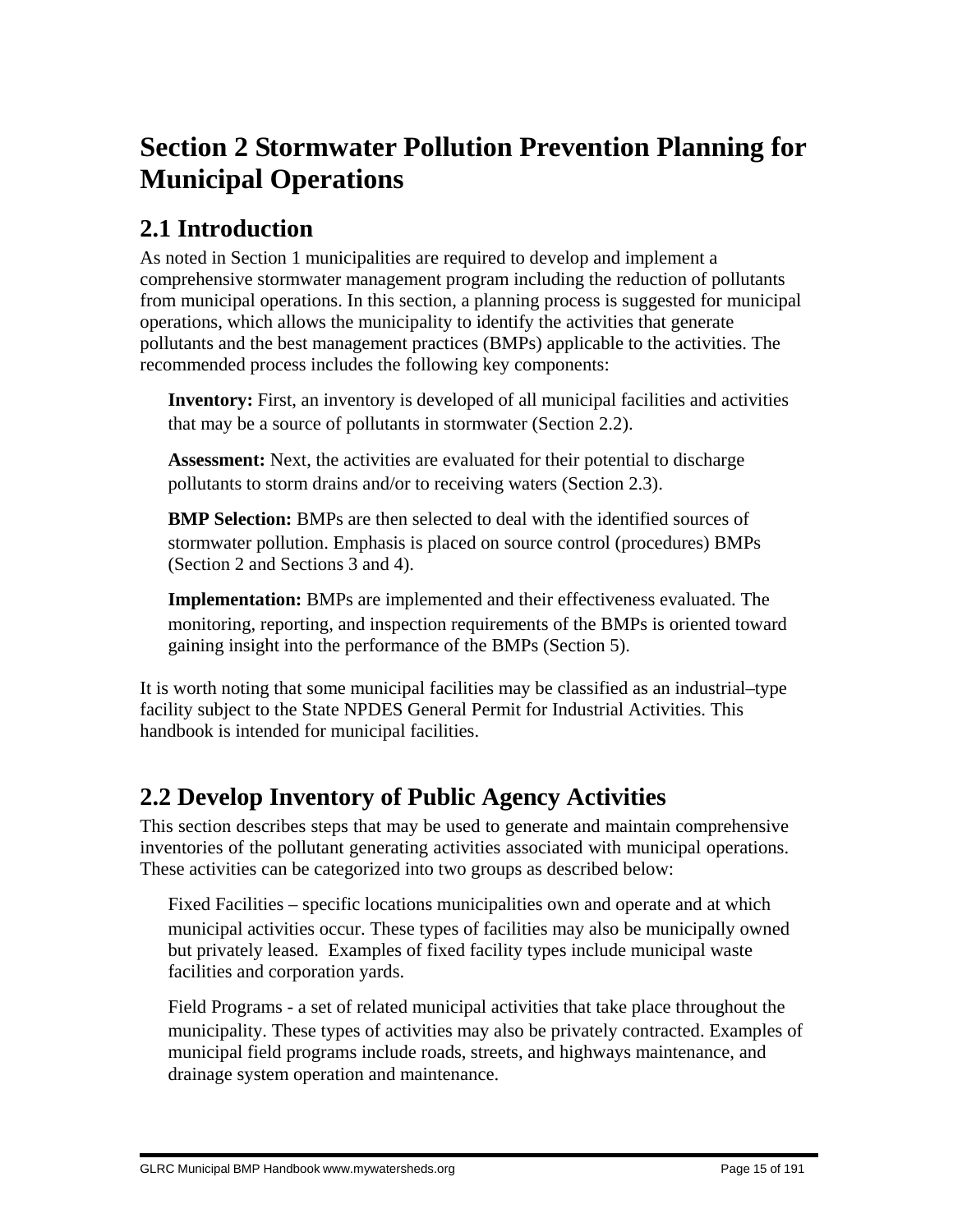# **Section 2 Stormwater Pollution Prevention Planning for Municipal Operations**

# **2.1 Introduction**

As noted in Section 1 municipalities are required to develop and implement a comprehensive stormwater management program including the reduction of pollutants from municipal operations. In this section, a planning process is suggested for municipal operations, which allows the municipality to identify the activities that generate pollutants and the best management practices (BMPs) applicable to the activities. The recommended process includes the following key components:

**Inventory:** First, an inventory is developed of all municipal facilities and activities that may be a source of pollutants in stormwater (Section 2.2).

 **Assessment:** Next, the activities are evaluated for their potential to discharge pollutants to storm drains and/or to receiving waters (Section 2.3).

**BMP Selection:** BMPs are then selected to deal with the identified sources of stormwater pollution. Emphasis is placed on source control (procedures) BMPs (Section 2 and Sections 3 and 4).

 **Implementation:** BMPs are implemented and their effectiveness evaluated. The monitoring, reporting, and inspection requirements of the BMPs is oriented toward gaining insight into the performance of the BMPs (Section 5).

It is worth noting that some municipal facilities may be classified as an industrial–type facility subject to the State NPDES General Permit for Industrial Activities. This handbook is intended for municipal facilities.

# **2.2 Develop Inventory of Public Agency Activities**

This section describes steps that may be used to generate and maintain comprehensive inventories of the pollutant generating activities associated with municipal operations. These activities can be categorized into two groups as described below:

 Fixed Facilities – specific locations municipalities own and operate and at which municipal activities occur. These types of facilities may also be municipally owned but privately leased. Examples of fixed facility types include municipal waste facilities and corporation yards.

 Field Programs - a set of related municipal activities that take place throughout the municipality. These types of activities may also be privately contracted. Examples of municipal field programs include roads, streets, and highways maintenance, and drainage system operation and maintenance.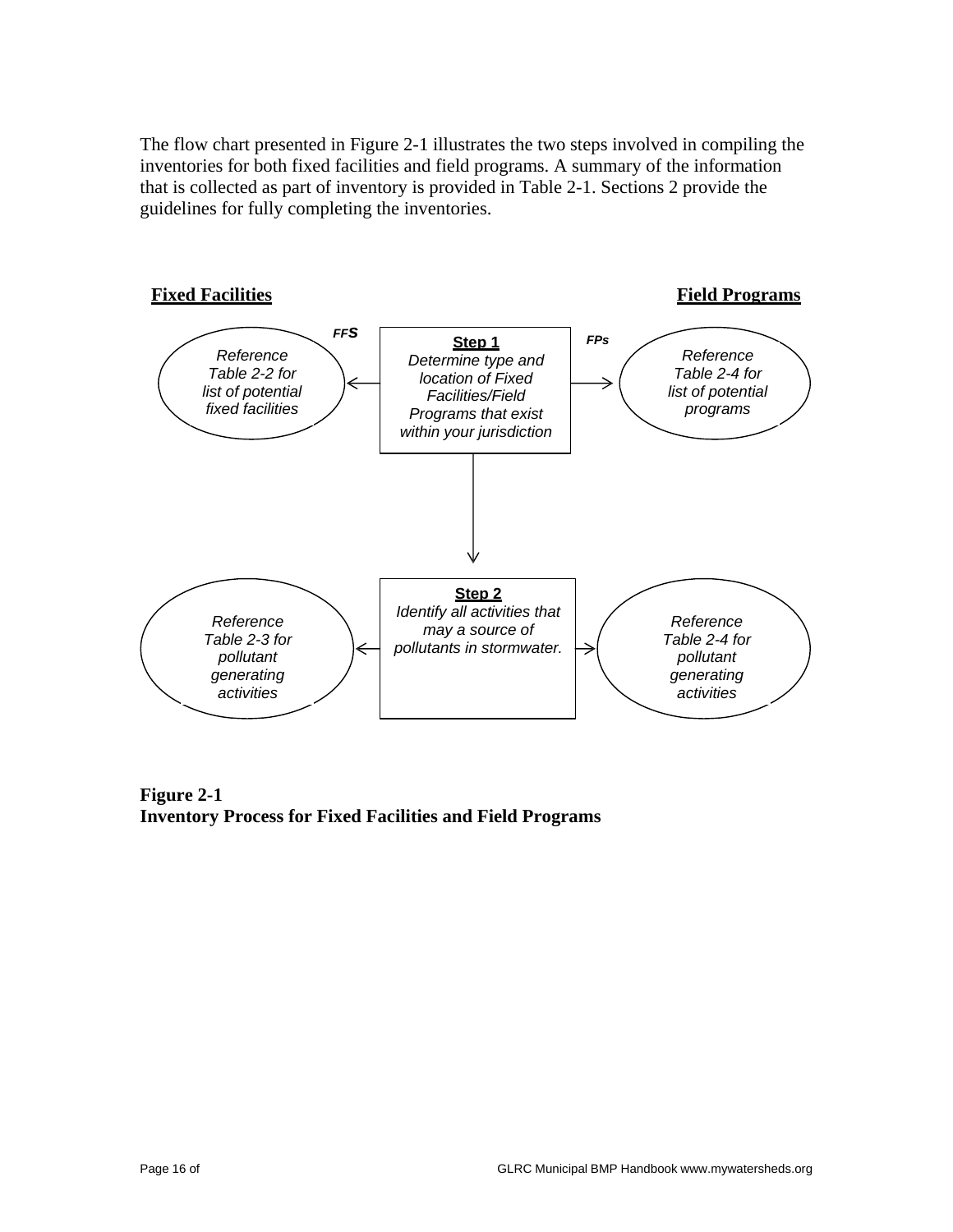The flow chart presented in Figure 2-1 illustrates the two steps involved in compiling the inventories for both fixed facilities and field programs. A summary of the information that is collected as part of inventory is provided in Table 2-1. Sections 2 provide the guidelines for fully completing the inventories.



**Figure 2-1 Inventory Process for Fixed Facilities and Field Programs**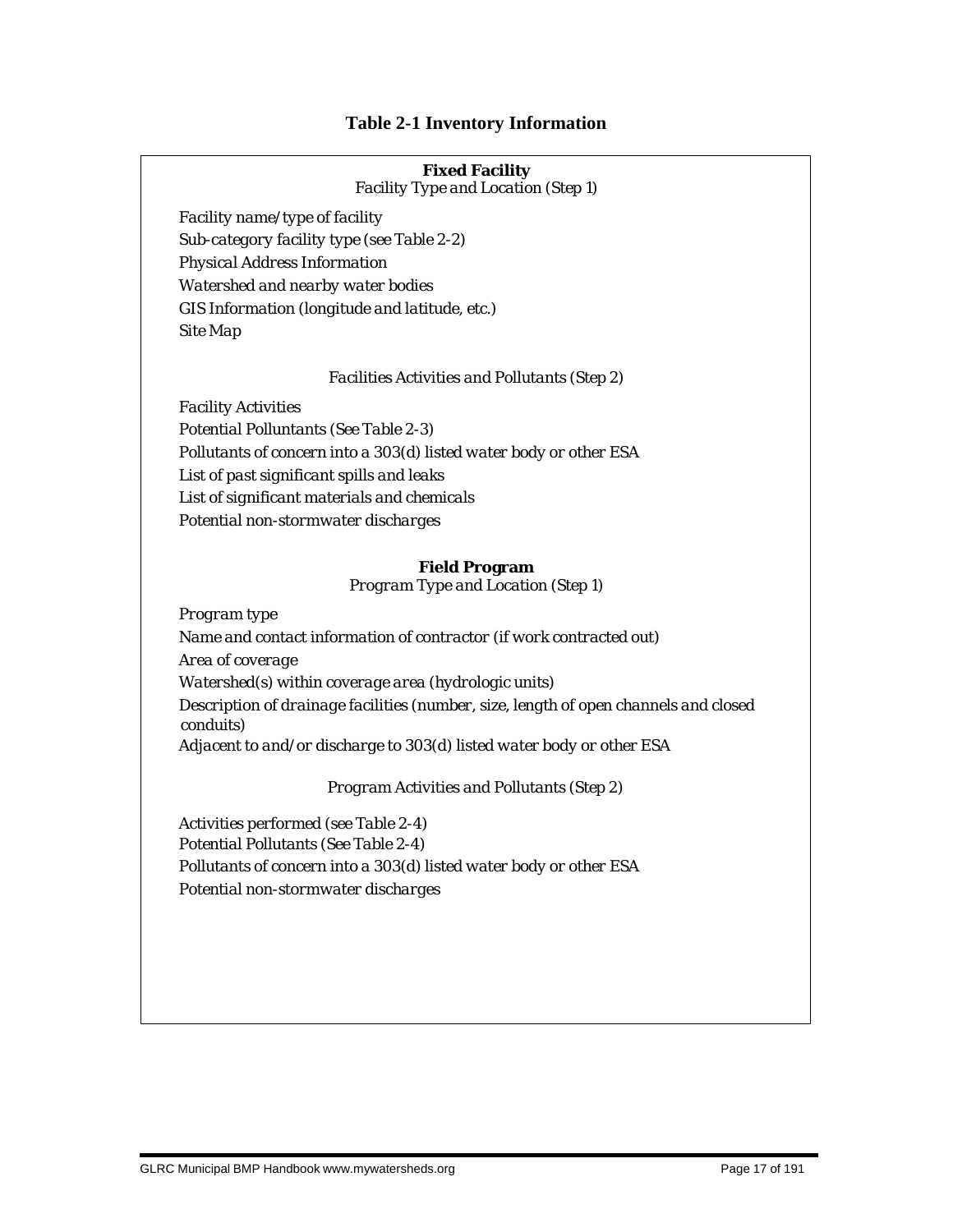#### **Table 2-1 Inventory Information**

#### **Fixed Facility**

*Facility Type and Location (Step 1)*

 *Facility name/type of facility Sub-category facility type (see Table 2-2) Physical Address Information Watershed and nearby water bodies GIS Information (longitude and latitude, etc.) Site Map*

#### *Facilities Activities and Pollutants (Step 2)*

 *Facility Activities Potential Polluntants (See Table 2-3) Pollutants of concern into a 303(d) listed water body or other ESA List of past significant spills and leaks List of significant materials and chemicals Potential non-stormwater discharges*

#### **Field Program**

*Program Type and Location (Step 1)*

 *Program type Name and contact information of contractor (if work contracted out) Area of coverage Watershed(s) within coverage area (hydrologic units) Description of drainage facilities (number, size, length of open channels and closed conduits) Adjacent to and/or discharge to 303(d) listed water body or other ESA* 

*Program Activities and Pollutants (Step 2)*

 *Activities performed (see Table 2-4) Potential Pollutants (See Table 2-4) Pollutants of concern into a 303(d) listed water body or other ESA Potential non-stormwater discharges*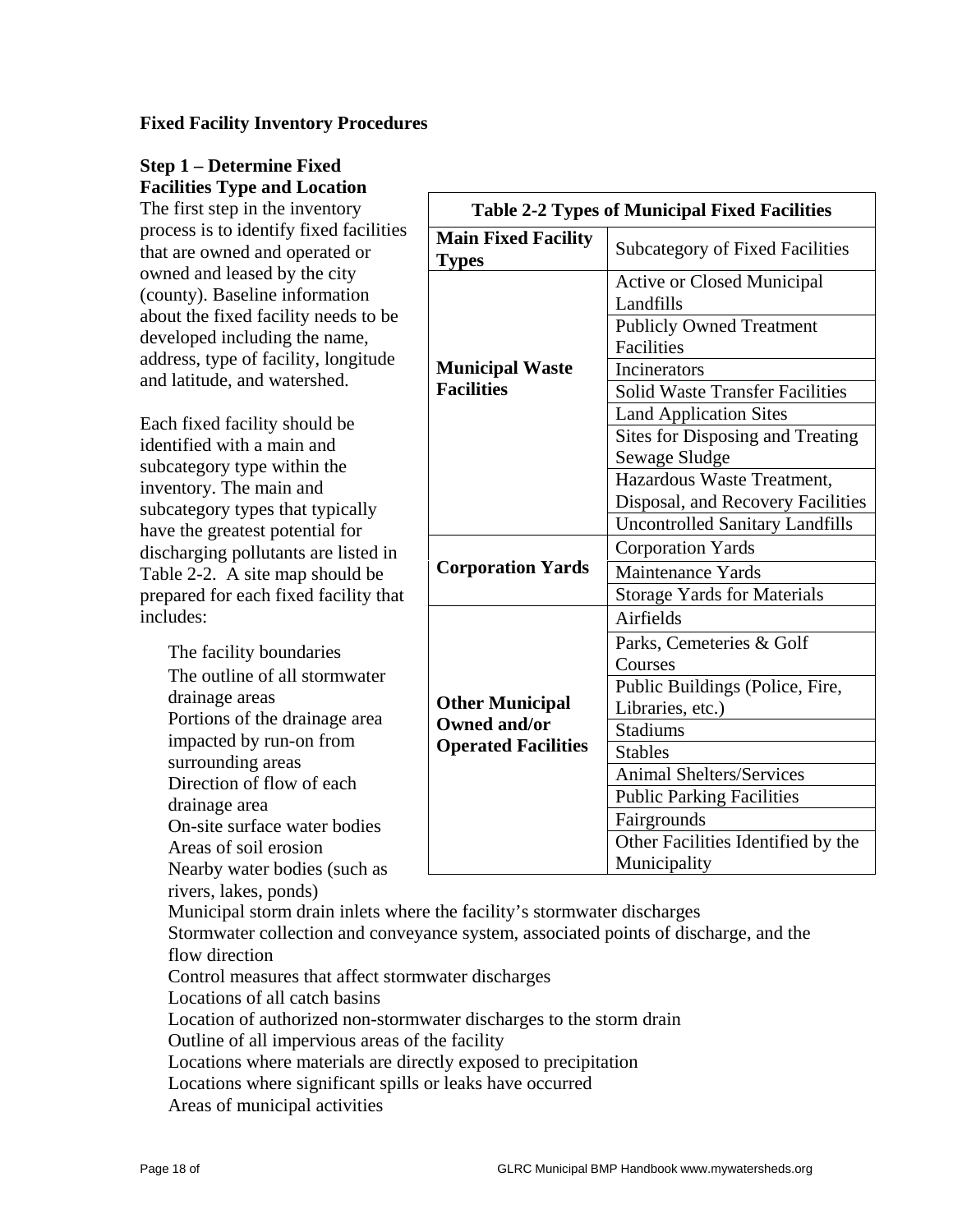#### **Fixed Facility Inventory Procedures**

# **Step 1 – Determine Fixed Facilities Type and Location**

The first step in the inventory process is to identify fixed facilities that are owned and operated or owned and leased by the city (county). Baseline information about the fixed facility needs to be developed including the name, address, type of facility, longitude and latitude, and watershed.

Each fixed facility should be identified with a main and subcategory type within the inventory. The main and subcategory types that typically have the greatest potential for discharging pollutants are listed in Table 2-2. A site map should be prepared for each fixed facility that includes:

 The facility boundaries The outline of all stormwater drainage areas Portions of the drainage area impacted by run-on from surrounding areas Direction of flow of each drainage area On-site surface water bodies Areas of soil erosion Nearby water bodies (such as rivers, lakes, ponds)

| <b>Table 2-2 Types of Municipal Fixed Facilities</b> |                                                      |  |  |  |  |  |  |
|------------------------------------------------------|------------------------------------------------------|--|--|--|--|--|--|
| <b>Main Fixed Facility</b><br><b>Types</b>           | <b>Subcategory of Fixed Facilities</b>               |  |  |  |  |  |  |
|                                                      | <b>Active or Closed Municipal</b><br>Landfills       |  |  |  |  |  |  |
|                                                      | <b>Publicly Owned Treatment</b><br><b>Facilities</b> |  |  |  |  |  |  |
| <b>Municipal Waste</b>                               | Incinerators                                         |  |  |  |  |  |  |
| <b>Facilities</b>                                    | <b>Solid Waste Transfer Facilities</b>               |  |  |  |  |  |  |
|                                                      | <b>Land Application Sites</b>                        |  |  |  |  |  |  |
|                                                      | Sites for Disposing and Treating                     |  |  |  |  |  |  |
|                                                      | Sewage Sludge                                        |  |  |  |  |  |  |
|                                                      | Hazardous Waste Treatment,                           |  |  |  |  |  |  |
|                                                      | Disposal, and Recovery Facilities                    |  |  |  |  |  |  |
|                                                      | <b>Uncontrolled Sanitary Landfills</b>               |  |  |  |  |  |  |
|                                                      | <b>Corporation Yards</b>                             |  |  |  |  |  |  |
| <b>Corporation Yards</b>                             | Maintenance Yards                                    |  |  |  |  |  |  |
|                                                      | <b>Storage Yards for Materials</b>                   |  |  |  |  |  |  |
|                                                      | Airfields                                            |  |  |  |  |  |  |
|                                                      | Parks, Cemeteries & Golf                             |  |  |  |  |  |  |
|                                                      | Courses                                              |  |  |  |  |  |  |
|                                                      | Public Buildings (Police, Fire,                      |  |  |  |  |  |  |
| <b>Other Municipal</b>                               | Libraries, etc.)                                     |  |  |  |  |  |  |
| <b>Owned and/or</b>                                  | <b>Stadiums</b>                                      |  |  |  |  |  |  |
| <b>Operated Facilities</b>                           | <b>Stables</b>                                       |  |  |  |  |  |  |
|                                                      | <b>Animal Shelters/Services</b>                      |  |  |  |  |  |  |
|                                                      | <b>Public Parking Facilities</b>                     |  |  |  |  |  |  |
|                                                      | Fairgrounds                                          |  |  |  |  |  |  |
|                                                      | Other Facilities Identified by the                   |  |  |  |  |  |  |
|                                                      | Municipality                                         |  |  |  |  |  |  |

 Municipal storm drain inlets where the facility's stormwater discharges Stormwater collection and conveyance system, associated points of discharge, and the flow direction

Control measures that affect stormwater discharges

Locations of all catch basins

Location of authorized non-stormwater discharges to the storm drain

Outline of all impervious areas of the facility

Locations where materials are directly exposed to precipitation

Locations where significant spills or leaks have occurred

Areas of municipal activities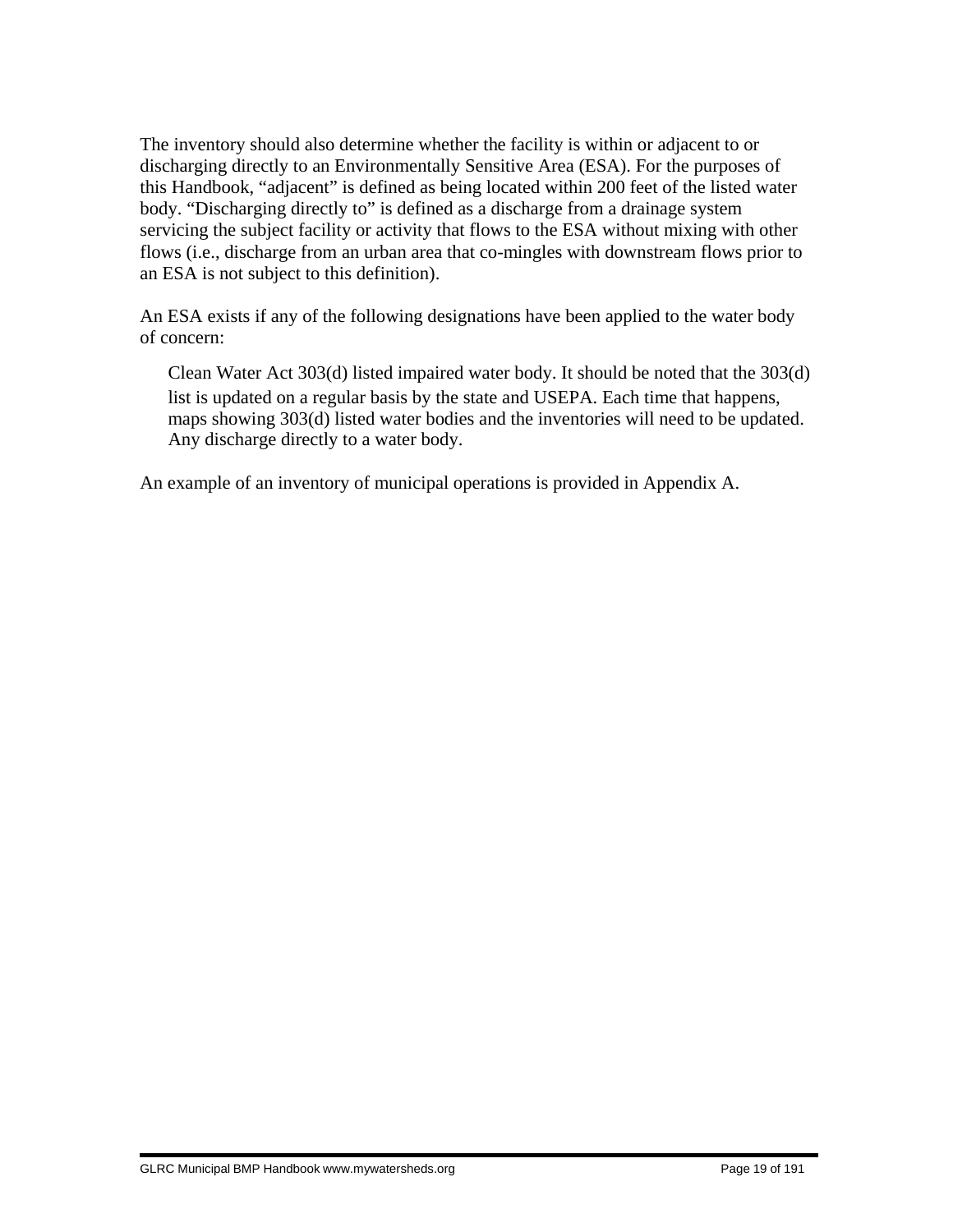The inventory should also determine whether the facility is within or adjacent to or discharging directly to an Environmentally Sensitive Area (ESA). For the purposes of this Handbook, "adjacent" is defined as being located within 200 feet of the listed water body. "Discharging directly to" is defined as a discharge from a drainage system servicing the subject facility or activity that flows to the ESA without mixing with other flows (i.e., discharge from an urban area that co-mingles with downstream flows prior to an ESA is not subject to this definition).

An ESA exists if any of the following designations have been applied to the water body of concern:

 Clean Water Act 303(d) listed impaired water body. It should be noted that the 303(d) list is updated on a regular basis by the state and USEPA. Each time that happens, maps showing 303(d) listed water bodies and the inventories will need to be updated. Any discharge directly to a water body.

An example of an inventory of municipal operations is provided in Appendix A.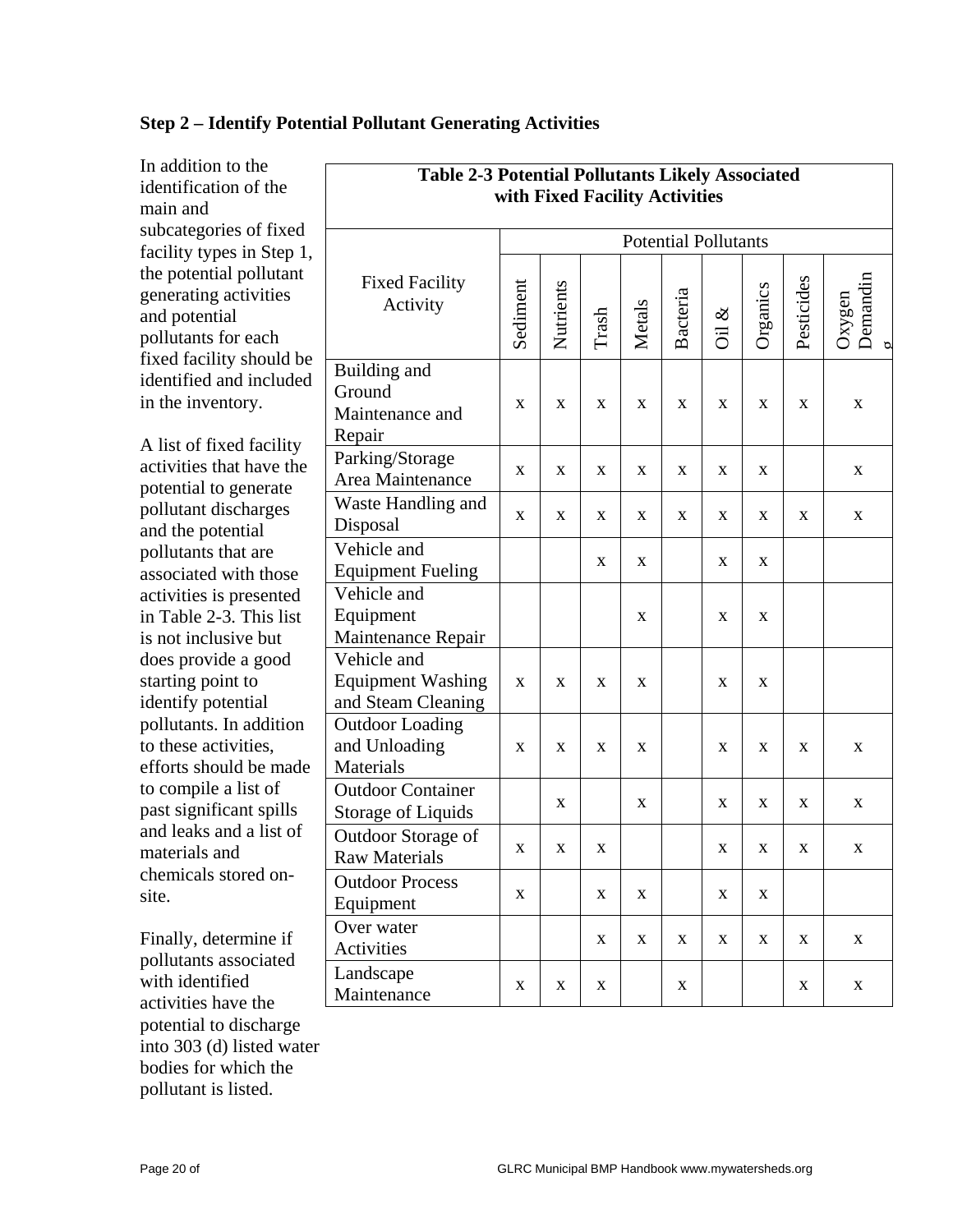| In addition to the<br>identification of the<br>main and                                                                                                                                                                                                                                                                                                                                                                                                | <b>Table 2-3 Potential Pollutants Likely Associated</b><br>with Fixed Facility Activities |             |           |             |               |          |             |             |            |                    |
|--------------------------------------------------------------------------------------------------------------------------------------------------------------------------------------------------------------------------------------------------------------------------------------------------------------------------------------------------------------------------------------------------------------------------------------------------------|-------------------------------------------------------------------------------------------|-------------|-----------|-------------|---------------|----------|-------------|-------------|------------|--------------------|
| subcategories of fixed<br>facility types in Step 1,<br>the potential pollutant<br>generating activities<br>and potential<br>pollutants for each                                                                                                                                                                                                                                                                                                        | <b>Potential Pollutants</b>                                                               |             |           |             |               |          |             |             |            |                    |
|                                                                                                                                                                                                                                                                                                                                                                                                                                                        | <b>Fixed Facility</b><br>Activity                                                         | Sediment    | Nutrients | Trash       | <b>Metals</b> | Bacteria | ళ<br>öï     | Organics    | Pesticides | Demandin<br>Oxygen |
| fixed facility should be<br>identified and included<br>in the inventory.                                                                                                                                                                                                                                                                                                                                                                               | Building and<br>Ground<br>Maintenance and<br>Repair                                       | X           | X         | X           | X             | X        | X           | X           | X          | X                  |
| A list of fixed facility<br>activities that have the<br>potential to generate                                                                                                                                                                                                                                                                                                                                                                          | Parking/Storage<br>Area Maintenance                                                       | X           | X         | X           | X             | X        | X           | $\mathbf X$ |            | $\mathbf X$        |
| pollutant discharges<br>and the potential<br>pollutants that are<br>associated with those<br>activities is presented<br>in Table 2-3. This list<br>is not inclusive but<br>does provide a good<br>starting point to<br>identify potential<br>pollutants. In addition<br>to these activities,<br>efforts should be made<br>to compile a list of<br>past significant spills<br>and leaks and a list of<br>materials and<br>chemicals stored on-<br>site. | Waste Handling and<br>Disposal                                                            | X           | X         | X           | X             | X        | X           | X           | X          | $\mathbf X$        |
|                                                                                                                                                                                                                                                                                                                                                                                                                                                        | Vehicle and<br><b>Equipment Fueling</b>                                                   |             |           | X           | X             |          | $\mathbf X$ | $\mathbf X$ |            |                    |
|                                                                                                                                                                                                                                                                                                                                                                                                                                                        | Vehicle and<br>Equipment<br>Maintenance Repair                                            |             |           |             | $\mathbf X$   |          | $\mathbf X$ | $\mathbf X$ |            |                    |
|                                                                                                                                                                                                                                                                                                                                                                                                                                                        | Vehicle and<br><b>Equipment Washing</b><br>and Steam Cleaning                             | X           | X         | X           | X             |          | X           | X           |            |                    |
|                                                                                                                                                                                                                                                                                                                                                                                                                                                        | <b>Outdoor Loading</b><br>and Unloading<br>Materials                                      | X           | X         | X           | X             |          | X           | X           | X          | X                  |
|                                                                                                                                                                                                                                                                                                                                                                                                                                                        | <b>Outdoor Container</b><br>Storage of Liquids                                            |             | X         |             | X             |          | X           | X           | X          | X                  |
|                                                                                                                                                                                                                                                                                                                                                                                                                                                        | Outdoor Storage of<br><b>Raw Materials</b>                                                | X           | X         | X           |               |          | X           | X           | X          | X                  |
|                                                                                                                                                                                                                                                                                                                                                                                                                                                        | <b>Outdoor Process</b><br>Equipment                                                       | X           |           | X           | X             |          | X           | X           |            |                    |
| Finally, determine if<br>pollutants associated                                                                                                                                                                                                                                                                                                                                                                                                         | Over water<br>Activities                                                                  |             |           | X           | X             | X        | X           | X           | X          | X                  |
| with identified<br>activities have the                                                                                                                                                                                                                                                                                                                                                                                                                 | Landscape<br>Maintenance                                                                  | $\mathbf X$ | X         | $\mathbf X$ |               | X        |             |             | X          | $\mathbf{X}$       |

# **Step 2 – Identify Potential Pollutant Generating Activities**

potential to discharge into 303 (d) listed water bodies for which the pollutant is listed.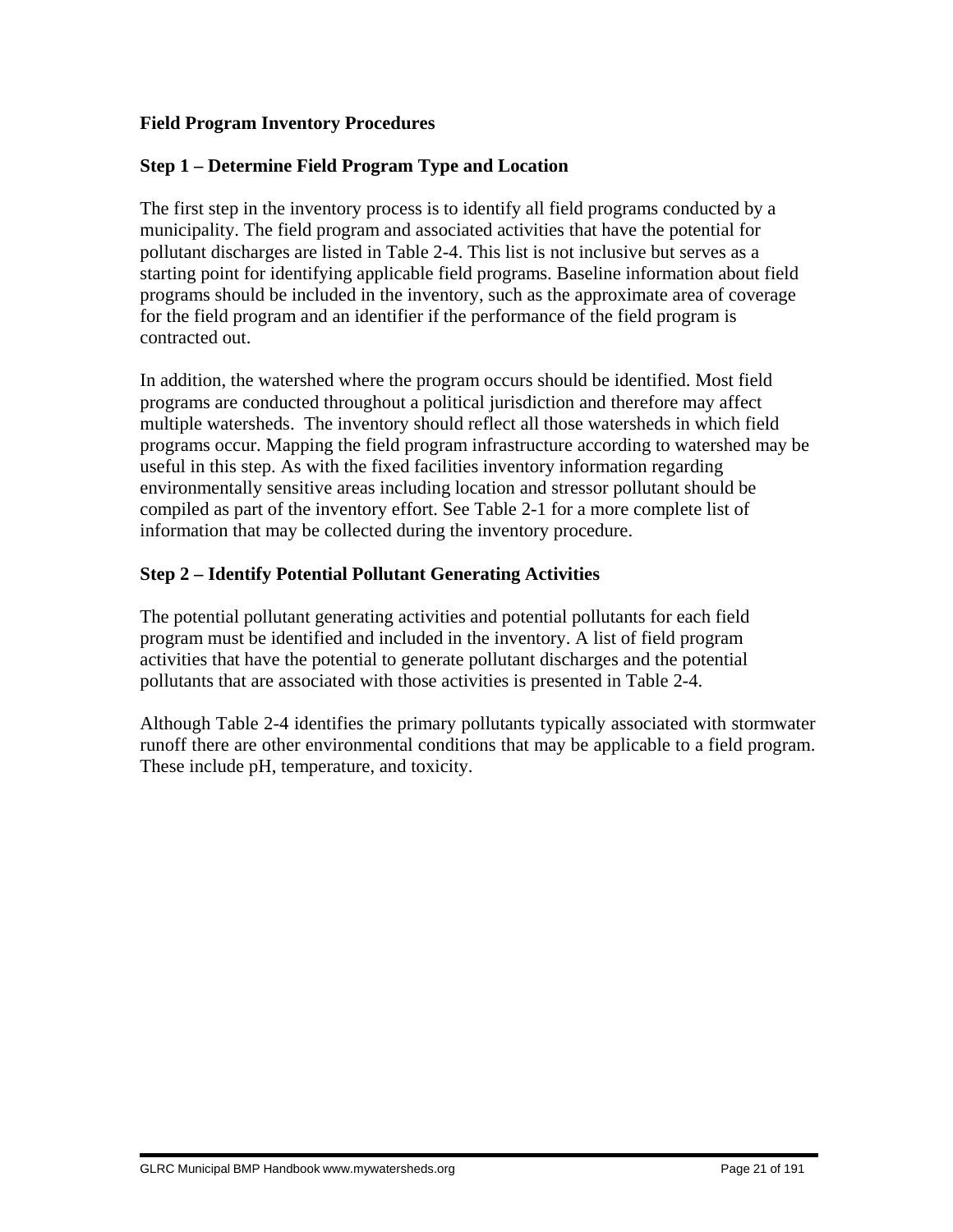# **Field Program Inventory Procedures**

## **Step 1 – Determine Field Program Type and Location**

The first step in the inventory process is to identify all field programs conducted by a municipality. The field program and associated activities that have the potential for pollutant discharges are listed in Table 2-4. This list is not inclusive but serves as a starting point for identifying applicable field programs. Baseline information about field programs should be included in the inventory, such as the approximate area of coverage for the field program and an identifier if the performance of the field program is contracted out.

In addition, the watershed where the program occurs should be identified. Most field programs are conducted throughout a political jurisdiction and therefore may affect multiple watersheds. The inventory should reflect all those watersheds in which field programs occur. Mapping the field program infrastructure according to watershed may be useful in this step. As with the fixed facilities inventory information regarding environmentally sensitive areas including location and stressor pollutant should be compiled as part of the inventory effort. See Table 2-1 for a more complete list of information that may be collected during the inventory procedure.

# **Step 2 – Identify Potential Pollutant Generating Activities**

The potential pollutant generating activities and potential pollutants for each field program must be identified and included in the inventory. A list of field program activities that have the potential to generate pollutant discharges and the potential pollutants that are associated with those activities is presented in Table 2-4.

Although Table 2-4 identifies the primary pollutants typically associated with stormwater runoff there are other environmental conditions that may be applicable to a field program. These include pH, temperature, and toxicity.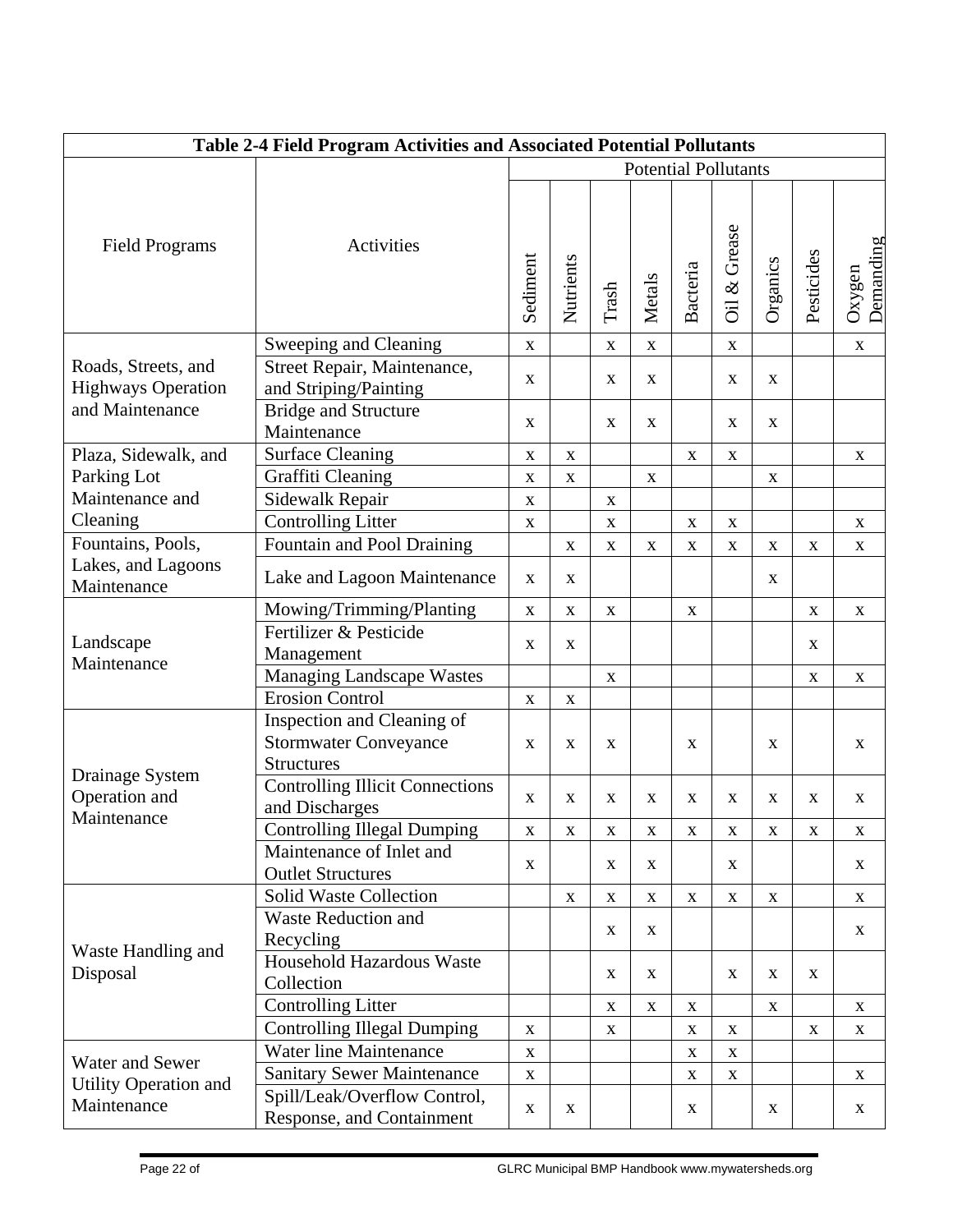| Table 2-4 Field Program Activities and Associated Potential Pollutants |                                                                                 |                             |              |              |              |              |                          |              |             |                           |
|------------------------------------------------------------------------|---------------------------------------------------------------------------------|-----------------------------|--------------|--------------|--------------|--------------|--------------------------|--------------|-------------|---------------------------|
|                                                                        |                                                                                 | <b>Potential Pollutants</b> |              |              |              |              |                          |              |             |                           |
| <b>Field Programs</b>                                                  | Activities                                                                      | Sediment                    | Nutrients    | Trash        | Metals       | Bacteria     | Grease<br>$\infty$<br>öï | Organics     | Pesticides  | Demanding<br>Oxygen       |
|                                                                        | Sweeping and Cleaning                                                           | $\mathbf{X}$                |              | $\mathbf{X}$ | $\mathbf{X}$ |              | $\mathbf{X}$             |              |             | $\mathbf{X}$              |
| Roads, Streets, and<br><b>Highways Operation</b>                       | Street Repair, Maintenance,<br>and Striping/Painting                            | $\mathbf X$                 |              | X            | X            |              | X                        | $\mathbf{X}$ |             |                           |
| and Maintenance                                                        | <b>Bridge and Structure</b><br>Maintenance                                      | X                           |              | $\mathbf{X}$ | X            |              | X                        | $\mathbf{X}$ |             |                           |
| Plaza, Sidewalk, and                                                   | <b>Surface Cleaning</b>                                                         | $\mathbf X$                 | $\mathbf X$  |              |              | $\mathbf{X}$ | $\mathbf X$              |              |             | $\mathbf X$               |
| Parking Lot                                                            | Graffiti Cleaning                                                               | $\mathbf X$                 | $\mathbf X$  |              | $\mathbf X$  |              |                          | $\mathbf X$  |             |                           |
| Maintenance and                                                        | Sidewalk Repair                                                                 | $\mathbf X$                 |              | $\mathbf X$  |              |              |                          |              |             |                           |
| Cleaning                                                               | <b>Controlling Litter</b>                                                       | $\mathbf X$                 |              | $\mathbf X$  |              | $\mathbf X$  | $\mathbf X$              |              |             | $\mathbf X$               |
| Fountains, Pools,                                                      | Fountain and Pool Draining                                                      |                             | $\mathbf X$  | $\mathbf X$  | X            | X            | $\mathbf X$              | $\mathbf X$  | X           | $\mathbf X$               |
| Lakes, and Lagoons<br>Maintenance                                      | Lake and Lagoon Maintenance                                                     | $\mathbf X$                 | $\mathbf X$  |              |              |              |                          | $\mathbf X$  |             |                           |
|                                                                        | Mowing/Trimming/Planting                                                        | $\mathbf X$                 | $\mathbf X$  | X            |              | $\mathbf X$  |                          |              | X           | $\boldsymbol{\mathrm{X}}$ |
| Landscape<br>Maintenance                                               | Fertilizer & Pesticide<br>Management                                            | X                           | $\mathbf X$  |              |              |              |                          |              | X           |                           |
|                                                                        | <b>Managing Landscape Wastes</b>                                                |                             |              | $\mathbf X$  |              |              |                          |              | $\mathbf X$ | $\mathbf X$               |
|                                                                        | <b>Erosion Control</b>                                                          | $\mathbf X$                 | $\mathbf X$  |              |              |              |                          |              |             |                           |
|                                                                        | Inspection and Cleaning of<br><b>Stormwater Conveyance</b><br><b>Structures</b> | $\mathbf X$                 | $\mathbf X$  | X            |              | $\mathbf X$  |                          | $\mathbf X$  |             | $\mathbf X$               |
| Drainage System<br>Operation and<br>Maintenance                        | <b>Controlling Illicit Connections</b><br>and Discharges                        | $\mathbf X$                 | $\mathbf{X}$ | $\mathbf{X}$ | X            | $\mathbf{X}$ | X                        | X            | X           | X                         |
|                                                                        | <b>Controlling Illegal Dumping</b>                                              | $\bf X$                     | $\mathbf X$  | $\mathbf X$  | X            | X            | $\mathbf X$              | $\mathbf X$  | $\mathbf X$ | $\mathbf X$               |
|                                                                        | Maintenance of Inlet and<br><b>Outlet Structures</b>                            | $\mathbf{X}$                |              | X            | X            |              | X                        |              |             | X                         |
|                                                                        | Solid Waste Collection                                                          |                             | $\mathbf X$  | $\mathbf X$  | $\mathbf{X}$ | $\mathbf{X}$ | $\mathbf{X}$             | $\mathbf{X}$ |             | $\mathbf X$               |
| Waste Handling and<br>Disposal                                         | <b>Waste Reduction and</b><br>Recycling                                         |                             |              | X            | X            |              |                          |              |             | $\mathbf{X}$              |
|                                                                        | Household Hazardous Waste<br>Collection                                         |                             |              | $\mathbf X$  | X            |              | X                        | X            | X           |                           |
|                                                                        | <b>Controlling Litter</b>                                                       |                             |              | $\mathbf X$  | $\mathbf{X}$ | $\mathbf{X}$ |                          | $\mathbf{X}$ |             | X                         |
|                                                                        | <b>Controlling Illegal Dumping</b>                                              | $\mathbf X$                 |              | X            |              | X            | X                        |              | X           | X                         |
|                                                                        | <b>Water line Maintenance</b>                                                   | $\mathbf X$                 |              |              |              | $\mathbf X$  | $\mathbf{X}$             |              |             |                           |
| Water and Sewer                                                        | <b>Sanitary Sewer Maintenance</b>                                               | $\mathbf X$                 |              |              |              | X            | $\mathbf{X}$             |              |             | X                         |
| Utility Operation and<br>Maintenance                                   | Spill/Leak/Overflow Control,<br>Response, and Containment                       | $\mathbf X$                 | $\mathbf{X}$ |              |              | X            |                          | X            |             | X                         |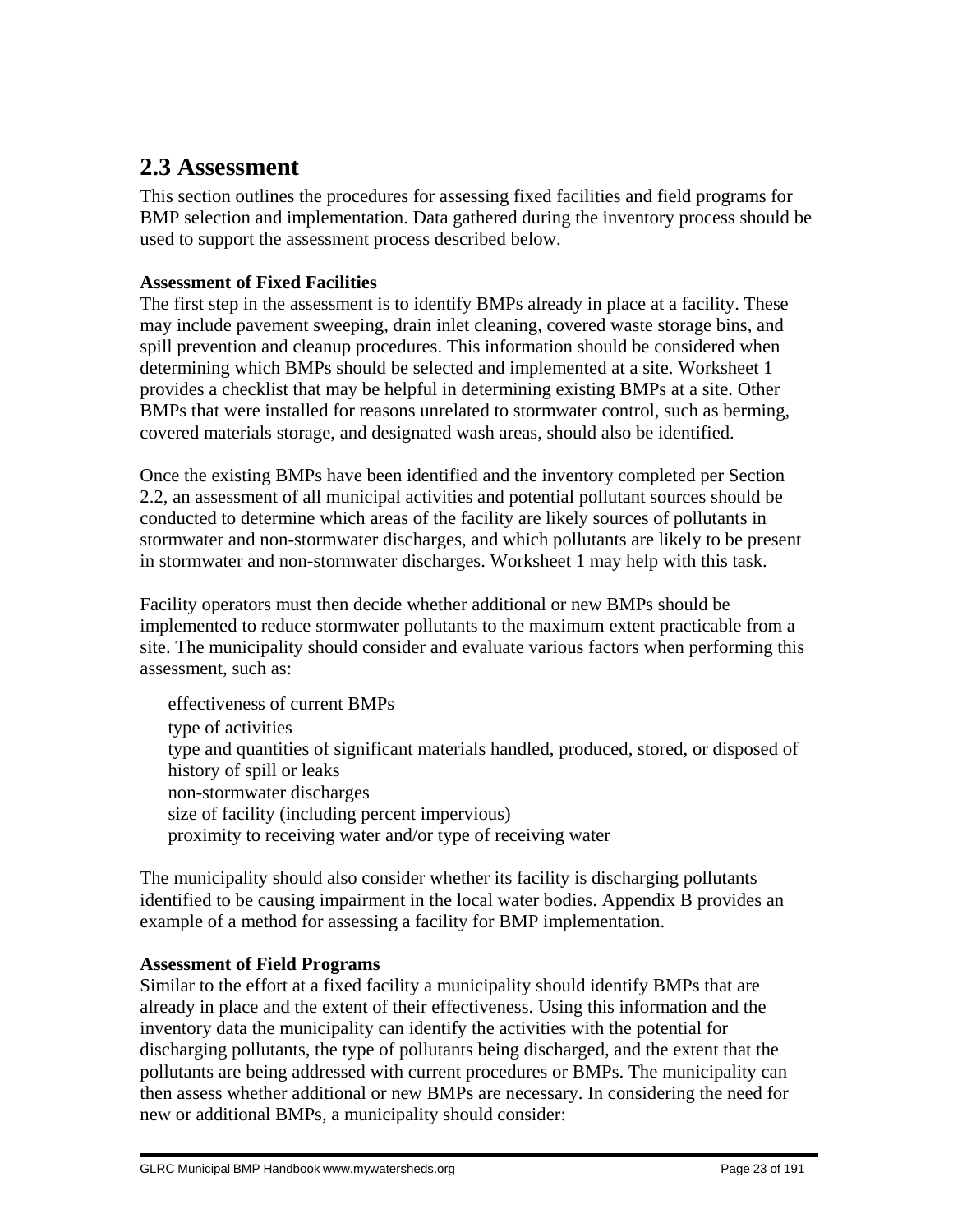# **2.3 Assessment**

This section outlines the procedures for assessing fixed facilities and field programs for BMP selection and implementation. Data gathered during the inventory process should be used to support the assessment process described below.

## **Assessment of Fixed Facilities**

The first step in the assessment is to identify BMPs already in place at a facility. These may include pavement sweeping, drain inlet cleaning, covered waste storage bins, and spill prevention and cleanup procedures. This information should be considered when determining which BMPs should be selected and implemented at a site. Worksheet 1 provides a checklist that may be helpful in determining existing BMPs at a site. Other BMPs that were installed for reasons unrelated to stormwater control, such as berming, covered materials storage, and designated wash areas, should also be identified.

Once the existing BMPs have been identified and the inventory completed per Section 2.2, an assessment of all municipal activities and potential pollutant sources should be conducted to determine which areas of the facility are likely sources of pollutants in stormwater and non-stormwater discharges, and which pollutants are likely to be present in stormwater and non-stormwater discharges. Worksheet 1 may help with this task.

Facility operators must then decide whether additional or new BMPs should be implemented to reduce stormwater pollutants to the maximum extent practicable from a site. The municipality should consider and evaluate various factors when performing this assessment, such as:

 effectiveness of current BMPs type of activities type and quantities of significant materials handled, produced, stored, or disposed of history of spill or leaks non-stormwater discharges size of facility (including percent impervious) proximity to receiving water and/or type of receiving water

The municipality should also consider whether its facility is discharging pollutants identified to be causing impairment in the local water bodies. Appendix B provides an example of a method for assessing a facility for BMP implementation.

## **Assessment of Field Programs**

Similar to the effort at a fixed facility a municipality should identify BMPs that are already in place and the extent of their effectiveness. Using this information and the inventory data the municipality can identify the activities with the potential for discharging pollutants, the type of pollutants being discharged, and the extent that the pollutants are being addressed with current procedures or BMPs. The municipality can then assess whether additional or new BMPs are necessary. In considering the need for new or additional BMPs, a municipality should consider: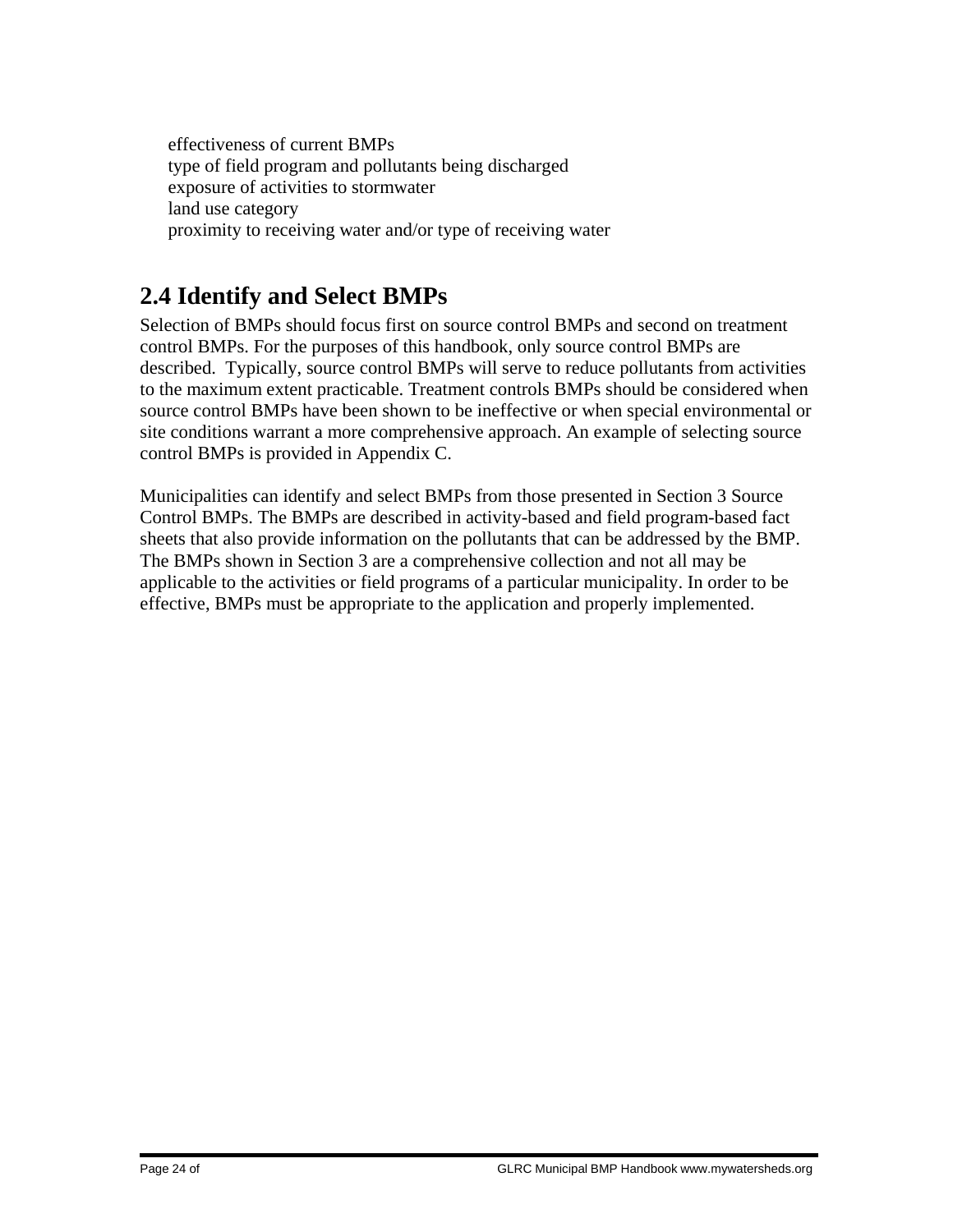effectiveness of current BMPs type of field program and pollutants being discharged exposure of activities to stormwater land use category proximity to receiving water and/or type of receiving water

# **2.4 Identify and Select BMPs**

Selection of BMPs should focus first on source control BMPs and second on treatment control BMPs. For the purposes of this handbook, only source control BMPs are described. Typically, source control BMPs will serve to reduce pollutants from activities to the maximum extent practicable. Treatment controls BMPs should be considered when source control BMPs have been shown to be ineffective or when special environmental or site conditions warrant a more comprehensive approach. An example of selecting source control BMPs is provided in Appendix C.

Municipalities can identify and select BMPs from those presented in Section 3 Source Control BMPs. The BMPs are described in activity-based and field program-based fact sheets that also provide information on the pollutants that can be addressed by the BMP. The BMPs shown in Section 3 are a comprehensive collection and not all may be applicable to the activities or field programs of a particular municipality. In order to be effective, BMPs must be appropriate to the application and properly implemented.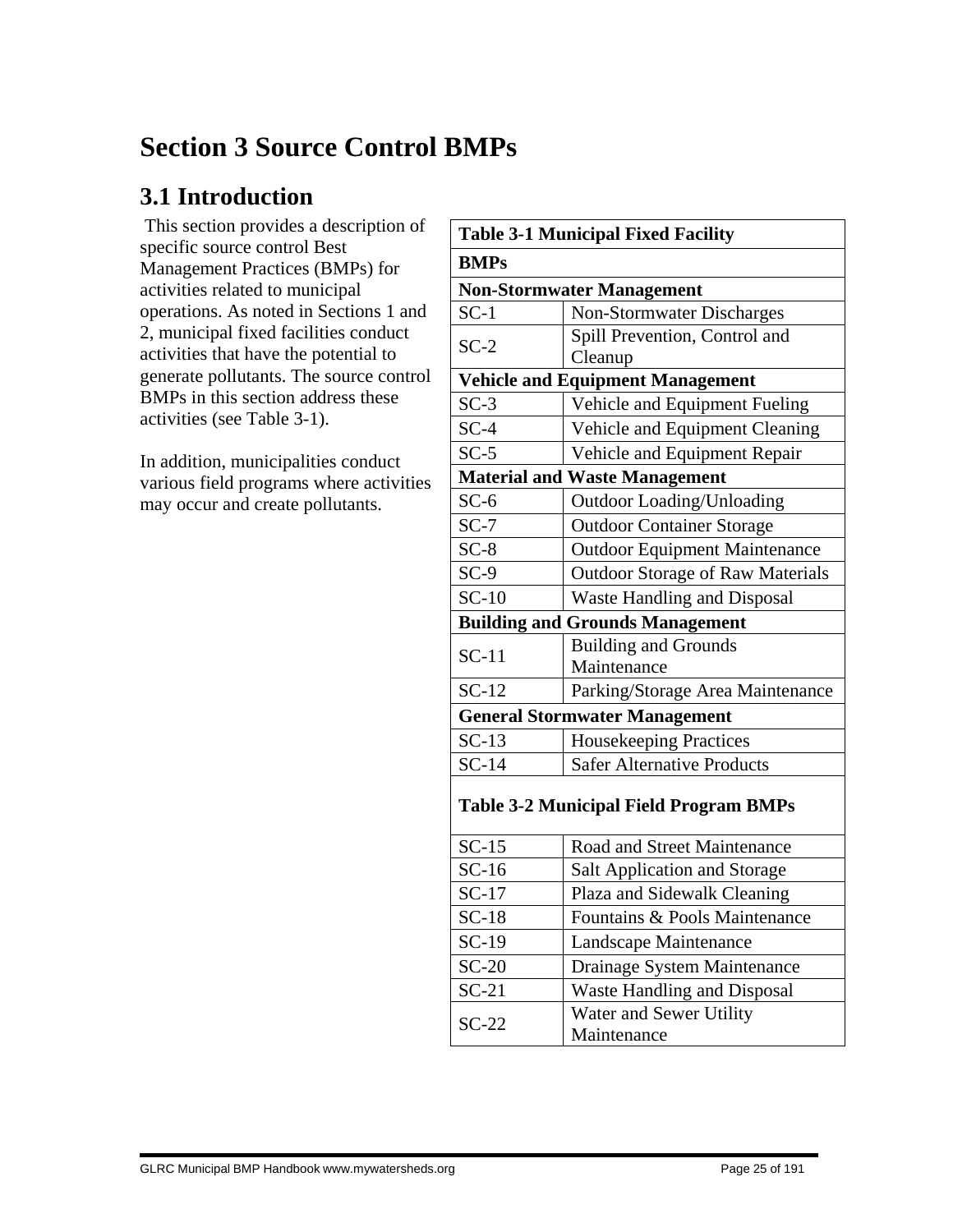# **Section 3 Source Control BMPs**

# **3.1 Introduction**

This section provides a description of specific source control Best Management Practices (BMPs) for activities related to municipal operations. As noted in Sections 1 and 2, municipal fixed facilities conduct activities that have the potential to generate pollutants. The source control BMPs in this section address these activities (see Table 3-1).

In addition, municipalities conduct various field programs where activities may occur and create pollutants.

| <b>Table 3-1 Municipal Fixed Facility</b>     |                                         |  |  |  |  |  |  |
|-----------------------------------------------|-----------------------------------------|--|--|--|--|--|--|
| <b>BMPs</b>                                   |                                         |  |  |  |  |  |  |
| <b>Non-Stormwater Management</b>              |                                         |  |  |  |  |  |  |
| $SC-1$                                        | <b>Non-Stormwater Discharges</b>        |  |  |  |  |  |  |
| $SC-2$                                        | Spill Prevention, Control and           |  |  |  |  |  |  |
|                                               | Cleanup                                 |  |  |  |  |  |  |
| <b>Vehicle and Equipment Management</b>       |                                         |  |  |  |  |  |  |
| $SC-3$                                        | Vehicle and Equipment Fueling           |  |  |  |  |  |  |
| $SC-4$                                        | Vehicle and Equipment Cleaning          |  |  |  |  |  |  |
| $SC-5$                                        | Vehicle and Equipment Repair            |  |  |  |  |  |  |
|                                               | <b>Material and Waste Management</b>    |  |  |  |  |  |  |
| $SC-6$                                        | <b>Outdoor Loading/Unloading</b>        |  |  |  |  |  |  |
| $SC-7$                                        | <b>Outdoor Container Storage</b>        |  |  |  |  |  |  |
| $SC-8$                                        | <b>Outdoor Equipment Maintenance</b>    |  |  |  |  |  |  |
| $SC-9$                                        | <b>Outdoor Storage of Raw Materials</b> |  |  |  |  |  |  |
| $SC-10$                                       | Waste Handling and Disposal             |  |  |  |  |  |  |
|                                               | <b>Building and Grounds Management</b>  |  |  |  |  |  |  |
| $SC-11$                                       | <b>Building and Grounds</b>             |  |  |  |  |  |  |
|                                               | Maintenance                             |  |  |  |  |  |  |
| $SC-12$                                       | Parking/Storage Area Maintenance        |  |  |  |  |  |  |
| <b>General Stormwater Management</b>          |                                         |  |  |  |  |  |  |
| $SC-13$                                       | Housekeeping Practices                  |  |  |  |  |  |  |
| $SC-14$                                       | <b>Safer Alternative Products</b>       |  |  |  |  |  |  |
| <b>Table 3-2 Municipal Field Program BMPs</b> |                                         |  |  |  |  |  |  |
| $SC-15$                                       | Road and Street Maintenance             |  |  |  |  |  |  |
| $SC-16$                                       | <b>Salt Application and Storage</b>     |  |  |  |  |  |  |
| $SC-17$                                       | Plaza and Sidewalk Cleaning             |  |  |  |  |  |  |
| $SC-18$                                       | Fountains & Pools Maintenance           |  |  |  |  |  |  |
| $SC-19$                                       | Landscape Maintenance                   |  |  |  |  |  |  |
| $SC-20$                                       | Drainage System Maintenance             |  |  |  |  |  |  |
| $SC-21$                                       | <b>Waste Handling and Disposal</b>      |  |  |  |  |  |  |
| $SC-22$                                       | Water and Sewer Utility<br>Maintenance  |  |  |  |  |  |  |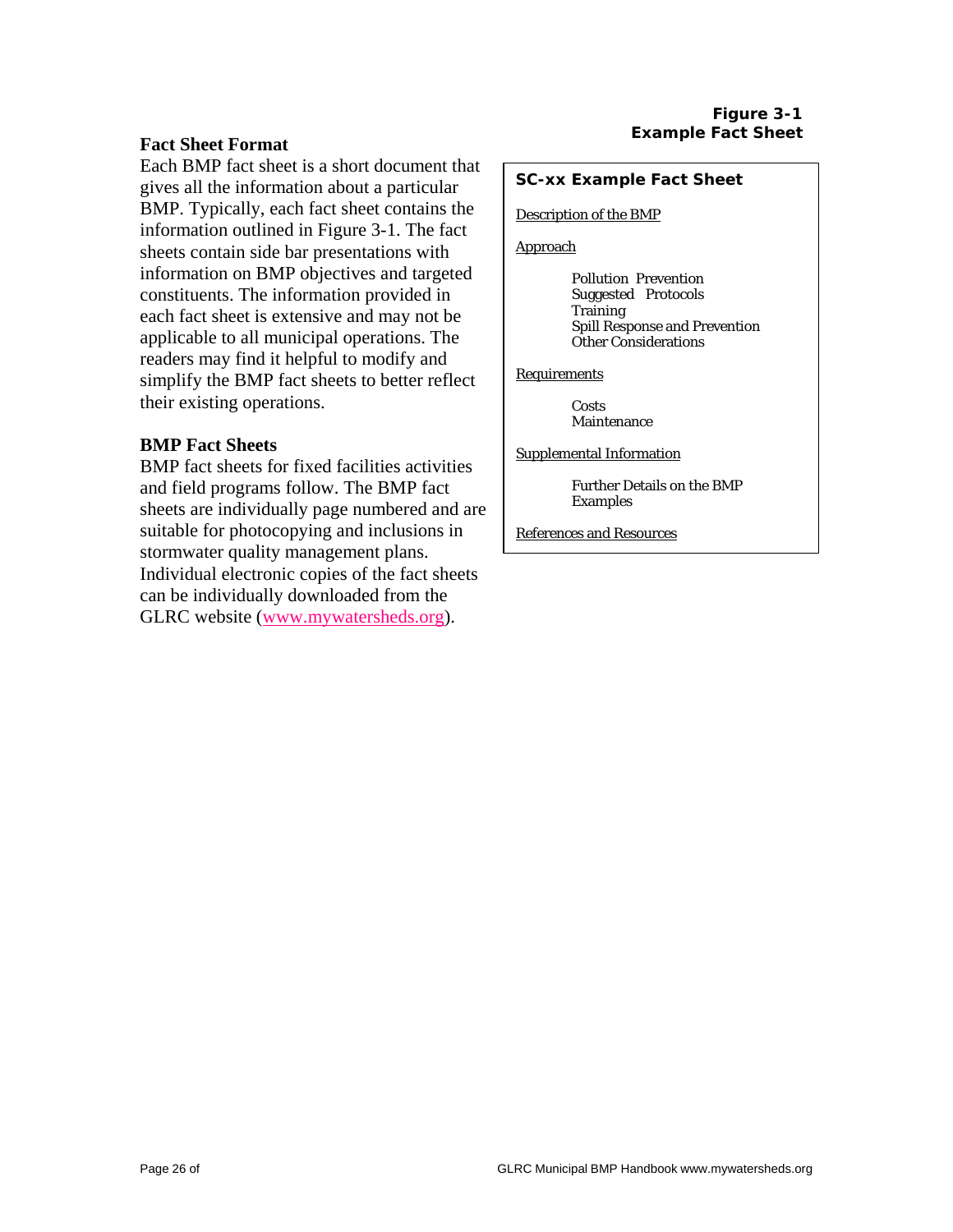#### **Fact Sheet Format**

Each BMP fact sheet is a short document that gives all the information about a particular BMP. Typically, each fact sheet contains the information outlined in Figure 3-1. The fact sheets contain side bar presentations with information on BMP objectives and targeted constituents. The information provided in each fact sheet is extensive and may not be applicable to all municipal operations. The readers may find it helpful to modify and simplify the BMP fact sheets to better reflect their existing operations.

#### **BMP Fact Sheets**

BMP fact sheets for fixed facilities activities and field programs follow. The BMP fact sheets are individually page numbered and are suitable for photocopying and inclusions in stormwater quality management plans. Individual electronic copies of the fact sheets can be individually downloaded from the GLRC website (www.mywatersheds.org).

#### **SC-xx Example Fact Sheet**

#### Description of the BMP

Approach

Pollution Prevention Suggested Protocols **Training** Spill Response and Prevention Other Considerations

**Requirements** 

Costs Maintenance

Supplemental Information

Further Details on the BMP Examples

References and Resources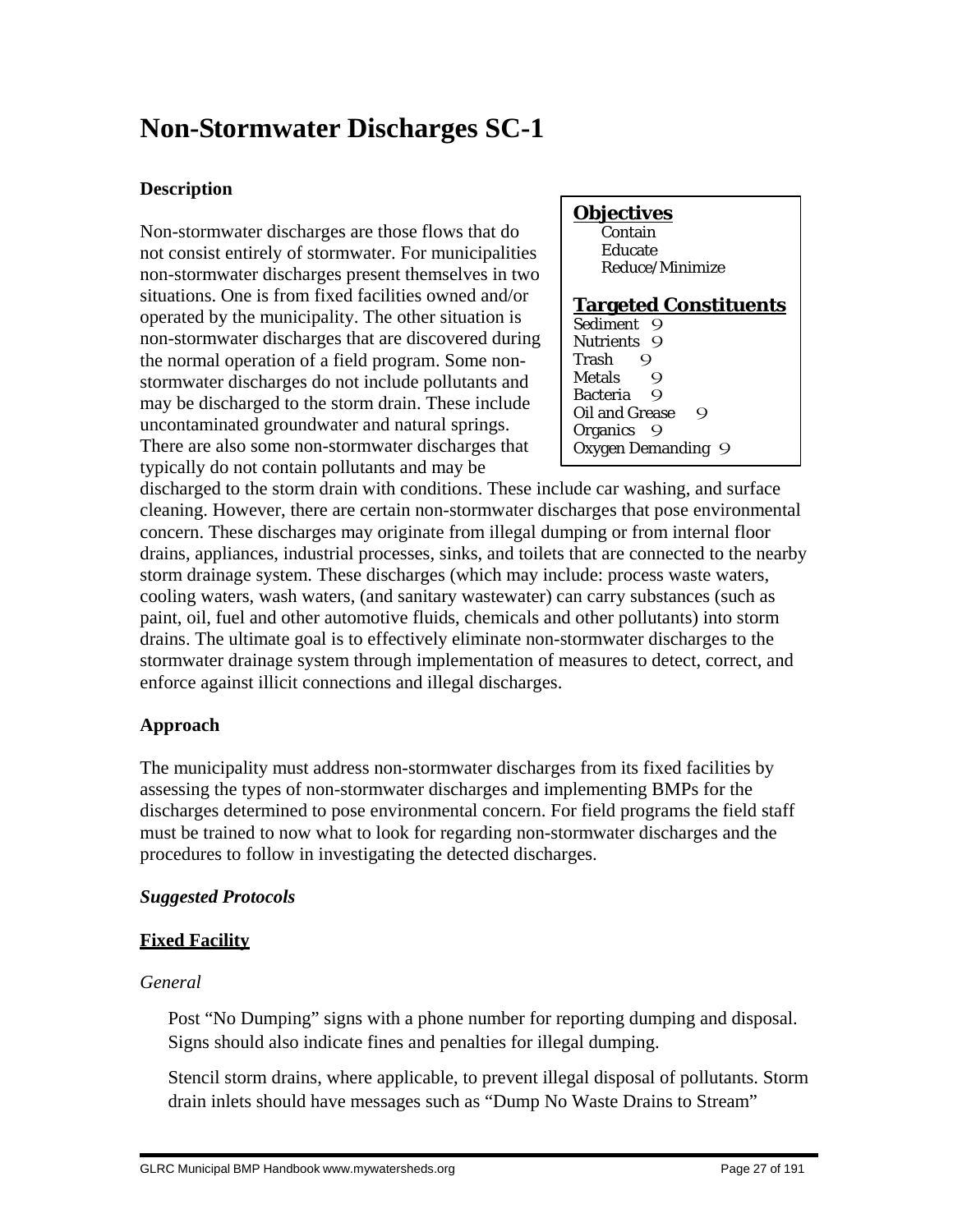# **Non-Stormwater Discharges SC-1**

# **Description**

Non-stormwater discharges are those flows that do not consist entirely of stormwater. For municipalities non-stormwater discharges present themselves in two situations. One is from fixed facilities owned and/or operated by the municipality. The other situation is non-stormwater discharges that are discovered during the normal operation of a field program. Some nonstormwater discharges do not include pollutants and may be discharged to the storm drain. These include uncontaminated groundwater and natural springs. There are also some non-stormwater discharges that typically do not contain pollutants and may be

#### **Objectives** Contain Educate Reduce/Minimize **Targeted Constituents** Sediment 9 Nutrients 9 Trash 9<br>Metals 9 **Metals** Bacteria 9 Oil and Grease 9 Organics 9 Oxygen Demanding 9

discharged to the storm drain with conditions. These include car washing, and surface cleaning. However, there are certain non-stormwater discharges that pose environmental concern. These discharges may originate from illegal dumping or from internal floor drains, appliances, industrial processes, sinks, and toilets that are connected to the nearby storm drainage system. These discharges (which may include: process waste waters, cooling waters, wash waters, (and sanitary wastewater) can carry substances (such as paint, oil, fuel and other automotive fluids, chemicals and other pollutants) into storm drains. The ultimate goal is to effectively eliminate non-stormwater discharges to the stormwater drainage system through implementation of measures to detect, correct, and enforce against illicit connections and illegal discharges.

# **Approach**

The municipality must address non-stormwater discharges from its fixed facilities by assessing the types of non-stormwater discharges and implementing BMPs for the discharges determined to pose environmental concern. For field programs the field staff must be trained to now what to look for regarding non-stormwater discharges and the procedures to follow in investigating the detected discharges.

# *Suggested Protocols*

# **Fixed Facility**

# *General*

 Post "No Dumping" signs with a phone number for reporting dumping and disposal. Signs should also indicate fines and penalties for illegal dumping.

 Stencil storm drains, where applicable, to prevent illegal disposal of pollutants. Storm drain inlets should have messages such as "Dump No Waste Drains to Stream"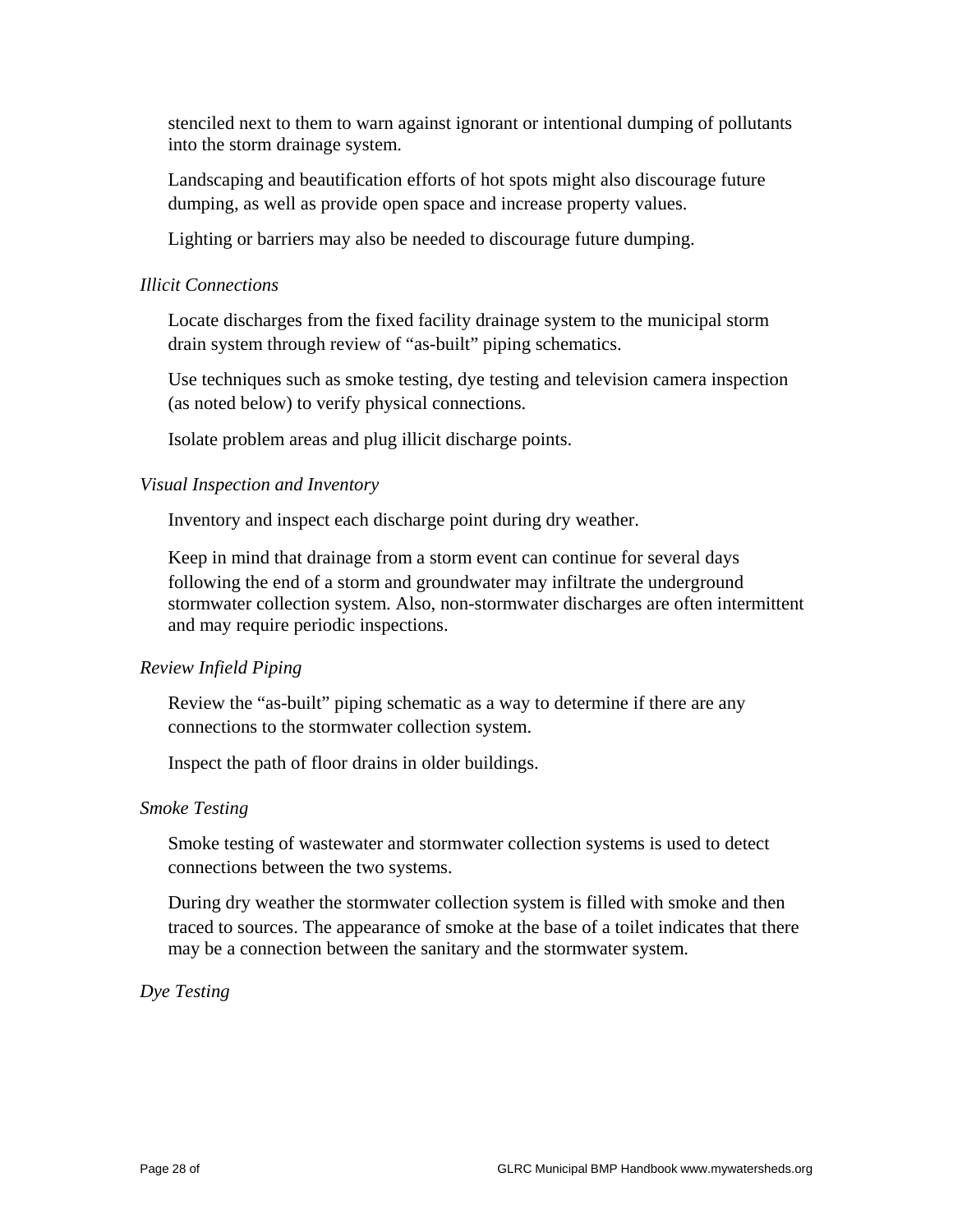stenciled next to them to warn against ignorant or intentional dumping of pollutants into the storm drainage system.

 Landscaping and beautification efforts of hot spots might also discourage future dumping, as well as provide open space and increase property values.

Lighting or barriers may also be needed to discourage future dumping.

#### *Illicit Connections*

 Locate discharges from the fixed facility drainage system to the municipal storm drain system through review of "as-built" piping schematics.

 Use techniques such as smoke testing, dye testing and television camera inspection (as noted below) to verify physical connections.

Isolate problem areas and plug illicit discharge points.

### *Visual Inspection and Inventory*

Inventory and inspect each discharge point during dry weather.

 Keep in mind that drainage from a storm event can continue for several days following the end of a storm and groundwater may infiltrate the underground stormwater collection system. Also, non-stormwater discharges are often intermittent and may require periodic inspections.

## *Review Infield Piping*

 Review the "as-built" piping schematic as a way to determine if there are any connections to the stormwater collection system.

Inspect the path of floor drains in older buildings.

#### *Smoke Testing*

 Smoke testing of wastewater and stormwater collection systems is used to detect connections between the two systems.

 During dry weather the stormwater collection system is filled with smoke and then traced to sources. The appearance of smoke at the base of a toilet indicates that there may be a connection between the sanitary and the stormwater system.

## *Dye Testing*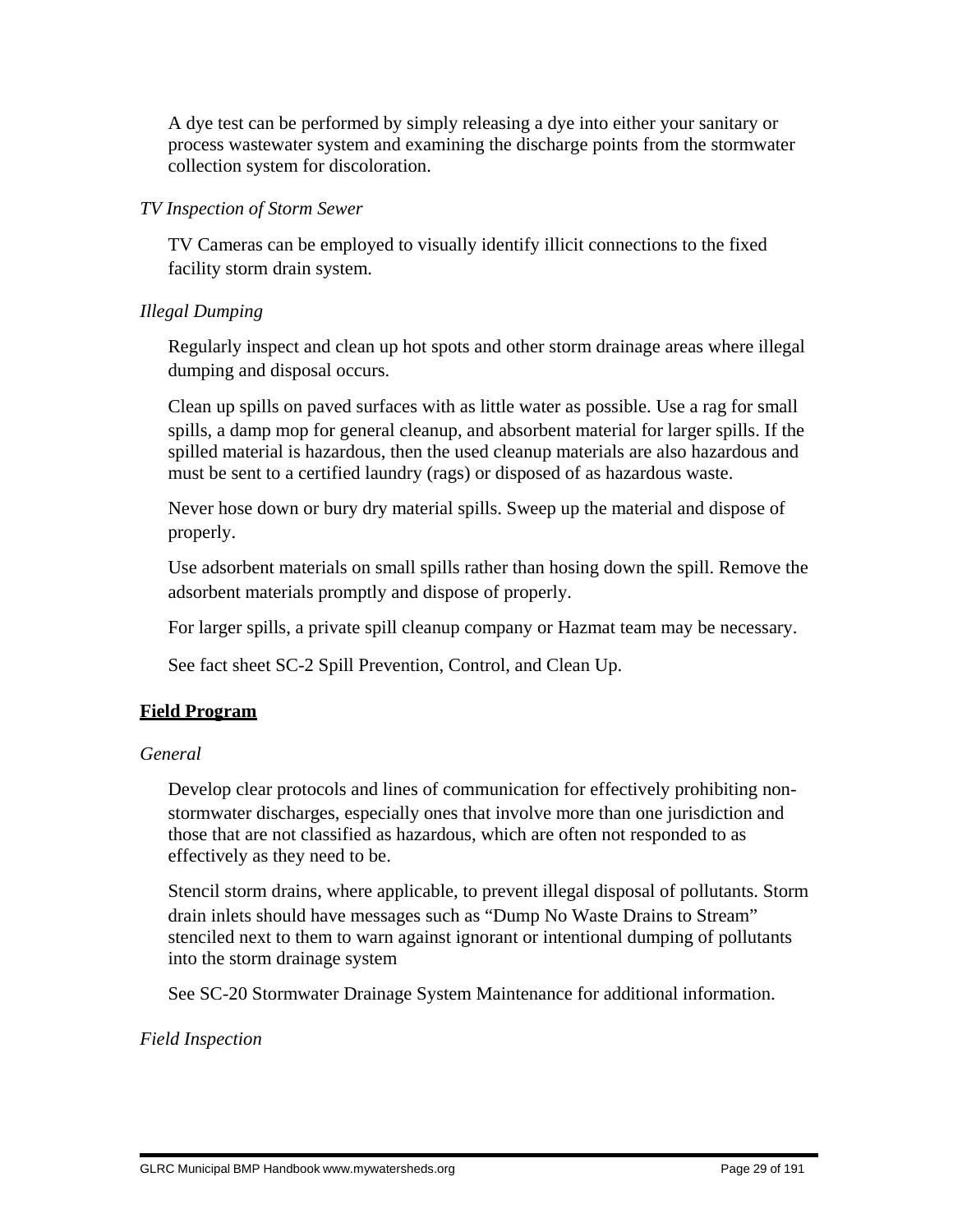A dye test can be performed by simply releasing a dye into either your sanitary or process wastewater system and examining the discharge points from the stormwater collection system for discoloration.

## *TV Inspection of Storm Sewer*

 TV Cameras can be employed to visually identify illicit connections to the fixed facility storm drain system.

# *Illegal Dumping*

 Regularly inspect and clean up hot spots and other storm drainage areas where illegal dumping and disposal occurs.

 Clean up spills on paved surfaces with as little water as possible. Use a rag for small spills, a damp mop for general cleanup, and absorbent material for larger spills. If the spilled material is hazardous, then the used cleanup materials are also hazardous and must be sent to a certified laundry (rags) or disposed of as hazardous waste.

 Never hose down or bury dry material spills. Sweep up the material and dispose of properly.

 Use adsorbent materials on small spills rather than hosing down the spill. Remove the adsorbent materials promptly and dispose of properly.

For larger spills, a private spill cleanup company or Hazmat team may be necessary.

See fact sheet SC-2 Spill Prevention, Control, and Clean Up.

# **Field Program**

# *General*

 Develop clear protocols and lines of communication for effectively prohibiting nonstormwater discharges, especially ones that involve more than one jurisdiction and those that are not classified as hazardous, which are often not responded to as effectively as they need to be.

 Stencil storm drains, where applicable, to prevent illegal disposal of pollutants. Storm drain inlets should have messages such as "Dump No Waste Drains to Stream" stenciled next to them to warn against ignorant or intentional dumping of pollutants into the storm drainage system

See SC-20 Stormwater Drainage System Maintenance for additional information.

# *Field Inspection*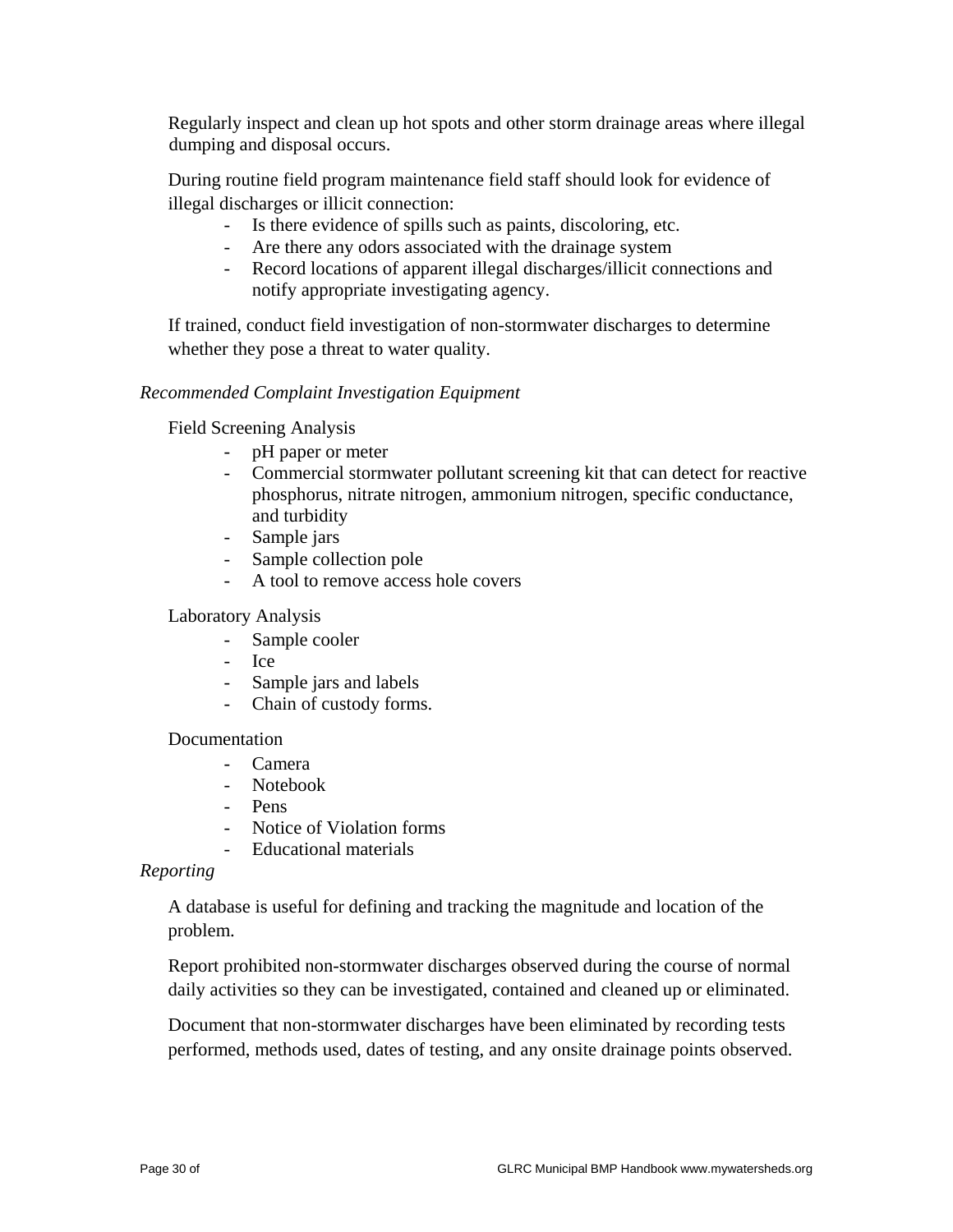Regularly inspect and clean up hot spots and other storm drainage areas where illegal dumping and disposal occurs.

 During routine field program maintenance field staff should look for evidence of illegal discharges or illicit connection:

- Is there evidence of spills such as paints, discoloring, etc.
- Are there any odors associated with the drainage system
- Record locations of apparent illegal discharges/illicit connections and notify appropriate investigating agency.

 If trained, conduct field investigation of non-stormwater discharges to determine whether they pose a threat to water quality.

# *Recommended Complaint Investigation Equipment*

Field Screening Analysis

- pH paper or meter
- Commercial stormwater pollutant screening kit that can detect for reactive phosphorus, nitrate nitrogen, ammonium nitrogen, specific conductance, and turbidity
- Sample jars
- Sample collection pole
- A tool to remove access hole covers

# Laboratory Analysis

- Sample cooler
- Ice
- Sample jars and labels
- Chain of custody forms.

## Documentation

- Camera
- Notebook
- Pens
- Notice of Violation forms
- Educational materials

## *Reporting*

 A database is useful for defining and tracking the magnitude and location of the problem.

 Report prohibited non-stormwater discharges observed during the course of normal daily activities so they can be investigated, contained and cleaned up or eliminated.

 Document that non-stormwater discharges have been eliminated by recording tests performed, methods used, dates of testing, and any onsite drainage points observed.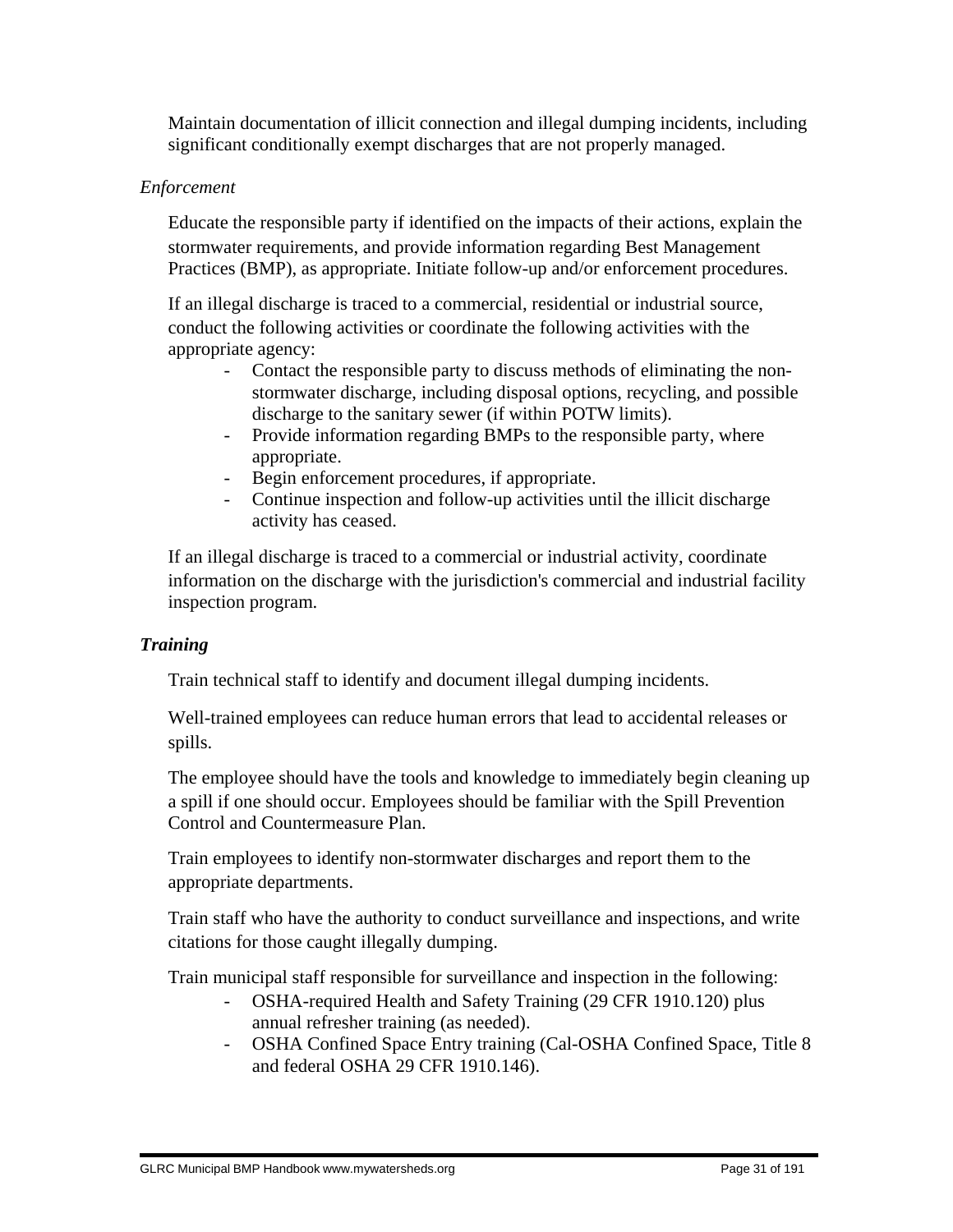Maintain documentation of illicit connection and illegal dumping incidents, including significant conditionally exempt discharges that are not properly managed.

## *Enforcement*

 Educate the responsible party if identified on the impacts of their actions, explain the stormwater requirements, and provide information regarding Best Management Practices (BMP), as appropriate. Initiate follow-up and/or enforcement procedures.

 If an illegal discharge is traced to a commercial, residential or industrial source, conduct the following activities or coordinate the following activities with the appropriate agency:

- Contact the responsible party to discuss methods of eliminating the nonstormwater discharge, including disposal options, recycling, and possible discharge to the sanitary sewer (if within POTW limits).
- Provide information regarding BMPs to the responsible party, where appropriate.
- Begin enforcement procedures, if appropriate.
- Continue inspection and follow-up activities until the illicit discharge activity has ceased.

 If an illegal discharge is traced to a commercial or industrial activity, coordinate information on the discharge with the jurisdiction's commercial and industrial facility inspection program.

## *Training*

Train technical staff to identify and document illegal dumping incidents.

 Well-trained employees can reduce human errors that lead to accidental releases or spills.

 The employee should have the tools and knowledge to immediately begin cleaning up a spill if one should occur. Employees should be familiar with the Spill Prevention Control and Countermeasure Plan.

 Train employees to identify non-stormwater discharges and report them to the appropriate departments.

 Train staff who have the authority to conduct surveillance and inspections, and write citations for those caught illegally dumping.

Train municipal staff responsible for surveillance and inspection in the following:

- OSHA-required Health and Safety Training (29 CFR 1910.120) plus annual refresher training (as needed).
- OSHA Confined Space Entry training (Cal-OSHA Confined Space, Title 8 and federal OSHA 29 CFR 1910.146).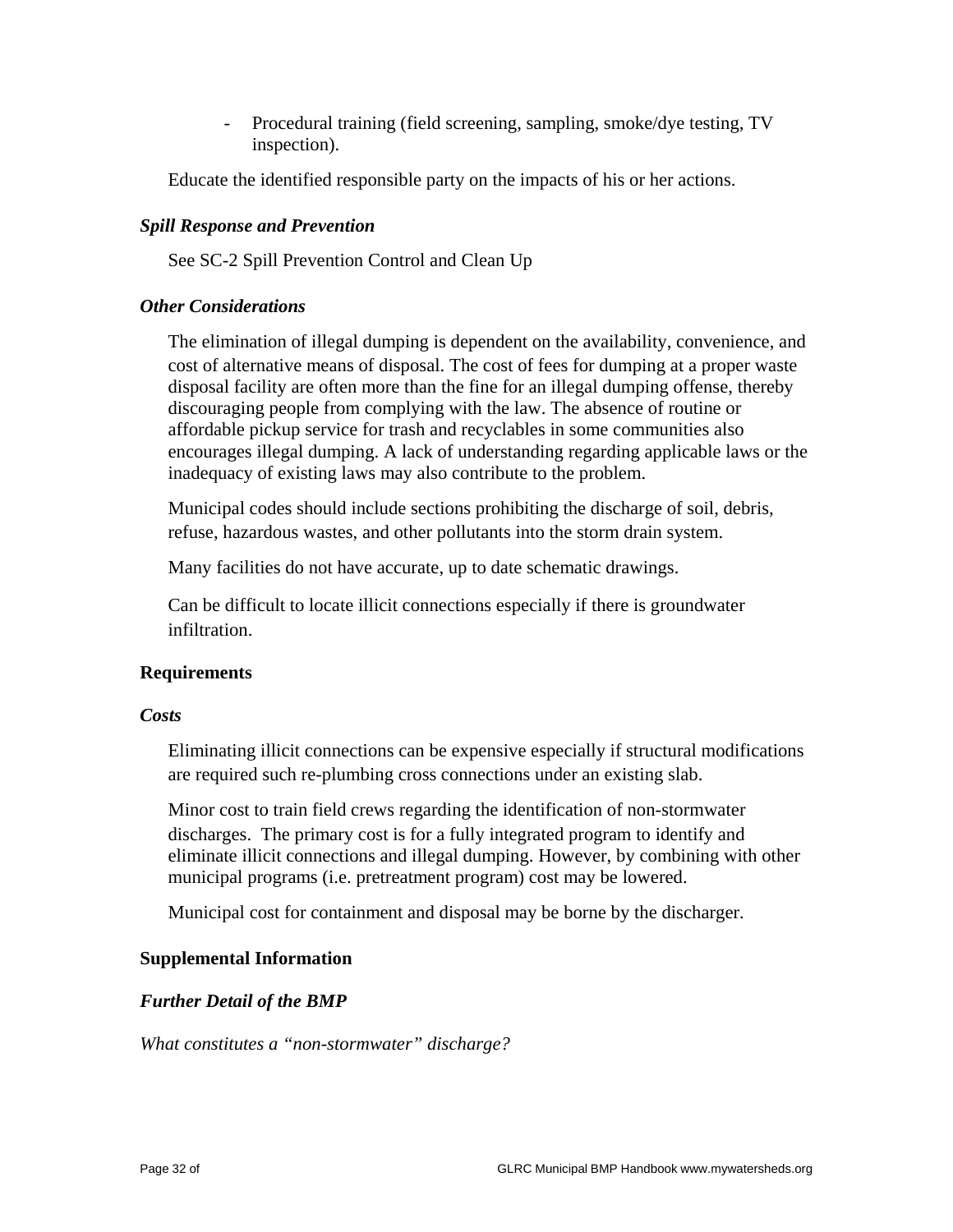- Procedural training (field screening, sampling, smoke/dye testing, TV inspection).

Educate the identified responsible party on the impacts of his or her actions.

## *Spill Response and Prevention*

See SC-2 Spill Prevention Control and Clean Up

### *Other Considerations*

 The elimination of illegal dumping is dependent on the availability, convenience, and cost of alternative means of disposal. The cost of fees for dumping at a proper waste disposal facility are often more than the fine for an illegal dumping offense, thereby discouraging people from complying with the law. The absence of routine or affordable pickup service for trash and recyclables in some communities also encourages illegal dumping. A lack of understanding regarding applicable laws or the inadequacy of existing laws may also contribute to the problem.

 Municipal codes should include sections prohibiting the discharge of soil, debris, refuse, hazardous wastes, and other pollutants into the storm drain system.

Many facilities do not have accurate, up to date schematic drawings.

 Can be difficult to locate illicit connections especially if there is groundwater infiltration.

## **Requirements**

#### *Costs*

 Eliminating illicit connections can be expensive especially if structural modifications are required such re-plumbing cross connections under an existing slab.

 Minor cost to train field crews regarding the identification of non-stormwater discharges. The primary cost is for a fully integrated program to identify and eliminate illicit connections and illegal dumping. However, by combining with other municipal programs (i.e. pretreatment program) cost may be lowered.

Municipal cost for containment and disposal may be borne by the discharger.

## **Supplemental Information**

## *Further Detail of the BMP*

*What constitutes a "non-stormwater" discharge?*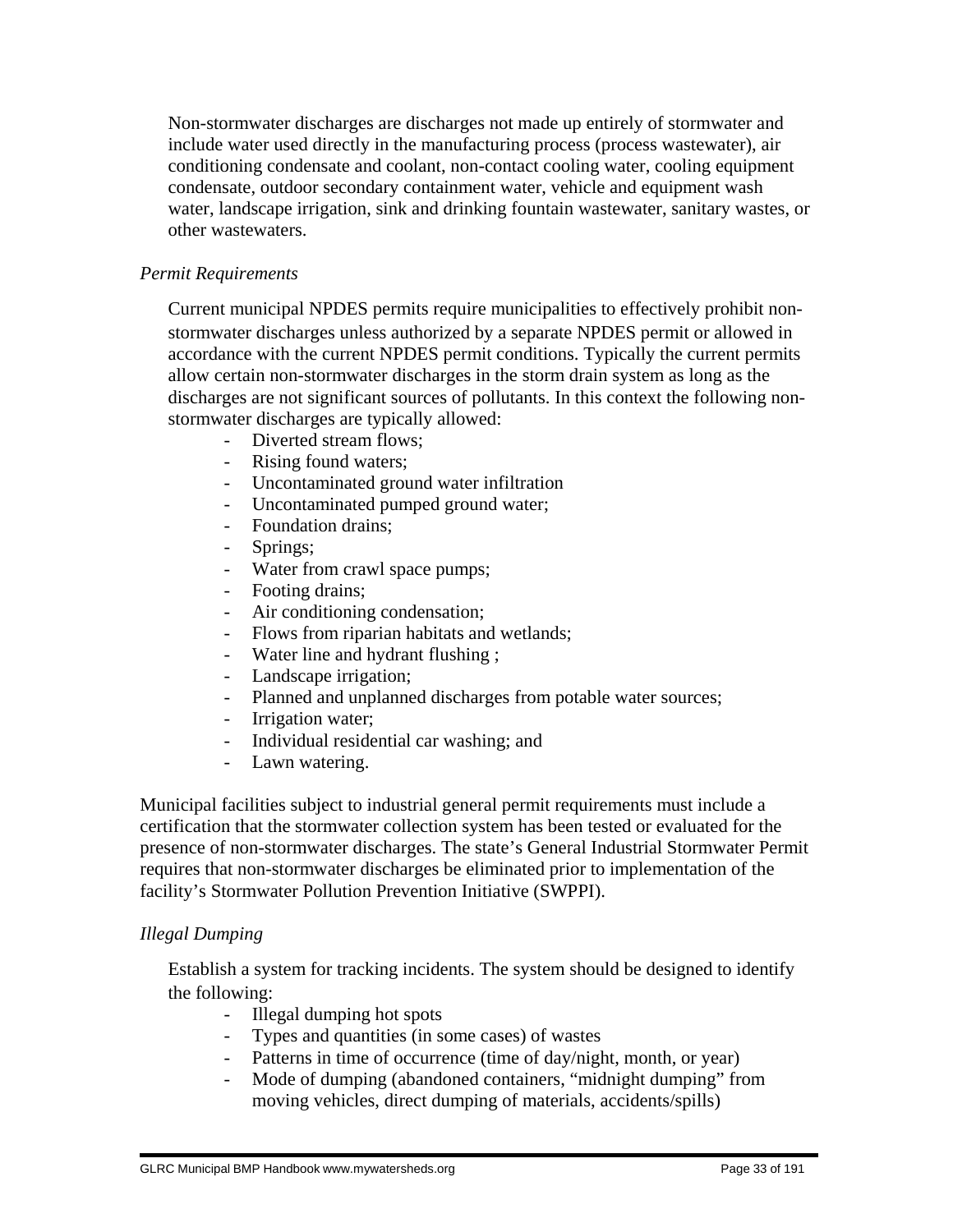Non-stormwater discharges are discharges not made up entirely of stormwater and include water used directly in the manufacturing process (process wastewater), air conditioning condensate and coolant, non-contact cooling water, cooling equipment condensate, outdoor secondary containment water, vehicle and equipment wash water, landscape irrigation, sink and drinking fountain wastewater, sanitary wastes, or other wastewaters.

# *Permit Requirements*

 Current municipal NPDES permits require municipalities to effectively prohibit nonstormwater discharges unless authorized by a separate NPDES permit or allowed in accordance with the current NPDES permit conditions. Typically the current permits allow certain non-stormwater discharges in the storm drain system as long as the discharges are not significant sources of pollutants. In this context the following nonstormwater discharges are typically allowed:

- Diverted stream flows;
- Rising found waters;
- Uncontaminated ground water infiltration
- Uncontaminated pumped ground water;
- Foundation drains;
- Springs;
- Water from crawl space pumps;
- Footing drains;
- Air conditioning condensation;
- Flows from riparian habitats and wetlands;
- Water line and hydrant flushing ;
- Landscape irrigation;
- Planned and unplanned discharges from potable water sources;
- Irrigation water;
- Individual residential car washing; and
- Lawn watering.

Municipal facilities subject to industrial general permit requirements must include a certification that the stormwater collection system has been tested or evaluated for the presence of non-stormwater discharges. The state's General Industrial Stormwater Permit requires that non-stormwater discharges be eliminated prior to implementation of the facility's Stormwater Pollution Prevention Initiative (SWPPI).

## *Illegal Dumping*

 Establish a system for tracking incidents. The system should be designed to identify the following:

- Illegal dumping hot spots
- Types and quantities (in some cases) of wastes
- Patterns in time of occurrence (time of day/night, month, or year)
- Mode of dumping (abandoned containers, "midnight dumping" from moving vehicles, direct dumping of materials, accidents/spills)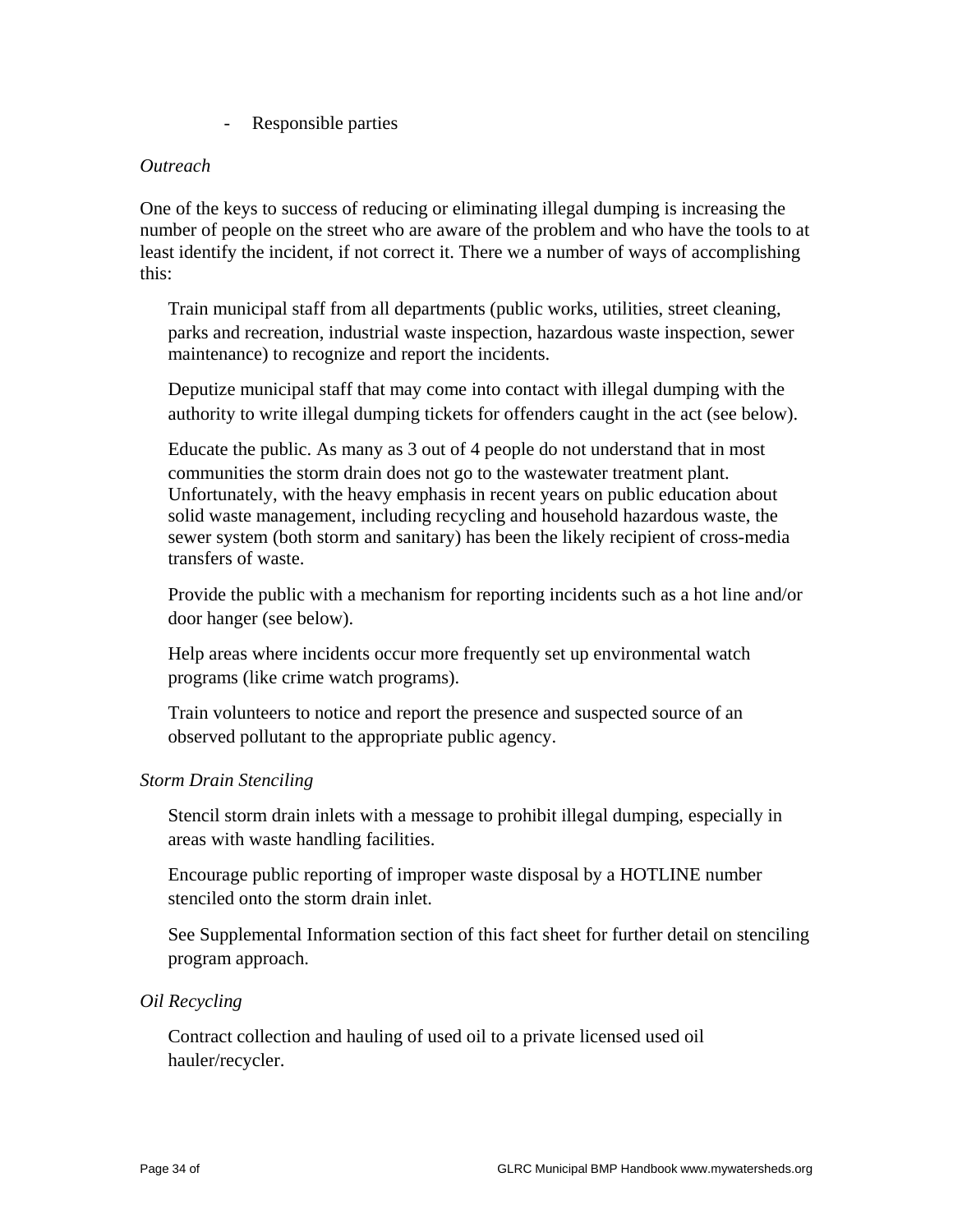- Responsible parties

#### *Outreach*

One of the keys to success of reducing or eliminating illegal dumping is increasing the number of people on the street who are aware of the problem and who have the tools to at least identify the incident, if not correct it. There we a number of ways of accomplishing this:

 Train municipal staff from all departments (public works, utilities, street cleaning, parks and recreation, industrial waste inspection, hazardous waste inspection, sewer maintenance) to recognize and report the incidents.

 Deputize municipal staff that may come into contact with illegal dumping with the authority to write illegal dumping tickets for offenders caught in the act (see below).

 Educate the public. As many as 3 out of 4 people do not understand that in most communities the storm drain does not go to the wastewater treatment plant. Unfortunately, with the heavy emphasis in recent years on public education about solid waste management, including recycling and household hazardous waste, the sewer system (both storm and sanitary) has been the likely recipient of cross-media transfers of waste.

 Provide the public with a mechanism for reporting incidents such as a hot line and/or door hanger (see below).

 Help areas where incidents occur more frequently set up environmental watch programs (like crime watch programs).

 Train volunteers to notice and report the presence and suspected source of an observed pollutant to the appropriate public agency.

#### *Storm Drain Stenciling*

 Stencil storm drain inlets with a message to prohibit illegal dumping, especially in areas with waste handling facilities.

 Encourage public reporting of improper waste disposal by a HOTLINE number stenciled onto the storm drain inlet.

 See Supplemental Information section of this fact sheet for further detail on stenciling program approach.

#### *Oil Recycling*

 Contract collection and hauling of used oil to a private licensed used oil hauler/recycler.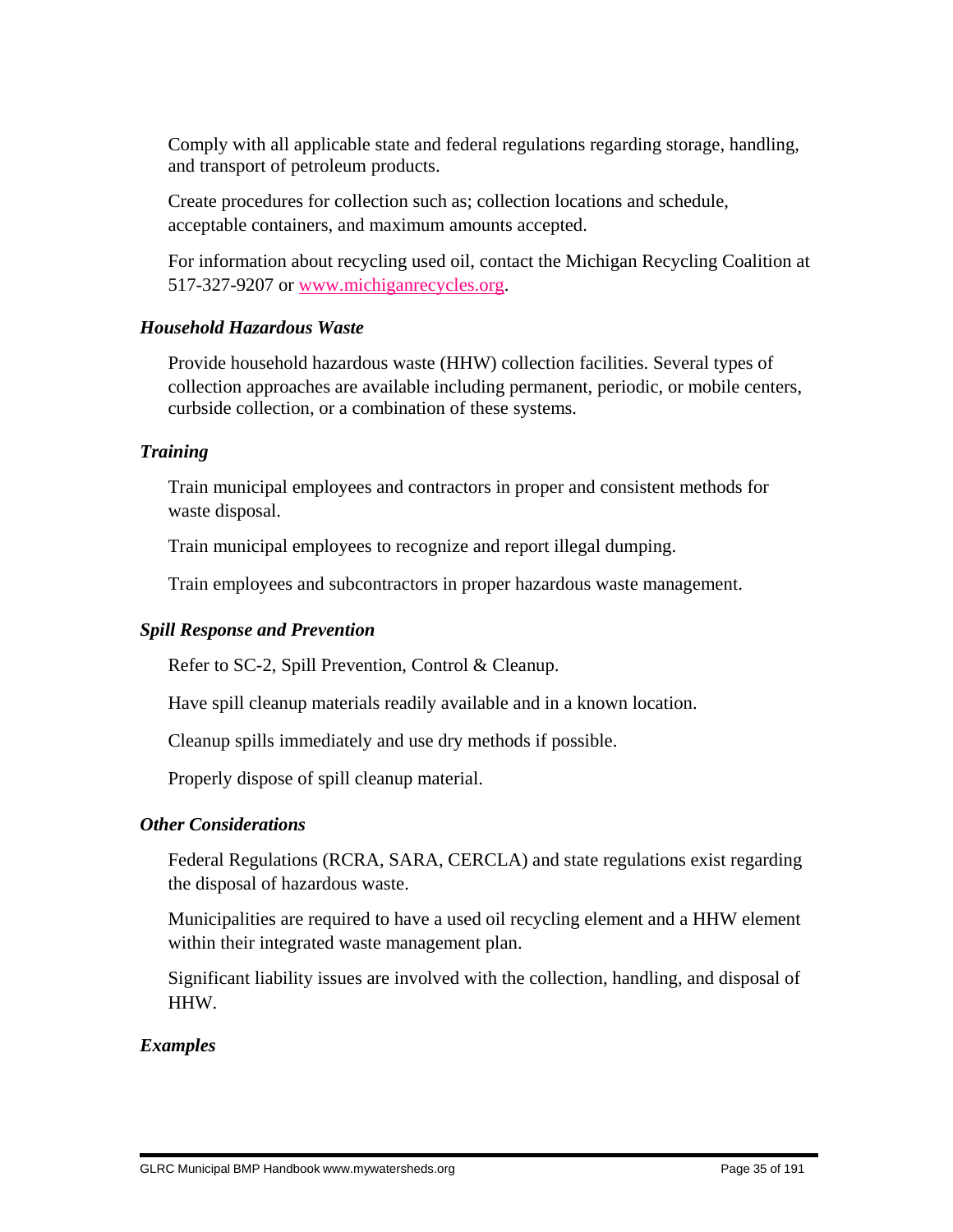Comply with all applicable state and federal regulations regarding storage, handling, and transport of petroleum products.

 Create procedures for collection such as; collection locations and schedule, acceptable containers, and maximum amounts accepted.

 For information about recycling used oil, contact the Michigan Recycling Coalition at 517-327-9207 or www.michiganrecycles.org.

# *Household Hazardous Waste*

 Provide household hazardous waste (HHW) collection facilities. Several types of collection approaches are available including permanent, periodic, or mobile centers, curbside collection, or a combination of these systems.

# *Training*

 Train municipal employees and contractors in proper and consistent methods for waste disposal.

Train municipal employees to recognize and report illegal dumping.

Train employees and subcontractors in proper hazardous waste management.

# *Spill Response and Prevention*

Refer to SC-2, Spill Prevention, Control & Cleanup.

Have spill cleanup materials readily available and in a known location.

Cleanup spills immediately and use dry methods if possible.

Properly dispose of spill cleanup material.

## *Other Considerations*

 Federal Regulations (RCRA, SARA, CERCLA) and state regulations exist regarding the disposal of hazardous waste.

 Municipalities are required to have a used oil recycling element and a HHW element within their integrated waste management plan.

 Significant liability issues are involved with the collection, handling, and disposal of HHW.

# *Examples*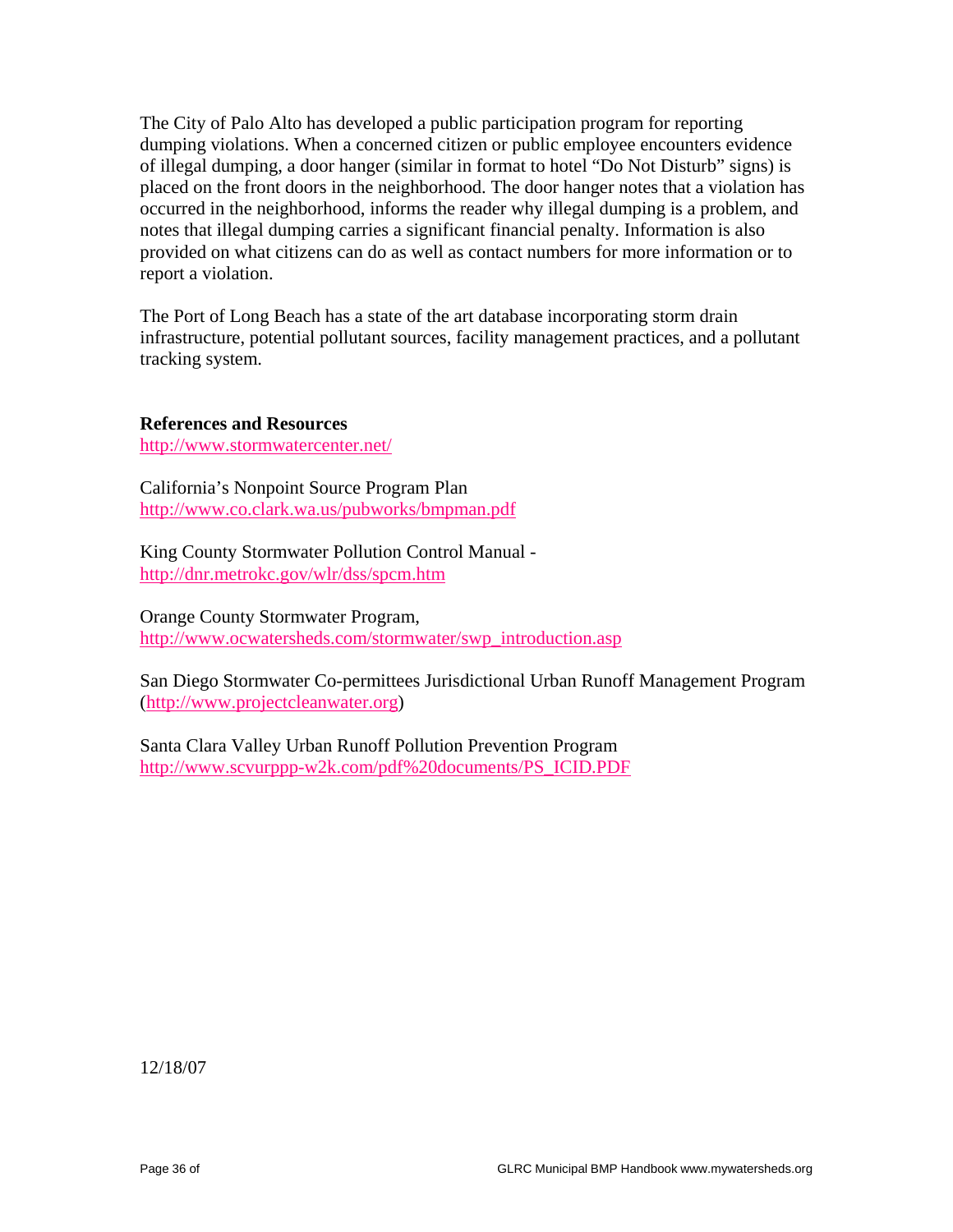The City of Palo Alto has developed a public participation program for reporting dumping violations. When a concerned citizen or public employee encounters evidence of illegal dumping, a door hanger (similar in format to hotel "Do Not Disturb" signs) is placed on the front doors in the neighborhood. The door hanger notes that a violation has occurred in the neighborhood, informs the reader why illegal dumping is a problem, and notes that illegal dumping carries a significant financial penalty. Information is also provided on what citizens can do as well as contact numbers for more information or to report a violation.

The Port of Long Beach has a state of the art database incorporating storm drain infrastructure, potential pollutant sources, facility management practices, and a pollutant tracking system.

**References and Resources**

http://www.stormwatercenter.net/

California's Nonpoint Source Program Plan http://www.co.clark.wa.us/pubworks/bmpman.pdf

King County Stormwater Pollution Control Manual http://dnr.metrokc.gov/wlr/dss/spcm.htm

Orange County Stormwater Program, http://www.ocwatersheds.com/stormwater/swp\_introduction.asp

San Diego Stormwater Co-permittees Jurisdictional Urban Runoff Management Program (http://www.projectcleanwater.org)

Santa Clara Valley Urban Runoff Pollution Prevention Program http://www.scvurppp-w2k.com/pdf%20documents/PS\_ICID.PDF

12/18/07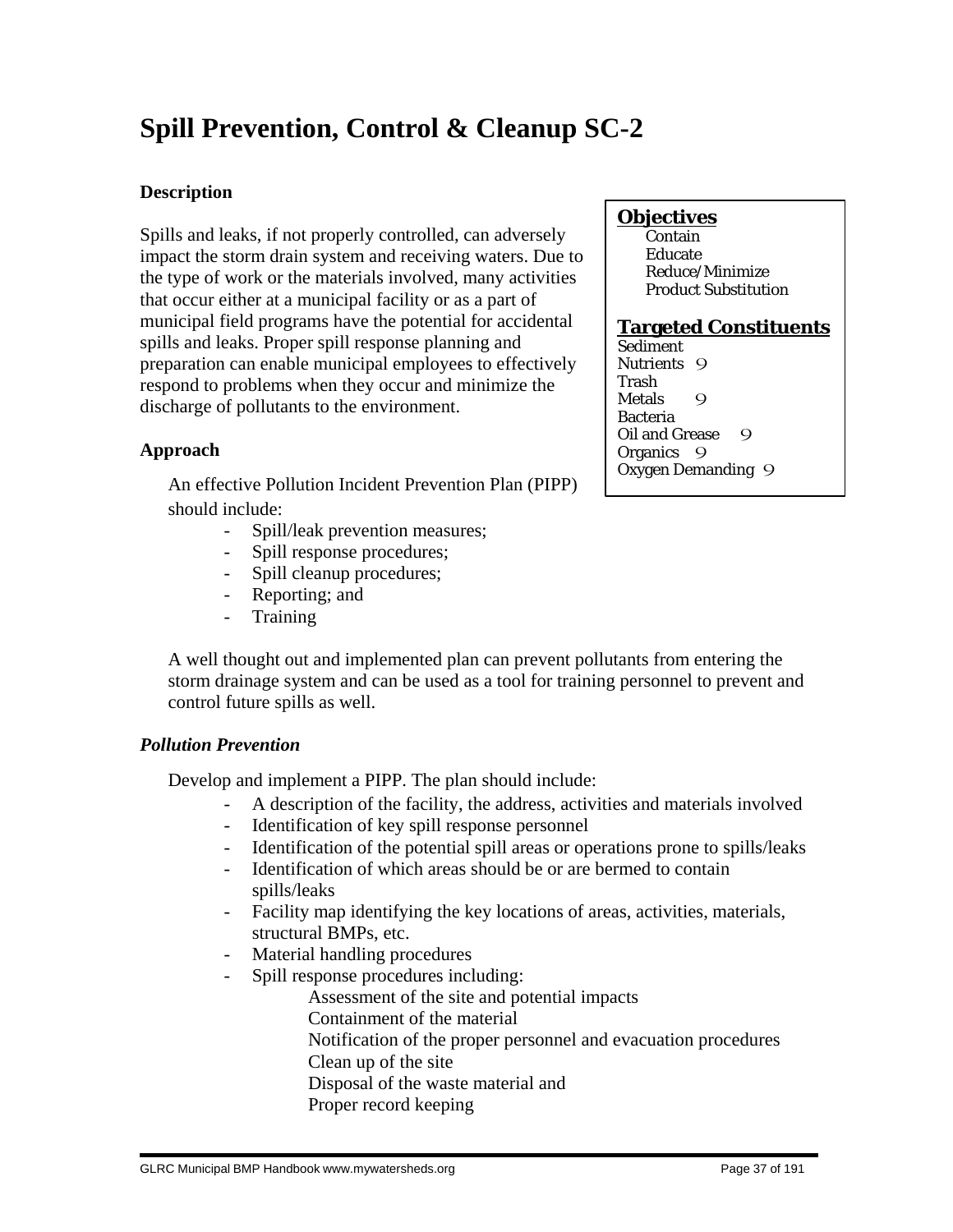# **Spill Prevention, Control & Cleanup SC-2**

# **Description**

Spills and leaks, if not properly controlled, can adversely impact the storm drain system and receiving waters. Due to the type of work or the materials involved, many activities that occur either at a municipal facility or as a part of municipal field programs have the potential for accidental spills and leaks. Proper spill response planning and preparation can enable municipal employees to effectively respond to problems when they occur and minimize the discharge of pollutants to the environment.

# **Approach**

 An effective Pollution Incident Prevention Plan (PIPP) should include:

- Spill/leak prevention measures;
- Spill response procedures;
- Spill cleanup procedures;
- Reporting; and
- Training

 A well thought out and implemented plan can prevent pollutants from entering the storm drainage system and can be used as a tool for training personnel to prevent and control future spills as well.

# *Pollution Prevention*

Develop and implement a PIPP. The plan should include:

- A description of the facility, the address, activities and materials involved
- Identification of key spill response personnel
- Identification of the potential spill areas or operations prone to spills/leaks
- Identification of which areas should be or are bermed to contain spills/leaks
- Facility map identifying the key locations of areas, activities, materials, structural BMPs, etc.
- Material handling procedures
- Spill response procedures including:

Assessment of the site and potential impacts

- Containment of the material
- Notification of the proper personnel and evacuation procedures
- Clean up of the site
- Disposal of the waste material and
- Proper record keeping

# **Objectives**

**Contain**  Educate Reduce/Minimize Product Substitution

# **Targeted Constituents**

Sediment Nutrients 9 Trash Metals 9 Bacteria Oil and Grease 9 Organics 9 Oxygen Demanding 9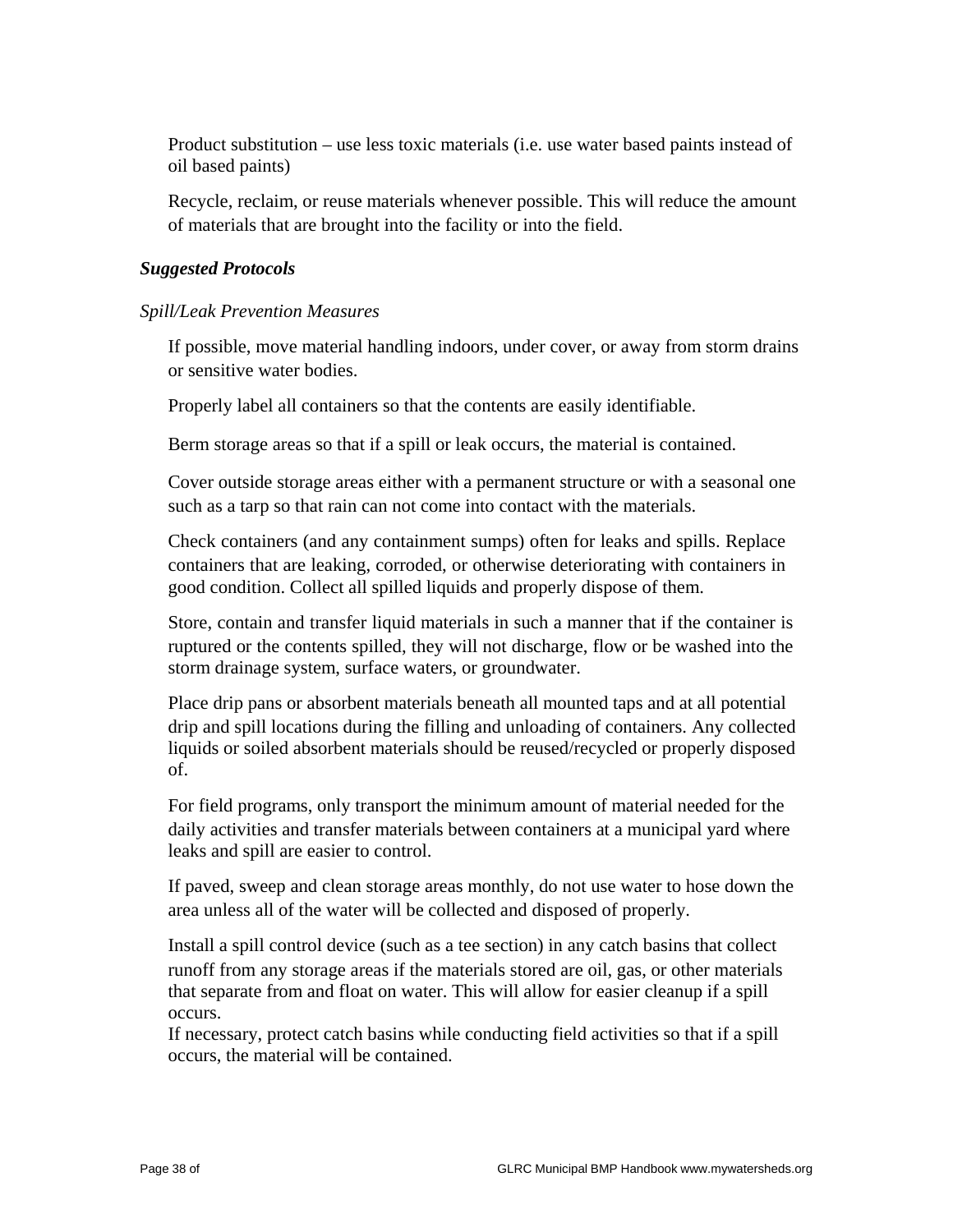Product substitution – use less toxic materials (i.e. use water based paints instead of oil based paints)

 Recycle, reclaim, or reuse materials whenever possible. This will reduce the amount of materials that are brought into the facility or into the field.

## *Suggested Protocols*

*Spill/Leak Prevention Measures*

 If possible, move material handling indoors, under cover, or away from storm drains or sensitive water bodies.

Properly label all containers so that the contents are easily identifiable.

Berm storage areas so that if a spill or leak occurs, the material is contained.

 Cover outside storage areas either with a permanent structure or with a seasonal one such as a tarp so that rain can not come into contact with the materials.

 Check containers (and any containment sumps) often for leaks and spills. Replace containers that are leaking, corroded, or otherwise deteriorating with containers in good condition. Collect all spilled liquids and properly dispose of them.

 Store, contain and transfer liquid materials in such a manner that if the container is ruptured or the contents spilled, they will not discharge, flow or be washed into the storm drainage system, surface waters, or groundwater.

 Place drip pans or absorbent materials beneath all mounted taps and at all potential drip and spill locations during the filling and unloading of containers. Any collected liquids or soiled absorbent materials should be reused/recycled or properly disposed of.

 For field programs, only transport the minimum amount of material needed for the daily activities and transfer materials between containers at a municipal yard where leaks and spill are easier to control.

 If paved, sweep and clean storage areas monthly, do not use water to hose down the area unless all of the water will be collected and disposed of properly.

 Install a spill control device (such as a tee section) in any catch basins that collect runoff from any storage areas if the materials stored are oil, gas, or other materials that separate from and float on water. This will allow for easier cleanup if a spill occurs.

 If necessary, protect catch basins while conducting field activities so that if a spill occurs, the material will be contained.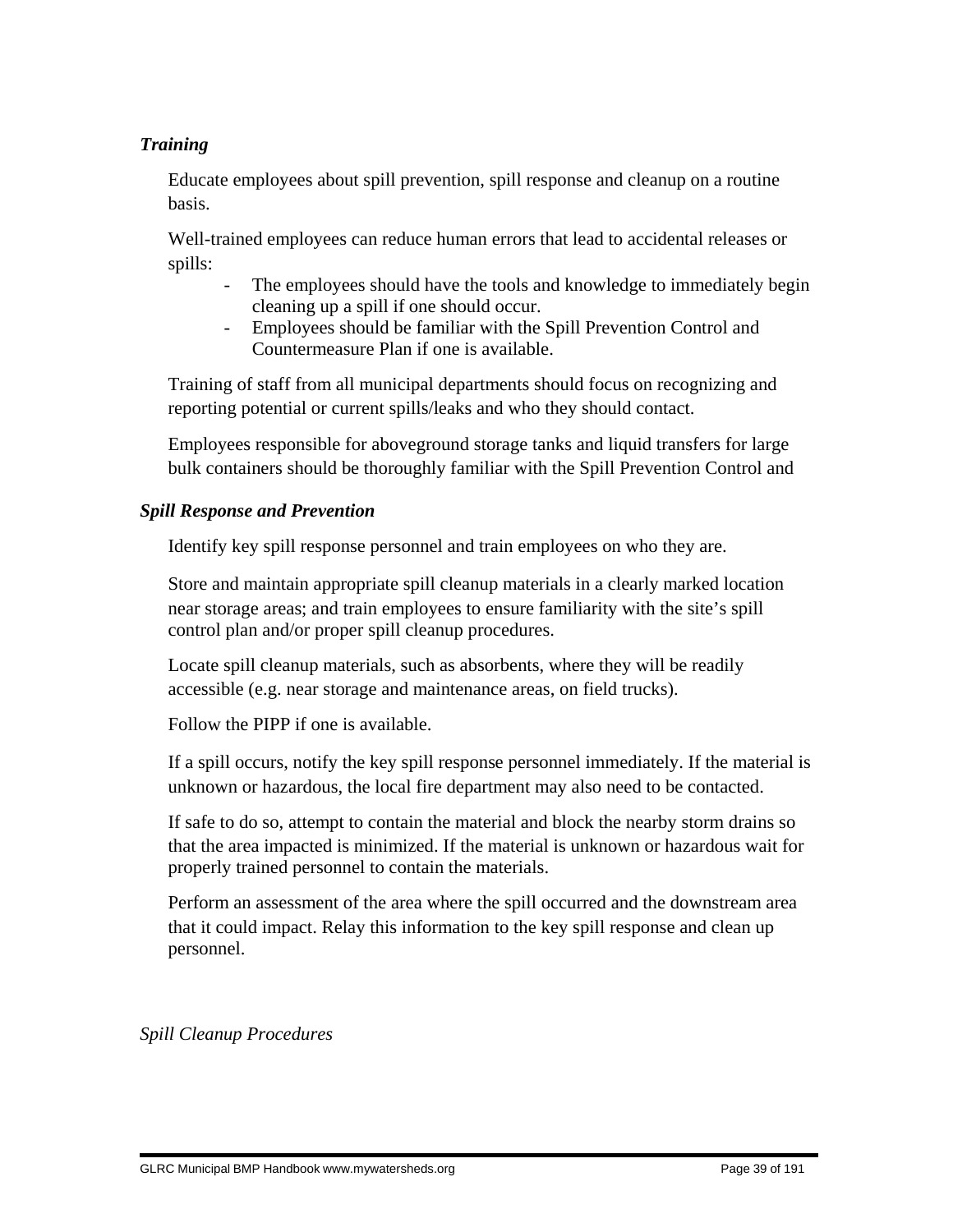# *Training*

 Educate employees about spill prevention, spill response and cleanup on a routine basis.

 Well-trained employees can reduce human errors that lead to accidental releases or spills:

- The employees should have the tools and knowledge to immediately begin cleaning up a spill if one should occur.
- Employees should be familiar with the Spill Prevention Control and Countermeasure Plan if one is available.

 Training of staff from all municipal departments should focus on recognizing and reporting potential or current spills/leaks and who they should contact.

 Employees responsible for aboveground storage tanks and liquid transfers for large bulk containers should be thoroughly familiar with the Spill Prevention Control and

# *Spill Response and Prevention*

Identify key spill response personnel and train employees on who they are.

 Store and maintain appropriate spill cleanup materials in a clearly marked location near storage areas; and train employees to ensure familiarity with the site's spill control plan and/or proper spill cleanup procedures.

 Locate spill cleanup materials, such as absorbents, where they will be readily accessible (e.g. near storage and maintenance areas, on field trucks).

Follow the PIPP if one is available.

 If a spill occurs, notify the key spill response personnel immediately. If the material is unknown or hazardous, the local fire department may also need to be contacted.

 If safe to do so, attempt to contain the material and block the nearby storm drains so that the area impacted is minimized. If the material is unknown or hazardous wait for properly trained personnel to contain the materials.

 Perform an assessment of the area where the spill occurred and the downstream area that it could impact. Relay this information to the key spill response and clean up personnel.

*Spill Cleanup Procedures*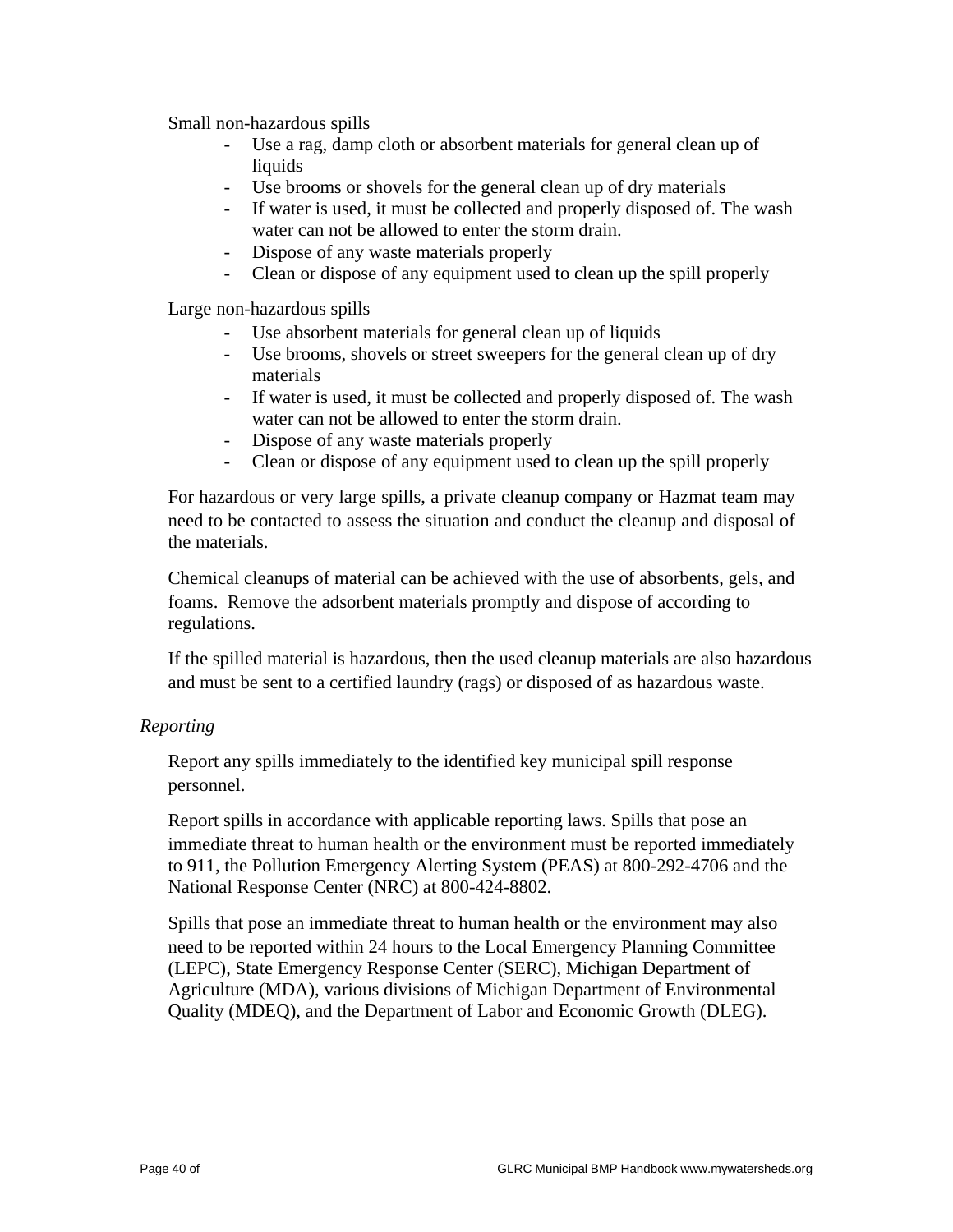Small non-hazardous spills

- Use a rag, damp cloth or absorbent materials for general clean up of liquids
- Use brooms or shovels for the general clean up of dry materials
- If water is used, it must be collected and properly disposed of. The wash water can not be allowed to enter the storm drain.
- Dispose of any waste materials properly
- Clean or dispose of any equipment used to clean up the spill properly

Large non-hazardous spills

- Use absorbent materials for general clean up of liquids
- Use brooms, shovels or street sweepers for the general clean up of dry materials
- If water is used, it must be collected and properly disposed of. The wash water can not be allowed to enter the storm drain.
- Dispose of any waste materials properly
- Clean or dispose of any equipment used to clean up the spill properly

 For hazardous or very large spills, a private cleanup company or Hazmat team may need to be contacted to assess the situation and conduct the cleanup and disposal of the materials.

 Chemical cleanups of material can be achieved with the use of absorbents, gels, and foams. Remove the adsorbent materials promptly and dispose of according to regulations.

 If the spilled material is hazardous, then the used cleanup materials are also hazardous and must be sent to a certified laundry (rags) or disposed of as hazardous waste.

## *Reporting*

 Report any spills immediately to the identified key municipal spill response personnel.

 Report spills in accordance with applicable reporting laws. Spills that pose an immediate threat to human health or the environment must be reported immediately to 911, the Pollution Emergency Alerting System (PEAS) at 800-292-4706 and the National Response Center (NRC) at 800-424-8802.

 Spills that pose an immediate threat to human health or the environment may also need to be reported within 24 hours to the Local Emergency Planning Committee (LEPC), State Emergency Response Center (SERC), Michigan Department of Agriculture (MDA), various divisions of Michigan Department of Environmental Quality (MDEQ), and the Department of Labor and Economic Growth (DLEG).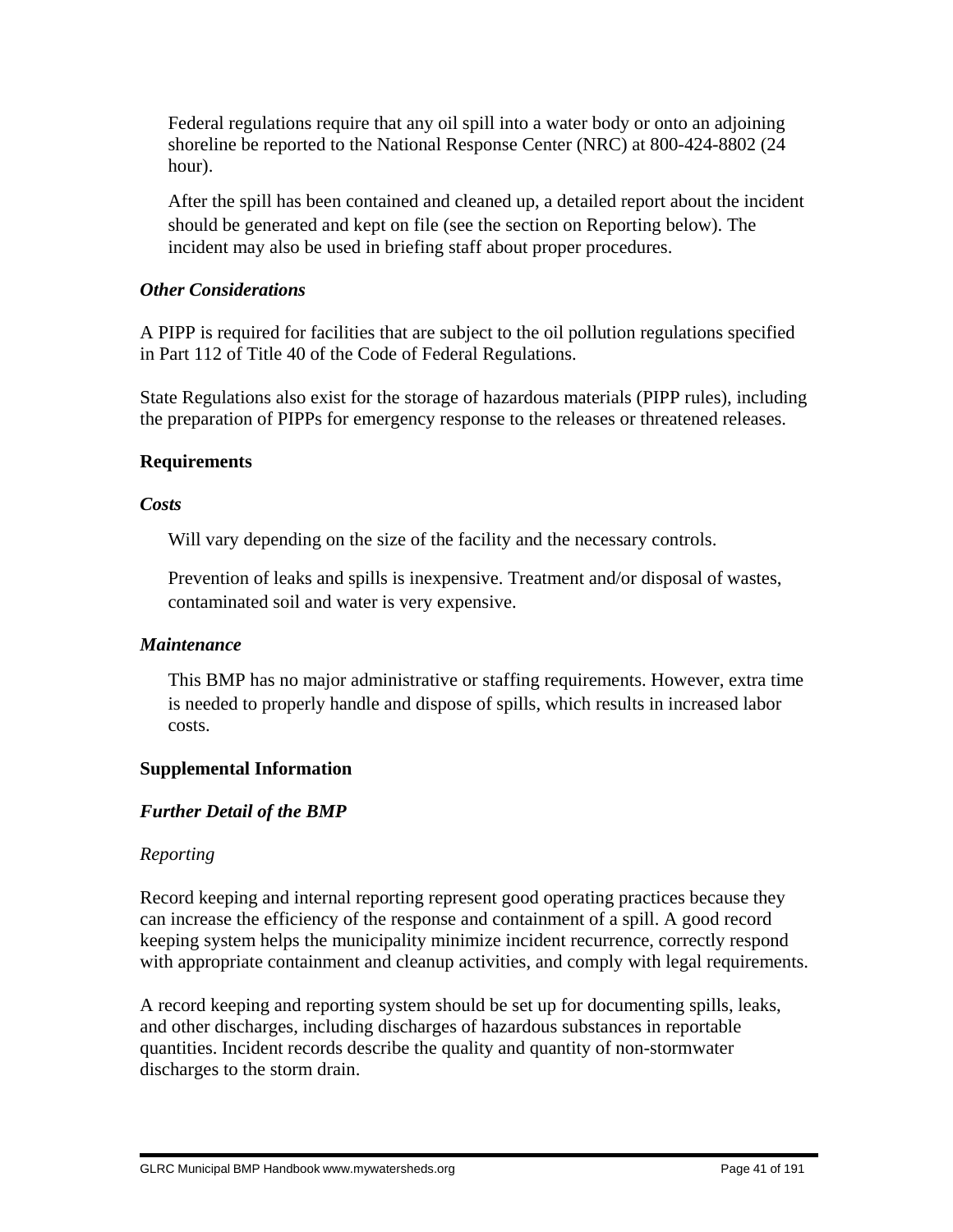Federal regulations require that any oil spill into a water body or onto an adjoining shoreline be reported to the National Response Center (NRC) at 800-424-8802 (24 hour).

 After the spill has been contained and cleaned up, a detailed report about the incident should be generated and kept on file (see the section on Reporting below). The incident may also be used in briefing staff about proper procedures.

# *Other Considerations*

A PIPP is required for facilities that are subject to the oil pollution regulations specified in Part 112 of Title 40 of the Code of Federal Regulations.

State Regulations also exist for the storage of hazardous materials (PIPP rules), including the preparation of PIPPs for emergency response to the releases or threatened releases.

# **Requirements**

# *Costs*

Will vary depending on the size of the facility and the necessary controls.

 Prevention of leaks and spills is inexpensive. Treatment and/or disposal of wastes, contaminated soil and water is very expensive.

# *Maintenance*

 This BMP has no major administrative or staffing requirements. However, extra time is needed to properly handle and dispose of spills, which results in increased labor costs.

# **Supplemental Information**

# *Further Detail of the BMP*

# *Reporting*

Record keeping and internal reporting represent good operating practices because they can increase the efficiency of the response and containment of a spill. A good record keeping system helps the municipality minimize incident recurrence, correctly respond with appropriate containment and cleanup activities, and comply with legal requirements.

A record keeping and reporting system should be set up for documenting spills, leaks, and other discharges, including discharges of hazardous substances in reportable quantities. Incident records describe the quality and quantity of non-stormwater discharges to the storm drain.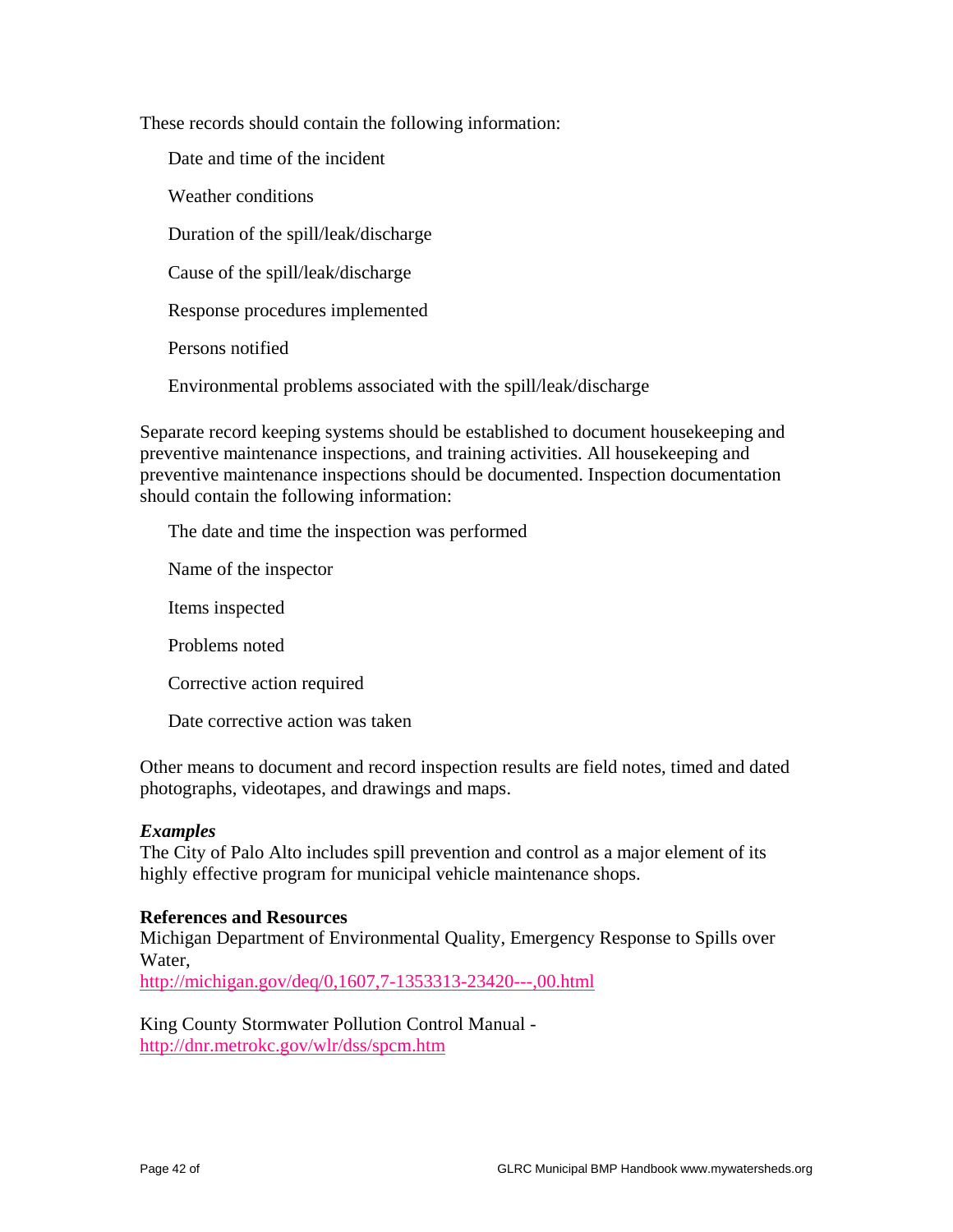These records should contain the following information:

Date and time of the incident

Weather conditions

Duration of the spill/leak/discharge

Cause of the spill/leak/discharge

Response procedures implemented

Persons notified

Environmental problems associated with the spill/leak/discharge

Separate record keeping systems should be established to document housekeeping and preventive maintenance inspections, and training activities. All housekeeping and preventive maintenance inspections should be documented. Inspection documentation should contain the following information:

The date and time the inspection was performed

Name of the inspector

Items inspected

Problems noted

Corrective action required

Date corrective action was taken

Other means to document and record inspection results are field notes, timed and dated photographs, videotapes, and drawings and maps.

## *Examples*

The City of Palo Alto includes spill prevention and control as a major element of its highly effective program for municipal vehicle maintenance shops.

## **References and Resources**

Michigan Department of Environmental Quality, Emergency Response to Spills over Water,

http://michigan.gov/deq/0,1607,7-1353313-23420---,00.html

King County Stormwater Pollution Control Manual http://dnr.metrokc.gov/wlr/dss/spcm.htm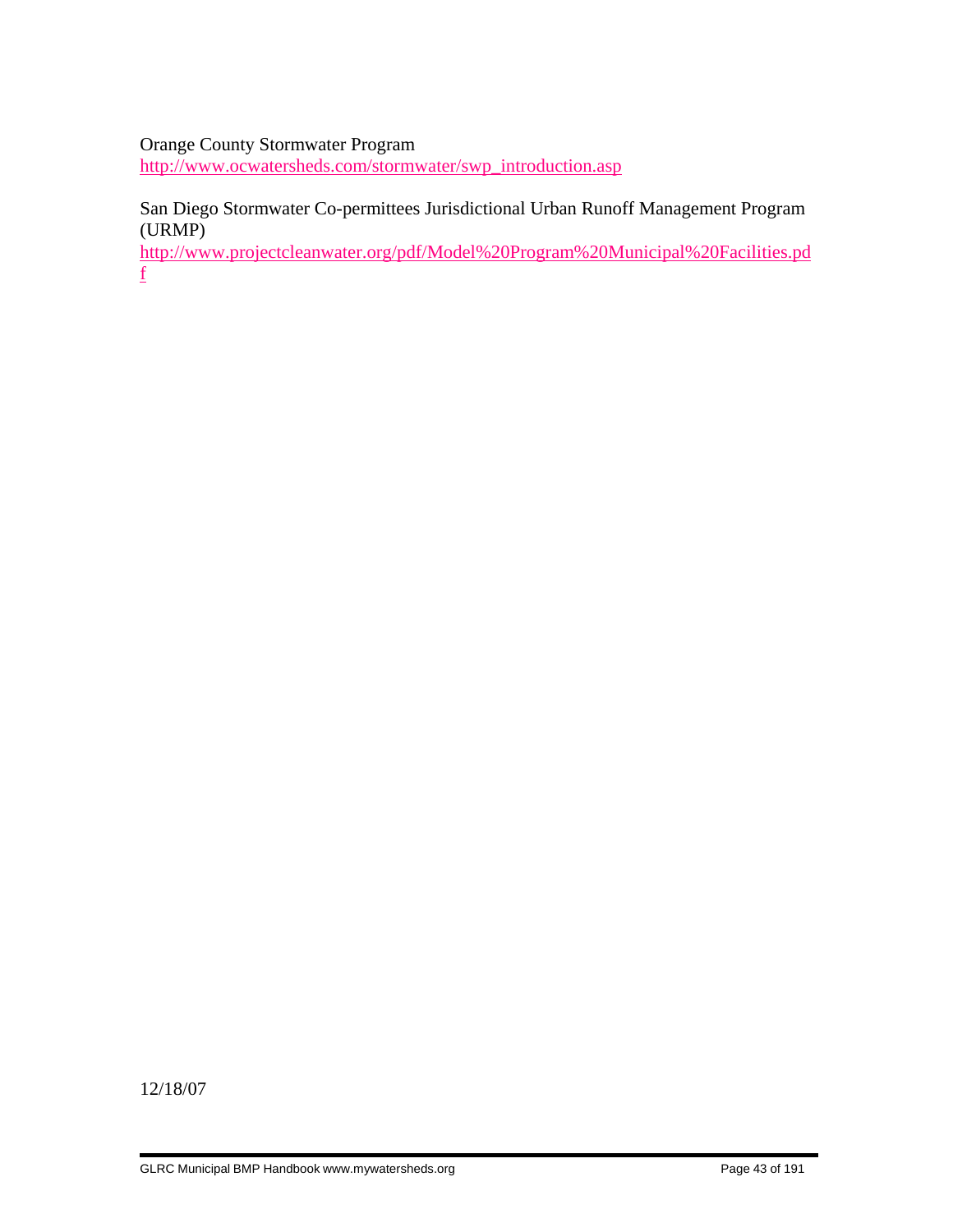## Orange County Stormwater Program

http://www.ocwatersheds.com/stormwater/swp\_introduction.asp

# San Diego Stormwater Co-permittees Jurisdictional Urban Runoff Management Program (URMP)

http://www.projectcleanwater.org/pdf/Model%20Program%20Municipal%20Facilities.pd f

12/18/07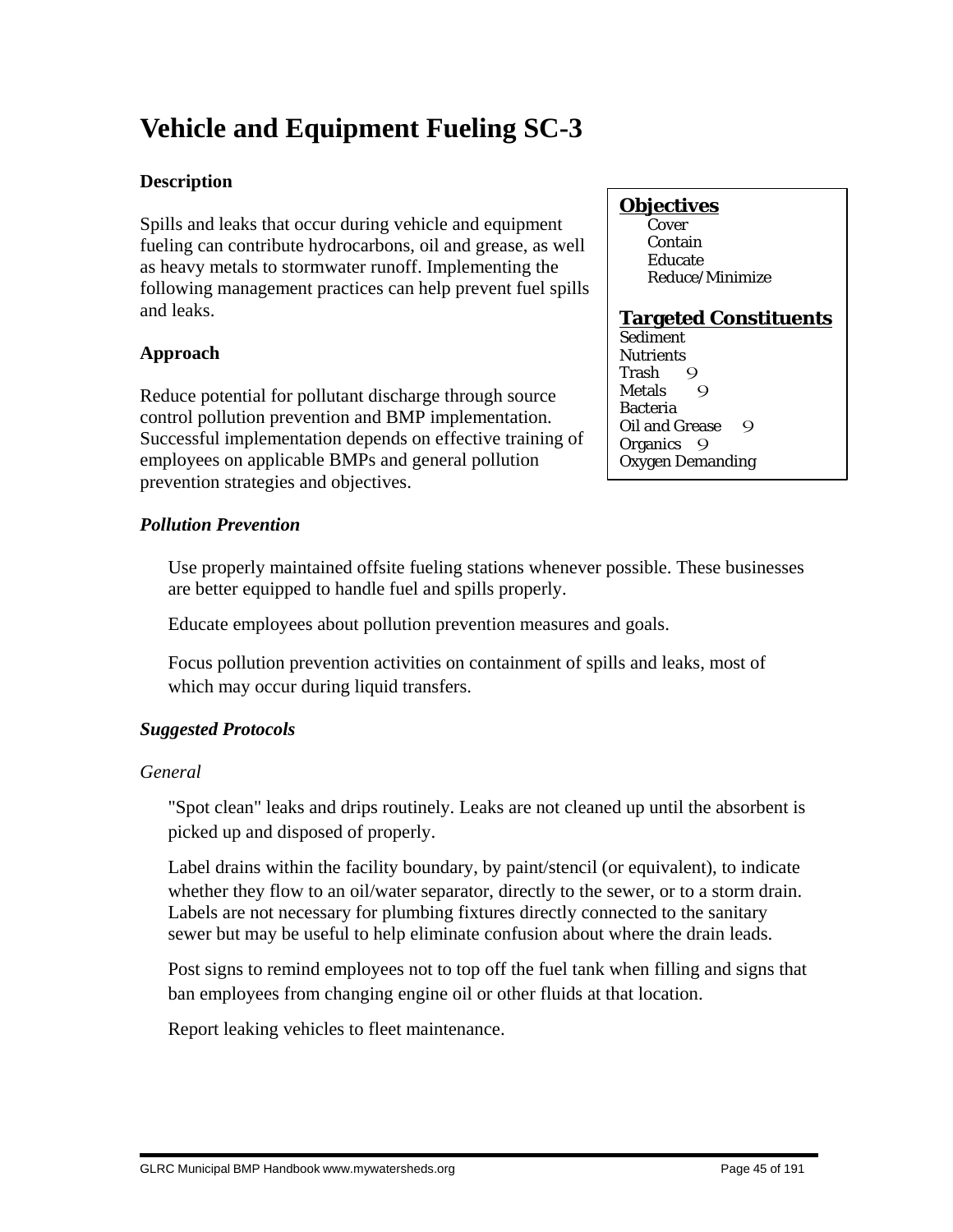# **Vehicle and Equipment Fueling SC-3**

# **Description**

Spills and leaks that occur during vehicle and equipment fueling can contribute hydrocarbons, oil and grease, as well as heavy metals to stormwater runoff. Implementing the following management practices can help prevent fuel spills and leaks.

# **Approach**

Reduce potential for pollutant discharge through source control pollution prevention and BMP implementation. Successful implementation depends on effective training of employees on applicable BMPs and general pollution prevention strategies and objectives.

# *Pollution Prevention*

 Use properly maintained offsite fueling stations whenever possible. These businesses are better equipped to handle fuel and spills properly.

Educate employees about pollution prevention measures and goals.

 Focus pollution prevention activities on containment of spills and leaks, most of which may occur during liquid transfers.

# *Suggested Protocols*

# *General*

 "Spot clean" leaks and drips routinely. Leaks are not cleaned up until the absorbent is picked up and disposed of properly.

 Label drains within the facility boundary, by paint/stencil (or equivalent), to indicate whether they flow to an oil/water separator, directly to the sewer, or to a storm drain. Labels are not necessary for plumbing fixtures directly connected to the sanitary sewer but may be useful to help eliminate confusion about where the drain leads.

 Post signs to remind employees not to top off the fuel tank when filling and signs that ban employees from changing engine oil or other fluids at that location.

Report leaking vehicles to fleet maintenance.

# **Objectives**

**Cover**  Contain Educate Reduce/Minimize

# **Targeted Constituents**

Sediment **Nutrients** Trash Q Metals 9 Bacteria Oil and Grease 9 Organics 9 Oxygen Demanding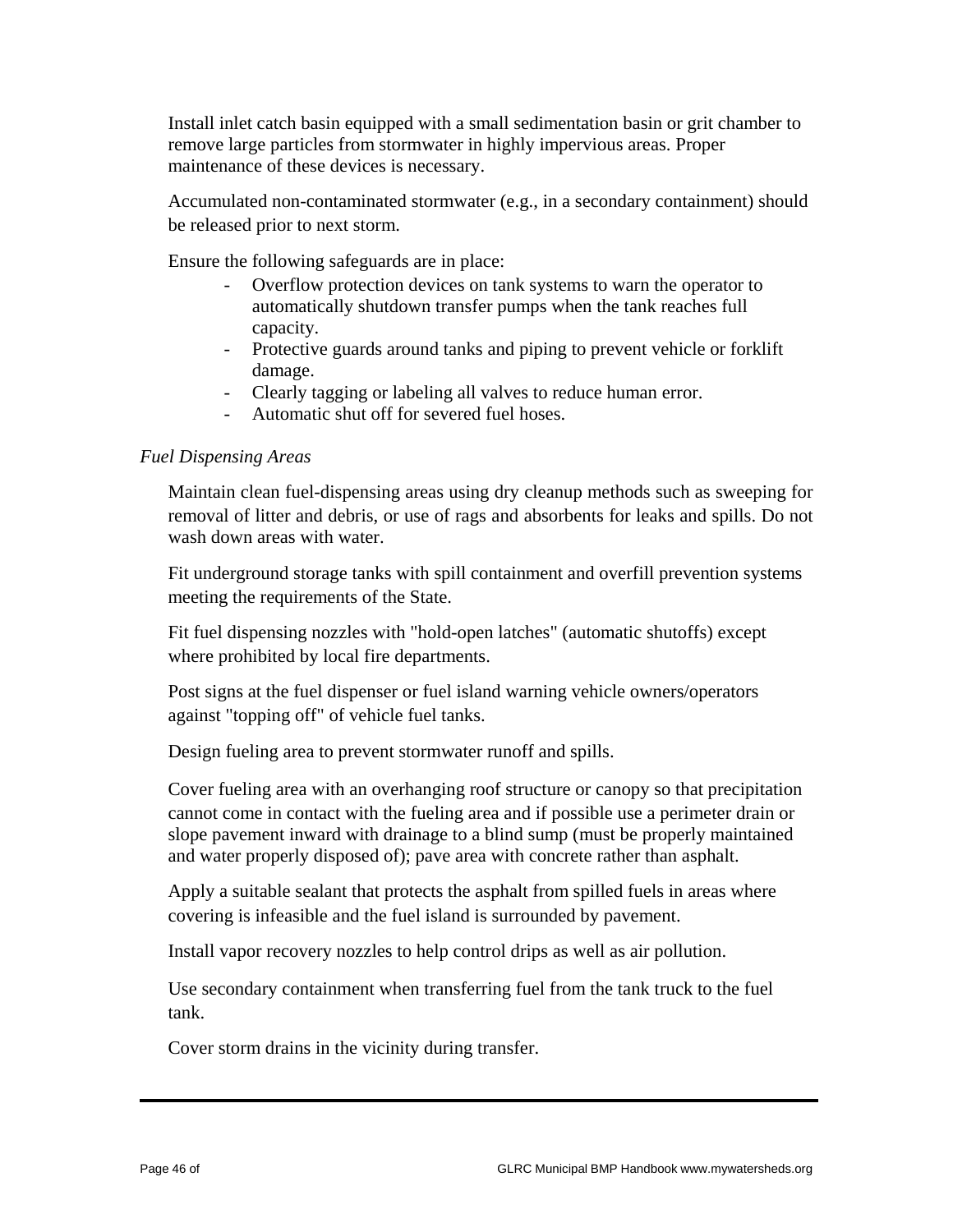Install inlet catch basin equipped with a small sedimentation basin or grit chamber to remove large particles from stormwater in highly impervious areas. Proper maintenance of these devices is necessary.

 Accumulated non-contaminated stormwater (e.g., in a secondary containment) should be released prior to next storm.

Ensure the following safeguards are in place:

- Overflow protection devices on tank systems to warn the operator to automatically shutdown transfer pumps when the tank reaches full capacity.
- Protective guards around tanks and piping to prevent vehicle or forklift damage.
- Clearly tagging or labeling all valves to reduce human error.
- Automatic shut off for severed fuel hoses.

## *Fuel Dispensing Areas*

 Maintain clean fuel-dispensing areas using dry cleanup methods such as sweeping for removal of litter and debris, or use of rags and absorbents for leaks and spills. Do not wash down areas with water.

 Fit underground storage tanks with spill containment and overfill prevention systems meeting the requirements of the State.

 Fit fuel dispensing nozzles with "hold-open latches" (automatic shutoffs) except where prohibited by local fire departments.

 Post signs at the fuel dispenser or fuel island warning vehicle owners/operators against "topping off" of vehicle fuel tanks.

Design fueling area to prevent stormwater runoff and spills.

 Cover fueling area with an overhanging roof structure or canopy so that precipitation cannot come in contact with the fueling area and if possible use a perimeter drain or slope pavement inward with drainage to a blind sump (must be properly maintained and water properly disposed of); pave area with concrete rather than asphalt.

 Apply a suitable sealant that protects the asphalt from spilled fuels in areas where covering is infeasible and the fuel island is surrounded by pavement.

Install vapor recovery nozzles to help control drips as well as air pollution.

 Use secondary containment when transferring fuel from the tank truck to the fuel tank.

Cover storm drains in the vicinity during transfer.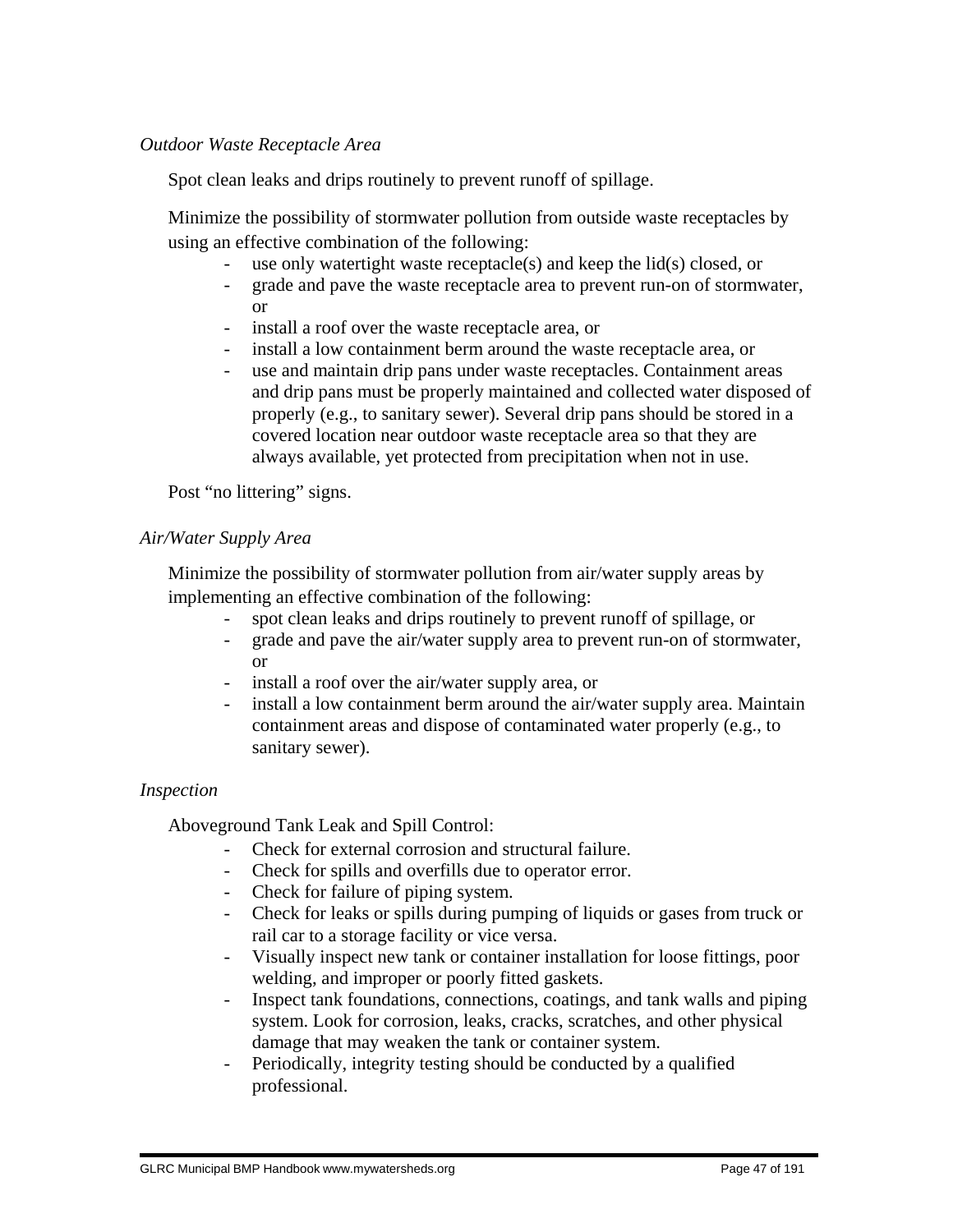## *Outdoor Waste Receptacle Area*

Spot clean leaks and drips routinely to prevent runoff of spillage.

 Minimize the possibility of stormwater pollution from outside waste receptacles by using an effective combination of the following:

- use only watertight waste receptacle(s) and keep the  $\text{lid}(s)$  closed, or
- grade and pave the waste receptacle area to prevent run-on of stormwater, or
- install a roof over the waste receptacle area, or
- install a low containment berm around the waste receptacle area, or
- use and maintain drip pans under waste receptacles. Containment areas and drip pans must be properly maintained and collected water disposed of properly (e.g., to sanitary sewer). Several drip pans should be stored in a covered location near outdoor waste receptacle area so that they are always available, yet protected from precipitation when not in use.

Post "no littering" signs.

## *Air/Water Supply Area*

 Minimize the possibility of stormwater pollution from air/water supply areas by implementing an effective combination of the following:

- spot clean leaks and drips routinely to prevent runoff of spillage, or
- grade and pave the air/water supply area to prevent run-on of stormwater, or
- install a roof over the air/water supply area, or
- install a low containment berm around the air/water supply area. Maintain containment areas and dispose of contaminated water properly (e.g., to sanitary sewer).

## *Inspection*

Aboveground Tank Leak and Spill Control:

- Check for external corrosion and structural failure.
- Check for spills and overfills due to operator error.
- Check for failure of piping system.
- Check for leaks or spills during pumping of liquids or gases from truck or rail car to a storage facility or vice versa.
- Visually inspect new tank or container installation for loose fittings, poor welding, and improper or poorly fitted gaskets.
- Inspect tank foundations, connections, coatings, and tank walls and piping system. Look for corrosion, leaks, cracks, scratches, and other physical damage that may weaken the tank or container system.
- Periodically, integrity testing should be conducted by a qualified professional.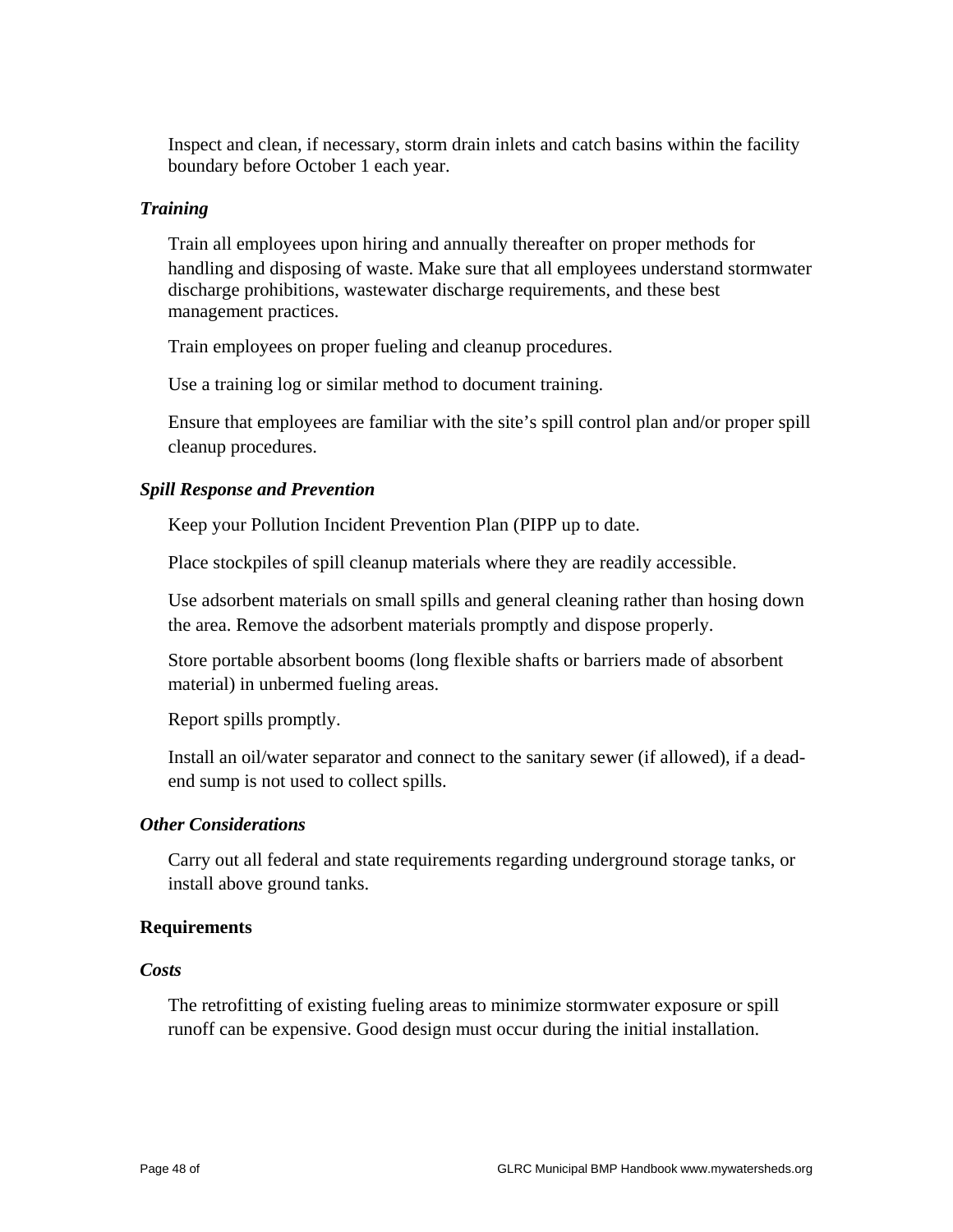Inspect and clean, if necessary, storm drain inlets and catch basins within the facility boundary before October 1 each year.

## *Training*

 Train all employees upon hiring and annually thereafter on proper methods for handling and disposing of waste. Make sure that all employees understand stormwater discharge prohibitions, wastewater discharge requirements, and these best management practices.

Train employees on proper fueling and cleanup procedures.

Use a training log or similar method to document training.

 Ensure that employees are familiar with the site's spill control plan and/or proper spill cleanup procedures.

#### *Spill Response and Prevention*

Keep your Pollution Incident Prevention Plan (PIPP up to date.

Place stockpiles of spill cleanup materials where they are readily accessible.

 Use adsorbent materials on small spills and general cleaning rather than hosing down the area. Remove the adsorbent materials promptly and dispose properly.

 Store portable absorbent booms (long flexible shafts or barriers made of absorbent material) in unbermed fueling areas.

Report spills promptly.

 Install an oil/water separator and connect to the sanitary sewer (if allowed), if a deadend sump is not used to collect spills.

#### *Other Considerations*

 Carry out all federal and state requirements regarding underground storage tanks, or install above ground tanks.

#### **Requirements**

#### *Costs*

 The retrofitting of existing fueling areas to minimize stormwater exposure or spill runoff can be expensive. Good design must occur during the initial installation.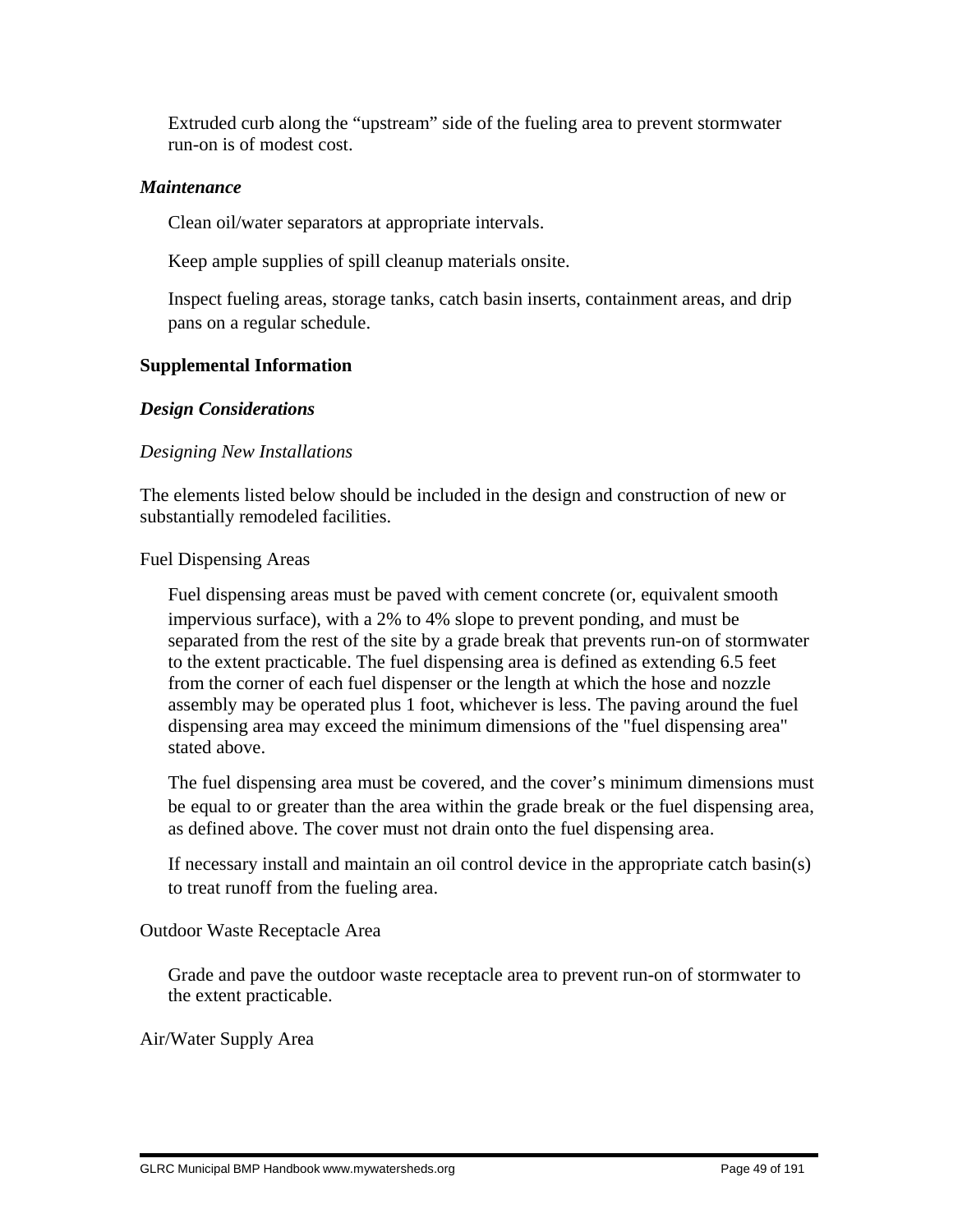Extruded curb along the "upstream" side of the fueling area to prevent stormwater run-on is of modest cost.

## *Maintenance*

Clean oil/water separators at appropriate intervals.

Keep ample supplies of spill cleanup materials onsite.

 Inspect fueling areas, storage tanks, catch basin inserts, containment areas, and drip pans on a regular schedule.

# **Supplemental Information**

# *Design Considerations*

# *Designing New Installations*

The elements listed below should be included in the design and construction of new or substantially remodeled facilities.

Fuel Dispensing Areas

 Fuel dispensing areas must be paved with cement concrete (or, equivalent smooth impervious surface), with a 2% to 4% slope to prevent ponding, and must be separated from the rest of the site by a grade break that prevents run-on of stormwater to the extent practicable. The fuel dispensing area is defined as extending 6.5 feet from the corner of each fuel dispenser or the length at which the hose and nozzle assembly may be operated plus 1 foot, whichever is less. The paving around the fuel dispensing area may exceed the minimum dimensions of the "fuel dispensing area" stated above.

 The fuel dispensing area must be covered, and the cover's minimum dimensions must be equal to or greater than the area within the grade break or the fuel dispensing area, as defined above. The cover must not drain onto the fuel dispensing area.

 If necessary install and maintain an oil control device in the appropriate catch basin(s) to treat runoff from the fueling area.

Outdoor Waste Receptacle Area

 Grade and pave the outdoor waste receptacle area to prevent run-on of stormwater to the extent practicable.

Air/Water Supply Area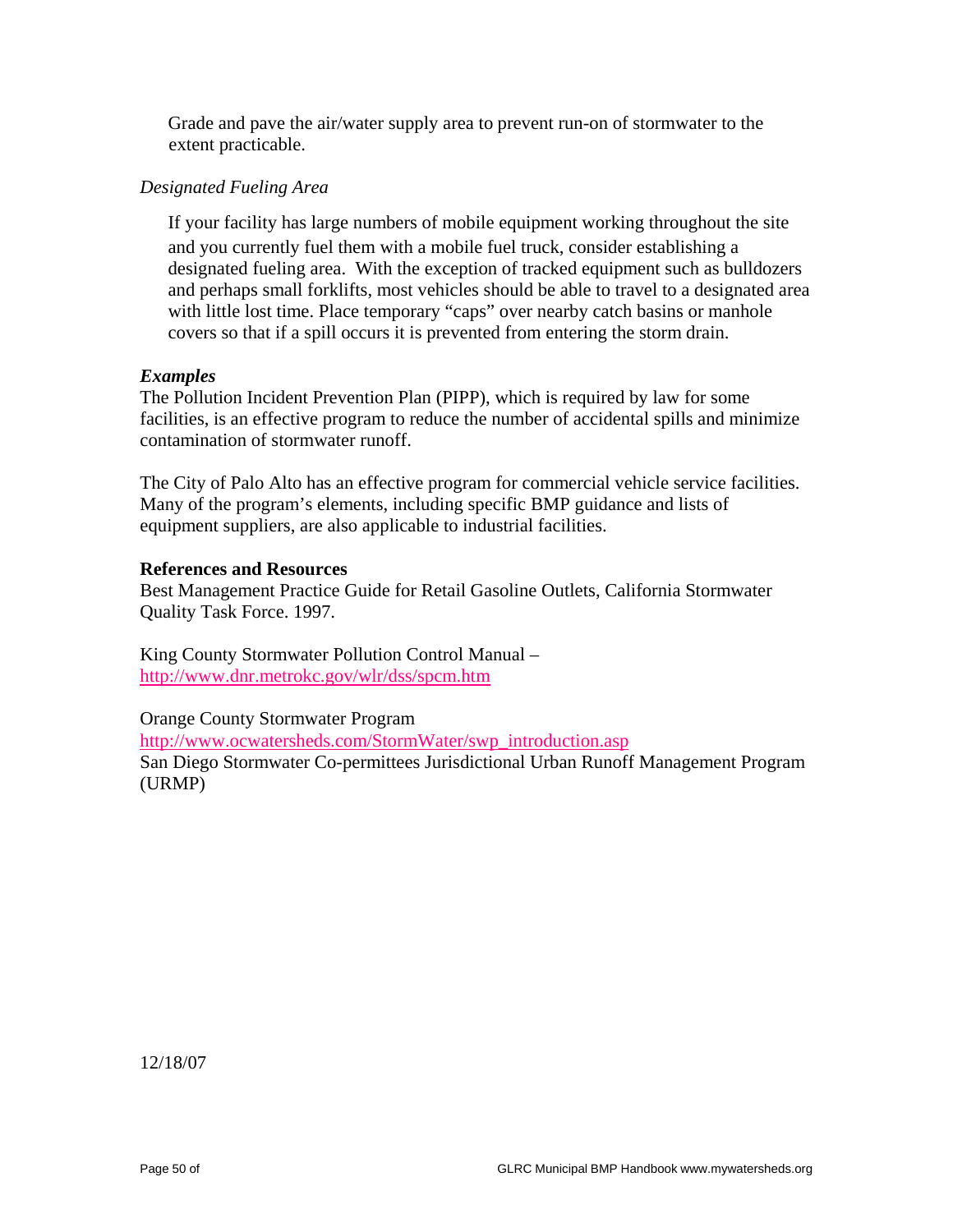Grade and pave the air/water supply area to prevent run-on of stormwater to the extent practicable.

## *Designated Fueling Area*

 If your facility has large numbers of mobile equipment working throughout the site and you currently fuel them with a mobile fuel truck, consider establishing a designated fueling area. With the exception of tracked equipment such as bulldozers and perhaps small forklifts, most vehicles should be able to travel to a designated area with little lost time. Place temporary "caps" over nearby catch basins or manhole covers so that if a spill occurs it is prevented from entering the storm drain.

## *Examples*

The Pollution Incident Prevention Plan (PIPP), which is required by law for some facilities, is an effective program to reduce the number of accidental spills and minimize contamination of stormwater runoff.

The City of Palo Alto has an effective program for commercial vehicle service facilities. Many of the program's elements, including specific BMP guidance and lists of equipment suppliers, are also applicable to industrial facilities.

## **References and Resources**

Best Management Practice Guide for Retail Gasoline Outlets, California Stormwater Quality Task Force. 1997.

King County Stormwater Pollution Control Manual – http://www.dnr.metrokc.gov/wlr/dss/spcm.htm

Orange County Stormwater Program http://www.ocwatersheds.com/StormWater/swp\_introduction.asp San Diego Stormwater Co-permittees Jurisdictional Urban Runoff Management Program (URMP)

12/18/07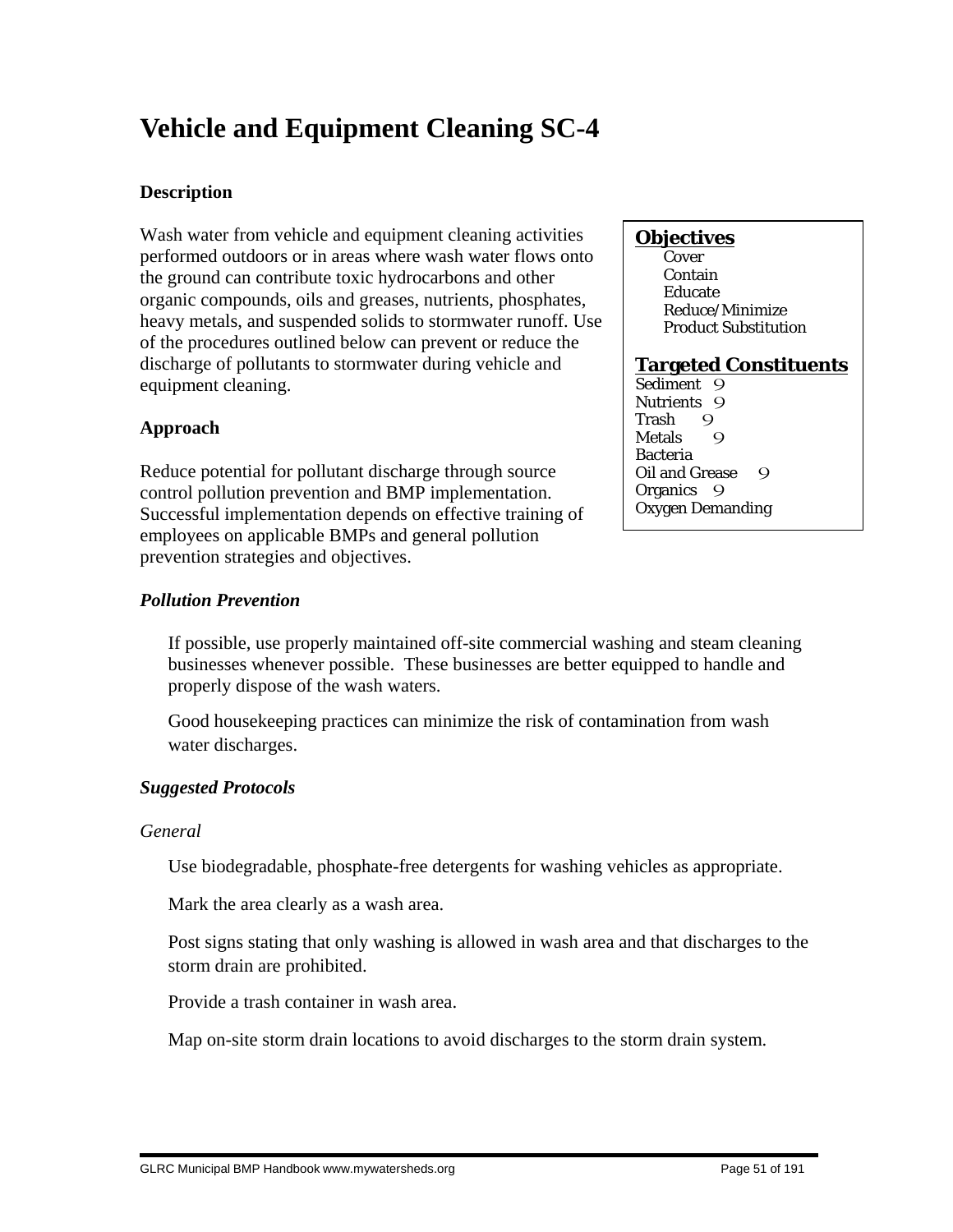# **Vehicle and Equipment Cleaning SC-4**

# **Description**

Wash water from vehicle and equipment cleaning activities performed outdoors or in areas where wash water flows onto the ground can contribute toxic hydrocarbons and other organic compounds, oils and greases, nutrients, phosphates, heavy metals, and suspended solids to stormwater runoff. Use of the procedures outlined below can prevent or reduce the discharge of pollutants to stormwater during vehicle and equipment cleaning.

# **Approach**

Reduce potential for pollutant discharge through source control pollution prevention and BMP implementation. Successful implementation depends on effective training of employees on applicable BMPs and general pollution prevention strategies and objectives.

# *Pollution Prevention*

 If possible, use properly maintained off-site commercial washing and steam cleaning businesses whenever possible. These businesses are better equipped to handle and properly dispose of the wash waters.

 Good housekeeping practices can minimize the risk of contamination from wash water discharges.

# *Suggested Protocols*

# *General*

Use biodegradable, phosphate-free detergents for washing vehicles as appropriate.

Mark the area clearly as a wash area.

 Post signs stating that only washing is allowed in wash area and that discharges to the storm drain are prohibited.

Provide a trash container in wash area.

Map on-site storm drain locations to avoid discharges to the storm drain system.

# **Objectives**

**Cover**  Contain Educate Reduce/Minimize Product Substitution

# **Targeted Constituents**

Sediment 9 Nutrients 9<br>Trash 9 Trash 9<br>Metals 9 **Metals** Bacteria Oil and Grease 9 Organics 9 Oxygen Demanding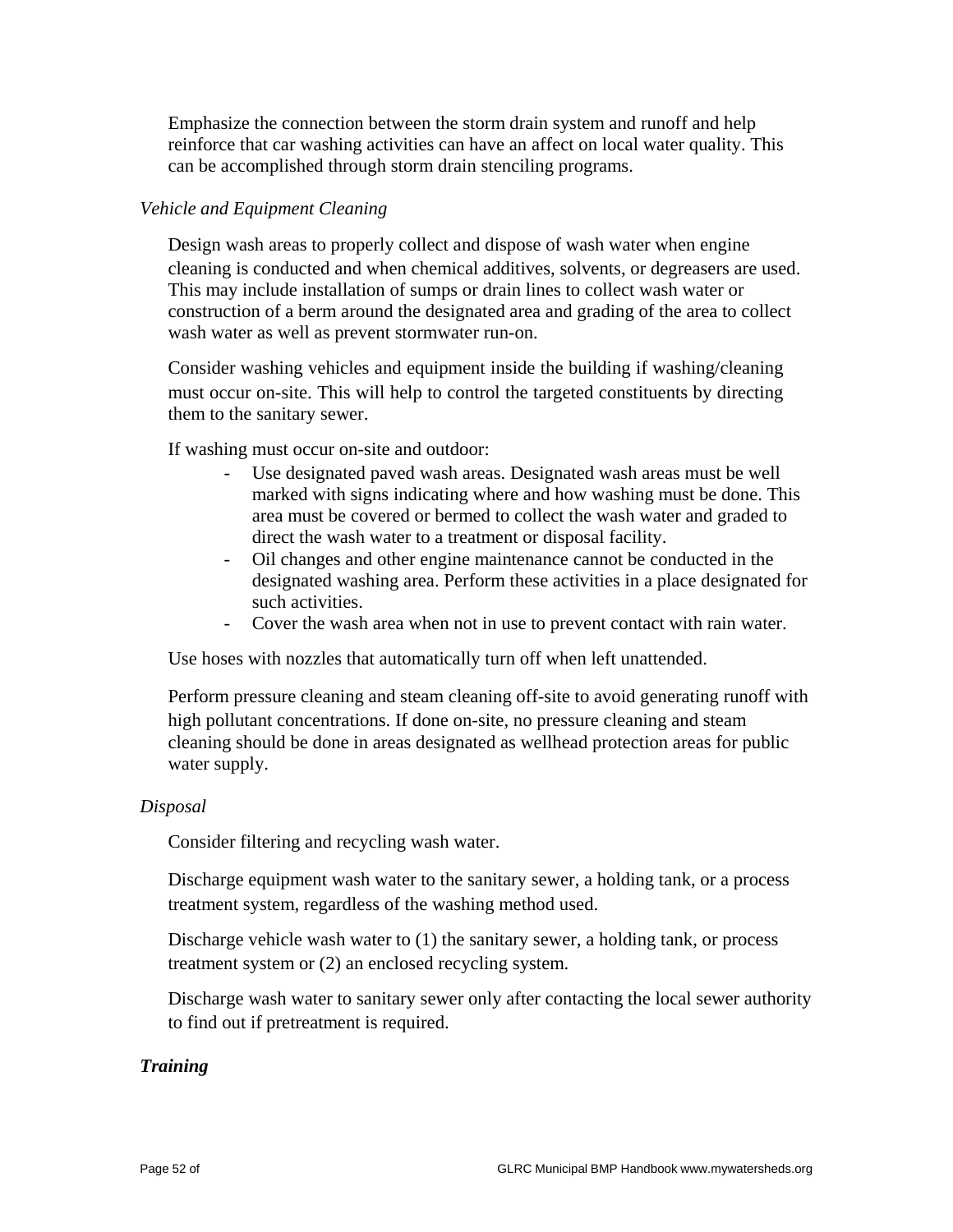Emphasize the connection between the storm drain system and runoff and help reinforce that car washing activities can have an affect on local water quality. This can be accomplished through storm drain stenciling programs.

## *Vehicle and Equipment Cleaning*

 Design wash areas to properly collect and dispose of wash water when engine cleaning is conducted and when chemical additives, solvents, or degreasers are used. This may include installation of sumps or drain lines to collect wash water or construction of a berm around the designated area and grading of the area to collect wash water as well as prevent stormwater run-on.

 Consider washing vehicles and equipment inside the building if washing/cleaning must occur on-site. This will help to control the targeted constituents by directing them to the sanitary sewer.

If washing must occur on-site and outdoor:

- Use designated paved wash areas. Designated wash areas must be well marked with signs indicating where and how washing must be done. This area must be covered or bermed to collect the wash water and graded to direct the wash water to a treatment or disposal facility.
- Oil changes and other engine maintenance cannot be conducted in the designated washing area. Perform these activities in a place designated for such activities.
- Cover the wash area when not in use to prevent contact with rain water.

Use hoses with nozzles that automatically turn off when left unattended.

 Perform pressure cleaning and steam cleaning off-site to avoid generating runoff with high pollutant concentrations. If done on-site, no pressure cleaning and steam cleaning should be done in areas designated as wellhead protection areas for public water supply.

## *Disposal*

Consider filtering and recycling wash water.

 Discharge equipment wash water to the sanitary sewer, a holding tank, or a process treatment system, regardless of the washing method used.

 Discharge vehicle wash water to (1) the sanitary sewer, a holding tank, or process treatment system or (2) an enclosed recycling system.

 Discharge wash water to sanitary sewer only after contacting the local sewer authority to find out if pretreatment is required.

## *Training*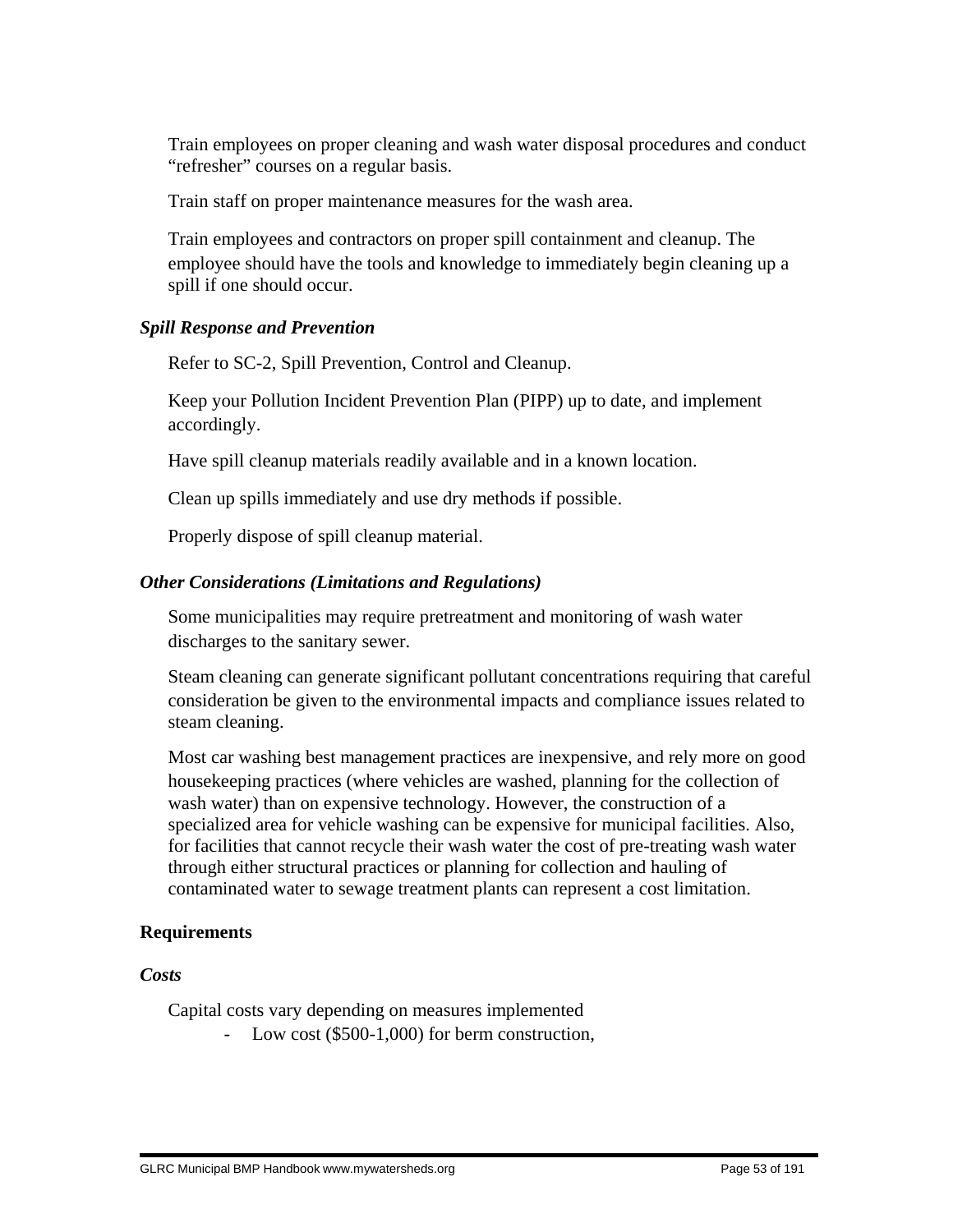Train employees on proper cleaning and wash water disposal procedures and conduct "refresher" courses on a regular basis.

Train staff on proper maintenance measures for the wash area.

 Train employees and contractors on proper spill containment and cleanup. The employee should have the tools and knowledge to immediately begin cleaning up a spill if one should occur.

# *Spill Response and Prevention*

Refer to SC-2, Spill Prevention, Control and Cleanup.

 Keep your Pollution Incident Prevention Plan (PIPP) up to date, and implement accordingly.

Have spill cleanup materials readily available and in a known location.

Clean up spills immediately and use dry methods if possible.

Properly dispose of spill cleanup material.

# *Other Considerations (Limitations and Regulations)*

 Some municipalities may require pretreatment and monitoring of wash water discharges to the sanitary sewer.

 Steam cleaning can generate significant pollutant concentrations requiring that careful consideration be given to the environmental impacts and compliance issues related to steam cleaning.

 Most car washing best management practices are inexpensive, and rely more on good housekeeping practices (where vehicles are washed, planning for the collection of wash water) than on expensive technology. However, the construction of a specialized area for vehicle washing can be expensive for municipal facilities. Also, for facilities that cannot recycle their wash water the cost of pre-treating wash water through either structural practices or planning for collection and hauling of contaminated water to sewage treatment plants can represent a cost limitation.

# **Requirements**

*Costs*

Capital costs vary depending on measures implemented

- Low cost (\$500-1,000) for berm construction,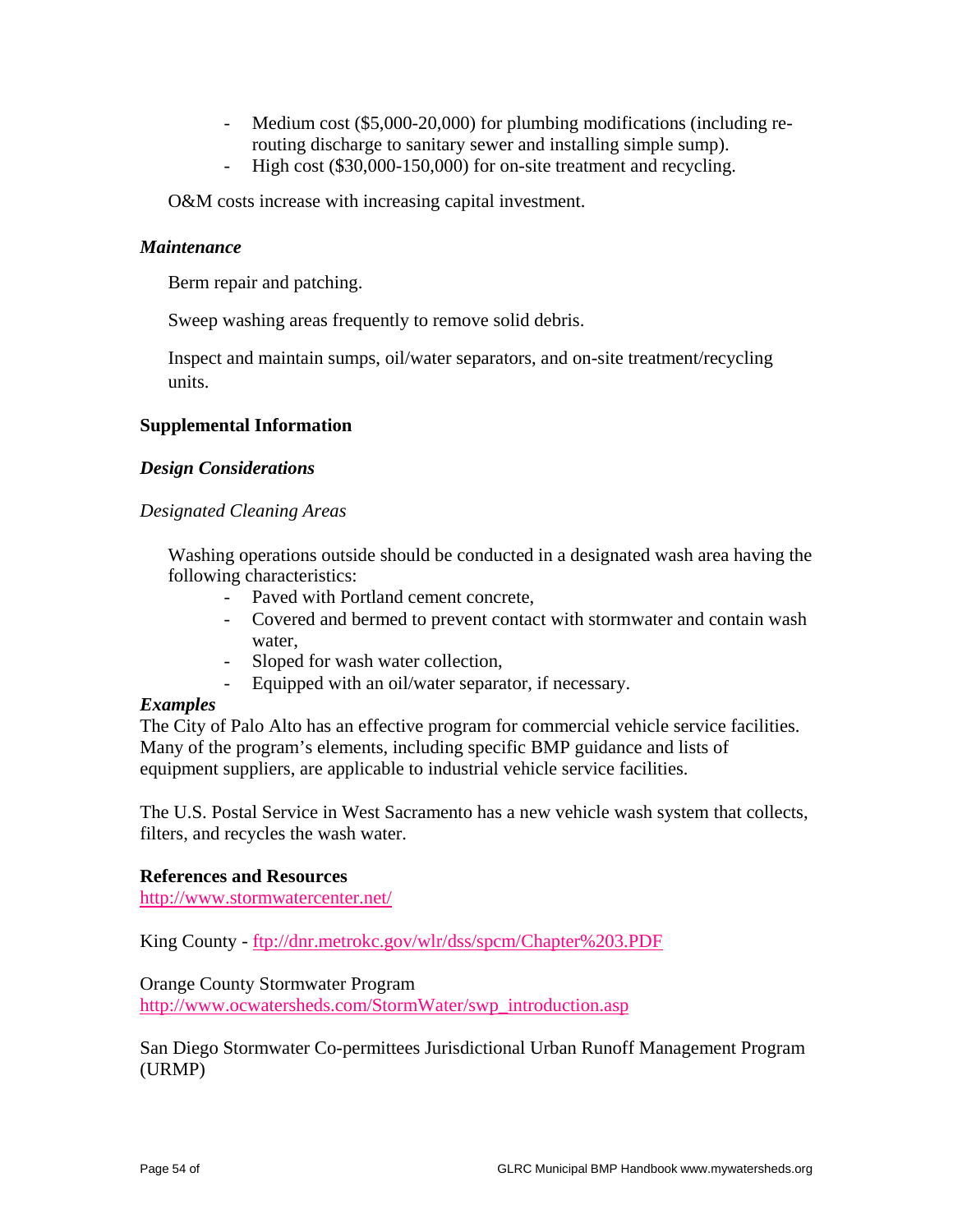- Medium cost (\$5,000-20,000) for plumbing modifications (including rerouting discharge to sanitary sewer and installing simple sump).
- High cost (\$30,000-150,000) for on-site treatment and recycling.

O&M costs increase with increasing capital investment.

## *Maintenance*

Berm repair and patching.

Sweep washing areas frequently to remove solid debris.

 Inspect and maintain sumps, oil/water separators, and on-site treatment/recycling units.

## **Supplemental Information**

## *Design Considerations*

## *Designated Cleaning Areas*

 Washing operations outside should be conducted in a designated wash area having the following characteristics:

- Paved with Portland cement concrete,
- Covered and bermed to prevent contact with stormwater and contain wash water,
- Sloped for wash water collection,
- Equipped with an oil/water separator, if necessary.

## *Examples*

The City of Palo Alto has an effective program for commercial vehicle service facilities. Many of the program's elements, including specific BMP guidance and lists of equipment suppliers, are applicable to industrial vehicle service facilities.

The U.S. Postal Service in West Sacramento has a new vehicle wash system that collects, filters, and recycles the wash water.

## **References and Resources**

http://www.stormwatercenter.net/

King County - ftp://dnr.metrokc.gov/wlr/dss/spcm/Chapter%203.PDF

## Orange County Stormwater Program

http://www.ocwatersheds.com/StormWater/swp\_introduction.asp

San Diego Stormwater Co-permittees Jurisdictional Urban Runoff Management Program (URMP)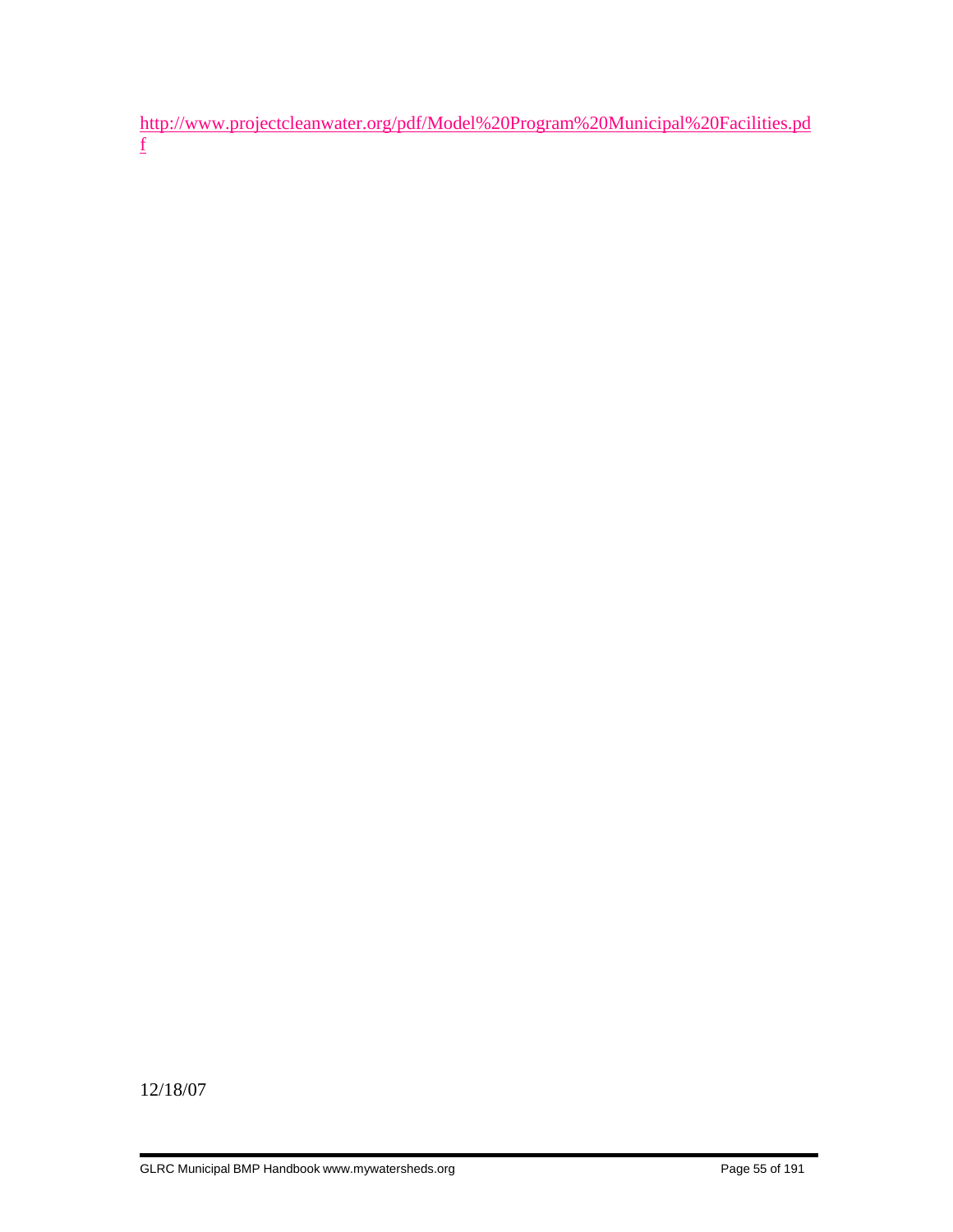http://www.projectcleanwater.org/pdf/Model%20Program%20Municipal%20Facilities.pd f

12/18/07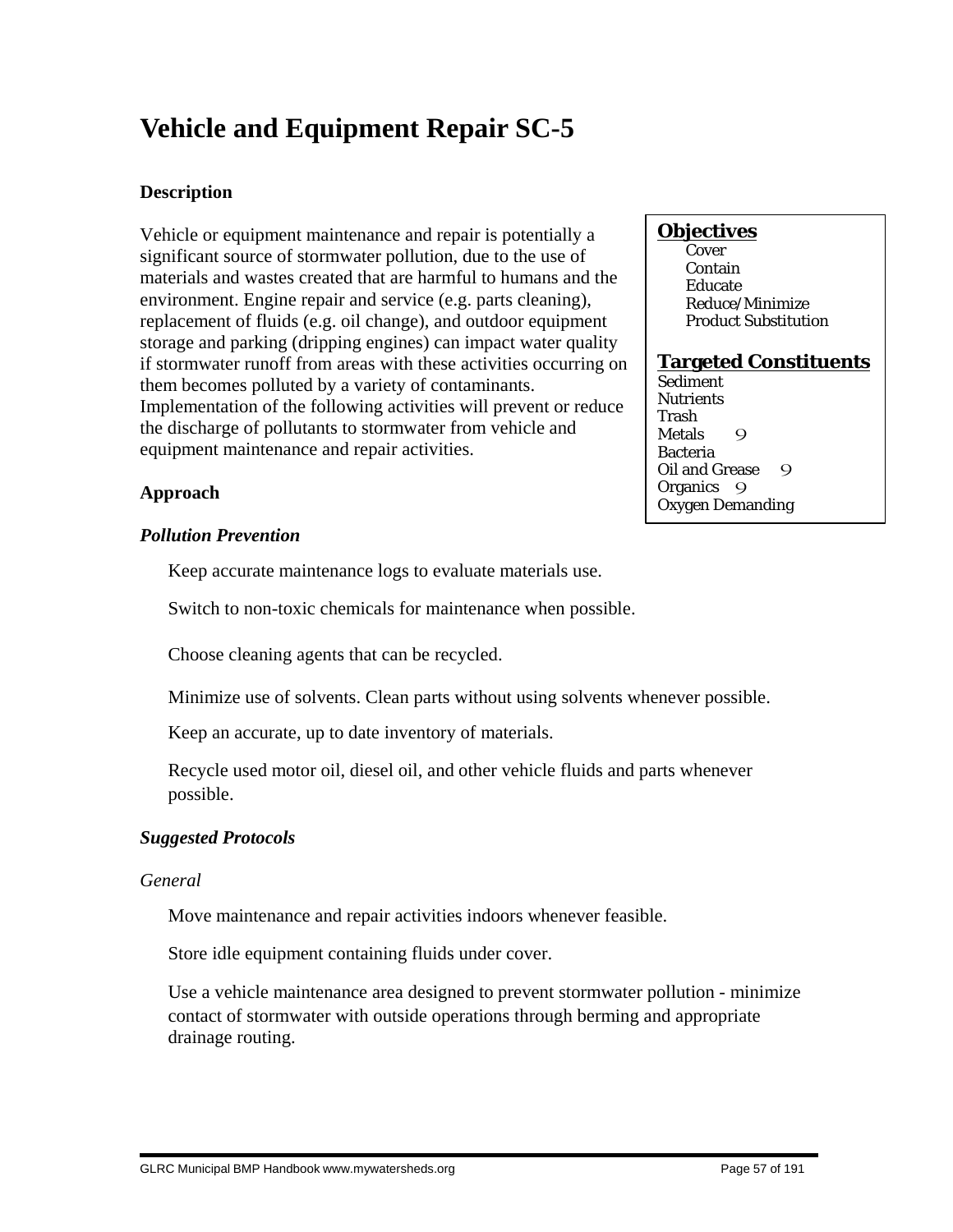# **Vehicle and Equipment Repair SC-5**

# **Description**

Vehicle or equipment maintenance and repair is potentially a significant source of stormwater pollution, due to the use of materials and wastes created that are harmful to humans and the environment. Engine repair and service (e.g. parts cleaning), replacement of fluids (e.g. oil change), and outdoor equipment storage and parking (dripping engines) can impact water quality if stormwater runoff from areas with these activities occurring on them becomes polluted by a variety of contaminants. Implementation of the following activities will prevent or reduce the discharge of pollutants to stormwater from vehicle and equipment maintenance and repair activities.

#### **Objectives**

**Cover**  Contain Educate Reduce/Minimize Product Substitution

#### **Targeted Constituents**

Sediment **Nutrients** Trash Metals 9 Bacteria Oil and Grease 9 Organics 9 Oxygen Demanding

# **Approach**

## *Pollution Prevention*

Keep accurate maintenance logs to evaluate materials use.

Switch to non-toxic chemicals for maintenance when possible.

Choose cleaning agents that can be recycled.

Minimize use of solvents. Clean parts without using solvents whenever possible.

Keep an accurate, up to date inventory of materials.

 Recycle used motor oil, diesel oil, and other vehicle fluids and parts whenever possible.

# *Suggested Protocols*

## *General*

Move maintenance and repair activities indoors whenever feasible.

Store idle equipment containing fluids under cover.

 Use a vehicle maintenance area designed to prevent stormwater pollution - minimize contact of stormwater with outside operations through berming and appropriate drainage routing.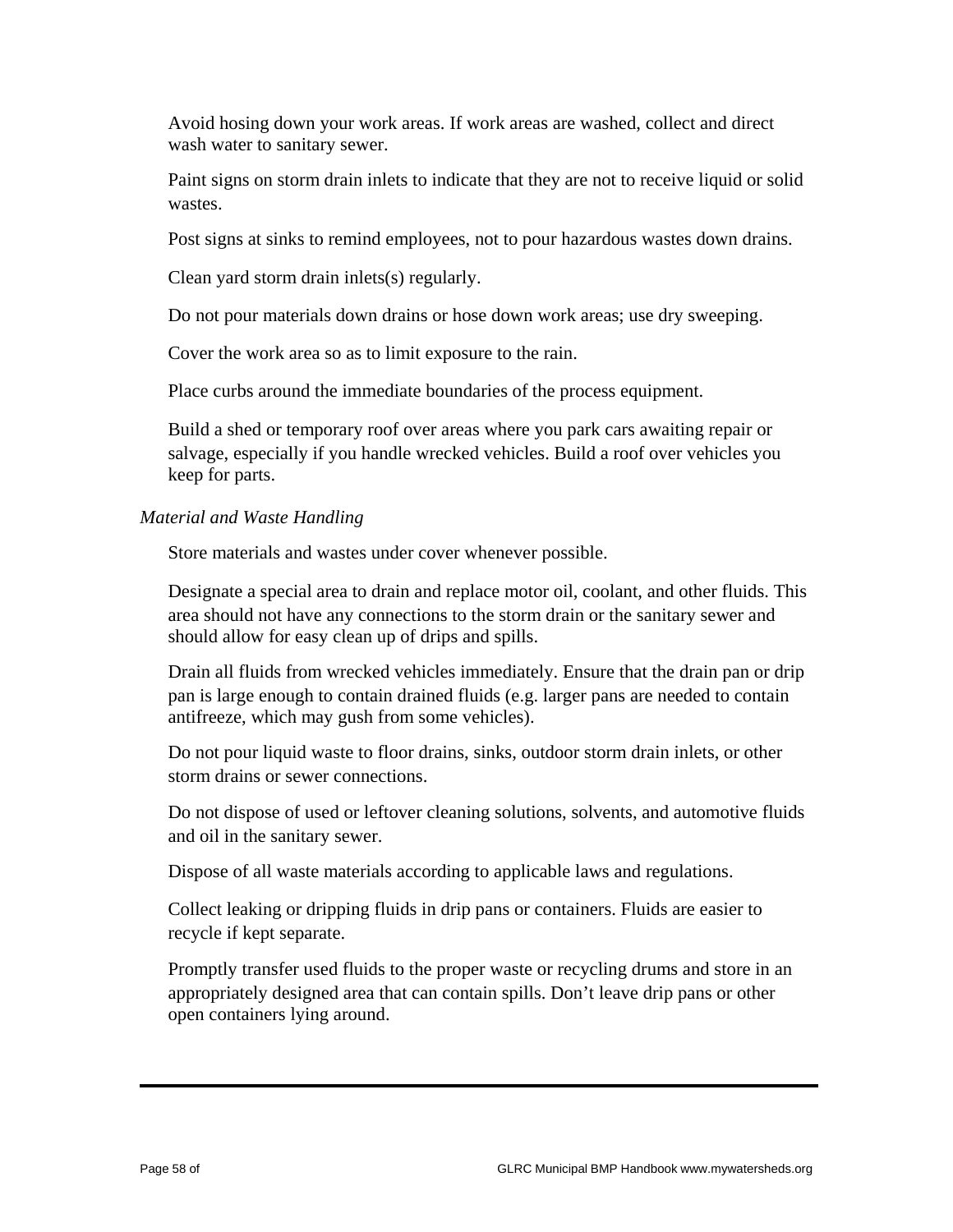Avoid hosing down your work areas. If work areas are washed, collect and direct wash water to sanitary sewer.

 Paint signs on storm drain inlets to indicate that they are not to receive liquid or solid wastes.

Post signs at sinks to remind employees, not to pour hazardous wastes down drains.

Clean yard storm drain inlets(s) regularly.

Do not pour materials down drains or hose down work areas; use dry sweeping.

Cover the work area so as to limit exposure to the rain.

Place curbs around the immediate boundaries of the process equipment.

 Build a shed or temporary roof over areas where you park cars awaiting repair or salvage, especially if you handle wrecked vehicles. Build a roof over vehicles you keep for parts.

## *Material and Waste Handling*

Store materials and wastes under cover whenever possible.

 Designate a special area to drain and replace motor oil, coolant, and other fluids. This area should not have any connections to the storm drain or the sanitary sewer and should allow for easy clean up of drips and spills.

 Drain all fluids from wrecked vehicles immediately. Ensure that the drain pan or drip pan is large enough to contain drained fluids (e.g. larger pans are needed to contain antifreeze, which may gush from some vehicles).

 Do not pour liquid waste to floor drains, sinks, outdoor storm drain inlets, or other storm drains or sewer connections.

 Do not dispose of used or leftover cleaning solutions, solvents, and automotive fluids and oil in the sanitary sewer.

Dispose of all waste materials according to applicable laws and regulations.

 Collect leaking or dripping fluids in drip pans or containers. Fluids are easier to recycle if kept separate.

 Promptly transfer used fluids to the proper waste or recycling drums and store in an appropriately designed area that can contain spills. Don't leave drip pans or other open containers lying around.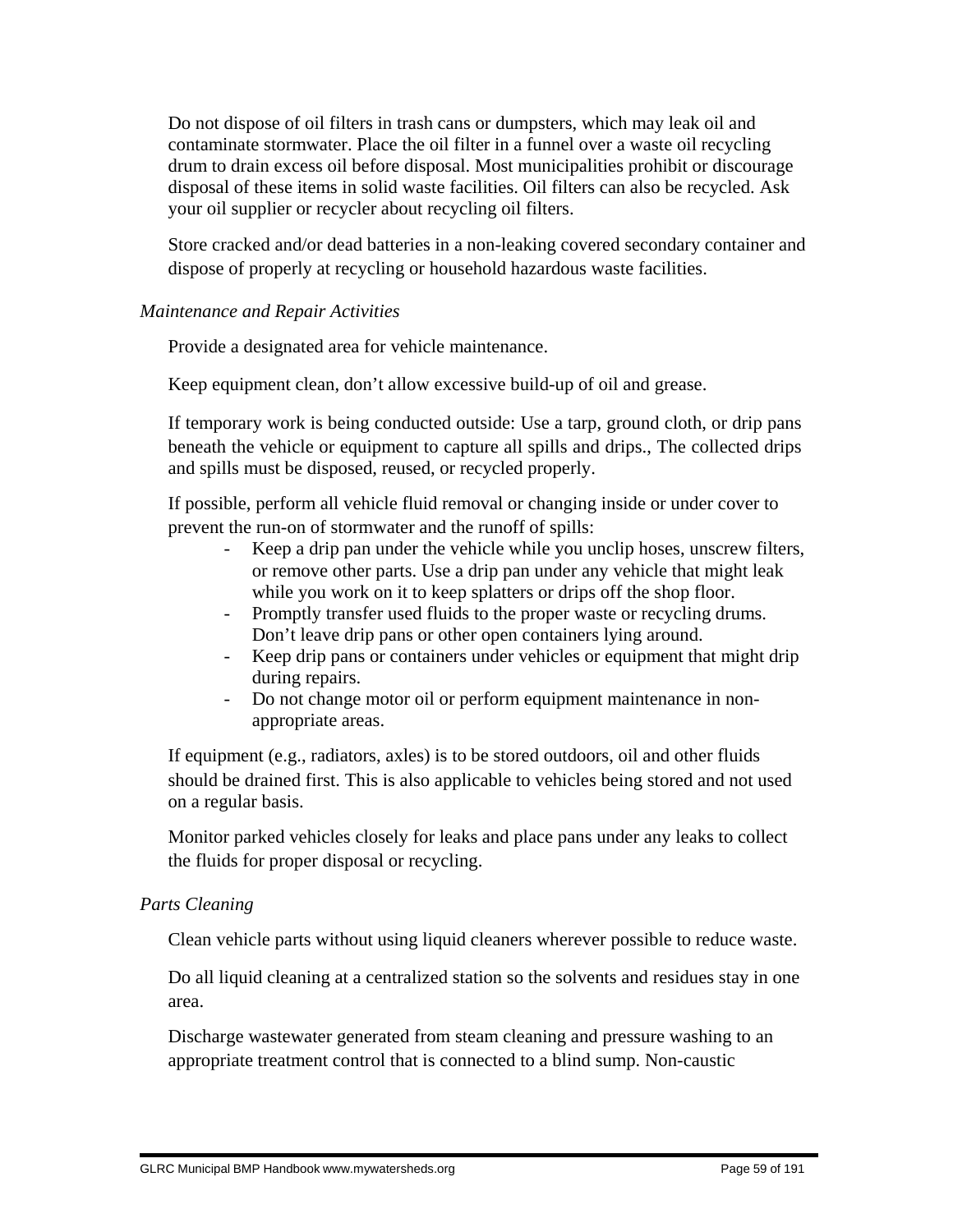Do not dispose of oil filters in trash cans or dumpsters, which may leak oil and contaminate stormwater. Place the oil filter in a funnel over a waste oil recycling drum to drain excess oil before disposal. Most municipalities prohibit or discourage disposal of these items in solid waste facilities. Oil filters can also be recycled. Ask your oil supplier or recycler about recycling oil filters.

 Store cracked and/or dead batteries in a non-leaking covered secondary container and dispose of properly at recycling or household hazardous waste facilities.

# *Maintenance and Repair Activities*

Provide a designated area for vehicle maintenance.

Keep equipment clean, don't allow excessive build-up of oil and grease.

 If temporary work is being conducted outside: Use a tarp, ground cloth, or drip pans beneath the vehicle or equipment to capture all spills and drips., The collected drips and spills must be disposed, reused, or recycled properly.

 If possible, perform all vehicle fluid removal or changing inside or under cover to prevent the run-on of stormwater and the runoff of spills:

- Keep a drip pan under the vehicle while you unclip hoses, unscrew filters, or remove other parts. Use a drip pan under any vehicle that might leak while you work on it to keep splatters or drips off the shop floor.
- Promptly transfer used fluids to the proper waste or recycling drums. Don't leave drip pans or other open containers lying around.
- Keep drip pans or containers under vehicles or equipment that might drip during repairs.
- Do not change motor oil or perform equipment maintenance in nonappropriate areas.

 If equipment (e.g., radiators, axles) is to be stored outdoors, oil and other fluids should be drained first. This is also applicable to vehicles being stored and not used on a regular basis.

 Monitor parked vehicles closely for leaks and place pans under any leaks to collect the fluids for proper disposal or recycling.

# *Parts Cleaning*

Clean vehicle parts without using liquid cleaners wherever possible to reduce waste.

 Do all liquid cleaning at a centralized station so the solvents and residues stay in one area.

 Discharge wastewater generated from steam cleaning and pressure washing to an appropriate treatment control that is connected to a blind sump. Non-caustic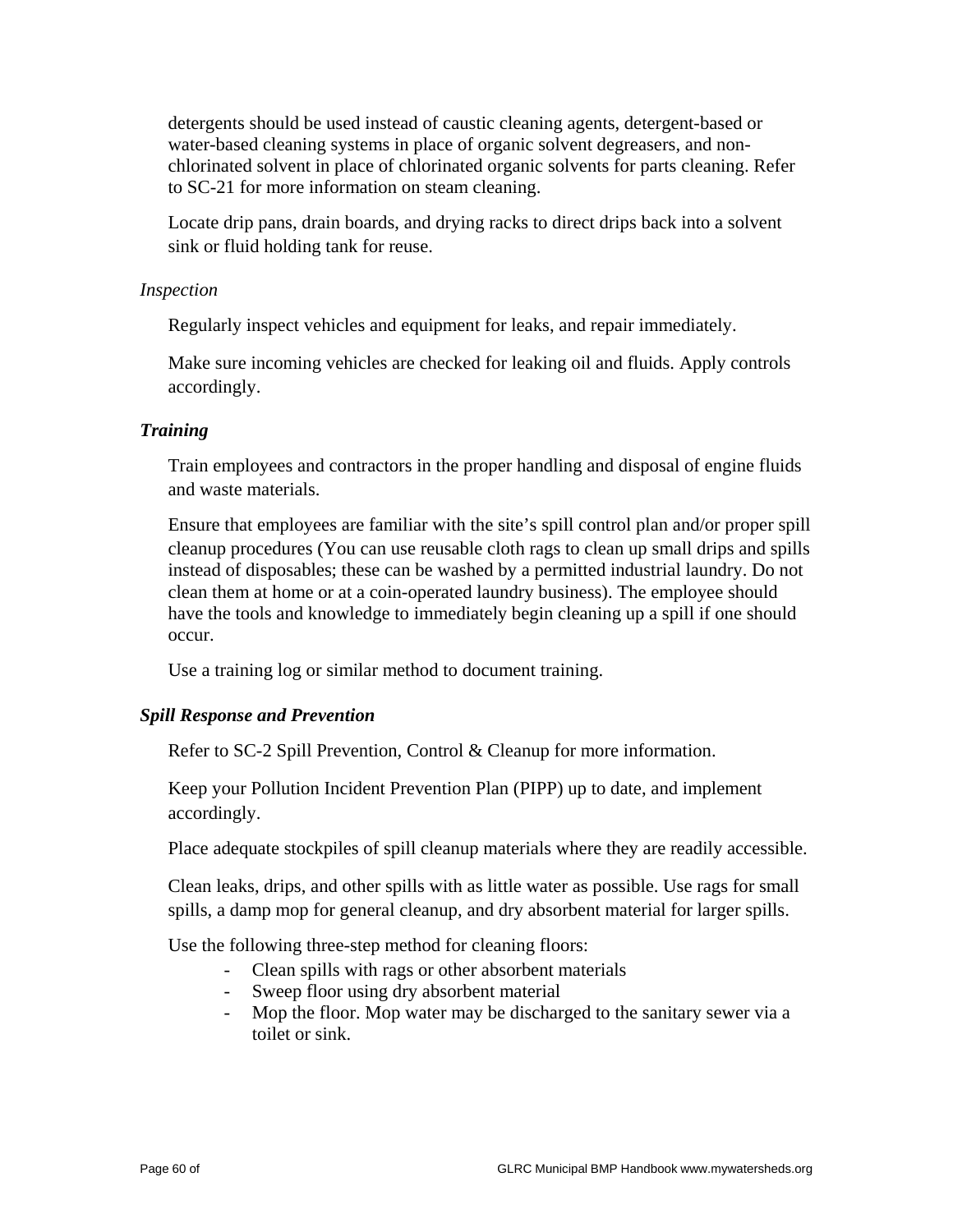detergents should be used instead of caustic cleaning agents, detergent-based or water-based cleaning systems in place of organic solvent degreasers, and nonchlorinated solvent in place of chlorinated organic solvents for parts cleaning. Refer to SC-21 for more information on steam cleaning.

 Locate drip pans, drain boards, and drying racks to direct drips back into a solvent sink or fluid holding tank for reuse.

## *Inspection*

Regularly inspect vehicles and equipment for leaks, and repair immediately.

 Make sure incoming vehicles are checked for leaking oil and fluids. Apply controls accordingly.

# *Training*

 Train employees and contractors in the proper handling and disposal of engine fluids and waste materials.

 Ensure that employees are familiar with the site's spill control plan and/or proper spill cleanup procedures (You can use reusable cloth rags to clean up small drips and spills instead of disposables; these can be washed by a permitted industrial laundry. Do not clean them at home or at a coin-operated laundry business). The employee should have the tools and knowledge to immediately begin cleaning up a spill if one should occur.

Use a training log or similar method to document training.

# *Spill Response and Prevention*

Refer to SC-2 Spill Prevention, Control & Cleanup for more information.

 Keep your Pollution Incident Prevention Plan (PIPP) up to date, and implement accordingly.

Place adequate stockpiles of spill cleanup materials where they are readily accessible.

 Clean leaks, drips, and other spills with as little water as possible. Use rags for small spills, a damp mop for general cleanup, and dry absorbent material for larger spills.

Use the following three-step method for cleaning floors:

- Clean spills with rags or other absorbent materials
- Sweep floor using dry absorbent material
- Mop the floor. Mop water may be discharged to the sanitary sewer via a toilet or sink.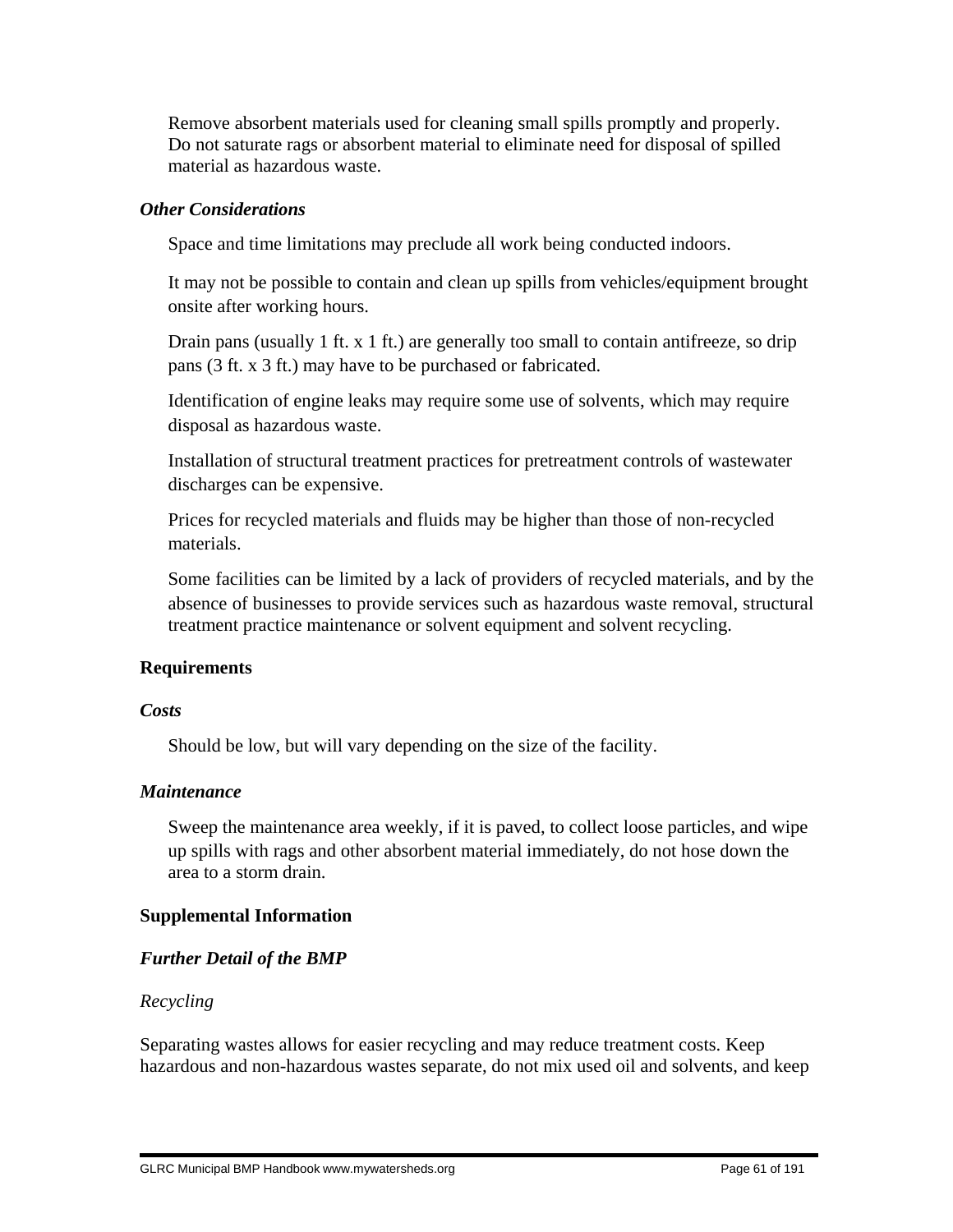Remove absorbent materials used for cleaning small spills promptly and properly. Do not saturate rags or absorbent material to eliminate need for disposal of spilled material as hazardous waste.

## *Other Considerations*

Space and time limitations may preclude all work being conducted indoors.

 It may not be possible to contain and clean up spills from vehicles/equipment brought onsite after working hours.

 Drain pans (usually 1 ft. x 1 ft.) are generally too small to contain antifreeze, so drip pans (3 ft. x 3 ft.) may have to be purchased or fabricated.

 Identification of engine leaks may require some use of solvents, which may require disposal as hazardous waste.

 Installation of structural treatment practices for pretreatment controls of wastewater discharges can be expensive.

 Prices for recycled materials and fluids may be higher than those of non-recycled materials.

 Some facilities can be limited by a lack of providers of recycled materials, and by the absence of businesses to provide services such as hazardous waste removal, structural treatment practice maintenance or solvent equipment and solvent recycling.

# **Requirements**

## *Costs*

Should be low, but will vary depending on the size of the facility.

## *Maintenance*

 Sweep the maintenance area weekly, if it is paved, to collect loose particles, and wipe up spills with rags and other absorbent material immediately, do not hose down the area to a storm drain.

# **Supplemental Information**

# *Further Detail of the BMP*

# *Recycling*

Separating wastes allows for easier recycling and may reduce treatment costs. Keep hazardous and non-hazardous wastes separate, do not mix used oil and solvents, and keep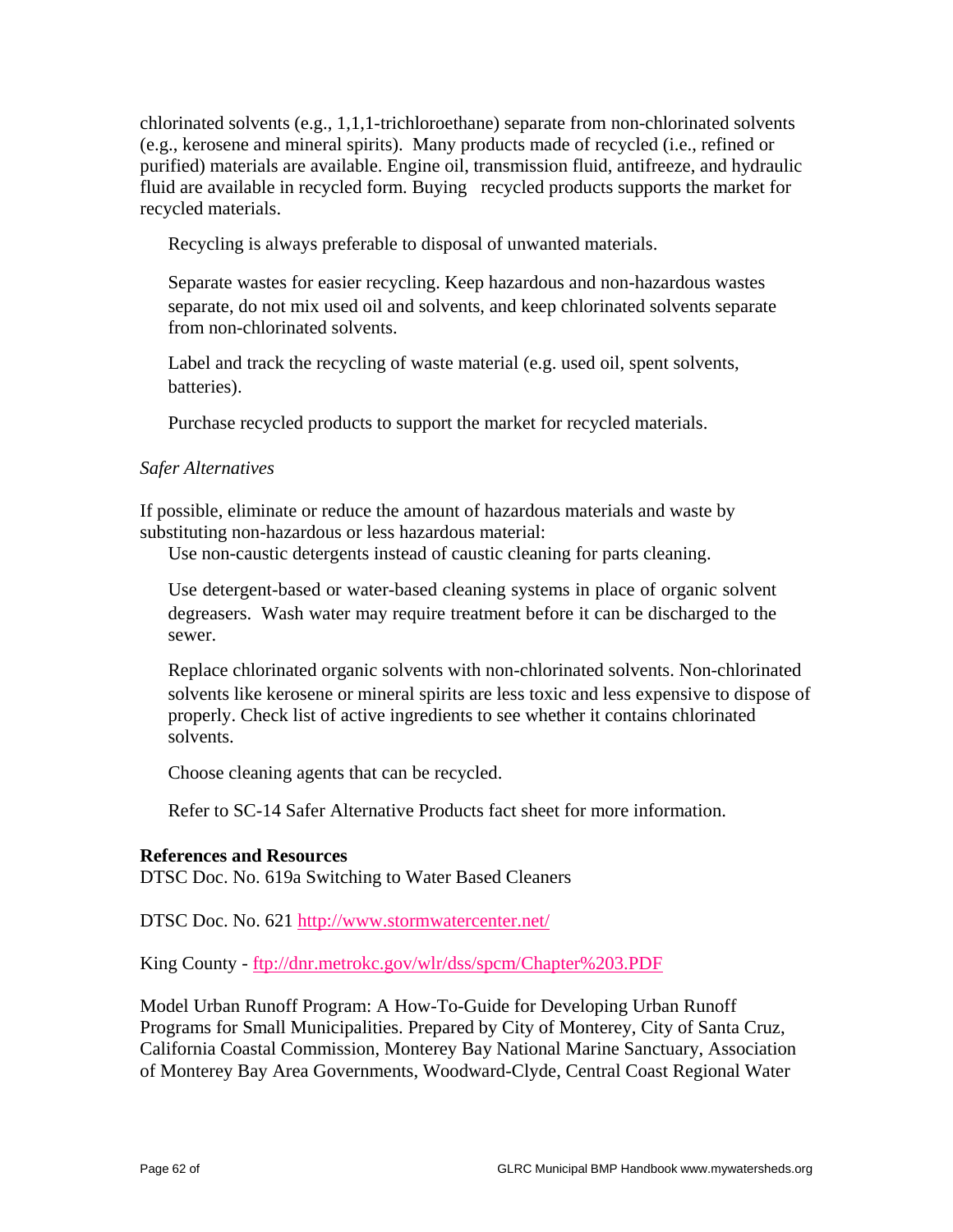chlorinated solvents (e.g., 1,1,1-trichloroethane) separate from non-chlorinated solvents (e.g., kerosene and mineral spirits). Many products made of recycled (i.e., refined or purified) materials are available. Engine oil, transmission fluid, antifreeze, and hydraulic fluid are available in recycled form. Buying recycled products supports the market for recycled materials.

Recycling is always preferable to disposal of unwanted materials.

 Separate wastes for easier recycling. Keep hazardous and non-hazardous wastes separate, do not mix used oil and solvents, and keep chlorinated solvents separate from non-chlorinated solvents.

 Label and track the recycling of waste material (e.g. used oil, spent solvents, batteries).

Purchase recycled products to support the market for recycled materials.

## *Safer Alternatives*

If possible, eliminate or reduce the amount of hazardous materials and waste by substituting non-hazardous or less hazardous material:

Use non-caustic detergents instead of caustic cleaning for parts cleaning.

 Use detergent-based or water-based cleaning systems in place of organic solvent degreasers. Wash water may require treatment before it can be discharged to the sewer.

 Replace chlorinated organic solvents with non-chlorinated solvents. Non-chlorinated solvents like kerosene or mineral spirits are less toxic and less expensive to dispose of properly. Check list of active ingredients to see whether it contains chlorinated solvents.

Choose cleaning agents that can be recycled.

Refer to SC-14 Safer Alternative Products fact sheet for more information.

## **References and Resources**

DTSC Doc. No. 619a Switching to Water Based Cleaners

DTSC Doc. No. 621 http://www.stormwatercenter.net/

King County - ftp://dnr.metrokc.gov/wlr/dss/spcm/Chapter%203.PDF

Model Urban Runoff Program: A How-To-Guide for Developing Urban Runoff Programs for Small Municipalities. Prepared by City of Monterey, City of Santa Cruz, California Coastal Commission, Monterey Bay National Marine Sanctuary, Association of Monterey Bay Area Governments, Woodward-Clyde, Central Coast Regional Water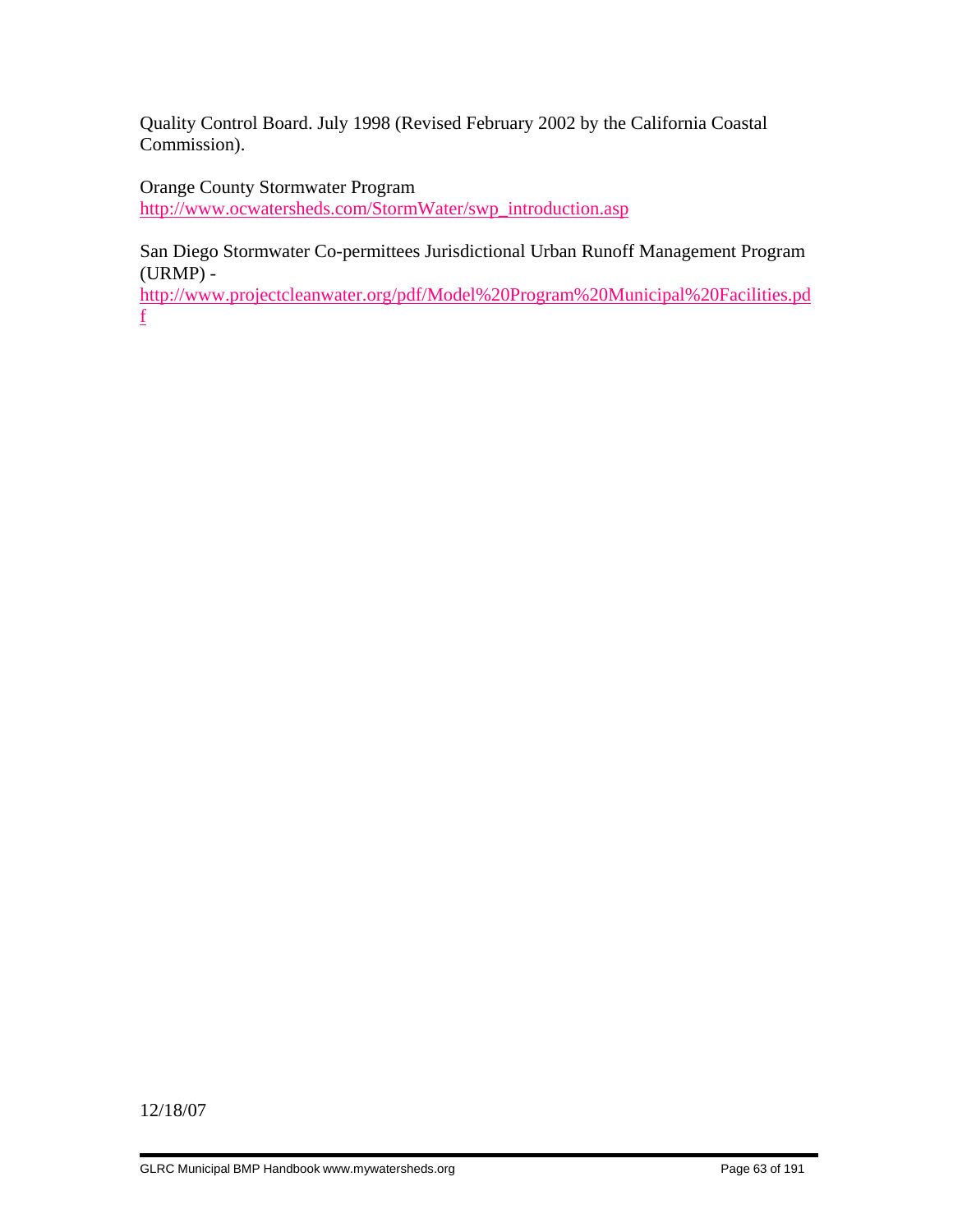Quality Control Board. July 1998 (Revised February 2002 by the California Coastal Commission).

Orange County Stormwater Program http://www.ocwatersheds.com/StormWater/swp\_introduction.asp

San Diego Stormwater Co-permittees Jurisdictional Urban Runoff Management Program (URMP) -

http://www.projectcleanwater.org/pdf/Model%20Program%20Municipal%20Facilities.pd f

12/18/07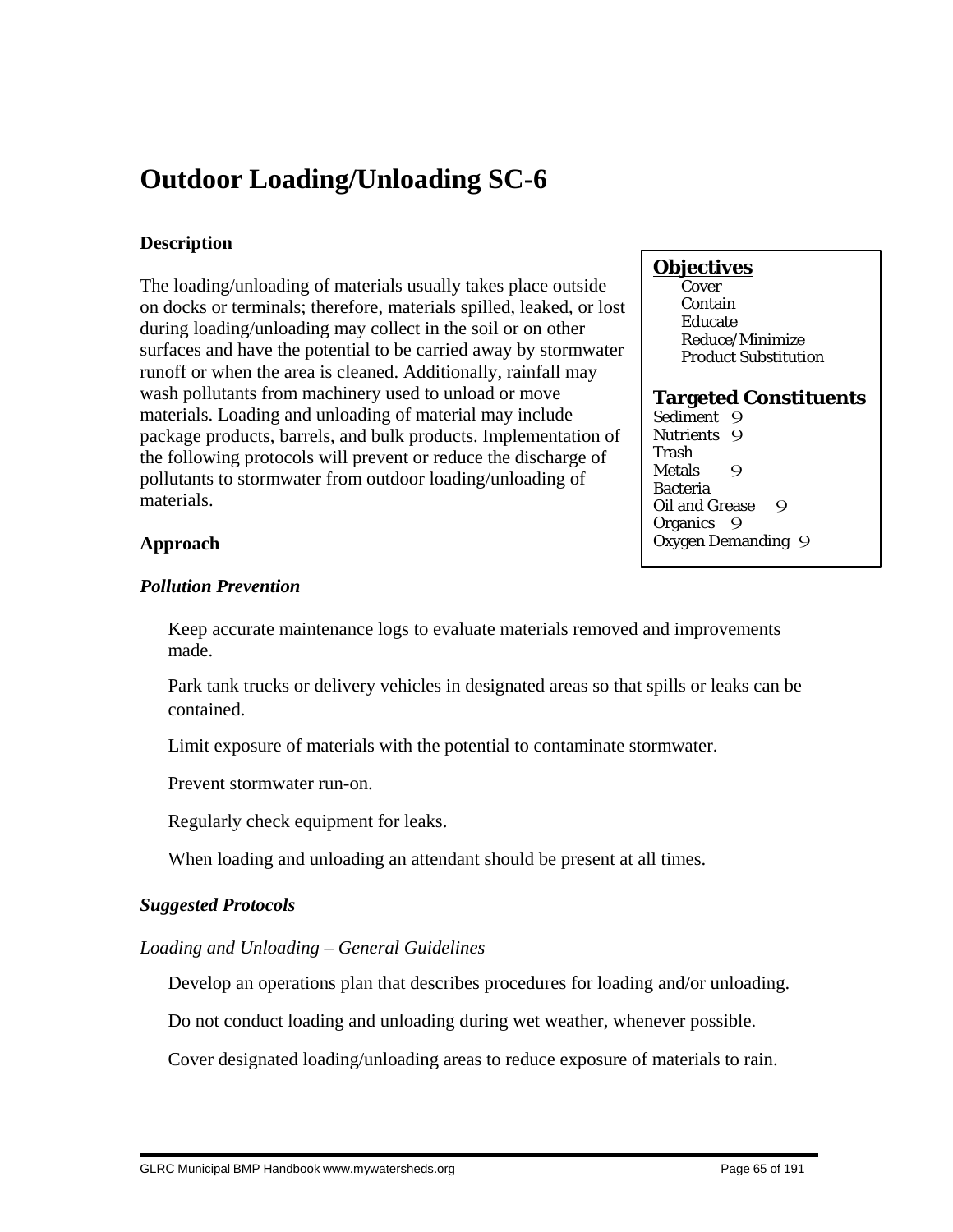# **Outdoor Loading/Unloading SC-6**

# **Description**

The loading/unloading of materials usually takes place outside on docks or terminals; therefore, materials spilled, leaked, or lost during loading/unloading may collect in the soil or on other surfaces and have the potential to be carried away by stormwater runoff or when the area is cleaned. Additionally, rainfall may wash pollutants from machinery used to unload or move materials. Loading and unloading of material may include package products, barrels, and bulk products. Implementation of the following protocols will prevent or reduce the discharge of pollutants to stormwater from outdoor loading/unloading of materials.

# **Objectives**

**Cover**  Contain Educate Reduce/Minimize Product Substitution

#### **Targeted Constituents**

Sediment 9 Nutrients 9 Trash Metals 9 Bacteria Oil and Grease 9 Organics 9 Oxygen Demanding 9

# **Approach**

## *Pollution Prevention*

 Keep accurate maintenance logs to evaluate materials removed and improvements made.

 Park tank trucks or delivery vehicles in designated areas so that spills or leaks can be contained.

Limit exposure of materials with the potential to contaminate stormwater.

Prevent stormwater run-on.

Regularly check equipment for leaks.

When loading and unloading an attendant should be present at all times.

## *Suggested Protocols*

## *Loading and Unloading – General Guidelines*

Develop an operations plan that describes procedures for loading and/or unloading.

Do not conduct loading and unloading during wet weather, whenever possible.

Cover designated loading/unloading areas to reduce exposure of materials to rain.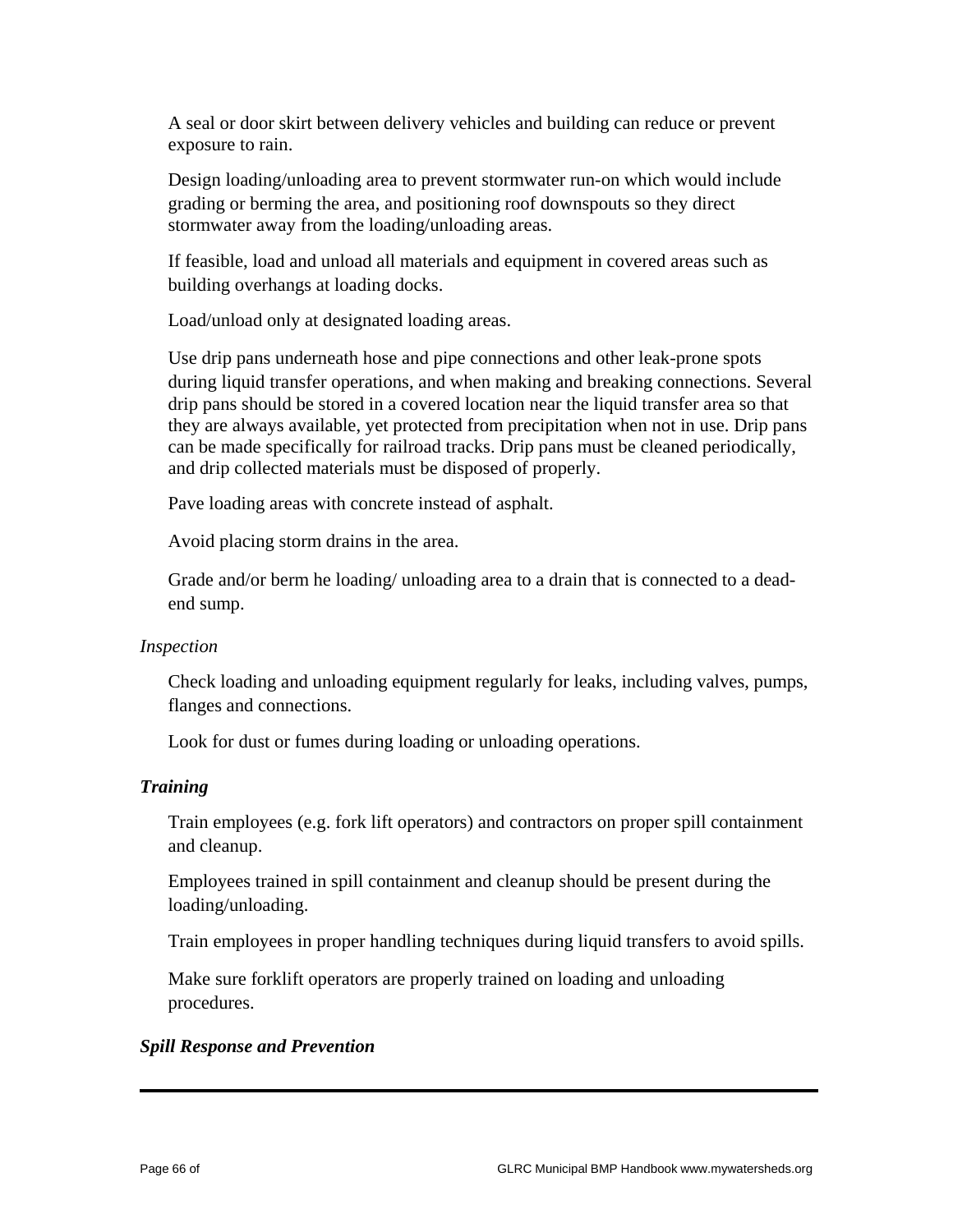A seal or door skirt between delivery vehicles and building can reduce or prevent exposure to rain.

 Design loading/unloading area to prevent stormwater run-on which would include grading or berming the area, and positioning roof downspouts so they direct stormwater away from the loading/unloading areas.

 If feasible, load and unload all materials and equipment in covered areas such as building overhangs at loading docks.

Load/unload only at designated loading areas.

 Use drip pans underneath hose and pipe connections and other leak-prone spots during liquid transfer operations, and when making and breaking connections. Several drip pans should be stored in a covered location near the liquid transfer area so that they are always available, yet protected from precipitation when not in use. Drip pans can be made specifically for railroad tracks. Drip pans must be cleaned periodically, and drip collected materials must be disposed of properly.

Pave loading areas with concrete instead of asphalt.

Avoid placing storm drains in the area.

 Grade and/or berm he loading/ unloading area to a drain that is connected to a deadend sump.

## *Inspection*

 Check loading and unloading equipment regularly for leaks, including valves, pumps, flanges and connections.

Look for dust or fumes during loading or unloading operations.

# *Training*

 Train employees (e.g. fork lift operators) and contractors on proper spill containment and cleanup.

 Employees trained in spill containment and cleanup should be present during the loading/unloading.

Train employees in proper handling techniques during liquid transfers to avoid spills.

 Make sure forklift operators are properly trained on loading and unloading procedures.

# *Spill Response and Prevention*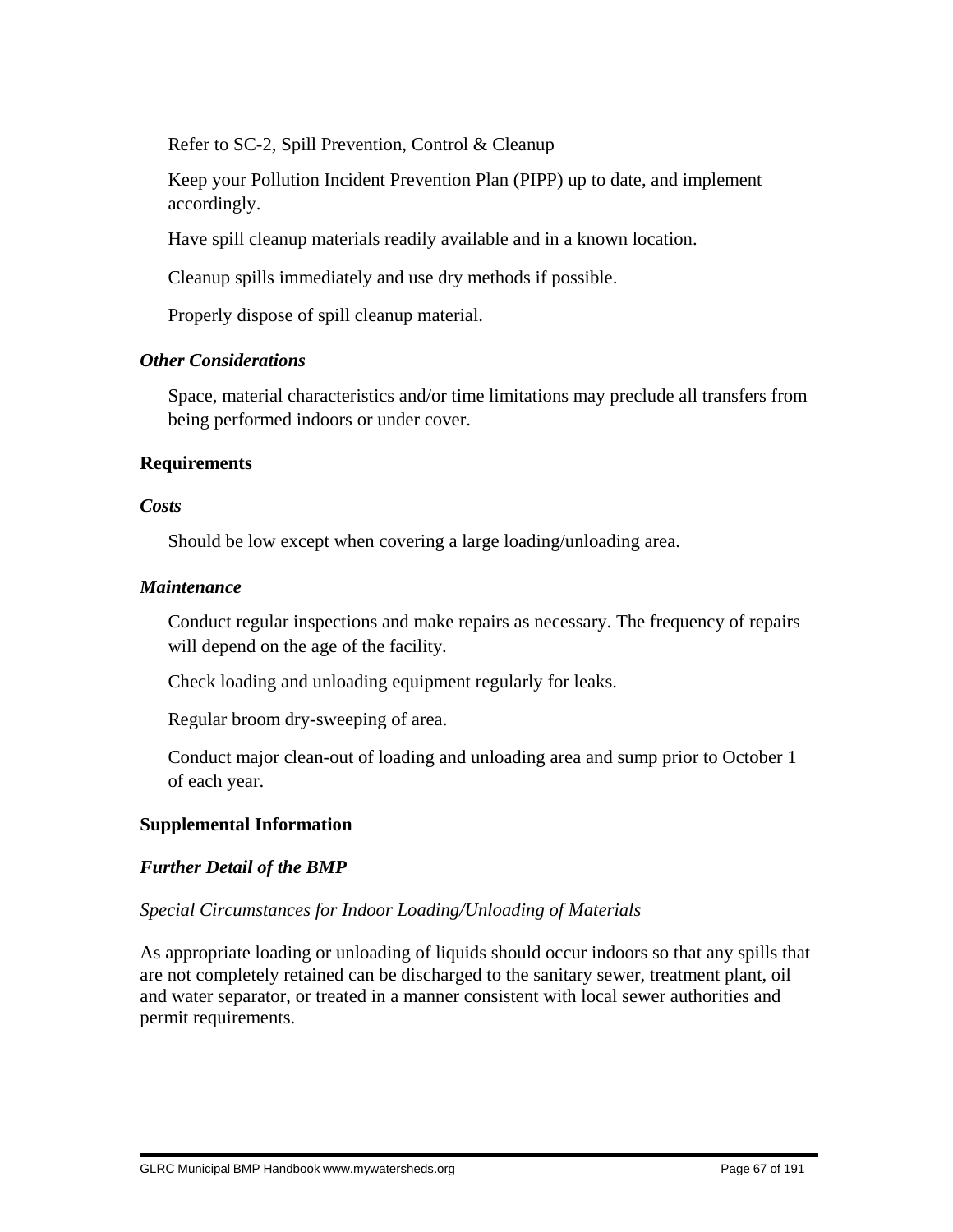Refer to SC-2, Spill Prevention, Control & Cleanup

 Keep your Pollution Incident Prevention Plan (PIPP) up to date, and implement accordingly.

Have spill cleanup materials readily available and in a known location.

Cleanup spills immediately and use dry methods if possible.

Properly dispose of spill cleanup material.

## *Other Considerations*

 Space, material characteristics and/or time limitations may preclude all transfers from being performed indoors or under cover.

## **Requirements**

## *Costs*

Should be low except when covering a large loading/unloading area.

## *Maintenance*

 Conduct regular inspections and make repairs as necessary. The frequency of repairs will depend on the age of the facility.

Check loading and unloading equipment regularly for leaks.

Regular broom dry-sweeping of area.

 Conduct major clean-out of loading and unloading area and sump prior to October 1 of each year.

# **Supplemental Information**

# *Further Detail of the BMP*

# *Special Circumstances for Indoor Loading/Unloading of Materials*

As appropriate loading or unloading of liquids should occur indoors so that any spills that are not completely retained can be discharged to the sanitary sewer, treatment plant, oil and water separator, or treated in a manner consistent with local sewer authorities and permit requirements.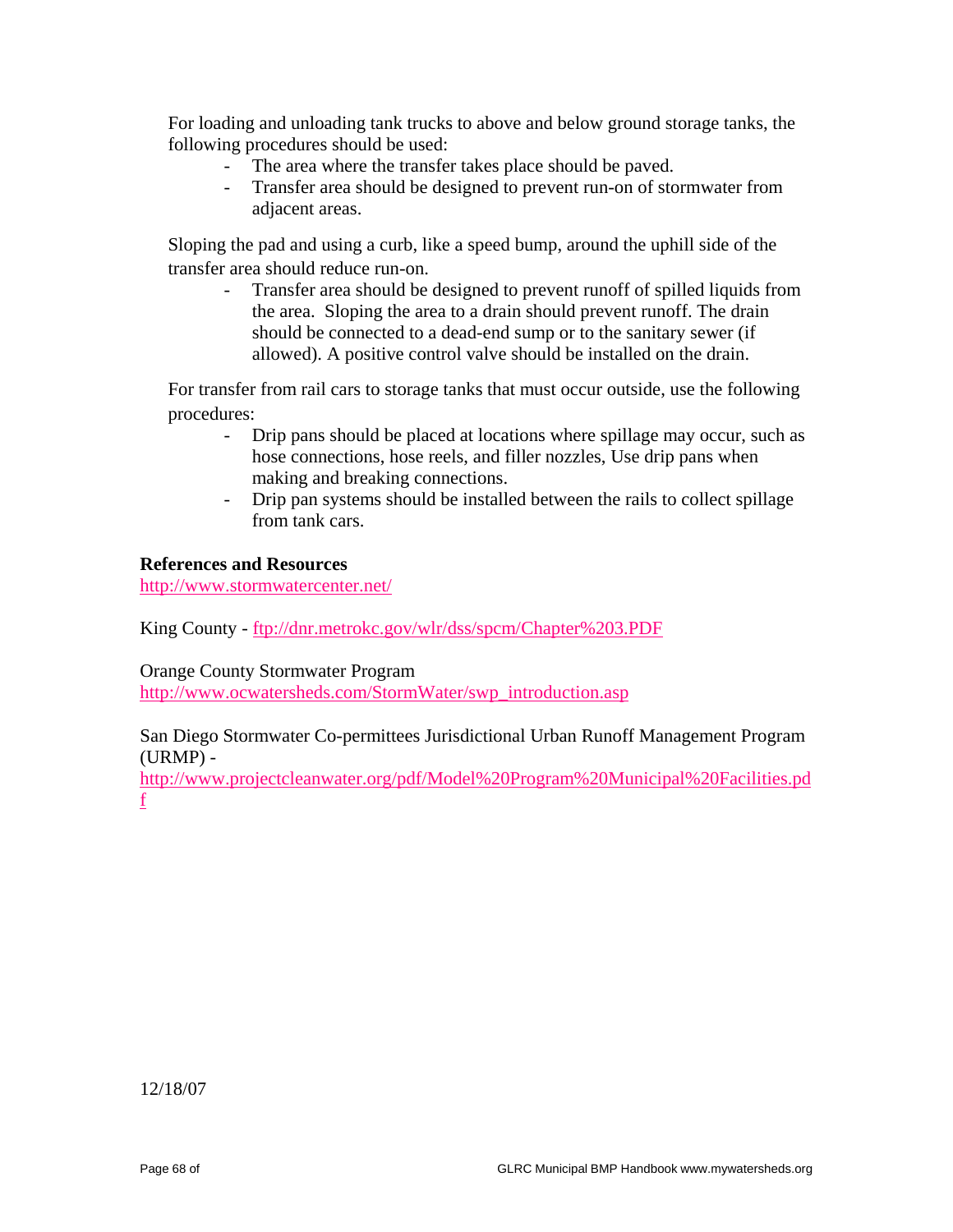For loading and unloading tank trucks to above and below ground storage tanks, the following procedures should be used:

- The area where the transfer takes place should be paved.
- Transfer area should be designed to prevent run-on of stormwater from adjacent areas.

 Sloping the pad and using a curb, like a speed bump, around the uphill side of the transfer area should reduce run-on.

- Transfer area should be designed to prevent runoff of spilled liquids from the area. Sloping the area to a drain should prevent runoff. The drain should be connected to a dead-end sump or to the sanitary sewer (if allowed). A positive control valve should be installed on the drain.

 For transfer from rail cars to storage tanks that must occur outside, use the following procedures:

- Drip pans should be placed at locations where spillage may occur, such as hose connections, hose reels, and filler nozzles, Use drip pans when making and breaking connections.
- Drip pan systems should be installed between the rails to collect spillage from tank cars.

#### **References and Resources**

http://www.stormwatercenter.net/

King County - ftp://dnr.metrokc.gov/wlr/dss/spcm/Chapter%203.PDF

Orange County Stormwater Program

http://www.ocwatersheds.com/StormWater/swp\_introduction.asp

## San Diego Stormwater Co-permittees Jurisdictional Urban Runoff Management Program (URMP) -

http://www.projectcleanwater.org/pdf/Model%20Program%20Municipal%20Facilities.pd f

12/18/07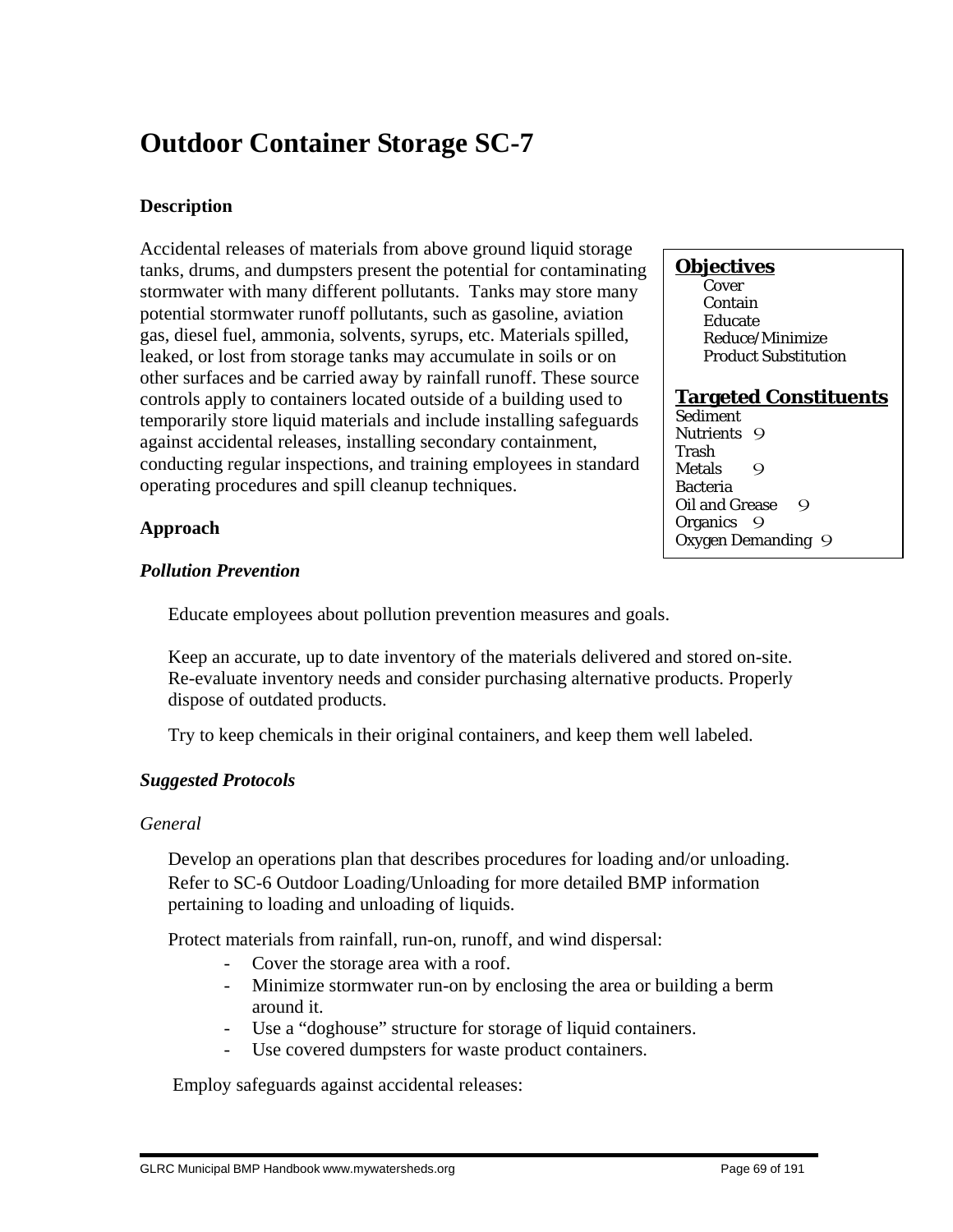# **Outdoor Container Storage SC-7**

# **Description**

Accidental releases of materials from above ground liquid storage tanks, drums, and dumpsters present the potential for contaminating stormwater with many different pollutants. Tanks may store many potential stormwater runoff pollutants, such as gasoline, aviation gas, diesel fuel, ammonia, solvents, syrups, etc. Materials spilled, leaked, or lost from storage tanks may accumulate in soils or on other surfaces and be carried away by rainfall runoff. These source controls apply to containers located outside of a building used to temporarily store liquid materials and include installing safeguards against accidental releases, installing secondary containment, conducting regular inspections, and training employees in standard operating procedures and spill cleanup techniques.

## **Approach**

## *Pollution Prevention*

Educate employees about pollution prevention measures and goals.

 Keep an accurate, up to date inventory of the materials delivered and stored on-site. Re-evaluate inventory needs and consider purchasing alternative products. Properly dispose of outdated products.

Try to keep chemicals in their original containers, and keep them well labeled.

# *Suggested Protocols*

## *General*

 Develop an operations plan that describes procedures for loading and/or unloading. Refer to SC-6 Outdoor Loading/Unloading for more detailed BMP information pertaining to loading and unloading of liquids.

Protect materials from rainfall, run-on, runoff, and wind dispersal:

- Cover the storage area with a roof.
- Minimize stormwater run-on by enclosing the area or building a berm around it.
- Use a "doghouse" structure for storage of liquid containers.
- Use covered dumpsters for waste product containers.

Employ safeguards against accidental releases:

## **Objectives**

**Cover**  Contain Educate Reduce/Minimize Product Substitution

## **Targeted Constituents**

Sediment Nutrients 9 Trash Metals 9 Bacteria Oil and Grease 9 Organics 9 Oxygen Demanding 9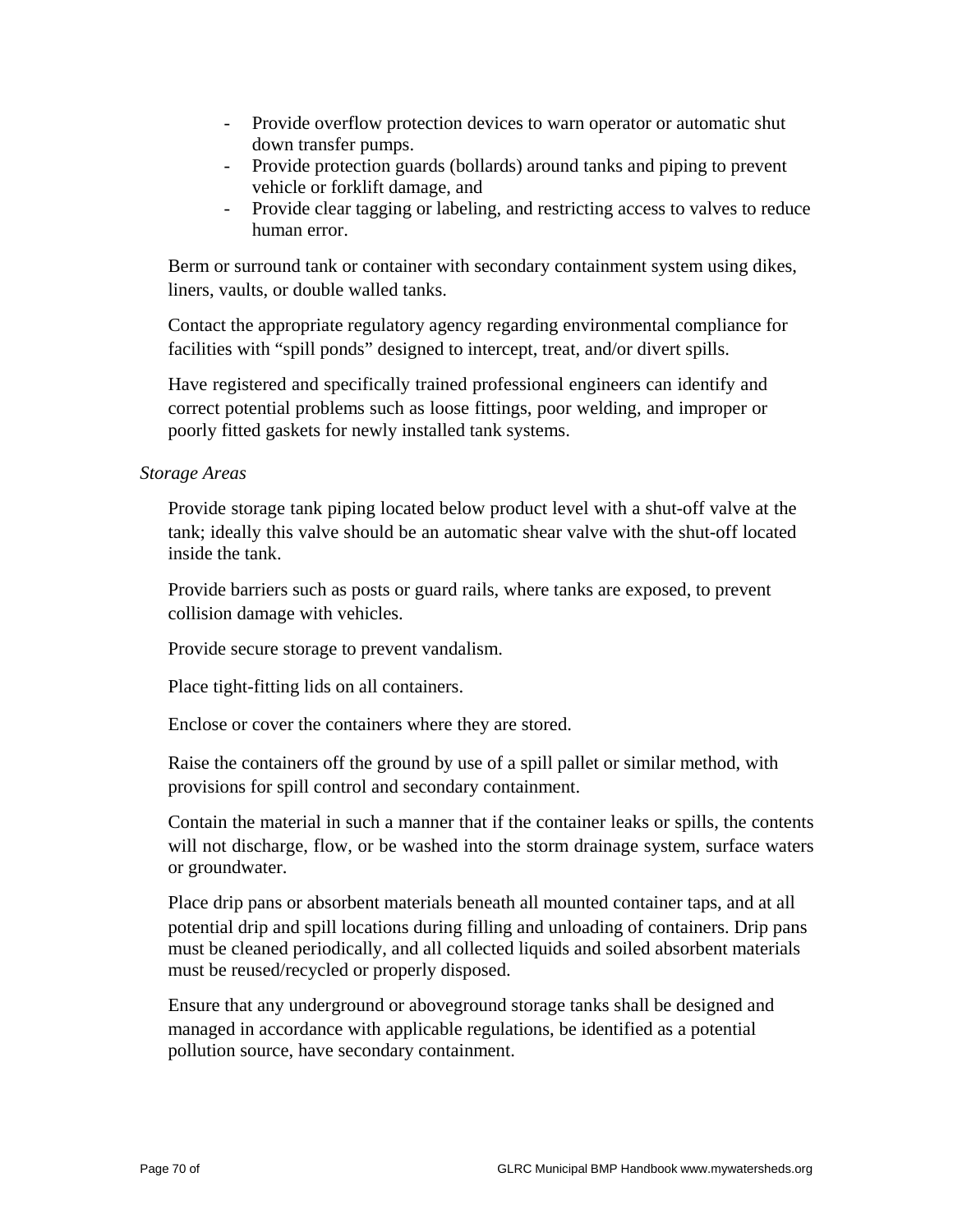- Provide overflow protection devices to warn operator or automatic shut down transfer pumps.
- Provide protection guards (bollards) around tanks and piping to prevent vehicle or forklift damage, and
- Provide clear tagging or labeling, and restricting access to valves to reduce human error.

 Berm or surround tank or container with secondary containment system using dikes, liners, vaults, or double walled tanks.

 Contact the appropriate regulatory agency regarding environmental compliance for facilities with "spill ponds" designed to intercept, treat, and/or divert spills.

 Have registered and specifically trained professional engineers can identify and correct potential problems such as loose fittings, poor welding, and improper or poorly fitted gaskets for newly installed tank systems.

*Storage Areas*

 Provide storage tank piping located below product level with a shut-off valve at the tank; ideally this valve should be an automatic shear valve with the shut-off located inside the tank.

 Provide barriers such as posts or guard rails, where tanks are exposed, to prevent collision damage with vehicles.

Provide secure storage to prevent vandalism.

Place tight-fitting lids on all containers.

Enclose or cover the containers where they are stored.

 Raise the containers off the ground by use of a spill pallet or similar method, with provisions for spill control and secondary containment.

 Contain the material in such a manner that if the container leaks or spills, the contents will not discharge, flow, or be washed into the storm drainage system, surface waters or groundwater.

 Place drip pans or absorbent materials beneath all mounted container taps, and at all potential drip and spill locations during filling and unloading of containers. Drip pans must be cleaned periodically, and all collected liquids and soiled absorbent materials must be reused/recycled or properly disposed.

 Ensure that any underground or aboveground storage tanks shall be designed and managed in accordance with applicable regulations, be identified as a potential pollution source, have secondary containment.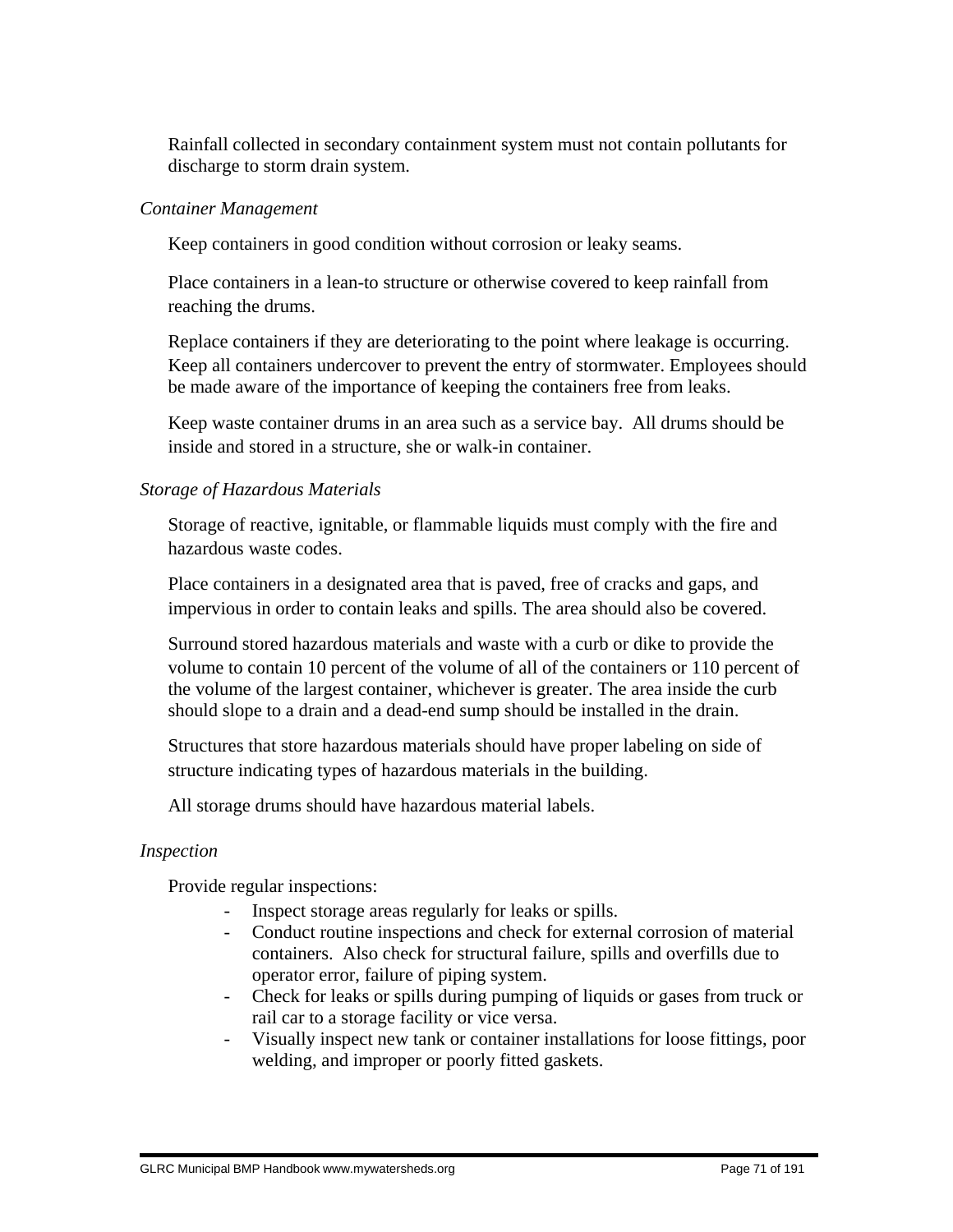Rainfall collected in secondary containment system must not contain pollutants for discharge to storm drain system.

## *Container Management*

Keep containers in good condition without corrosion or leaky seams.

 Place containers in a lean-to structure or otherwise covered to keep rainfall from reaching the drums.

 Replace containers if they are deteriorating to the point where leakage is occurring. Keep all containers undercover to prevent the entry of stormwater. Employees should be made aware of the importance of keeping the containers free from leaks.

 Keep waste container drums in an area such as a service bay. All drums should be inside and stored in a structure, she or walk-in container.

# *Storage of Hazardous Materials*

 Storage of reactive, ignitable, or flammable liquids must comply with the fire and hazardous waste codes.

 Place containers in a designated area that is paved, free of cracks and gaps, and impervious in order to contain leaks and spills. The area should also be covered.

 Surround stored hazardous materials and waste with a curb or dike to provide the volume to contain 10 percent of the volume of all of the containers or 110 percent of the volume of the largest container, whichever is greater. The area inside the curb should slope to a drain and a dead-end sump should be installed in the drain.

 Structures that store hazardous materials should have proper labeling on side of structure indicating types of hazardous materials in the building.

All storage drums should have hazardous material labels.

# *Inspection*

Provide regular inspections:

- Inspect storage areas regularly for leaks or spills.
- Conduct routine inspections and check for external corrosion of material containers. Also check for structural failure, spills and overfills due to operator error, failure of piping system.
- Check for leaks or spills during pumping of liquids or gases from truck or rail car to a storage facility or vice versa.
- Visually inspect new tank or container installations for loose fittings, poor welding, and improper or poorly fitted gaskets.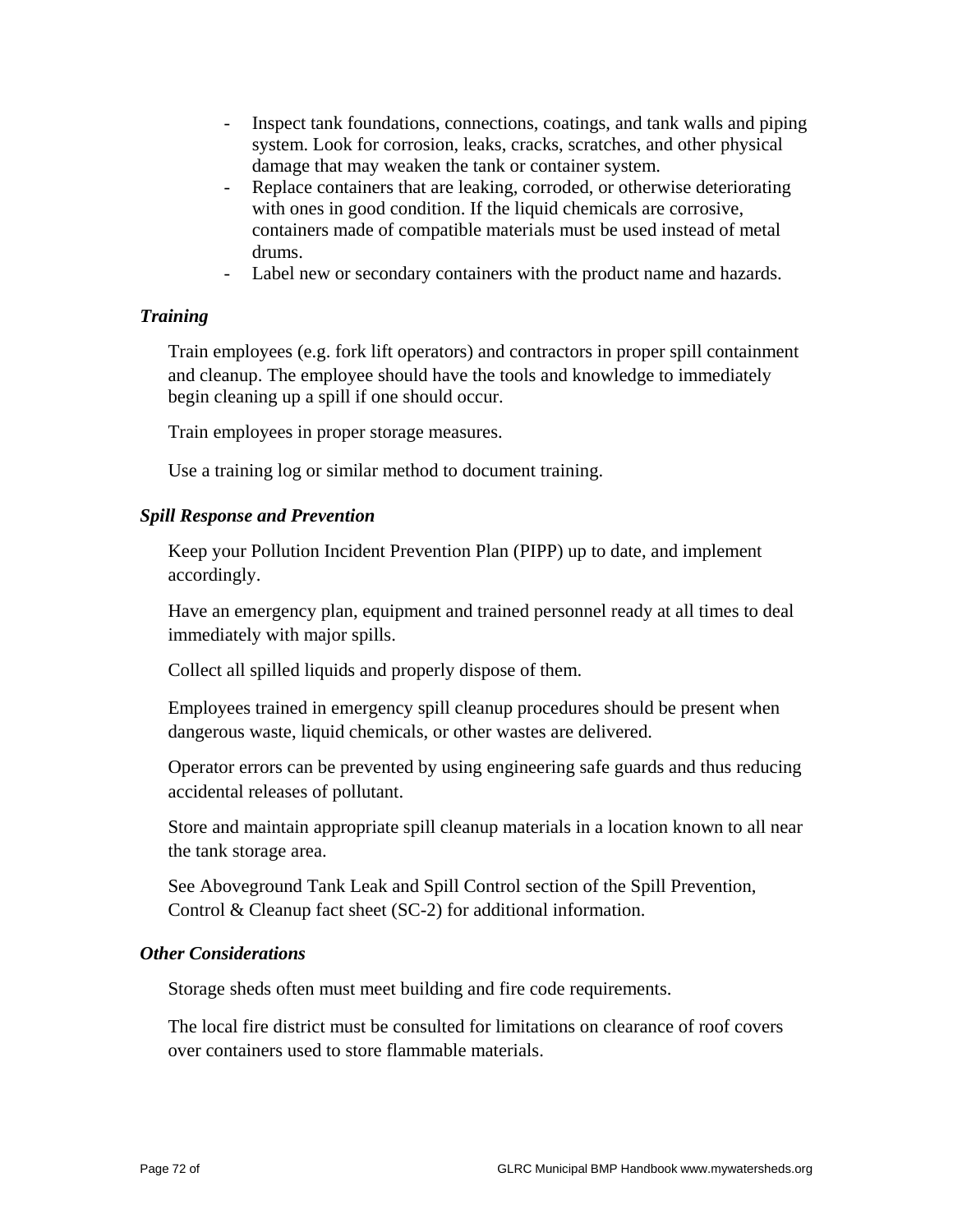- Inspect tank foundations, connections, coatings, and tank walls and piping system. Look for corrosion, leaks, cracks, scratches, and other physical damage that may weaken the tank or container system.
- Replace containers that are leaking, corroded, or otherwise deteriorating with ones in good condition. If the liquid chemicals are corrosive, containers made of compatible materials must be used instead of metal drums.
- Label new or secondary containers with the product name and hazards.

## *Training*

 Train employees (e.g. fork lift operators) and contractors in proper spill containment and cleanup. The employee should have the tools and knowledge to immediately begin cleaning up a spill if one should occur.

Train employees in proper storage measures.

Use a training log or similar method to document training.

## *Spill Response and Prevention*

 Keep your Pollution Incident Prevention Plan (PIPP) up to date, and implement accordingly.

 Have an emergency plan, equipment and trained personnel ready at all times to deal immediately with major spills.

Collect all spilled liquids and properly dispose of them.

 Employees trained in emergency spill cleanup procedures should be present when dangerous waste, liquid chemicals, or other wastes are delivered.

 Operator errors can be prevented by using engineering safe guards and thus reducing accidental releases of pollutant.

 Store and maintain appropriate spill cleanup materials in a location known to all near the tank storage area.

 See Aboveground Tank Leak and Spill Control section of the Spill Prevention, Control & Cleanup fact sheet (SC-2) for additional information.

## *Other Considerations*

Storage sheds often must meet building and fire code requirements.

 The local fire district must be consulted for limitations on clearance of roof covers over containers used to store flammable materials.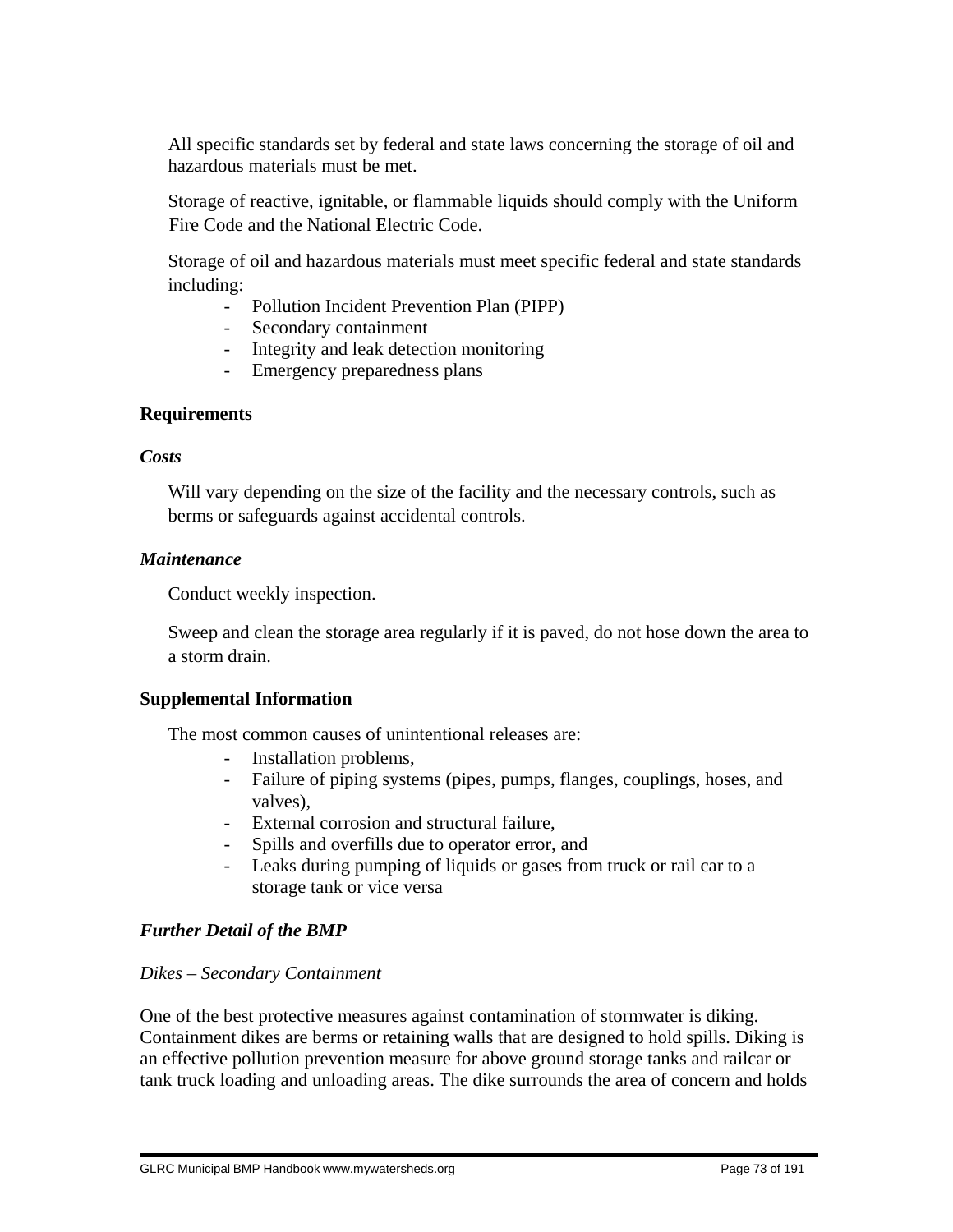All specific standards set by federal and state laws concerning the storage of oil and hazardous materials must be met.

 Storage of reactive, ignitable, or flammable liquids should comply with the Uniform Fire Code and the National Electric Code.

 Storage of oil and hazardous materials must meet specific federal and state standards including:

- Pollution Incident Prevention Plan (PIPP)
- Secondary containment
- Integrity and leak detection monitoring
- Emergency preparedness plans

## **Requirements**

## *Costs*

 Will vary depending on the size of the facility and the necessary controls, such as berms or safeguards against accidental controls.

## *Maintenance*

Conduct weekly inspection.

 Sweep and clean the storage area regularly if it is paved, do not hose down the area to a storm drain.

## **Supplemental Information**

The most common causes of unintentional releases are:

- Installation problems,
- Failure of piping systems (pipes, pumps, flanges, couplings, hoses, and valves),
- External corrosion and structural failure,
- Spills and overfills due to operator error, and
- Leaks during pumping of liquids or gases from truck or rail car to a storage tank or vice versa

## *Further Detail of the BMP*

## *Dikes – Secondary Containment*

One of the best protective measures against contamination of stormwater is diking. Containment dikes are berms or retaining walls that are designed to hold spills. Diking is an effective pollution prevention measure for above ground storage tanks and railcar or tank truck loading and unloading areas. The dike surrounds the area of concern and holds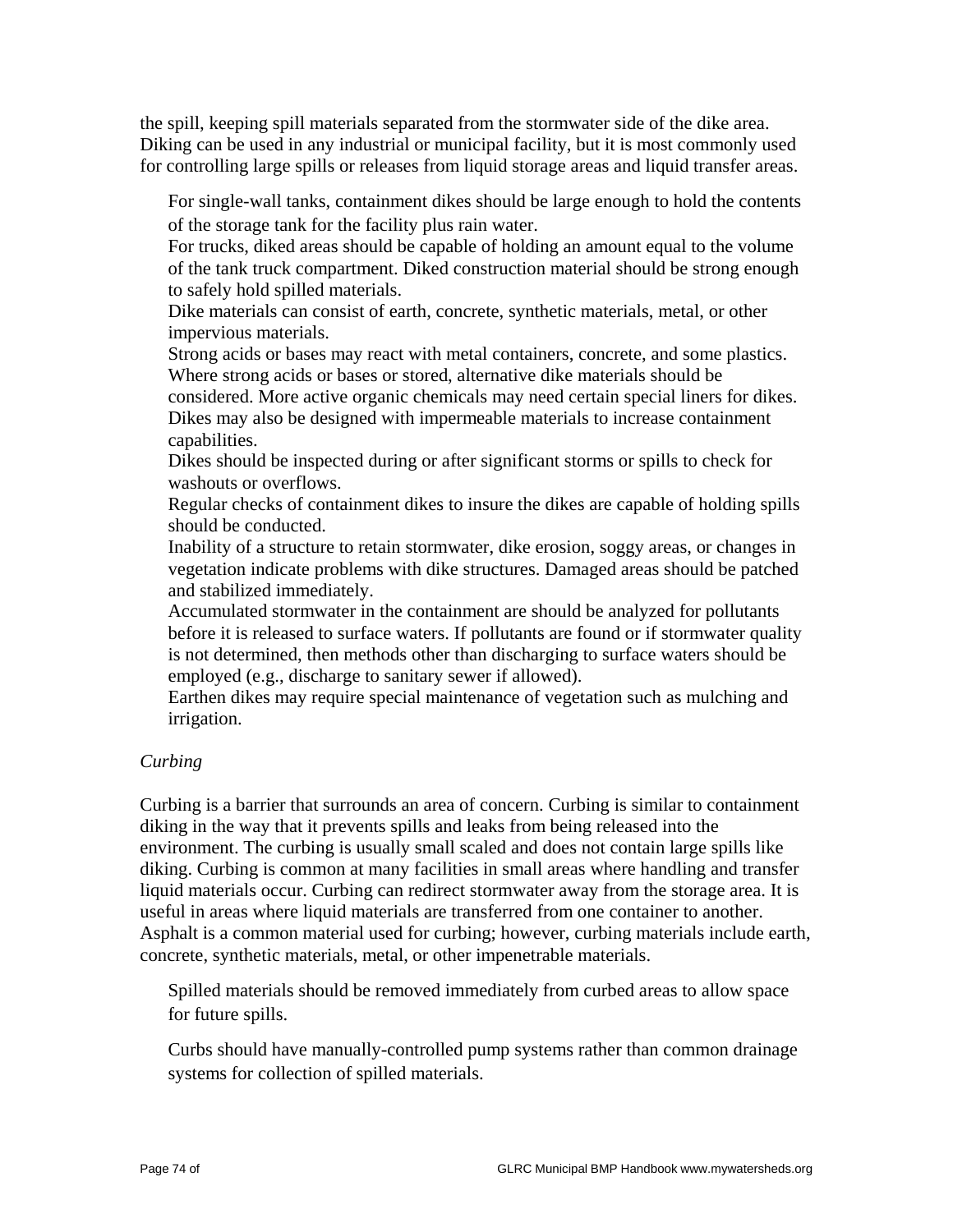the spill, keeping spill materials separated from the stormwater side of the dike area. Diking can be used in any industrial or municipal facility, but it is most commonly used for controlling large spills or releases from liquid storage areas and liquid transfer areas.

 For single-wall tanks, containment dikes should be large enough to hold the contents of the storage tank for the facility plus rain water.

 For trucks, diked areas should be capable of holding an amount equal to the volume of the tank truck compartment. Diked construction material should be strong enough to safely hold spilled materials.

 Dike materials can consist of earth, concrete, synthetic materials, metal, or other impervious materials.

 Strong acids or bases may react with metal containers, concrete, and some plastics. Where strong acids or bases or stored, alternative dike materials should be

considered. More active organic chemicals may need certain special liners for dikes. Dikes may also be designed with impermeable materials to increase containment capabilities.

 Dikes should be inspected during or after significant storms or spills to check for washouts or overflows.

 Regular checks of containment dikes to insure the dikes are capable of holding spills should be conducted.

 Inability of a structure to retain stormwater, dike erosion, soggy areas, or changes in vegetation indicate problems with dike structures. Damaged areas should be patched and stabilized immediately.

 Accumulated stormwater in the containment are should be analyzed for pollutants before it is released to surface waters. If pollutants are found or if stormwater quality is not determined, then methods other than discharging to surface waters should be employed (e.g., discharge to sanitary sewer if allowed).

 Earthen dikes may require special maintenance of vegetation such as mulching and irrigation.

## *Curbing*

Curbing is a barrier that surrounds an area of concern. Curbing is similar to containment diking in the way that it prevents spills and leaks from being released into the environment. The curbing is usually small scaled and does not contain large spills like diking. Curbing is common at many facilities in small areas where handling and transfer liquid materials occur. Curbing can redirect stormwater away from the storage area. It is useful in areas where liquid materials are transferred from one container to another. Asphalt is a common material used for curbing; however, curbing materials include earth, concrete, synthetic materials, metal, or other impenetrable materials.

 Spilled materials should be removed immediately from curbed areas to allow space for future spills.

 Curbs should have manually-controlled pump systems rather than common drainage systems for collection of spilled materials.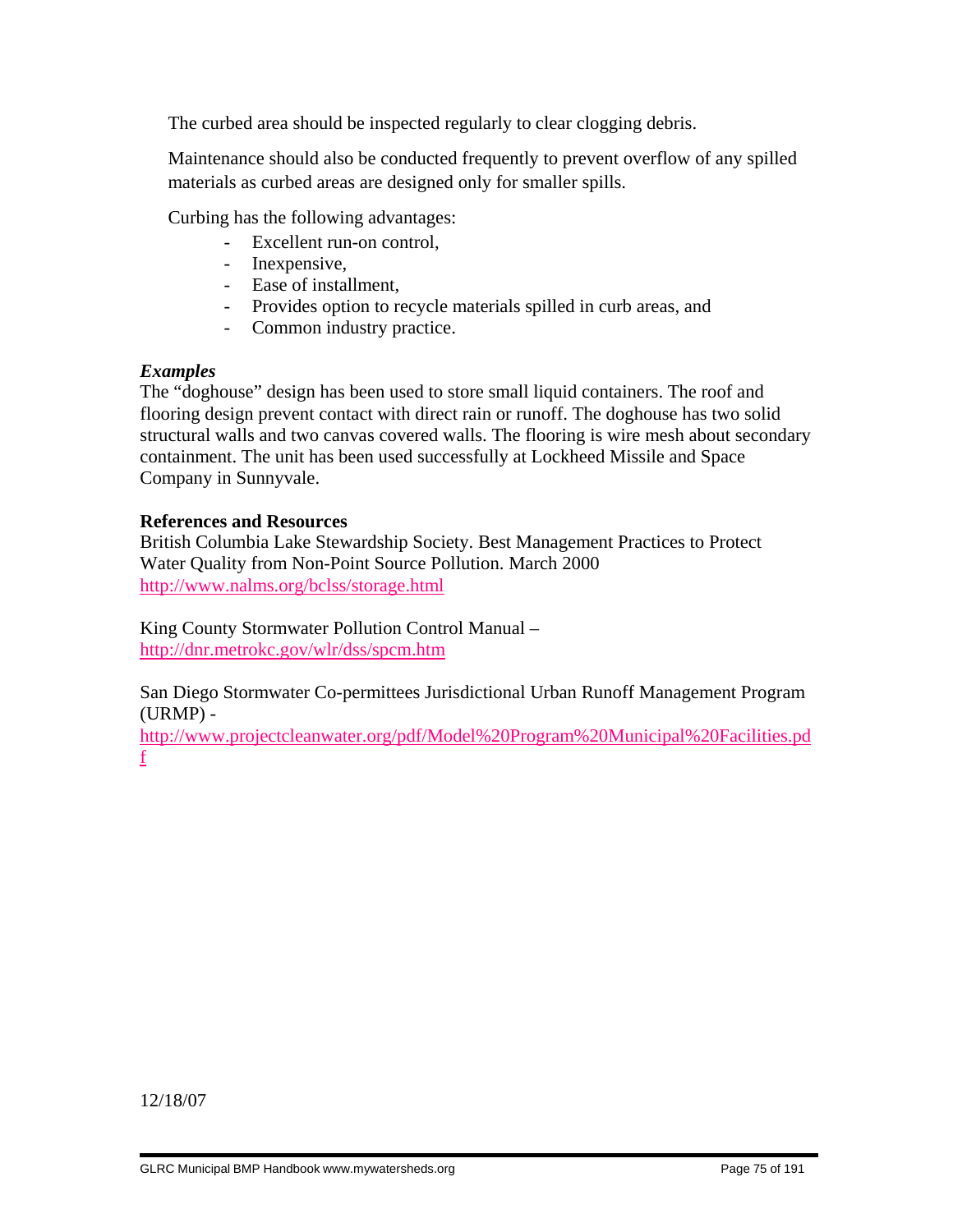The curbed area should be inspected regularly to clear clogging debris.

 Maintenance should also be conducted frequently to prevent overflow of any spilled materials as curbed areas are designed only for smaller spills.

Curbing has the following advantages:

- Excellent run-on control,
- Inexpensive,
- Ease of installment,
- Provides option to recycle materials spilled in curb areas, and
- Common industry practice.

# *Examples*

The "doghouse" design has been used to store small liquid containers. The roof and flooring design prevent contact with direct rain or runoff. The doghouse has two solid structural walls and two canvas covered walls. The flooring is wire mesh about secondary containment. The unit has been used successfully at Lockheed Missile and Space Company in Sunnyvale.

# **References and Resources**

British Columbia Lake Stewardship Society. Best Management Practices to Protect Water Quality from Non-Point Source Pollution. March 2000 http://www.nalms.org/bclss/storage.html

King County Stormwater Pollution Control Manual – http://dnr.metrokc.gov/wlr/dss/spcm.htm

San Diego Stormwater Co-permittees Jurisdictional Urban Runoff Management Program (URMP) -

http://www.projectcleanwater.org/pdf/Model%20Program%20Municipal%20Facilities.pd f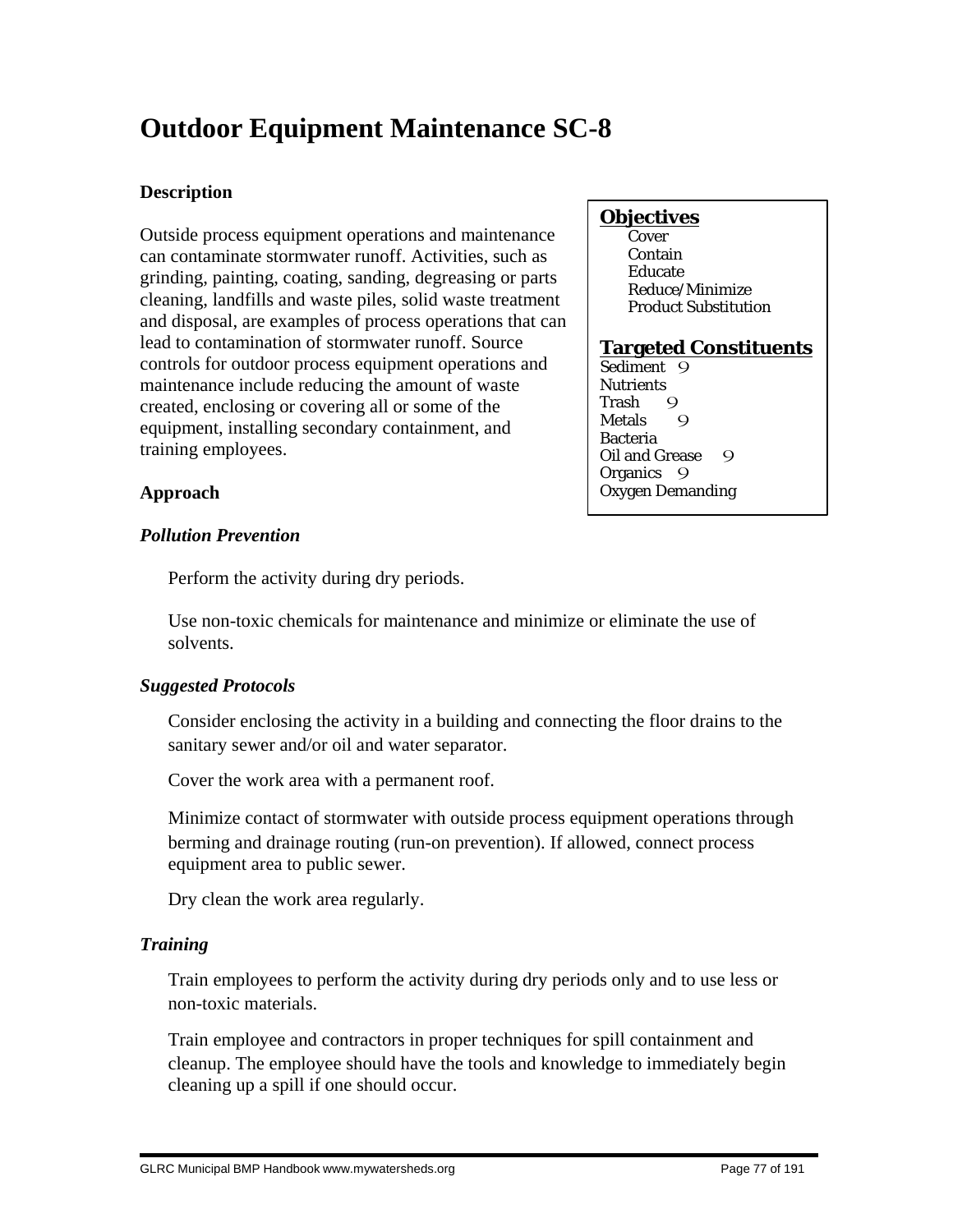# **Outdoor Equipment Maintenance SC-8**

## **Description**

Outside process equipment operations and maintenance can contaminate stormwater runoff. Activities, such as grinding, painting, coating, sanding, degreasing or parts cleaning, landfills and waste piles, solid waste treatment and disposal, are examples of process operations that can lead to contamination of stormwater runoff. Source controls for outdoor process equipment operations and maintenance include reducing the amount of waste created, enclosing or covering all or some of the equipment, installing secondary containment, and training employees.

## **Objectives**

**Cover**  Contain Educate Reduce/Minimize Product Substitution

## **Targeted Constituents**

Sediment 9 **Nutrients** Trash 9<br>Metals 9 **Metals** Bacteria Oil and Grease 9 Organics 9 Oxygen Demanding

# **Approach**

## *Pollution Prevention*

Perform the activity during dry periods.

 Use non-toxic chemicals for maintenance and minimize or eliminate the use of solvents.

# *Suggested Protocols*

 Consider enclosing the activity in a building and connecting the floor drains to the sanitary sewer and/or oil and water separator.

Cover the work area with a permanent roof.

 Minimize contact of stormwater with outside process equipment operations through berming and drainage routing (run-on prevention). If allowed, connect process equipment area to public sewer.

Dry clean the work area regularly.

# *Training*

 Train employees to perform the activity during dry periods only and to use less or non-toxic materials.

 Train employee and contractors in proper techniques for spill containment and cleanup. The employee should have the tools and knowledge to immediately begin cleaning up a spill if one should occur.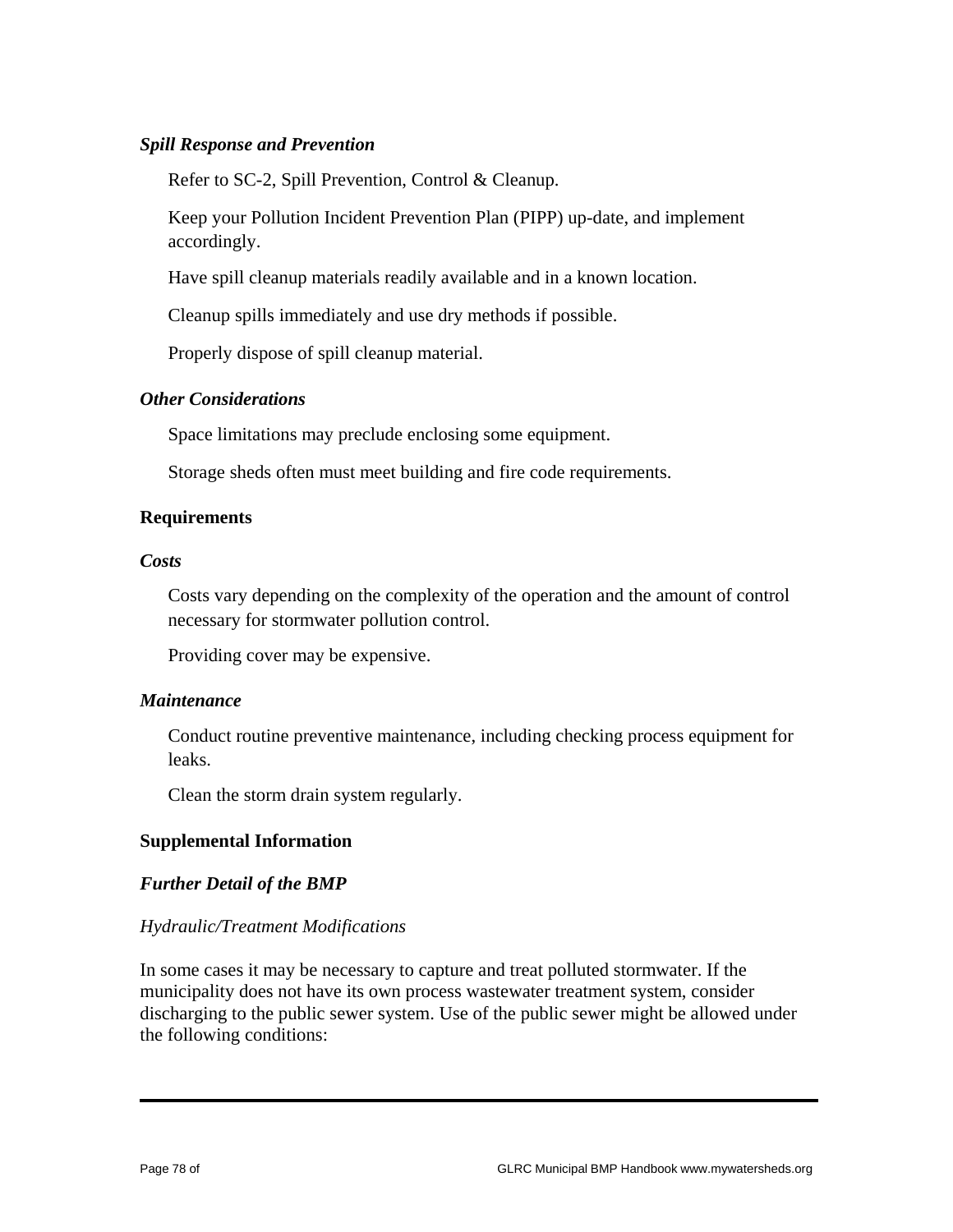## *Spill Response and Prevention*

Refer to SC-2, Spill Prevention, Control & Cleanup.

 Keep your Pollution Incident Prevention Plan (PIPP) up-date, and implement accordingly.

Have spill cleanup materials readily available and in a known location.

Cleanup spills immediately and use dry methods if possible.

Properly dispose of spill cleanup material.

## *Other Considerations*

Space limitations may preclude enclosing some equipment.

Storage sheds often must meet building and fire code requirements.

## **Requirements**

#### *Costs*

 Costs vary depending on the complexity of the operation and the amount of control necessary for stormwater pollution control.

Providing cover may be expensive.

#### *Maintenance*

 Conduct routine preventive maintenance, including checking process equipment for leaks.

Clean the storm drain system regularly.

## **Supplemental Information**

## *Further Detail of the BMP*

#### *Hydraulic/Treatment Modifications*

In some cases it may be necessary to capture and treat polluted stormwater. If the municipality does not have its own process wastewater treatment system, consider discharging to the public sewer system. Use of the public sewer might be allowed under the following conditions: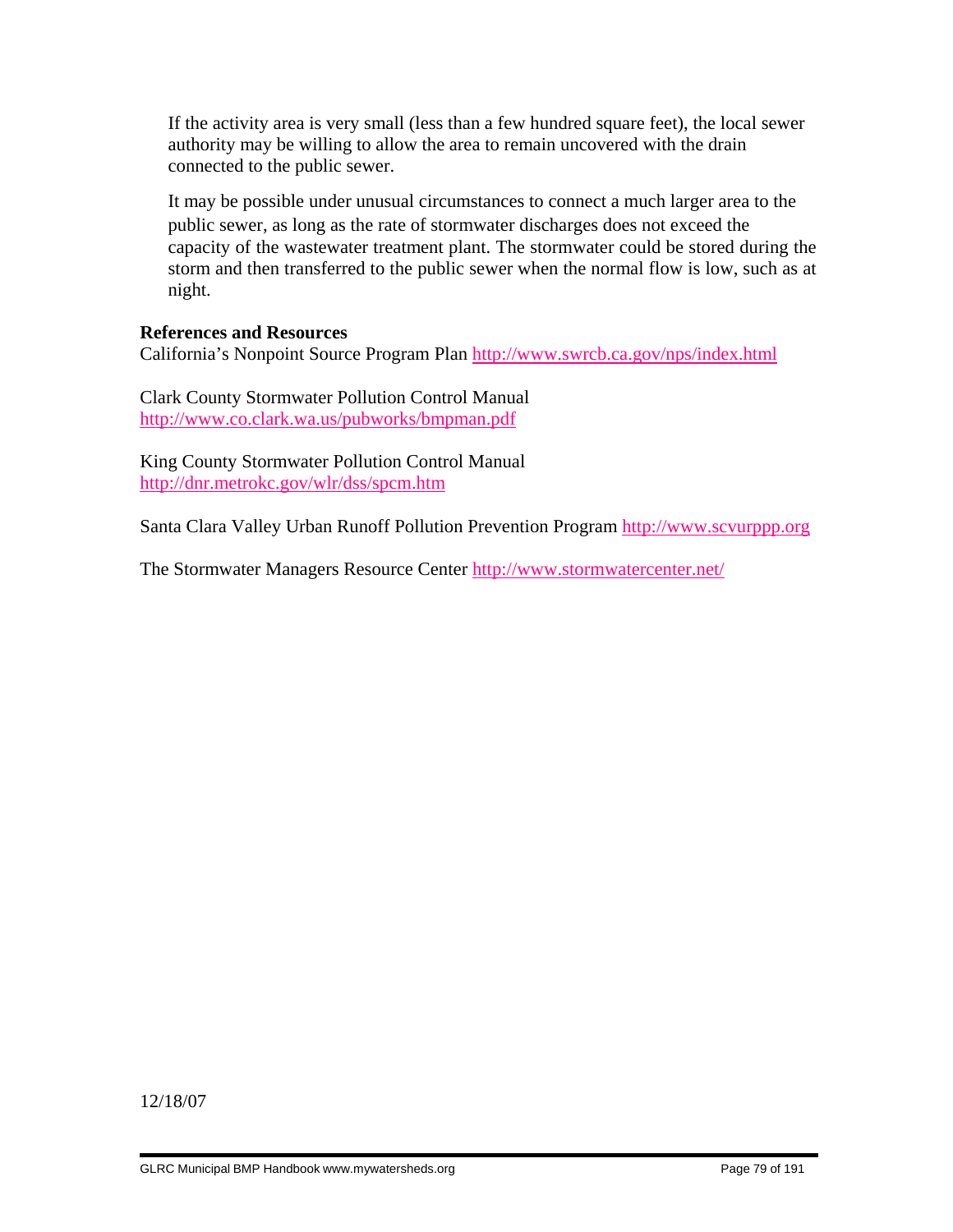If the activity area is very small (less than a few hundred square feet), the local sewer authority may be willing to allow the area to remain uncovered with the drain connected to the public sewer.

 It may be possible under unusual circumstances to connect a much larger area to the public sewer, as long as the rate of stormwater discharges does not exceed the capacity of the wastewater treatment plant. The stormwater could be stored during the storm and then transferred to the public sewer when the normal flow is low, such as at night.

## **References and Resources**

California's Nonpoint Source Program Plan http://www.swrcb.ca.gov/nps/index.html

Clark County Stormwater Pollution Control Manual http://www.co.clark.wa.us/pubworks/bmpman.pdf

King County Stormwater Pollution Control Manual http://dnr.metrokc.gov/wlr/dss/spcm.htm

Santa Clara Valley Urban Runoff Pollution Prevention Program http://www.scvurppp.org

The Stormwater Managers Resource Center http://www.stormwatercenter.net/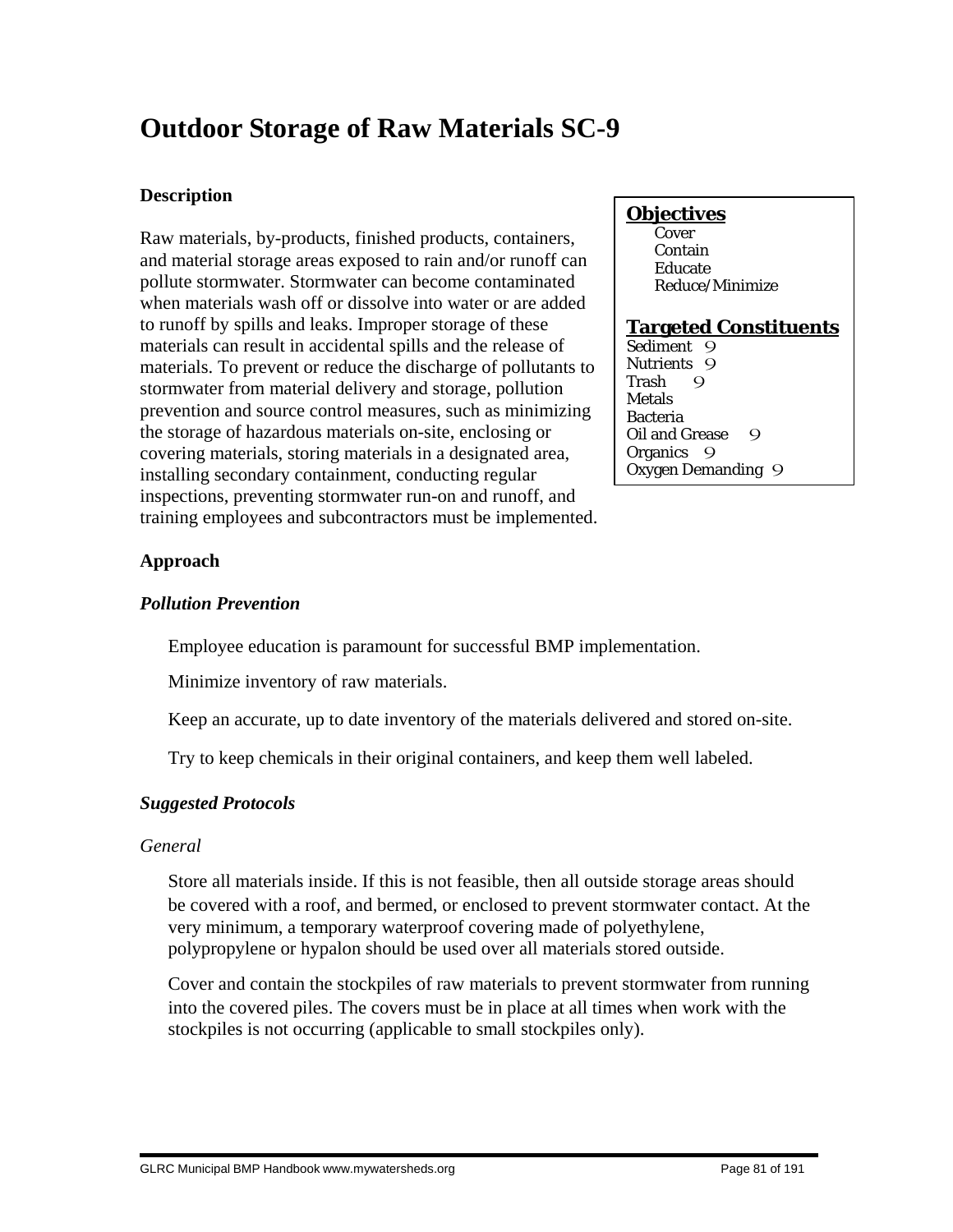# **Outdoor Storage of Raw Materials SC-9**

## **Description**

Raw materials, by-products, finished products, containers, and material storage areas exposed to rain and/or runoff can pollute stormwater. Stormwater can become contaminated when materials wash off or dissolve into water or are added to runoff by spills and leaks. Improper storage of these materials can result in accidental spills and the release of materials. To prevent or reduce the discharge of pollutants to stormwater from material delivery and storage, pollution prevention and source control measures, such as minimizing the storage of hazardous materials on-site, enclosing or covering materials, storing materials in a designated area, installing secondary containment, conducting regular inspections, preventing stormwater run-on and runoff, and training employees and subcontractors must be implemented.

## **Objectives**

 Cover Contain Educate Reduce/Minimize

## **Targeted Constituents**

Sediment 9 Nutrients 9<br>Trash 9 Trash 9 Metals Bacteria Oil and Grease 9 Organics<sub>9</sub> Oxygen Demanding 9

## **Approach**

## *Pollution Prevention*

Employee education is paramount for successful BMP implementation.

Minimize inventory of raw materials.

Keep an accurate, up to date inventory of the materials delivered and stored on-site.

Try to keep chemicals in their original containers, and keep them well labeled.

## *Suggested Protocols*

## *General*

 Store all materials inside. If this is not feasible, then all outside storage areas should be covered with a roof, and bermed, or enclosed to prevent stormwater contact. At the very minimum, a temporary waterproof covering made of polyethylene, polypropylene or hypalon should be used over all materials stored outside.

 Cover and contain the stockpiles of raw materials to prevent stormwater from running into the covered piles. The covers must be in place at all times when work with the stockpiles is not occurring (applicable to small stockpiles only).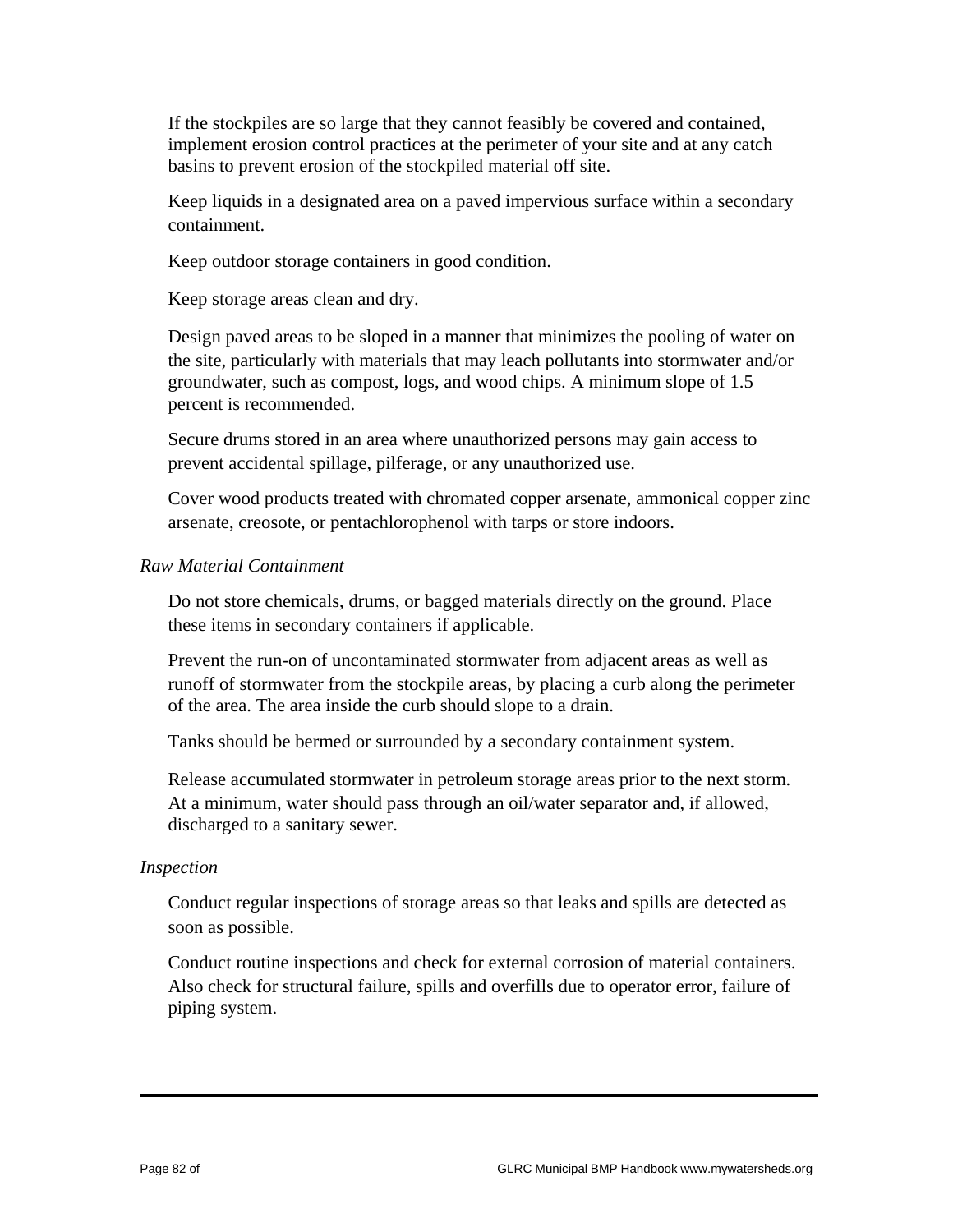If the stockpiles are so large that they cannot feasibly be covered and contained, implement erosion control practices at the perimeter of your site and at any catch basins to prevent erosion of the stockpiled material off site.

 Keep liquids in a designated area on a paved impervious surface within a secondary containment.

Keep outdoor storage containers in good condition.

Keep storage areas clean and dry.

 Design paved areas to be sloped in a manner that minimizes the pooling of water on the site, particularly with materials that may leach pollutants into stormwater and/or groundwater, such as compost, logs, and wood chips. A minimum slope of 1.5 percent is recommended.

 Secure drums stored in an area where unauthorized persons may gain access to prevent accidental spillage, pilferage, or any unauthorized use.

 Cover wood products treated with chromated copper arsenate, ammonical copper zinc arsenate, creosote, or pentachlorophenol with tarps or store indoors.

#### *Raw Material Containment*

 Do not store chemicals, drums, or bagged materials directly on the ground. Place these items in secondary containers if applicable.

 Prevent the run-on of uncontaminated stormwater from adjacent areas as well as runoff of stormwater from the stockpile areas, by placing a curb along the perimeter of the area. The area inside the curb should slope to a drain.

Tanks should be bermed or surrounded by a secondary containment system.

 Release accumulated stormwater in petroleum storage areas prior to the next storm. At a minimum, water should pass through an oil/water separator and, if allowed, discharged to a sanitary sewer.

#### *Inspection*

 Conduct regular inspections of storage areas so that leaks and spills are detected as soon as possible.

 Conduct routine inspections and check for external corrosion of material containers. Also check for structural failure, spills and overfills due to operator error, failure of piping system.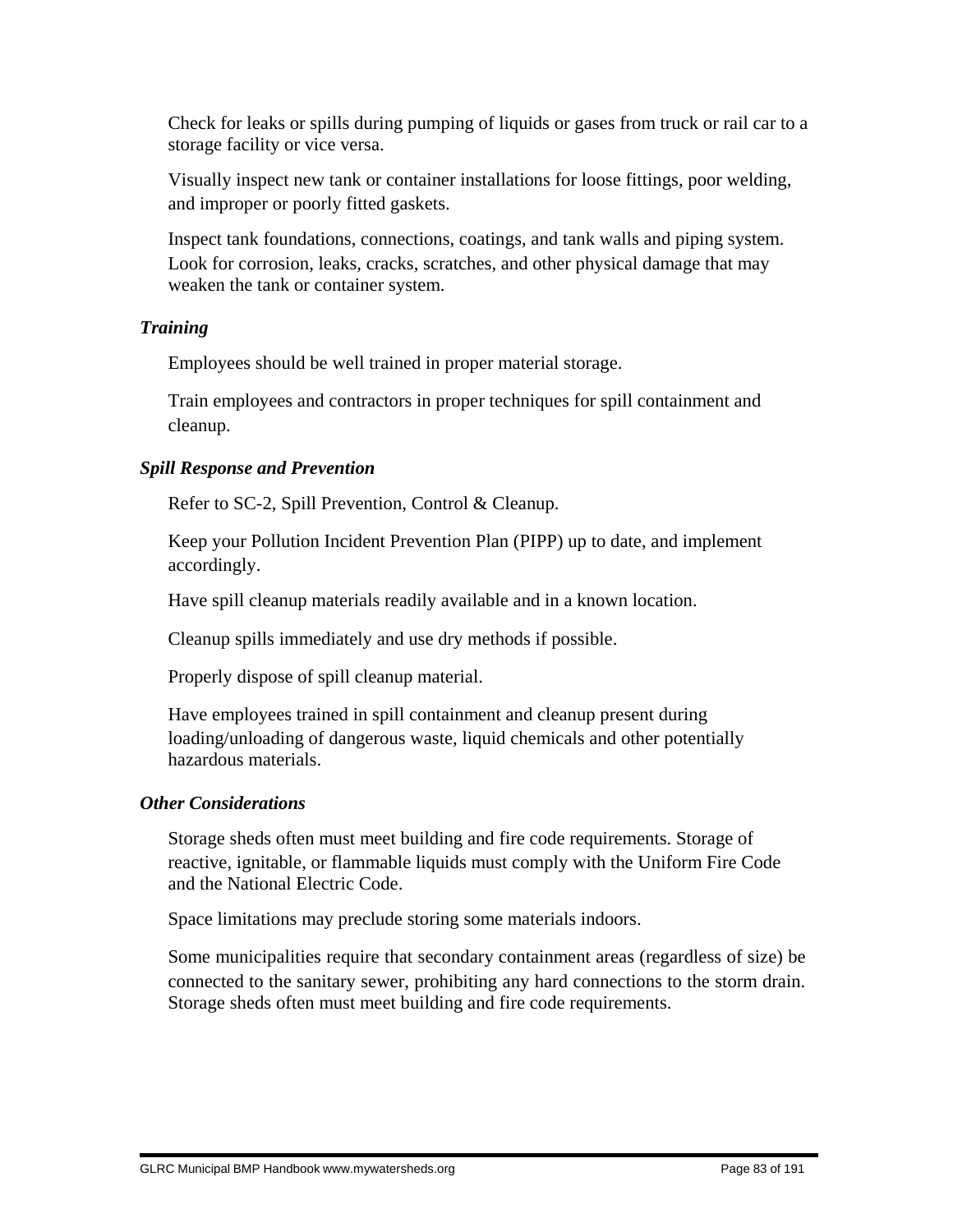Check for leaks or spills during pumping of liquids or gases from truck or rail car to a storage facility or vice versa.

 Visually inspect new tank or container installations for loose fittings, poor welding, and improper or poorly fitted gaskets.

 Inspect tank foundations, connections, coatings, and tank walls and piping system. Look for corrosion, leaks, cracks, scratches, and other physical damage that may weaken the tank or container system.

## *Training*

Employees should be well trained in proper material storage.

 Train employees and contractors in proper techniques for spill containment and cleanup.

## *Spill Response and Prevention*

Refer to SC-2, Spill Prevention, Control & Cleanup.

 Keep your Pollution Incident Prevention Plan (PIPP) up to date, and implement accordingly.

Have spill cleanup materials readily available and in a known location.

Cleanup spills immediately and use dry methods if possible.

Properly dispose of spill cleanup material.

 Have employees trained in spill containment and cleanup present during loading/unloading of dangerous waste, liquid chemicals and other potentially hazardous materials.

## *Other Considerations*

 Storage sheds often must meet building and fire code requirements. Storage of reactive, ignitable, or flammable liquids must comply with the Uniform Fire Code and the National Electric Code.

Space limitations may preclude storing some materials indoors.

 Some municipalities require that secondary containment areas (regardless of size) be connected to the sanitary sewer, prohibiting any hard connections to the storm drain. Storage sheds often must meet building and fire code requirements.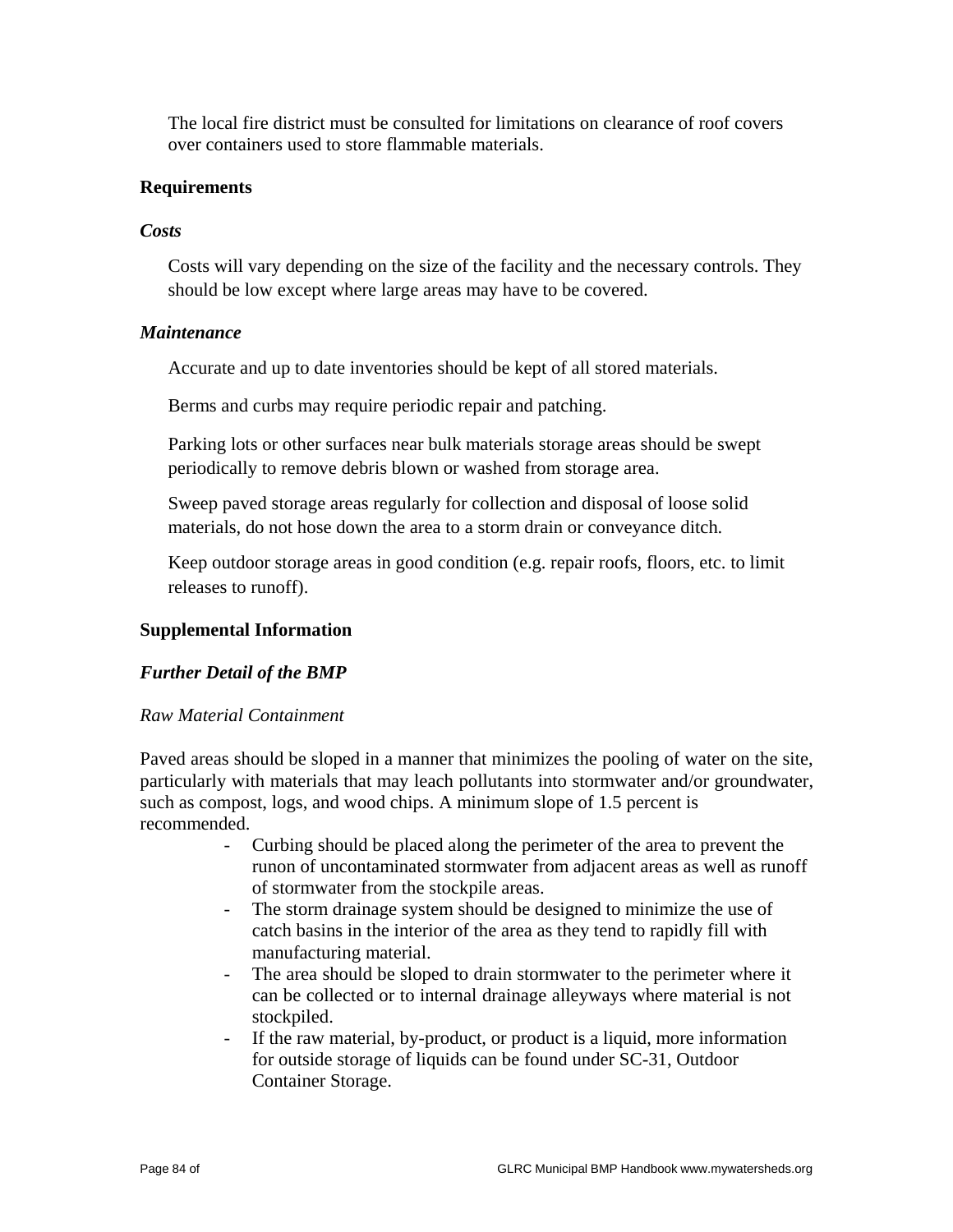The local fire district must be consulted for limitations on clearance of roof covers over containers used to store flammable materials.

## **Requirements**

### *Costs*

 Costs will vary depending on the size of the facility and the necessary controls. They should be low except where large areas may have to be covered.

#### *Maintenance*

Accurate and up to date inventories should be kept of all stored materials.

Berms and curbs may require periodic repair and patching.

 Parking lots or other surfaces near bulk materials storage areas should be swept periodically to remove debris blown or washed from storage area.

 Sweep paved storage areas regularly for collection and disposal of loose solid materials, do not hose down the area to a storm drain or conveyance ditch.

 Keep outdoor storage areas in good condition (e.g. repair roofs, floors, etc. to limit releases to runoff).

## **Supplemental Information**

## *Further Detail of the BMP*

#### *Raw Material Containment*

Paved areas should be sloped in a manner that minimizes the pooling of water on the site, particularly with materials that may leach pollutants into stormwater and/or groundwater, such as compost, logs, and wood chips. A minimum slope of 1.5 percent is recommended.

- Curbing should be placed along the perimeter of the area to prevent the runon of uncontaminated stormwater from adjacent areas as well as runoff of stormwater from the stockpile areas.
- The storm drainage system should be designed to minimize the use of catch basins in the interior of the area as they tend to rapidly fill with manufacturing material.
- The area should be sloped to drain stormwater to the perimeter where it can be collected or to internal drainage alleyways where material is not stockpiled.
- If the raw material, by-product, or product is a liquid, more information for outside storage of liquids can be found under SC-31, Outdoor Container Storage.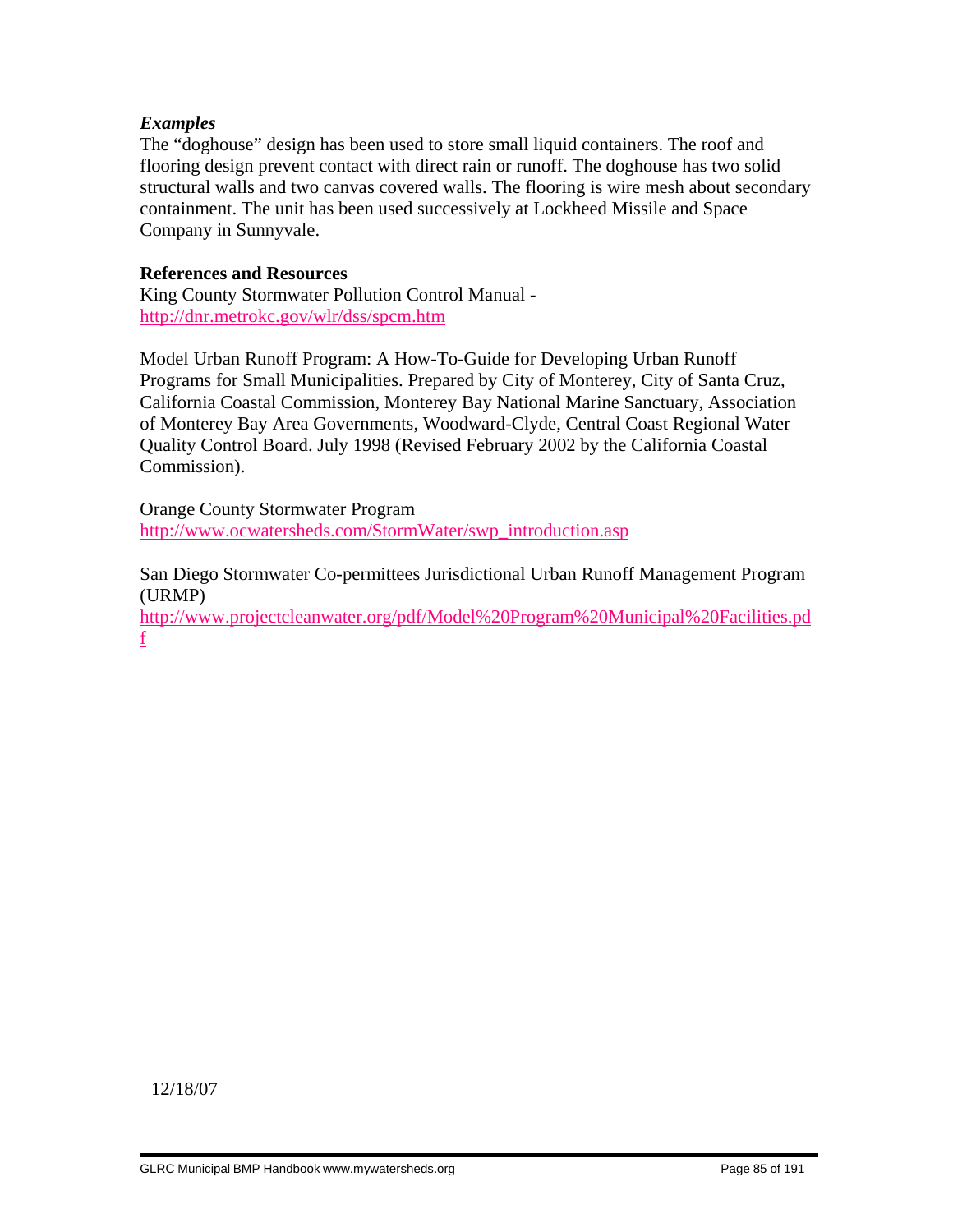## *Examples*

The "doghouse" design has been used to store small liquid containers. The roof and flooring design prevent contact with direct rain or runoff. The doghouse has two solid structural walls and two canvas covered walls. The flooring is wire mesh about secondary containment. The unit has been used successively at Lockheed Missile and Space Company in Sunnyvale.

### **References and Resources**

King County Stormwater Pollution Control Manual http://dnr.metrokc.gov/wlr/dss/spcm.htm

Model Urban Runoff Program: A How-To-Guide for Developing Urban Runoff Programs for Small Municipalities. Prepared by City of Monterey, City of Santa Cruz, California Coastal Commission, Monterey Bay National Marine Sanctuary, Association of Monterey Bay Area Governments, Woodward-Clyde, Central Coast Regional Water Quality Control Board. July 1998 (Revised February 2002 by the California Coastal Commission).

Orange County Stormwater Program http://www.ocwatersheds.com/StormWater/swp\_introduction.asp

San Diego Stormwater Co-permittees Jurisdictional Urban Runoff Management Program (URMP)

http://www.projectcleanwater.org/pdf/Model%20Program%20Municipal%20Facilities.pd f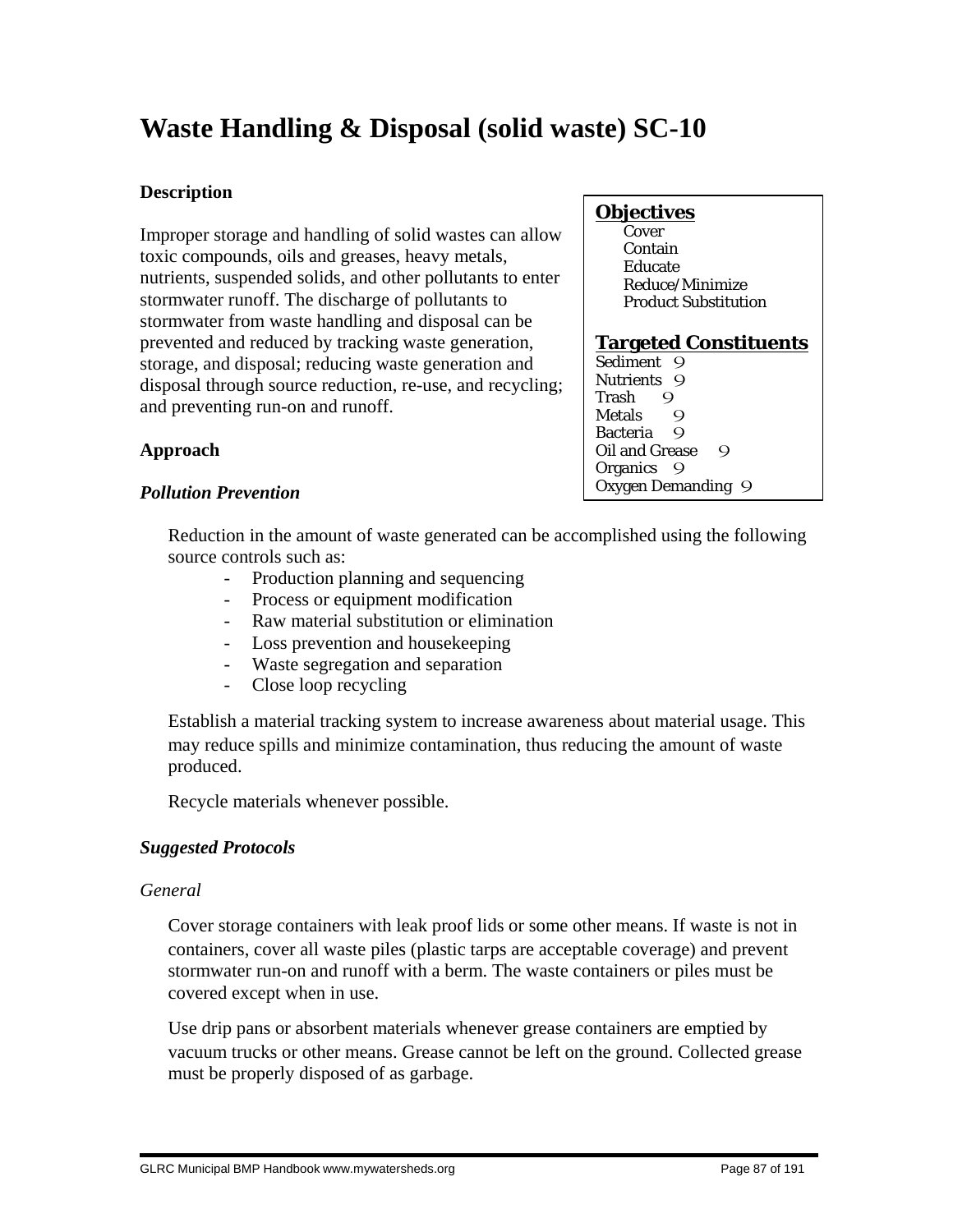# **Waste Handling & Disposal (solid waste) SC-10**

## **Description**

Improper storage and handling of solid wastes can allow toxic compounds, oils and greases, heavy metals, nutrients, suspended solids, and other pollutants to enter stormwater runoff. The discharge of pollutants to stormwater from waste handling and disposal can be prevented and reduced by tracking waste generation, storage, and disposal; reducing waste generation and disposal through source reduction, re-use, and recycling; and preventing run-on and runoff.

# **Approach**

# **Objectives**

**Cover**  Contain Educate Reduce/Minimize Product Substitution

## **Targeted Constituents**

Sediment 9 Nutrients 9 Trash 9 Metals 9 Bacteria 9 Oil and Grease 9 Organics 9 Oxygen Demanding 9

# *Pollution Prevention*

 Reduction in the amount of waste generated can be accomplished using the following source controls such as:

- Production planning and sequencing
- Process or equipment modification
- Raw material substitution or elimination
- Loss prevention and housekeeping
- Waste segregation and separation
- Close loop recycling

 Establish a material tracking system to increase awareness about material usage. This may reduce spills and minimize contamination, thus reducing the amount of waste produced.

Recycle materials whenever possible.

## *Suggested Protocols*

## *General*

 Cover storage containers with leak proof lids or some other means. If waste is not in containers, cover all waste piles (plastic tarps are acceptable coverage) and prevent stormwater run-on and runoff with a berm. The waste containers or piles must be covered except when in use.

 Use drip pans or absorbent materials whenever grease containers are emptied by vacuum trucks or other means. Grease cannot be left on the ground. Collected grease must be properly disposed of as garbage.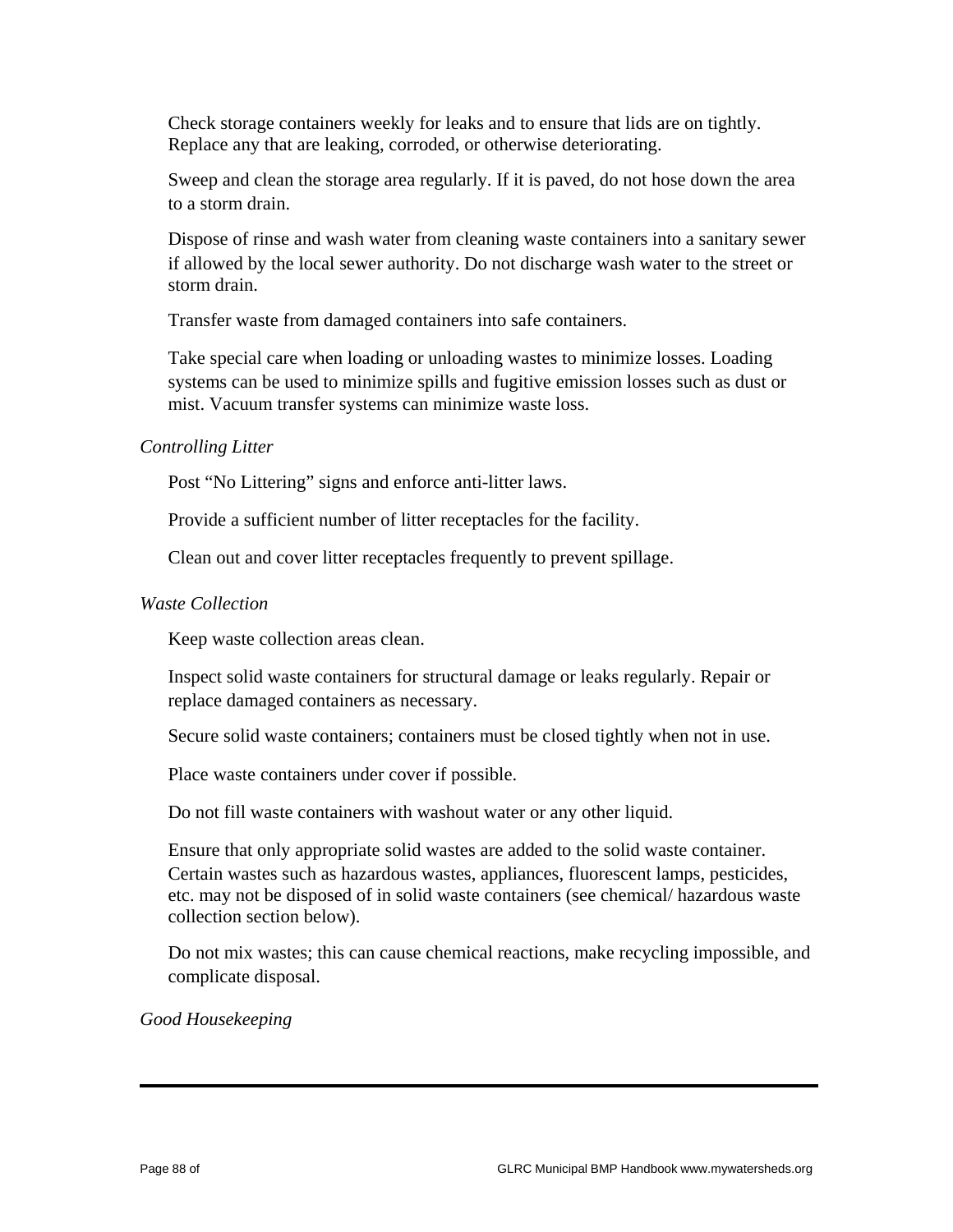Check storage containers weekly for leaks and to ensure that lids are on tightly. Replace any that are leaking, corroded, or otherwise deteriorating.

 Sweep and clean the storage area regularly. If it is paved, do not hose down the area to a storm drain.

 Dispose of rinse and wash water from cleaning waste containers into a sanitary sewer if allowed by the local sewer authority. Do not discharge wash water to the street or storm drain.

Transfer waste from damaged containers into safe containers.

 Take special care when loading or unloading wastes to minimize losses. Loading systems can be used to minimize spills and fugitive emission losses such as dust or mist. Vacuum transfer systems can minimize waste loss.

#### *Controlling Litter*

Post "No Littering" signs and enforce anti-litter laws.

Provide a sufficient number of litter receptacles for the facility.

Clean out and cover litter receptacles frequently to prevent spillage.

#### *Waste Collection*

Keep waste collection areas clean.

 Inspect solid waste containers for structural damage or leaks regularly. Repair or replace damaged containers as necessary.

Secure solid waste containers; containers must be closed tightly when not in use.

Place waste containers under cover if possible.

Do not fill waste containers with washout water or any other liquid.

 Ensure that only appropriate solid wastes are added to the solid waste container. Certain wastes such as hazardous wastes, appliances, fluorescent lamps, pesticides, etc. may not be disposed of in solid waste containers (see chemical/ hazardous waste collection section below).

 Do not mix wastes; this can cause chemical reactions, make recycling impossible, and complicate disposal.

*Good Housekeeping*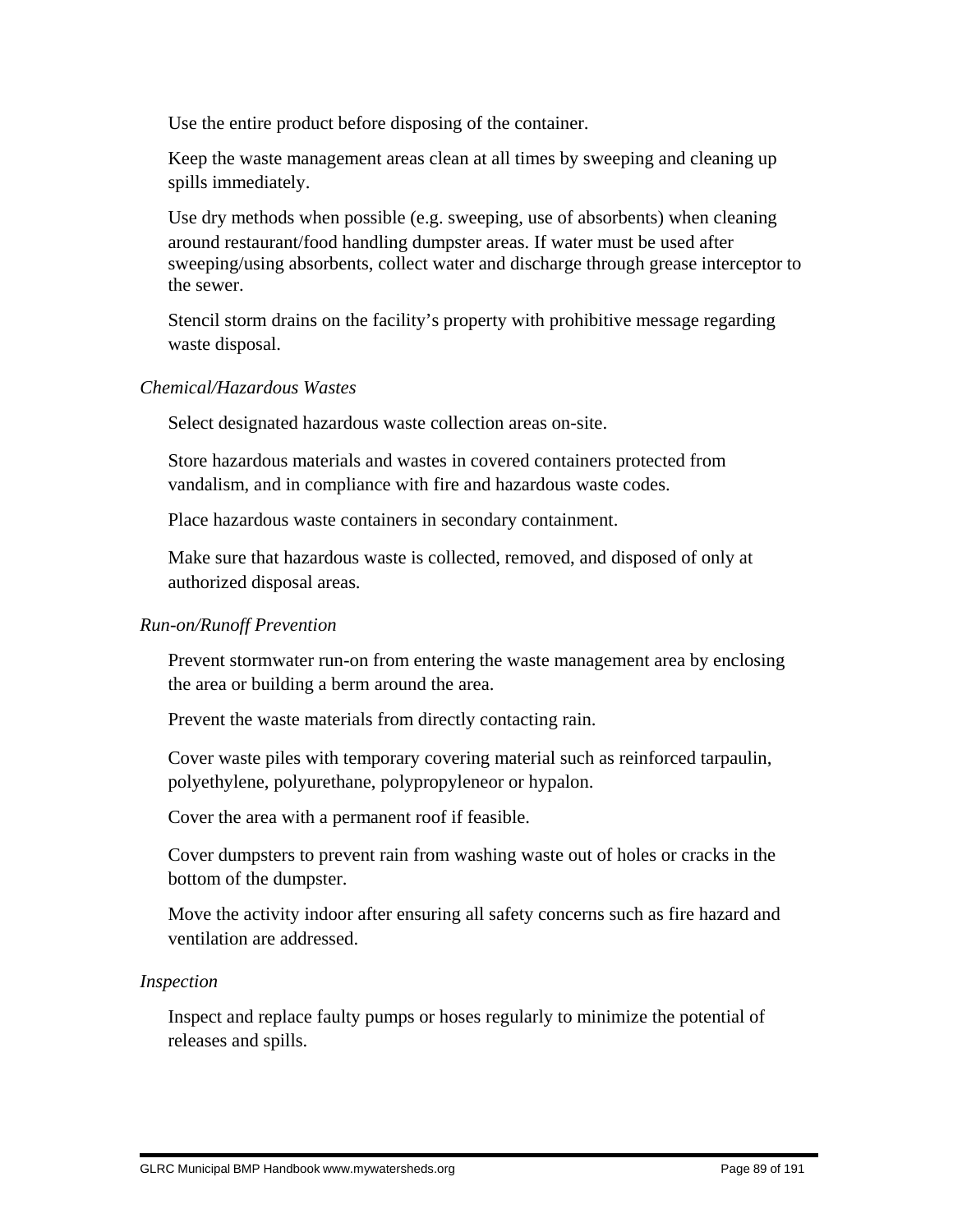Use the entire product before disposing of the container.

 Keep the waste management areas clean at all times by sweeping and cleaning up spills immediately.

 Use dry methods when possible (e.g. sweeping, use of absorbents) when cleaning around restaurant/food handling dumpster areas. If water must be used after sweeping/using absorbents, collect water and discharge through grease interceptor to the sewer.

 Stencil storm drains on the facility's property with prohibitive message regarding waste disposal.

## *Chemical/Hazardous Wastes*

Select designated hazardous waste collection areas on-site.

 Store hazardous materials and wastes in covered containers protected from vandalism, and in compliance with fire and hazardous waste codes.

Place hazardous waste containers in secondary containment.

 Make sure that hazardous waste is collected, removed, and disposed of only at authorized disposal areas.

## *Run-on/Runoff Prevention*

 Prevent stormwater run-on from entering the waste management area by enclosing the area or building a berm around the area.

Prevent the waste materials from directly contacting rain.

 Cover waste piles with temporary covering material such as reinforced tarpaulin, polyethylene, polyurethane, polypropyleneor or hypalon.

Cover the area with a permanent roof if feasible.

 Cover dumpsters to prevent rain from washing waste out of holes or cracks in the bottom of the dumpster.

 Move the activity indoor after ensuring all safety concerns such as fire hazard and ventilation are addressed.

#### *Inspection*

 Inspect and replace faulty pumps or hoses regularly to minimize the potential of releases and spills.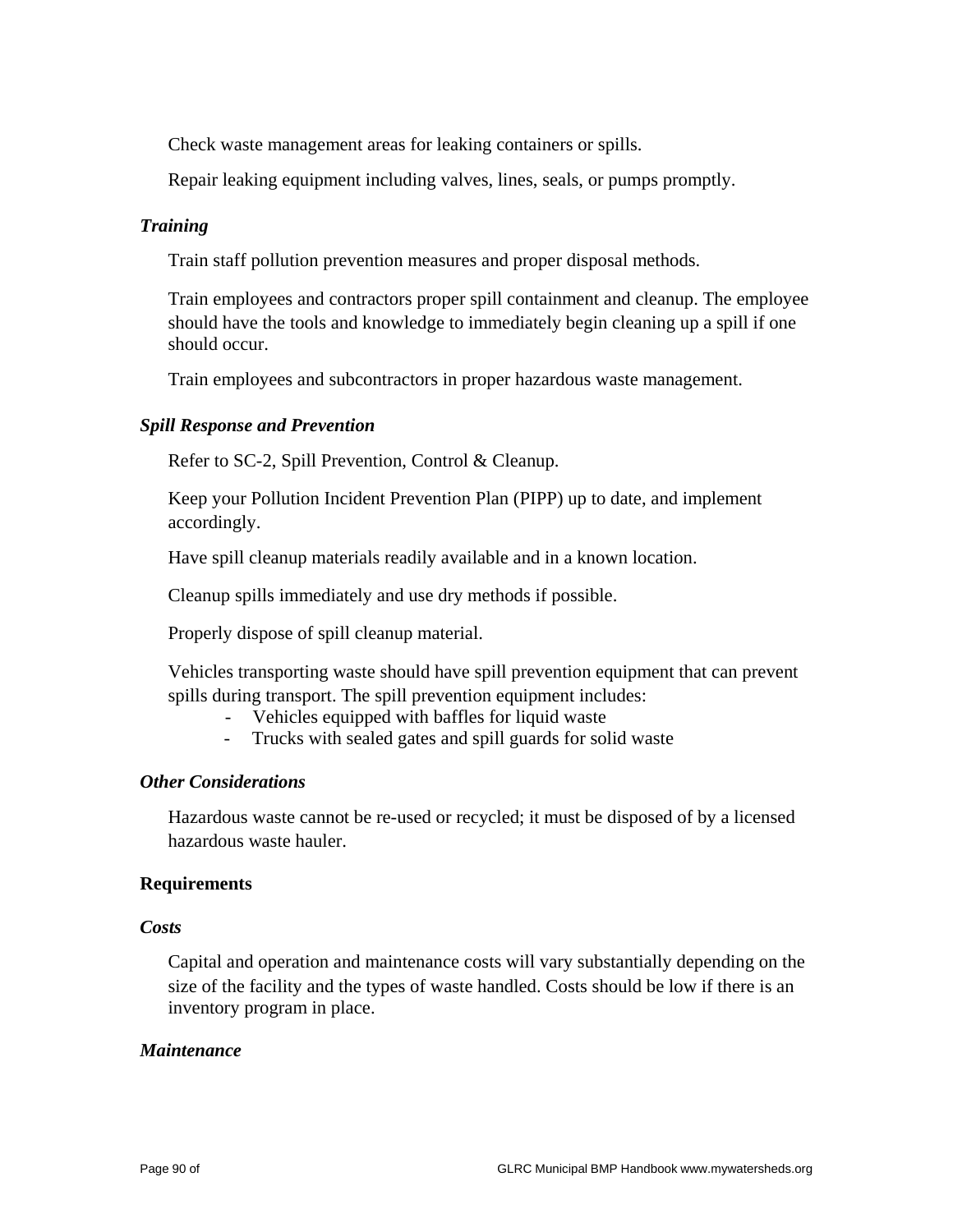Check waste management areas for leaking containers or spills.

Repair leaking equipment including valves, lines, seals, or pumps promptly.

#### *Training*

Train staff pollution prevention measures and proper disposal methods.

 Train employees and contractors proper spill containment and cleanup. The employee should have the tools and knowledge to immediately begin cleaning up a spill if one should occur.

Train employees and subcontractors in proper hazardous waste management.

#### *Spill Response and Prevention*

Refer to SC-2, Spill Prevention, Control & Cleanup.

 Keep your Pollution Incident Prevention Plan (PIPP) up to date, and implement accordingly.

Have spill cleanup materials readily available and in a known location.

Cleanup spills immediately and use dry methods if possible.

Properly dispose of spill cleanup material.

 Vehicles transporting waste should have spill prevention equipment that can prevent spills during transport. The spill prevention equipment includes:

- Vehicles equipped with baffles for liquid waste
- Trucks with sealed gates and spill guards for solid waste

#### *Other Considerations*

 Hazardous waste cannot be re-used or recycled; it must be disposed of by a licensed hazardous waste hauler.

#### **Requirements**

#### *Costs*

 Capital and operation and maintenance costs will vary substantially depending on the size of the facility and the types of waste handled. Costs should be low if there is an inventory program in place.

#### *Maintenance*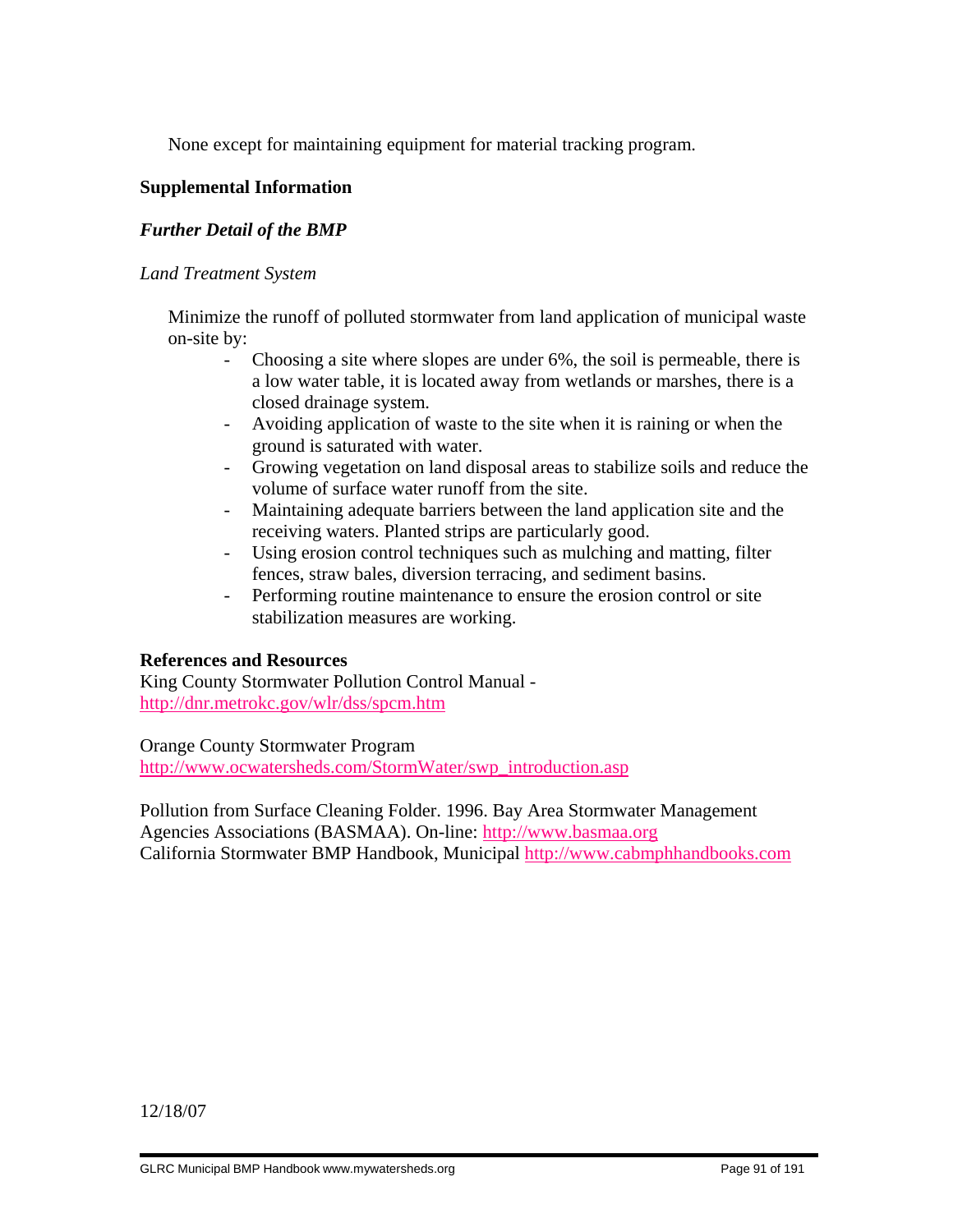None except for maintaining equipment for material tracking program.

## **Supplemental Information**

## *Further Detail of the BMP*

### *Land Treatment System*

 Minimize the runoff of polluted stormwater from land application of municipal waste on-site by:

- Choosing a site where slopes are under 6%, the soil is permeable, there is a low water table, it is located away from wetlands or marshes, there is a closed drainage system.
- Avoiding application of waste to the site when it is raining or when the ground is saturated with water.
- Growing vegetation on land disposal areas to stabilize soils and reduce the volume of surface water runoff from the site.
- Maintaining adequate barriers between the land application site and the receiving waters. Planted strips are particularly good.
- Using erosion control techniques such as mulching and matting, filter fences, straw bales, diversion terracing, and sediment basins.
- Performing routine maintenance to ensure the erosion control or site stabilization measures are working.

#### **References and Resources**

King County Stormwater Pollution Control Manual http://dnr.metrokc.gov/wlr/dss/spcm.htm

Orange County Stormwater Program http://www.ocwatersheds.com/StormWater/swp\_introduction.asp

Pollution from Surface Cleaning Folder. 1996. Bay Area Stormwater Management Agencies Associations (BASMAA). On-line: http://www.basmaa.org California Stormwater BMP Handbook, Municipal http://www.cabmphhandbooks.com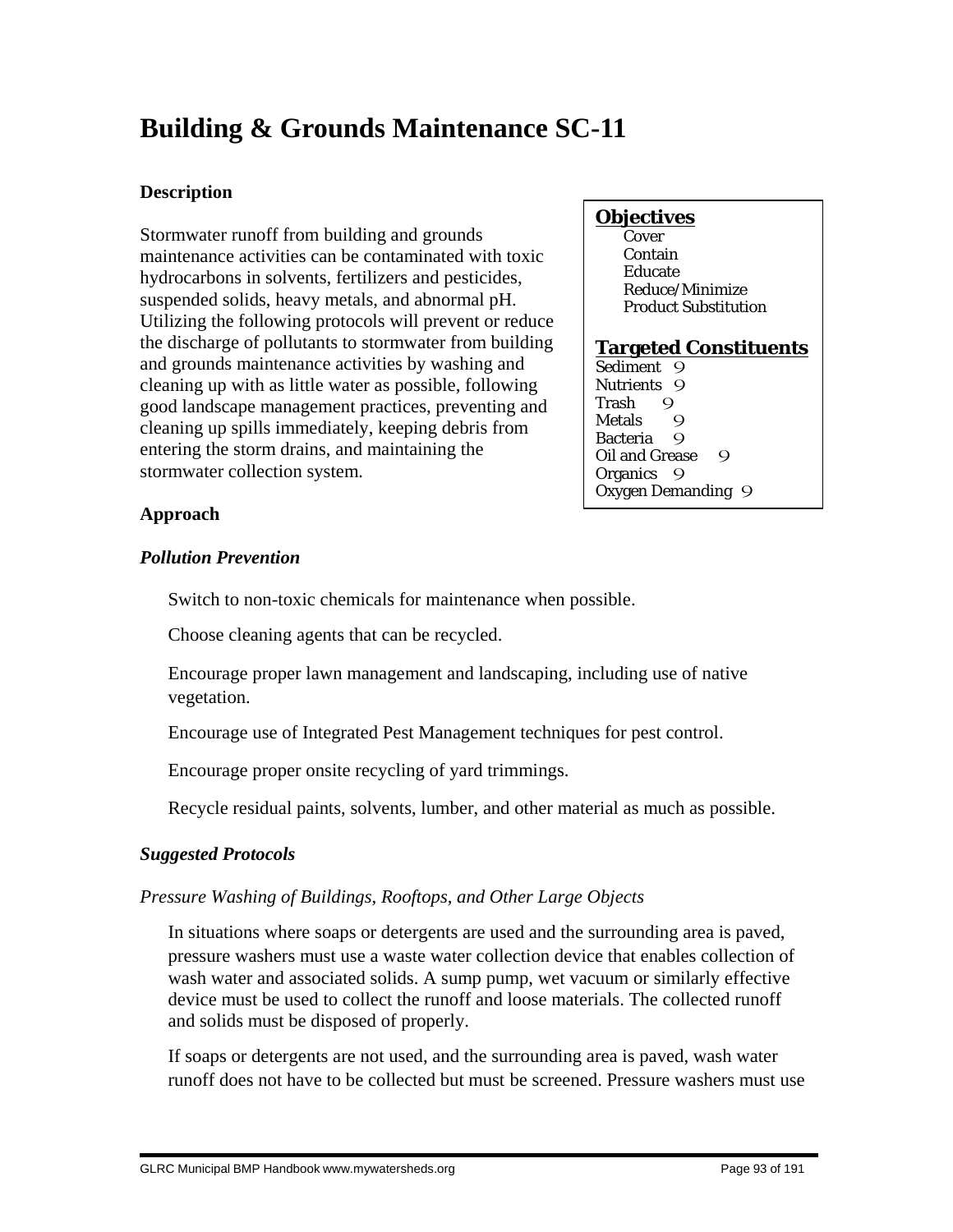# **Building & Grounds Maintenance SC-11**

## **Description**

Stormwater runoff from building and grounds maintenance activities can be contaminated with toxic hydrocarbons in solvents, fertilizers and pesticides, suspended solids, heavy metals, and abnormal pH. Utilizing the following protocols will prevent or reduce the discharge of pollutants to stormwater from building and grounds maintenance activities by washing and cleaning up with as little water as possible, following good landscape management practices, preventing and cleaning up spills immediately, keeping debris from entering the storm drains, and maintaining the stormwater collection system.

## **Objectives**

**Cover**  Contain Educate Reduce/Minimize Product Substitution

## **Targeted Constituents**

Sediment 9 Nutrients 9<br>Trash 9 Trash 9<br>Metals 9 **Metals** Bacteria 9 Oil and Grease 9 Organics 9 Oxygen Demanding 9

## **Approach**

## *Pollution Prevention*

Switch to non-toxic chemicals for maintenance when possible.

Choose cleaning agents that can be recycled.

 Encourage proper lawn management and landscaping, including use of native vegetation.

Encourage use of Integrated Pest Management techniques for pest control.

Encourage proper onsite recycling of yard trimmings.

Recycle residual paints, solvents, lumber, and other material as much as possible.

# *Suggested Protocols*

# *Pressure Washing of Buildings, Rooftops, and Other Large Objects*

 In situations where soaps or detergents are used and the surrounding area is paved, pressure washers must use a waste water collection device that enables collection of wash water and associated solids. A sump pump, wet vacuum or similarly effective device must be used to collect the runoff and loose materials. The collected runoff and solids must be disposed of properly.

 If soaps or detergents are not used, and the surrounding area is paved, wash water runoff does not have to be collected but must be screened. Pressure washers must use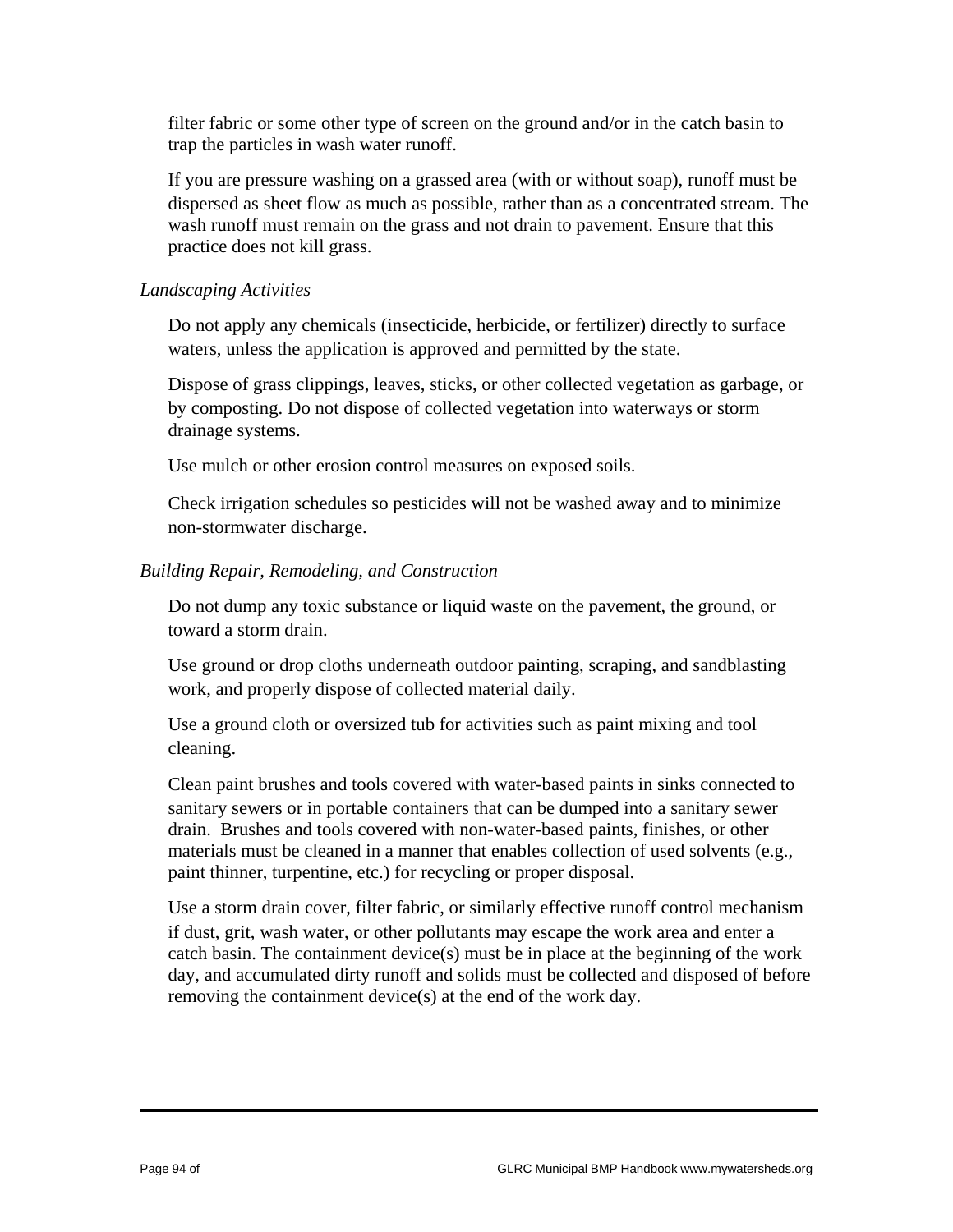filter fabric or some other type of screen on the ground and/or in the catch basin to trap the particles in wash water runoff.

 If you are pressure washing on a grassed area (with or without soap), runoff must be dispersed as sheet flow as much as possible, rather than as a concentrated stream. The wash runoff must remain on the grass and not drain to pavement. Ensure that this practice does not kill grass.

## *Landscaping Activities*

 Do not apply any chemicals (insecticide, herbicide, or fertilizer) directly to surface waters, unless the application is approved and permitted by the state.

 Dispose of grass clippings, leaves, sticks, or other collected vegetation as garbage, or by composting. Do not dispose of collected vegetation into waterways or storm drainage systems.

Use mulch or other erosion control measures on exposed soils.

 Check irrigation schedules so pesticides will not be washed away and to minimize non-stormwater discharge.

## *Building Repair, Remodeling, and Construction*

 Do not dump any toxic substance or liquid waste on the pavement, the ground, or toward a storm drain.

 Use ground or drop cloths underneath outdoor painting, scraping, and sandblasting work, and properly dispose of collected material daily.

 Use a ground cloth or oversized tub for activities such as paint mixing and tool cleaning.

 Clean paint brushes and tools covered with water-based paints in sinks connected to sanitary sewers or in portable containers that can be dumped into a sanitary sewer drain. Brushes and tools covered with non-water-based paints, finishes, or other materials must be cleaned in a manner that enables collection of used solvents (e.g., paint thinner, turpentine, etc.) for recycling or proper disposal.

 Use a storm drain cover, filter fabric, or similarly effective runoff control mechanism if dust, grit, wash water, or other pollutants may escape the work area and enter a catch basin. The containment device(s) must be in place at the beginning of the work day, and accumulated dirty runoff and solids must be collected and disposed of before removing the containment device(s) at the end of the work day.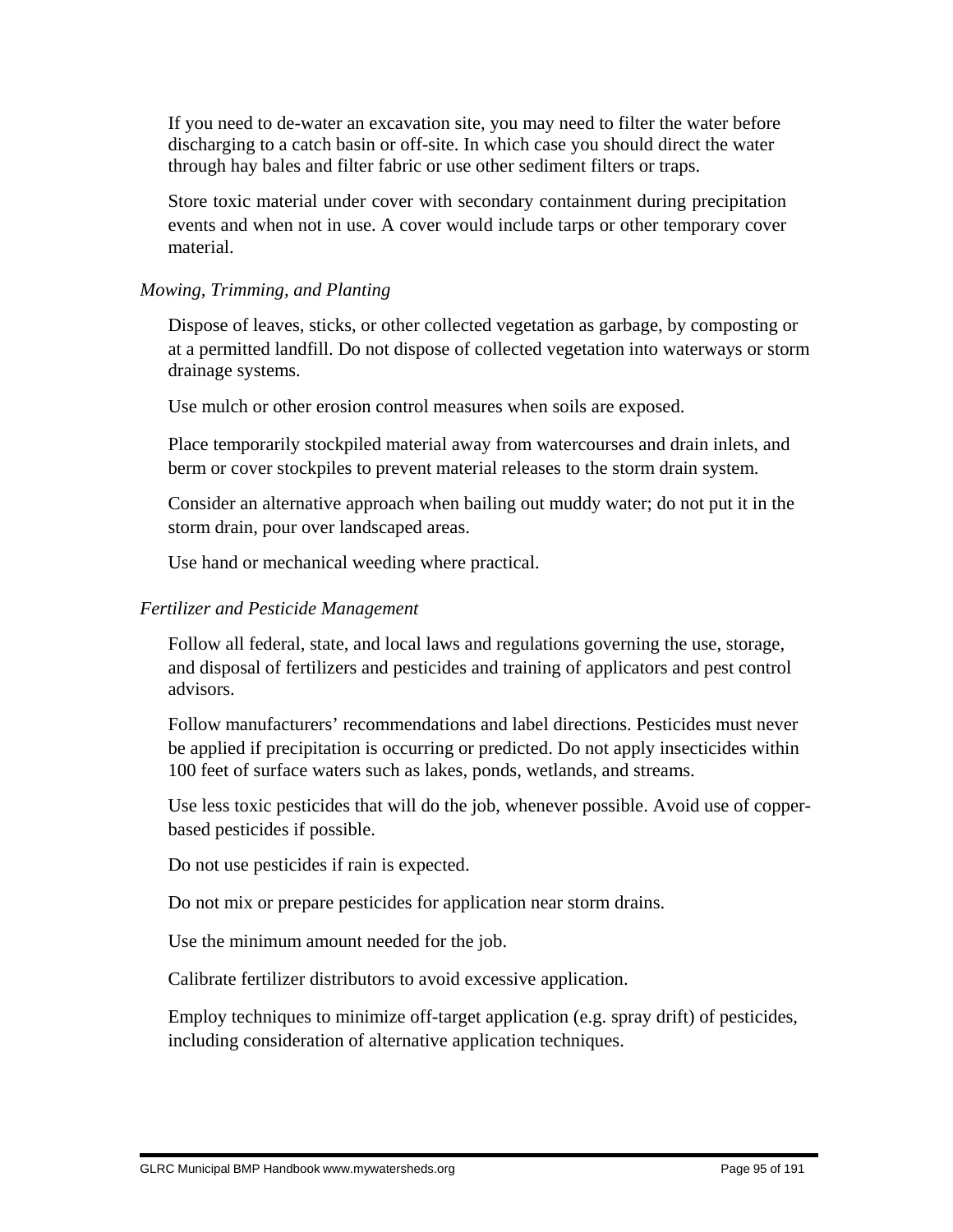If you need to de-water an excavation site, you may need to filter the water before discharging to a catch basin or off-site. In which case you should direct the water through hay bales and filter fabric or use other sediment filters or traps.

 Store toxic material under cover with secondary containment during precipitation events and when not in use. A cover would include tarps or other temporary cover material.

## *Mowing, Trimming, and Planting*

 Dispose of leaves, sticks, or other collected vegetation as garbage, by composting or at a permitted landfill. Do not dispose of collected vegetation into waterways or storm drainage systems.

Use mulch or other erosion control measures when soils are exposed.

 Place temporarily stockpiled material away from watercourses and drain inlets, and berm or cover stockpiles to prevent material releases to the storm drain system.

 Consider an alternative approach when bailing out muddy water; do not put it in the storm drain, pour over landscaped areas.

Use hand or mechanical weeding where practical.

## *Fertilizer and Pesticide Management*

 Follow all federal, state, and local laws and regulations governing the use, storage, and disposal of fertilizers and pesticides and training of applicators and pest control advisors.

 Follow manufacturers' recommendations and label directions. Pesticides must never be applied if precipitation is occurring or predicted. Do not apply insecticides within 100 feet of surface waters such as lakes, ponds, wetlands, and streams.

 Use less toxic pesticides that will do the job, whenever possible. Avoid use of copperbased pesticides if possible.

Do not use pesticides if rain is expected.

Do not mix or prepare pesticides for application near storm drains.

Use the minimum amount needed for the job.

Calibrate fertilizer distributors to avoid excessive application.

 Employ techniques to minimize off-target application (e.g. spray drift) of pesticides, including consideration of alternative application techniques.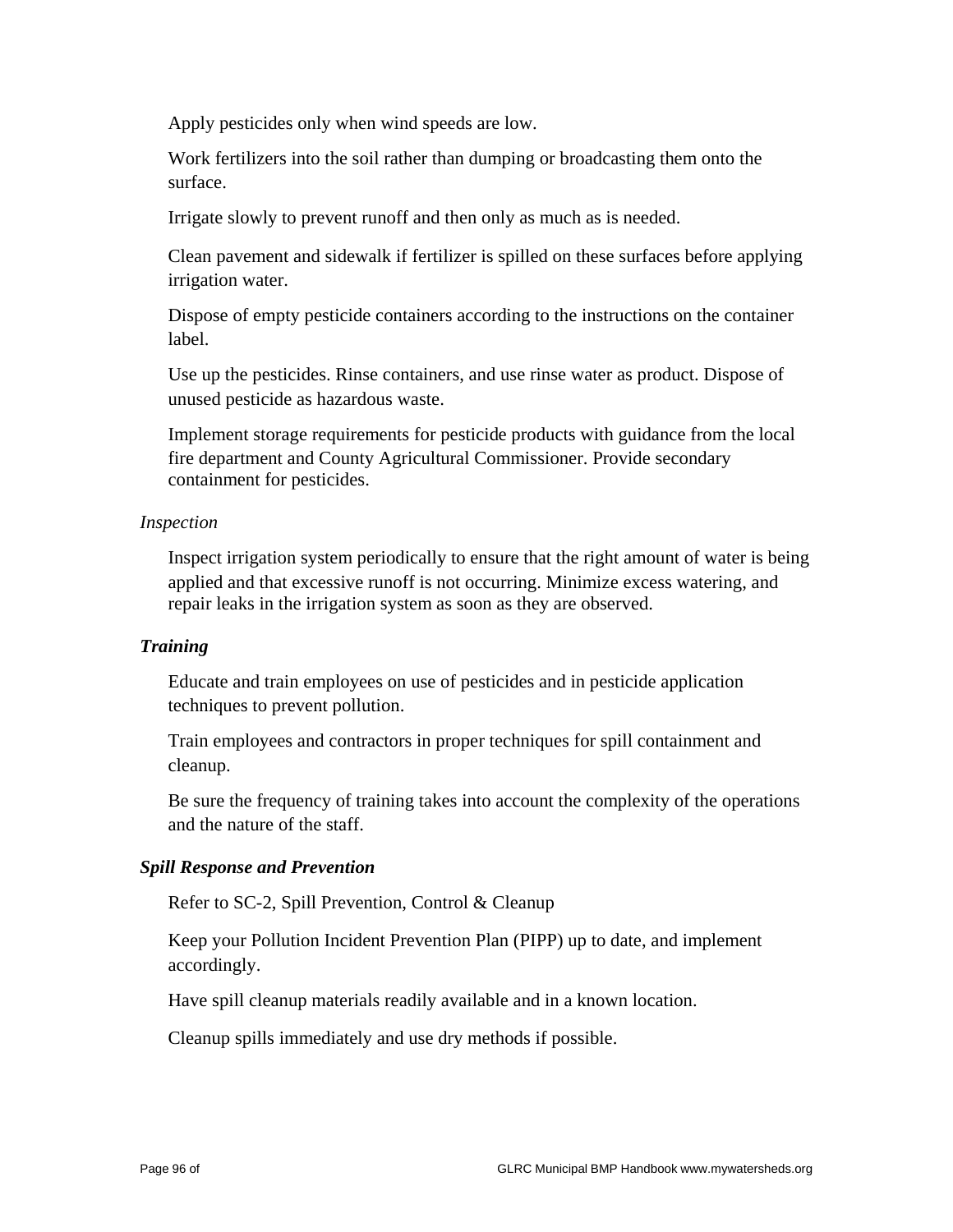Apply pesticides only when wind speeds are low.

 Work fertilizers into the soil rather than dumping or broadcasting them onto the surface.

Irrigate slowly to prevent runoff and then only as much as is needed.

 Clean pavement and sidewalk if fertilizer is spilled on these surfaces before applying irrigation water.

 Dispose of empty pesticide containers according to the instructions on the container label.

 Use up the pesticides. Rinse containers, and use rinse water as product. Dispose of unused pesticide as hazardous waste.

 Implement storage requirements for pesticide products with guidance from the local fire department and County Agricultural Commissioner. Provide secondary containment for pesticides.

#### *Inspection*

 Inspect irrigation system periodically to ensure that the right amount of water is being applied and that excessive runoff is not occurring. Minimize excess watering, and repair leaks in the irrigation system as soon as they are observed.

#### *Training*

 Educate and train employees on use of pesticides and in pesticide application techniques to prevent pollution.

 Train employees and contractors in proper techniques for spill containment and cleanup.

 Be sure the frequency of training takes into account the complexity of the operations and the nature of the staff.

#### *Spill Response and Prevention*

Refer to SC-2, Spill Prevention, Control & Cleanup

 Keep your Pollution Incident Prevention Plan (PIPP) up to date, and implement accordingly.

Have spill cleanup materials readily available and in a known location.

Cleanup spills immediately and use dry methods if possible.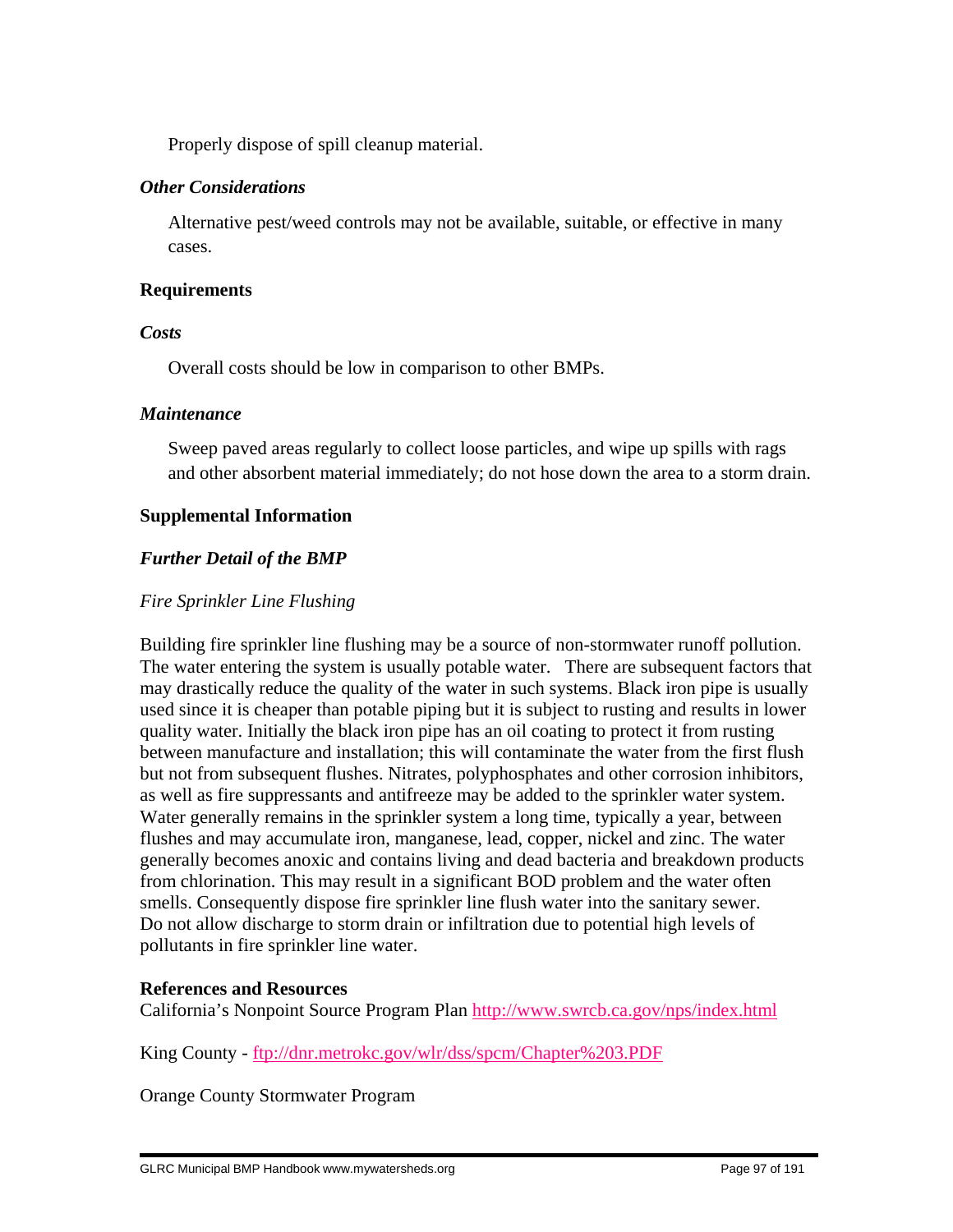Properly dispose of spill cleanup material.

## *Other Considerations*

 Alternative pest/weed controls may not be available, suitable, or effective in many cases.

## **Requirements**

## *Costs*

Overall costs should be low in comparison to other BMPs.

## *Maintenance*

 Sweep paved areas regularly to collect loose particles, and wipe up spills with rags and other absorbent material immediately; do not hose down the area to a storm drain.

## **Supplemental Information**

## *Further Detail of the BMP*

## *Fire Sprinkler Line Flushing*

Building fire sprinkler line flushing may be a source of non-stormwater runoff pollution. The water entering the system is usually potable water. There are subsequent factors that may drastically reduce the quality of the water in such systems. Black iron pipe is usually used since it is cheaper than potable piping but it is subject to rusting and results in lower quality water. Initially the black iron pipe has an oil coating to protect it from rusting between manufacture and installation; this will contaminate the water from the first flush but not from subsequent flushes. Nitrates, polyphosphates and other corrosion inhibitors, as well as fire suppressants and antifreeze may be added to the sprinkler water system. Water generally remains in the sprinkler system a long time, typically a year, between flushes and may accumulate iron, manganese, lead, copper, nickel and zinc. The water generally becomes anoxic and contains living and dead bacteria and breakdown products from chlorination. This may result in a significant BOD problem and the water often smells. Consequently dispose fire sprinkler line flush water into the sanitary sewer. Do not allow discharge to storm drain or infiltration due to potential high levels of pollutants in fire sprinkler line water.

#### **References and Resources**

California's Nonpoint Source Program Plan http://www.swrcb.ca.gov/nps/index.html

King County - ftp://dnr.metrokc.gov/wlr/dss/spcm/Chapter%203.PDF

Orange County Stormwater Program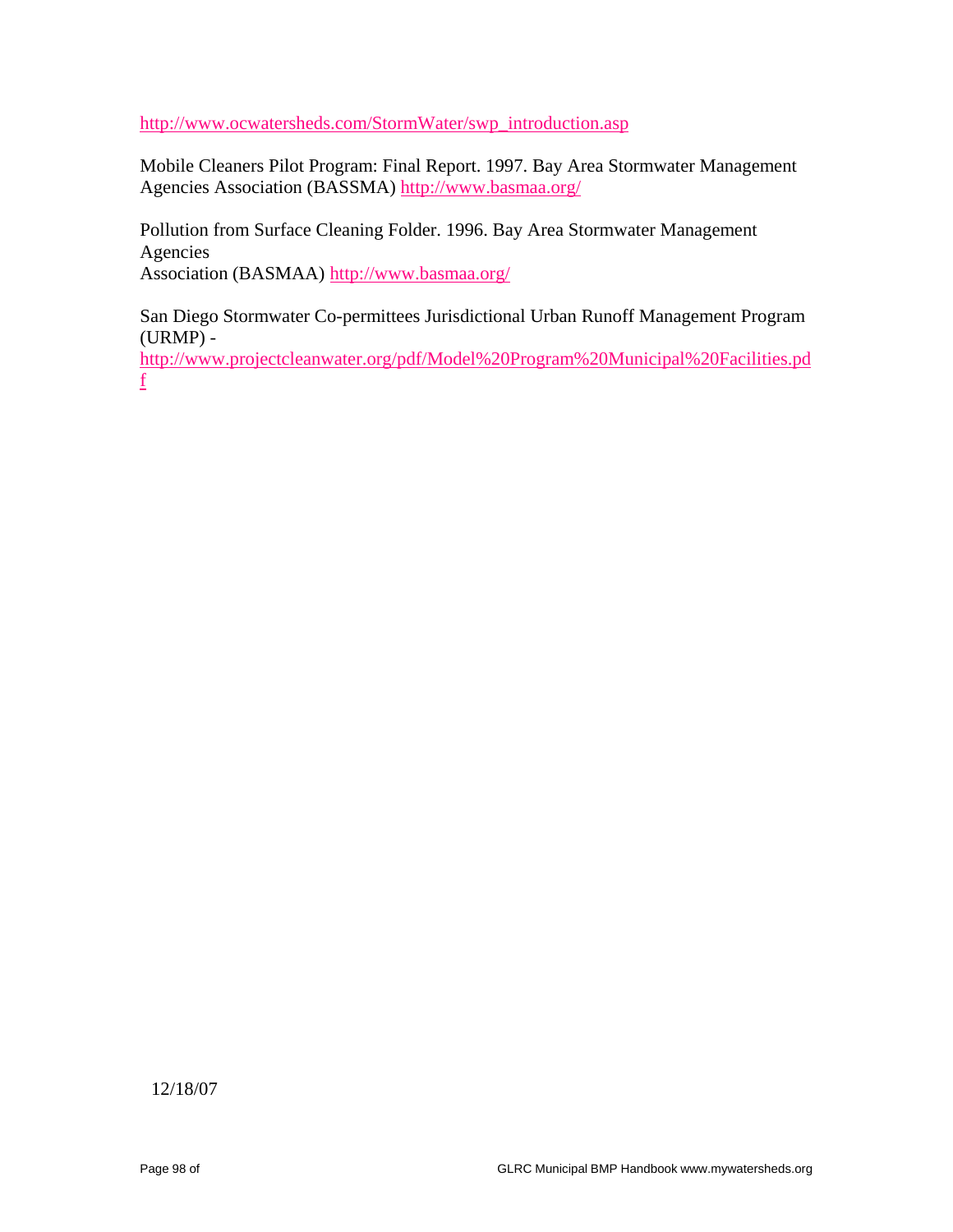http://www.ocwatersheds.com/StormWater/swp\_introduction.asp

Mobile Cleaners Pilot Program: Final Report. 1997. Bay Area Stormwater Management Agencies Association (BASSMA) http://www.basmaa.org/

Pollution from Surface Cleaning Folder. 1996. Bay Area Stormwater Management Agencies

Association (BASMAA) http://www.basmaa.org/

San Diego Stormwater Co-permittees Jurisdictional Urban Runoff Management Program (URMP) -

http://www.projectcleanwater.org/pdf/Model%20Program%20Municipal%20Facilities.pd f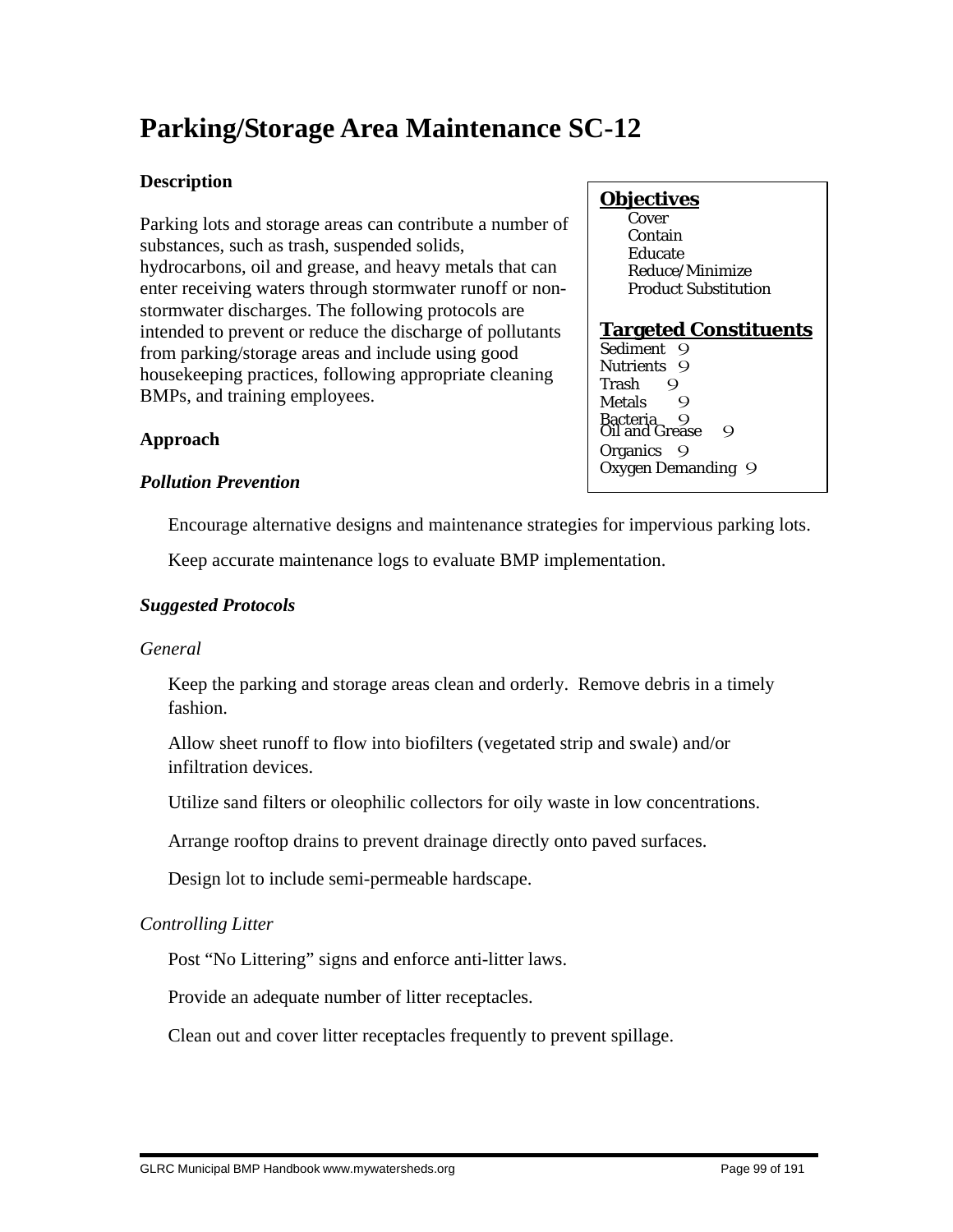# **Parking/Storage Area Maintenance SC-12**

# **Description**

Parking lots and storage areas can contribute a number of substances, such as trash, suspended solids, hydrocarbons, oil and grease, and heavy metals that can enter receiving waters through stormwater runoff or nonstormwater discharges. The following protocols are intended to prevent or reduce the discharge of pollutants from parking/storage areas and include using good housekeeping practices, following appropriate cleaning BMPs, and training employees.

# **Objectives**

 Cover Contain Educate Reduce/Minimize Product Substitution

# **Targeted Constituents**

Trash 9<br>Metals 9 **Metals** wetals<br>Bacteria 9<br>Oil and Grease 9 Sediment 9 Nutrients 9 Organics 9 Oxygen Demanding 9

# **Approach**

# *Pollution Prevention*

Encourage alternative designs and maintenance strategies for impervious parking lots.

Keep accurate maintenance logs to evaluate BMP implementation.

# *Suggested Protocols*

# *General*

 Keep the parking and storage areas clean and orderly. Remove debris in a timely fashion.

 Allow sheet runoff to flow into biofilters (vegetated strip and swale) and/or infiltration devices.

Utilize sand filters or oleophilic collectors for oily waste in low concentrations.

Arrange rooftop drains to prevent drainage directly onto paved surfaces.

Design lot to include semi-permeable hardscape.

# *Controlling Litter*

Post "No Littering" signs and enforce anti-litter laws.

Provide an adequate number of litter receptacles.

Clean out and cover litter receptacles frequently to prevent spillage.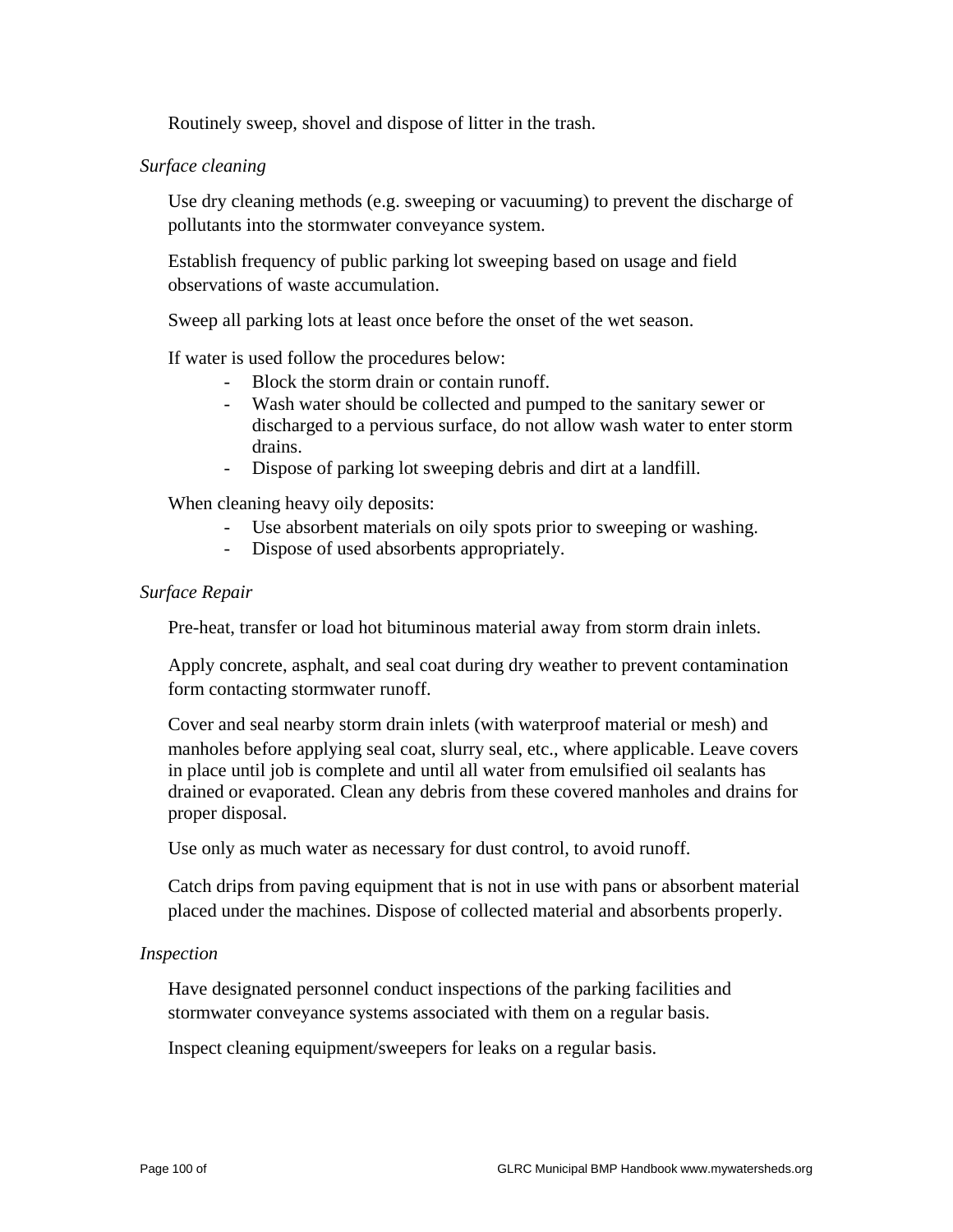Routinely sweep, shovel and dispose of litter in the trash.

### *Surface cleaning*

 Use dry cleaning methods (e.g. sweeping or vacuuming) to prevent the discharge of pollutants into the stormwater conveyance system.

 Establish frequency of public parking lot sweeping based on usage and field observations of waste accumulation.

Sweep all parking lots at least once before the onset of the wet season.

If water is used follow the procedures below:

- Block the storm drain or contain runoff.
- Wash water should be collected and pumped to the sanitary sewer or discharged to a pervious surface, do not allow wash water to enter storm drains.
- Dispose of parking lot sweeping debris and dirt at a landfill.

When cleaning heavy oily deposits:

- Use absorbent materials on oily spots prior to sweeping or washing.
- Dispose of used absorbents appropriately.

#### *Surface Repair*

Pre-heat, transfer or load hot bituminous material away from storm drain inlets.

 Apply concrete, asphalt, and seal coat during dry weather to prevent contamination form contacting stormwater runoff.

 Cover and seal nearby storm drain inlets (with waterproof material or mesh) and manholes before applying seal coat, slurry seal, etc., where applicable. Leave covers in place until job is complete and until all water from emulsified oil sealants has drained or evaporated. Clean any debris from these covered manholes and drains for proper disposal.

Use only as much water as necessary for dust control, to avoid runoff.

 Catch drips from paving equipment that is not in use with pans or absorbent material placed under the machines. Dispose of collected material and absorbents properly.

#### *Inspection*

 Have designated personnel conduct inspections of the parking facilities and stormwater conveyance systems associated with them on a regular basis.

Inspect cleaning equipment/sweepers for leaks on a regular basis.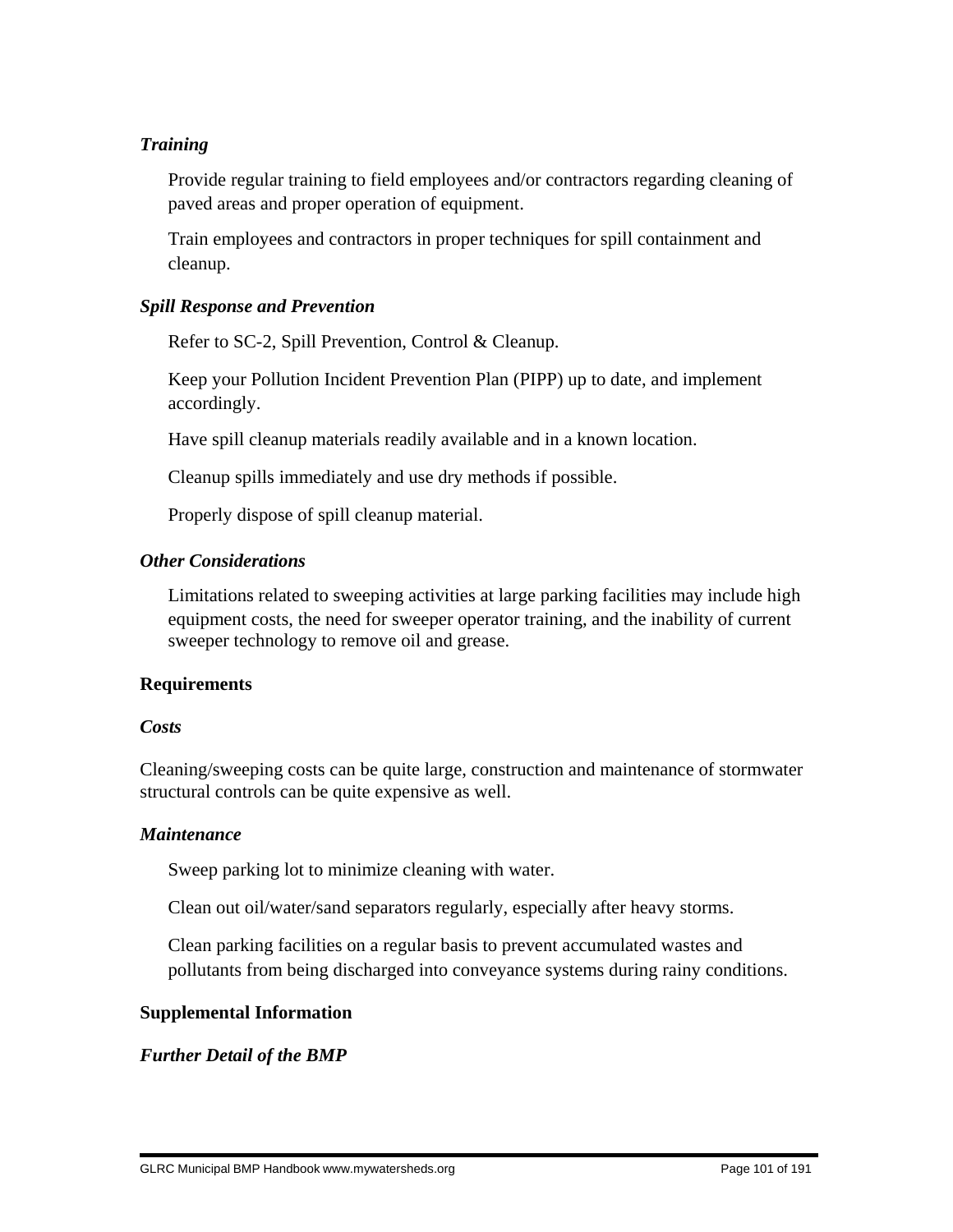## *Training*

 Provide regular training to field employees and/or contractors regarding cleaning of paved areas and proper operation of equipment.

 Train employees and contractors in proper techniques for spill containment and cleanup.

## *Spill Response and Prevention*

Refer to SC-2, Spill Prevention, Control & Cleanup.

 Keep your Pollution Incident Prevention Plan (PIPP) up to date, and implement accordingly.

Have spill cleanup materials readily available and in a known location.

Cleanup spills immediately and use dry methods if possible.

Properly dispose of spill cleanup material.

## *Other Considerations*

 Limitations related to sweeping activities at large parking facilities may include high equipment costs, the need for sweeper operator training, and the inability of current sweeper technology to remove oil and grease.

## **Requirements**

#### *Costs*

Cleaning/sweeping costs can be quite large, construction and maintenance of stormwater structural controls can be quite expensive as well.

#### *Maintenance*

Sweep parking lot to minimize cleaning with water.

Clean out oil/water/sand separators regularly, especially after heavy storms.

 Clean parking facilities on a regular basis to prevent accumulated wastes and pollutants from being discharged into conveyance systems during rainy conditions.

#### **Supplemental Information**

## *Further Detail of the BMP*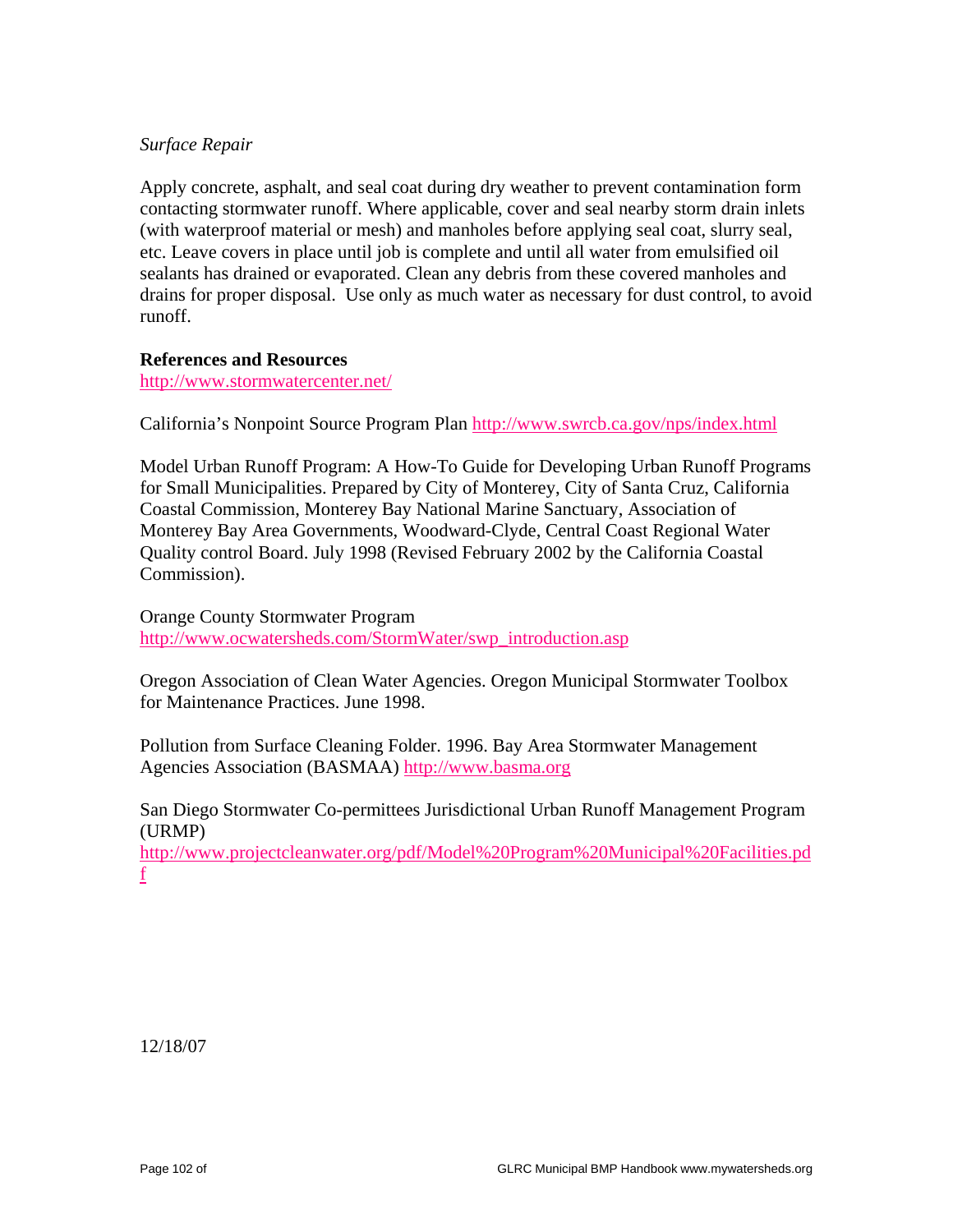## *Surface Repair*

Apply concrete, asphalt, and seal coat during dry weather to prevent contamination form contacting stormwater runoff. Where applicable, cover and seal nearby storm drain inlets (with waterproof material or mesh) and manholes before applying seal coat, slurry seal, etc. Leave covers in place until job is complete and until all water from emulsified oil sealants has drained or evaporated. Clean any debris from these covered manholes and drains for proper disposal. Use only as much water as necessary for dust control, to avoid runoff.

#### **References and Resources**

http://www.stormwatercenter.net/

California's Nonpoint Source Program Plan http://www.swrcb.ca.gov/nps/index.html

Model Urban Runoff Program: A How-To Guide for Developing Urban Runoff Programs for Small Municipalities. Prepared by City of Monterey, City of Santa Cruz, California Coastal Commission, Monterey Bay National Marine Sanctuary, Association of Monterey Bay Area Governments, Woodward-Clyde, Central Coast Regional Water Quality control Board. July 1998 (Revised February 2002 by the California Coastal Commission).

Orange County Stormwater Program http://www.ocwatersheds.com/StormWater/swp\_introduction.asp

Oregon Association of Clean Water Agencies. Oregon Municipal Stormwater Toolbox for Maintenance Practices. June 1998.

Pollution from Surface Cleaning Folder. 1996. Bay Area Stormwater Management Agencies Association (BASMAA) http://www.basma.org

San Diego Stormwater Co-permittees Jurisdictional Urban Runoff Management Program (URMP)

http://www.projectcleanwater.org/pdf/Model%20Program%20Municipal%20Facilities.pd f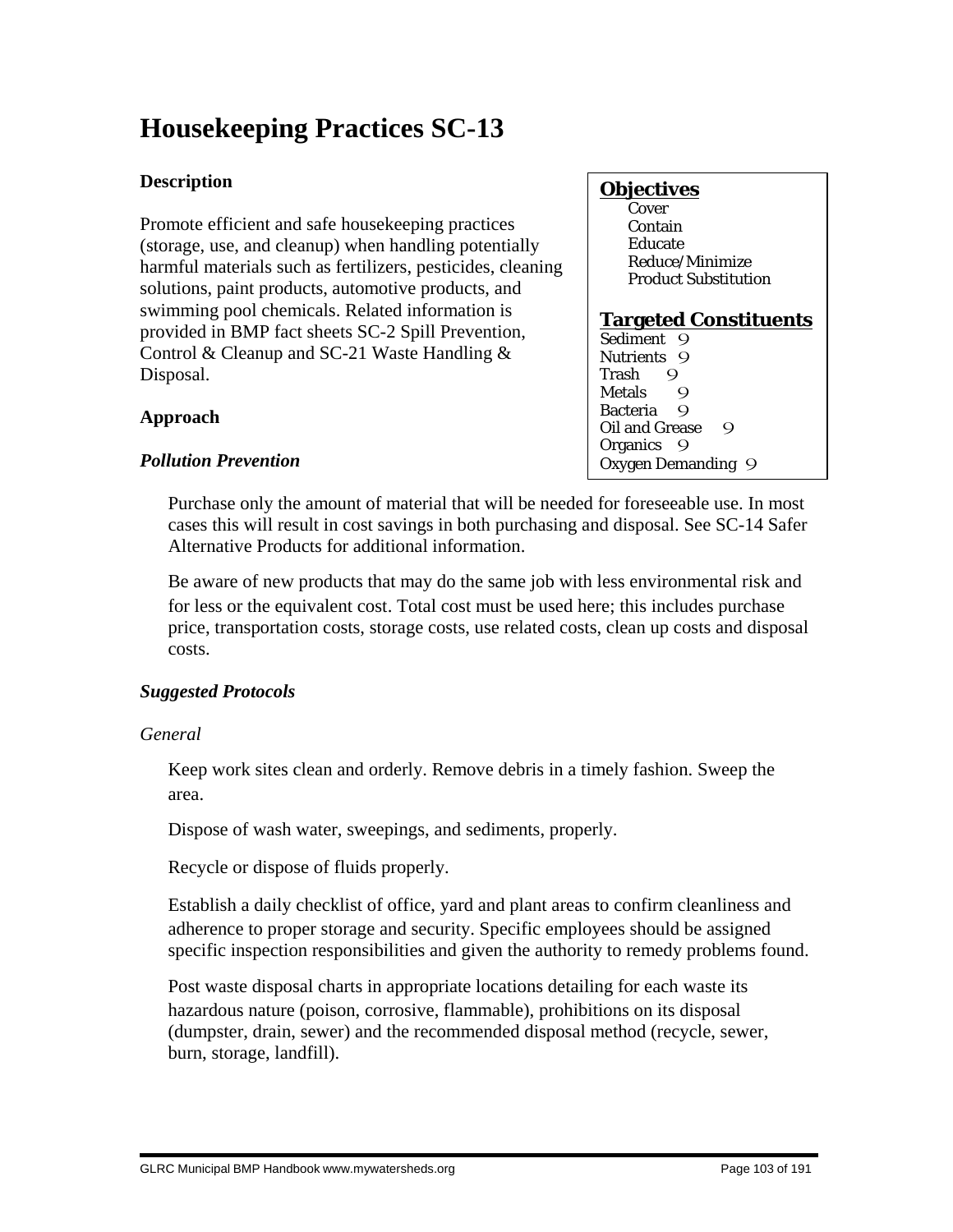# **Housekeeping Practices SC-13**

# **Description**

Promote efficient and safe housekeeping practices (storage, use, and cleanup) when handling potentially harmful materials such as fertilizers, pesticides, cleaning solutions, paint products, automotive products, and swimming pool chemicals. Related information is provided in BMP fact sheets SC-2 Spill Prevention, Control & Cleanup and SC-21 Waste Handling & Disposal.

# **Objectives**

**Cover**  Contain Educate Reduce/Minimize Product Substitution

## **Targeted Constituents**

Sediment 9 Nutrients 9<br>Trash 9 Trash 9<br>Metals 9 Metals 9<br>Bacteria 9 **Bacteria** Oil and Grease 9 Organics<sub>9</sub> Oxygen Demanding 9

# **Approach**

## *Pollution Prevention*

 Purchase only the amount of material that will be needed for foreseeable use. In most cases this will result in cost savings in both purchasing and disposal. See SC-14 Safer Alternative Products for additional information.

 Be aware of new products that may do the same job with less environmental risk and for less or the equivalent cost. Total cost must be used here; this includes purchase price, transportation costs, storage costs, use related costs, clean up costs and disposal costs.

# *Suggested Protocols*

# *General*

 Keep work sites clean and orderly. Remove debris in a timely fashion. Sweep the area.

Dispose of wash water, sweepings, and sediments, properly.

Recycle or dispose of fluids properly.

 Establish a daily checklist of office, yard and plant areas to confirm cleanliness and adherence to proper storage and security. Specific employees should be assigned specific inspection responsibilities and given the authority to remedy problems found.

 Post waste disposal charts in appropriate locations detailing for each waste its hazardous nature (poison, corrosive, flammable), prohibitions on its disposal (dumpster, drain, sewer) and the recommended disposal method (recycle, sewer, burn, storage, landfill).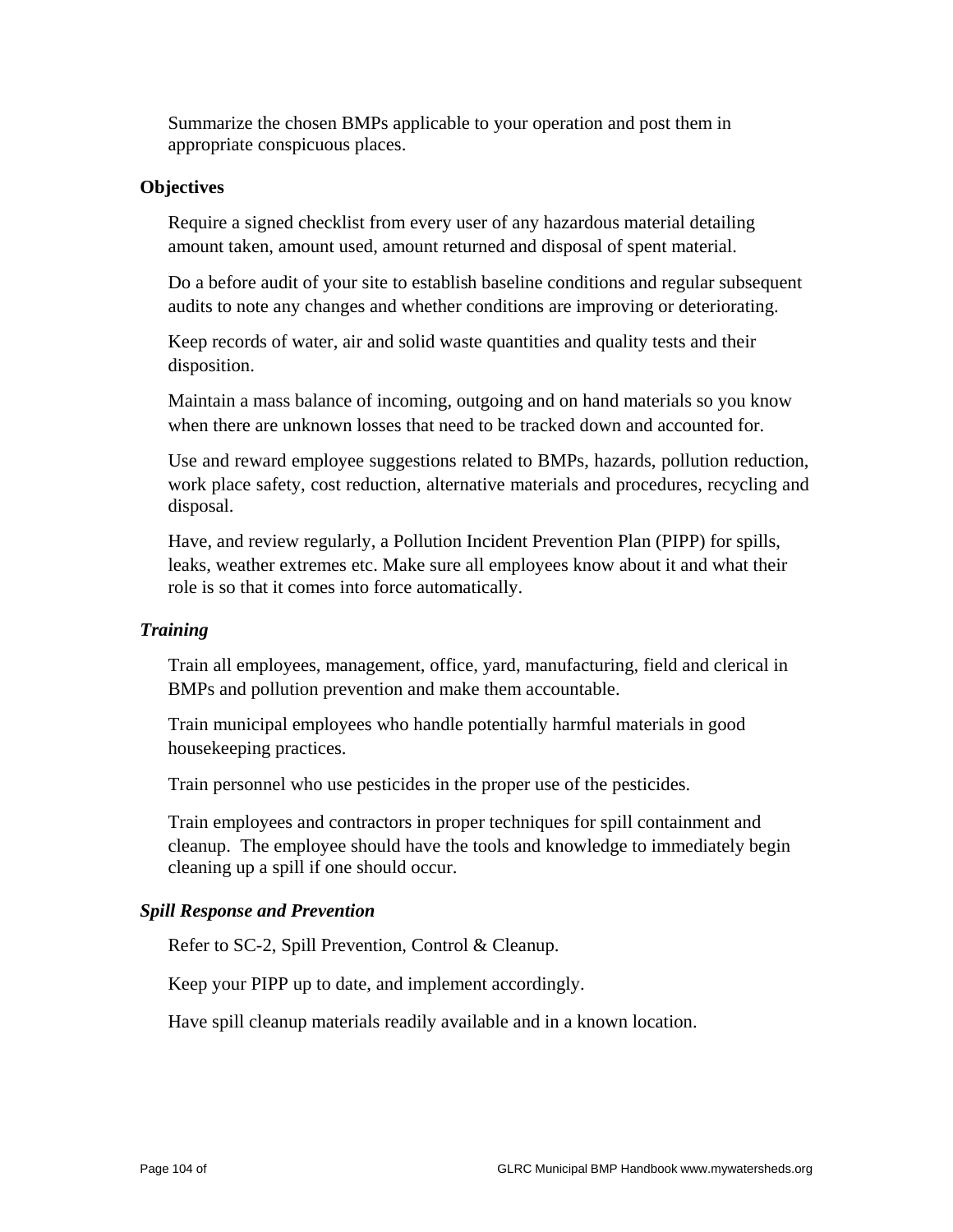Summarize the chosen BMPs applicable to your operation and post them in appropriate conspicuous places.

### **Objectives**

 Require a signed checklist from every user of any hazardous material detailing amount taken, amount used, amount returned and disposal of spent material.

 Do a before audit of your site to establish baseline conditions and regular subsequent audits to note any changes and whether conditions are improving or deteriorating.

 Keep records of water, air and solid waste quantities and quality tests and their disposition.

 Maintain a mass balance of incoming, outgoing and on hand materials so you know when there are unknown losses that need to be tracked down and accounted for.

 Use and reward employee suggestions related to BMPs, hazards, pollution reduction, work place safety, cost reduction, alternative materials and procedures, recycling and disposal.

 Have, and review regularly, a Pollution Incident Prevention Plan (PIPP) for spills, leaks, weather extremes etc. Make sure all employees know about it and what their role is so that it comes into force automatically.

#### *Training*

 Train all employees, management, office, yard, manufacturing, field and clerical in BMPs and pollution prevention and make them accountable.

 Train municipal employees who handle potentially harmful materials in good housekeeping practices.

Train personnel who use pesticides in the proper use of the pesticides.

 Train employees and contractors in proper techniques for spill containment and cleanup. The employee should have the tools and knowledge to immediately begin cleaning up a spill if one should occur.

## *Spill Response and Prevention*

Refer to SC-2, Spill Prevention, Control & Cleanup.

Keep your PIPP up to date, and implement accordingly.

Have spill cleanup materials readily available and in a known location.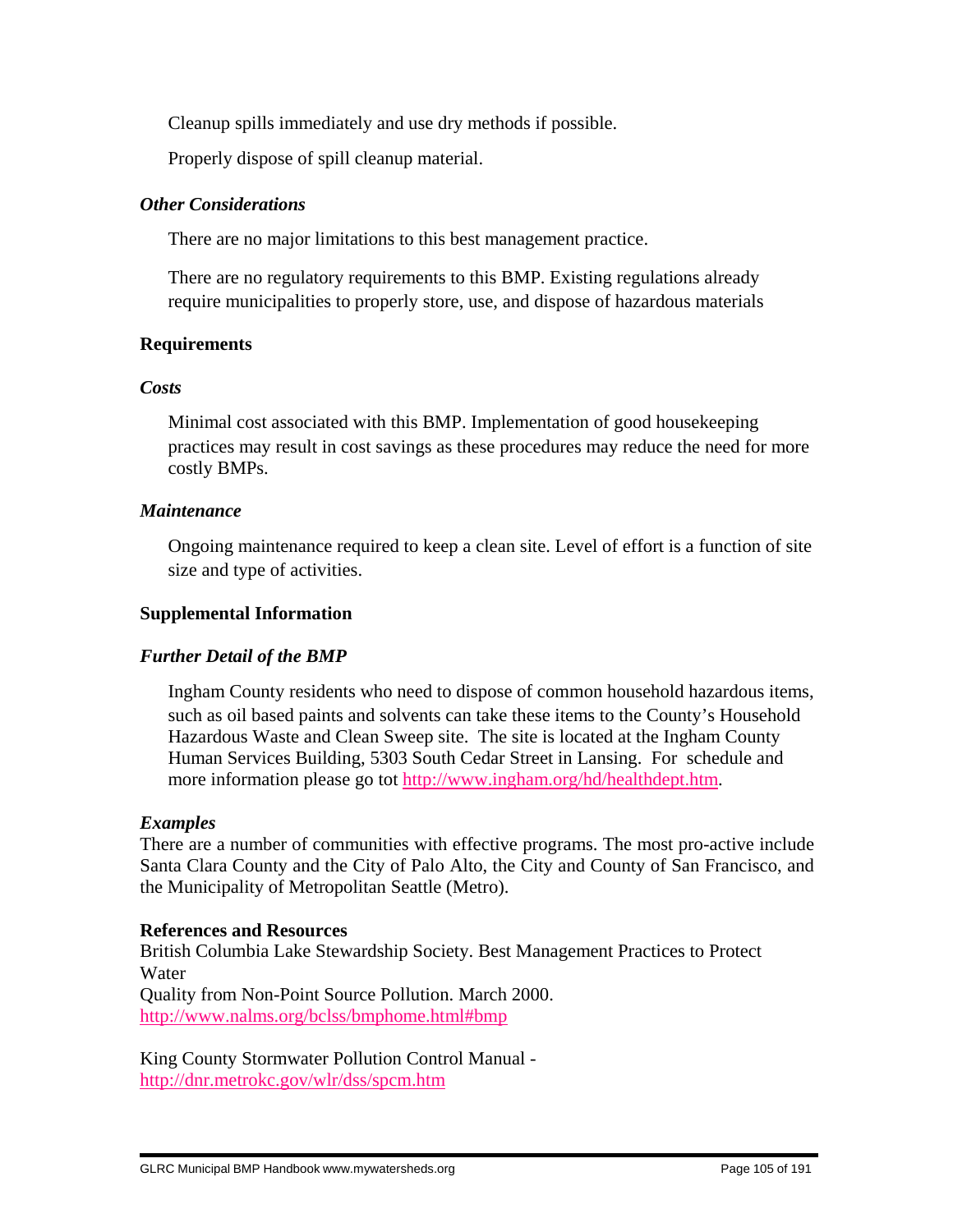Cleanup spills immediately and use dry methods if possible.

Properly dispose of spill cleanup material.

### *Other Considerations*

There are no major limitations to this best management practice.

 There are no regulatory requirements to this BMP. Existing regulations already require municipalities to properly store, use, and dispose of hazardous materials

## **Requirements**

#### *Costs*

 Minimal cost associated with this BMP. Implementation of good housekeeping practices may result in cost savings as these procedures may reduce the need for more costly BMPs.

#### *Maintenance*

 Ongoing maintenance required to keep a clean site. Level of effort is a function of site size and type of activities.

### **Supplemental Information**

## *Further Detail of the BMP*

 Ingham County residents who need to dispose of common household hazardous items, such as oil based paints and solvents can take these items to the County's Household Hazardous Waste and Clean Sweep site. The site is located at the Ingham County Human Services Building, 5303 South Cedar Street in Lansing. For schedule and more information please go tot http://www.ingham.org/hd/healthdept.htm.

#### *Examples*

There are a number of communities with effective programs. The most pro-active include Santa Clara County and the City of Palo Alto, the City and County of San Francisco, and the Municipality of Metropolitan Seattle (Metro).

#### **References and Resources**

British Columbia Lake Stewardship Society. Best Management Practices to Protect Water

Quality from Non-Point Source Pollution. March 2000. http://www.nalms.org/bclss/bmphome.html#bmp

King County Stormwater Pollution Control Manual http://dnr.metrokc.gov/wlr/dss/spcm.htm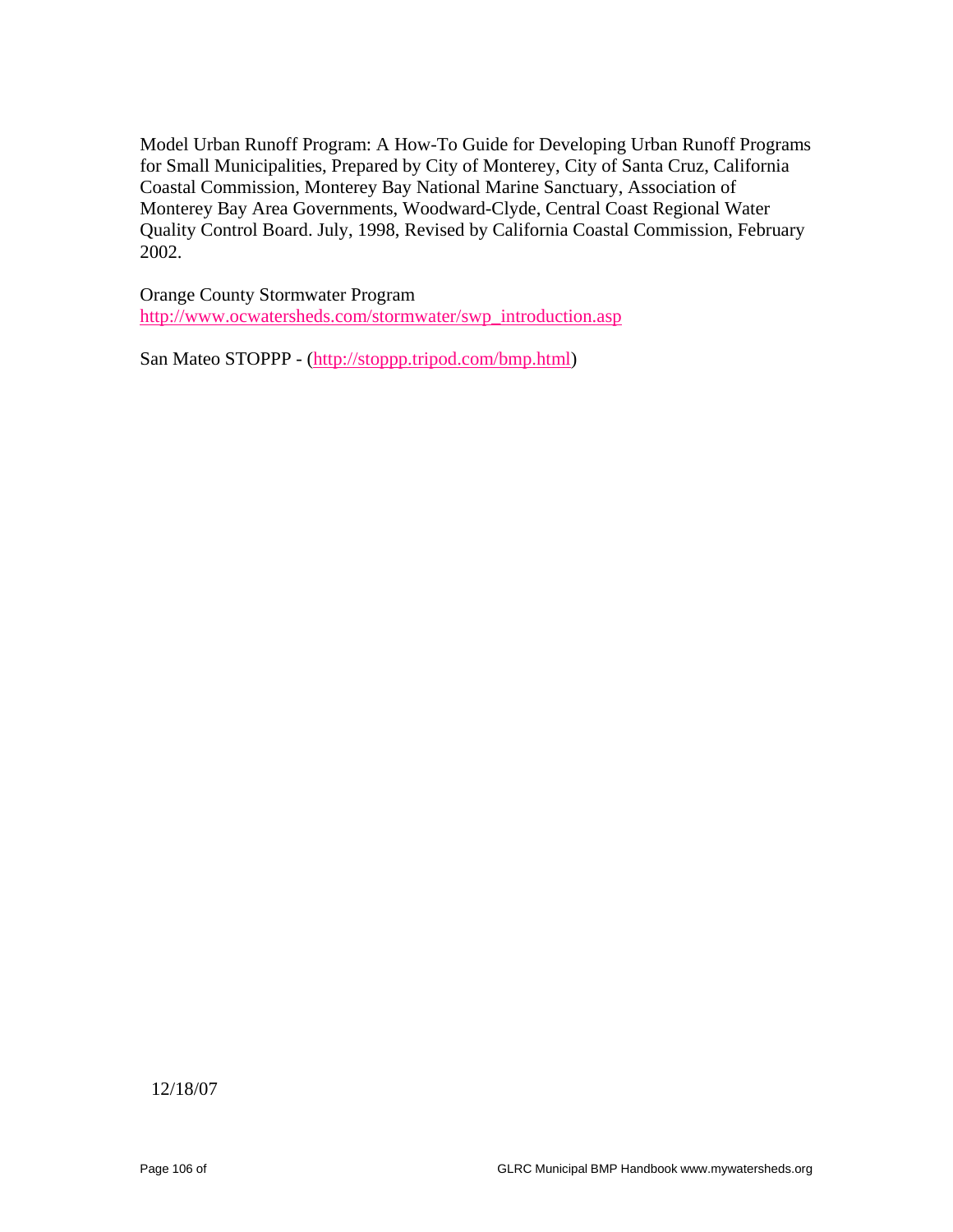Model Urban Runoff Program: A How-To Guide for Developing Urban Runoff Programs for Small Municipalities, Prepared by City of Monterey, City of Santa Cruz, California Coastal Commission, Monterey Bay National Marine Sanctuary, Association of Monterey Bay Area Governments, Woodward-Clyde, Central Coast Regional Water Quality Control Board. July, 1998, Revised by California Coastal Commission, February 2002.

Orange County Stormwater Program http://www.ocwatersheds.com/stormwater/swp\_introduction.asp

San Mateo STOPPP - (http://stoppp.tripod.com/bmp.html)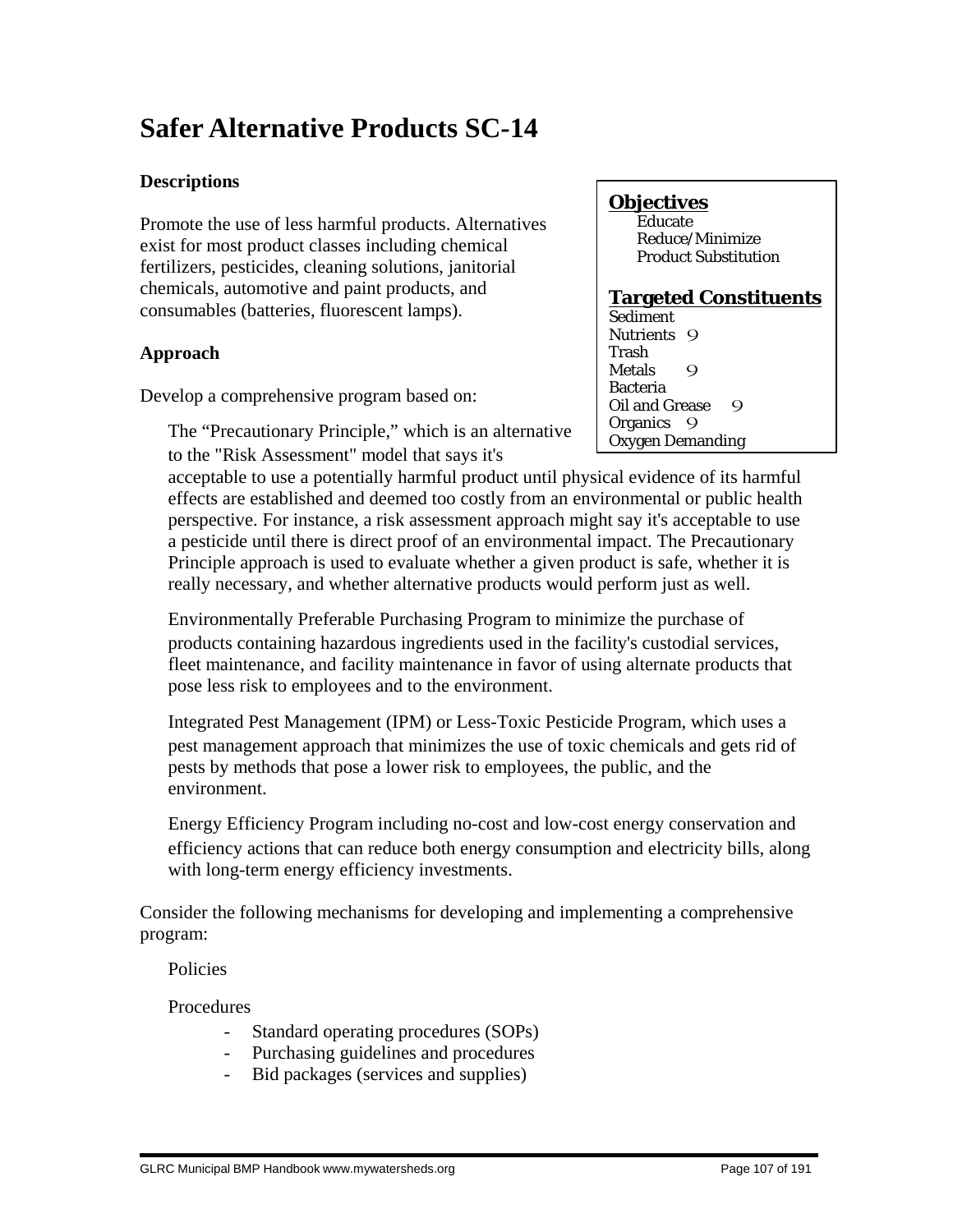# **Safer Alternative Products SC-14**

## **Descriptions**

Promote the use of less harmful products. Alternatives exist for most product classes including chemical fertilizers, pesticides, cleaning solutions, janitorial chemicals, automotive and paint products, and consumables (batteries, fluorescent lamps).

## **Approach**

Develop a comprehensive program based on:

 The "Precautionary Principle," which is an alternative to the "Risk Assessment" model that says it's

## **Objectives**

**Educate**  Reduce/Minimize Product Substitution

## **Targeted Constituents**

Sediment Nutrients 9 Trash Metals 9 Bacteria Oil and Grease 9 Organics 9 Oxygen Demanding

acceptable to use a potentially harmful product until physical evidence of its harmful effects are established and deemed too costly from an environmental or public health perspective. For instance, a risk assessment approach might say it's acceptable to use a pesticide until there is direct proof of an environmental impact. The Precautionary Principle approach is used to evaluate whether a given product is safe, whether it is really necessary, and whether alternative products would perform just as well.

 Environmentally Preferable Purchasing Program to minimize the purchase of products containing hazardous ingredients used in the facility's custodial services, fleet maintenance, and facility maintenance in favor of using alternate products that pose less risk to employees and to the environment.

 Integrated Pest Management (IPM) or Less-Toxic Pesticide Program, which uses a pest management approach that minimizes the use of toxic chemicals and gets rid of pests by methods that pose a lower risk to employees, the public, and the environment.

 Energy Efficiency Program including no-cost and low-cost energy conservation and efficiency actions that can reduce both energy consumption and electricity bills, along with long-term energy efficiency investments.

Consider the following mechanisms for developing and implementing a comprehensive program:

Policies

Procedures

- Standard operating procedures (SOPs)
- Purchasing guidelines and procedures
- Bid packages (services and supplies)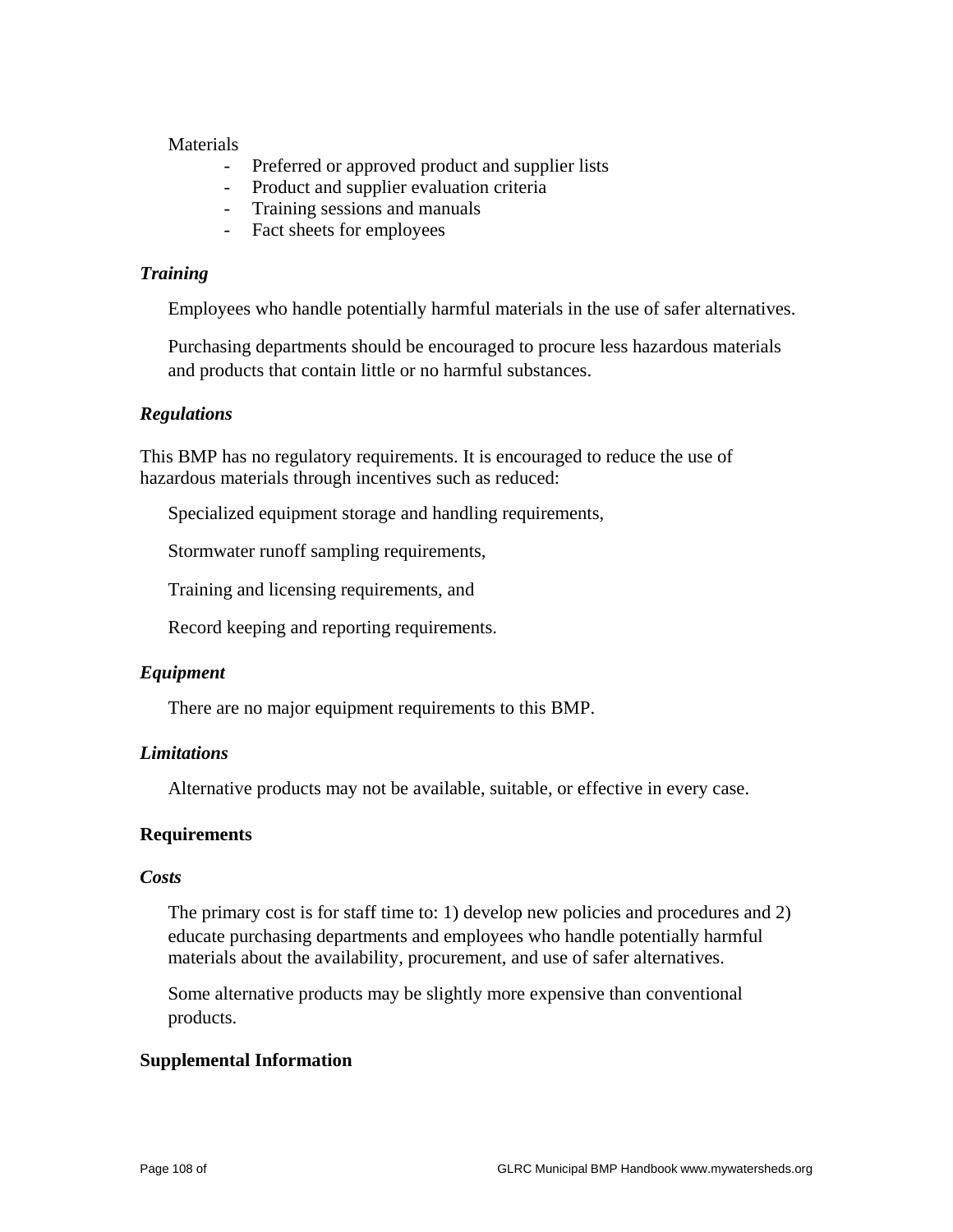#### **Materials**

- Preferred or approved product and supplier lists
- Product and supplier evaluation criteria
- Training sessions and manuals
- Fact sheets for employees

#### *Training*

Employees who handle potentially harmful materials in the use of safer alternatives.

 Purchasing departments should be encouraged to procure less hazardous materials and products that contain little or no harmful substances.

#### *Regulations*

This BMP has no regulatory requirements. It is encouraged to reduce the use of hazardous materials through incentives such as reduced:

Specialized equipment storage and handling requirements,

Stormwater runoff sampling requirements,

Training and licensing requirements, and

Record keeping and reporting requirements.

#### *Equipment*

There are no major equipment requirements to this BMP.

#### *Limitations*

Alternative products may not be available, suitable, or effective in every case.

#### **Requirements**

#### *Costs*

 The primary cost is for staff time to: 1) develop new policies and procedures and 2) educate purchasing departments and employees who handle potentially harmful materials about the availability, procurement, and use of safer alternatives.

 Some alternative products may be slightly more expensive than conventional products.

#### **Supplemental Information**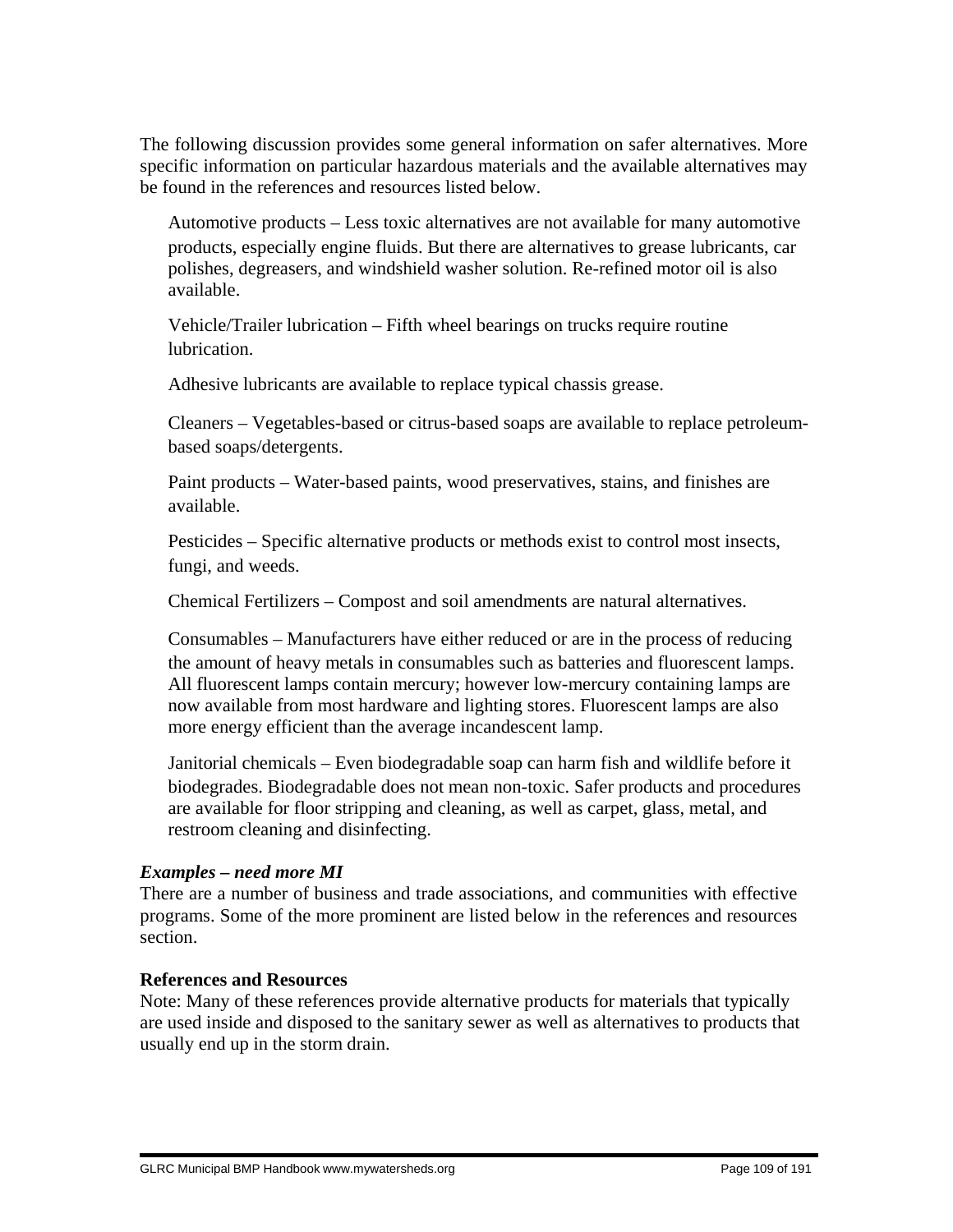The following discussion provides some general information on safer alternatives. More specific information on particular hazardous materials and the available alternatives may be found in the references and resources listed below.

 Automotive products – Less toxic alternatives are not available for many automotive products, especially engine fluids. But there are alternatives to grease lubricants, car polishes, degreasers, and windshield washer solution. Re-refined motor oil is also available.

 Vehicle/Trailer lubrication – Fifth wheel bearings on trucks require routine lubrication.

Adhesive lubricants are available to replace typical chassis grease.

 Cleaners – Vegetables-based or citrus-based soaps are available to replace petroleumbased soaps/detergents.

 Paint products – Water-based paints, wood preservatives, stains, and finishes are available.

 Pesticides – Specific alternative products or methods exist to control most insects, fungi, and weeds.

Chemical Fertilizers – Compost and soil amendments are natural alternatives.

 Consumables – Manufacturers have either reduced or are in the process of reducing the amount of heavy metals in consumables such as batteries and fluorescent lamps. All fluorescent lamps contain mercury; however low-mercury containing lamps are now available from most hardware and lighting stores. Fluorescent lamps are also more energy efficient than the average incandescent lamp.

 Janitorial chemicals – Even biodegradable soap can harm fish and wildlife before it biodegrades. Biodegradable does not mean non-toxic. Safer products and procedures are available for floor stripping and cleaning, as well as carpet, glass, metal, and restroom cleaning and disinfecting.

#### *Examples – need more MI*

There are a number of business and trade associations, and communities with effective programs. Some of the more prominent are listed below in the references and resources section.

#### **References and Resources**

Note: Many of these references provide alternative products for materials that typically are used inside and disposed to the sanitary sewer as well as alternatives to products that usually end up in the storm drain.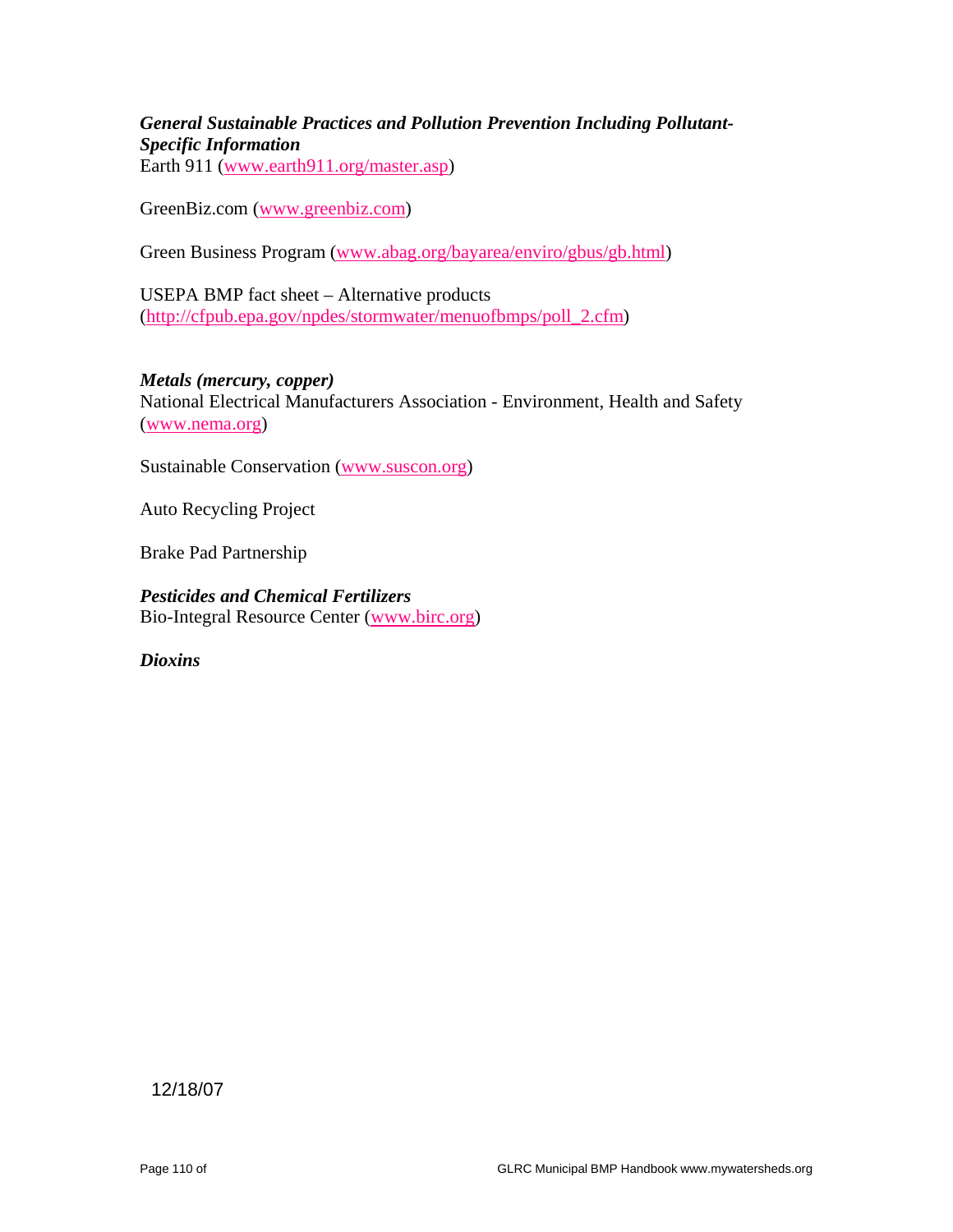# *General Sustainable Practices and Pollution Prevention Including Pollutant-Specific Information*

Earth 911 (www.earth911.org/master.asp)

GreenBiz.com (www.greenbiz.com)

Green Business Program (www.abag.org/bayarea/enviro/gbus/gb.html)

USEPA BMP fact sheet – Alternative products (http://cfpub.epa.gov/npdes/stormwater/menuofbmps/poll\_2.cfm)

*Metals (mercury, copper)* National Electrical Manufacturers Association - Environment, Health and Safety (www.nema.org)

Sustainable Conservation (www.suscon.org)

Auto Recycling Project

Brake Pad Partnership

*Pesticides and Chemical Fertilizers* Bio-Integral Resource Center (www.birc.org)

*Dioxins*

12/18/07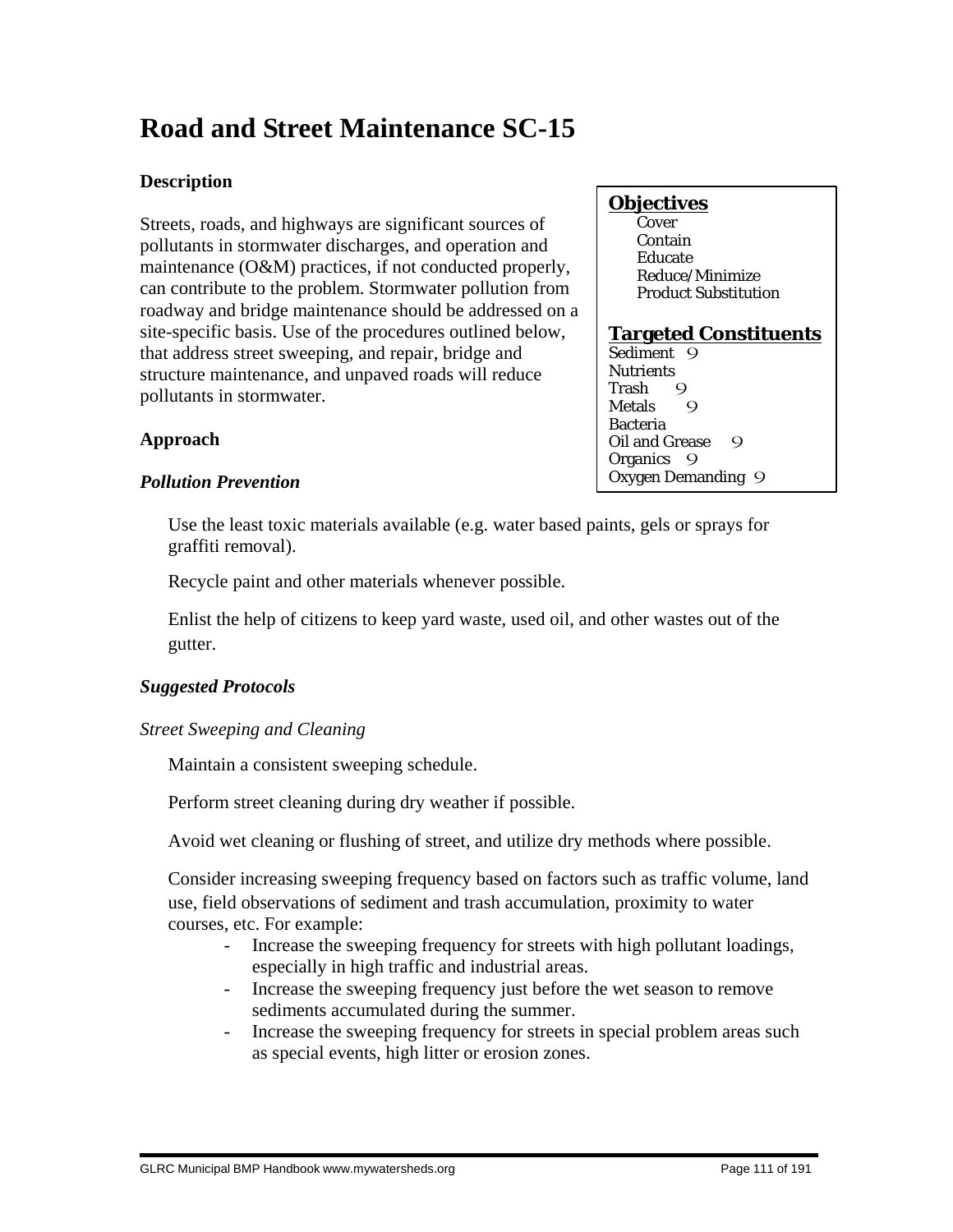# **Road and Street Maintenance SC-15**

# **Description**

Streets, roads, and highways are significant sources of pollutants in stormwater discharges, and operation and maintenance (O&M) practices, if not conducted properly, can contribute to the problem. Stormwater pollution from roadway and bridge maintenance should be addressed on a site-specific basis. Use of the procedures outlined below, that address street sweeping, and repair, bridge and structure maintenance, and unpaved roads will reduce pollutants in stormwater.

# **Objectives**

**Cover**  Contain Educate Reduce/Minimize Product Substitution

# **Targeted Constituents**

Sediment 9 **Nutrients** Trash 9<br>Metals 9 **Metals** Bacteria Oil and Grease 9 Organics 9 Oxygen Demanding 9

# **Approach**

# *Pollution Prevention*

 Use the least toxic materials available (e.g. water based paints, gels or sprays for graffiti removal).

Recycle paint and other materials whenever possible.

 Enlist the help of citizens to keep yard waste, used oil, and other wastes out of the gutter.

# *Suggested Protocols*

*Street Sweeping and Cleaning*

Maintain a consistent sweeping schedule.

Perform street cleaning during dry weather if possible.

Avoid wet cleaning or flushing of street, and utilize dry methods where possible.

 Consider increasing sweeping frequency based on factors such as traffic volume, land use, field observations of sediment and trash accumulation, proximity to water courses, etc. For example:

- Increase the sweeping frequency for streets with high pollutant loadings, especially in high traffic and industrial areas.
- Increase the sweeping frequency just before the wet season to remove sediments accumulated during the summer.
- Increase the sweeping frequency for streets in special problem areas such as special events, high litter or erosion zones.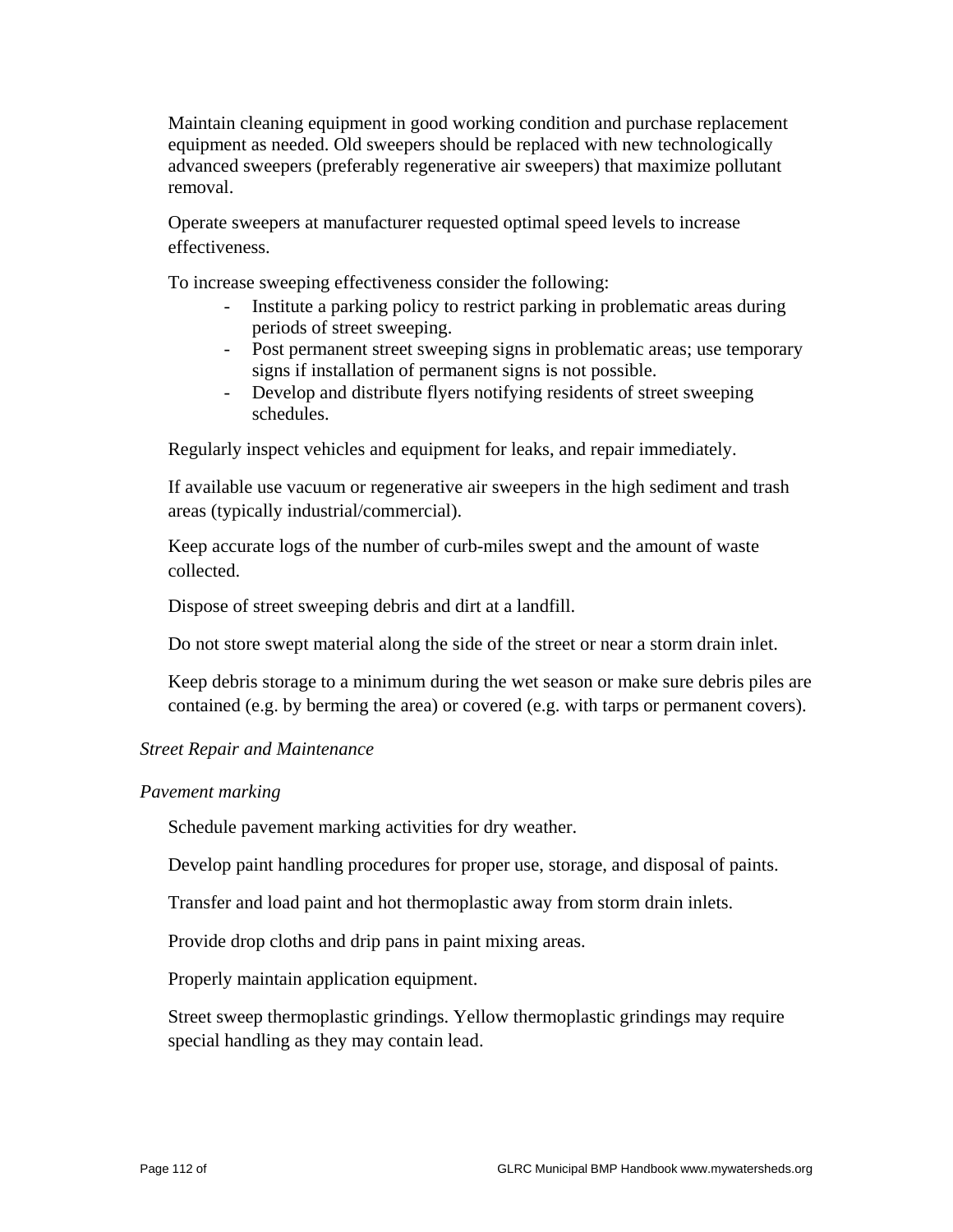Maintain cleaning equipment in good working condition and purchase replacement equipment as needed. Old sweepers should be replaced with new technologically advanced sweepers (preferably regenerative air sweepers) that maximize pollutant removal.

 Operate sweepers at manufacturer requested optimal speed levels to increase effectiveness.

To increase sweeping effectiveness consider the following:

- Institute a parking policy to restrict parking in problematic areas during periods of street sweeping.
- Post permanent street sweeping signs in problematic areas; use temporary signs if installation of permanent signs is not possible.
- Develop and distribute flyers notifying residents of street sweeping schedules.

Regularly inspect vehicles and equipment for leaks, and repair immediately.

 If available use vacuum or regenerative air sweepers in the high sediment and trash areas (typically industrial/commercial).

 Keep accurate logs of the number of curb-miles swept and the amount of waste collected.

Dispose of street sweeping debris and dirt at a landfill.

Do not store swept material along the side of the street or near a storm drain inlet.

 Keep debris storage to a minimum during the wet season or make sure debris piles are contained (e.g. by berming the area) or covered (e.g. with tarps or permanent covers).

#### *Street Repair and Maintenance*

#### *Pavement marking*

Schedule pavement marking activities for dry weather.

Develop paint handling procedures for proper use, storage, and disposal of paints.

Transfer and load paint and hot thermoplastic away from storm drain inlets.

Provide drop cloths and drip pans in paint mixing areas.

Properly maintain application equipment.

 Street sweep thermoplastic grindings. Yellow thermoplastic grindings may require special handling as they may contain lead.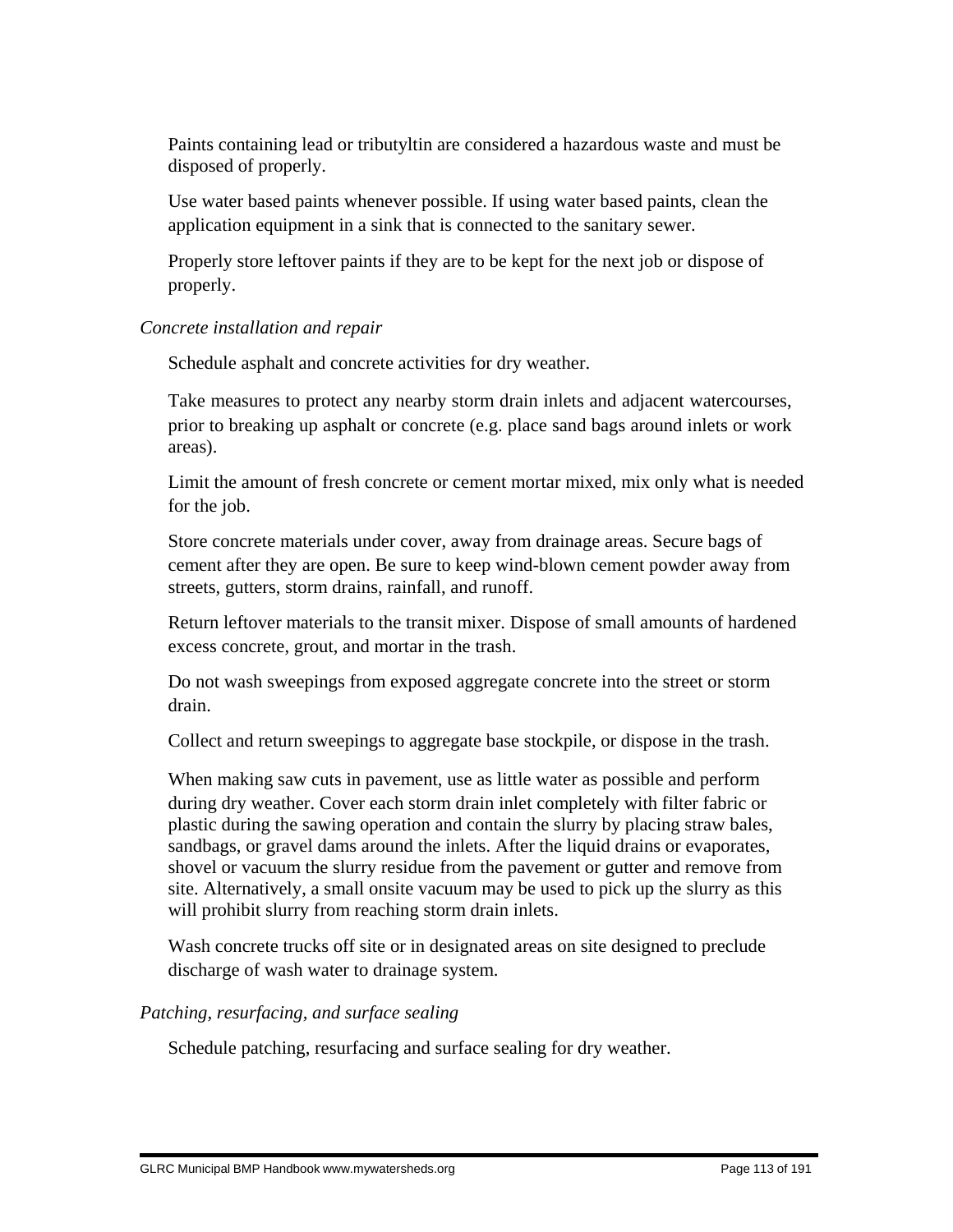Paints containing lead or tributyltin are considered a hazardous waste and must be disposed of properly.

 Use water based paints whenever possible. If using water based paints, clean the application equipment in a sink that is connected to the sanitary sewer.

 Properly store leftover paints if they are to be kept for the next job or dispose of properly.

#### *Concrete installation and repair*

Schedule asphalt and concrete activities for dry weather.

 Take measures to protect any nearby storm drain inlets and adjacent watercourses, prior to breaking up asphalt or concrete (e.g. place sand bags around inlets or work areas).

 Limit the amount of fresh concrete or cement mortar mixed, mix only what is needed for the job.

 Store concrete materials under cover, away from drainage areas. Secure bags of cement after they are open. Be sure to keep wind-blown cement powder away from streets, gutters, storm drains, rainfall, and runoff.

 Return leftover materials to the transit mixer. Dispose of small amounts of hardened excess concrete, grout, and mortar in the trash.

 Do not wash sweepings from exposed aggregate concrete into the street or storm drain.

Collect and return sweepings to aggregate base stockpile, or dispose in the trash.

 When making saw cuts in pavement, use as little water as possible and perform during dry weather. Cover each storm drain inlet completely with filter fabric or plastic during the sawing operation and contain the slurry by placing straw bales, sandbags, or gravel dams around the inlets. After the liquid drains or evaporates, shovel or vacuum the slurry residue from the pavement or gutter and remove from site. Alternatively, a small onsite vacuum may be used to pick up the slurry as this will prohibit slurry from reaching storm drain inlets.

 Wash concrete trucks off site or in designated areas on site designed to preclude discharge of wash water to drainage system.

# *Patching, resurfacing, and surface sealing*

Schedule patching, resurfacing and surface sealing for dry weather.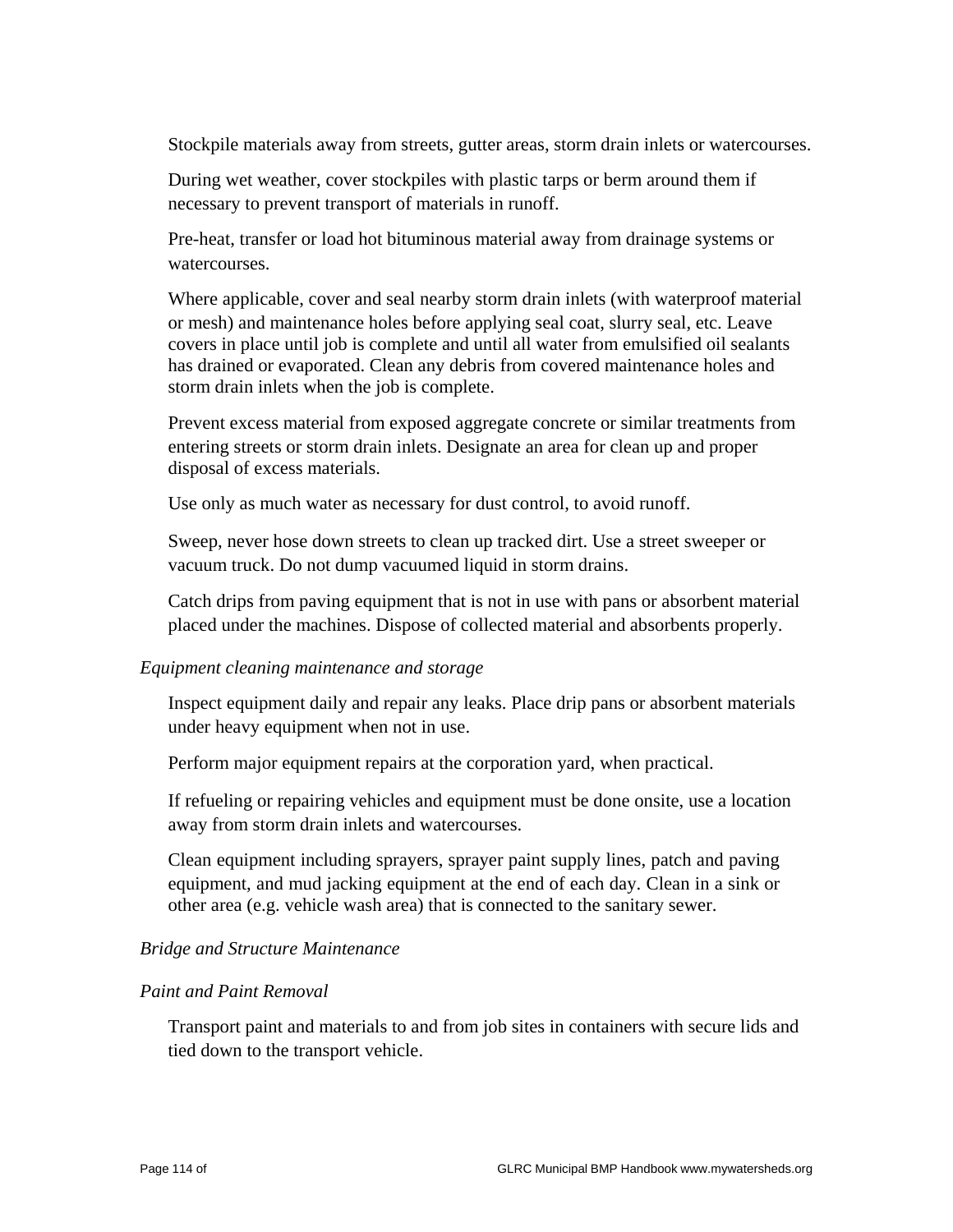Stockpile materials away from streets, gutter areas, storm drain inlets or watercourses.

 During wet weather, cover stockpiles with plastic tarps or berm around them if necessary to prevent transport of materials in runoff.

 Pre-heat, transfer or load hot bituminous material away from drainage systems or watercourses.

 Where applicable, cover and seal nearby storm drain inlets (with waterproof material or mesh) and maintenance holes before applying seal coat, slurry seal, etc. Leave covers in place until job is complete and until all water from emulsified oil sealants has drained or evaporated. Clean any debris from covered maintenance holes and storm drain inlets when the job is complete.

 Prevent excess material from exposed aggregate concrete or similar treatments from entering streets or storm drain inlets. Designate an area for clean up and proper disposal of excess materials.

Use only as much water as necessary for dust control, to avoid runoff.

 Sweep, never hose down streets to clean up tracked dirt. Use a street sweeper or vacuum truck. Do not dump vacuumed liquid in storm drains.

 Catch drips from paving equipment that is not in use with pans or absorbent material placed under the machines. Dispose of collected material and absorbents properly.

#### *Equipment cleaning maintenance and storage*

 Inspect equipment daily and repair any leaks. Place drip pans or absorbent materials under heavy equipment when not in use.

Perform major equipment repairs at the corporation yard, when practical.

 If refueling or repairing vehicles and equipment must be done onsite, use a location away from storm drain inlets and watercourses.

 Clean equipment including sprayers, sprayer paint supply lines, patch and paving equipment, and mud jacking equipment at the end of each day. Clean in a sink or other area (e.g. vehicle wash area) that is connected to the sanitary sewer.

#### *Bridge and Structure Maintenance*

#### *Paint and Paint Removal*

 Transport paint and materials to and from job sites in containers with secure lids and tied down to the transport vehicle.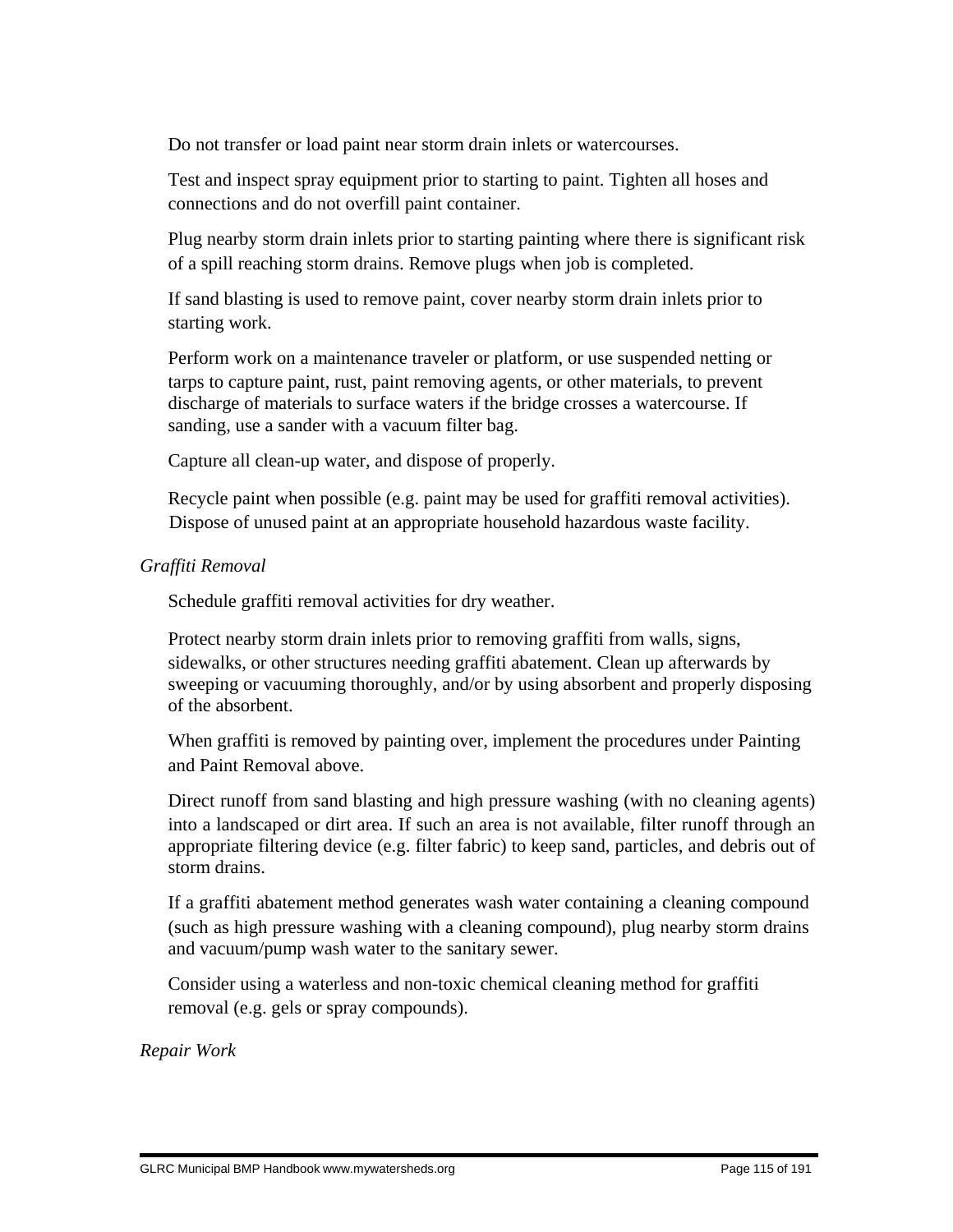Do not transfer or load paint near storm drain inlets or watercourses.

 Test and inspect spray equipment prior to starting to paint. Tighten all hoses and connections and do not overfill paint container.

 Plug nearby storm drain inlets prior to starting painting where there is significant risk of a spill reaching storm drains. Remove plugs when job is completed.

 If sand blasting is used to remove paint, cover nearby storm drain inlets prior to starting work.

 Perform work on a maintenance traveler or platform, or use suspended netting or tarps to capture paint, rust, paint removing agents, or other materials, to prevent discharge of materials to surface waters if the bridge crosses a watercourse. If sanding, use a sander with a vacuum filter bag.

Capture all clean-up water, and dispose of properly.

 Recycle paint when possible (e.g. paint may be used for graffiti removal activities). Dispose of unused paint at an appropriate household hazardous waste facility.

#### *Graffiti Removal*

Schedule graffiti removal activities for dry weather.

 Protect nearby storm drain inlets prior to removing graffiti from walls, signs, sidewalks, or other structures needing graffiti abatement. Clean up afterwards by sweeping or vacuuming thoroughly, and/or by using absorbent and properly disposing of the absorbent.

 When graffiti is removed by painting over, implement the procedures under Painting and Paint Removal above.

 Direct runoff from sand blasting and high pressure washing (with no cleaning agents) into a landscaped or dirt area. If such an area is not available, filter runoff through an appropriate filtering device (e.g. filter fabric) to keep sand, particles, and debris out of storm drains.

 If a graffiti abatement method generates wash water containing a cleaning compound (such as high pressure washing with a cleaning compound), plug nearby storm drains and vacuum/pump wash water to the sanitary sewer.

 Consider using a waterless and non-toxic chemical cleaning method for graffiti removal (e.g. gels or spray compounds).

*Repair Work*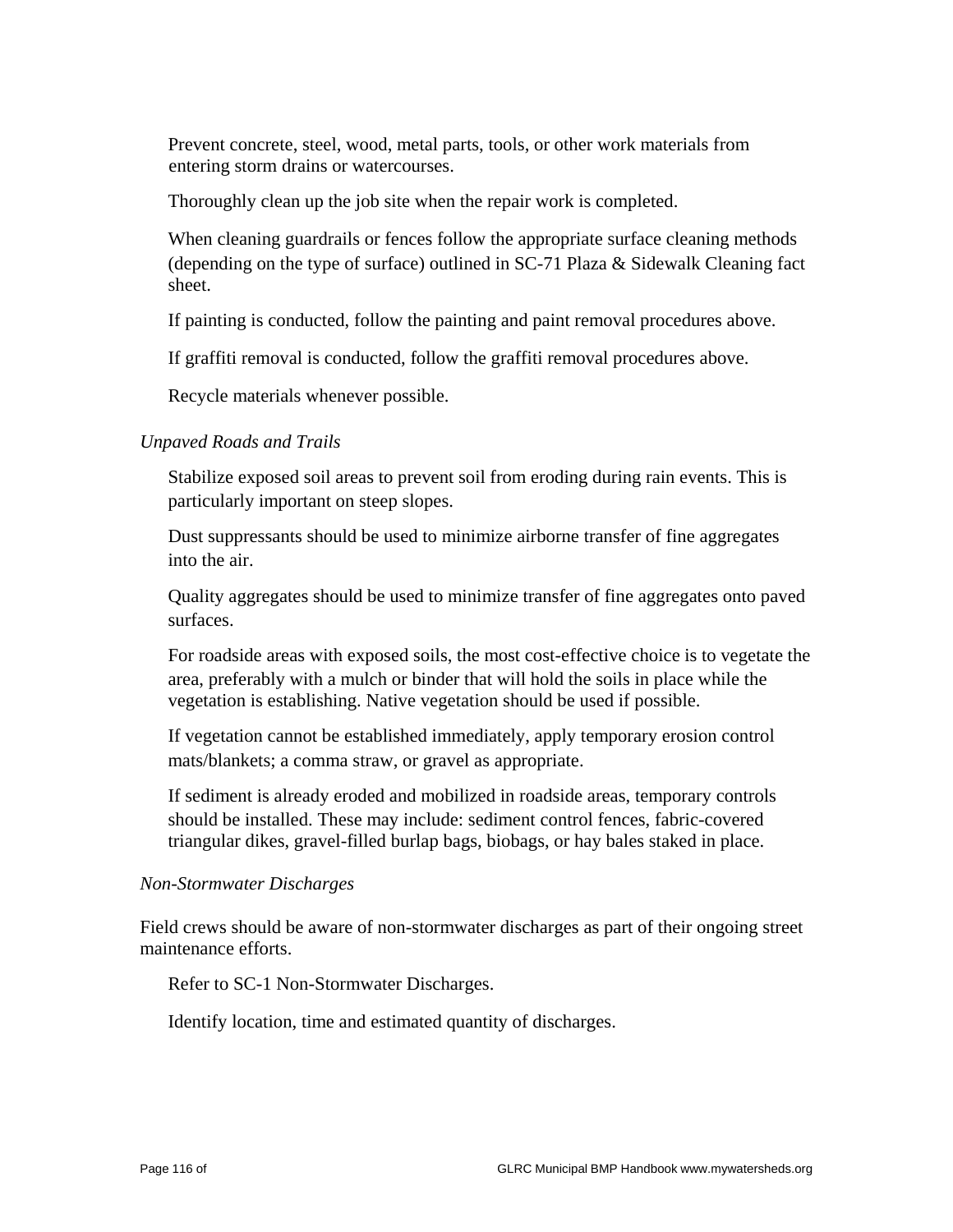Prevent concrete, steel, wood, metal parts, tools, or other work materials from entering storm drains or watercourses.

Thoroughly clean up the job site when the repair work is completed.

 When cleaning guardrails or fences follow the appropriate surface cleaning methods (depending on the type of surface) outlined in SC-71 Plaza & Sidewalk Cleaning fact sheet.

If painting is conducted, follow the painting and paint removal procedures above.

If graffiti removal is conducted, follow the graffiti removal procedures above.

Recycle materials whenever possible.

#### *Unpaved Roads and Trails*

 Stabilize exposed soil areas to prevent soil from eroding during rain events. This is particularly important on steep slopes.

 Dust suppressants should be used to minimize airborne transfer of fine aggregates into the air.

 Quality aggregates should be used to minimize transfer of fine aggregates onto paved surfaces.

 For roadside areas with exposed soils, the most cost-effective choice is to vegetate the area, preferably with a mulch or binder that will hold the soils in place while the vegetation is establishing. Native vegetation should be used if possible.

 If vegetation cannot be established immediately, apply temporary erosion control mats/blankets; a comma straw, or gravel as appropriate.

 If sediment is already eroded and mobilized in roadside areas, temporary controls should be installed. These may include: sediment control fences, fabric-covered triangular dikes, gravel-filled burlap bags, biobags, or hay bales staked in place.

#### *Non-Stormwater Discharges*

Field crews should be aware of non-stormwater discharges as part of their ongoing street maintenance efforts.

Refer to SC-1 Non-Stormwater Discharges.

Identify location, time and estimated quantity of discharges.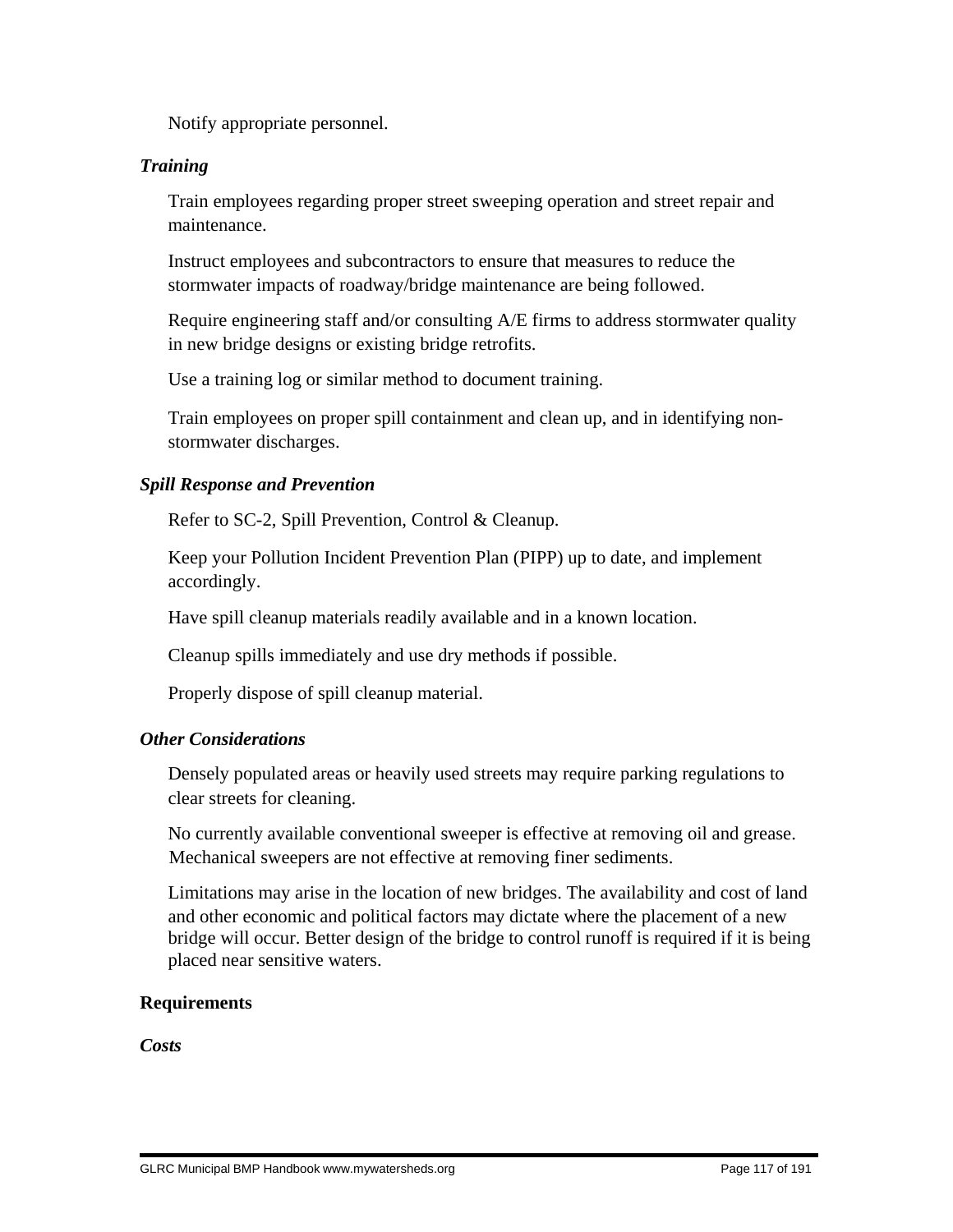Notify appropriate personnel.

#### *Training*

 Train employees regarding proper street sweeping operation and street repair and maintenance.

 Instruct employees and subcontractors to ensure that measures to reduce the stormwater impacts of roadway/bridge maintenance are being followed.

 Require engineering staff and/or consulting A/E firms to address stormwater quality in new bridge designs or existing bridge retrofits.

Use a training log or similar method to document training.

 Train employees on proper spill containment and clean up, and in identifying nonstormwater discharges.

#### *Spill Response and Prevention*

Refer to SC-2, Spill Prevention, Control & Cleanup.

 Keep your Pollution Incident Prevention Plan (PIPP) up to date, and implement accordingly.

Have spill cleanup materials readily available and in a known location.

Cleanup spills immediately and use dry methods if possible.

Properly dispose of spill cleanup material.

#### *Other Considerations*

 Densely populated areas or heavily used streets may require parking regulations to clear streets for cleaning.

 No currently available conventional sweeper is effective at removing oil and grease. Mechanical sweepers are not effective at removing finer sediments.

 Limitations may arise in the location of new bridges. The availability and cost of land and other economic and political factors may dictate where the placement of a new bridge will occur. Better design of the bridge to control runoff is required if it is being placed near sensitive waters.

#### **Requirements**

*Costs*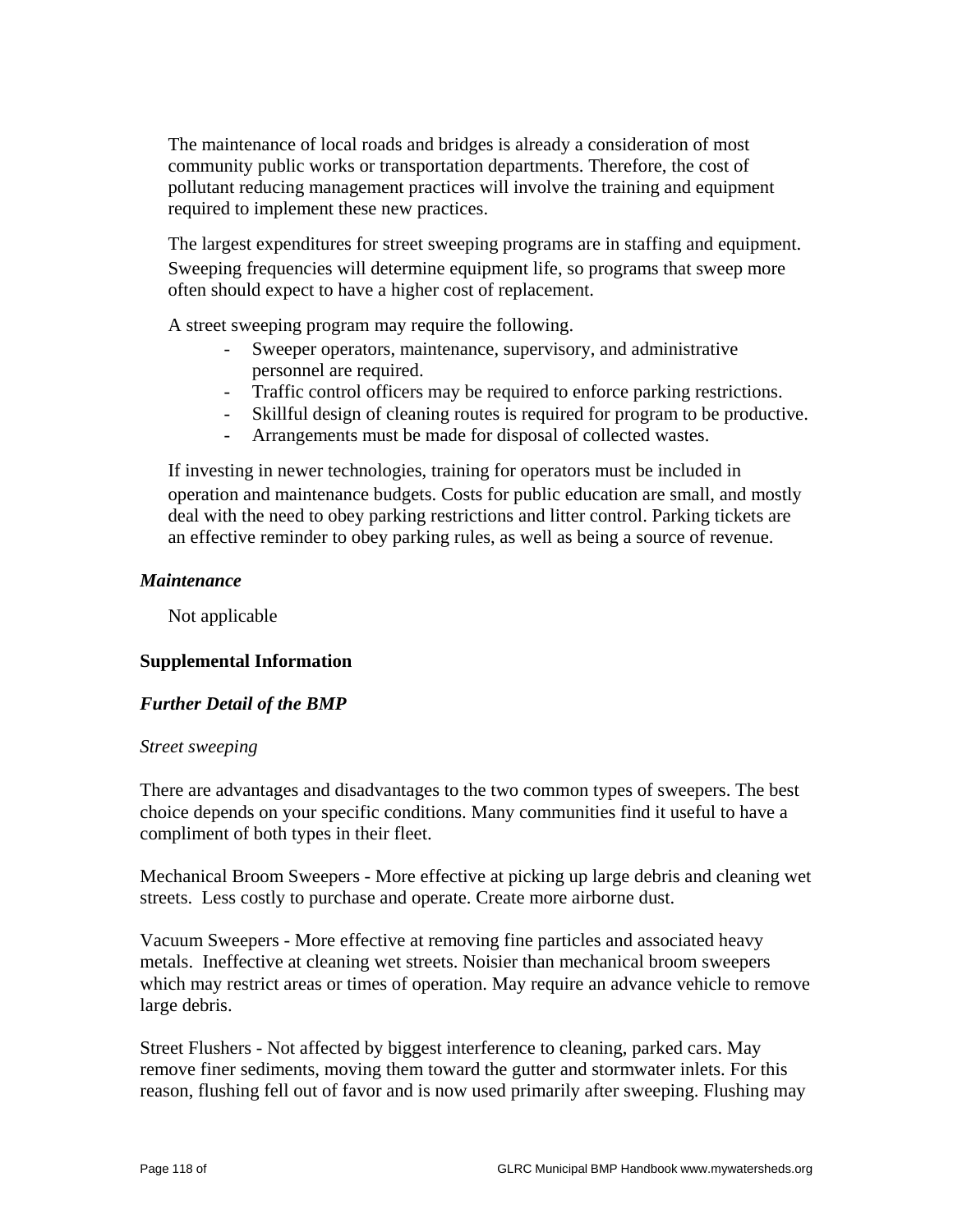The maintenance of local roads and bridges is already a consideration of most community public works or transportation departments. Therefore, the cost of pollutant reducing management practices will involve the training and equipment required to implement these new practices.

 The largest expenditures for street sweeping programs are in staffing and equipment. Sweeping frequencies will determine equipment life, so programs that sweep more often should expect to have a higher cost of replacement.

A street sweeping program may require the following.

- Sweeper operators, maintenance, supervisory, and administrative personnel are required.
- Traffic control officers may be required to enforce parking restrictions.
- Skillful design of cleaning routes is required for program to be productive.
- Arrangements must be made for disposal of collected wastes.

 If investing in newer technologies, training for operators must be included in operation and maintenance budgets. Costs for public education are small, and mostly deal with the need to obey parking restrictions and litter control. Parking tickets are an effective reminder to obey parking rules, as well as being a source of revenue.

#### *Maintenance*

Not applicable

#### **Supplemental Information**

#### *Further Detail of the BMP*

#### *Street sweeping*

There are advantages and disadvantages to the two common types of sweepers. The best choice depends on your specific conditions. Many communities find it useful to have a compliment of both types in their fleet.

Mechanical Broom Sweepers - More effective at picking up large debris and cleaning wet streets. Less costly to purchase and operate. Create more airborne dust.

Vacuum Sweepers - More effective at removing fine particles and associated heavy metals. Ineffective at cleaning wet streets. Noisier than mechanical broom sweepers which may restrict areas or times of operation. May require an advance vehicle to remove large debris.

Street Flushers - Not affected by biggest interference to cleaning, parked cars. May remove finer sediments, moving them toward the gutter and stormwater inlets. For this reason, flushing fell out of favor and is now used primarily after sweeping. Flushing may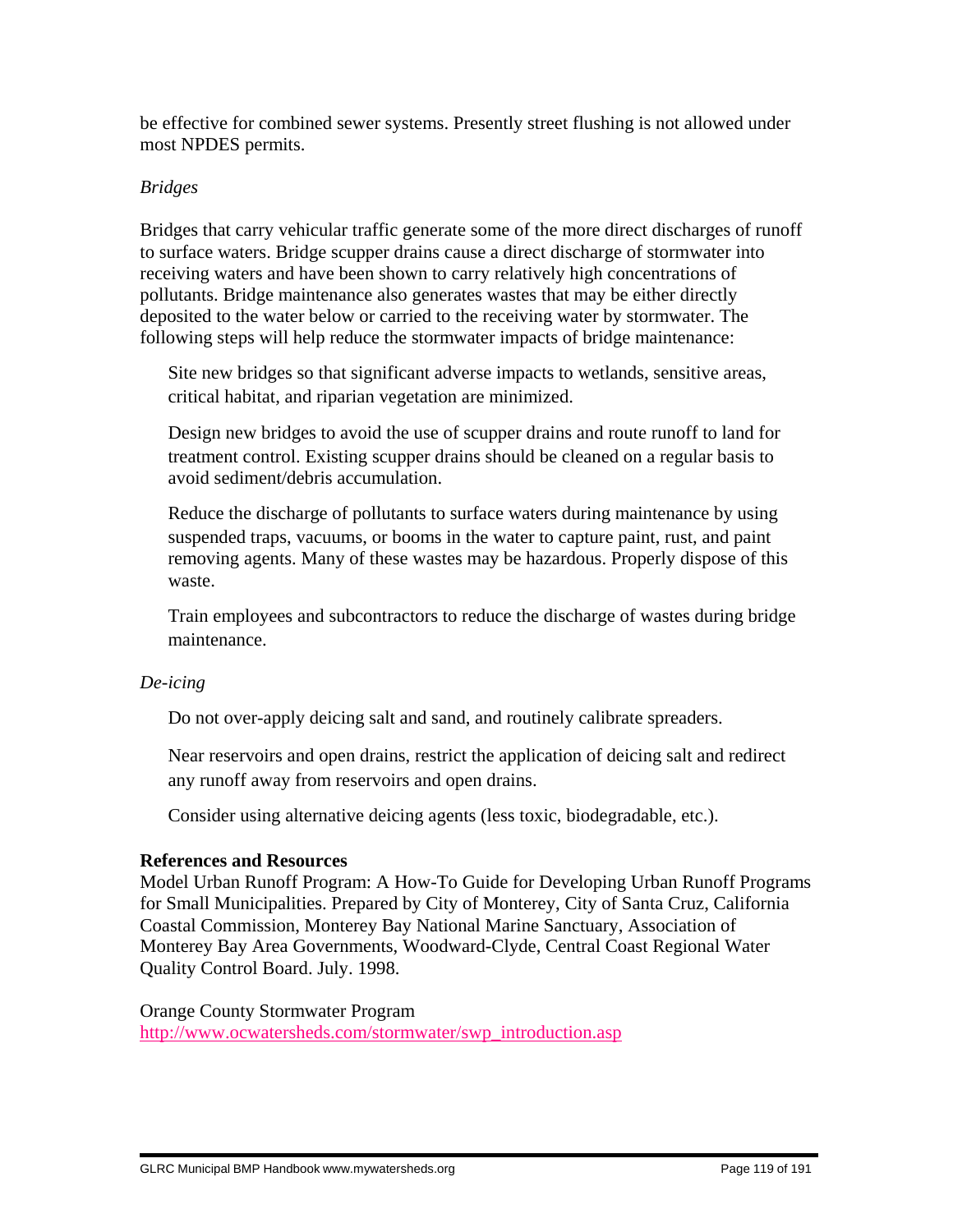be effective for combined sewer systems. Presently street flushing is not allowed under most NPDES permits.

#### *Bridges*

Bridges that carry vehicular traffic generate some of the more direct discharges of runoff to surface waters. Bridge scupper drains cause a direct discharge of stormwater into receiving waters and have been shown to carry relatively high concentrations of pollutants. Bridge maintenance also generates wastes that may be either directly deposited to the water below or carried to the receiving water by stormwater. The following steps will help reduce the stormwater impacts of bridge maintenance:

 Site new bridges so that significant adverse impacts to wetlands, sensitive areas, critical habitat, and riparian vegetation are minimized.

 Design new bridges to avoid the use of scupper drains and route runoff to land for treatment control. Existing scupper drains should be cleaned on a regular basis to avoid sediment/debris accumulation.

 Reduce the discharge of pollutants to surface waters during maintenance by using suspended traps, vacuums, or booms in the water to capture paint, rust, and paint removing agents. Many of these wastes may be hazardous. Properly dispose of this waste.

 Train employees and subcontractors to reduce the discharge of wastes during bridge maintenance.

#### *De-icing*

Do not over-apply deicing salt and sand, and routinely calibrate spreaders.

 Near reservoirs and open drains, restrict the application of deicing salt and redirect any runoff away from reservoirs and open drains.

Consider using alternative deicing agents (less toxic, biodegradable, etc.).

#### **References and Resources**

Model Urban Runoff Program: A How-To Guide for Developing Urban Runoff Programs for Small Municipalities. Prepared by City of Monterey, City of Santa Cruz, California Coastal Commission, Monterey Bay National Marine Sanctuary, Association of Monterey Bay Area Governments, Woodward-Clyde, Central Coast Regional Water Quality Control Board. July. 1998.

Orange County Stormwater Program

http://www.ocwatersheds.com/stormwater/swp\_introduction.asp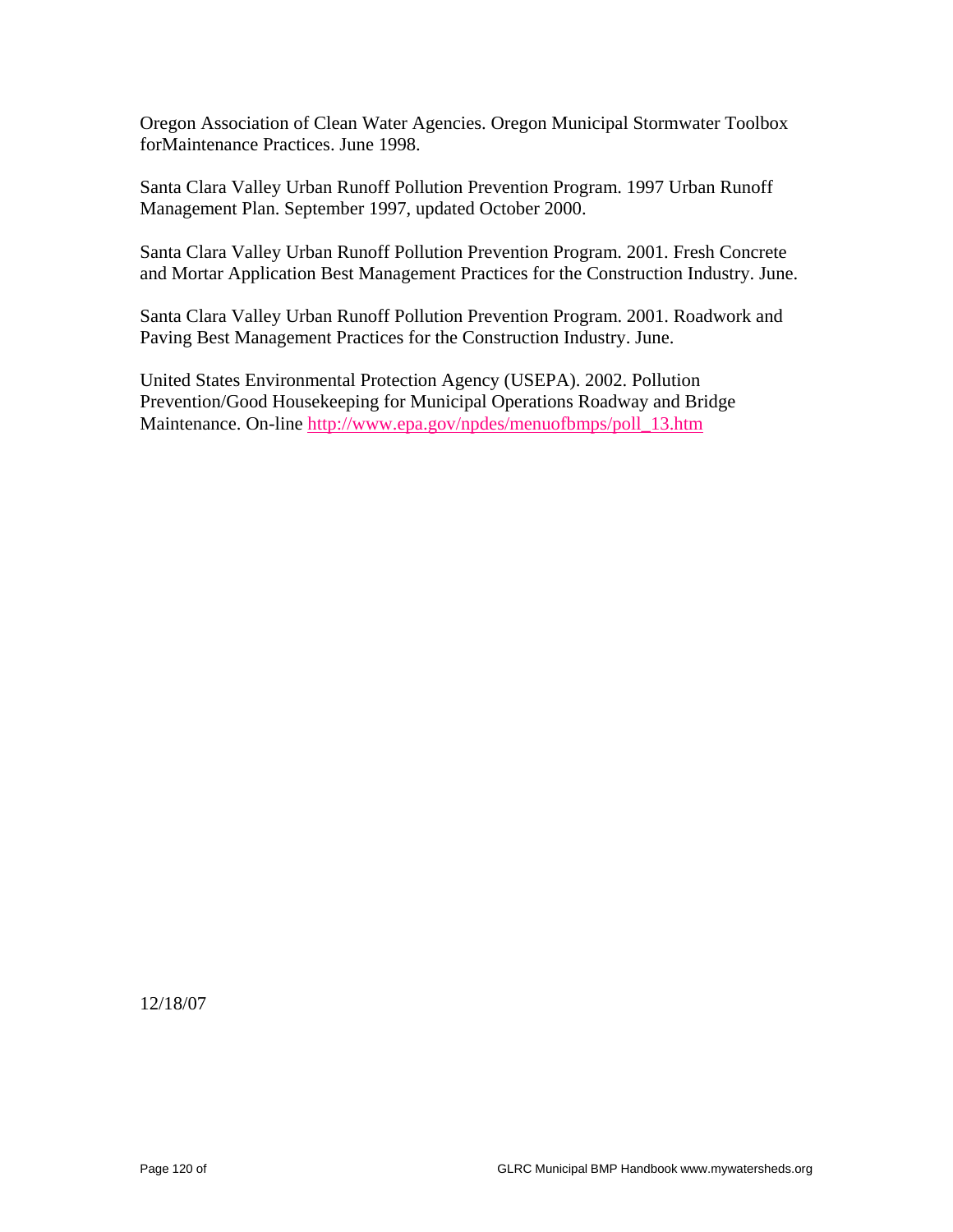Oregon Association of Clean Water Agencies. Oregon Municipal Stormwater Toolbox forMaintenance Practices. June 1998.

Santa Clara Valley Urban Runoff Pollution Prevention Program. 1997 Urban Runoff Management Plan. September 1997, updated October 2000.

Santa Clara Valley Urban Runoff Pollution Prevention Program. 2001. Fresh Concrete and Mortar Application Best Management Practices for the Construction Industry. June.

Santa Clara Valley Urban Runoff Pollution Prevention Program. 2001. Roadwork and Paving Best Management Practices for the Construction Industry. June.

United States Environmental Protection Agency (USEPA). 2002. Pollution Prevention/Good Housekeeping for Municipal Operations Roadway and Bridge Maintenance. On-line http://www.epa.gov/npdes/menuofbmps/poll\_13.htm

12/18/07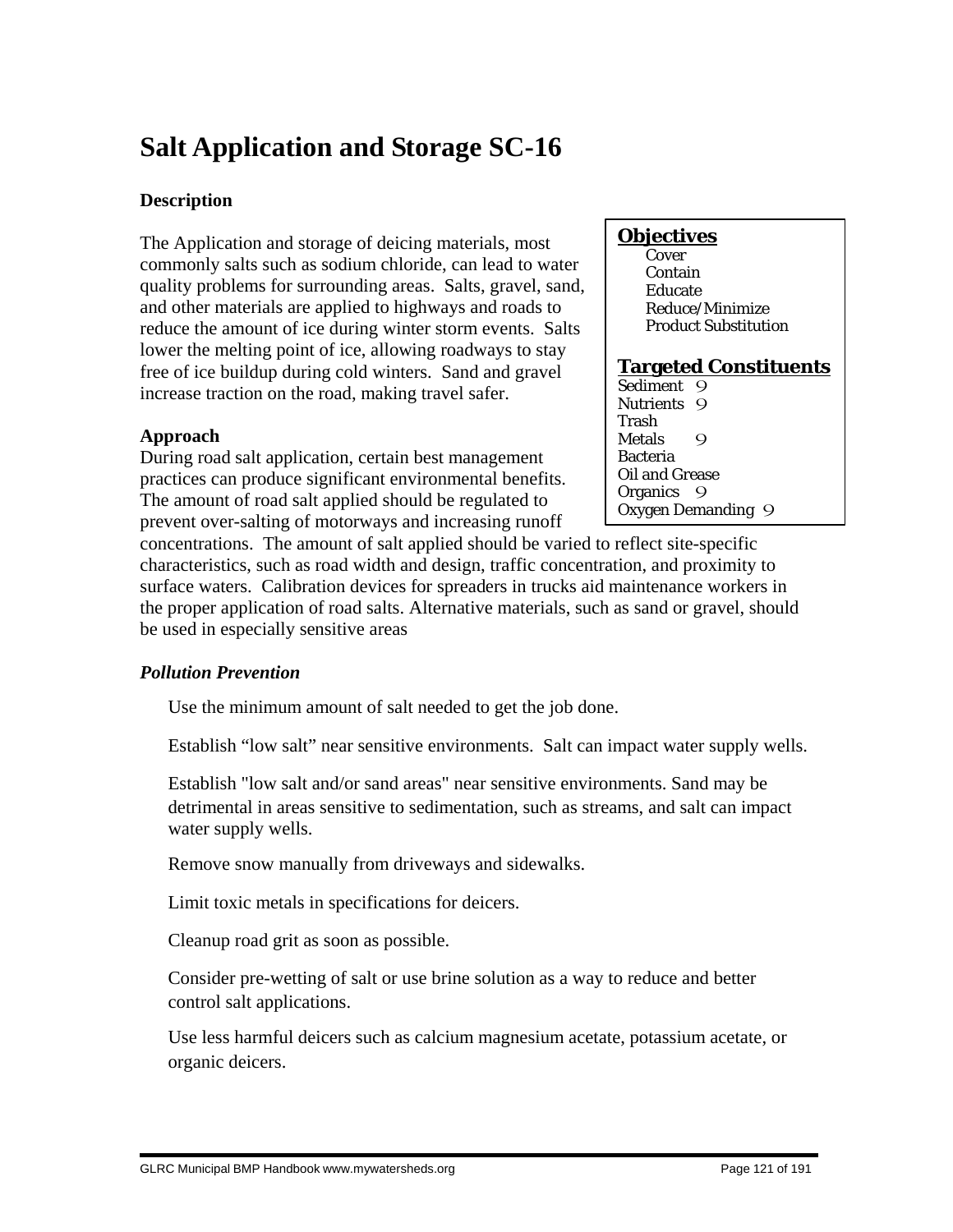# **Salt Application and Storage SC-16**

# **Description**

The Application and storage of deicing materials, most commonly salts such as sodium chloride, can lead to water quality problems for surrounding areas. Salts, gravel, sand, and other materials are applied to highways and roads to reduce the amount of ice during winter storm events. Salts lower the melting point of ice, allowing roadways to stay free of ice buildup during cold winters. Sand and gravel increase traction on the road, making travel safer.

### **Approach**

During road salt application, certain best management practices can produce significant environmental benefits. The amount of road salt applied should be regulated to prevent over-salting of motorways and increasing runoff

### **Objectives**

**Cover**  Contain Educate Reduce/Minimize Product Substitution

#### **Targeted Constituents**

Sediment 9 Nutrients 9 Trash Metals 9 Bacteria Oil and Grease Organics 9 Oxygen Demanding 9

concentrations. The amount of salt applied should be varied to reflect site-specific characteristics, such as road width and design, traffic concentration, and proximity to surface waters. Calibration devices for spreaders in trucks aid maintenance workers in the proper application of road salts. Alternative materials, such as sand or gravel, should be used in especially sensitive areas

# *Pollution Prevention*

Use the minimum amount of salt needed to get the job done.

Establish "low salt" near sensitive environments. Salt can impact water supply wells.

 Establish "low salt and/or sand areas" near sensitive environments. Sand may be detrimental in areas sensitive to sedimentation, such as streams, and salt can impact water supply wells.

Remove snow manually from driveways and sidewalks.

Limit toxic metals in specifications for deicers.

Cleanup road grit as soon as possible.

 Consider pre-wetting of salt or use brine solution as a way to reduce and better control salt applications.

 Use less harmful deicers such as calcium magnesium acetate, potassium acetate, or organic deicers.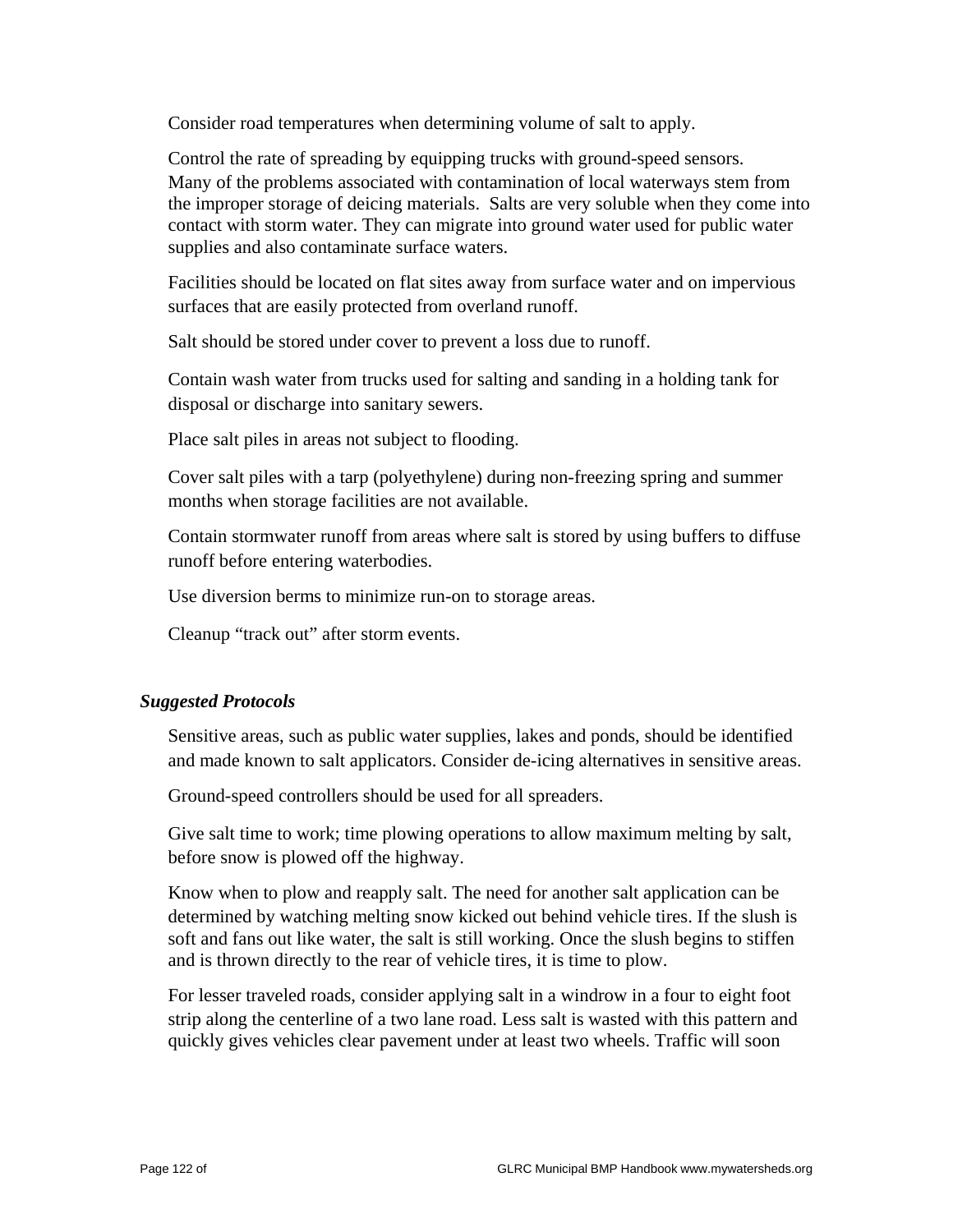Consider road temperatures when determining volume of salt to apply.

 Control the rate of spreading by equipping trucks with ground-speed sensors. Many of the problems associated with contamination of local waterways stem from the improper storage of deicing materials. Salts are very soluble when they come into contact with storm water. They can migrate into ground water used for public water supplies and also contaminate surface waters.

 Facilities should be located on flat sites away from surface water and on impervious surfaces that are easily protected from overland runoff.

Salt should be stored under cover to prevent a loss due to runoff.

 Contain wash water from trucks used for salting and sanding in a holding tank for disposal or discharge into sanitary sewers.

Place salt piles in areas not subject to flooding.

 Cover salt piles with a tarp (polyethylene) during non-freezing spring and summer months when storage facilities are not available.

 Contain stormwater runoff from areas where salt is stored by using buffers to diffuse runoff before entering waterbodies.

Use diversion berms to minimize run-on to storage areas.

Cleanup "track out" after storm events.

#### *Suggested Protocols*

 Sensitive areas, such as public water supplies, lakes and ponds, should be identified and made known to salt applicators. Consider de-icing alternatives in sensitive areas.

Ground-speed controllers should be used for all spreaders.

 Give salt time to work; time plowing operations to allow maximum melting by salt, before snow is plowed off the highway.

 Know when to plow and reapply salt. The need for another salt application can be determined by watching melting snow kicked out behind vehicle tires. If the slush is soft and fans out like water, the salt is still working. Once the slush begins to stiffen and is thrown directly to the rear of vehicle tires, it is time to plow.

 For lesser traveled roads, consider applying salt in a windrow in a four to eight foot strip along the centerline of a two lane road. Less salt is wasted with this pattern and quickly gives vehicles clear pavement under at least two wheels. Traffic will soon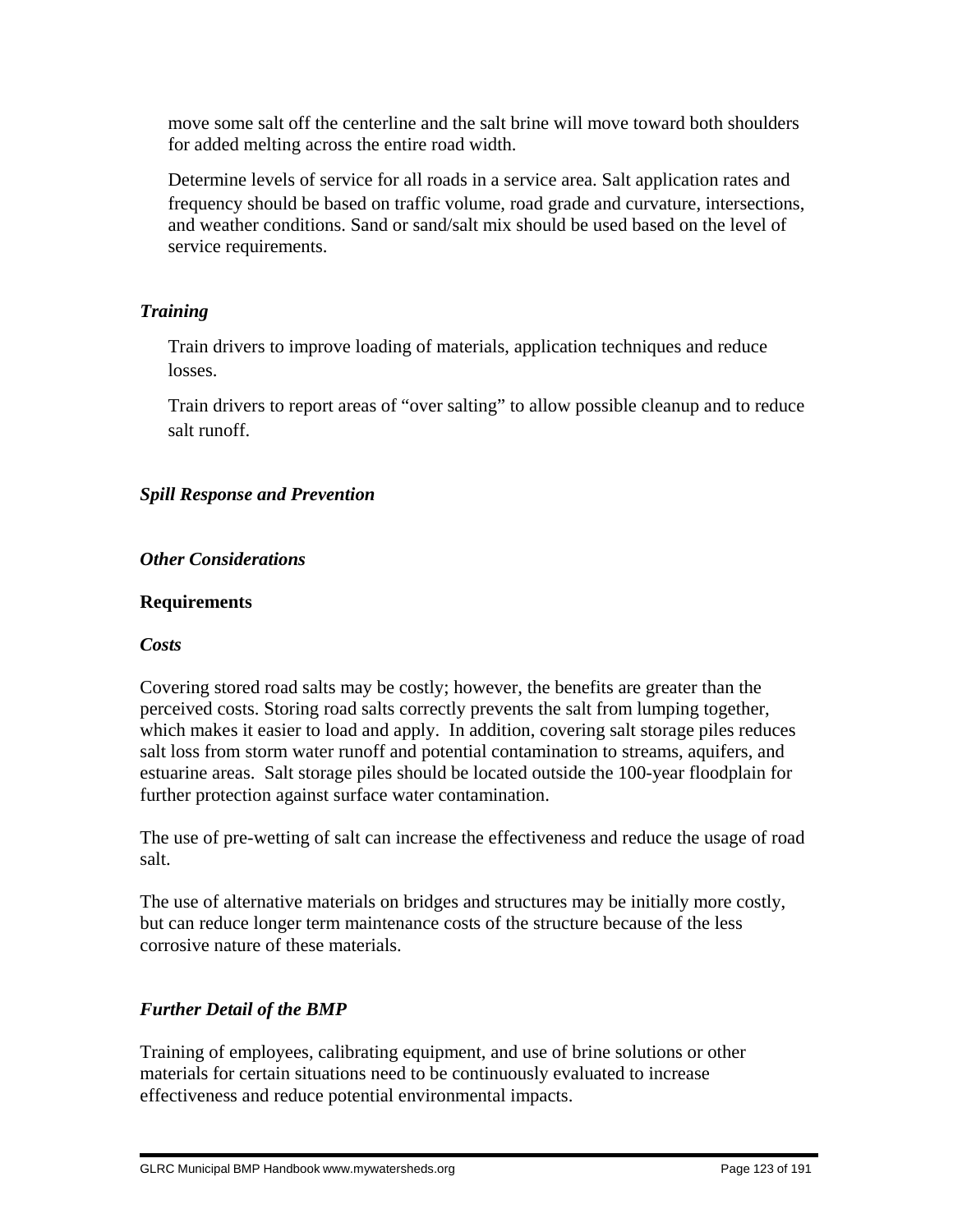move some salt off the centerline and the salt brine will move toward both shoulders for added melting across the entire road width.

 Determine levels of service for all roads in a service area. Salt application rates and frequency should be based on traffic volume, road grade and curvature, intersections, and weather conditions. Sand or sand/salt mix should be used based on the level of service requirements.

### *Training*

 Train drivers to improve loading of materials, application techniques and reduce losses.

 Train drivers to report areas of "over salting" to allow possible cleanup and to reduce salt runoff.

# *Spill Response and Prevention*

#### *Other Considerations*

#### **Requirements**

#### *Costs*

Covering stored road salts may be costly; however, the benefits are greater than the perceived costs. Storing road salts correctly prevents the salt from lumping together, which makes it easier to load and apply. In addition, covering salt storage piles reduces salt loss from storm water runoff and potential contamination to streams, aquifers, and estuarine areas. Salt storage piles should be located outside the 100-year floodplain for further protection against surface water contamination.

The use of pre-wetting of salt can increase the effectiveness and reduce the usage of road salt.

The use of alternative materials on bridges and structures may be initially more costly, but can reduce longer term maintenance costs of the structure because of the less corrosive nature of these materials.

# *Further Detail of the BMP*

Training of employees, calibrating equipment, and use of brine solutions or other materials for certain situations need to be continuously evaluated to increase effectiveness and reduce potential environmental impacts.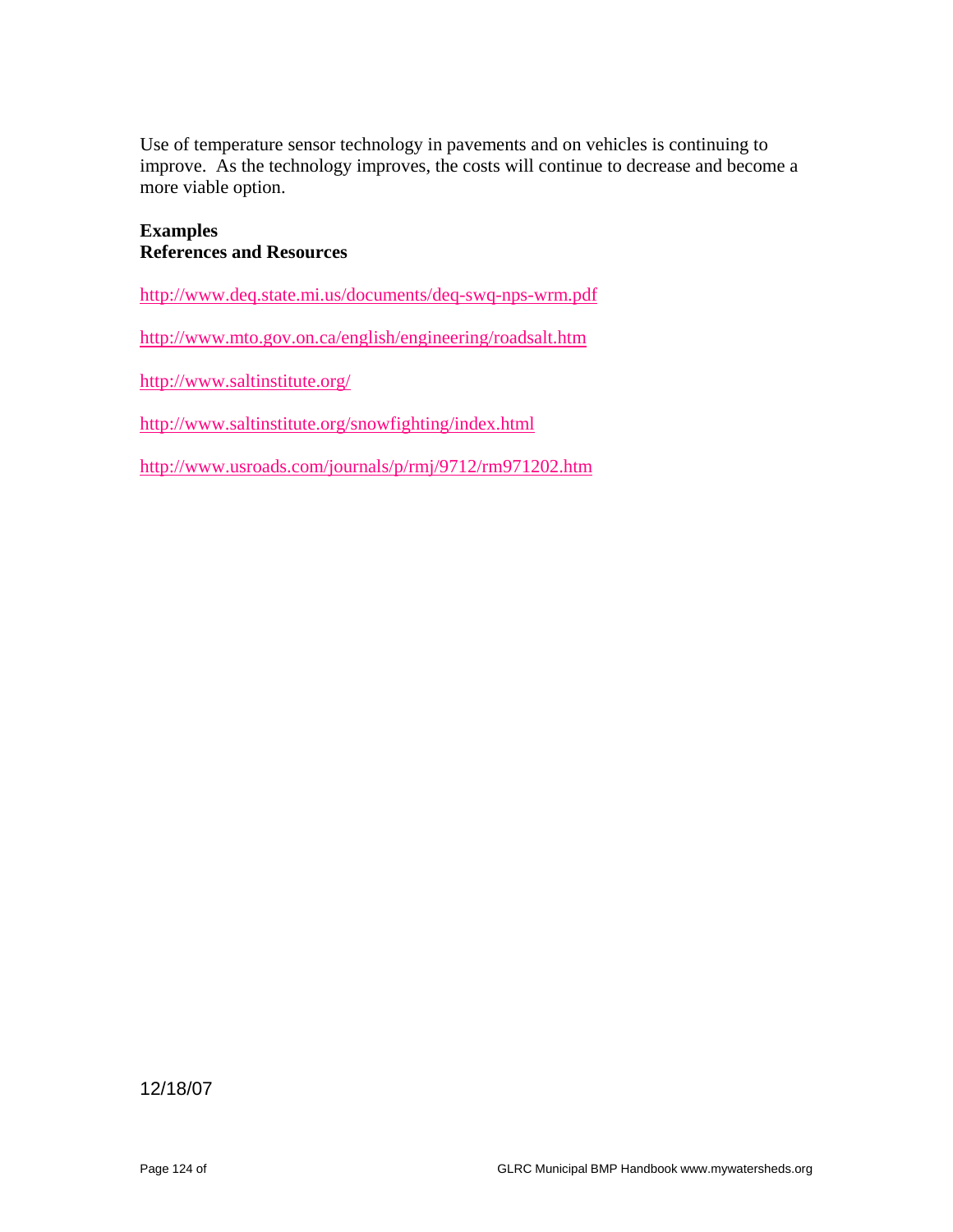Use of temperature sensor technology in pavements and on vehicles is continuing to improve. As the technology improves, the costs will continue to decrease and become a more viable option.

#### **Examples References and Resources**

http://www.deq.state.mi.us/documents/deq-swq-nps-wrm.pdf

http://www.mto.gov.on.ca/english/engineering/roadsalt.htm

http://www.saltinstitute.org/

http://www.saltinstitute.org/snowfighting/index.html

http://www.usroads.com/journals/p/rmj/9712/rm971202.htm

12/18/07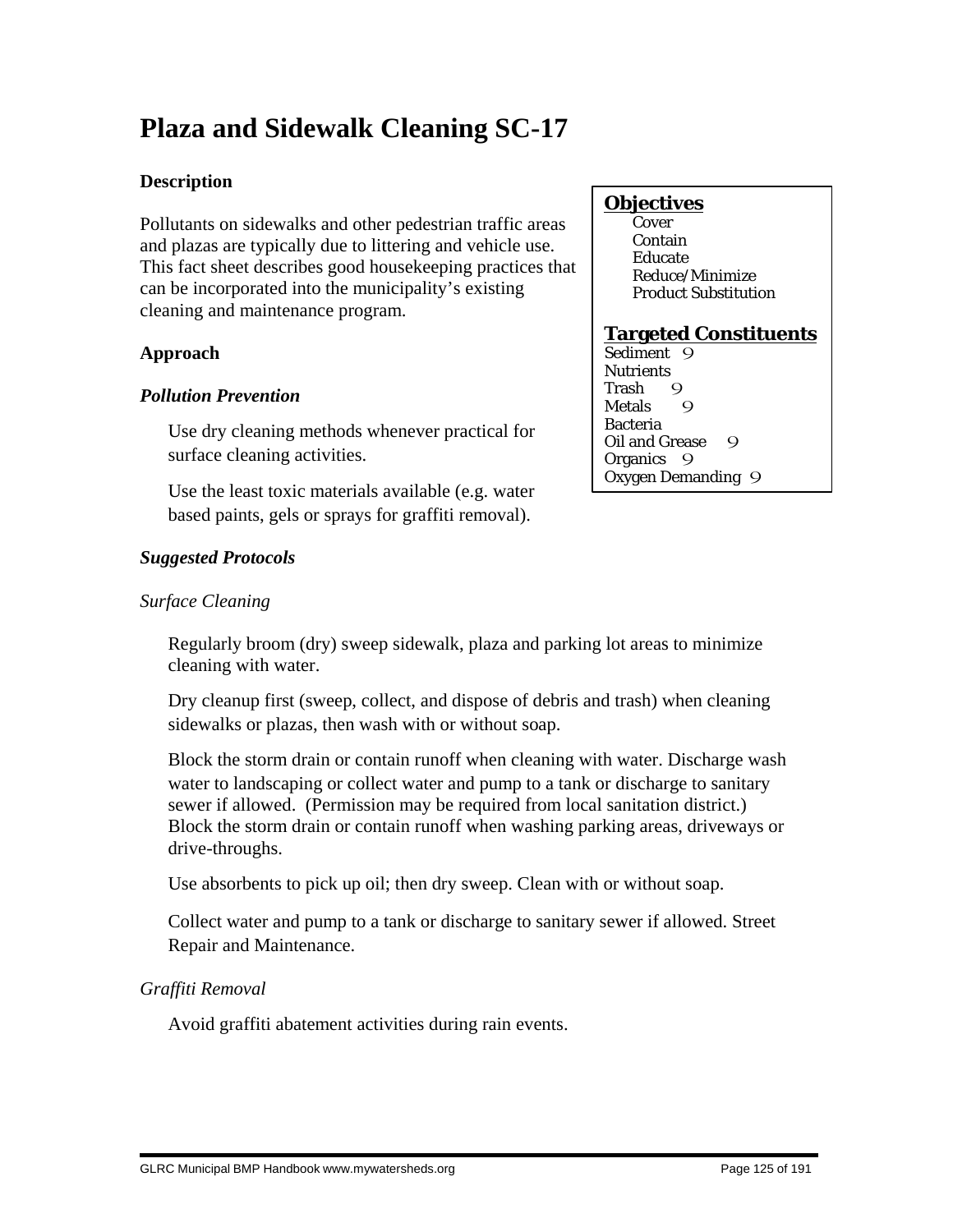# **Plaza and Sidewalk Cleaning SC-17**

# **Description**

Pollutants on sidewalks and other pedestrian traffic areas and plazas are typically due to littering and vehicle use. This fact sheet describes good housekeeping practices that can be incorporated into the municipality's existing cleaning and maintenance program.

# **Approach**

### *Pollution Prevention*

 Use dry cleaning methods whenever practical for surface cleaning activities.

 Use the least toxic materials available (e.g. water based paints, gels or sprays for graffiti removal).

# **Objectives**

**Cover**  Contain Educate Reduce/Minimize Product Substitution

# **Targeted Constituents**

Sediment<sub>9</sub> **Nutrients** Trash 9<br>Metals 9 **Metals** Bacteria Oil and Grease 9 Organics 9 Oxygen Demanding 9

# *Suggested Protocols*

# *Surface Cleaning*

 Regularly broom (dry) sweep sidewalk, plaza and parking lot areas to minimize cleaning with water.

 Dry cleanup first (sweep, collect, and dispose of debris and trash) when cleaning sidewalks or plazas, then wash with or without soap.

 Block the storm drain or contain runoff when cleaning with water. Discharge wash water to landscaping or collect water and pump to a tank or discharge to sanitary sewer if allowed. (Permission may be required from local sanitation district.) Block the storm drain or contain runoff when washing parking areas, driveways or drive-throughs.

Use absorbents to pick up oil; then dry sweep. Clean with or without soap.

 Collect water and pump to a tank or discharge to sanitary sewer if allowed. Street Repair and Maintenance.

# *Graffiti Removal*

Avoid graffiti abatement activities during rain events.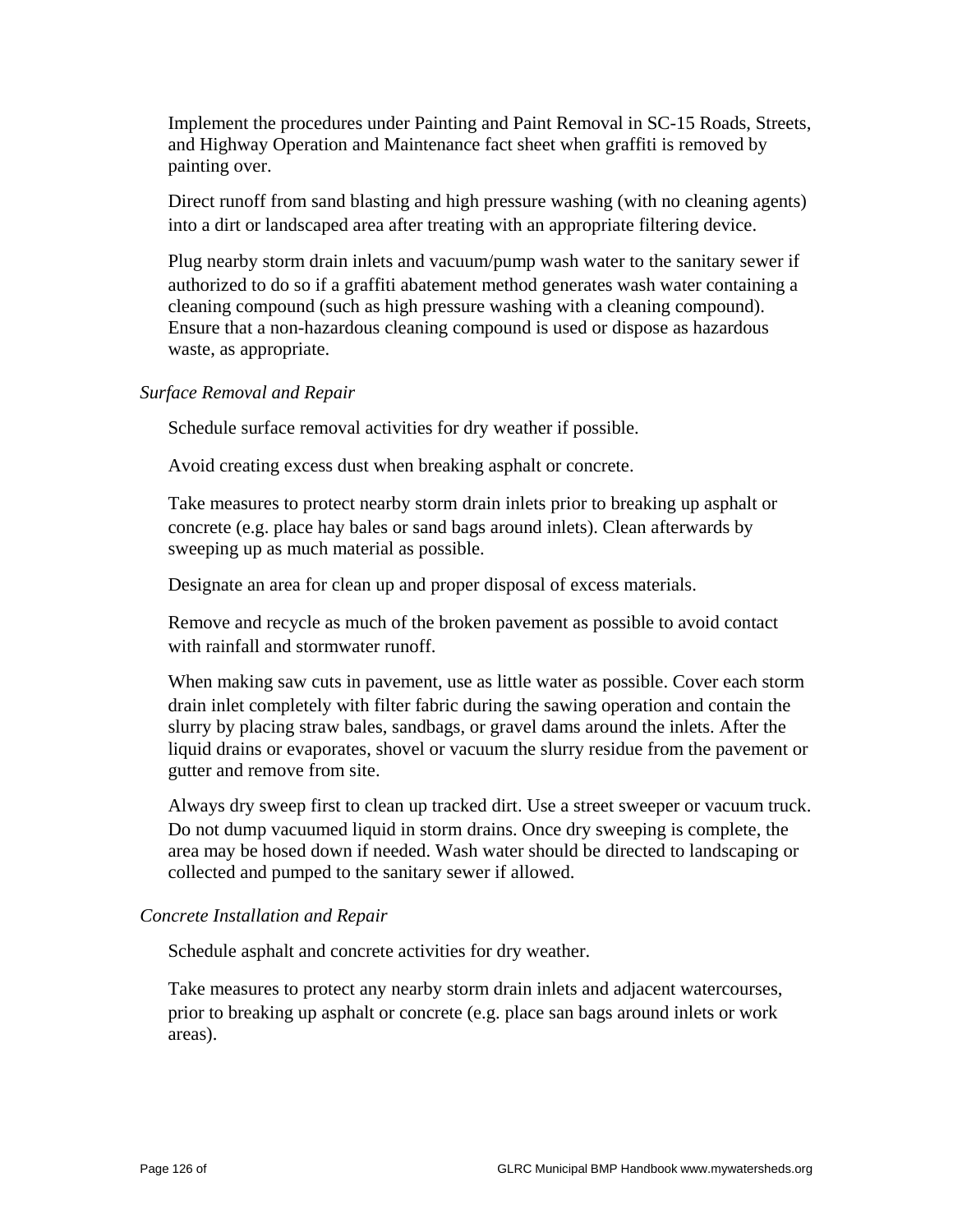Implement the procedures under Painting and Paint Removal in SC-15 Roads, Streets, and Highway Operation and Maintenance fact sheet when graffiti is removed by painting over.

 Direct runoff from sand blasting and high pressure washing (with no cleaning agents) into a dirt or landscaped area after treating with an appropriate filtering device.

 Plug nearby storm drain inlets and vacuum/pump wash water to the sanitary sewer if authorized to do so if a graffiti abatement method generates wash water containing a cleaning compound (such as high pressure washing with a cleaning compound). Ensure that a non-hazardous cleaning compound is used or dispose as hazardous waste, as appropriate.

#### *Surface Removal and Repair*

Schedule surface removal activities for dry weather if possible.

Avoid creating excess dust when breaking asphalt or concrete.

 Take measures to protect nearby storm drain inlets prior to breaking up asphalt or concrete (e.g. place hay bales or sand bags around inlets). Clean afterwards by sweeping up as much material as possible.

Designate an area for clean up and proper disposal of excess materials.

 Remove and recycle as much of the broken pavement as possible to avoid contact with rainfall and stormwater runoff.

 When making saw cuts in pavement, use as little water as possible. Cover each storm drain inlet completely with filter fabric during the sawing operation and contain the slurry by placing straw bales, sandbags, or gravel dams around the inlets. After the liquid drains or evaporates, shovel or vacuum the slurry residue from the pavement or gutter and remove from site.

 Always dry sweep first to clean up tracked dirt. Use a street sweeper or vacuum truck. Do not dump vacuumed liquid in storm drains. Once dry sweeping is complete, the area may be hosed down if needed. Wash water should be directed to landscaping or collected and pumped to the sanitary sewer if allowed.

#### *Concrete Installation and Repair*

Schedule asphalt and concrete activities for dry weather.

 Take measures to protect any nearby storm drain inlets and adjacent watercourses, prior to breaking up asphalt or concrete (e.g. place san bags around inlets or work areas).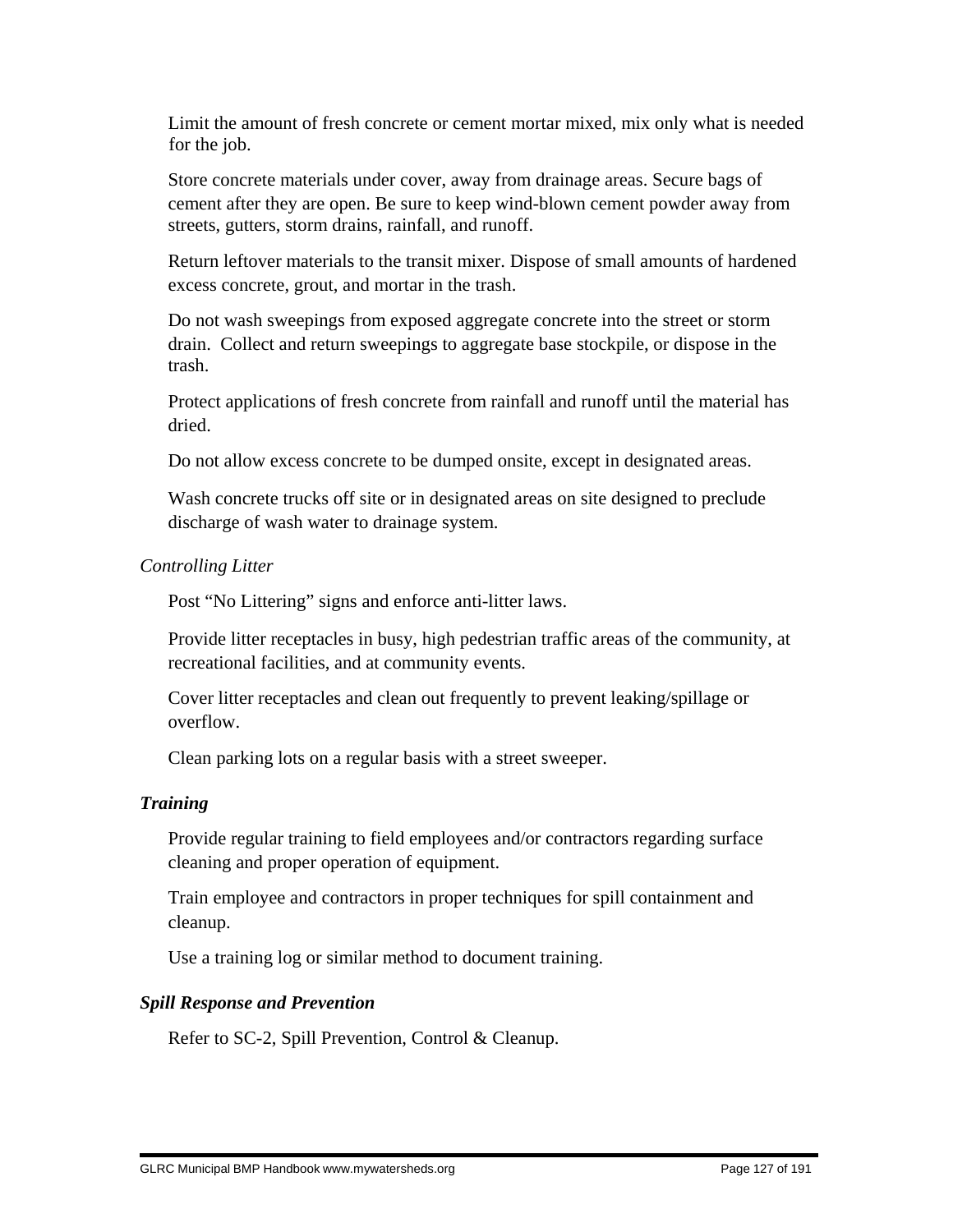Limit the amount of fresh concrete or cement mortar mixed, mix only what is needed for the job.

 Store concrete materials under cover, away from drainage areas. Secure bags of cement after they are open. Be sure to keep wind-blown cement powder away from streets, gutters, storm drains, rainfall, and runoff.

 Return leftover materials to the transit mixer. Dispose of small amounts of hardened excess concrete, grout, and mortar in the trash.

 Do not wash sweepings from exposed aggregate concrete into the street or storm drain. Collect and return sweepings to aggregate base stockpile, or dispose in the trash.

 Protect applications of fresh concrete from rainfall and runoff until the material has dried.

Do not allow excess concrete to be dumped onsite, except in designated areas.

 Wash concrete trucks off site or in designated areas on site designed to preclude discharge of wash water to drainage system.

#### *Controlling Litter*

Post "No Littering" signs and enforce anti-litter laws.

 Provide litter receptacles in busy, high pedestrian traffic areas of the community, at recreational facilities, and at community events.

 Cover litter receptacles and clean out frequently to prevent leaking/spillage or overflow.

Clean parking lots on a regular basis with a street sweeper.

#### *Training*

 Provide regular training to field employees and/or contractors regarding surface cleaning and proper operation of equipment.

 Train employee and contractors in proper techniques for spill containment and cleanup.

Use a training log or similar method to document training.

#### *Spill Response and Prevention*

Refer to SC-2, Spill Prevention, Control & Cleanup.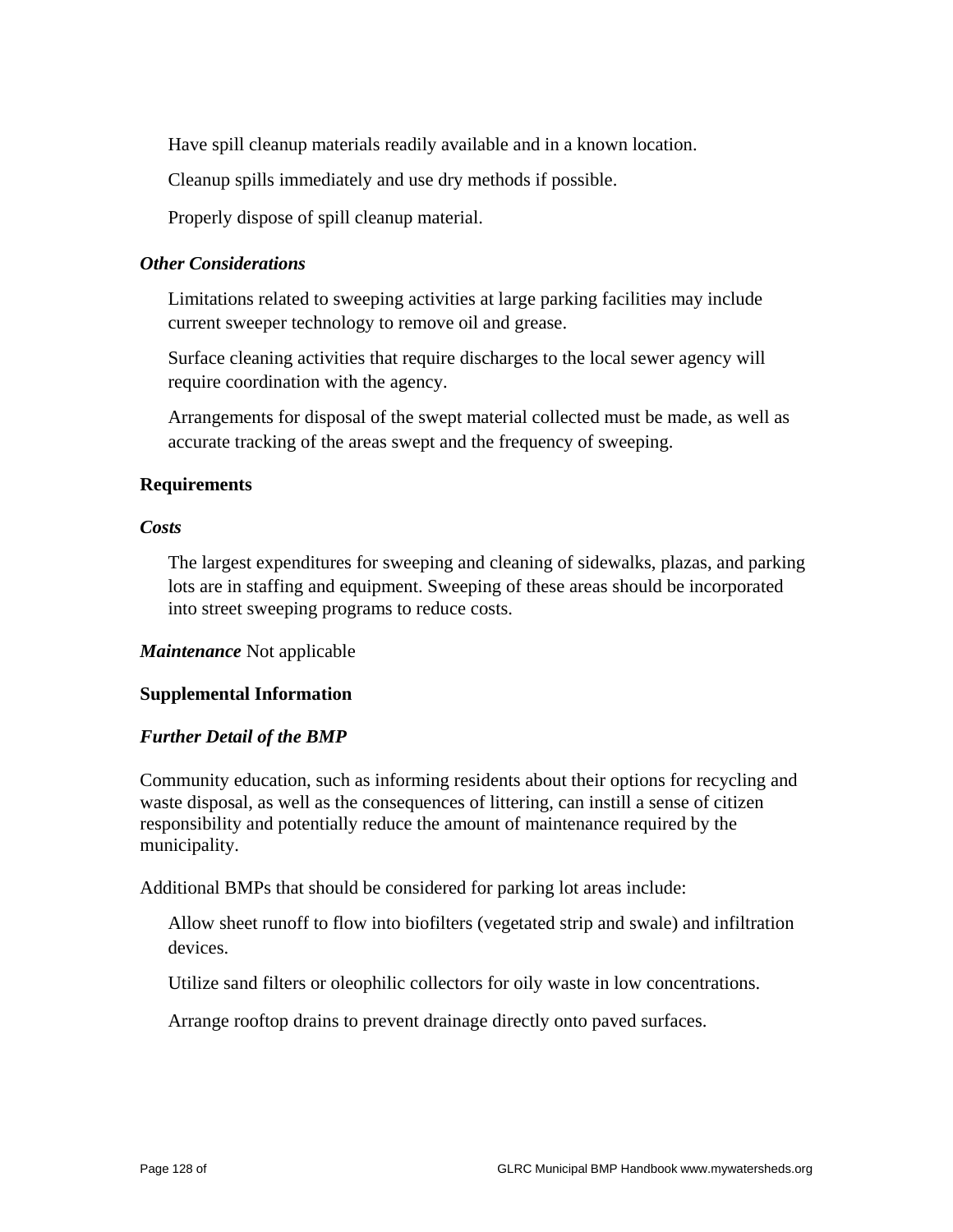Have spill cleanup materials readily available and in a known location.

Cleanup spills immediately and use dry methods if possible.

Properly dispose of spill cleanup material.

#### *Other Considerations*

 Limitations related to sweeping activities at large parking facilities may include current sweeper technology to remove oil and grease.

 Surface cleaning activities that require discharges to the local sewer agency will require coordination with the agency.

 Arrangements for disposal of the swept material collected must be made, as well as accurate tracking of the areas swept and the frequency of sweeping.

#### **Requirements**

#### *Costs*

 The largest expenditures for sweeping and cleaning of sidewalks, plazas, and parking lots are in staffing and equipment. Sweeping of these areas should be incorporated into street sweeping programs to reduce costs.

#### *Maintenance* Not applicable

#### **Supplemental Information**

#### *Further Detail of the BMP*

Community education, such as informing residents about their options for recycling and waste disposal, as well as the consequences of littering, can instill a sense of citizen responsibility and potentially reduce the amount of maintenance required by the municipality.

Additional BMPs that should be considered for parking lot areas include:

 Allow sheet runoff to flow into biofilters (vegetated strip and swale) and infiltration devices.

Utilize sand filters or oleophilic collectors for oily waste in low concentrations.

Arrange rooftop drains to prevent drainage directly onto paved surfaces.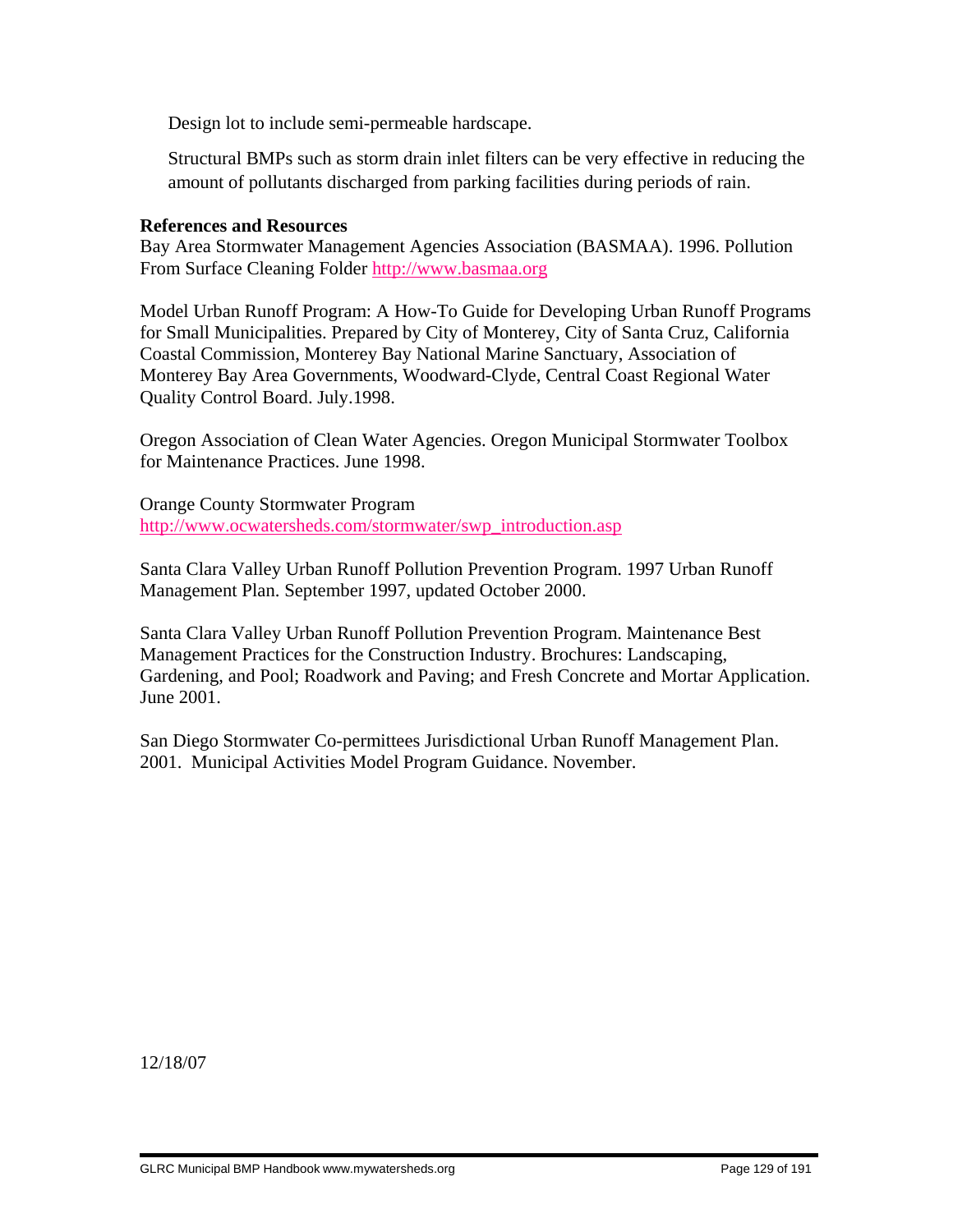Design lot to include semi-permeable hardscape.

 Structural BMPs such as storm drain inlet filters can be very effective in reducing the amount of pollutants discharged from parking facilities during periods of rain.

#### **References and Resources**

Bay Area Stormwater Management Agencies Association (BASMAA). 1996. Pollution From Surface Cleaning Folder http://www.basmaa.org

Model Urban Runoff Program: A How-To Guide for Developing Urban Runoff Programs for Small Municipalities. Prepared by City of Monterey, City of Santa Cruz, California Coastal Commission, Monterey Bay National Marine Sanctuary, Association of Monterey Bay Area Governments, Woodward-Clyde, Central Coast Regional Water Quality Control Board. July.1998.

Oregon Association of Clean Water Agencies. Oregon Municipal Stormwater Toolbox for Maintenance Practices. June 1998.

Orange County Stormwater Program http://www.ocwatersheds.com/stormwater/swp\_introduction.asp

Santa Clara Valley Urban Runoff Pollution Prevention Program. 1997 Urban Runoff Management Plan. September 1997, updated October 2000.

Santa Clara Valley Urban Runoff Pollution Prevention Program. Maintenance Best Management Practices for the Construction Industry. Brochures: Landscaping, Gardening, and Pool; Roadwork and Paving; and Fresh Concrete and Mortar Application. June 2001.

San Diego Stormwater Co-permittees Jurisdictional Urban Runoff Management Plan. 2001. Municipal Activities Model Program Guidance. November.

12/18/07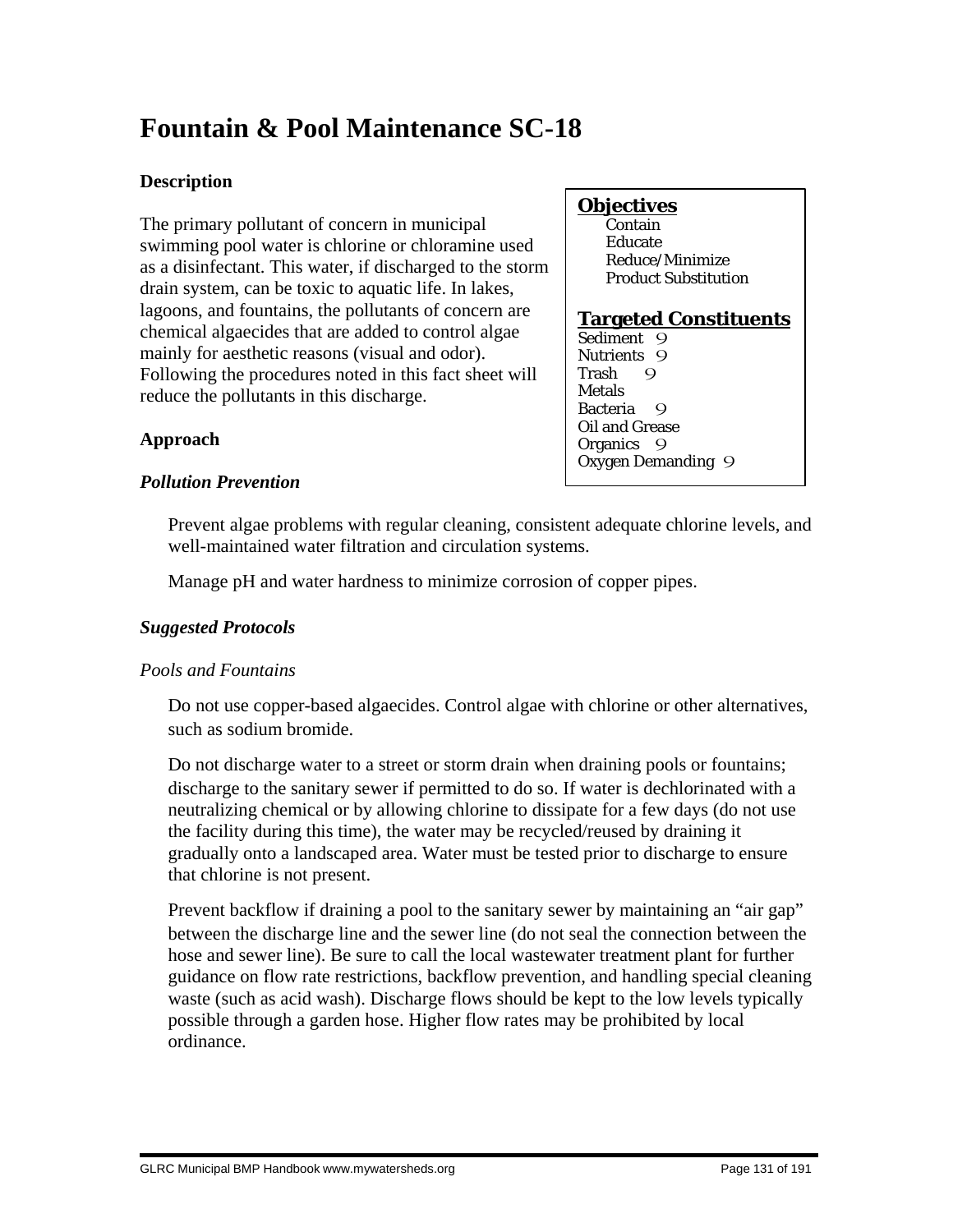# **Fountain & Pool Maintenance SC-18**

# **Description**

The primary pollutant of concern in municipal swimming pool water is chlorine or chloramine used as a disinfectant. This water, if discharged to the storm drain system, can be toxic to aquatic life. In lakes, lagoons, and fountains, the pollutants of concern are chemical algaecides that are added to control algae mainly for aesthetic reasons (visual and odor). Following the procedures noted in this fact sheet will reduce the pollutants in this discharge.

# **Objectives**

 Contain Educate Reduce/Minimize Product Substitution

#### **Targeted Constituents** Sediment 9 Nutrients 9<br>Trash 9 Trash 9 **Metals** Bacteria 9 Oil and Grease Organics<sub>9</sub> Oxygen Demanding 9

# **Approach**

# *Pollution Prevention*

 Prevent algae problems with regular cleaning, consistent adequate chlorine levels, and well-maintained water filtration and circulation systems.

Manage pH and water hardness to minimize corrosion of copper pipes.

# *Suggested Protocols*

# *Pools and Fountains*

 Do not use copper-based algaecides. Control algae with chlorine or other alternatives, such as sodium bromide.

 Do not discharge water to a street or storm drain when draining pools or fountains; discharge to the sanitary sewer if permitted to do so. If water is dechlorinated with a neutralizing chemical or by allowing chlorine to dissipate for a few days (do not use the facility during this time), the water may be recycled/reused by draining it gradually onto a landscaped area. Water must be tested prior to discharge to ensure that chlorine is not present.

 Prevent backflow if draining a pool to the sanitary sewer by maintaining an "air gap" between the discharge line and the sewer line (do not seal the connection between the hose and sewer line). Be sure to call the local wastewater treatment plant for further guidance on flow rate restrictions, backflow prevention, and handling special cleaning waste (such as acid wash). Discharge flows should be kept to the low levels typically possible through a garden hose. Higher flow rates may be prohibited by local ordinance.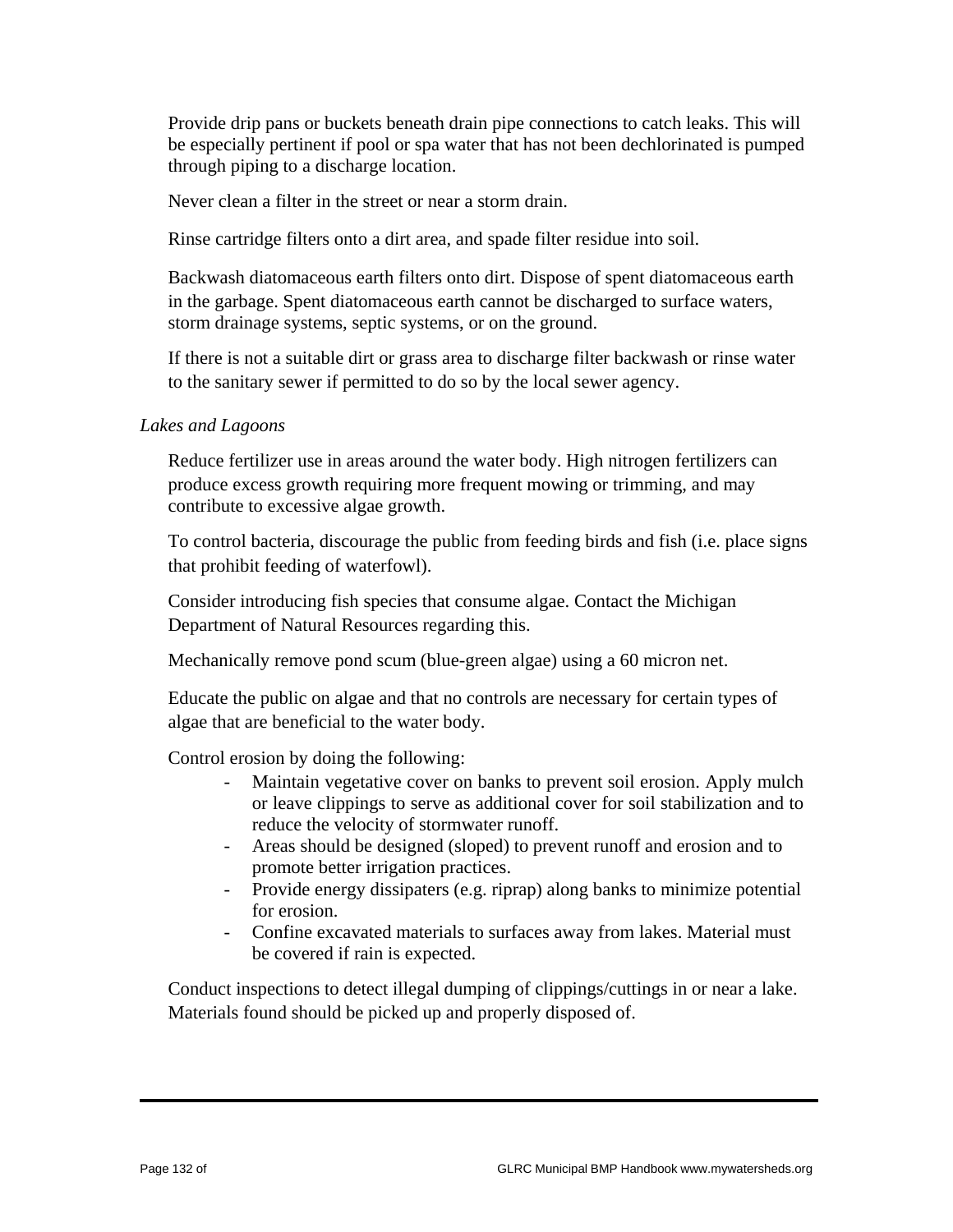Provide drip pans or buckets beneath drain pipe connections to catch leaks. This will be especially pertinent if pool or spa water that has not been dechlorinated is pumped through piping to a discharge location.

Never clean a filter in the street or near a storm drain.

Rinse cartridge filters onto a dirt area, and spade filter residue into soil.

 Backwash diatomaceous earth filters onto dirt. Dispose of spent diatomaceous earth in the garbage. Spent diatomaceous earth cannot be discharged to surface waters, storm drainage systems, septic systems, or on the ground.

 If there is not a suitable dirt or grass area to discharge filter backwash or rinse water to the sanitary sewer if permitted to do so by the local sewer agency.

#### *Lakes and Lagoons*

 Reduce fertilizer use in areas around the water body. High nitrogen fertilizers can produce excess growth requiring more frequent mowing or trimming, and may contribute to excessive algae growth.

 To control bacteria, discourage the public from feeding birds and fish (i.e. place signs that prohibit feeding of waterfowl).

 Consider introducing fish species that consume algae. Contact the Michigan Department of Natural Resources regarding this.

Mechanically remove pond scum (blue-green algae) using a 60 micron net.

 Educate the public on algae and that no controls are necessary for certain types of algae that are beneficial to the water body.

Control erosion by doing the following:

- Maintain vegetative cover on banks to prevent soil erosion. Apply mulch or leave clippings to serve as additional cover for soil stabilization and to reduce the velocity of stormwater runoff.
- Areas should be designed (sloped) to prevent runoff and erosion and to promote better irrigation practices.
- Provide energy dissipaters (e.g. riprap) along banks to minimize potential for erosion.
- Confine excavated materials to surfaces away from lakes. Material must be covered if rain is expected.

 Conduct inspections to detect illegal dumping of clippings/cuttings in or near a lake. Materials found should be picked up and properly disposed of.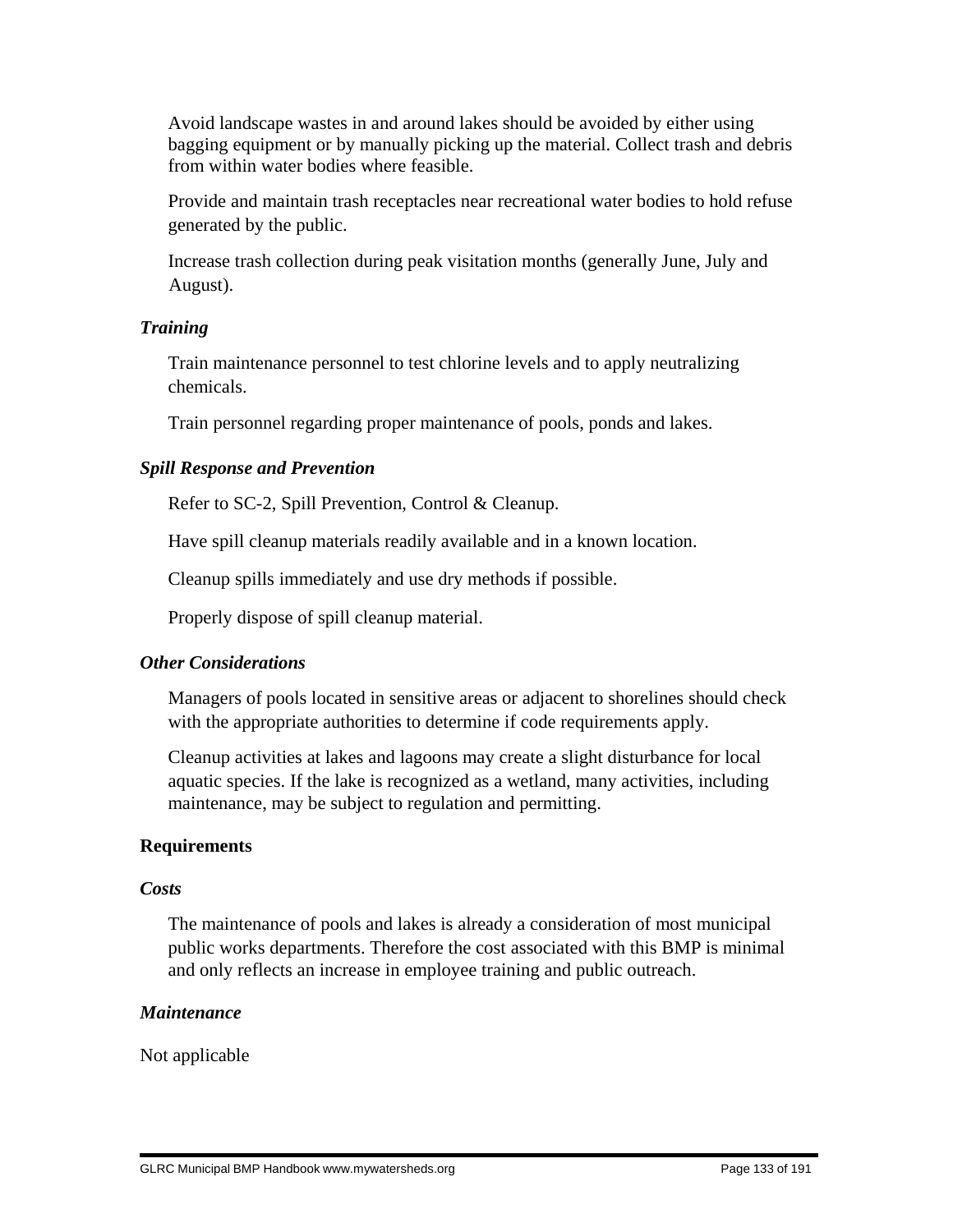Avoid landscape wastes in and around lakes should be avoided by either using bagging equipment or by manually picking up the material. Collect trash and debris from within water bodies where feasible.

 Provide and maintain trash receptacles near recreational water bodies to hold refuse generated by the public.

 Increase trash collection during peak visitation months (generally June, July and August).

### *Training*

 Train maintenance personnel to test chlorine levels and to apply neutralizing chemicals.

Train personnel regarding proper maintenance of pools, ponds and lakes.

# *Spill Response and Prevention*

Refer to SC-2, Spill Prevention, Control & Cleanup.

Have spill cleanup materials readily available and in a known location.

Cleanup spills immediately and use dry methods if possible.

Properly dispose of spill cleanup material.

# *Other Considerations*

 Managers of pools located in sensitive areas or adjacent to shorelines should check with the appropriate authorities to determine if code requirements apply.

 Cleanup activities at lakes and lagoons may create a slight disturbance for local aquatic species. If the lake is recognized as a wetland, many activities, including maintenance, may be subject to regulation and permitting.

#### **Requirements**

#### *Costs*

 The maintenance of pools and lakes is already a consideration of most municipal public works departments. Therefore the cost associated with this BMP is minimal and only reflects an increase in employee training and public outreach.

#### *Maintenance*

Not applicable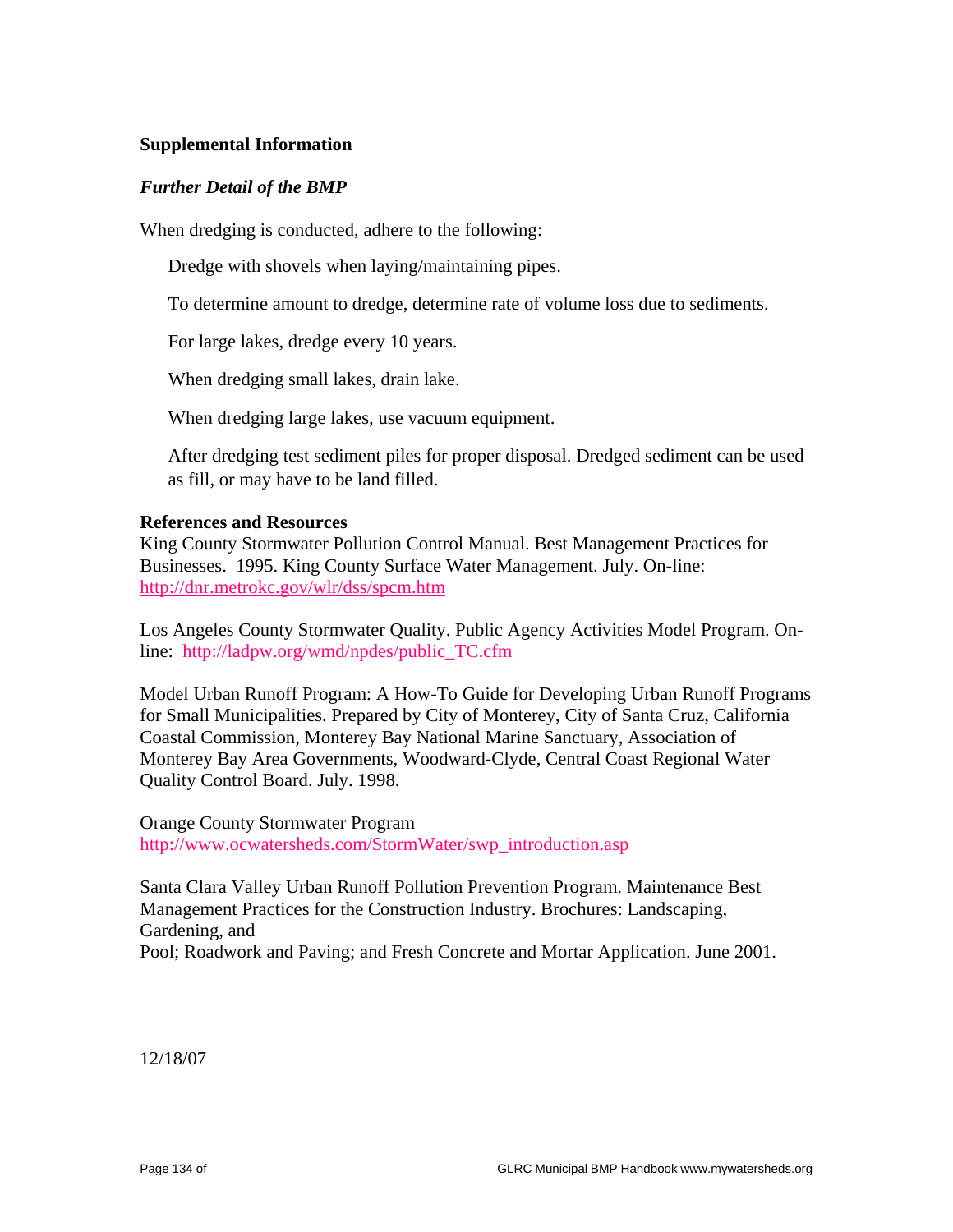#### **Supplemental Information**

#### *Further Detail of the BMP*

When dredging is conducted, adhere to the following:

Dredge with shovels when laying/maintaining pipes.

To determine amount to dredge, determine rate of volume loss due to sediments.

For large lakes, dredge every 10 years.

When dredging small lakes, drain lake.

When dredging large lakes, use vacuum equipment.

 After dredging test sediment piles for proper disposal. Dredged sediment can be used as fill, or may have to be land filled.

#### **References and Resources**

King County Stormwater Pollution Control Manual. Best Management Practices for Businesses. 1995. King County Surface Water Management. July. On-line: http://dnr.metrokc.gov/wlr/dss/spcm.htm

Los Angeles County Stormwater Quality. Public Agency Activities Model Program. Online: http://ladpw.org/wmd/npdes/public\_TC.cfm

Model Urban Runoff Program: A How-To Guide for Developing Urban Runoff Programs for Small Municipalities. Prepared by City of Monterey, City of Santa Cruz, California Coastal Commission, Monterey Bay National Marine Sanctuary, Association of Monterey Bay Area Governments, Woodward-Clyde, Central Coast Regional Water Quality Control Board. July. 1998.

Orange County Stormwater Program http://www.ocwatersheds.com/StormWater/swp\_introduction.asp

Santa Clara Valley Urban Runoff Pollution Prevention Program. Maintenance Best Management Practices for the Construction Industry. Brochures: Landscaping, Gardening, and

Pool; Roadwork and Paving; and Fresh Concrete and Mortar Application. June 2001.

12/18/07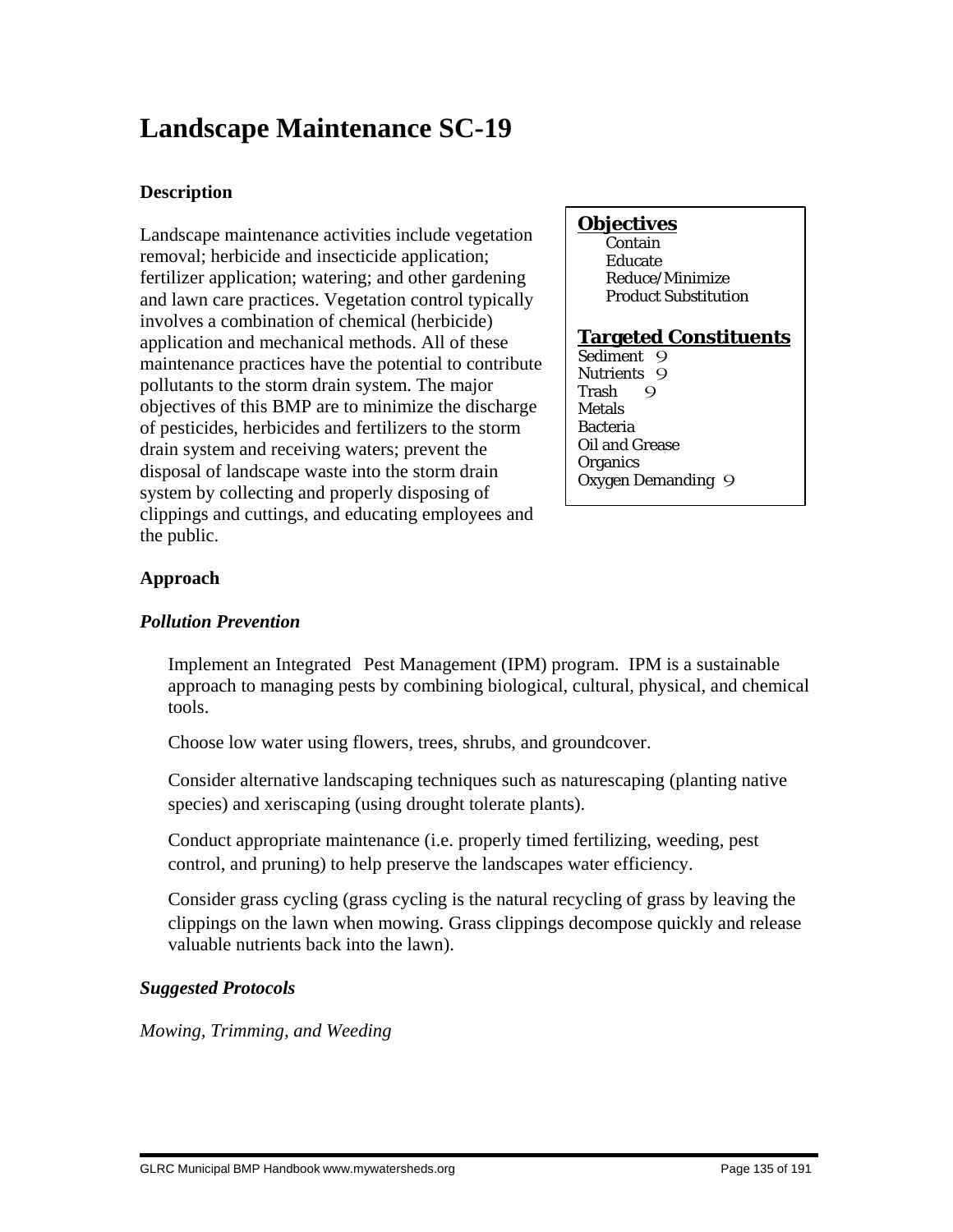# **Landscape Maintenance SC-19**

# **Description**

Landscape maintenance activities include vegetation removal; herbicide and insecticide application; fertilizer application; watering; and other gardening and lawn care practices. Vegetation control typically involves a combination of chemical (herbicide) application and mechanical methods. All of these maintenance practices have the potential to contribute pollutants to the storm drain system. The major objectives of this BMP are to minimize the discharge of pesticides, herbicides and fertilizers to the storm drain system and receiving waters; prevent the disposal of landscape waste into the storm drain system by collecting and properly disposing of clippings and cuttings, and educating employees and the public.

# **Objectives**

 Contain Educate Reduce/Minimize Product Substitution

# **Targeted Constituents**

Sediment 9 Nutrients 9<br>Trash 9 Trash 9 Metals Bacteria Oil and Grease **Organics** Oxygen Demanding 9

# **Approach**

# *Pollution Prevention*

 Implement an Integrated Pest Management (IPM) program. IPM is a sustainable approach to managing pests by combining biological, cultural, physical, and chemical tools.

Choose low water using flowers, trees, shrubs, and groundcover.

 Consider alternative landscaping techniques such as naturescaping (planting native species) and xeriscaping (using drought tolerate plants).

 Conduct appropriate maintenance (i.e. properly timed fertilizing, weeding, pest control, and pruning) to help preserve the landscapes water efficiency.

 Consider grass cycling (grass cycling is the natural recycling of grass by leaving the clippings on the lawn when mowing. Grass clippings decompose quickly and release valuable nutrients back into the lawn).

# *Suggested Protocols*

*Mowing, Trimming, and Weeding*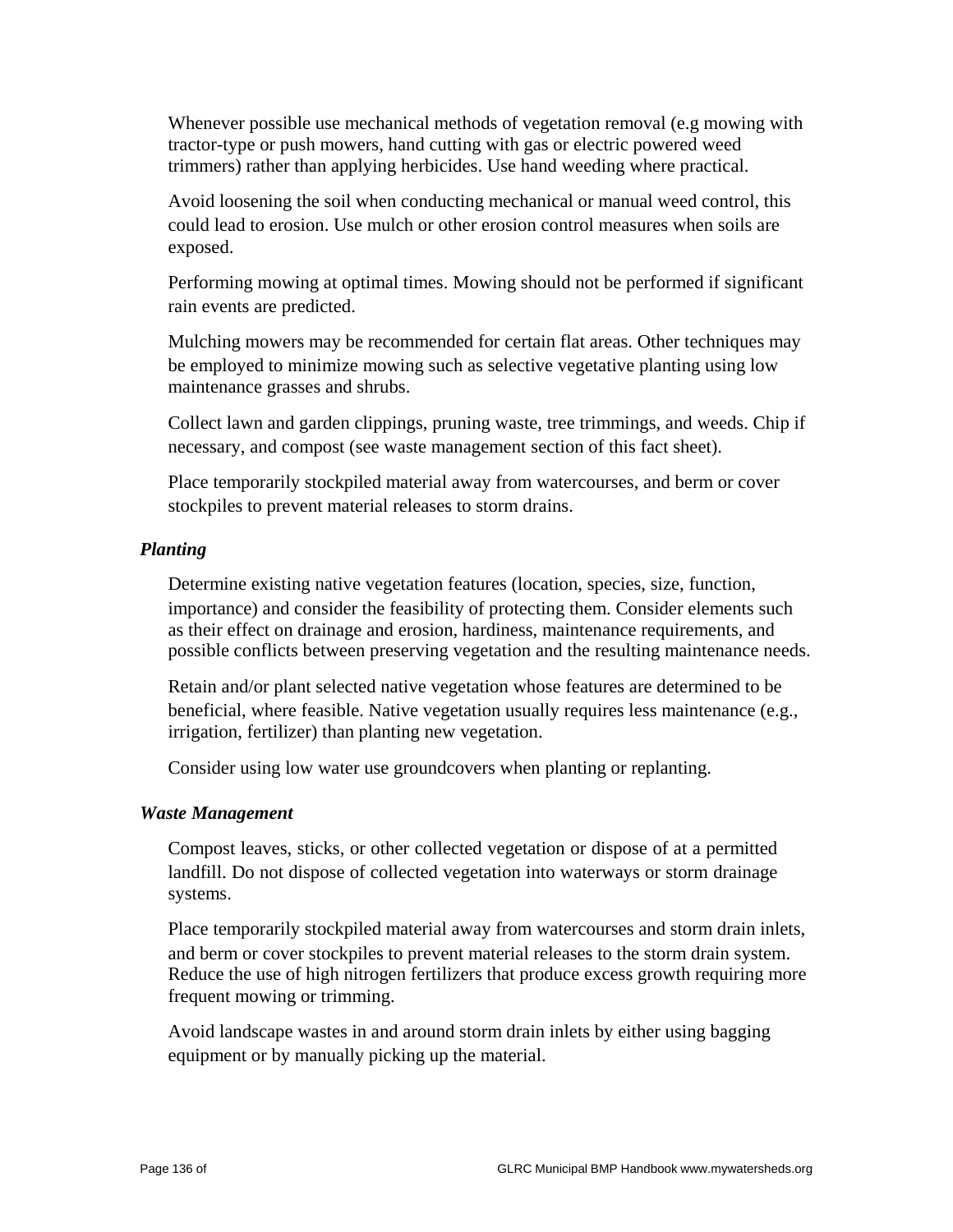Whenever possible use mechanical methods of vegetation removal (e.g mowing with tractor-type or push mowers, hand cutting with gas or electric powered weed trimmers) rather than applying herbicides. Use hand weeding where practical.

 Avoid loosening the soil when conducting mechanical or manual weed control, this could lead to erosion. Use mulch or other erosion control measures when soils are exposed.

 Performing mowing at optimal times. Mowing should not be performed if significant rain events are predicted.

 Mulching mowers may be recommended for certain flat areas. Other techniques may be employed to minimize mowing such as selective vegetative planting using low maintenance grasses and shrubs.

 Collect lawn and garden clippings, pruning waste, tree trimmings, and weeds. Chip if necessary, and compost (see waste management section of this fact sheet).

 Place temporarily stockpiled material away from watercourses, and berm or cover stockpiles to prevent material releases to storm drains.

#### *Planting*

 Determine existing native vegetation features (location, species, size, function, importance) and consider the feasibility of protecting them. Consider elements such as their effect on drainage and erosion, hardiness, maintenance requirements, and possible conflicts between preserving vegetation and the resulting maintenance needs.

 Retain and/or plant selected native vegetation whose features are determined to be beneficial, where feasible. Native vegetation usually requires less maintenance (e.g., irrigation, fertilizer) than planting new vegetation.

Consider using low water use groundcovers when planting or replanting.

#### *Waste Management*

 Compost leaves, sticks, or other collected vegetation or dispose of at a permitted landfill. Do not dispose of collected vegetation into waterways or storm drainage systems.

 Place temporarily stockpiled material away from watercourses and storm drain inlets, and berm or cover stockpiles to prevent material releases to the storm drain system. Reduce the use of high nitrogen fertilizers that produce excess growth requiring more frequent mowing or trimming.

 Avoid landscape wastes in and around storm drain inlets by either using bagging equipment or by manually picking up the material.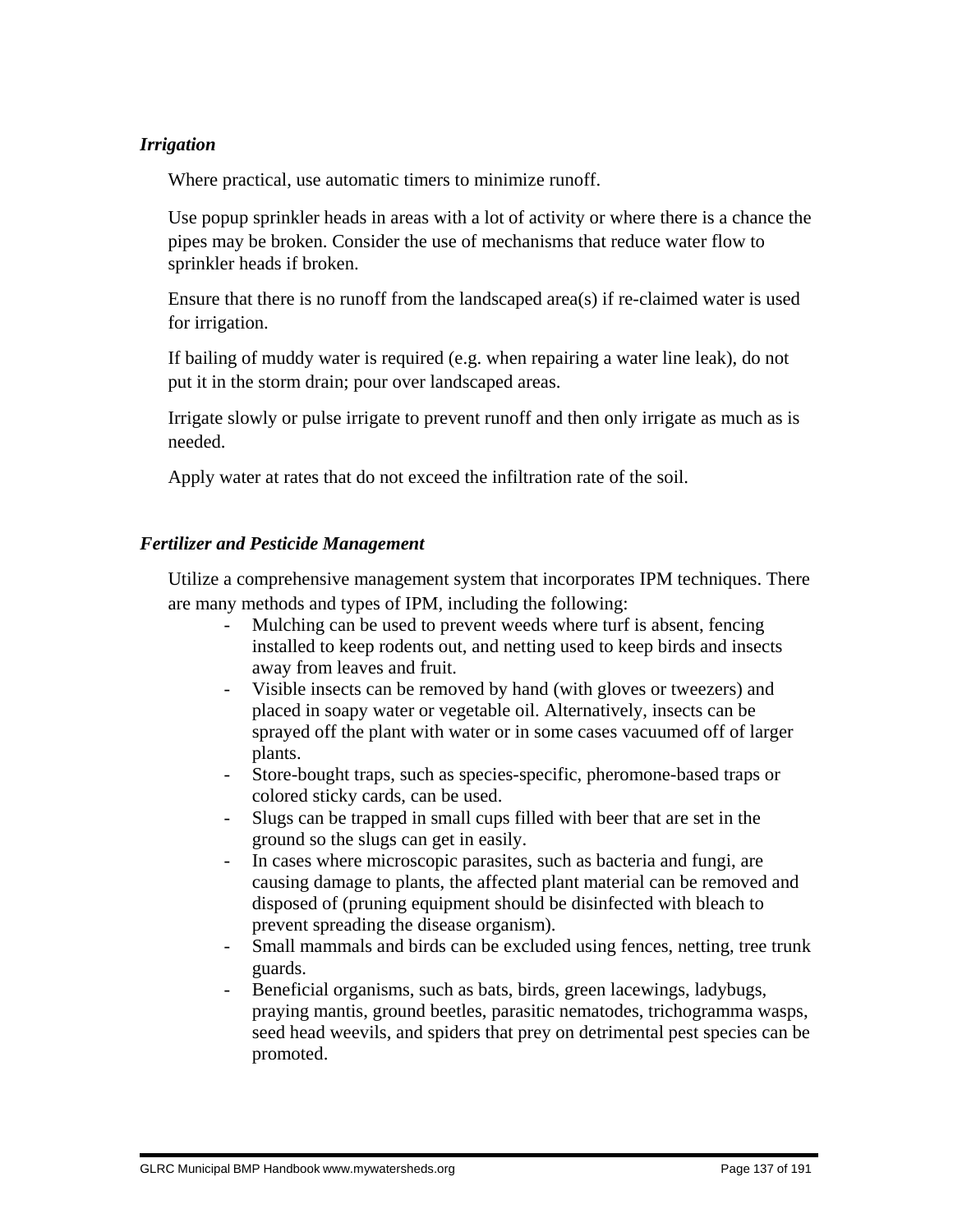#### *Irrigation*

Where practical, use automatic timers to minimize runoff.

 Use popup sprinkler heads in areas with a lot of activity or where there is a chance the pipes may be broken. Consider the use of mechanisms that reduce water flow to sprinkler heads if broken.

 Ensure that there is no runoff from the landscaped area(s) if re-claimed water is used for irrigation.

 If bailing of muddy water is required (e.g. when repairing a water line leak), do not put it in the storm drain; pour over landscaped areas.

 Irrigate slowly or pulse irrigate to prevent runoff and then only irrigate as much as is needed.

Apply water at rates that do not exceed the infiltration rate of the soil.

#### *Fertilizer and Pesticide Management*

 Utilize a comprehensive management system that incorporates IPM techniques. There are many methods and types of IPM, including the following:

- Mulching can be used to prevent weeds where turf is absent, fencing installed to keep rodents out, and netting used to keep birds and insects away from leaves and fruit.
- Visible insects can be removed by hand (with gloves or tweezers) and placed in soapy water or vegetable oil. Alternatively, insects can be sprayed off the plant with water or in some cases vacuumed off of larger plants.
- Store-bought traps, such as species-specific, pheromone-based traps or colored sticky cards, can be used.
- Slugs can be trapped in small cups filled with beer that are set in the ground so the slugs can get in easily.
- In cases where microscopic parasites, such as bacteria and fungi, are causing damage to plants, the affected plant material can be removed and disposed of (pruning equipment should be disinfected with bleach to prevent spreading the disease organism).
- Small mammals and birds can be excluded using fences, netting, tree trunk guards.
- Beneficial organisms, such as bats, birds, green lacewings, ladybugs, praying mantis, ground beetles, parasitic nematodes, trichogramma wasps, seed head weevils, and spiders that prey on detrimental pest species can be promoted.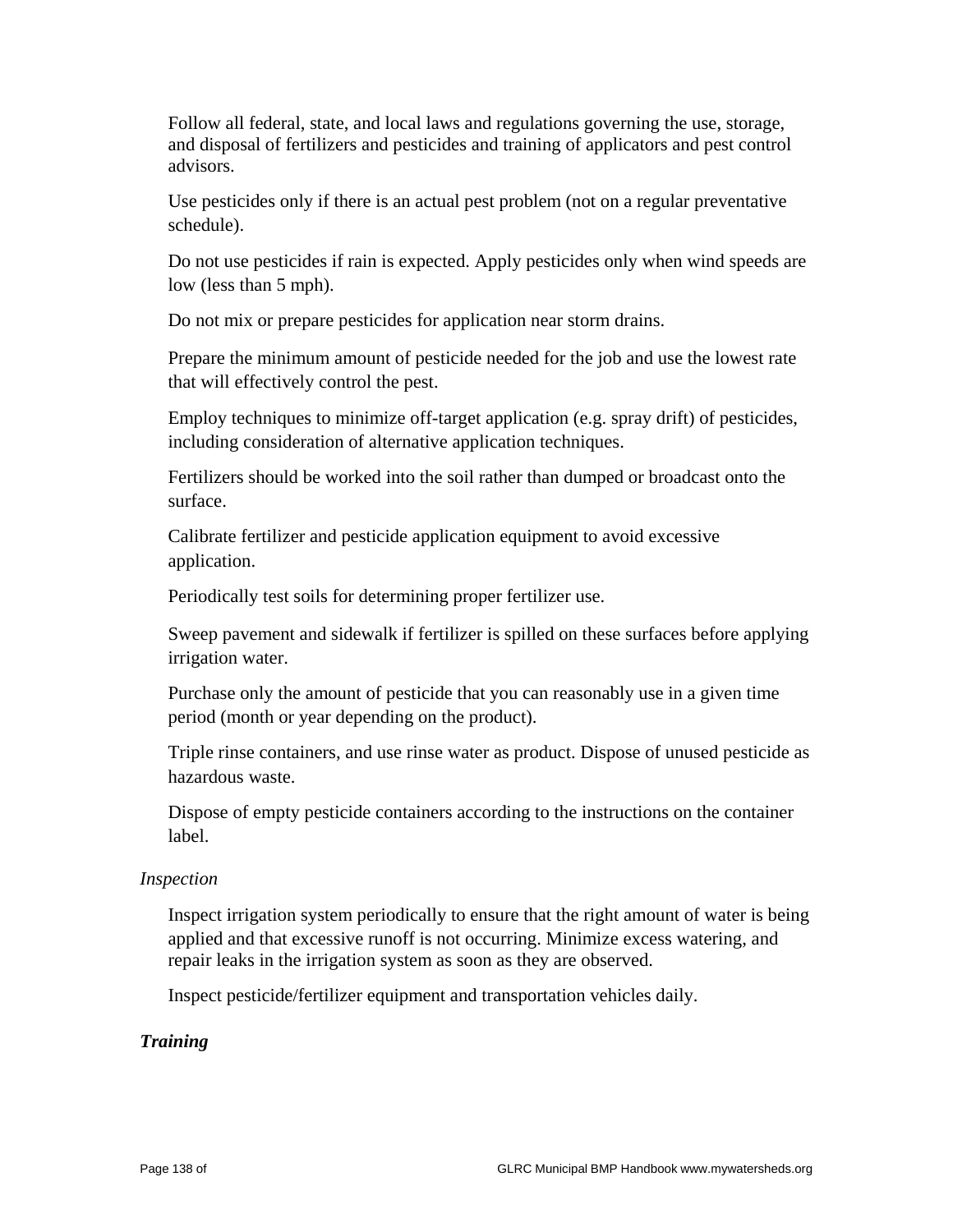Follow all federal, state, and local laws and regulations governing the use, storage, and disposal of fertilizers and pesticides and training of applicators and pest control advisors.

 Use pesticides only if there is an actual pest problem (not on a regular preventative schedule).

 Do not use pesticides if rain is expected. Apply pesticides only when wind speeds are low (less than 5 mph).

Do not mix or prepare pesticides for application near storm drains.

 Prepare the minimum amount of pesticide needed for the job and use the lowest rate that will effectively control the pest.

 Employ techniques to minimize off-target application (e.g. spray drift) of pesticides, including consideration of alternative application techniques.

 Fertilizers should be worked into the soil rather than dumped or broadcast onto the surface.

 Calibrate fertilizer and pesticide application equipment to avoid excessive application.

Periodically test soils for determining proper fertilizer use.

 Sweep pavement and sidewalk if fertilizer is spilled on these surfaces before applying irrigation water.

 Purchase only the amount of pesticide that you can reasonably use in a given time period (month or year depending on the product).

 Triple rinse containers, and use rinse water as product. Dispose of unused pesticide as hazardous waste.

 Dispose of empty pesticide containers according to the instructions on the container label.

#### *Inspection*

 Inspect irrigation system periodically to ensure that the right amount of water is being applied and that excessive runoff is not occurring. Minimize excess watering, and repair leaks in the irrigation system as soon as they are observed.

Inspect pesticide/fertilizer equipment and transportation vehicles daily.

#### *Training*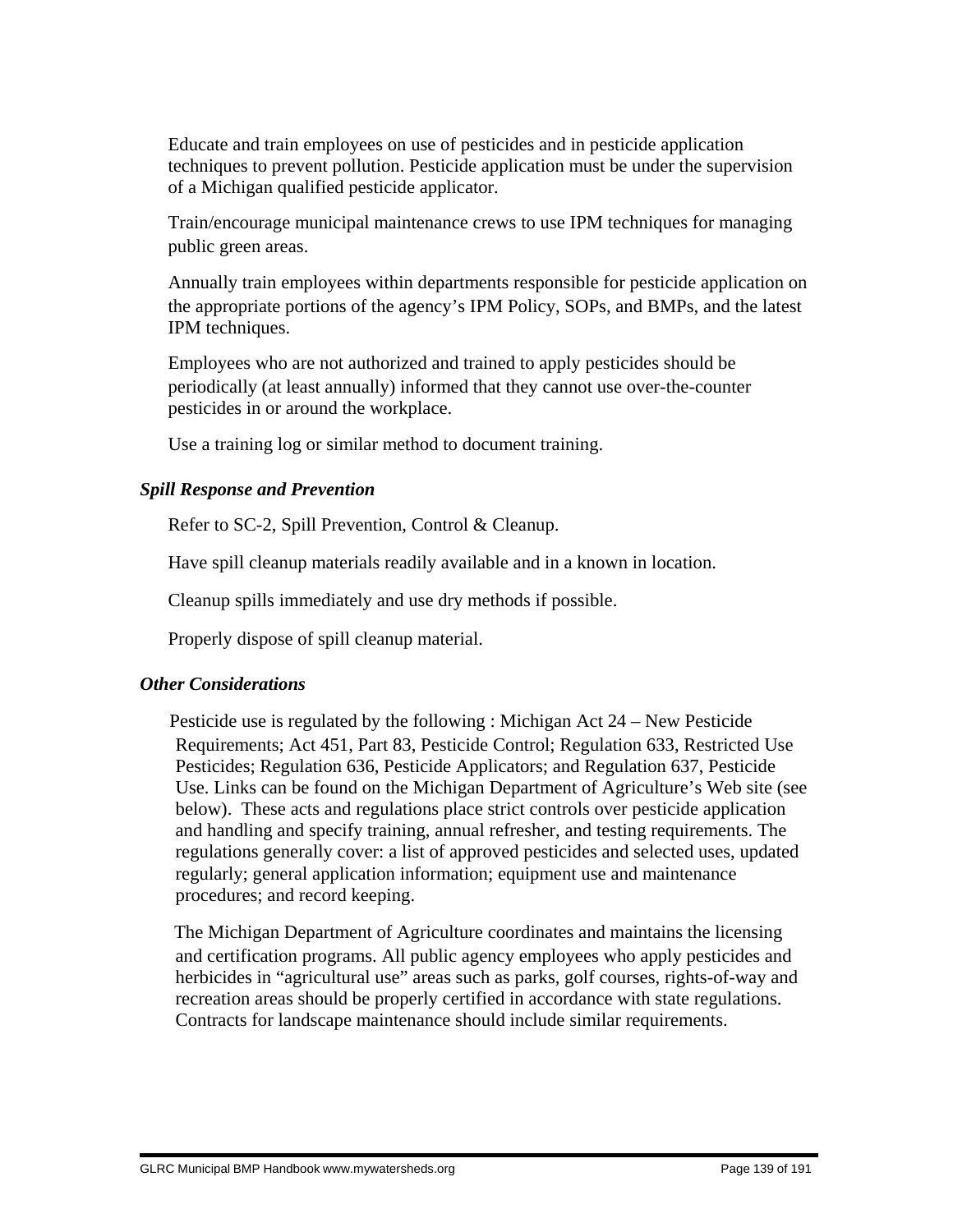Educate and train employees on use of pesticides and in pesticide application techniques to prevent pollution. Pesticide application must be under the supervision of a Michigan qualified pesticide applicator.

 Train/encourage municipal maintenance crews to use IPM techniques for managing public green areas.

 Annually train employees within departments responsible for pesticide application on the appropriate portions of the agency's IPM Policy, SOPs, and BMPs, and the latest IPM techniques.

 Employees who are not authorized and trained to apply pesticides should be periodically (at least annually) informed that they cannot use over-the-counter pesticides in or around the workplace.

Use a training log or similar method to document training.

#### *Spill Response and Prevention*

Refer to SC-2, Spill Prevention, Control & Cleanup.

Have spill cleanup materials readily available and in a known in location.

Cleanup spills immediately and use dry methods if possible.

Properly dispose of spill cleanup material.

#### *Other Considerations*

 Pesticide use is regulated by the following : Michigan Act 24 – New Pesticide Requirements; Act 451, Part 83, Pesticide Control; Regulation 633, Restricted Use Pesticides; Regulation 636, Pesticide Applicators; and Regulation 637, Pesticide Use. Links can be found on the Michigan Department of Agriculture's Web site (see below). These acts and regulations place strict controls over pesticide application and handling and specify training, annual refresher, and testing requirements. The regulations generally cover: a list of approved pesticides and selected uses, updated regularly; general application information; equipment use and maintenance procedures; and record keeping.

 The Michigan Department of Agriculture coordinates and maintains the licensing and certification programs. All public agency employees who apply pesticides and herbicides in "agricultural use" areas such as parks, golf courses, rights-of-way and recreation areas should be properly certified in accordance with state regulations. Contracts for landscape maintenance should include similar requirements.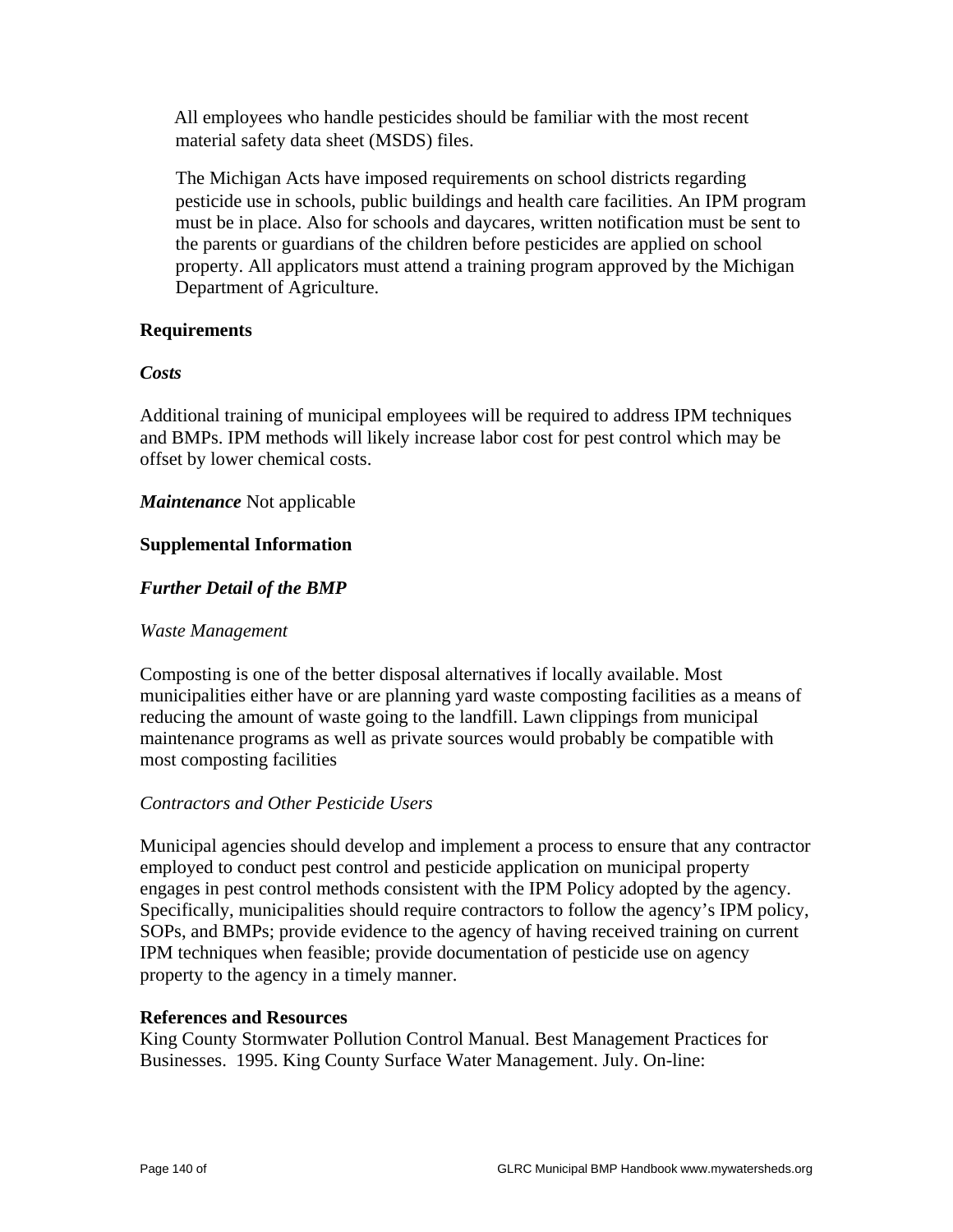All employees who handle pesticides should be familiar with the most recent material safety data sheet (MSDS) files.

 The Michigan Acts have imposed requirements on school districts regarding pesticide use in schools, public buildings and health care facilities. An IPM program must be in place. Also for schools and daycares, written notification must be sent to the parents or guardians of the children before pesticides are applied on school property. All applicators must attend a training program approved by the Michigan Department of Agriculture.

#### **Requirements**

#### *Costs*

Additional training of municipal employees will be required to address IPM techniques and BMPs. IPM methods will likely increase labor cost for pest control which may be offset by lower chemical costs.

#### *Maintenance* Not applicable

#### **Supplemental Information**

#### *Further Detail of the BMP*

#### *Waste Management*

Composting is one of the better disposal alternatives if locally available. Most municipalities either have or are planning yard waste composting facilities as a means of reducing the amount of waste going to the landfill. Lawn clippings from municipal maintenance programs as well as private sources would probably be compatible with most composting facilities

#### *Contractors and Other Pesticide Users*

Municipal agencies should develop and implement a process to ensure that any contractor employed to conduct pest control and pesticide application on municipal property engages in pest control methods consistent with the IPM Policy adopted by the agency. Specifically, municipalities should require contractors to follow the agency's IPM policy, SOPs, and BMPs; provide evidence to the agency of having received training on current IPM techniques when feasible; provide documentation of pesticide use on agency property to the agency in a timely manner.

#### **References and Resources**

King County Stormwater Pollution Control Manual. Best Management Practices for Businesses. 1995. King County Surface Water Management. July. On-line: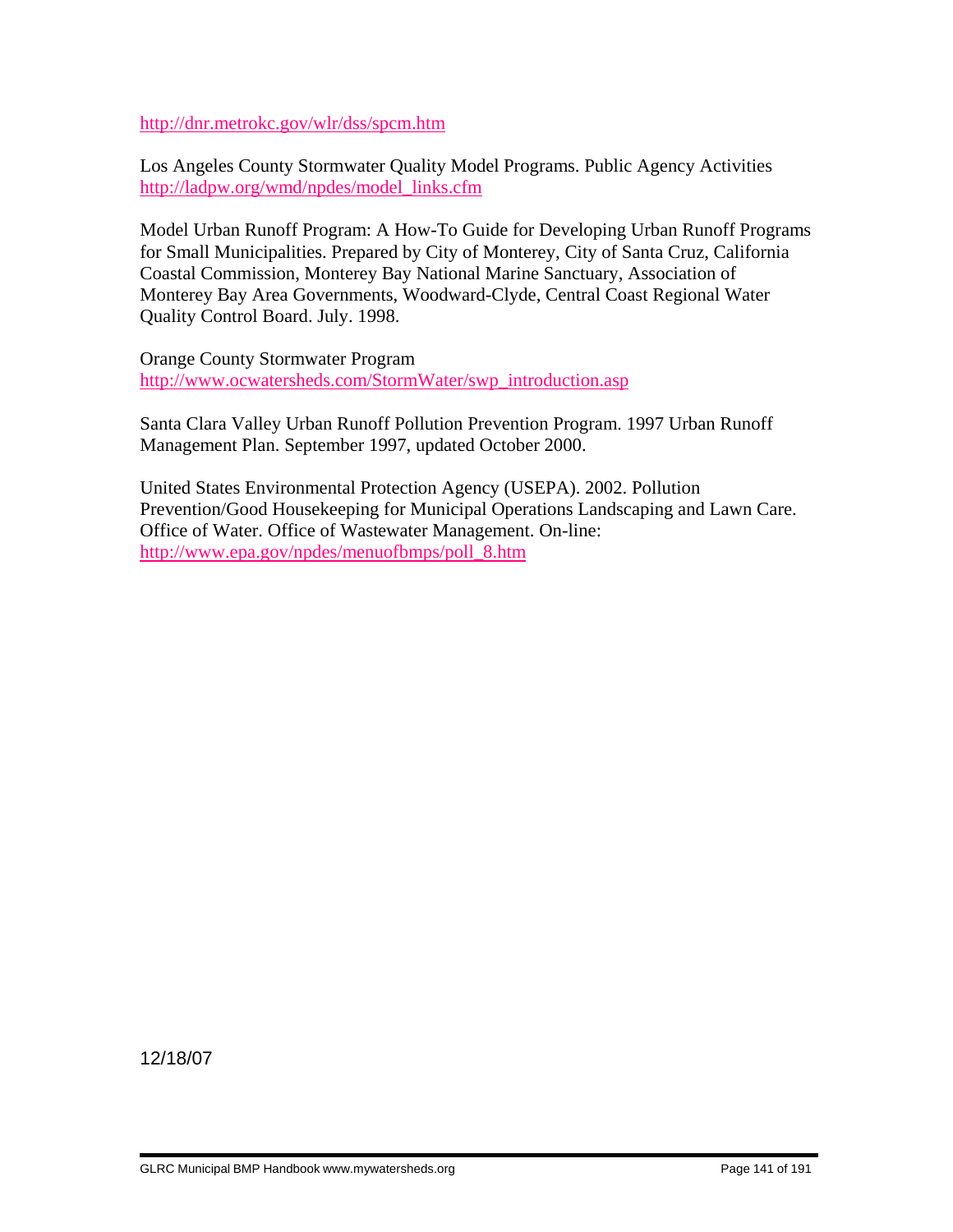http://dnr.metrokc.gov/wlr/dss/spcm.htm

Los Angeles County Stormwater Quality Model Programs. Public Agency Activities http://ladpw.org/wmd/npdes/model\_links.cfm

Model Urban Runoff Program: A How-To Guide for Developing Urban Runoff Programs for Small Municipalities. Prepared by City of Monterey, City of Santa Cruz, California Coastal Commission, Monterey Bay National Marine Sanctuary, Association of Monterey Bay Area Governments, Woodward-Clyde, Central Coast Regional Water Quality Control Board. July. 1998.

Orange County Stormwater Program http://www.ocwatersheds.com/StormWater/swp\_introduction.asp

Santa Clara Valley Urban Runoff Pollution Prevention Program. 1997 Urban Runoff Management Plan. September 1997, updated October 2000.

United States Environmental Protection Agency (USEPA). 2002. Pollution Prevention/Good Housekeeping for Municipal Operations Landscaping and Lawn Care. Office of Water. Office of Wastewater Management. On-line: http://www.epa.gov/npdes/menuofbmps/poll\_8.htm

12/18/07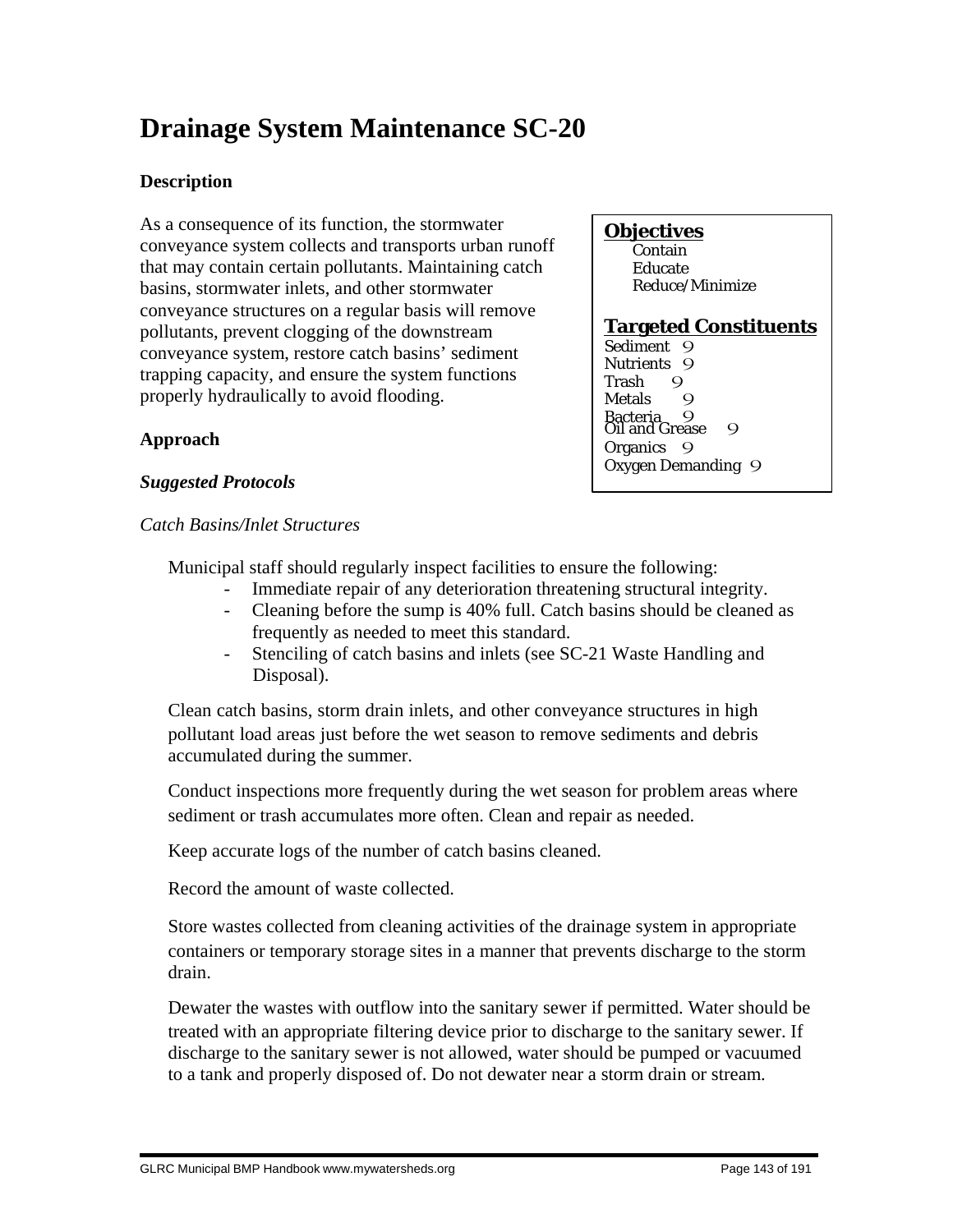# **Drainage System Maintenance SC-20**

# **Description**

As a consequence of its function, the stormwater conveyance system collects and transports urban runoff that may contain certain pollutants. Maintaining catch basins, stormwater inlets, and other stormwater conveyance structures on a regular basis will remove pollutants, prevent clogging of the downstream conveyance system, restore catch basins' sediment trapping capacity, and ensure the system functions properly hydraulically to avoid flooding.

#### **Objectives** Contain

 Educate Reduce/Minimize

# **Targeted Constituents**

Trash 9<br>Metals 9 **Metals** wetals<br>Bacteria 9<br>Oil and Grease 9 Sediment<sub>9</sub> Nutrients 9 Organics 9 Oxygen Demanding 9

# **Approach**

### *Suggested Protocols*

*Catch Basins/Inlet Structures*

Municipal staff should regularly inspect facilities to ensure the following:

- Immediate repair of any deterioration threatening structural integrity.
- Cleaning before the sump is 40% full. Catch basins should be cleaned as frequently as needed to meet this standard.
- Stenciling of catch basins and inlets (see SC-21 Waste Handling and Disposal).

 Clean catch basins, storm drain inlets, and other conveyance structures in high pollutant load areas just before the wet season to remove sediments and debris accumulated during the summer.

 Conduct inspections more frequently during the wet season for problem areas where sediment or trash accumulates more often. Clean and repair as needed.

Keep accurate logs of the number of catch basins cleaned.

Record the amount of waste collected.

 Store wastes collected from cleaning activities of the drainage system in appropriate containers or temporary storage sites in a manner that prevents discharge to the storm drain.

 Dewater the wastes with outflow into the sanitary sewer if permitted. Water should be treated with an appropriate filtering device prior to discharge to the sanitary sewer. If discharge to the sanitary sewer is not allowed, water should be pumped or vacuumed to a tank and properly disposed of. Do not dewater near a storm drain or stream.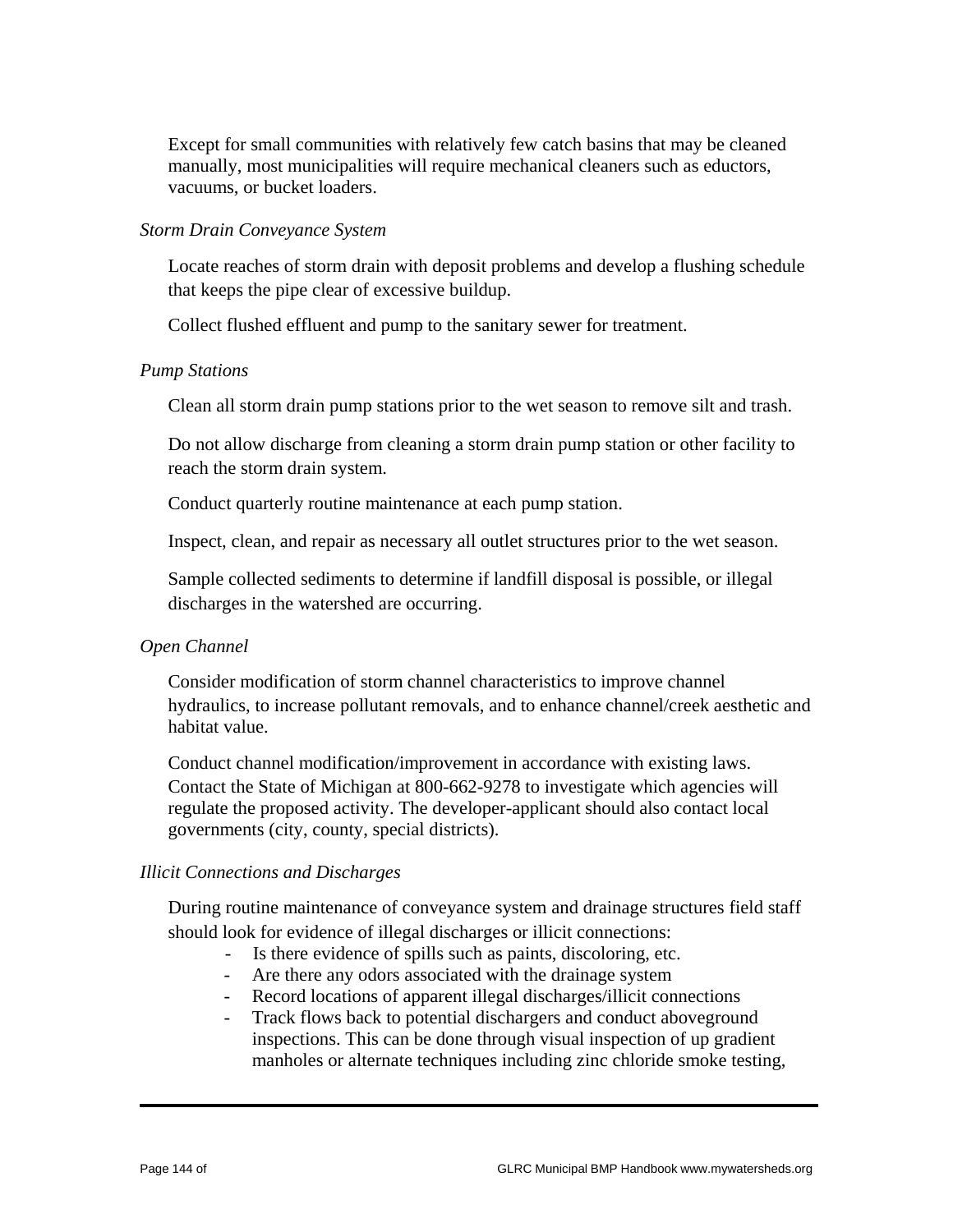Except for small communities with relatively few catch basins that may be cleaned manually, most municipalities will require mechanical cleaners such as eductors, vacuums, or bucket loaders.

#### *Storm Drain Conveyance System*

 Locate reaches of storm drain with deposit problems and develop a flushing schedule that keeps the pipe clear of excessive buildup.

Collect flushed effluent and pump to the sanitary sewer for treatment.

#### *Pump Stations*

Clean all storm drain pump stations prior to the wet season to remove silt and trash.

 Do not allow discharge from cleaning a storm drain pump station or other facility to reach the storm drain system.

Conduct quarterly routine maintenance at each pump station.

Inspect, clean, and repair as necessary all outlet structures prior to the wet season.

 Sample collected sediments to determine if landfill disposal is possible, or illegal discharges in the watershed are occurring.

#### *Open Channel*

 Consider modification of storm channel characteristics to improve channel hydraulics, to increase pollutant removals, and to enhance channel/creek aesthetic and habitat value.

 Conduct channel modification/improvement in accordance with existing laws. Contact the State of Michigan at 800-662-9278 to investigate which agencies will regulate the proposed activity. The developer-applicant should also contact local governments (city, county, special districts).

#### *Illicit Connections and Discharges*

 During routine maintenance of conveyance system and drainage structures field staff should look for evidence of illegal discharges or illicit connections:

- Is there evidence of spills such as paints, discoloring, etc.
- Are there any odors associated with the drainage system
- Record locations of apparent illegal discharges/illicit connections
- Track flows back to potential dischargers and conduct aboveground inspections. This can be done through visual inspection of up gradient manholes or alternate techniques including zinc chloride smoke testing,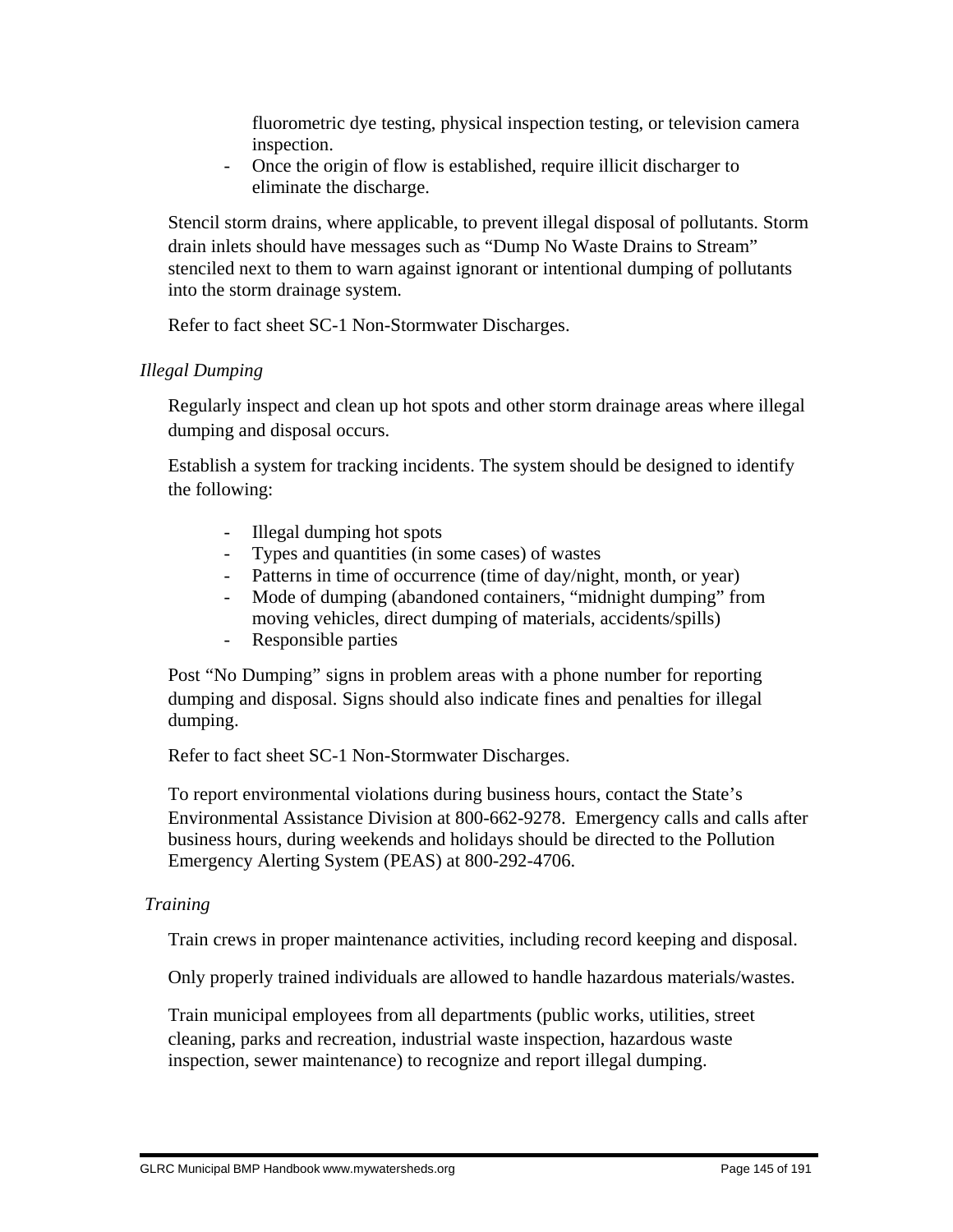fluorometric dye testing, physical inspection testing, or television camera inspection.

- Once the origin of flow is established, require illicit discharger to eliminate the discharge.

 Stencil storm drains, where applicable, to prevent illegal disposal of pollutants. Storm drain inlets should have messages such as "Dump No Waste Drains to Stream" stenciled next to them to warn against ignorant or intentional dumping of pollutants into the storm drainage system.

Refer to fact sheet SC-1 Non-Stormwater Discharges.

#### *Illegal Dumping*

 Regularly inspect and clean up hot spots and other storm drainage areas where illegal dumping and disposal occurs.

 Establish a system for tracking incidents. The system should be designed to identify the following:

- Illegal dumping hot spots
- Types and quantities (in some cases) of wastes
- Patterns in time of occurrence (time of day/night, month, or year)
- Mode of dumping (abandoned containers, "midnight dumping" from moving vehicles, direct dumping of materials, accidents/spills)
- Responsible parties

 Post "No Dumping" signs in problem areas with a phone number for reporting dumping and disposal. Signs should also indicate fines and penalties for illegal dumping.

Refer to fact sheet SC-1 Non-Stormwater Discharges.

 To report environmental violations during business hours, contact the State's Environmental Assistance Division at 800-662-9278. Emergency calls and calls after business hours, during weekends and holidays should be directed to the Pollution Emergency Alerting System (PEAS) at 800-292-4706.

#### *Training*

Train crews in proper maintenance activities, including record keeping and disposal.

Only properly trained individuals are allowed to handle hazardous materials/wastes.

 Train municipal employees from all departments (public works, utilities, street cleaning, parks and recreation, industrial waste inspection, hazardous waste inspection, sewer maintenance) to recognize and report illegal dumping.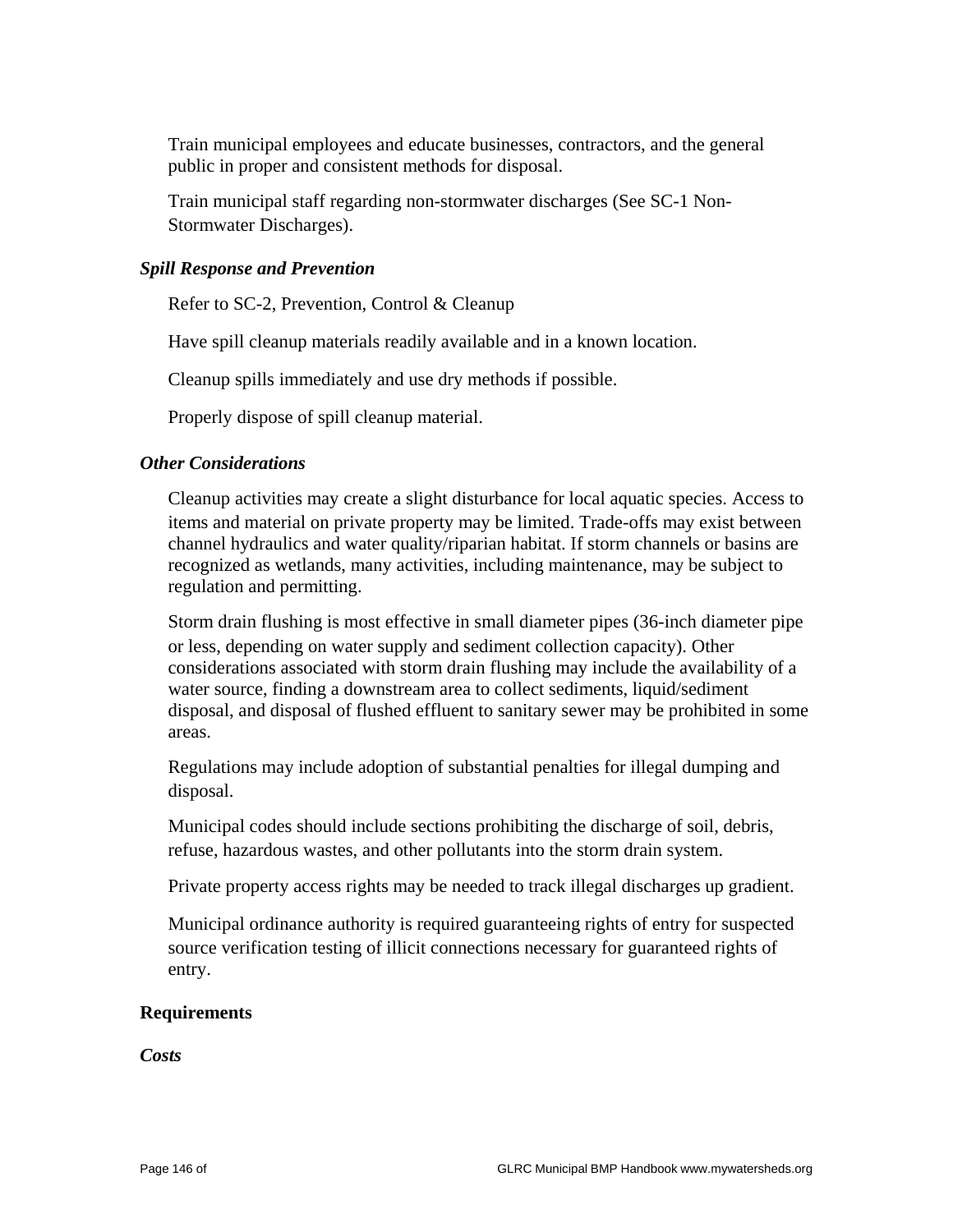Train municipal employees and educate businesses, contractors, and the general public in proper and consistent methods for disposal.

 Train municipal staff regarding non-stormwater discharges (See SC-1 Non-Stormwater Discharges).

#### *Spill Response and Prevention*

Refer to SC-2, Prevention, Control & Cleanup

Have spill cleanup materials readily available and in a known location.

Cleanup spills immediately and use dry methods if possible.

Properly dispose of spill cleanup material.

#### *Other Considerations*

 Cleanup activities may create a slight disturbance for local aquatic species. Access to items and material on private property may be limited. Trade-offs may exist between channel hydraulics and water quality/riparian habitat. If storm channels or basins are recognized as wetlands, many activities, including maintenance, may be subject to regulation and permitting.

 Storm drain flushing is most effective in small diameter pipes (36-inch diameter pipe or less, depending on water supply and sediment collection capacity). Other considerations associated with storm drain flushing may include the availability of a water source, finding a downstream area to collect sediments, liquid/sediment disposal, and disposal of flushed effluent to sanitary sewer may be prohibited in some areas.

 Regulations may include adoption of substantial penalties for illegal dumping and disposal.

 Municipal codes should include sections prohibiting the discharge of soil, debris, refuse, hazardous wastes, and other pollutants into the storm drain system.

Private property access rights may be needed to track illegal discharges up gradient.

 Municipal ordinance authority is required guaranteeing rights of entry for suspected source verification testing of illicit connections necessary for guaranteed rights of entry.

#### **Requirements**

*Costs*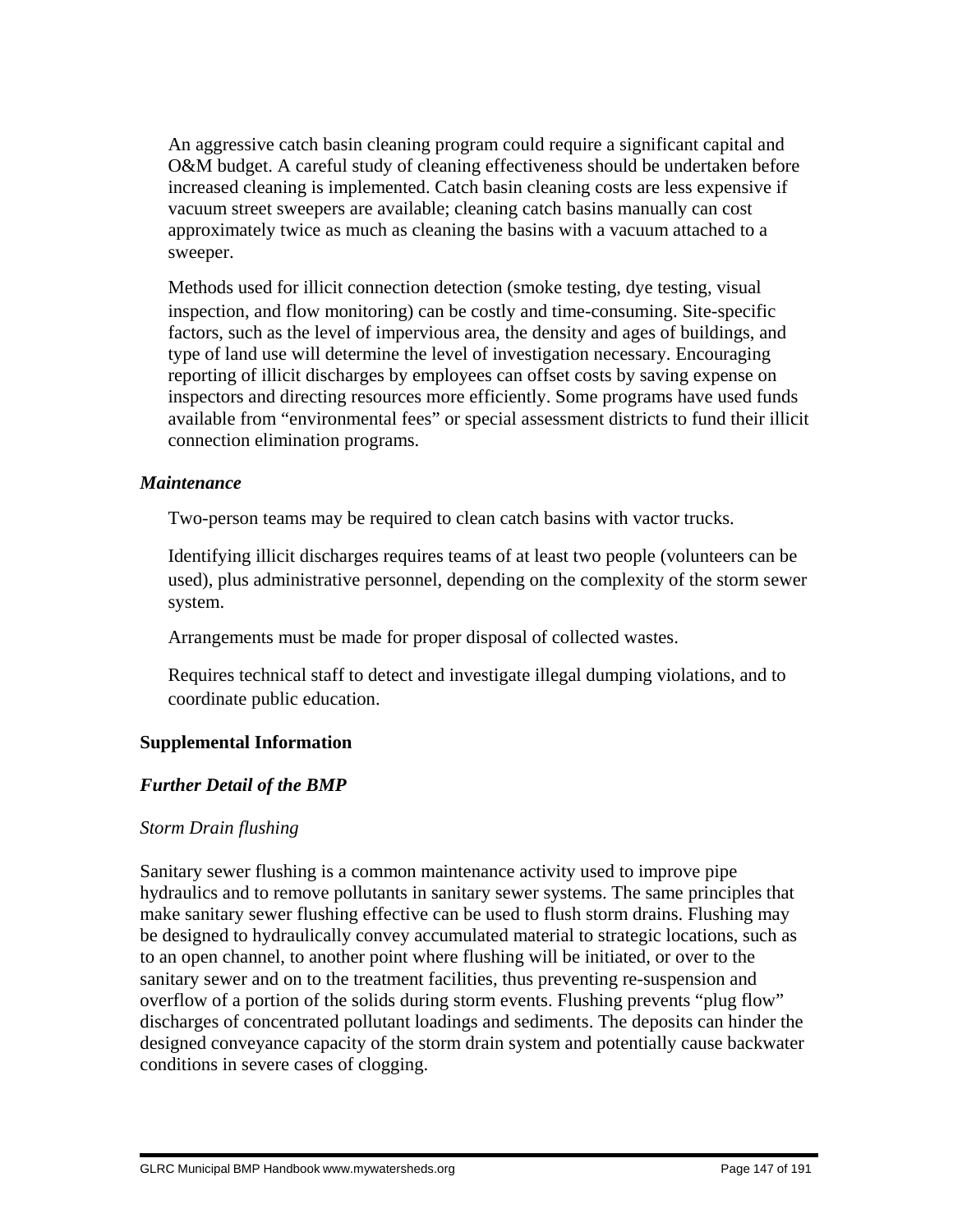An aggressive catch basin cleaning program could require a significant capital and O&M budget. A careful study of cleaning effectiveness should be undertaken before increased cleaning is implemented. Catch basin cleaning costs are less expensive if vacuum street sweepers are available; cleaning catch basins manually can cost approximately twice as much as cleaning the basins with a vacuum attached to a sweeper.

 Methods used for illicit connection detection (smoke testing, dye testing, visual inspection, and flow monitoring) can be costly and time-consuming. Site-specific factors, such as the level of impervious area, the density and ages of buildings, and type of land use will determine the level of investigation necessary. Encouraging reporting of illicit discharges by employees can offset costs by saving expense on inspectors and directing resources more efficiently. Some programs have used funds available from "environmental fees" or special assessment districts to fund their illicit connection elimination programs.

#### *Maintenance*

Two-person teams may be required to clean catch basins with vactor trucks.

 Identifying illicit discharges requires teams of at least two people (volunteers can be used), plus administrative personnel, depending on the complexity of the storm sewer system.

Arrangements must be made for proper disposal of collected wastes.

 Requires technical staff to detect and investigate illegal dumping violations, and to coordinate public education.

#### **Supplemental Information**

#### *Further Detail of the BMP*

#### *Storm Drain flushing*

Sanitary sewer flushing is a common maintenance activity used to improve pipe hydraulics and to remove pollutants in sanitary sewer systems. The same principles that make sanitary sewer flushing effective can be used to flush storm drains. Flushing may be designed to hydraulically convey accumulated material to strategic locations, such as to an open channel, to another point where flushing will be initiated, or over to the sanitary sewer and on to the treatment facilities, thus preventing re-suspension and overflow of a portion of the solids during storm events. Flushing prevents "plug flow" discharges of concentrated pollutant loadings and sediments. The deposits can hinder the designed conveyance capacity of the storm drain system and potentially cause backwater conditions in severe cases of clogging.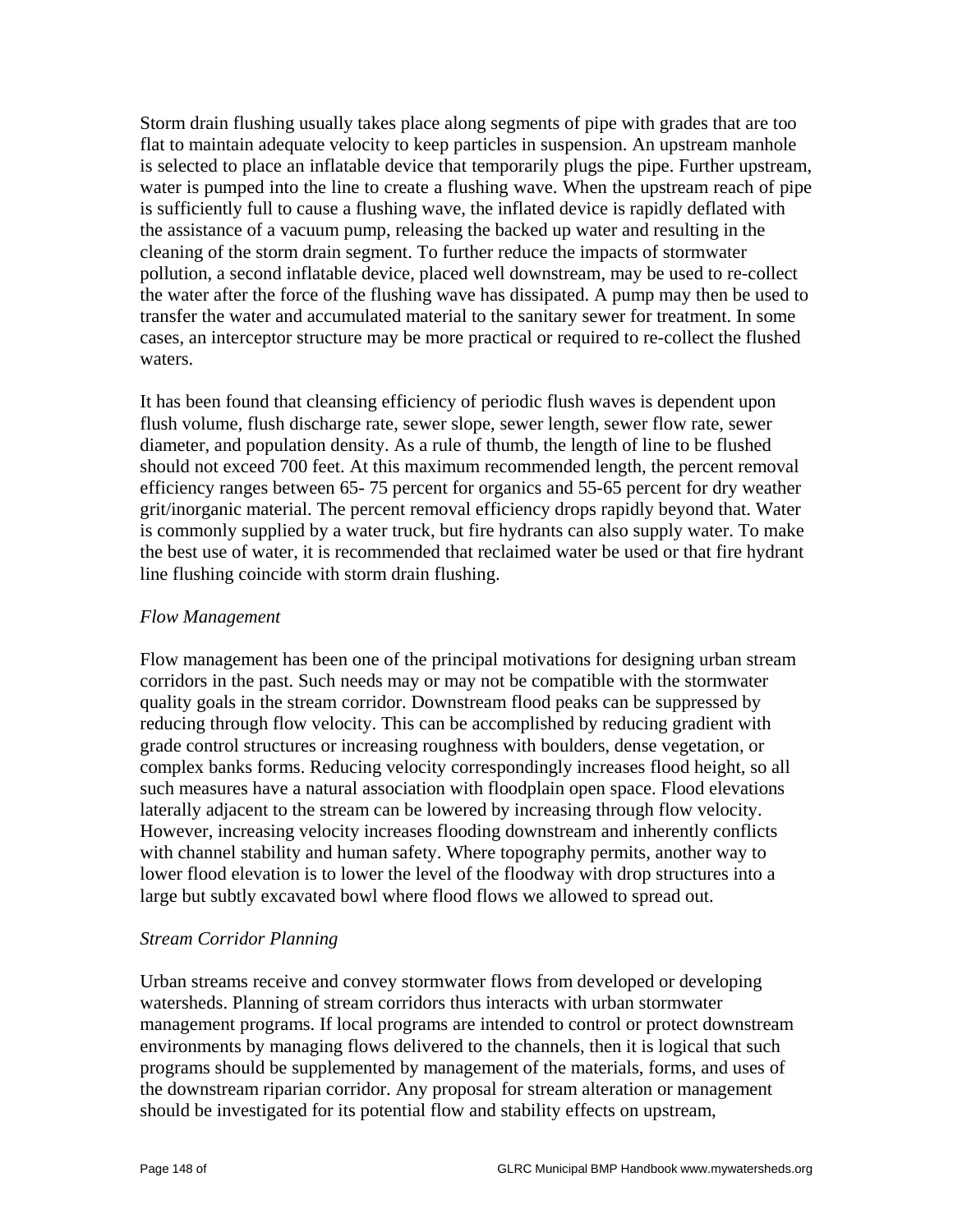Storm drain flushing usually takes place along segments of pipe with grades that are too flat to maintain adequate velocity to keep particles in suspension. An upstream manhole is selected to place an inflatable device that temporarily plugs the pipe. Further upstream, water is pumped into the line to create a flushing wave. When the upstream reach of pipe is sufficiently full to cause a flushing wave, the inflated device is rapidly deflated with the assistance of a vacuum pump, releasing the backed up water and resulting in the cleaning of the storm drain segment. To further reduce the impacts of stormwater pollution, a second inflatable device, placed well downstream, may be used to re-collect the water after the force of the flushing wave has dissipated. A pump may then be used to transfer the water and accumulated material to the sanitary sewer for treatment. In some cases, an interceptor structure may be more practical or required to re-collect the flushed waters.

It has been found that cleansing efficiency of periodic flush waves is dependent upon flush volume, flush discharge rate, sewer slope, sewer length, sewer flow rate, sewer diameter, and population density. As a rule of thumb, the length of line to be flushed should not exceed 700 feet. At this maximum recommended length, the percent removal efficiency ranges between 65- 75 percent for organics and 55-65 percent for dry weather grit/inorganic material. The percent removal efficiency drops rapidly beyond that. Water is commonly supplied by a water truck, but fire hydrants can also supply water. To make the best use of water, it is recommended that reclaimed water be used or that fire hydrant line flushing coincide with storm drain flushing.

#### *Flow Management*

Flow management has been one of the principal motivations for designing urban stream corridors in the past. Such needs may or may not be compatible with the stormwater quality goals in the stream corridor. Downstream flood peaks can be suppressed by reducing through flow velocity. This can be accomplished by reducing gradient with grade control structures or increasing roughness with boulders, dense vegetation, or complex banks forms. Reducing velocity correspondingly increases flood height, so all such measures have a natural association with floodplain open space. Flood elevations laterally adjacent to the stream can be lowered by increasing through flow velocity. However, increasing velocity increases flooding downstream and inherently conflicts with channel stability and human safety. Where topography permits, another way to lower flood elevation is to lower the level of the floodway with drop structures into a large but subtly excavated bowl where flood flows we allowed to spread out.

#### *Stream Corridor Planning*

Urban streams receive and convey stormwater flows from developed or developing watersheds. Planning of stream corridors thus interacts with urban stormwater management programs. If local programs are intended to control or protect downstream environments by managing flows delivered to the channels, then it is logical that such programs should be supplemented by management of the materials, forms, and uses of the downstream riparian corridor. Any proposal for stream alteration or management should be investigated for its potential flow and stability effects on upstream,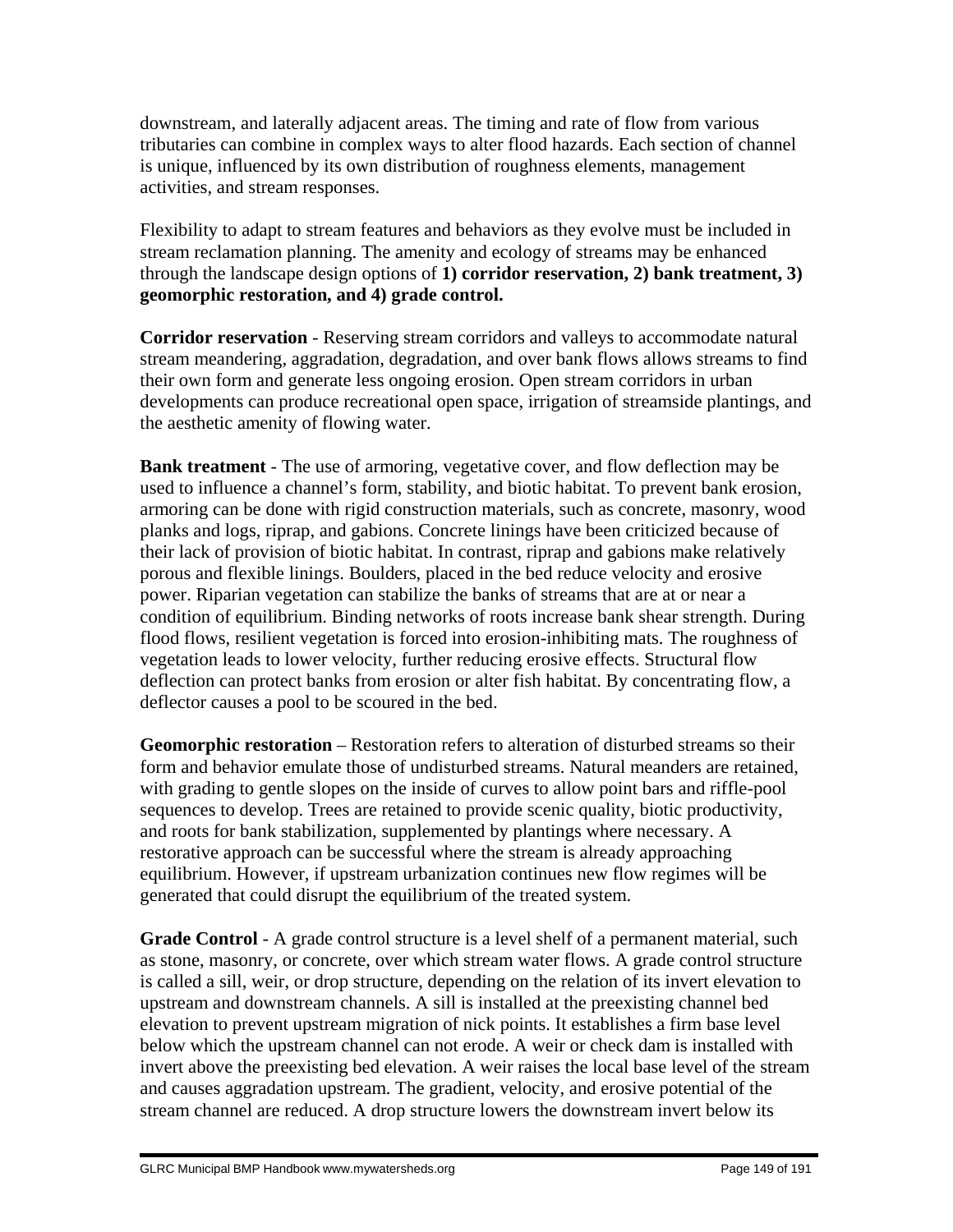downstream, and laterally adjacent areas. The timing and rate of flow from various tributaries can combine in complex ways to alter flood hazards. Each section of channel is unique, influenced by its own distribution of roughness elements, management activities, and stream responses.

Flexibility to adapt to stream features and behaviors as they evolve must be included in stream reclamation planning. The amenity and ecology of streams may be enhanced through the landscape design options of **1) corridor reservation, 2) bank treatment, 3) geomorphic restoration, and 4) grade control.**

**Corridor reservation** - Reserving stream corridors and valleys to accommodate natural stream meandering, aggradation, degradation, and over bank flows allows streams to find their own form and generate less ongoing erosion. Open stream corridors in urban developments can produce recreational open space, irrigation of streamside plantings, and the aesthetic amenity of flowing water.

**Bank treatment** - The use of armoring, vegetative cover, and flow deflection may be used to influence a channel's form, stability, and biotic habitat. To prevent bank erosion, armoring can be done with rigid construction materials, such as concrete, masonry, wood planks and logs, riprap, and gabions. Concrete linings have been criticized because of their lack of provision of biotic habitat. In contrast, riprap and gabions make relatively porous and flexible linings. Boulders, placed in the bed reduce velocity and erosive power. Riparian vegetation can stabilize the banks of streams that are at or near a condition of equilibrium. Binding networks of roots increase bank shear strength. During flood flows, resilient vegetation is forced into erosion-inhibiting mats. The roughness of vegetation leads to lower velocity, further reducing erosive effects. Structural flow deflection can protect banks from erosion or alter fish habitat. By concentrating flow, a deflector causes a pool to be scoured in the bed.

**Geomorphic restoration** – Restoration refers to alteration of disturbed streams so their form and behavior emulate those of undisturbed streams. Natural meanders are retained, with grading to gentle slopes on the inside of curves to allow point bars and riffle-pool sequences to develop. Trees are retained to provide scenic quality, biotic productivity, and roots for bank stabilization, supplemented by plantings where necessary. A restorative approach can be successful where the stream is already approaching equilibrium. However, if upstream urbanization continues new flow regimes will be generated that could disrupt the equilibrium of the treated system.

**Grade Control** - A grade control structure is a level shelf of a permanent material, such as stone, masonry, or concrete, over which stream water flows. A grade control structure is called a sill, weir, or drop structure, depending on the relation of its invert elevation to upstream and downstream channels. A sill is installed at the preexisting channel bed elevation to prevent upstream migration of nick points. It establishes a firm base level below which the upstream channel can not erode. A weir or check dam is installed with invert above the preexisting bed elevation. A weir raises the local base level of the stream and causes aggradation upstream. The gradient, velocity, and erosive potential of the stream channel are reduced. A drop structure lowers the downstream invert below its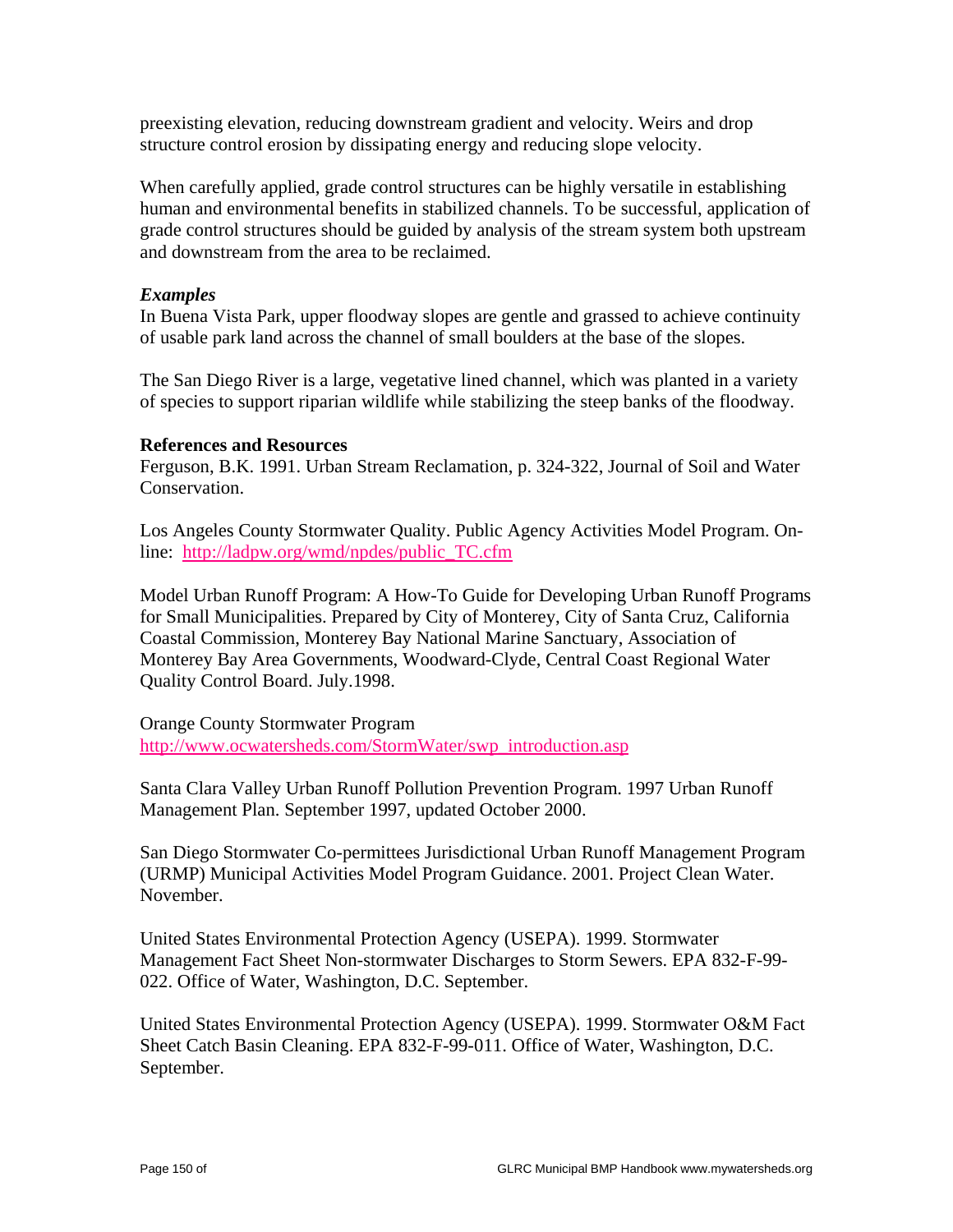preexisting elevation, reducing downstream gradient and velocity. Weirs and drop structure control erosion by dissipating energy and reducing slope velocity.

When carefully applied, grade control structures can be highly versatile in establishing human and environmental benefits in stabilized channels. To be successful, application of grade control structures should be guided by analysis of the stream system both upstream and downstream from the area to be reclaimed.

#### *Examples*

In Buena Vista Park, upper floodway slopes are gentle and grassed to achieve continuity of usable park land across the channel of small boulders at the base of the slopes.

The San Diego River is a large, vegetative lined channel, which was planted in a variety of species to support riparian wildlife while stabilizing the steep banks of the floodway.

#### **References and Resources**

Ferguson, B.K. 1991. Urban Stream Reclamation, p. 324-322, Journal of Soil and Water Conservation.

Los Angeles County Stormwater Quality. Public Agency Activities Model Program. Online: http://ladpw.org/wmd/npdes/public\_TC.cfm

Model Urban Runoff Program: A How-To Guide for Developing Urban Runoff Programs for Small Municipalities. Prepared by City of Monterey, City of Santa Cruz, California Coastal Commission, Monterey Bay National Marine Sanctuary, Association of Monterey Bay Area Governments, Woodward-Clyde, Central Coast Regional Water Quality Control Board. July.1998.

Orange County Stormwater Program http://www.ocwatersheds.com/StormWater/swp\_introduction.asp

Santa Clara Valley Urban Runoff Pollution Prevention Program. 1997 Urban Runoff Management Plan. September 1997, updated October 2000.

San Diego Stormwater Co-permittees Jurisdictional Urban Runoff Management Program (URMP) Municipal Activities Model Program Guidance. 2001. Project Clean Water. November.

United States Environmental Protection Agency (USEPA). 1999. Stormwater Management Fact Sheet Non-stormwater Discharges to Storm Sewers. EPA 832-F-99- 022. Office of Water, Washington, D.C. September.

United States Environmental Protection Agency (USEPA). 1999. Stormwater O&M Fact Sheet Catch Basin Cleaning. EPA 832-F-99-011. Office of Water, Washington, D.C. September.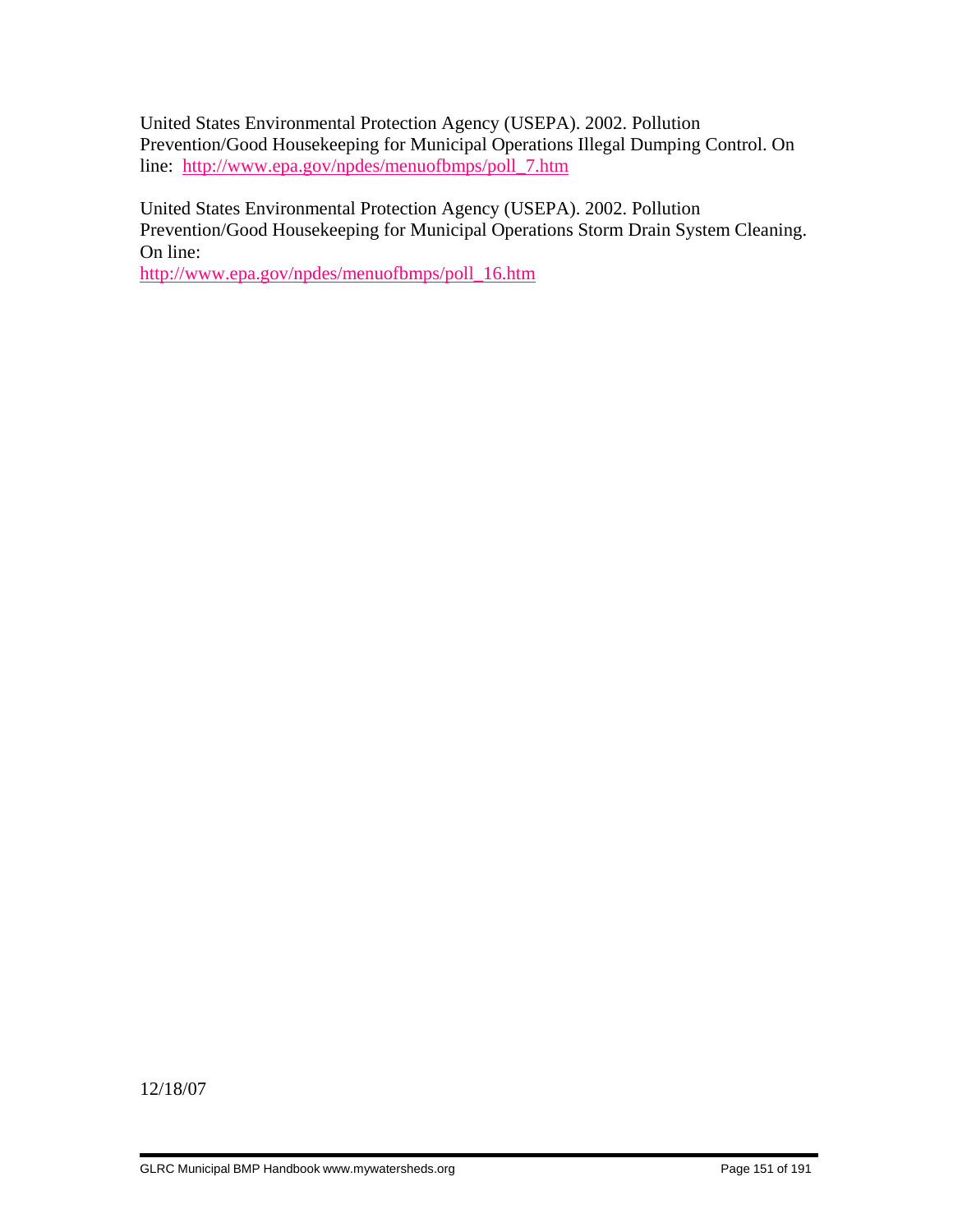United States Environmental Protection Agency (USEPA). 2002. Pollution Prevention/Good Housekeeping for Municipal Operations Illegal Dumping Control. On line: http://www.epa.gov/npdes/menuofbmps/poll\_7.htm

United States Environmental Protection Agency (USEPA). 2002. Pollution Prevention/Good Housekeeping for Municipal Operations Storm Drain System Cleaning. On line:

http://www.epa.gov/npdes/menuofbmps/poll\_16.htm

12/18/07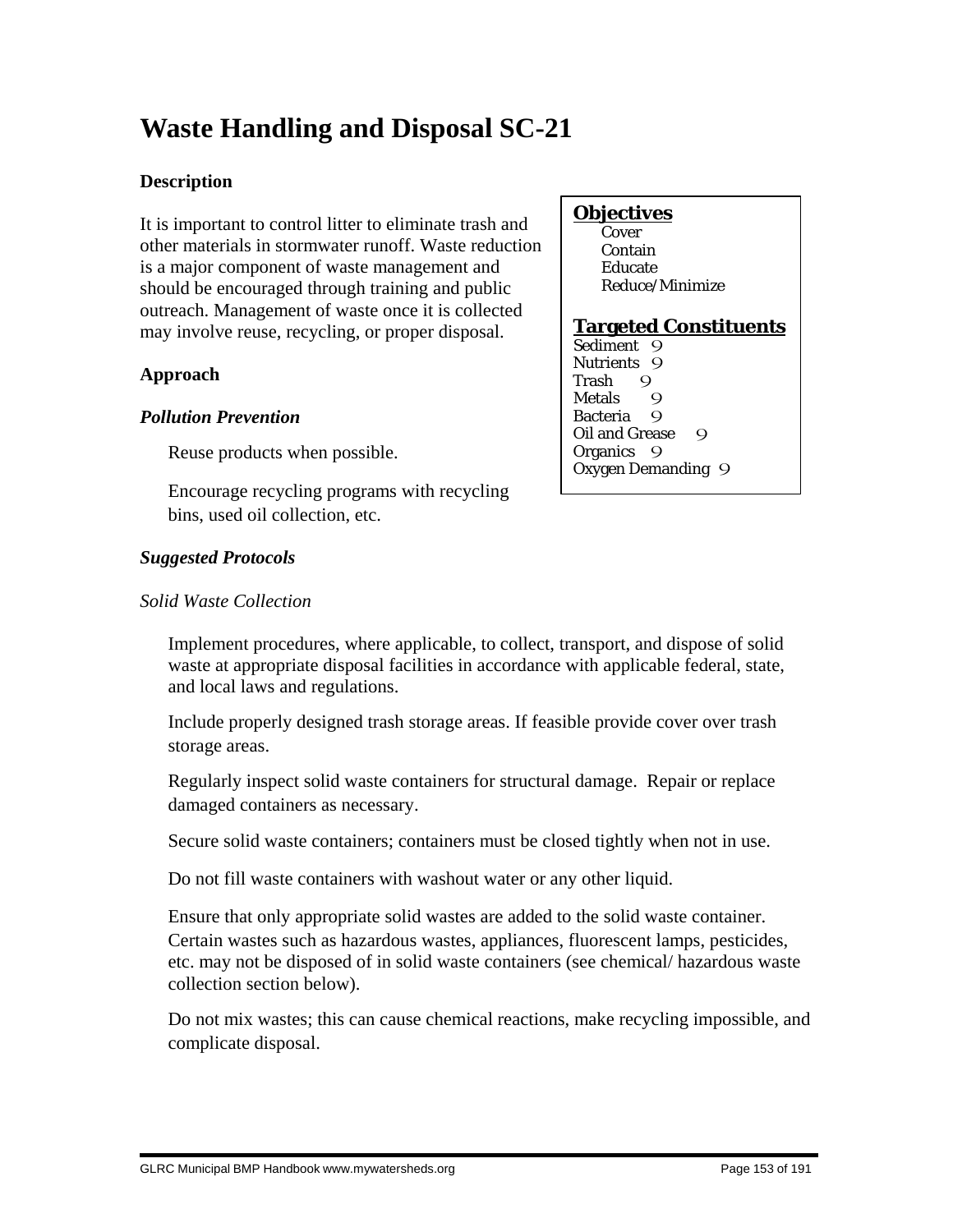# **Waste Handling and Disposal SC-21**

#### **Description**

It is important to control litter to eliminate trash and other materials in stormwater runoff. Waste reduction is a major component of waste management and should be encouraged through training and public outreach. Management of waste once it is collected may involve reuse, recycling, or proper disposal.

#### **Approach**

#### *Pollution Prevention*

Reuse products when possible.

 Encourage recycling programs with recycling bins, used oil collection, etc.

#### *Suggested Protocols*

#### *Solid Waste Collection*

#### Implement procedures, where applicable, to collect, transport, and dispose of solid waste at appropriate disposal facilities in accordance with applicable federal, state, and local laws and regulations.

 Include properly designed trash storage areas. If feasible provide cover over trash storage areas.

 Regularly inspect solid waste containers for structural damage. Repair or replace damaged containers as necessary.

Secure solid waste containers; containers must be closed tightly when not in use.

Do not fill waste containers with washout water or any other liquid.

 Ensure that only appropriate solid wastes are added to the solid waste container. Certain wastes such as hazardous wastes, appliances, fluorescent lamps, pesticides, etc. may not be disposed of in solid waste containers (see chemical/ hazardous waste collection section below).

 Do not mix wastes; this can cause chemical reactions, make recycling impossible, and complicate disposal.

#### **Objectives**

**Cover**  Contain Educate Reduce/Minimize

#### **Targeted Constituents**

Sediment 9 Nutrients 9 Trash 9<br>Metals 9 Metals 9 Bacteria Q Oil and Grease 9 Organics 9 Oxygen Demanding 9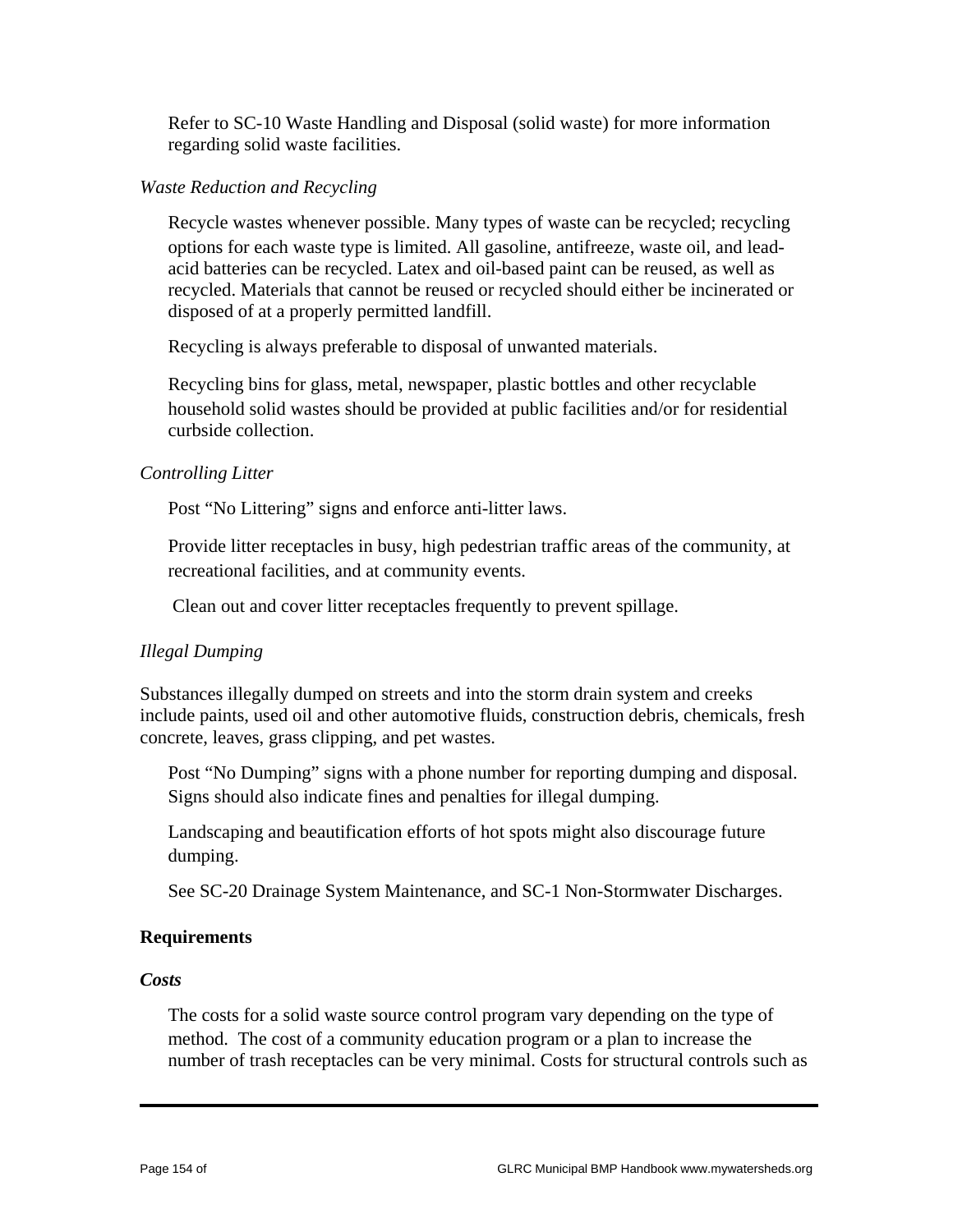Refer to SC-10 Waste Handling and Disposal (solid waste) for more information regarding solid waste facilities.

#### *Waste Reduction and Recycling*

 Recycle wastes whenever possible. Many types of waste can be recycled; recycling options for each waste type is limited. All gasoline, antifreeze, waste oil, and leadacid batteries can be recycled. Latex and oil-based paint can be reused, as well as recycled. Materials that cannot be reused or recycled should either be incinerated or disposed of at a properly permitted landfill.

Recycling is always preferable to disposal of unwanted materials.

 Recycling bins for glass, metal, newspaper, plastic bottles and other recyclable household solid wastes should be provided at public facilities and/or for residential curbside collection.

#### *Controlling Litter*

Post "No Littering" signs and enforce anti-litter laws.

 Provide litter receptacles in busy, high pedestrian traffic areas of the community, at recreational facilities, and at community events.

Clean out and cover litter receptacles frequently to prevent spillage.

#### *Illegal Dumping*

Substances illegally dumped on streets and into the storm drain system and creeks include paints, used oil and other automotive fluids, construction debris, chemicals, fresh concrete, leaves, grass clipping, and pet wastes.

 Post "No Dumping" signs with a phone number for reporting dumping and disposal. Signs should also indicate fines and penalties for illegal dumping.

 Landscaping and beautification efforts of hot spots might also discourage future dumping.

See SC-20 Drainage System Maintenance, and SC-1 Non-Stormwater Discharges.

#### **Requirements**

#### *Costs*

 The costs for a solid waste source control program vary depending on the type of method. The cost of a community education program or a plan to increase the number of trash receptacles can be very minimal. Costs for structural controls such as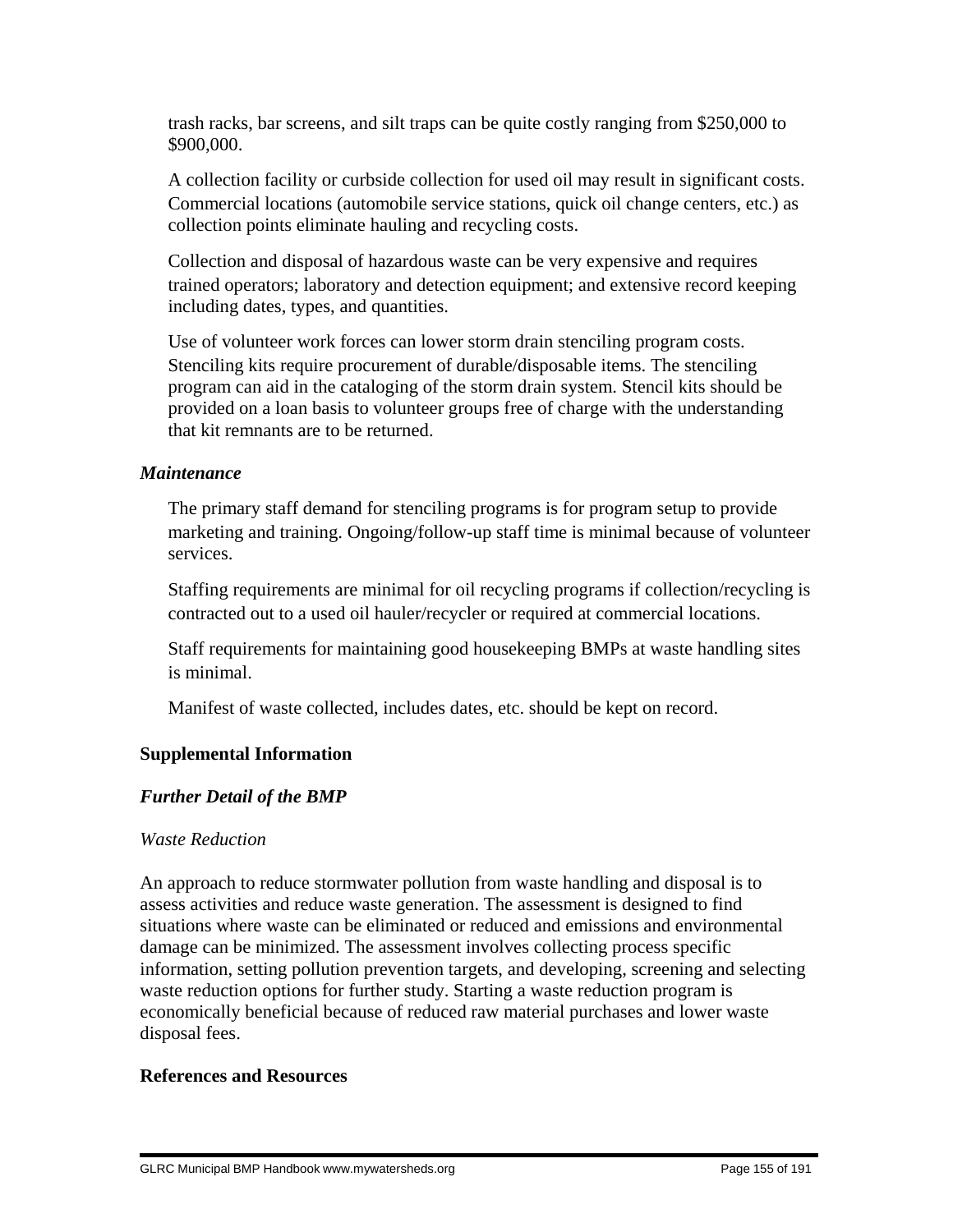trash racks, bar screens, and silt traps can be quite costly ranging from \$250,000 to \$900,000.

 A collection facility or curbside collection for used oil may result in significant costs. Commercial locations (automobile service stations, quick oil change centers, etc.) as collection points eliminate hauling and recycling costs.

 Collection and disposal of hazardous waste can be very expensive and requires trained operators; laboratory and detection equipment; and extensive record keeping including dates, types, and quantities.

 Use of volunteer work forces can lower storm drain stenciling program costs. Stenciling kits require procurement of durable/disposable items. The stenciling program can aid in the cataloging of the storm drain system. Stencil kits should be provided on a loan basis to volunteer groups free of charge with the understanding that kit remnants are to be returned.

#### *Maintenance*

 The primary staff demand for stenciling programs is for program setup to provide marketing and training. Ongoing/follow-up staff time is minimal because of volunteer services.

 Staffing requirements are minimal for oil recycling programs if collection/recycling is contracted out to a used oil hauler/recycler or required at commercial locations.

 Staff requirements for maintaining good housekeeping BMPs at waste handling sites is minimal.

Manifest of waste collected, includes dates, etc. should be kept on record.

#### **Supplemental Information**

#### *Further Detail of the BMP*

#### *Waste Reduction*

An approach to reduce stormwater pollution from waste handling and disposal is to assess activities and reduce waste generation. The assessment is designed to find situations where waste can be eliminated or reduced and emissions and environmental damage can be minimized. The assessment involves collecting process specific information, setting pollution prevention targets, and developing, screening and selecting waste reduction options for further study. Starting a waste reduction program is economically beneficial because of reduced raw material purchases and lower waste disposal fees.

#### **References and Resources**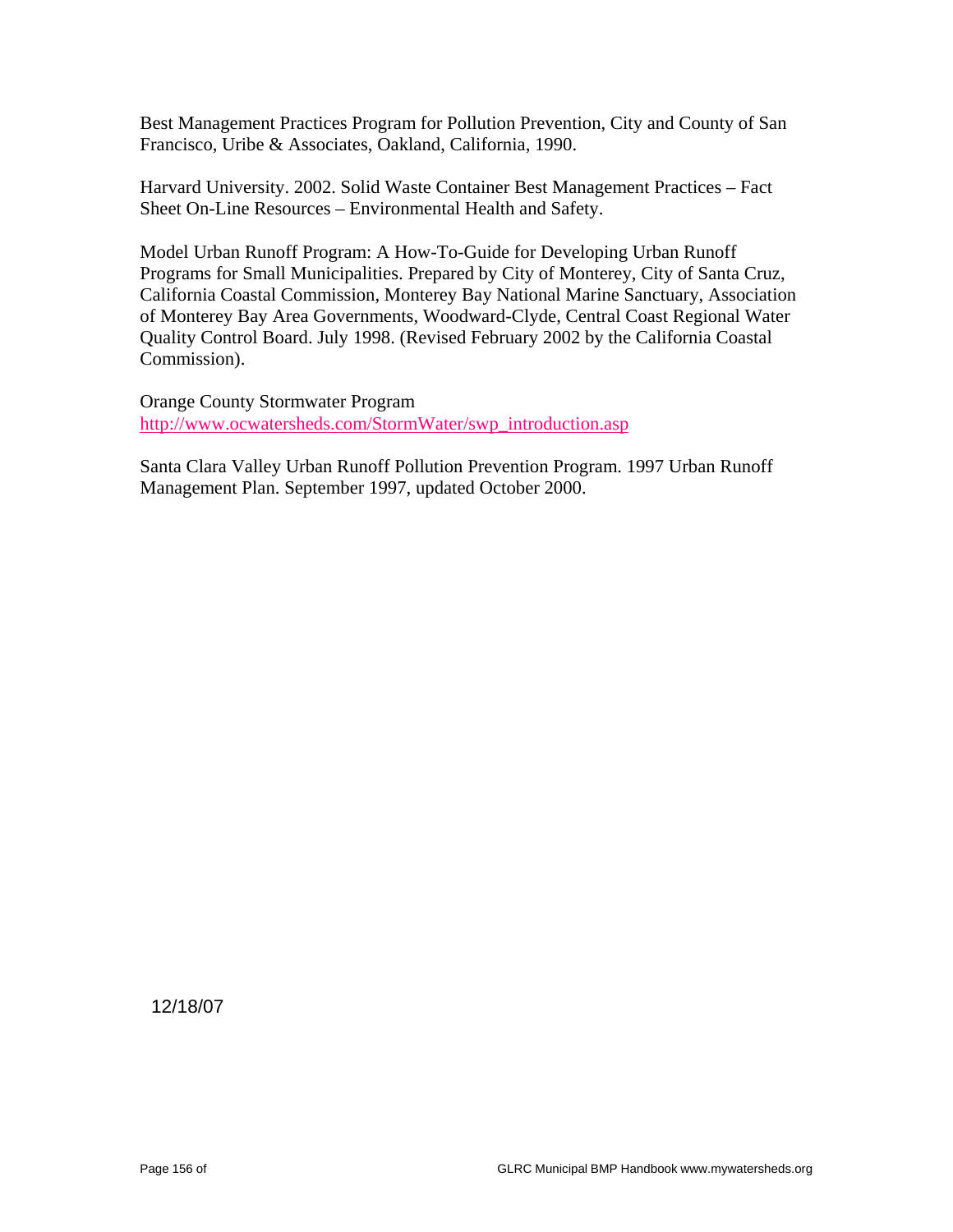Best Management Practices Program for Pollution Prevention, City and County of San Francisco, Uribe & Associates, Oakland, California, 1990.

Harvard University. 2002. Solid Waste Container Best Management Practices – Fact Sheet On-Line Resources – Environmental Health and Safety.

Model Urban Runoff Program: A How-To-Guide for Developing Urban Runoff Programs for Small Municipalities. Prepared by City of Monterey, City of Santa Cruz, California Coastal Commission, Monterey Bay National Marine Sanctuary, Association of Monterey Bay Area Governments, Woodward-Clyde, Central Coast Regional Water Quality Control Board. July 1998. (Revised February 2002 by the California Coastal Commission).

Orange County Stormwater Program http://www.ocwatersheds.com/StormWater/swp\_introduction.asp

Santa Clara Valley Urban Runoff Pollution Prevention Program. 1997 Urban Runoff Management Plan. September 1997, updated October 2000.

12/18/07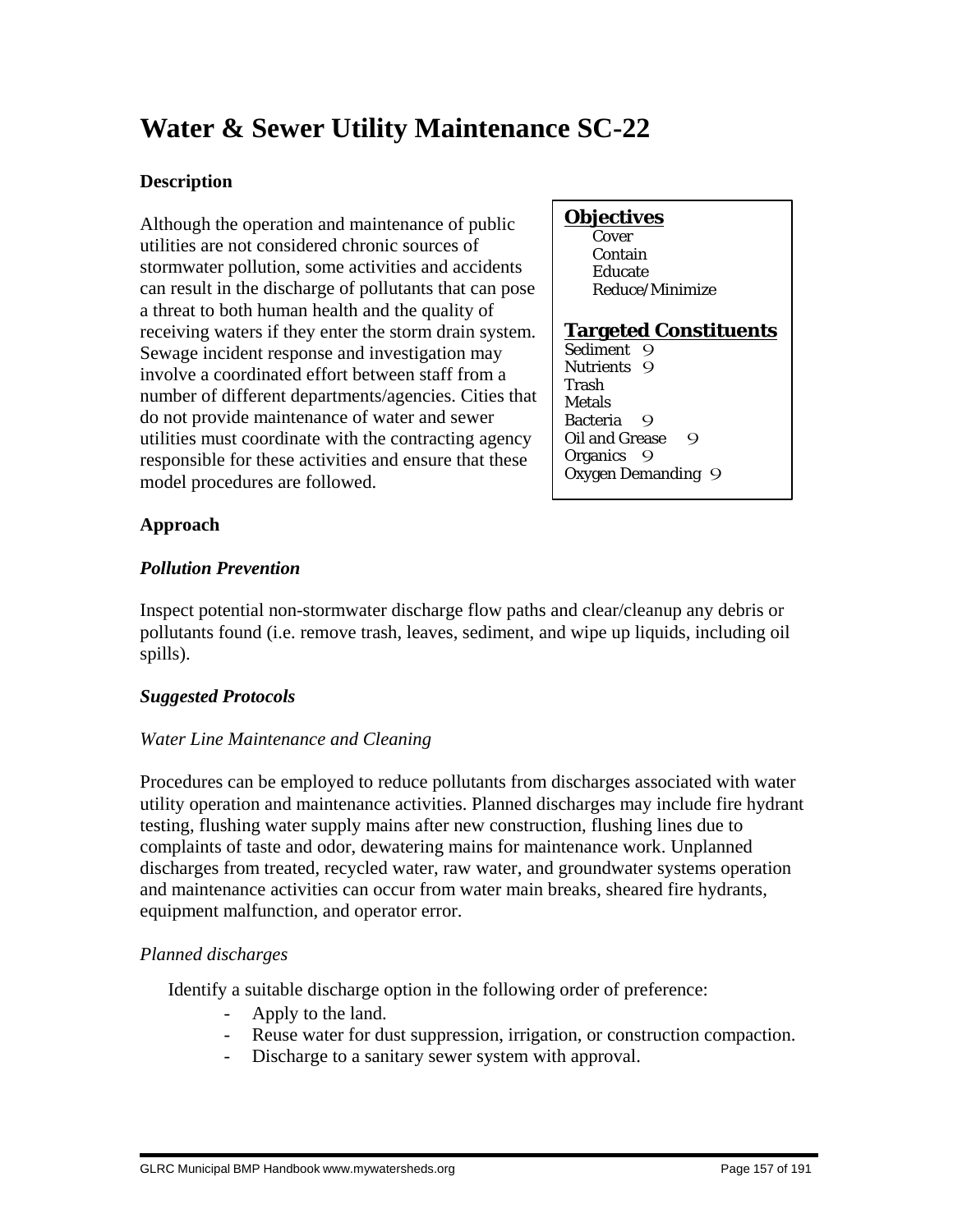# **Water & Sewer Utility Maintenance SC-22**

#### **Description**

Although the operation and maintenance of public utilities are not considered chronic sources of stormwater pollution, some activities and accidents can result in the discharge of pollutants that can pose a threat to both human health and the quality of receiving waters if they enter the storm drain system. Sewage incident response and investigation may involve a coordinated effort between staff from a number of different departments/agencies. Cities that do not provide maintenance of water and sewer utilities must coordinate with the contracting agency responsible for these activities and ensure that these model procedures are followed.

#### **Objectives**

**Cover**  Contain Educate Reduce/Minimize

#### **Targeted Constituents**

Sediment 9 Nutrients 9 Trash Metals Bacteria 9 Oil and Grease 9 Organics 9 Oxygen Demanding 9

#### **Approach**

#### *Pollution Prevention*

Inspect potential non-stormwater discharge flow paths and clear/cleanup any debris or pollutants found (i.e. remove trash, leaves, sediment, and wipe up liquids, including oil spills).

#### *Suggested Protocols*

#### *Water Line Maintenance and Cleaning*

Procedures can be employed to reduce pollutants from discharges associated with water utility operation and maintenance activities. Planned discharges may include fire hydrant testing, flushing water supply mains after new construction, flushing lines due to complaints of taste and odor, dewatering mains for maintenance work. Unplanned discharges from treated, recycled water, raw water, and groundwater systems operation and maintenance activities can occur from water main breaks, sheared fire hydrants, equipment malfunction, and operator error.

#### *Planned discharges*

Identify a suitable discharge option in the following order of preference:

- Apply to the land.
- Reuse water for dust suppression, irrigation, or construction compaction.
- Discharge to a sanitary sewer system with approval.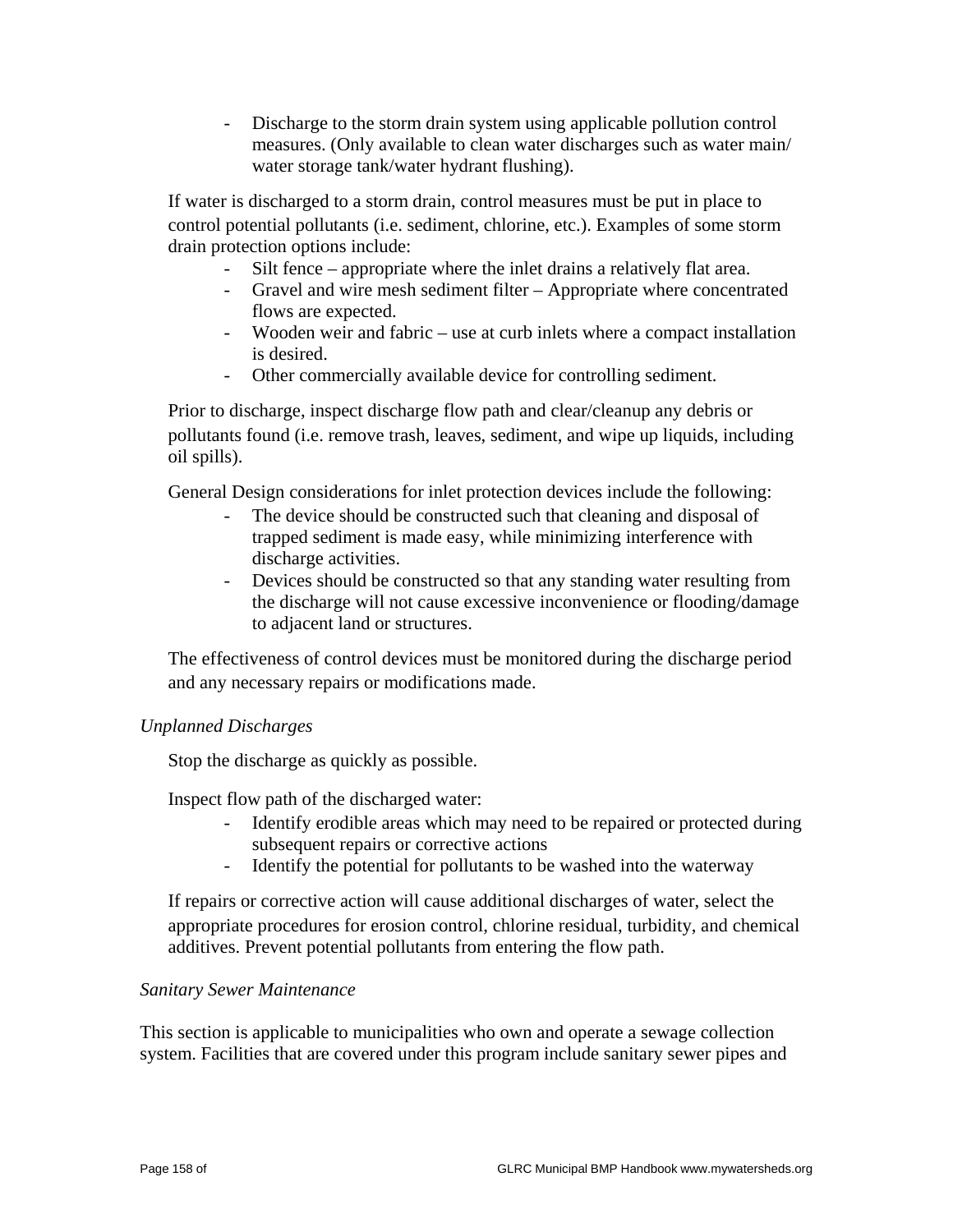- Discharge to the storm drain system using applicable pollution control measures. (Only available to clean water discharges such as water main/ water storage tank/water hydrant flushing).

 If water is discharged to a storm drain, control measures must be put in place to control potential pollutants (i.e. sediment, chlorine, etc.). Examples of some storm drain protection options include:

- Silt fence appropriate where the inlet drains a relatively flat area.
- Gravel and wire mesh sediment filter Appropriate where concentrated flows are expected.
- Wooden weir and fabric use at curb inlets where a compact installation is desired.
- Other commercially available device for controlling sediment.

 Prior to discharge, inspect discharge flow path and clear/cleanup any debris or pollutants found (i.e. remove trash, leaves, sediment, and wipe up liquids, including oil spills).

General Design considerations for inlet protection devices include the following:

- The device should be constructed such that cleaning and disposal of trapped sediment is made easy, while minimizing interference with discharge activities.
- Devices should be constructed so that any standing water resulting from the discharge will not cause excessive inconvenience or flooding/damage to adjacent land or structures.

 The effectiveness of control devices must be monitored during the discharge period and any necessary repairs or modifications made.

#### *Unplanned Discharges*

Stop the discharge as quickly as possible.

Inspect flow path of the discharged water:

- Identify erodible areas which may need to be repaired or protected during subsequent repairs or corrective actions
- Identify the potential for pollutants to be washed into the waterway

 If repairs or corrective action will cause additional discharges of water, select the appropriate procedures for erosion control, chlorine residual, turbidity, and chemical additives. Prevent potential pollutants from entering the flow path.

#### *Sanitary Sewer Maintenance*

This section is applicable to municipalities who own and operate a sewage collection system. Facilities that are covered under this program include sanitary sewer pipes and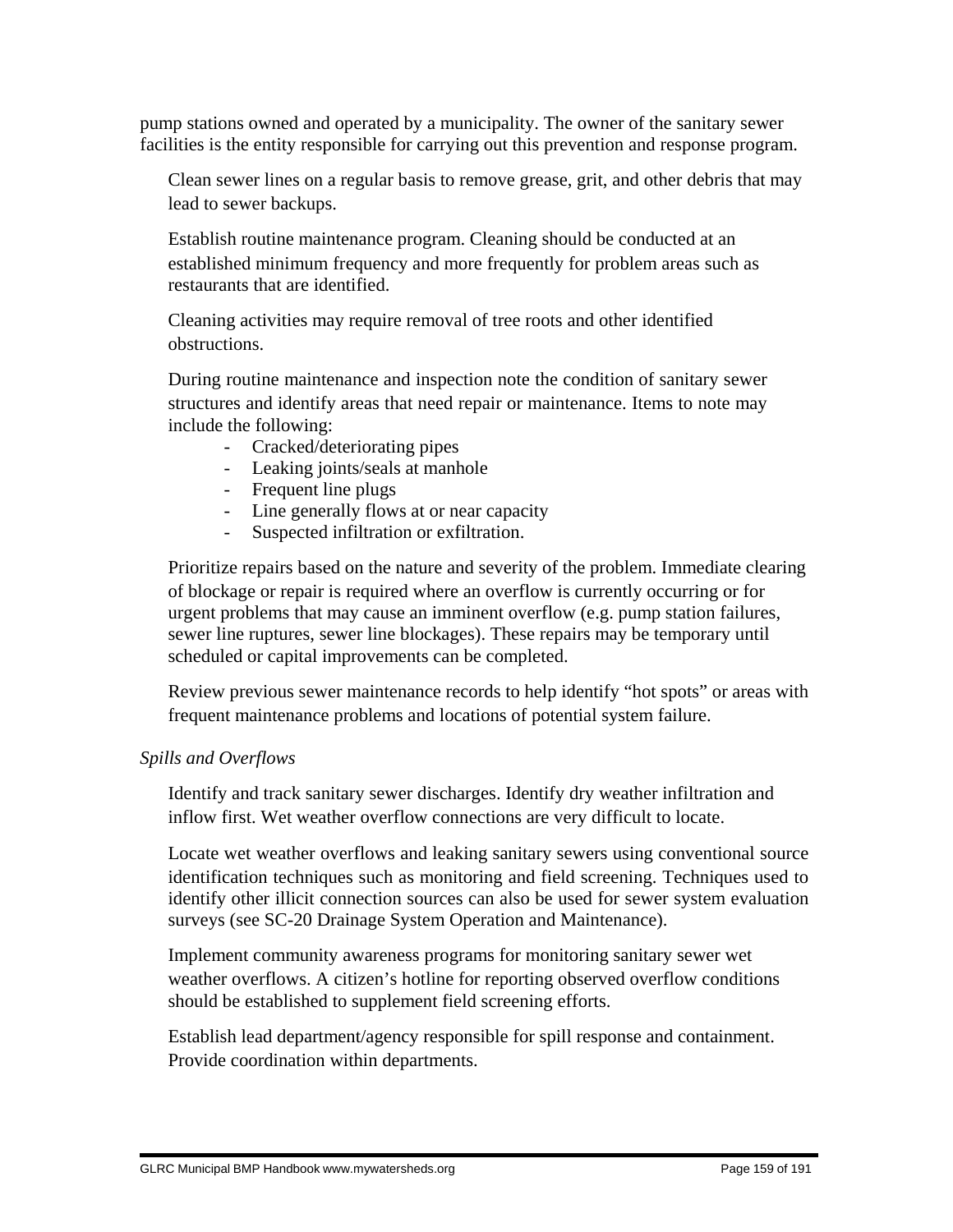pump stations owned and operated by a municipality. The owner of the sanitary sewer facilities is the entity responsible for carrying out this prevention and response program.

 Clean sewer lines on a regular basis to remove grease, grit, and other debris that may lead to sewer backups.

 Establish routine maintenance program. Cleaning should be conducted at an established minimum frequency and more frequently for problem areas such as restaurants that are identified.

 Cleaning activities may require removal of tree roots and other identified obstructions.

 During routine maintenance and inspection note the condition of sanitary sewer structures and identify areas that need repair or maintenance. Items to note may include the following:

- Cracked/deteriorating pipes
- Leaking joints/seals at manhole
- Frequent line plugs
- Line generally flows at or near capacity
- Suspected infiltration or exfiltration.

 Prioritize repairs based on the nature and severity of the problem. Immediate clearing of blockage or repair is required where an overflow is currently occurring or for urgent problems that may cause an imminent overflow (e.g. pump station failures, sewer line ruptures, sewer line blockages). These repairs may be temporary until scheduled or capital improvements can be completed.

 Review previous sewer maintenance records to help identify "hot spots" or areas with frequent maintenance problems and locations of potential system failure.

#### *Spills and Overflows*

 Identify and track sanitary sewer discharges. Identify dry weather infiltration and inflow first. Wet weather overflow connections are very difficult to locate.

 Locate wet weather overflows and leaking sanitary sewers using conventional source identification techniques such as monitoring and field screening. Techniques used to identify other illicit connection sources can also be used for sewer system evaluation surveys (see SC-20 Drainage System Operation and Maintenance).

 Implement community awareness programs for monitoring sanitary sewer wet weather overflows. A citizen's hotline for reporting observed overflow conditions should be established to supplement field screening efforts.

 Establish lead department/agency responsible for spill response and containment. Provide coordination within departments.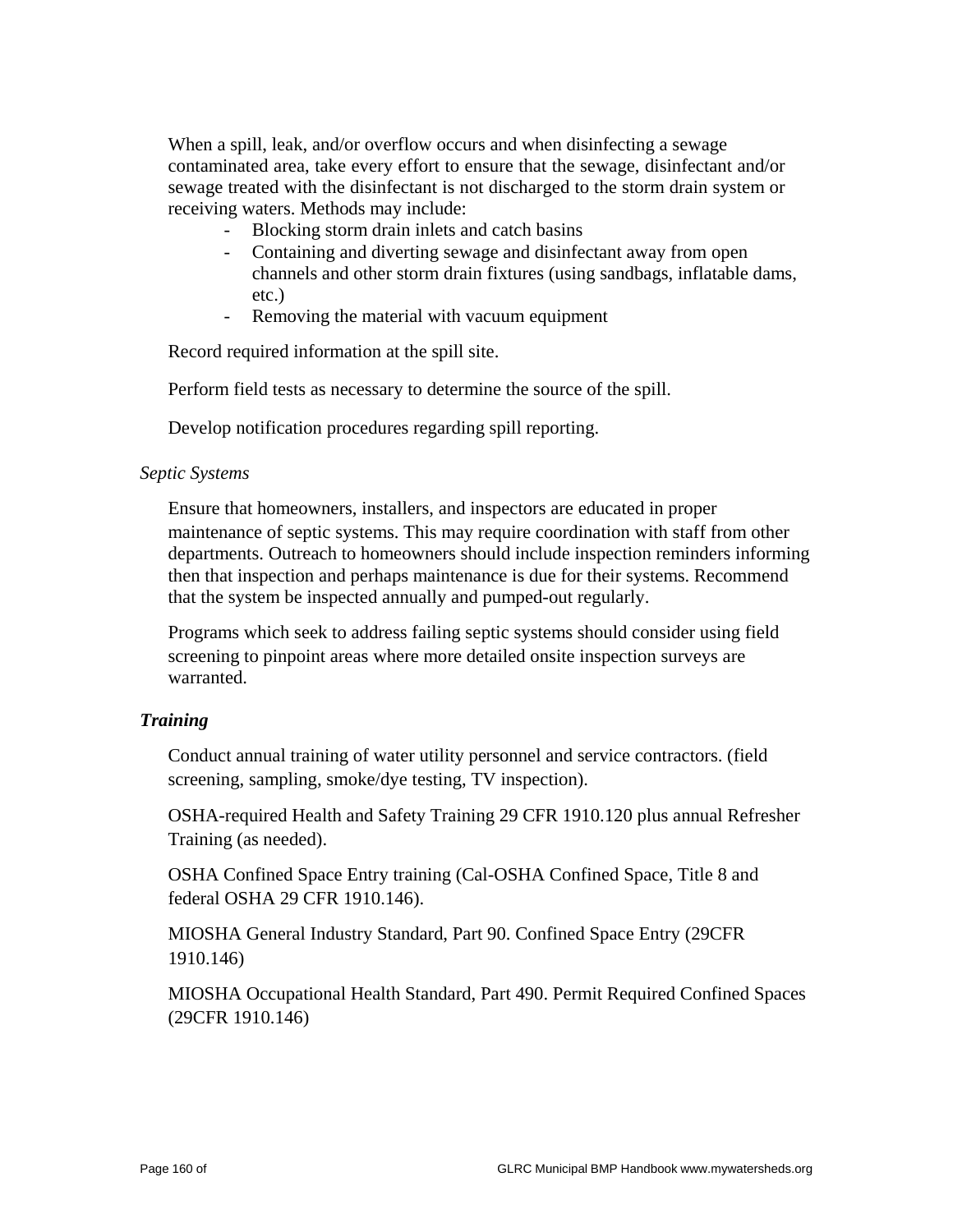When a spill, leak, and/or overflow occurs and when disinfecting a sewage contaminated area, take every effort to ensure that the sewage, disinfectant and/or sewage treated with the disinfectant is not discharged to the storm drain system or receiving waters. Methods may include:

- Blocking storm drain inlets and catch basins
- Containing and diverting sewage and disinfectant away from open channels and other storm drain fixtures (using sandbags, inflatable dams, etc.)
- Removing the material with vacuum equipment

Record required information at the spill site.

Perform field tests as necessary to determine the source of the spill.

Develop notification procedures regarding spill reporting.

#### *Septic Systems*

 Ensure that homeowners, installers, and inspectors are educated in proper maintenance of septic systems. This may require coordination with staff from other departments. Outreach to homeowners should include inspection reminders informing then that inspection and perhaps maintenance is due for their systems. Recommend that the system be inspected annually and pumped-out regularly.

 Programs which seek to address failing septic systems should consider using field screening to pinpoint areas where more detailed onsite inspection surveys are warranted.

#### *Training*

 Conduct annual training of water utility personnel and service contractors. (field screening, sampling, smoke/dye testing, TV inspection).

 OSHA-required Health and Safety Training 29 CFR 1910.120 plus annual Refresher Training (as needed).

 OSHA Confined Space Entry training (Cal-OSHA Confined Space, Title 8 and federal OSHA 29 CFR 1910.146).

 MIOSHA General Industry Standard, Part 90. Confined Space Entry (29CFR 1910.146)

 MIOSHA Occupational Health Standard, Part 490. Permit Required Confined Spaces (29CFR 1910.146)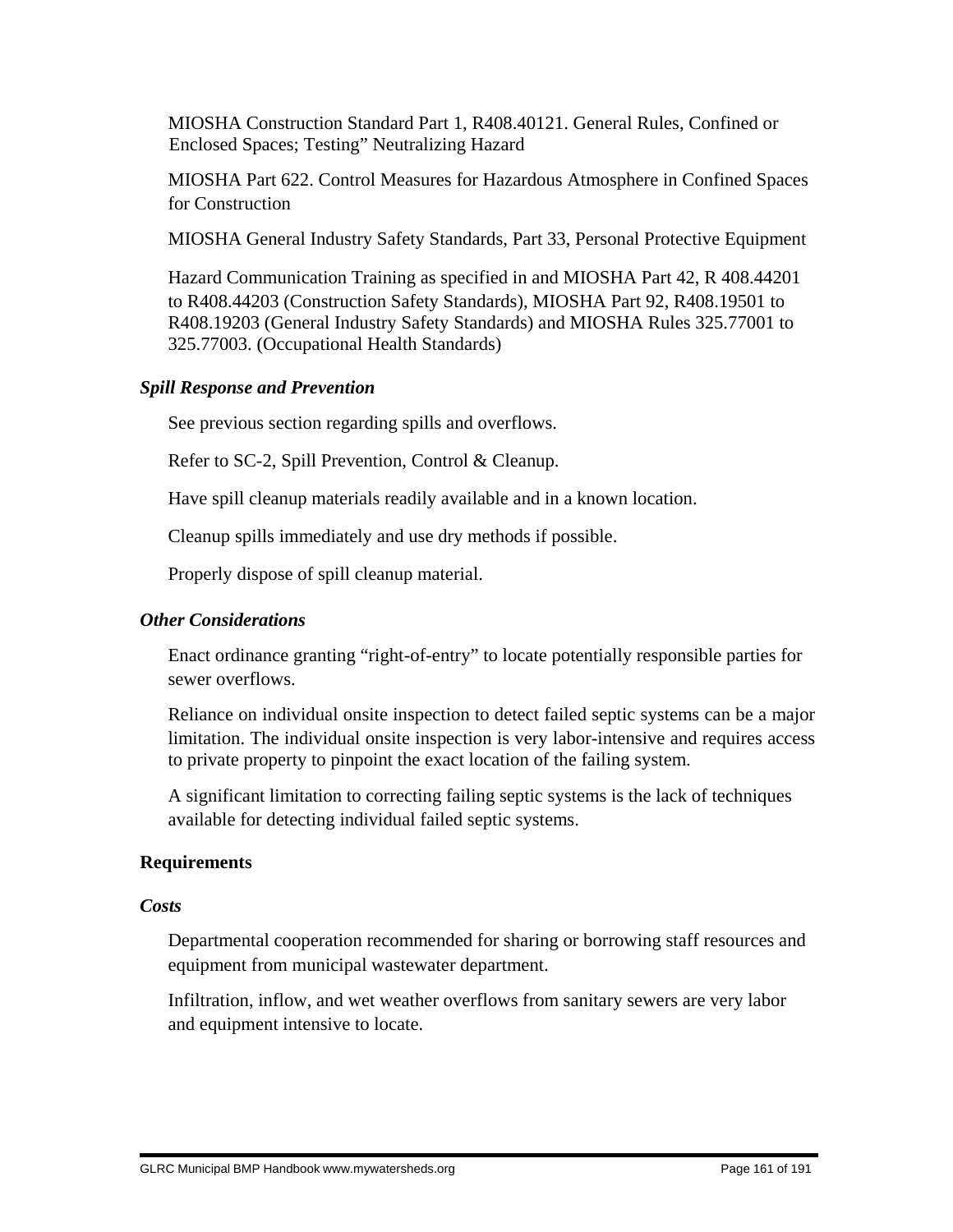MIOSHA Construction Standard Part 1, R408.40121. General Rules, Confined or Enclosed Spaces; Testing" Neutralizing Hazard

 MIOSHA Part 622. Control Measures for Hazardous Atmosphere in Confined Spaces for Construction

MIOSHA General Industry Safety Standards, Part 33, Personal Protective Equipment

 Hazard Communication Training as specified in and MIOSHA Part 42, R 408.44201 to R408.44203 (Construction Safety Standards), MIOSHA Part 92, R408.19501 to R408.19203 (General Industry Safety Standards) and MIOSHA Rules 325.77001 to 325.77003. (Occupational Health Standards)

#### *Spill Response and Prevention*

See previous section regarding spills and overflows.

Refer to SC-2, Spill Prevention, Control & Cleanup.

Have spill cleanup materials readily available and in a known location.

Cleanup spills immediately and use dry methods if possible.

Properly dispose of spill cleanup material.

#### *Other Considerations*

 Enact ordinance granting "right-of-entry" to locate potentially responsible parties for sewer overflows.

 Reliance on individual onsite inspection to detect failed septic systems can be a major limitation. The individual onsite inspection is very labor-intensive and requires access to private property to pinpoint the exact location of the failing system.

 A significant limitation to correcting failing septic systems is the lack of techniques available for detecting individual failed septic systems.

#### **Requirements**

#### *Costs*

 Departmental cooperation recommended for sharing or borrowing staff resources and equipment from municipal wastewater department.

 Infiltration, inflow, and wet weather overflows from sanitary sewers are very labor and equipment intensive to locate.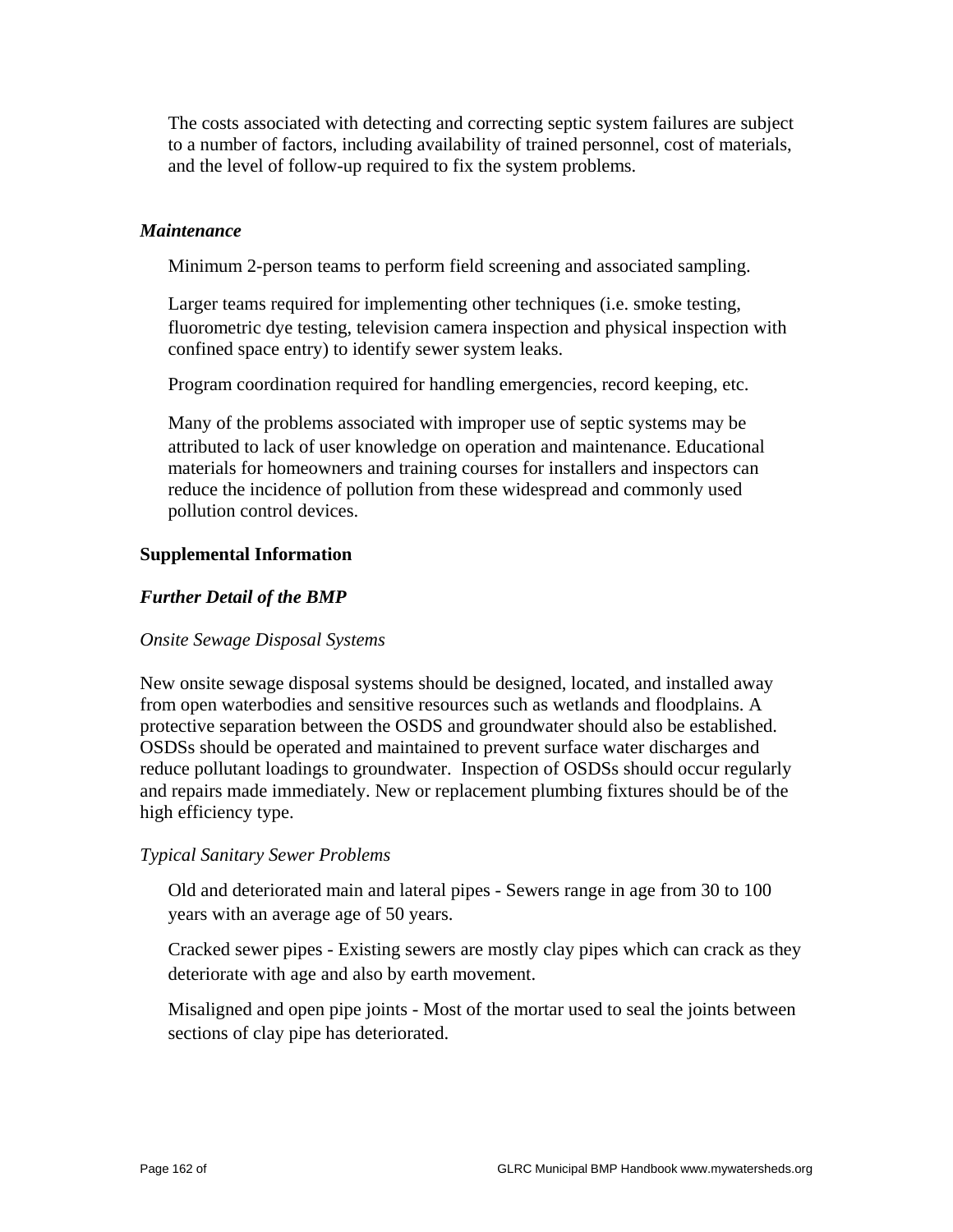The costs associated with detecting and correcting septic system failures are subject to a number of factors, including availability of trained personnel, cost of materials, and the level of follow-up required to fix the system problems.

#### *Maintenance*

Minimum 2-person teams to perform field screening and associated sampling.

 Larger teams required for implementing other techniques (i.e. smoke testing, fluorometric dye testing, television camera inspection and physical inspection with confined space entry) to identify sewer system leaks.

Program coordination required for handling emergencies, record keeping, etc.

 Many of the problems associated with improper use of septic systems may be attributed to lack of user knowledge on operation and maintenance. Educational materials for homeowners and training courses for installers and inspectors can reduce the incidence of pollution from these widespread and commonly used pollution control devices.

#### **Supplemental Information**

#### *Further Detail of the BMP*

#### *Onsite Sewage Disposal Systems*

New onsite sewage disposal systems should be designed, located, and installed away from open waterbodies and sensitive resources such as wetlands and floodplains. A protective separation between the OSDS and groundwater should also be established. OSDSs should be operated and maintained to prevent surface water discharges and reduce pollutant loadings to groundwater. Inspection of OSDSs should occur regularly and repairs made immediately. New or replacement plumbing fixtures should be of the high efficiency type.

#### *Typical Sanitary Sewer Problems*

 Old and deteriorated main and lateral pipes - Sewers range in age from 30 to 100 years with an average age of 50 years.

 Cracked sewer pipes - Existing sewers are mostly clay pipes which can crack as they deteriorate with age and also by earth movement.

 Misaligned and open pipe joints - Most of the mortar used to seal the joints between sections of clay pipe has deteriorated.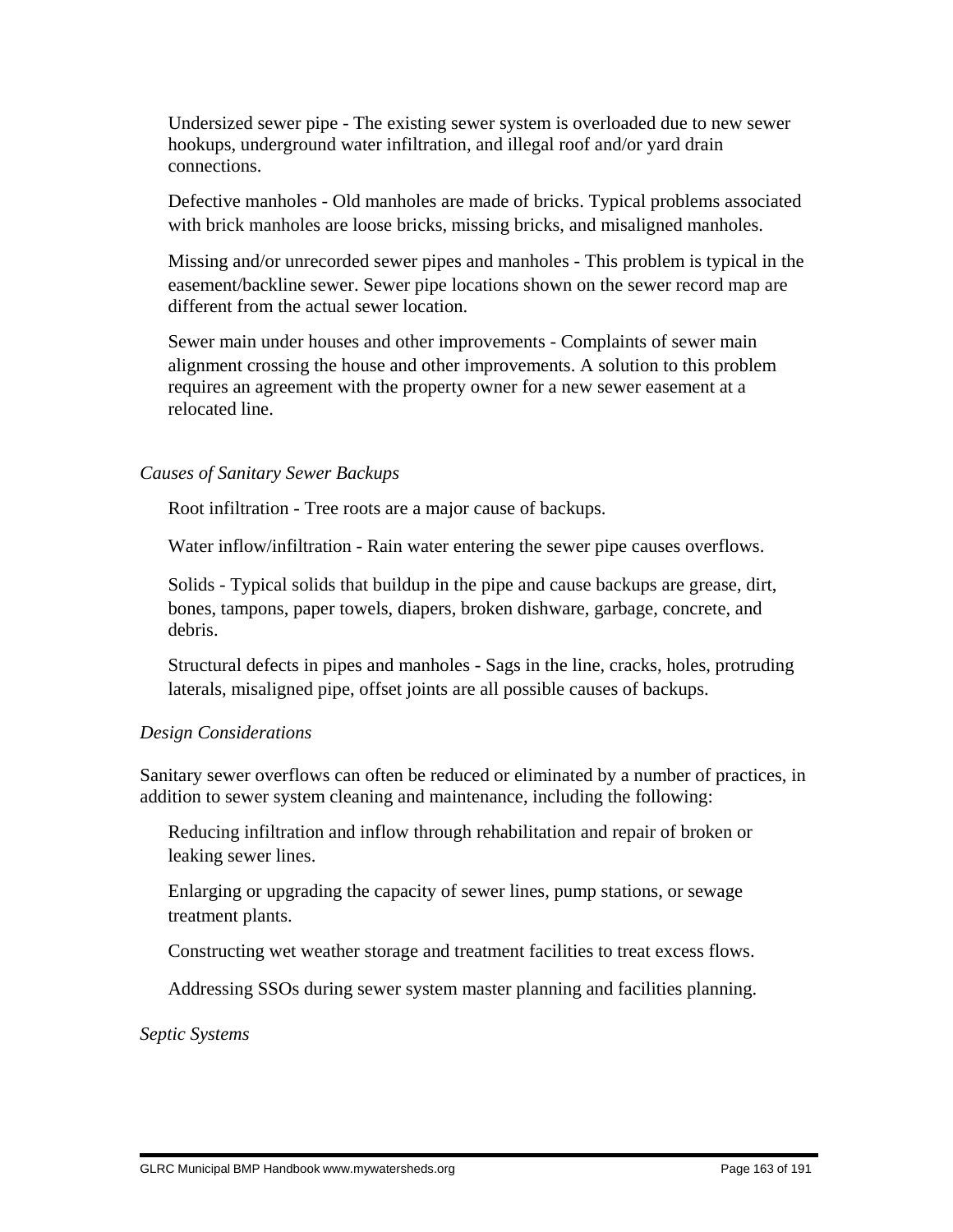Undersized sewer pipe - The existing sewer system is overloaded due to new sewer hookups, underground water infiltration, and illegal roof and/or yard drain connections.

 Defective manholes - Old manholes are made of bricks. Typical problems associated with brick manholes are loose bricks, missing bricks, and misaligned manholes.

 Missing and/or unrecorded sewer pipes and manholes - This problem is typical in the easement/backline sewer. Sewer pipe locations shown on the sewer record map are different from the actual sewer location.

 Sewer main under houses and other improvements - Complaints of sewer main alignment crossing the house and other improvements. A solution to this problem requires an agreement with the property owner for a new sewer easement at a relocated line.

#### *Causes of Sanitary Sewer Backups*

Root infiltration - Tree roots are a major cause of backups.

Water inflow/infiltration - Rain water entering the sewer pipe causes overflows.

 Solids - Typical solids that buildup in the pipe and cause backups are grease, dirt, bones, tampons, paper towels, diapers, broken dishware, garbage, concrete, and debris.

 Structural defects in pipes and manholes - Sags in the line, cracks, holes, protruding laterals, misaligned pipe, offset joints are all possible causes of backups.

#### *Design Considerations*

Sanitary sewer overflows can often be reduced or eliminated by a number of practices, in addition to sewer system cleaning and maintenance, including the following:

 Reducing infiltration and inflow through rehabilitation and repair of broken or leaking sewer lines.

 Enlarging or upgrading the capacity of sewer lines, pump stations, or sewage treatment plants.

Constructing wet weather storage and treatment facilities to treat excess flows.

Addressing SSOs during sewer system master planning and facilities planning.

*Septic Systems*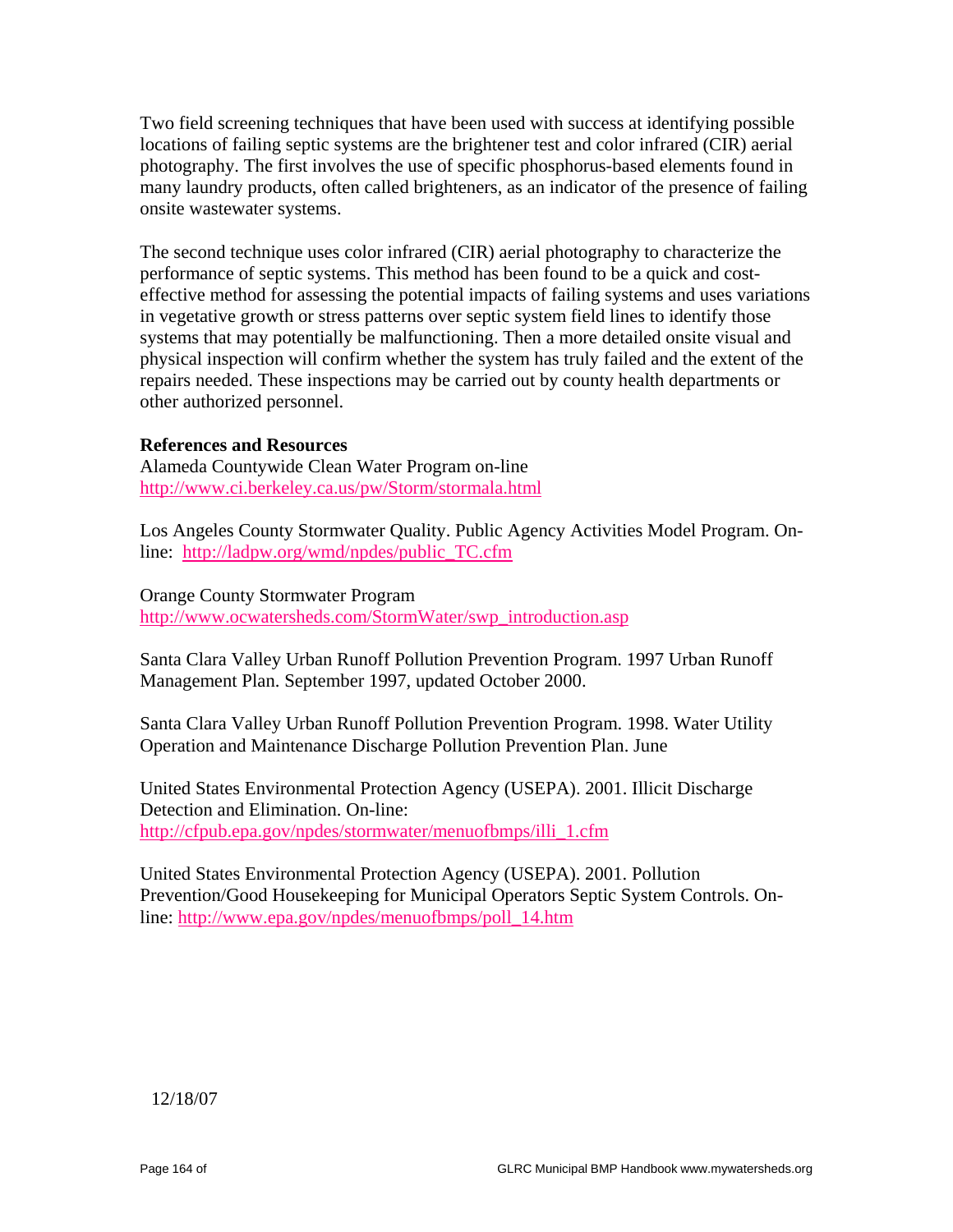Two field screening techniques that have been used with success at identifying possible locations of failing septic systems are the brightener test and color infrared (CIR) aerial photography. The first involves the use of specific phosphorus-based elements found in many laundry products, often called brighteners, as an indicator of the presence of failing onsite wastewater systems.

The second technique uses color infrared (CIR) aerial photography to characterize the performance of septic systems. This method has been found to be a quick and costeffective method for assessing the potential impacts of failing systems and uses variations in vegetative growth or stress patterns over septic system field lines to identify those systems that may potentially be malfunctioning. Then a more detailed onsite visual and physical inspection will confirm whether the system has truly failed and the extent of the repairs needed. These inspections may be carried out by county health departments or other authorized personnel.

#### **References and Resources**

Alameda Countywide Clean Water Program on-line http://www.ci.berkeley.ca.us/pw/Storm/stormala.html

Los Angeles County Stormwater Quality. Public Agency Activities Model Program. Online: http://ladpw.org/wmd/npdes/public\_TC.cfm

Orange County Stormwater Program http://www.ocwatersheds.com/StormWater/swp\_introduction.asp

Santa Clara Valley Urban Runoff Pollution Prevention Program. 1997 Urban Runoff Management Plan. September 1997, updated October 2000.

Santa Clara Valley Urban Runoff Pollution Prevention Program. 1998. Water Utility Operation and Maintenance Discharge Pollution Prevention Plan. June

United States Environmental Protection Agency (USEPA). 2001. Illicit Discharge Detection and Elimination. On-line: http://cfpub.epa.gov/npdes/stormwater/menuofbmps/illi\_1.cfm

United States Environmental Protection Agency (USEPA). 2001. Pollution Prevention/Good Housekeeping for Municipal Operators Septic System Controls. Online: http://www.epa.gov/npdes/menuofbmps/poll\_14.htm

12/18/07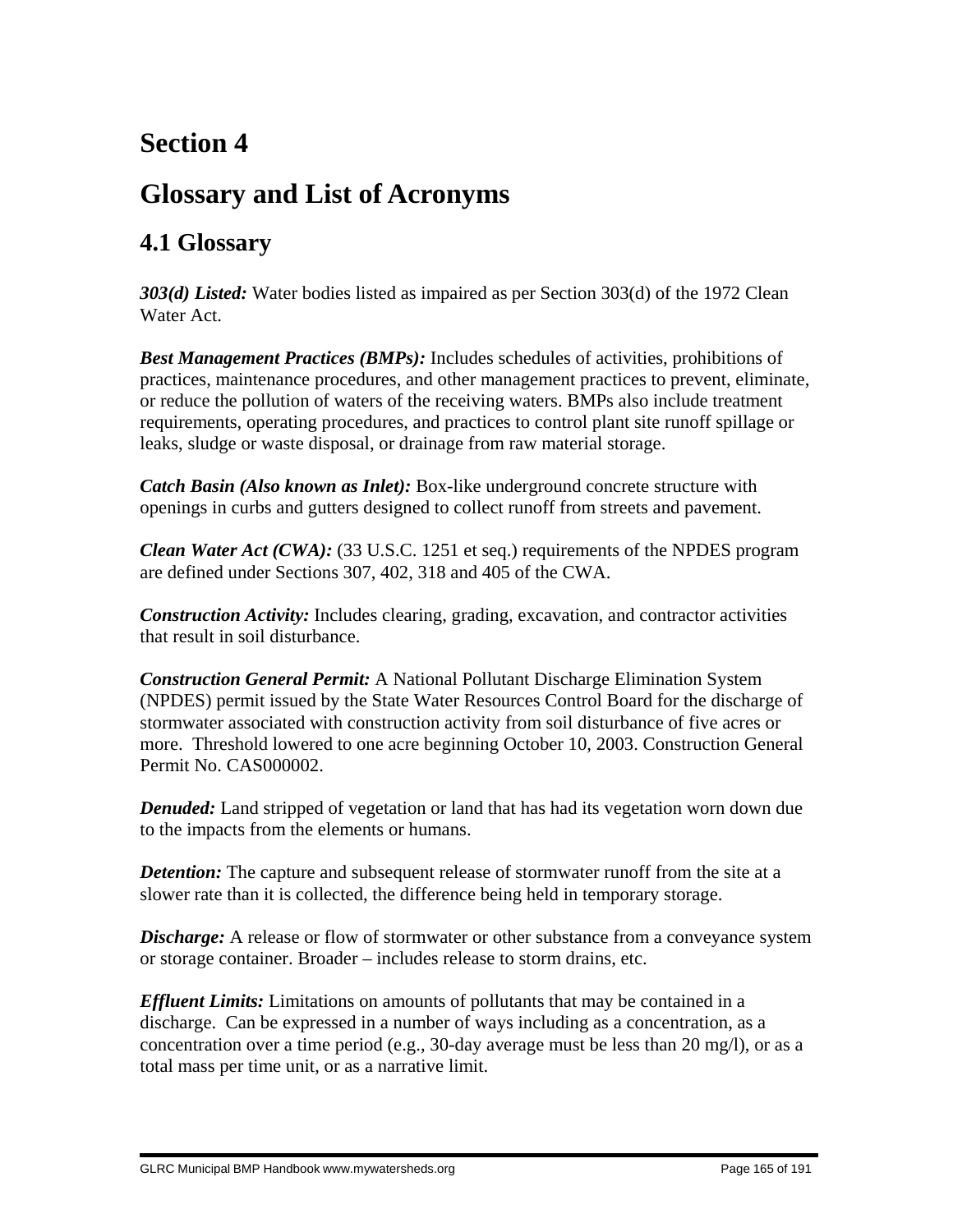# **Section 4**

# **Glossary and List of Acronyms**

## **4.1 Glossary**

*303(d) Listed:* Water bodies listed as impaired as per Section 303(d) of the 1972 Clean Water Act.

*Best Management Practices (BMPs):* Includes schedules of activities, prohibitions of practices, maintenance procedures, and other management practices to prevent, eliminate, or reduce the pollution of waters of the receiving waters. BMPs also include treatment requirements, operating procedures, and practices to control plant site runoff spillage or leaks, sludge or waste disposal, or drainage from raw material storage.

*Catch Basin (Also known as Inlet):* Box-like underground concrete structure with openings in curbs and gutters designed to collect runoff from streets and pavement.

*Clean Water Act (CWA):* (33 U.S.C. 1251 et seq.) requirements of the NPDES program are defined under Sections 307, 402, 318 and 405 of the CWA.

*Construction Activity:* Includes clearing, grading, excavation, and contractor activities that result in soil disturbance.

*Construction General Permit:* A National Pollutant Discharge Elimination System (NPDES) permit issued by the State Water Resources Control Board for the discharge of stormwater associated with construction activity from soil disturbance of five acres or more. Threshold lowered to one acre beginning October 10, 2003. Construction General Permit No. CAS000002.

*Denuded:* Land stripped of vegetation or land that has had its vegetation worn down due to the impacts from the elements or humans.

*Detention:* The capture and subsequent release of stormwater runoff from the site at a slower rate than it is collected, the difference being held in temporary storage.

*Discharge:* A release or flow of stormwater or other substance from a conveyance system or storage container. Broader – includes release to storm drains, etc.

*Effluent Limits:* Limitations on amounts of pollutants that may be contained in a discharge. Can be expressed in a number of ways including as a concentration, as a concentration over a time period (e.g., 30-day average must be less than 20 mg/l), or as a total mass per time unit, or as a narrative limit.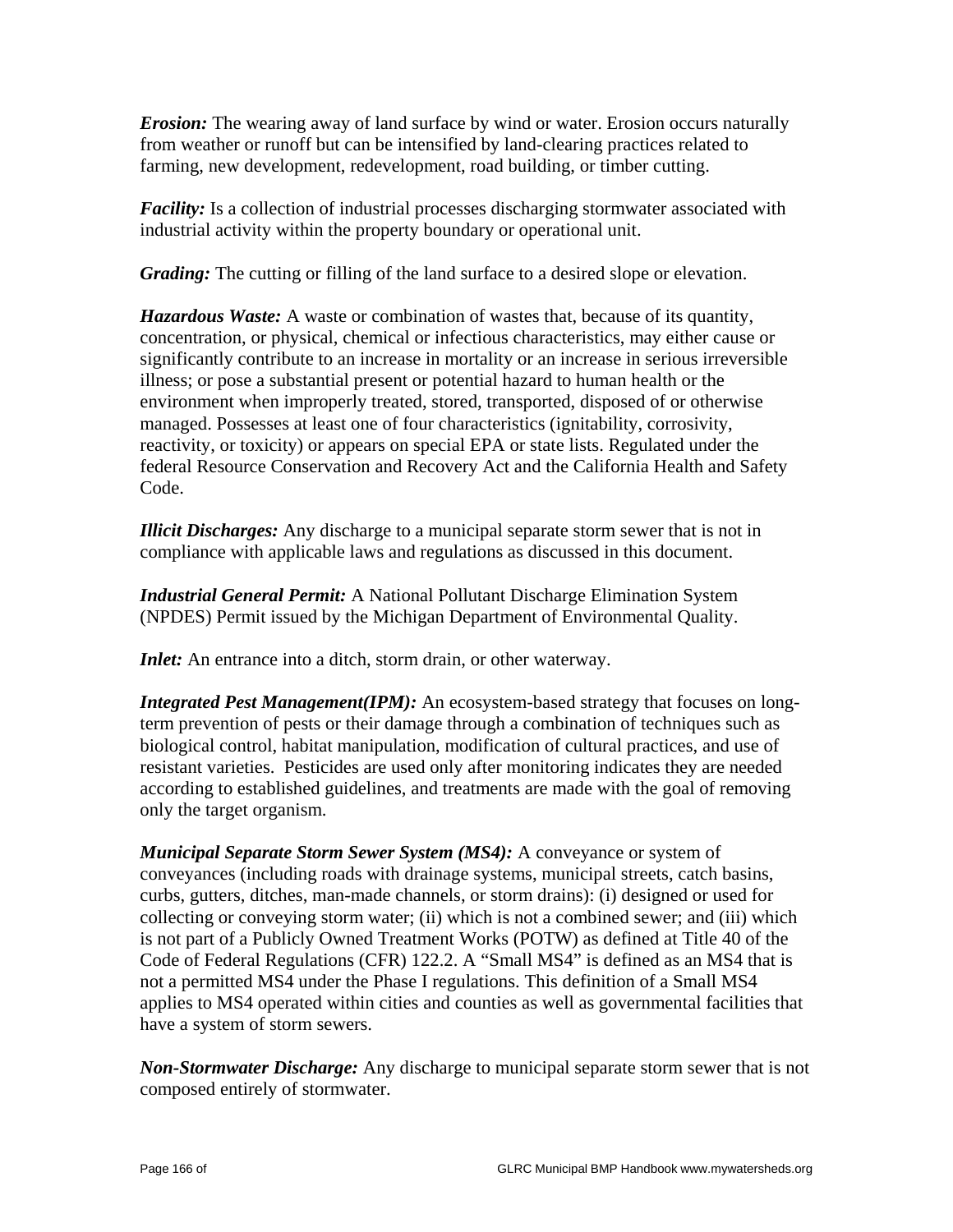*Erosion:* The wearing away of land surface by wind or water. Erosion occurs naturally from weather or runoff but can be intensified by land-clearing practices related to farming, new development, redevelopment, road building, or timber cutting.

*Facility:* Is a collection of industrial processes discharging stormwater associated with industrial activity within the property boundary or operational unit.

*Grading:* The cutting or filling of the land surface to a desired slope or elevation.

*Hazardous Waste:* A waste or combination of wastes that, because of its quantity, concentration, or physical, chemical or infectious characteristics, may either cause or significantly contribute to an increase in mortality or an increase in serious irreversible illness; or pose a substantial present or potential hazard to human health or the environment when improperly treated, stored, transported, disposed of or otherwise managed. Possesses at least one of four characteristics (ignitability, corrosivity, reactivity, or toxicity) or appears on special EPA or state lists. Regulated under the federal Resource Conservation and Recovery Act and the California Health and Safety Code.

*Illicit Discharges:* Any discharge to a municipal separate storm sewer that is not in compliance with applicable laws and regulations as discussed in this document.

*Industrial General Permit:* A National Pollutant Discharge Elimination System (NPDES) Permit issued by the Michigan Department of Environmental Quality.

*Inlet:* An entrance into a ditch, storm drain, or other waterway.

*Integrated Pest Management(IPM):* An ecosystem-based strategy that focuses on longterm prevention of pests or their damage through a combination of techniques such as biological control, habitat manipulation, modification of cultural practices, and use of resistant varieties. Pesticides are used only after monitoring indicates they are needed according to established guidelines, and treatments are made with the goal of removing only the target organism.

*Municipal Separate Storm Sewer System (MS4):* A conveyance or system of conveyances (including roads with drainage systems, municipal streets, catch basins, curbs, gutters, ditches, man-made channels, or storm drains): (i) designed or used for collecting or conveying storm water; (ii) which is not a combined sewer; and (iii) which is not part of a Publicly Owned Treatment Works (POTW) as defined at Title 40 of the Code of Federal Regulations (CFR) 122.2. A "Small MS4" is defined as an MS4 that is not a permitted MS4 under the Phase I regulations. This definition of a Small MS4 applies to MS4 operated within cities and counties as well as governmental facilities that have a system of storm sewers.

*Non-Stormwater Discharge:* Any discharge to municipal separate storm sewer that is not composed entirely of stormwater.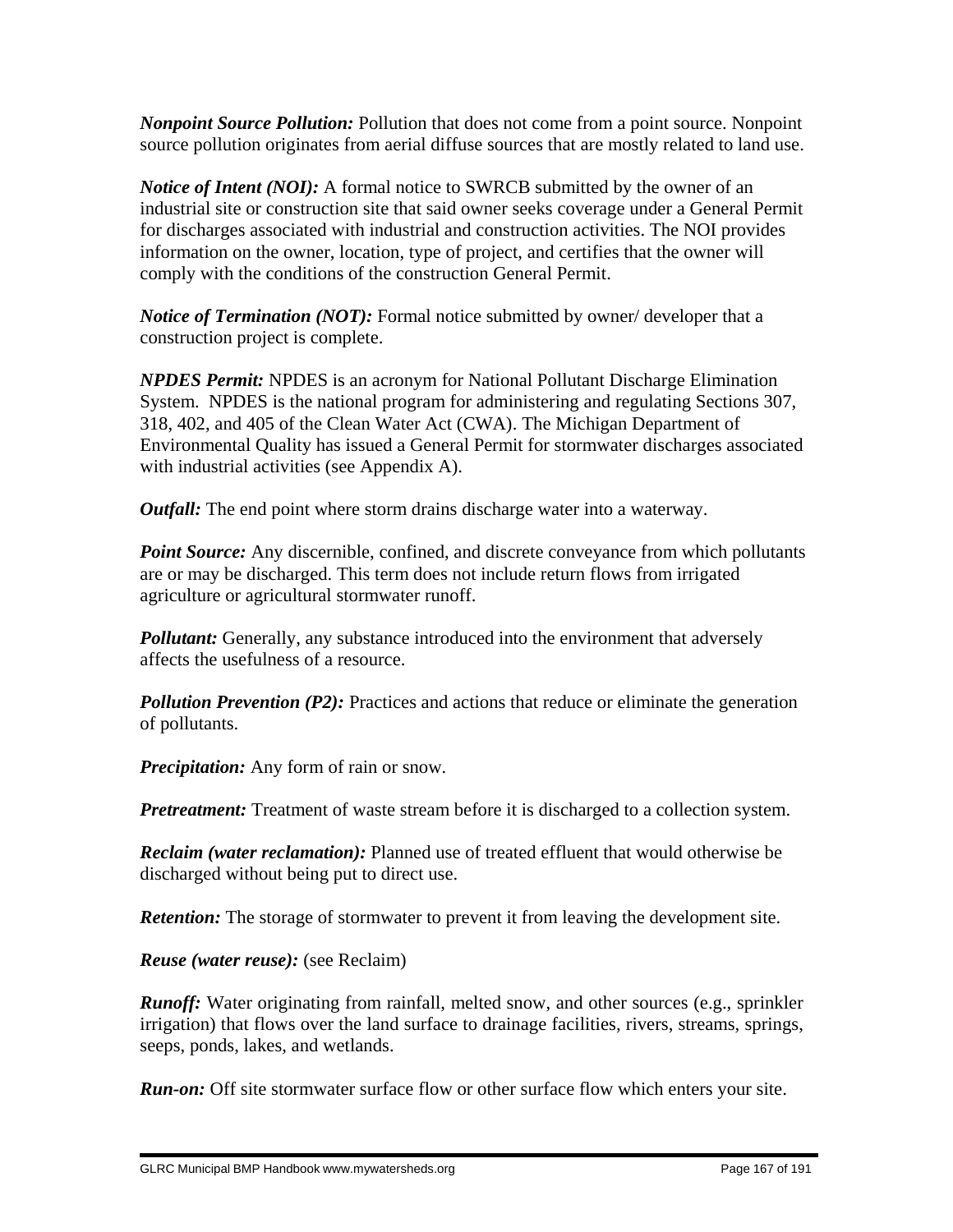*Nonpoint Source Pollution:* Pollution that does not come from a point source. Nonpoint source pollution originates from aerial diffuse sources that are mostly related to land use.

*Notice of Intent (NOI):* A formal notice to SWRCB submitted by the owner of an industrial site or construction site that said owner seeks coverage under a General Permit for discharges associated with industrial and construction activities. The NOI provides information on the owner, location, type of project, and certifies that the owner will comply with the conditions of the construction General Permit.

*Notice of Termination (NOT):* Formal notice submitted by owner/ developer that a construction project is complete.

*NPDES Permit:* NPDES is an acronym for National Pollutant Discharge Elimination System. NPDES is the national program for administering and regulating Sections 307, 318, 402, and 405 of the Clean Water Act (CWA). The Michigan Department of Environmental Quality has issued a General Permit for stormwater discharges associated with industrial activities (see Appendix A).

*Outfall:* The end point where storm drains discharge water into a waterway.

*Point Source:* Any discernible, confined, and discrete conveyance from which pollutants are or may be discharged. This term does not include return flows from irrigated agriculture or agricultural stormwater runoff.

**Pollutant:** Generally, any substance introduced into the environment that adversely affects the usefulness of a resource.

*Pollution Prevention (P2):* Practices and actions that reduce or eliminate the generation of pollutants.

*Precipitation:* Any form of rain or snow.

*Pretreatment:* Treatment of waste stream before it is discharged to a collection system.

*Reclaim (water reclamation):* Planned use of treated effluent that would otherwise be discharged without being put to direct use.

*Retention:* The storage of stormwater to prevent it from leaving the development site.

*Reuse (water reuse):* (see Reclaim)

*Runoff:* Water originating from rainfall, melted snow, and other sources (e.g., sprinkler irrigation) that flows over the land surface to drainage facilities, rivers, streams, springs, seeps, ponds, lakes, and wetlands.

*Run-on:* Off site stormwater surface flow or other surface flow which enters your site.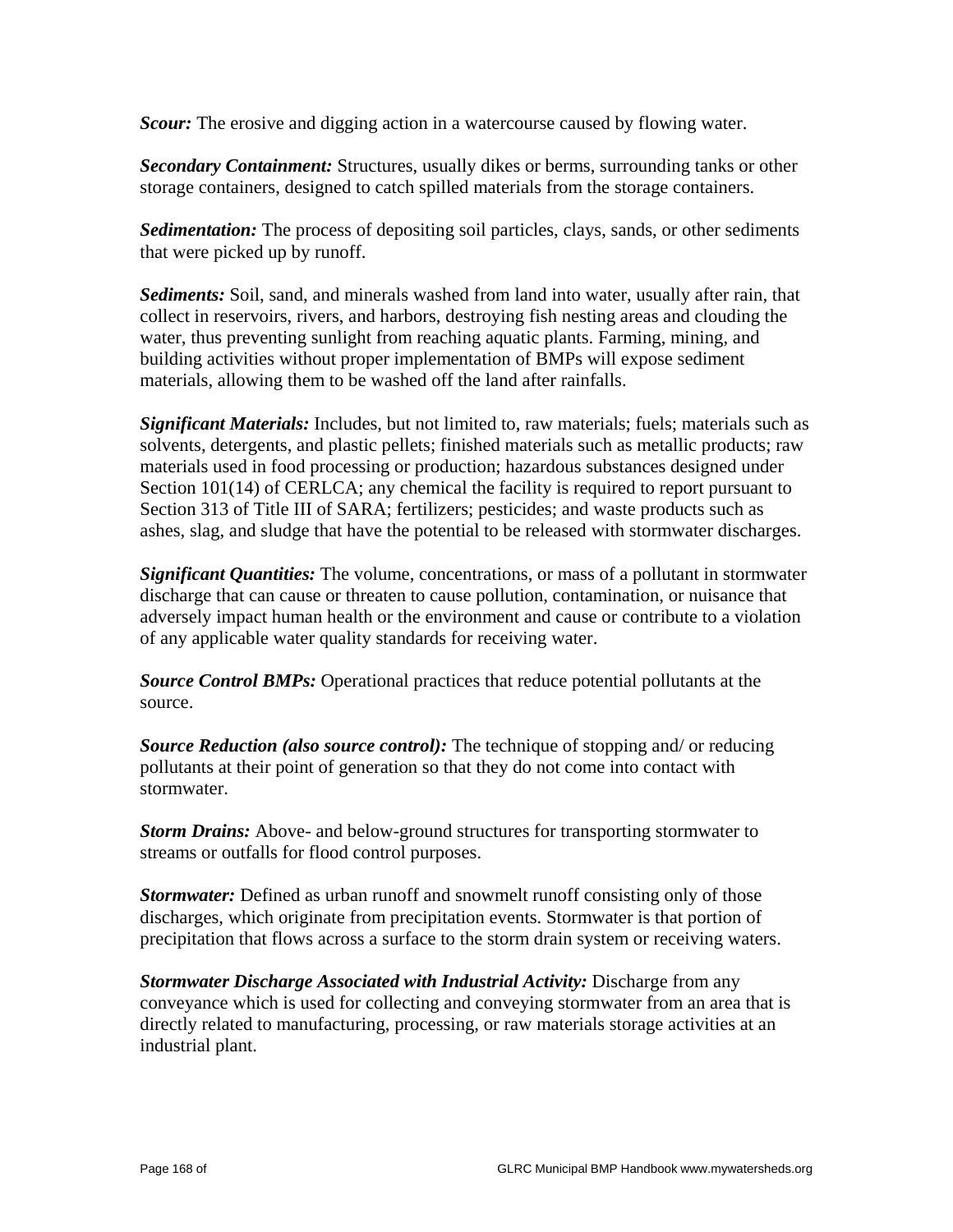*Scour:* The erosive and digging action in a watercourse caused by flowing water.

*Secondary Containment:* Structures, usually dikes or berms, surrounding tanks or other storage containers, designed to catch spilled materials from the storage containers.

*Sedimentation:* The process of depositing soil particles, clays, sands, or other sediments that were picked up by runoff.

*Sediments:* Soil, sand, and minerals washed from land into water, usually after rain, that collect in reservoirs, rivers, and harbors, destroying fish nesting areas and clouding the water, thus preventing sunlight from reaching aquatic plants. Farming, mining, and building activities without proper implementation of BMPs will expose sediment materials, allowing them to be washed off the land after rainfalls.

*Significant Materials:* Includes, but not limited to, raw materials; fuels; materials such as solvents, detergents, and plastic pellets; finished materials such as metallic products; raw materials used in food processing or production; hazardous substances designed under Section 101(14) of CERLCA; any chemical the facility is required to report pursuant to Section 313 of Title III of SARA; fertilizers; pesticides; and waste products such as ashes, slag, and sludge that have the potential to be released with stormwater discharges.

*Significant Quantities:* The volume, concentrations, or mass of a pollutant in stormwater discharge that can cause or threaten to cause pollution, contamination, or nuisance that adversely impact human health or the environment and cause or contribute to a violation of any applicable water quality standards for receiving water.

*Source Control BMPs:* Operational practices that reduce potential pollutants at the source.

*Source Reduction (also source control):* The technique of stopping and/ or reducing pollutants at their point of generation so that they do not come into contact with stormwater.

*Storm Drains:* Above- and below-ground structures for transporting stormwater to streams or outfalls for flood control purposes.

*Stormwater:* Defined as urban runoff and snowmelt runoff consisting only of those discharges, which originate from precipitation events. Stormwater is that portion of precipitation that flows across a surface to the storm drain system or receiving waters.

*Stormwater Discharge Associated with Industrial Activity:* Discharge from any conveyance which is used for collecting and conveying stormwater from an area that is directly related to manufacturing, processing, or raw materials storage activities at an industrial plant.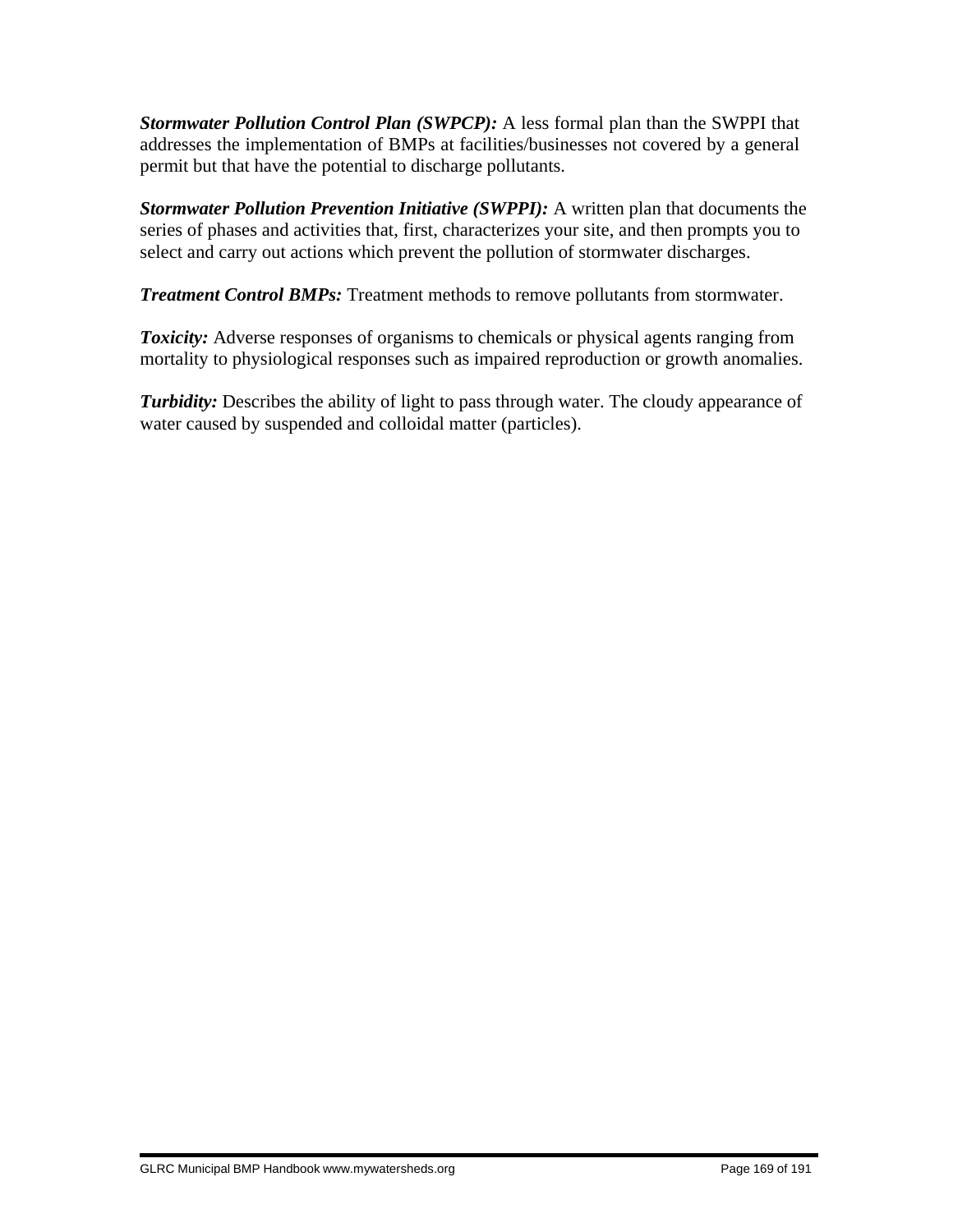*Stormwater Pollution Control Plan (SWPCP):* A less formal plan than the SWPPI that addresses the implementation of BMPs at facilities/businesses not covered by a general permit but that have the potential to discharge pollutants.

*Stormwater Pollution Prevention Initiative (SWPPI):* A written plan that documents the series of phases and activities that, first, characterizes your site, and then prompts you to select and carry out actions which prevent the pollution of stormwater discharges.

*Treatment Control BMPs:* Treatment methods to remove pollutants from stormwater.

**Toxicity:** Adverse responses of organisms to chemicals or physical agents ranging from mortality to physiological responses such as impaired reproduction or growth anomalies.

**Turbidity:** Describes the ability of light to pass through water. The cloudy appearance of water caused by suspended and colloidal matter (particles).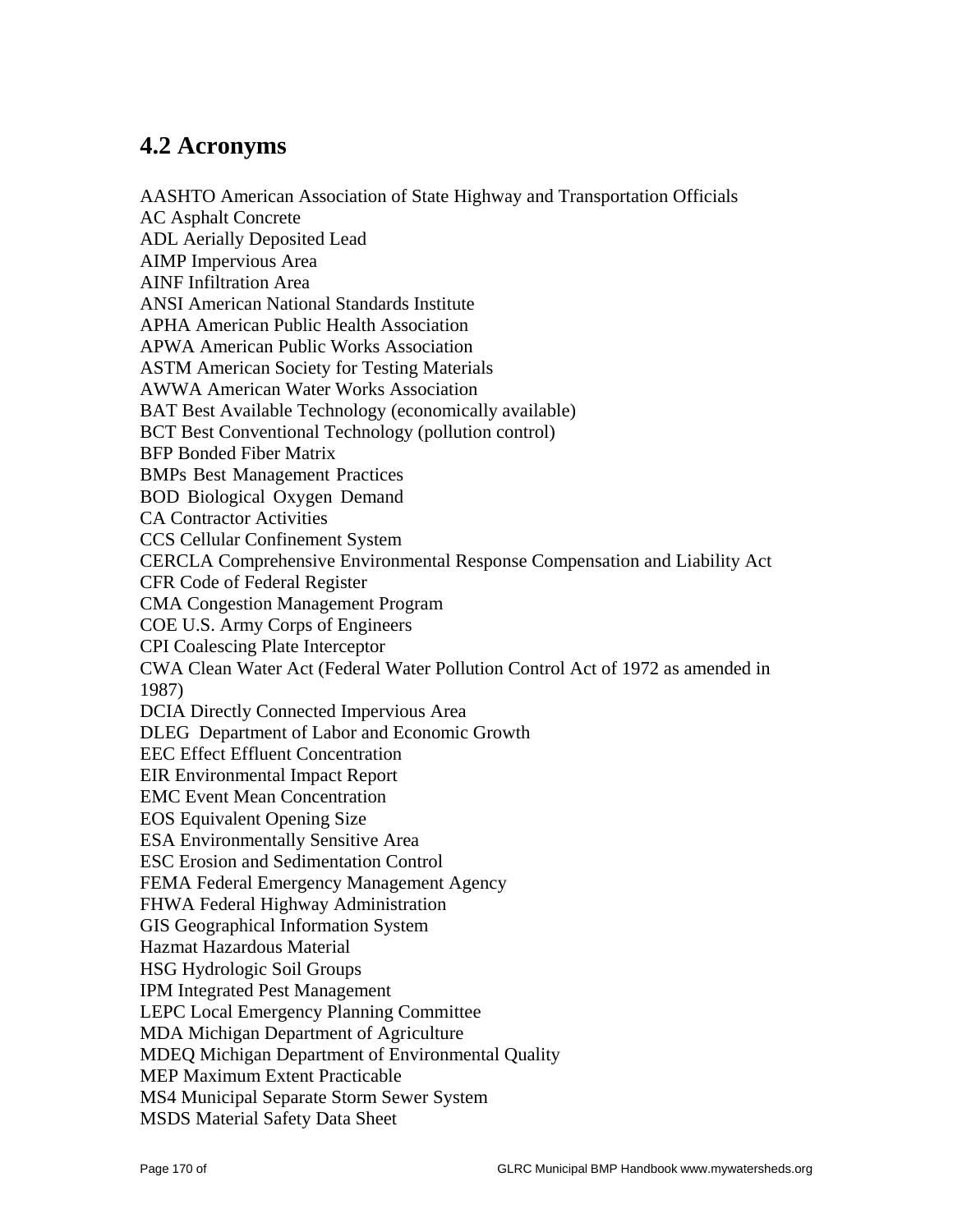### **4.2 Acronyms**

AASHTO American Association of State Highway and Transportation Officials AC Asphalt Concrete ADL Aerially Deposited Lead AIMP Impervious Area AINF Infiltration Area ANSI American National Standards Institute APHA American Public Health Association APWA American Public Works Association ASTM American Society for Testing Materials AWWA American Water Works Association BAT Best Available Technology (economically available) BCT Best Conventional Technology (pollution control) BFP Bonded Fiber Matrix BMPs Best Management Practices BOD Biological Oxygen Demand CA Contractor Activities CCS Cellular Confinement System CERCLA Comprehensive Environmental Response Compensation and Liability Act CFR Code of Federal Register CMA Congestion Management Program COE U.S. Army Corps of Engineers CPI Coalescing Plate Interceptor CWA Clean Water Act (Federal Water Pollution Control Act of 1972 as amended in 1987) DCIA Directly Connected Impervious Area DLEG Department of Labor and Economic Growth EEC Effect Effluent Concentration EIR Environmental Impact Report EMC Event Mean Concentration EOS Equivalent Opening Size ESA Environmentally Sensitive Area ESC Erosion and Sedimentation Control FEMA Federal Emergency Management Agency FHWA Federal Highway Administration GIS Geographical Information System Hazmat Hazardous Material HSG Hydrologic Soil Groups IPM Integrated Pest Management LEPC Local Emergency Planning Committee MDA Michigan Department of Agriculture MDEQ Michigan Department of Environmental Quality MEP Maximum Extent Practicable MS4 Municipal Separate Storm Sewer System MSDS Material Safety Data Sheet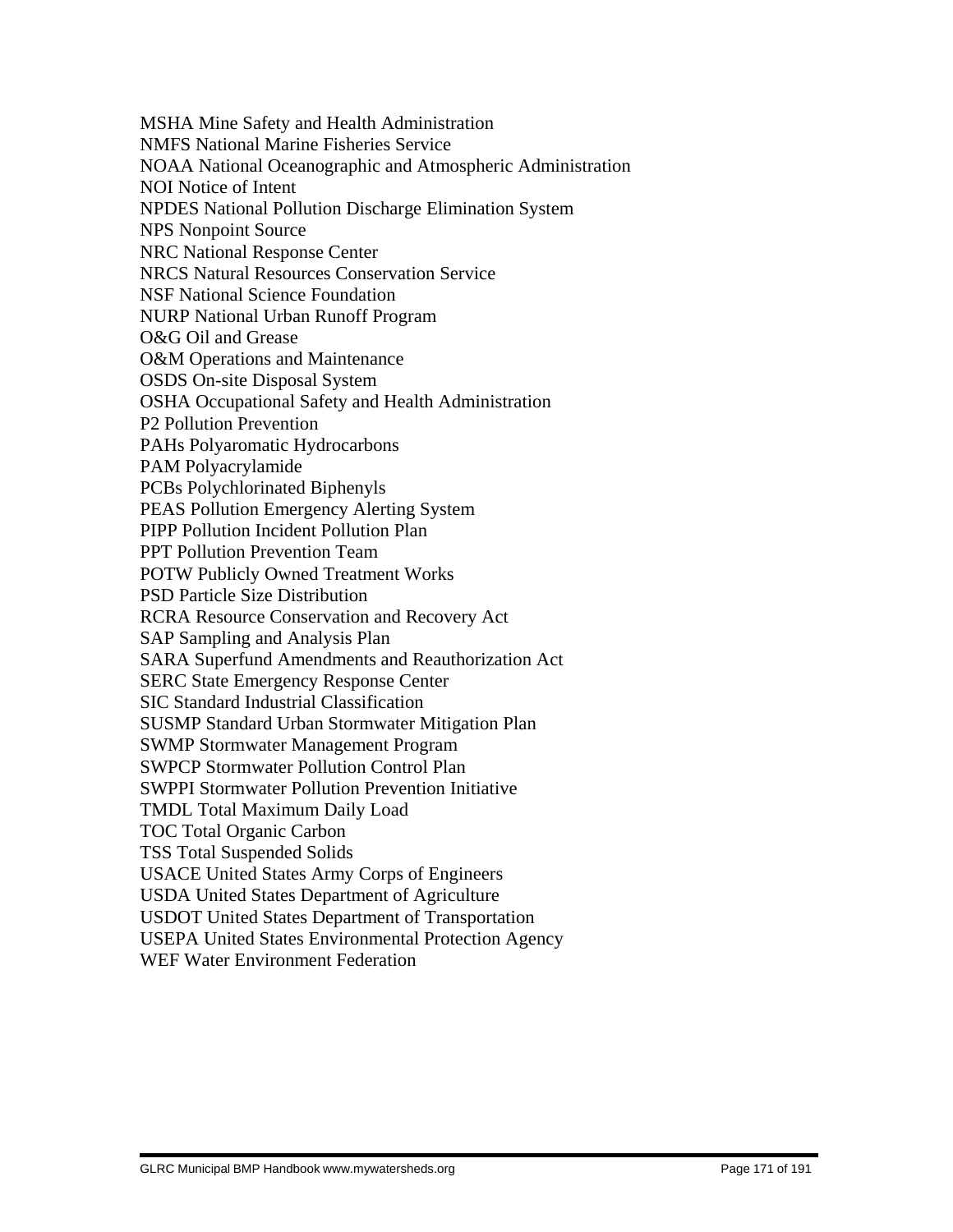MSHA Mine Safety and Health Administration NMFS National Marine Fisheries Service NOAA National Oceanographic and Atmospheric Administration NOI Notice of Intent NPDES National Pollution Discharge Elimination System NPS Nonpoint Source NRC National Response Center NRCS Natural Resources Conservation Service NSF National Science Foundation NURP National Urban Runoff Program O&G Oil and Grease O&M Operations and Maintenance OSDS On-site Disposal System OSHA Occupational Safety and Health Administration P2 Pollution Prevention PAHs Polyaromatic Hydrocarbons PAM Polyacrylamide PCBs Polychlorinated Biphenyls PEAS Pollution Emergency Alerting System PIPP Pollution Incident Pollution Plan PPT Pollution Prevention Team POTW Publicly Owned Treatment Works PSD Particle Size Distribution RCRA Resource Conservation and Recovery Act SAP Sampling and Analysis Plan SARA Superfund Amendments and Reauthorization Act SERC State Emergency Response Center SIC Standard Industrial Classification SUSMP Standard Urban Stormwater Mitigation Plan SWMP Stormwater Management Program SWPCP Stormwater Pollution Control Plan SWPPI Stormwater Pollution Prevention Initiative TMDL Total Maximum Daily Load TOC Total Organic Carbon TSS Total Suspended Solids USACE United States Army Corps of Engineers USDA United States Department of Agriculture USDOT United States Department of Transportation USEPA United States Environmental Protection Agency WEF Water Environment Federation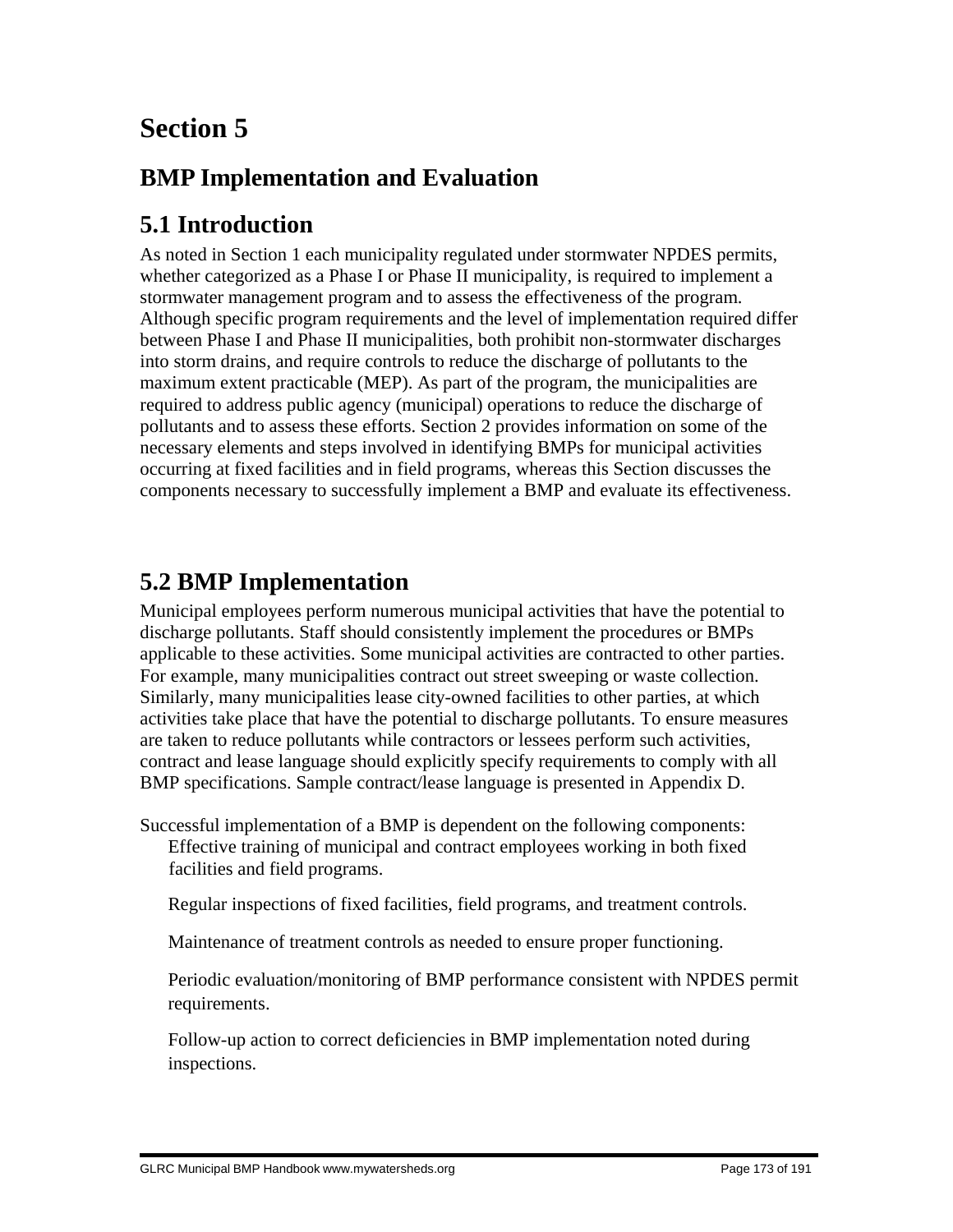# **Section 5**

## **BMP Implementation and Evaluation**

## **5.1 Introduction**

As noted in Section 1 each municipality regulated under stormwater NPDES permits, whether categorized as a Phase I or Phase II municipality, is required to implement a stormwater management program and to assess the effectiveness of the program. Although specific program requirements and the level of implementation required differ between Phase I and Phase II municipalities, both prohibit non-stormwater discharges into storm drains, and require controls to reduce the discharge of pollutants to the maximum extent practicable (MEP). As part of the program, the municipalities are required to address public agency (municipal) operations to reduce the discharge of pollutants and to assess these efforts. Section 2 provides information on some of the necessary elements and steps involved in identifying BMPs for municipal activities occurring at fixed facilities and in field programs, whereas this Section discusses the components necessary to successfully implement a BMP and evaluate its effectiveness.

## **5.2 BMP Implementation**

Municipal employees perform numerous municipal activities that have the potential to discharge pollutants. Staff should consistently implement the procedures or BMPs applicable to these activities. Some municipal activities are contracted to other parties. For example, many municipalities contract out street sweeping or waste collection. Similarly, many municipalities lease city-owned facilities to other parties, at which activities take place that have the potential to discharge pollutants. To ensure measures are taken to reduce pollutants while contractors or lessees perform such activities, contract and lease language should explicitly specify requirements to comply with all BMP specifications. Sample contract/lease language is presented in Appendix D.

Successful implementation of a BMP is dependent on the following components: Effective training of municipal and contract employees working in both fixed facilities and field programs.

Regular inspections of fixed facilities, field programs, and treatment controls.

Maintenance of treatment controls as needed to ensure proper functioning.

 Periodic evaluation/monitoring of BMP performance consistent with NPDES permit requirements.

 Follow-up action to correct deficiencies in BMP implementation noted during inspections.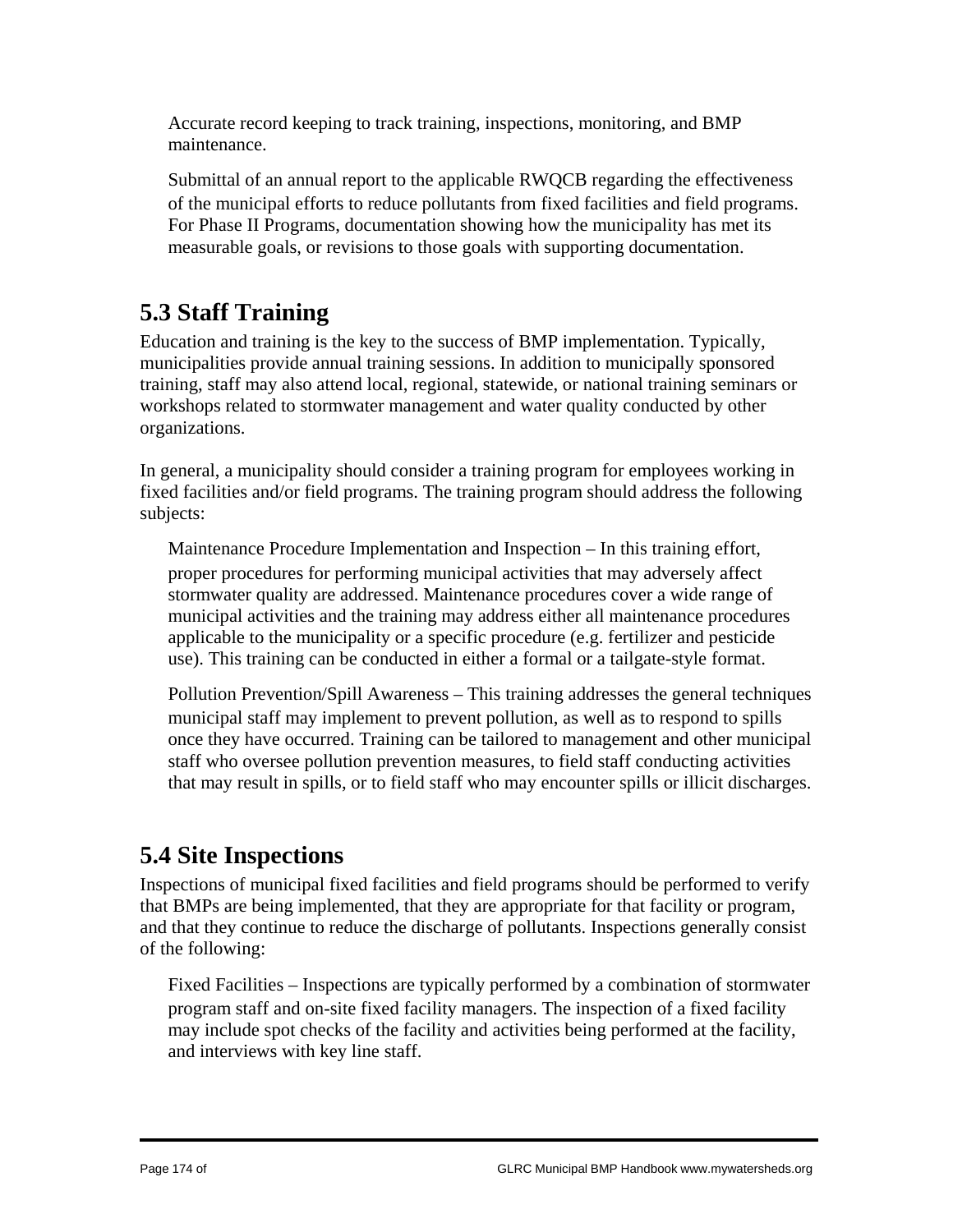Accurate record keeping to track training, inspections, monitoring, and BMP maintenance.

 Submittal of an annual report to the applicable RWQCB regarding the effectiveness of the municipal efforts to reduce pollutants from fixed facilities and field programs. For Phase II Programs, documentation showing how the municipality has met its measurable goals, or revisions to those goals with supporting documentation.

## **5.3 Staff Training**

Education and training is the key to the success of BMP implementation. Typically, municipalities provide annual training sessions. In addition to municipally sponsored training, staff may also attend local, regional, statewide, or national training seminars or workshops related to stormwater management and water quality conducted by other organizations.

In general, a municipality should consider a training program for employees working in fixed facilities and/or field programs. The training program should address the following subjects:

 Maintenance Procedure Implementation and Inspection – In this training effort, proper procedures for performing municipal activities that may adversely affect stormwater quality are addressed. Maintenance procedures cover a wide range of municipal activities and the training may address either all maintenance procedures applicable to the municipality or a specific procedure (e.g. fertilizer and pesticide use). This training can be conducted in either a formal or a tailgate-style format.

 Pollution Prevention/Spill Awareness – This training addresses the general techniques municipal staff may implement to prevent pollution, as well as to respond to spills once they have occurred. Training can be tailored to management and other municipal staff who oversee pollution prevention measures, to field staff conducting activities that may result in spills, or to field staff who may encounter spills or illicit discharges.

## **5.4 Site Inspections**

Inspections of municipal fixed facilities and field programs should be performed to verify that BMPs are being implemented, that they are appropriate for that facility or program, and that they continue to reduce the discharge of pollutants. Inspections generally consist of the following:

 Fixed Facilities – Inspections are typically performed by a combination of stormwater program staff and on-site fixed facility managers. The inspection of a fixed facility may include spot checks of the facility and activities being performed at the facility, and interviews with key line staff.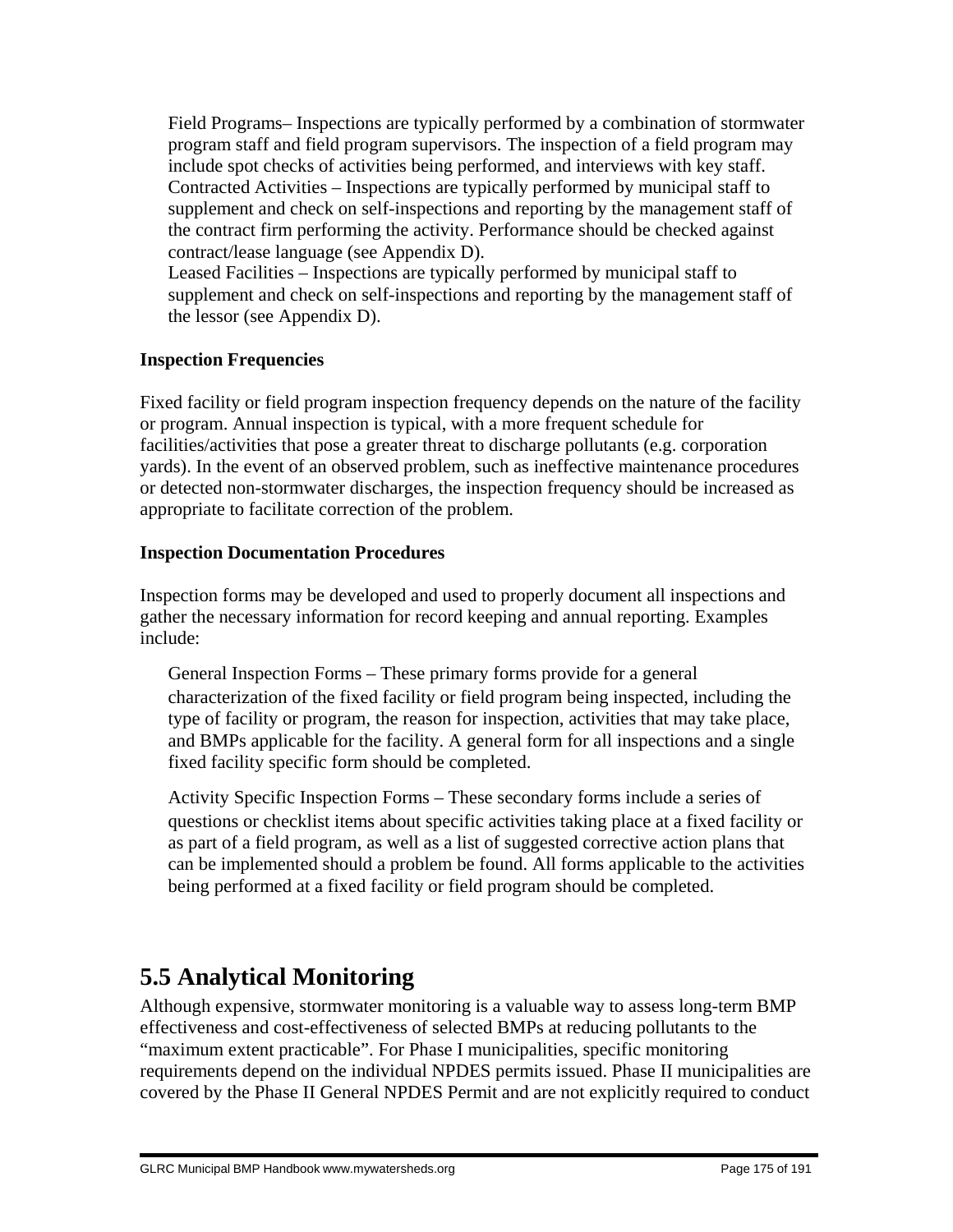Field Programs– Inspections are typically performed by a combination of stormwater program staff and field program supervisors. The inspection of a field program may include spot checks of activities being performed, and interviews with key staff. Contracted Activities – Inspections are typically performed by municipal staff to supplement and check on self-inspections and reporting by the management staff of the contract firm performing the activity. Performance should be checked against contract/lease language (see Appendix D).

 Leased Facilities – Inspections are typically performed by municipal staff to supplement and check on self-inspections and reporting by the management staff of the lessor (see Appendix D).

#### **Inspection Frequencies**

Fixed facility or field program inspection frequency depends on the nature of the facility or program. Annual inspection is typical, with a more frequent schedule for facilities/activities that pose a greater threat to discharge pollutants (e.g. corporation yards). In the event of an observed problem, such as ineffective maintenance procedures or detected non-stormwater discharges, the inspection frequency should be increased as appropriate to facilitate correction of the problem.

#### **Inspection Documentation Procedures**

Inspection forms may be developed and used to properly document all inspections and gather the necessary information for record keeping and annual reporting. Examples include:

 General Inspection Forms – These primary forms provide for a general characterization of the fixed facility or field program being inspected, including the type of facility or program, the reason for inspection, activities that may take place, and BMPs applicable for the facility. A general form for all inspections and a single fixed facility specific form should be completed.

 Activity Specific Inspection Forms – These secondary forms include a series of questions or checklist items about specific activities taking place at a fixed facility or as part of a field program, as well as a list of suggested corrective action plans that can be implemented should a problem be found. All forms applicable to the activities being performed at a fixed facility or field program should be completed.

## **5.5 Analytical Monitoring**

Although expensive, stormwater monitoring is a valuable way to assess long-term BMP effectiveness and cost-effectiveness of selected BMPs at reducing pollutants to the "maximum extent practicable". For Phase I municipalities, specific monitoring requirements depend on the individual NPDES permits issued. Phase II municipalities are covered by the Phase II General NPDES Permit and are not explicitly required to conduct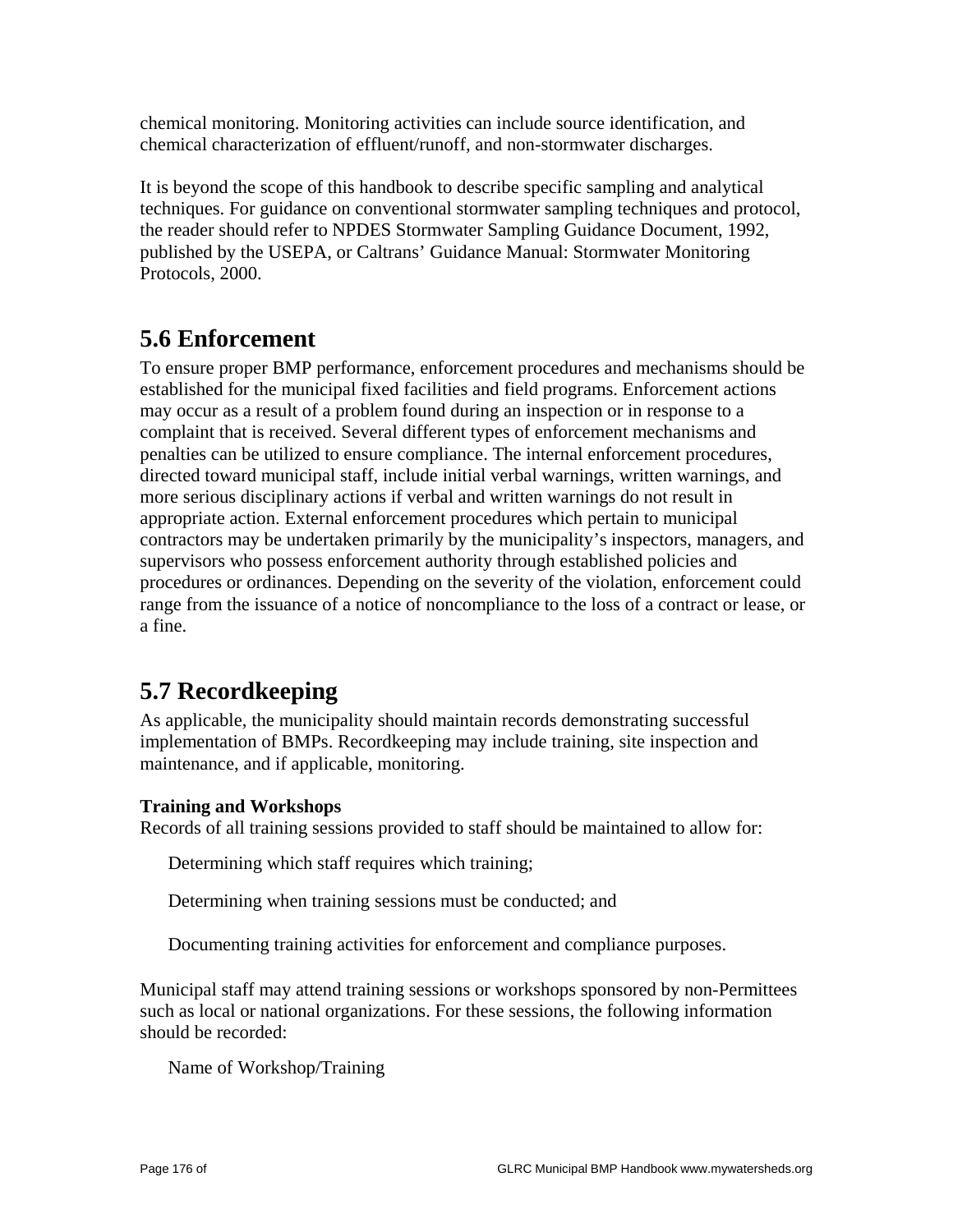chemical monitoring. Monitoring activities can include source identification, and chemical characterization of effluent/runoff, and non-stormwater discharges.

It is beyond the scope of this handbook to describe specific sampling and analytical techniques. For guidance on conventional stormwater sampling techniques and protocol, the reader should refer to NPDES Stormwater Sampling Guidance Document, 1992, published by the USEPA, or Caltrans' Guidance Manual: Stormwater Monitoring Protocols, 2000.

## **5.6 Enforcement**

To ensure proper BMP performance, enforcement procedures and mechanisms should be established for the municipal fixed facilities and field programs. Enforcement actions may occur as a result of a problem found during an inspection or in response to a complaint that is received. Several different types of enforcement mechanisms and penalties can be utilized to ensure compliance. The internal enforcement procedures, directed toward municipal staff, include initial verbal warnings, written warnings, and more serious disciplinary actions if verbal and written warnings do not result in appropriate action. External enforcement procedures which pertain to municipal contractors may be undertaken primarily by the municipality's inspectors, managers, and supervisors who possess enforcement authority through established policies and procedures or ordinances. Depending on the severity of the violation, enforcement could range from the issuance of a notice of noncompliance to the loss of a contract or lease, or a fine.

## **5.7 Recordkeeping**

As applicable, the municipality should maintain records demonstrating successful implementation of BMPs. Recordkeeping may include training, site inspection and maintenance, and if applicable, monitoring.

#### **Training and Workshops**

Records of all training sessions provided to staff should be maintained to allow for:

Determining which staff requires which training;

Determining when training sessions must be conducted; and

Documenting training activities for enforcement and compliance purposes.

Municipal staff may attend training sessions or workshops sponsored by non-Permittees such as local or national organizations. For these sessions, the following information should be recorded:

Name of Workshop/Training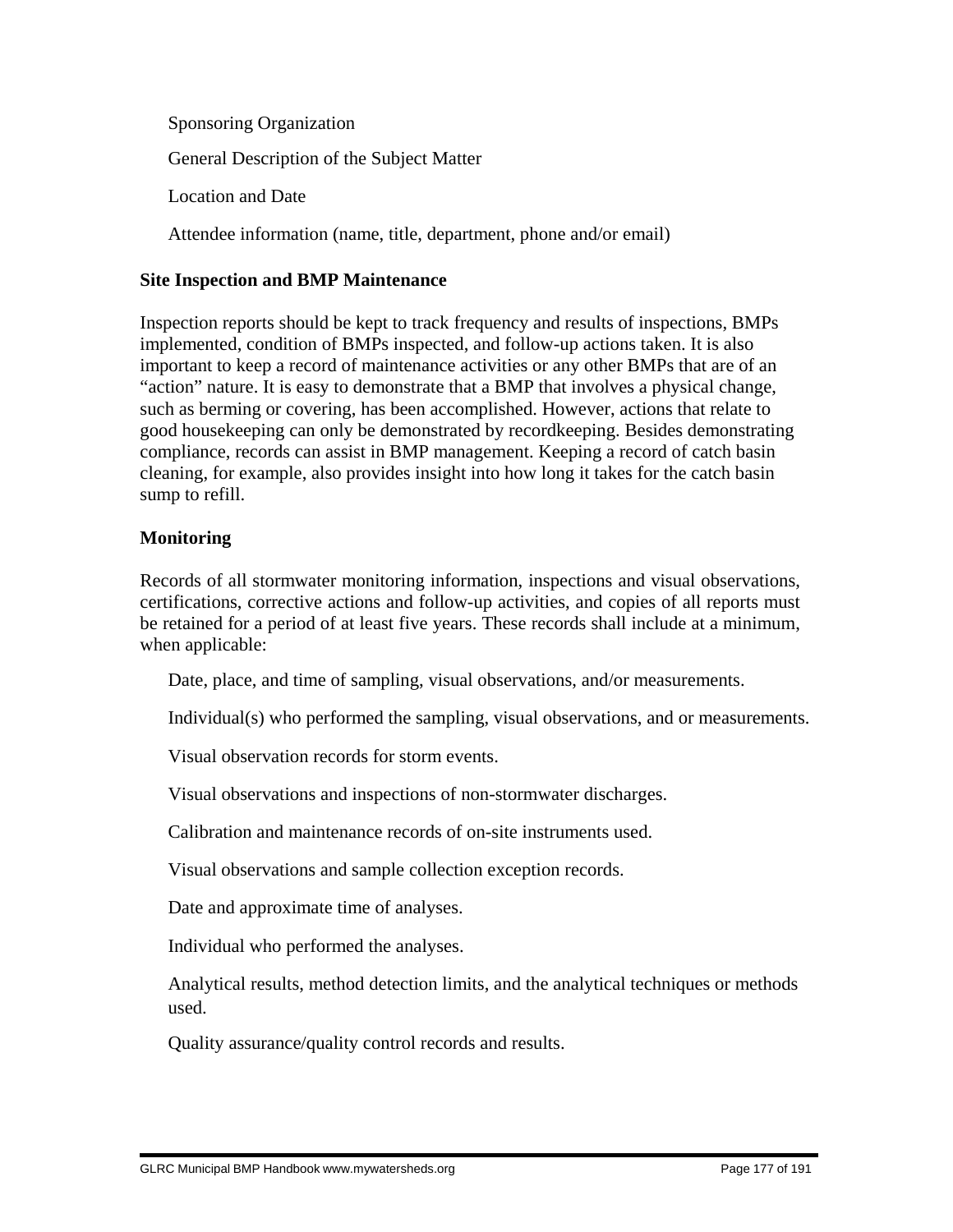Sponsoring Organization General Description of the Subject Matter Location and Date

Attendee information (name, title, department, phone and/or email)

#### **Site Inspection and BMP Maintenance**

Inspection reports should be kept to track frequency and results of inspections, BMPs implemented, condition of BMPs inspected, and follow-up actions taken. It is also important to keep a record of maintenance activities or any other BMPs that are of an "action" nature. It is easy to demonstrate that a BMP that involves a physical change, such as berming or covering, has been accomplished. However, actions that relate to good housekeeping can only be demonstrated by recordkeeping. Besides demonstrating compliance, records can assist in BMP management. Keeping a record of catch basin cleaning, for example, also provides insight into how long it takes for the catch basin sump to refill.

#### **Monitoring**

Records of all stormwater monitoring information, inspections and visual observations, certifications, corrective actions and follow-up activities, and copies of all reports must be retained for a period of at least five years. These records shall include at a minimum, when applicable:

Date, place, and time of sampling, visual observations, and/or measurements.

Individual(s) who performed the sampling, visual observations, and or measurements.

Visual observation records for storm events.

Visual observations and inspections of non-stormwater discharges.

Calibration and maintenance records of on-site instruments used.

Visual observations and sample collection exception records.

Date and approximate time of analyses.

Individual who performed the analyses.

 Analytical results, method detection limits, and the analytical techniques or methods used.

Quality assurance/quality control records and results.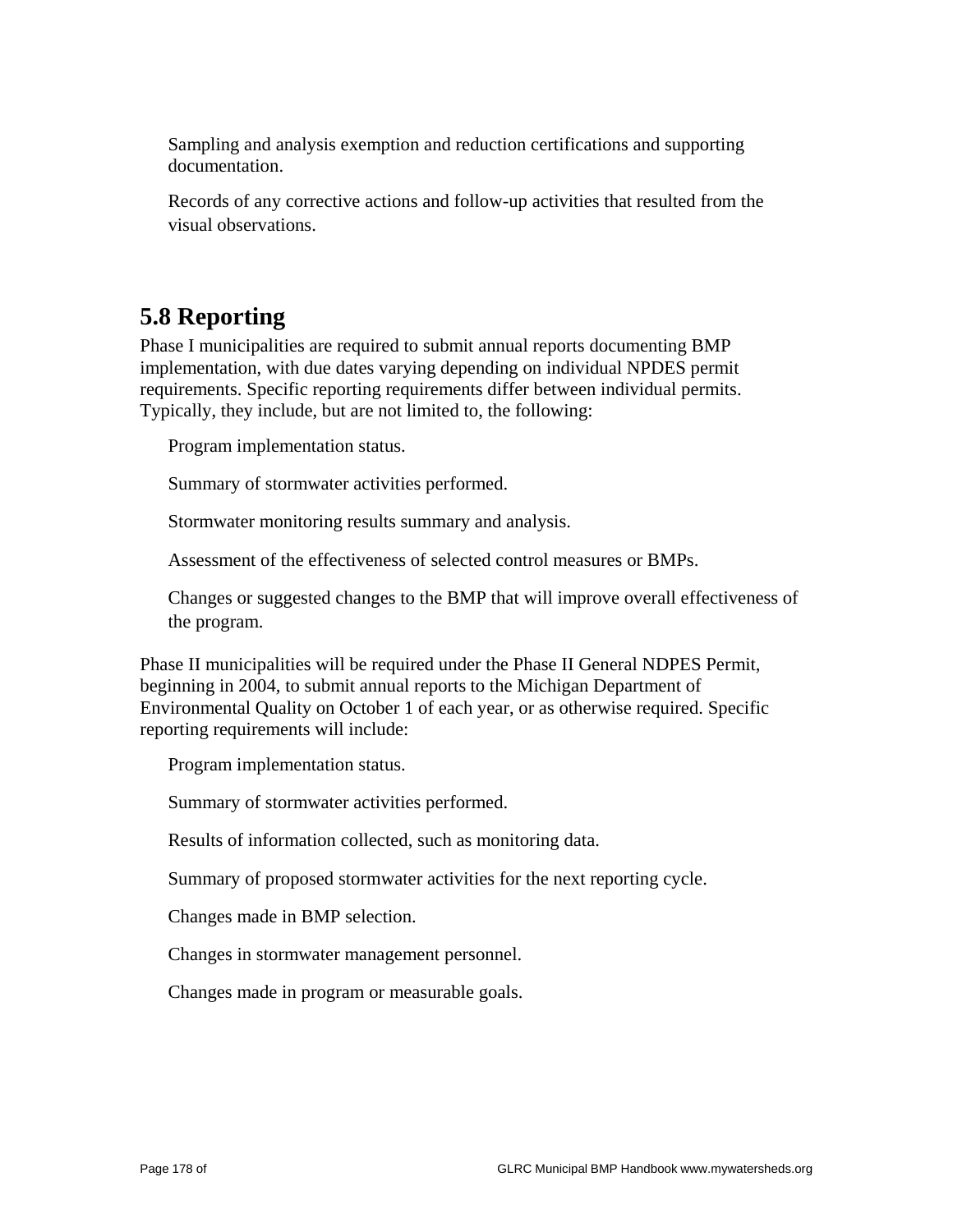Sampling and analysis exemption and reduction certifications and supporting documentation.

 Records of any corrective actions and follow-up activities that resulted from the visual observations.

## **5.8 Reporting**

Phase I municipalities are required to submit annual reports documenting BMP implementation, with due dates varying depending on individual NPDES permit requirements. Specific reporting requirements differ between individual permits. Typically, they include, but are not limited to, the following:

Program implementation status.

Summary of stormwater activities performed.

Stormwater monitoring results summary and analysis.

Assessment of the effectiveness of selected control measures or BMPs.

 Changes or suggested changes to the BMP that will improve overall effectiveness of the program.

Phase II municipalities will be required under the Phase II General NDPES Permit, beginning in 2004, to submit annual reports to the Michigan Department of Environmental Quality on October 1 of each year, or as otherwise required. Specific reporting requirements will include:

Program implementation status.

Summary of stormwater activities performed.

Results of information collected, such as monitoring data.

Summary of proposed stormwater activities for the next reporting cycle.

Changes made in BMP selection.

Changes in stormwater management personnel.

Changes made in program or measurable goals.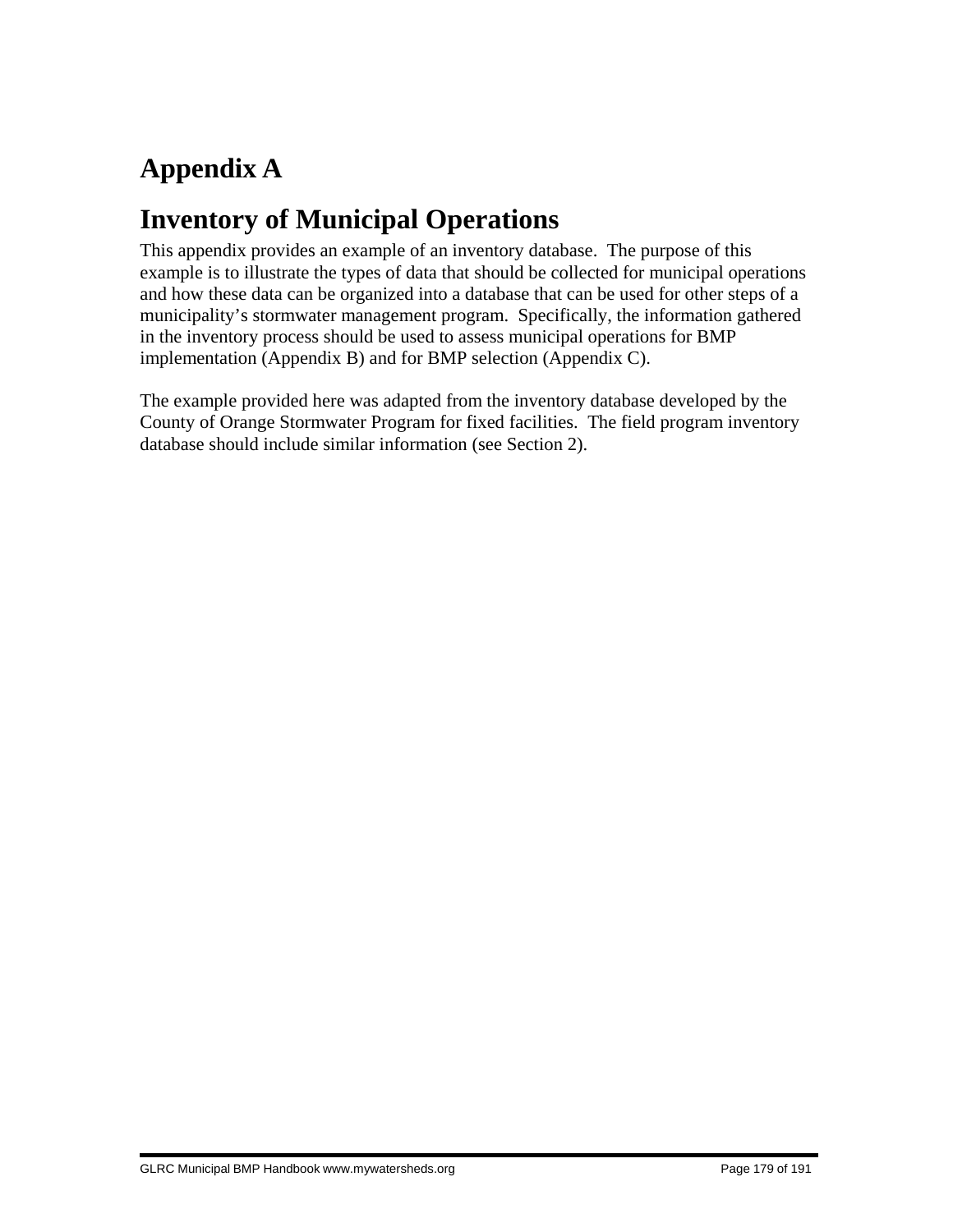# **Appendix A**

# **Inventory of Municipal Operations**

This appendix provides an example of an inventory database. The purpose of this example is to illustrate the types of data that should be collected for municipal operations and how these data can be organized into a database that can be used for other steps of a municipality's stormwater management program. Specifically, the information gathered in the inventory process should be used to assess municipal operations for BMP implementation (Appendix B) and for BMP selection (Appendix C).

The example provided here was adapted from the inventory database developed by the County of Orange Stormwater Program for fixed facilities. The field program inventory database should include similar information (see Section 2).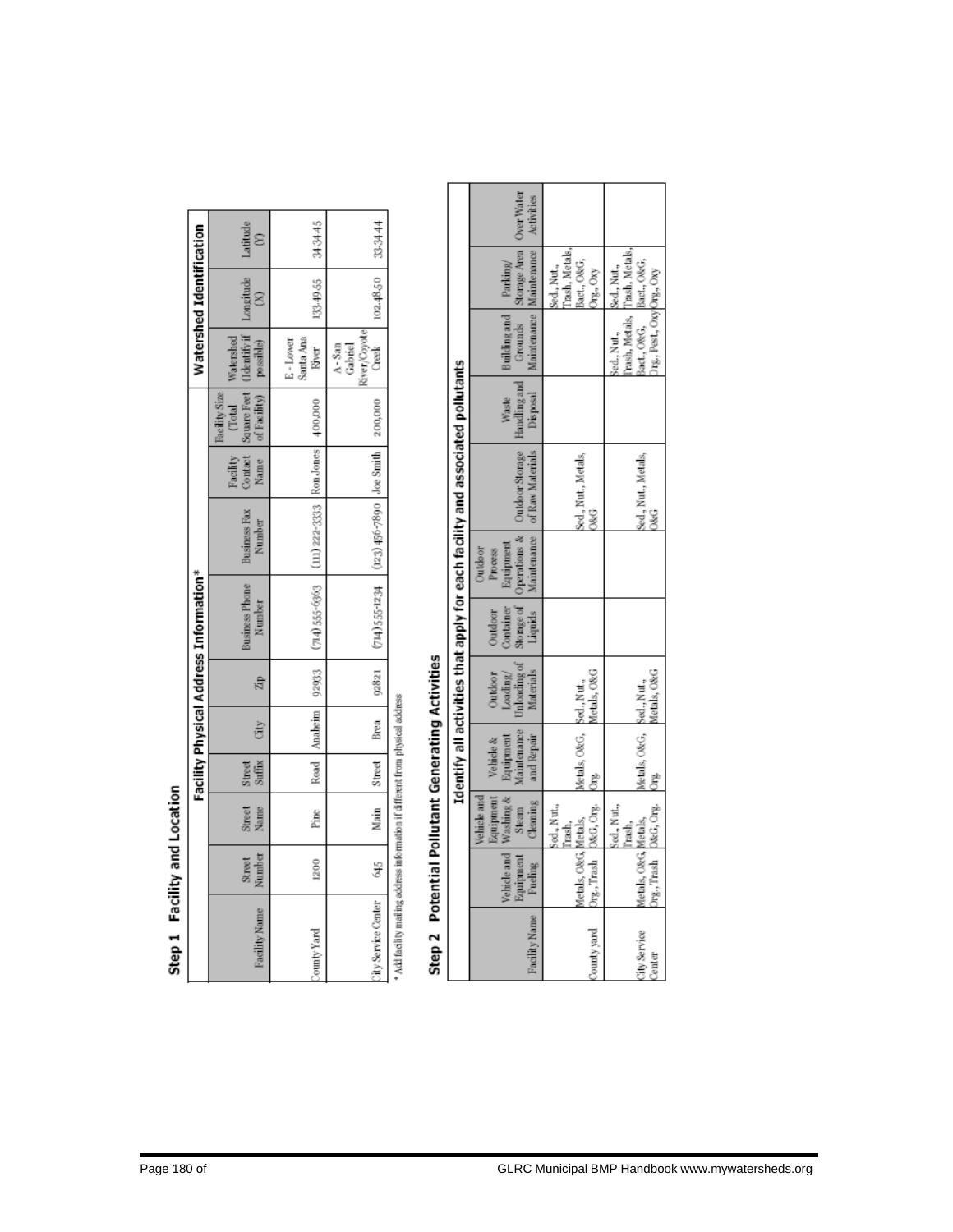| ı      |
|--------|
| Ú      |
| I<br>۹ |

|                           |                  |                             |                         |                    |       | Facility Physical Address Information*                  |                                    |          |                                                                           |                                              | Watershed Identification |          |
|---------------------------|------------------|-----------------------------|-------------------------|--------------------|-------|---------------------------------------------------------|------------------------------------|----------|---------------------------------------------------------------------------|----------------------------------------------|--------------------------|----------|
| Facility Name             | Number<br>Street | Sirect <sub>p</sub><br>Name | <b>Suffix</b><br>Street |                    |       | <b>Business Phone</b><br>Number                         | <b>Business Fax</b><br>Number      | Facility | Contact Square Feet<br>Name of Facility)<br>Total<br><b>Facility Size</b> | Teentify if<br>Watershed<br>possible)        |                          | Latitude |
| ounty Yard                | 1200             | Pine                        |                         | Road Anabeim 92933 |       | $(714) 555 - 6363$                                      | $(111)$ 222-3333 Ron Jones 400,000 |          |                                                                           | Santa Ana<br>E-Lower<br>River                | 133.49.55                | らすあま     |
| <b>Thy Service Center</b> | 645              | Main Street Brea            |                         |                    | 02821 | $714$ ) 555-1234 $(123)$ 456-7890 $-$ Joe Smith 200,000 |                                    |          |                                                                           | River/Covote<br>Creek<br>$A-$ San<br>Gabriel | 102.4850                 | 33.3444  |

Add facility mailing address information if different from physical address

# Step 2 Potential Pollutant Generating Activities

| Identify all activities that apply for each facility and associated pollutants | Parking                                                                                                                                                  | hash, Metals,<br>lact., O&G,<br>sed., Nut.,<br>JTg., Oxy | rash, Metals,<br>lact., O&G.                                             |
|--------------------------------------------------------------------------------|----------------------------------------------------------------------------------------------------------------------------------------------------------|----------------------------------------------------------|--------------------------------------------------------------------------|
|                                                                                | Maintenance Maintenance Activities<br>Building and                                                                                                       |                                                          | Jrg., Pest., Oxy Org., Oxy<br>rash, Metals,<br>act., O&G.<br>sed., Nut., |
|                                                                                | Disposal                                                                                                                                                 |                                                          |                                                                          |
|                                                                                | Unloading of   Sto rage of   Operations &   Outdoor Storage   Handling and   Grounds   Storage Area   Over Water<br>Liquids Maintenance of Raw Materials | Sed., Nut., Metals,<br><b>O&amp;G</b>                    | Sed., Nut., Metals,<br>O&G                                               |
|                                                                                | aupment<br>Outdoor<br>Process                                                                                                                            |                                                          |                                                                          |
|                                                                                | ontainer<br>Outdoor                                                                                                                                      |                                                          |                                                                          |
|                                                                                | Materials<br>Outdoor<br>Loading/                                                                                                                         | Metals, O&G                                              | Metals, O&G                                                              |
|                                                                                | Maintenance<br>Cleaning and Repair<br>Equipment<br>Vehicle &                                                                                             | Metals, O&G, Sed., Nut.,<br>Ë                            | Metals, O&G, Sed., Nut.,                                                 |
|                                                                                | Equipment<br>Vehicle and Washing &<br>Steam<br>Vehicle and                                                                                               | O&G, Org.<br>Sed., Nut.,                                 | Org., Trash D&G, Org.<br>Sed., Nut.,                                     |
|                                                                                | donipment<br>Fueling                                                                                                                                     | letals, O&G, Metals,<br>Org.,Trash                       | fetals, O&G Metals,                                                      |
|                                                                                | Facility Name                                                                                                                                            | County yard                                              | <b>City Service</b><br>Center                                            |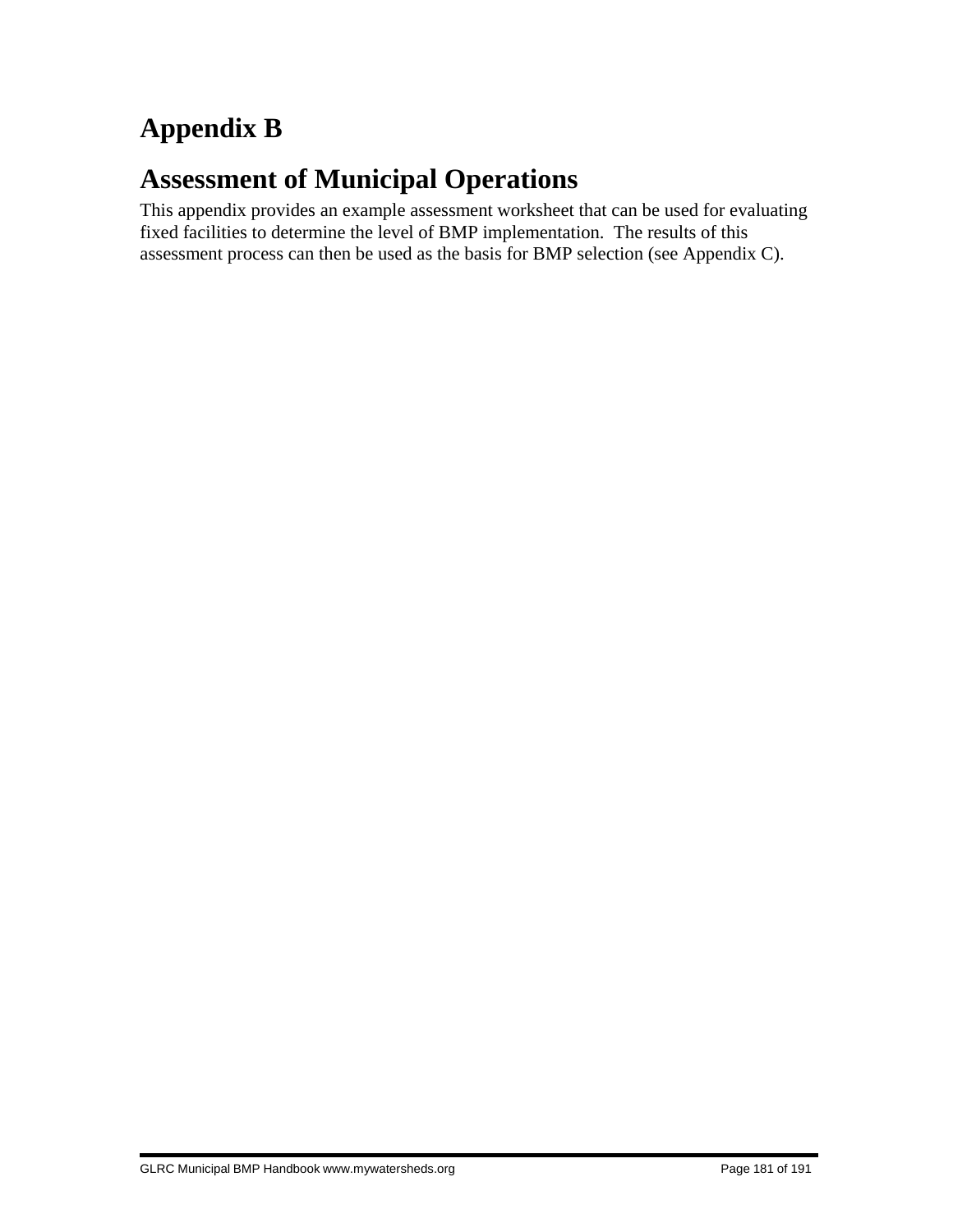# **Appendix B**

## **Assessment of Municipal Operations**

This appendix provides an example assessment worksheet that can be used for evaluating fixed facilities to determine the level of BMP implementation. The results of this assessment process can then be used as the basis for BMP selection (see Appendix C).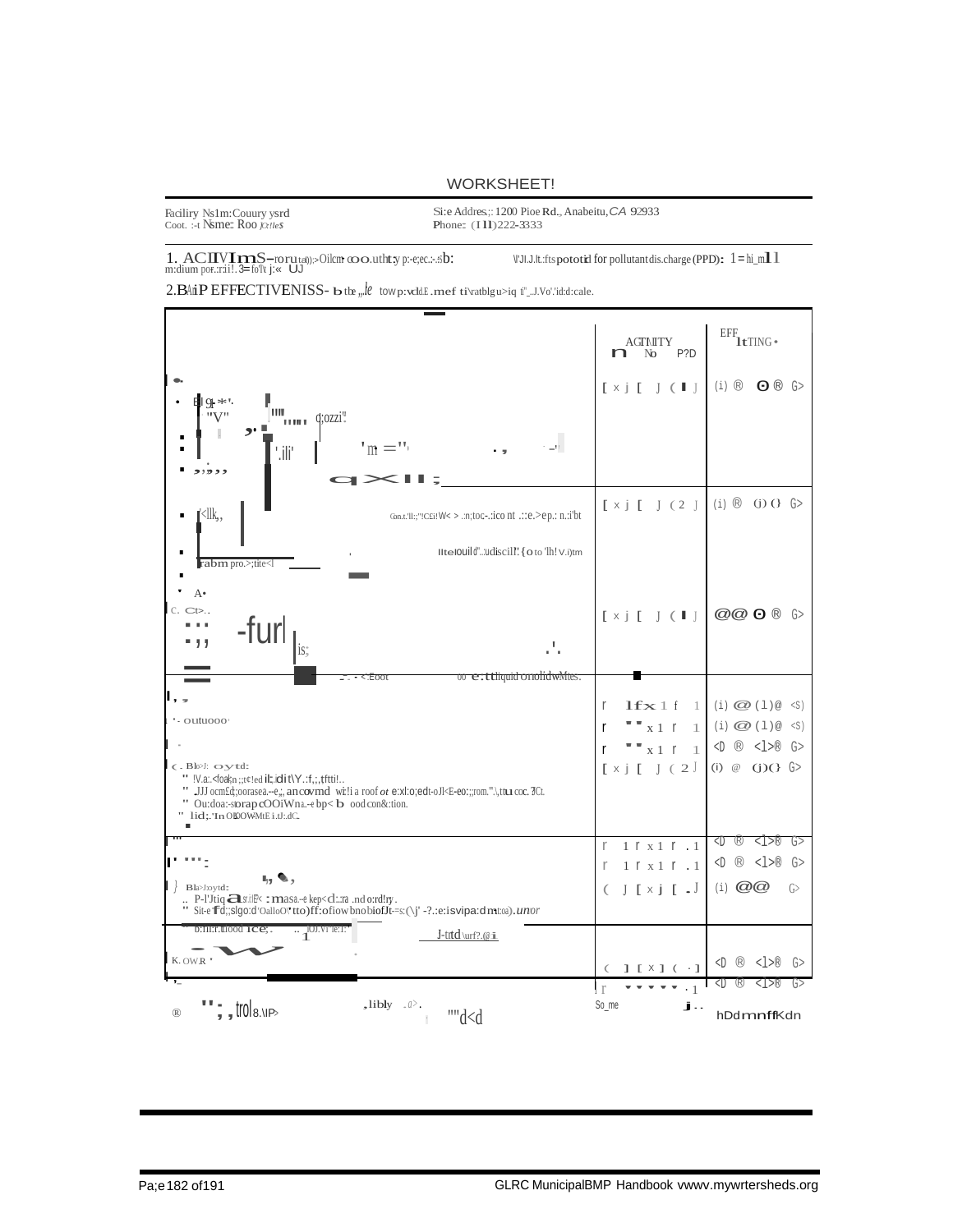#### **WORKSHEET!**

| Faciliry Ns1m:Couury ysrd           |
|-------------------------------------|
| Coot. :-t <b>Nsme: Roo</b> 10:11e\$ |

Si:e Addres;: 1200 Pioe Rd., Anabeitu, CA 92933 Phone: (I11)222-3333

 $1.~\textrm{ACIV} \hspace{-0.1cm}\mathbf{ImS}\hspace{-0.1cm} -\hspace{-0.1cm}\mathbf{forut}_\text{dl})\hspace{-0.1cm} >\hspace{-0.1cm} \textrm{O} \hspace{-0.1cm} \textrm{lim}~ \omega\hspace{-0.1cm}\omega \hspace{-0.1cm} \textrm{with}~ y\hspace{-0.1cm} \textrm{p:}-\hspace{-0.1cm} \textrm{e;}\textrm{c.} \dots \hspace{-0.1cm} \textrm{.}\hspace{-0.1cm} \textrm{.} \hspace{-0.1cm} \textrm{.} \hs$ 

 $VJ.J.L.t.$ : fts pototid for pollutant dis. charge (PPD):  $1 = h$ i m11

 $2. \textbf{BAiP}\text{EFFECTIVENISS-}~\textbf{bttw}_{n} \textit{le}~\text{two}~\text{p}~\text{v}~\text{d}~\text{E}~\text{m}~\text{et}~\text{tiv}~\text{at}~\text{by}~\text{y}~\text{d}~\text{tiv}~\text{d}~\text{tiv}~\text{d}~\text{tiv}~\text{d}~\text{tiv}~\text{d}~\text{tiv}~\text{d}~\text{tiv}~\text{d}~\text{tiv}~\text{d}~\text{tiv}~\text{d}~\text{tiv$ 

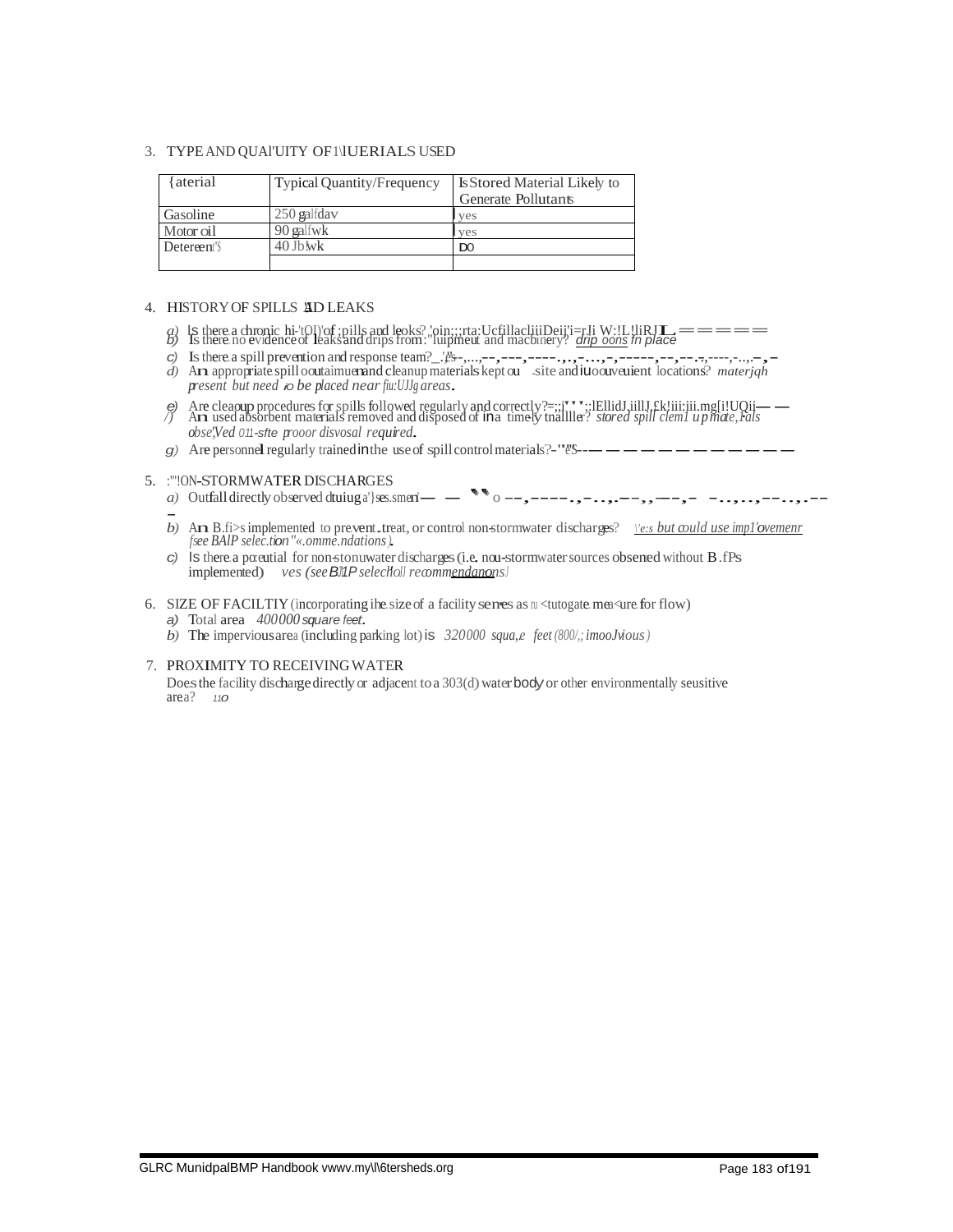#### 3. TYPE AND QUAI'UITY OF INUERIALS USED

| aterial     | Typical Quantity/Frequency | <b>IsStored Material Likely to</b><br>Generate Pollutants |
|-------------|----------------------------|-----------------------------------------------------------|
| Gasoline    | 250 galfdav                | ves                                                       |
| Motor oil   | 90 galfwk                  | ves                                                       |
| Detereent's | $40$ Jb wk                 | $_{\text{DO}}$                                            |
|             |                            |                                                           |

#### 4. HISTORY OF SPILLS AD LEAKS

- 
- 
- present but need to be placed near furtilly areas.
- (a) Are cleaoup procedures for spills followed regularly and correctly?=:;;"\*\*\*;:iEllidJ.jillJ.£k!iii:;ii.mg[i!UQii— $\overline{a}$ ) Are used absorbent materials removed and disposed of ina timely thalliller? *stored spill cleml* obse',Ved 011-sfte prooor disvosal required.
- g) Are personnel regularly trained in the use of spill control materials?-" $8 - - - - - - - -$

#### 5. : "!ON-STORMWATER DISCHARGES

- 
- b) An B.fi>s implemented to prevent, treat, or control non-stormwater discharges?  $\chi$ e:s but could use impl'ovement fsee BAIP selection"«.omme.ndations)
- c) Is there a potential for non-stonuwater discharges (i.e. non-stormwater sources obsened without  $B$ . fPs implemented) ves (see BMP selectioll recommendanons)
- 6. SIZE OF FACILTIY (incorporating ihe size of a facility senes as  $\pi$  <tutogate measure for flow)
	- a) Total area 400000 square feet.
	- b) The impervious area (including parking lot) is  $320000 \, \text{square}$ ,  $\text{feet}(800/3; \text{imoolvious})$
- 7. PROXIMITY TO RECEIVING WATER

Does the facility discharge directly or adjacent to a 303(d) water body or other environmentally seusitive  $area?$  110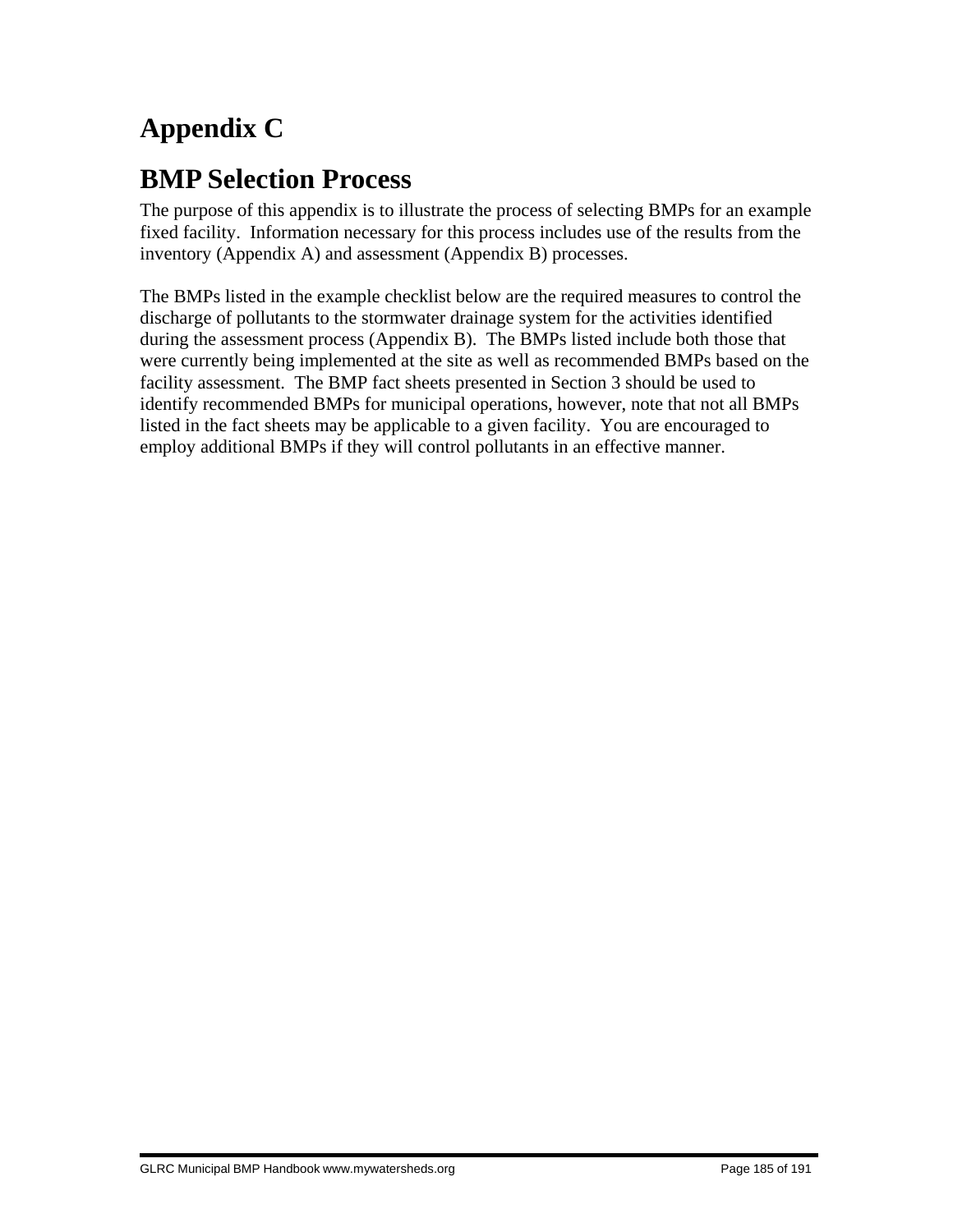# **Appendix C**

# **BMP Selection Process**

The purpose of this appendix is to illustrate the process of selecting BMPs for an example fixed facility. Information necessary for this process includes use of the results from the inventory (Appendix A) and assessment (Appendix B) processes.

The BMPs listed in the example checklist below are the required measures to control the discharge of pollutants to the stormwater drainage system for the activities identified during the assessment process (Appendix B). The BMPs listed include both those that were currently being implemented at the site as well as recommended BMPs based on the facility assessment. The BMP fact sheets presented in Section 3 should be used to identify recommended BMPs for municipal operations, however, note that not all BMPs listed in the fact sheets may be applicable to a given facility. You are encouraged to employ additional BMPs if they will control pollutants in an effective manner.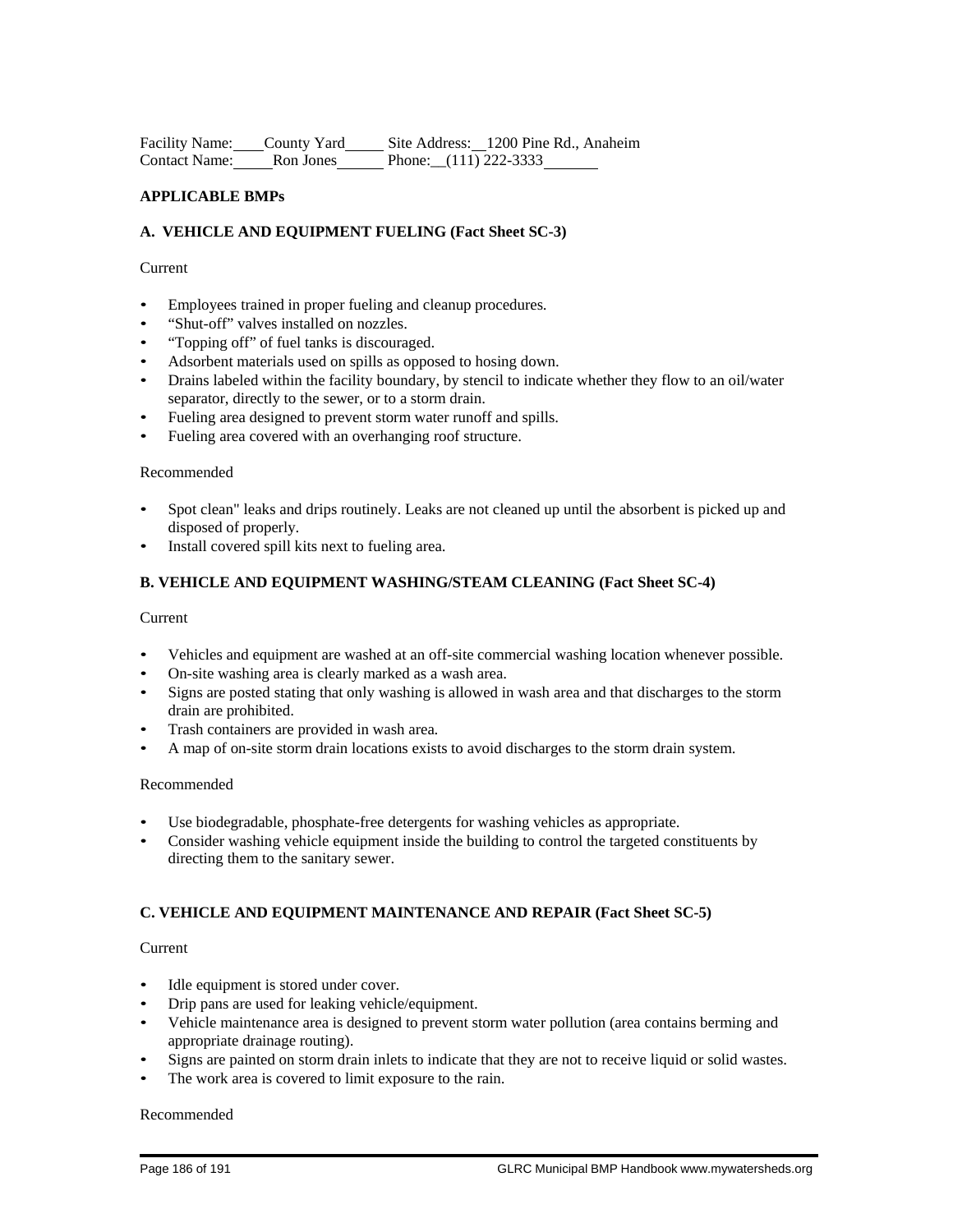Facility Name: County Yard Site Address: 1200 Pine Rd., Anaheim Contact Name: Ron Jones Phone:\_\_(111) 222-3333

#### **APPLICABLE BMPs**

#### **A. VEHICLE AND EQUIPMENT FUELING (Fact Sheet SC-3)**

#### Current

- Employees trained in proper fueling and cleanup procedures.
- "Shut-off" valves installed on nozzles.
- "Topping off" of fuel tanks is discouraged.
- Adsorbent materials used on spills as opposed to hosing down.
- Drains labeled within the facility boundary, by stencil to indicate whether they flow to an oil/water separator, directly to the sewer, or to a storm drain.
- Fueling area designed to prevent storm water runoff and spills.
- Fueling area covered with an overhanging roof structure.

#### Recommended

- Spot clean" leaks and drips routinely. Leaks are not cleaned up until the absorbent is picked up and disposed of properly.
- Install covered spill kits next to fueling area.

#### **B. VEHICLE AND EQUIPMENT WASHING/STEAM CLEANING (Fact Sheet SC-4)**

#### Current

- Vehicles and equipment are washed at an off-site commercial washing location whenever possible.
- On-site washing area is clearly marked as a wash area.
- Signs are posted stating that only washing is allowed in wash area and that discharges to the storm drain are prohibited.
- Trash containers are provided in wash area.
- A map of on-site storm drain locations exists to avoid discharges to the storm drain system.

#### Recommended

- Use biodegradable, phosphate-free detergents for washing vehicles as appropriate.
- Consider washing vehicle equipment inside the building to control the targeted constituents by directing them to the sanitary sewer.

#### **C. VEHICLE AND EQUIPMENT MAINTENANCE AND REPAIR (Fact Sheet SC-5)**

#### Current

- Idle equipment is stored under cover.
- Drip pans are used for leaking vehicle/equipment.
- Vehicle maintenance area is designed to prevent storm water pollution (area contains berming and appropriate drainage routing).
- Signs are painted on storm drain inlets to indicate that they are not to receive liquid or solid wastes.
- The work area is covered to limit exposure to the rain.

#### Recommended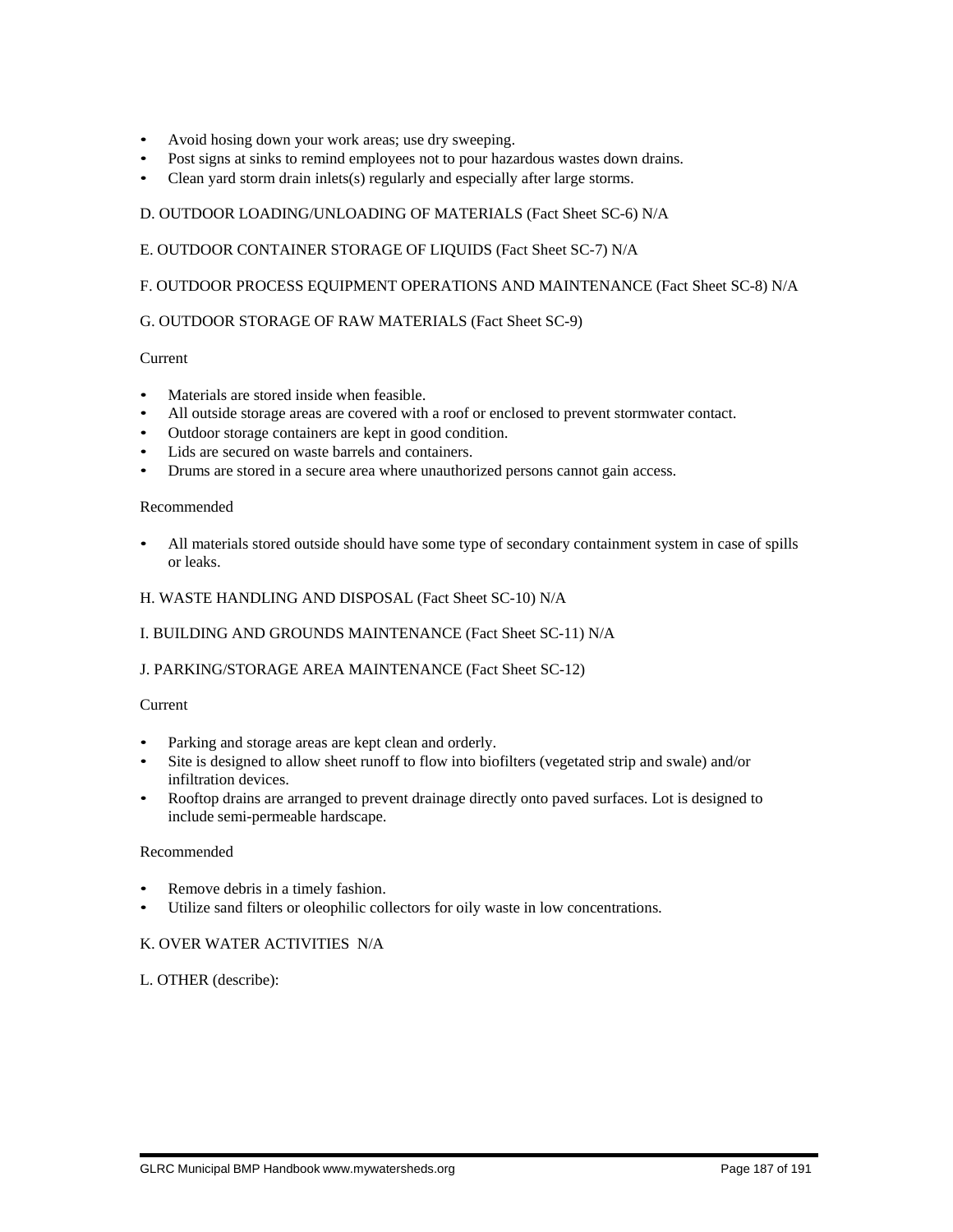- Avoid hosing down your work areas; use dry sweeping.
- Post signs at sinks to remind employees not to pour hazardous wastes down drains.
- Clean yard storm drain inlets(s) regularly and especially after large storms.

#### D. OUTDOOR LOADING/UNLOADING OF MATERIALS (Fact Sheet SC-6) N/A

#### E. OUTDOOR CONTAINER STORAGE OF LIQUIDS (Fact Sheet SC-7) N/A

#### F. OUTDOOR PROCESS EQUIPMENT OPERATIONS AND MAINTENANCE (Fact Sheet SC-8) N/A

#### G. OUTDOOR STORAGE OF RAW MATERIALS (Fact Sheet SC-9)

#### Current

- Materials are stored inside when feasible.
- All outside storage areas are covered with a roof or enclosed to prevent stormwater contact.
- Outdoor storage containers are kept in good condition.
- Lids are secured on waste barrels and containers.
- Drums are stored in a secure area where unauthorized persons cannot gain access.

#### Recommended

• All materials stored outside should have some type of secondary containment system in case of spills or leaks.

#### H. WASTE HANDLING AND DISPOSAL (Fact Sheet SC-10) N/A

#### I. BUILDING AND GROUNDS MAINTENANCE (Fact Sheet SC-11) N/A

#### J. PARKING/STORAGE AREA MAINTENANCE (Fact Sheet SC-12)

#### Current

- Parking and storage areas are kept clean and orderly.
- Site is designed to allow sheet runoff to flow into biofilters (vegetated strip and swale) and/or infiltration devices.
- Rooftop drains are arranged to prevent drainage directly onto paved surfaces. Lot is designed to include semi-permeable hardscape.

#### Recommended

- Remove debris in a timely fashion.
- Utilize sand filters or oleophilic collectors for oily waste in low concentrations.

#### K. OVER WATER ACTIVITIES N/A

#### L. OTHER (describe):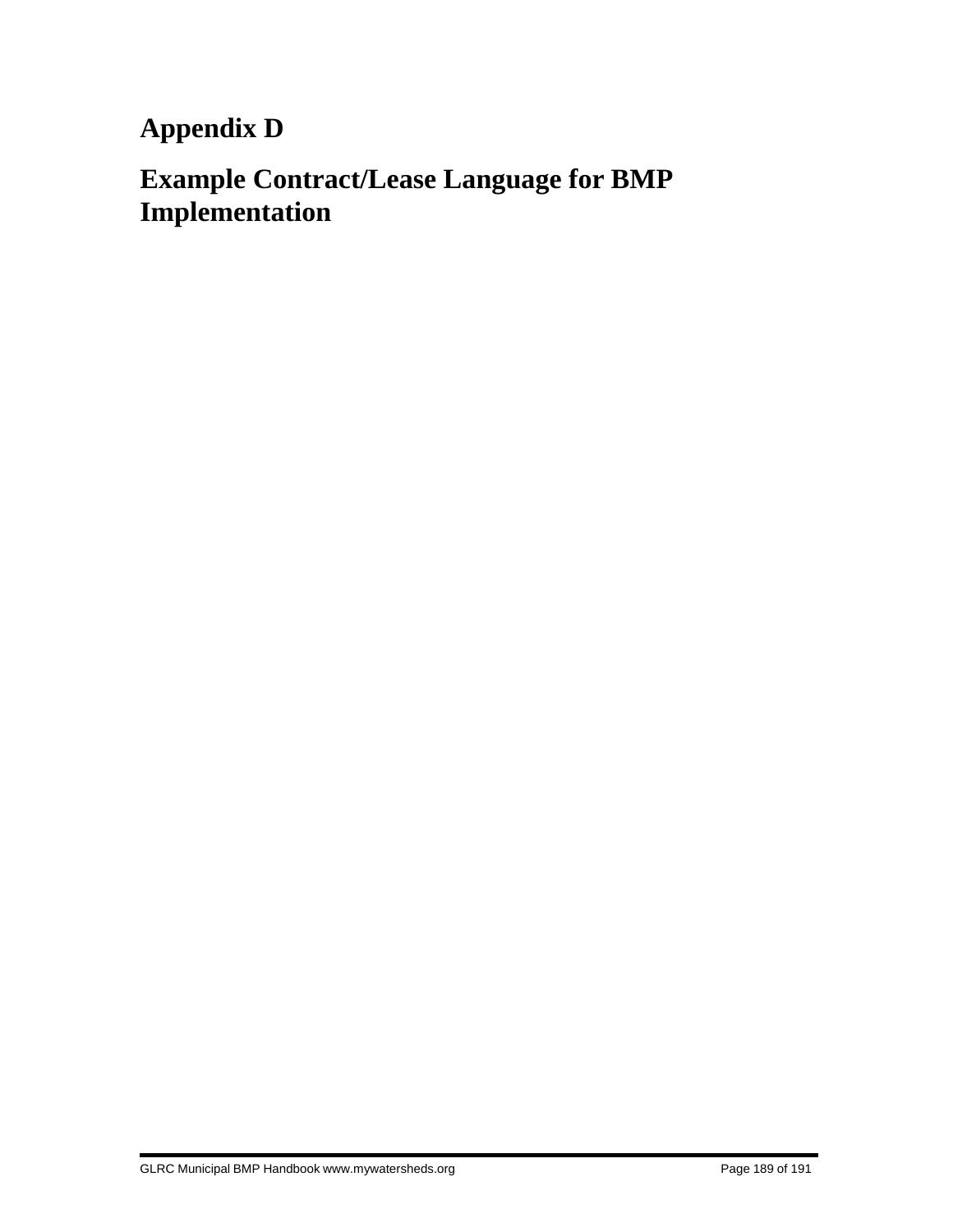**Appendix D**

# **Example Contract/Lease Language for BMP Implementation**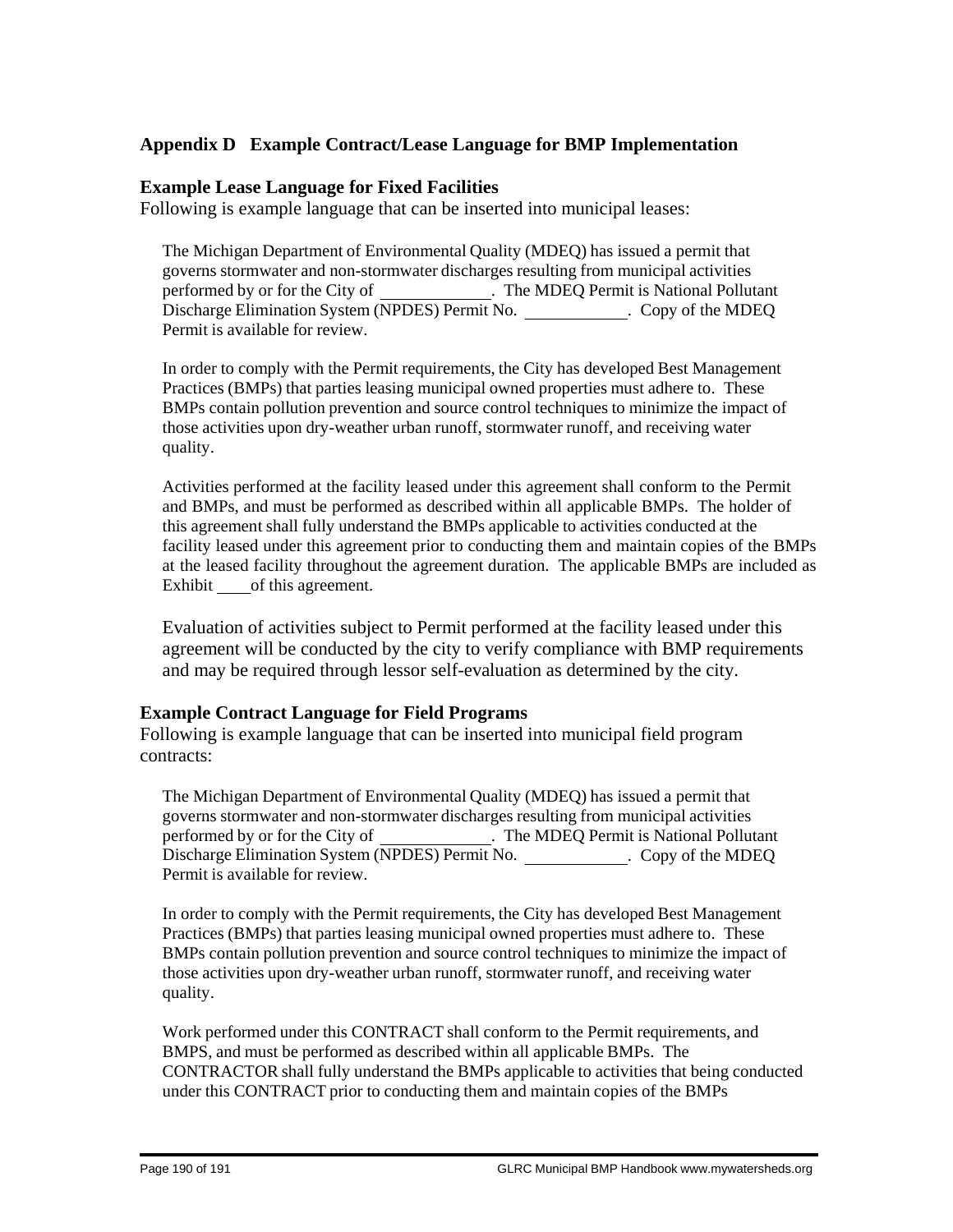### **Appendix D Example Contract/Lease Language for BMP Implementation**

### **Example Lease Language for Fixed Facilities**

Following is example language that can be inserted into municipal leases:

The Michigan Department of Environmental Quality (MDEQ) has issued a permit that governs stormwater and non-stormwater discharges resulting from municipal activities performed by or for the City of . The MDEQ Permit is National Pollutant Discharge Elimination System (NPDES) Permit No. Copy of the MDEQ Permit is available for review.

In order to comply with the Permit requirements, the City has developed Best Management Practices (BMPs) that parties leasing municipal owned properties must adhere to. These BMPs contain pollution prevention and source control techniques to minimize the impact of those activities upon dry-weather urban runoff, stormwater runoff, and receiving water quality.

Activities performed at the facility leased under this agreement shall conform to the Permit and BMPs, and must be performed as described within all applicable BMPs. The holder of this agreement shall fully understand the BMPs applicable to activities conducted at the facility leased under this agreement prior to conducting them and maintain copies of the BMPs at the leased facility throughout the agreement duration. The applicable BMPs are included as Exhibit \_\_of this agreement.

Evaluation of activities subject to Permit performed at the facility leased under this agreement will be conducted by the city to verify compliance with BMP requirements and may be required through lessor self-evaluation as determined by the city.

### **Example Contract Language for Field Programs**

Following is example language that can be inserted into municipal field program contracts:

The Michigan Department of Environmental Quality (MDEQ) has issued a permit that governs stormwater and non-stormwater discharges resulting from municipal activities performed by or for the City of . The MDEQ Permit is National Pollutant Discharge Elimination System (NPDES) Permit No. \_\_\_\_\_\_\_\_\_\_\_\_\_. Copy of the MDEQ Permit is available for review.

In order to comply with the Permit requirements, the City has developed Best Management Practices (BMPs) that parties leasing municipal owned properties must adhere to. These BMPs contain pollution prevention and source control techniques to minimize the impact of those activities upon dry-weather urban runoff, stormwater runoff, and receiving water quality.

Work performed under this CONTRACT shall conform to the Permit requirements, and BMPS, and must be performed as described within all applicable BMPs. The CONTRACTOR shall fully understand the BMPs applicable to activities that being conducted under this CONTRACT prior to conducting them and maintain copies of the BMPs